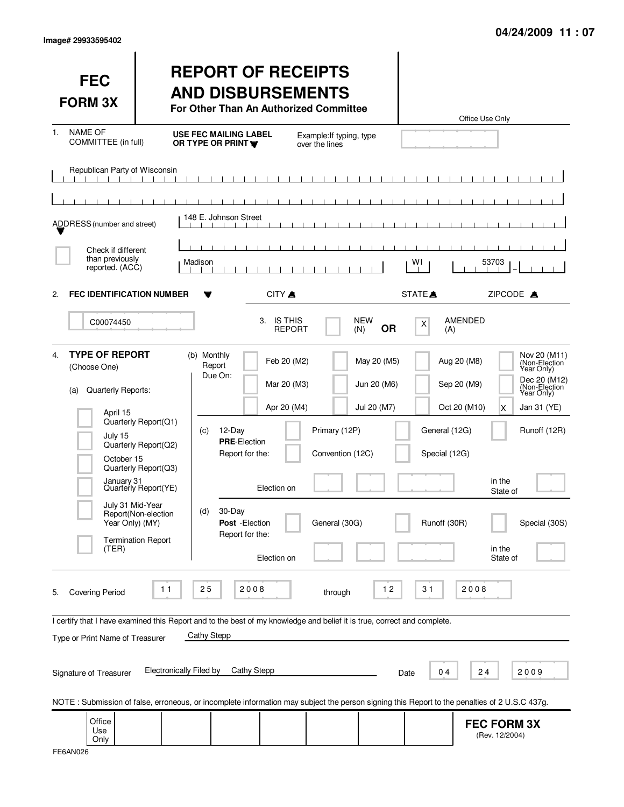| <b>FEC</b><br><b>FORM 3X</b>                                                                                                                                                            |                                                                                                                                                  |                                                                                                                                                    | <b>REPORT OF RECEIPTS</b><br><b>AND DISBURSEMENTS</b><br>For Other Than An Authorized Committee |                                                                                                 |                   | Office Use Only                                                                                                                               |                                                                                                                                            |
|-----------------------------------------------------------------------------------------------------------------------------------------------------------------------------------------|--------------------------------------------------------------------------------------------------------------------------------------------------|----------------------------------------------------------------------------------------------------------------------------------------------------|-------------------------------------------------------------------------------------------------|-------------------------------------------------------------------------------------------------|-------------------|-----------------------------------------------------------------------------------------------------------------------------------------------|--------------------------------------------------------------------------------------------------------------------------------------------|
| <b>NAME OF</b><br>1.<br>COMMITTEE (in full)                                                                                                                                             |                                                                                                                                                  | <b>USE FEC MAILING LABEL</b><br>OR TYPE OR PRINT                                                                                                   |                                                                                                 | Example: If typing, type<br>over the lines                                                      |                   |                                                                                                                                               |                                                                                                                                            |
| Republican Party of Wisconsin                                                                                                                                                           |                                                                                                                                                  |                                                                                                                                                    |                                                                                                 |                                                                                                 |                   |                                                                                                                                               |                                                                                                                                            |
| ADDRESS (number and street)                                                                                                                                                             |                                                                                                                                                  | 148 E. Johnson Street                                                                                                                              |                                                                                                 |                                                                                                 |                   |                                                                                                                                               |                                                                                                                                            |
| Check if different<br>than previously<br>reported. (ACC)                                                                                                                                |                                                                                                                                                  | Madison                                                                                                                                            |                                                                                                 |                                                                                                 | WI                | 53703                                                                                                                                         |                                                                                                                                            |
| <b>FEC IDENTIFICATION NUMBER</b><br>2.                                                                                                                                                  |                                                                                                                                                  |                                                                                                                                                    | CITY A                                                                                          |                                                                                                 | STATE <sup></sup> | ZIPCODE A                                                                                                                                     |                                                                                                                                            |
| C00074450                                                                                                                                                                               |                                                                                                                                                  |                                                                                                                                                    | <b>IS THIS</b><br>3.<br><b>REPORT</b>                                                           | <b>NEW</b><br>(N)                                                                               | X<br><b>OR</b>    | AMENDED<br>(A)                                                                                                                                |                                                                                                                                            |
| <b>TYPE OF REPORT</b><br>4 <sup>1</sup><br>(Choose One)<br>Quarterly Reports:<br>(a)<br>April 15<br>July 15<br>October 15<br>January 31<br>July 31 Mid-Year<br>Year Only) (MY)<br>(TER) | Quarterly Report(Q1)<br>Quarterly Report(Q2)<br>Quarterly Report(Q3)<br>Quarterly Report(YE)<br>Report(Non-election<br><b>Termination Report</b> | (b) Monthly<br>Report<br>Due On:<br>12-Day<br>(c)<br><b>PRE-Election</b><br>Report for the:<br>30-Day<br>(d)<br>Post - Election<br>Report for the: | Feb 20 (M2)<br>Mar 20 (M3)<br>Apr 20 (M4)<br>Election on<br>Election on                         | May 20 (M5)<br>Jun 20 (M6)<br>Jul 20 (M7)<br>Primary (12P)<br>Convention (12C)<br>General (30G) |                   | Aug 20 (M8)<br>Sep 20 (M9)<br>Oct 20 (M10)<br>x<br>General (12G)<br>Special (12G)<br>in the<br>State of<br>Runoff (30R)<br>in the<br>State of | Nov 20 (M11)<br>(Non-Election<br>Year Only)<br>Dec 20 (M12)<br>(Non-Election<br>Year Only)<br>Jan 31 (YE)<br>Runoff (12R)<br>Special (30S) |
| <b>Covering Period</b><br>5.                                                                                                                                                            | 11                                                                                                                                               | 25                                                                                                                                                 | 2008                                                                                            | through                                                                                         | 12<br>31          | 2008                                                                                                                                          |                                                                                                                                            |
| I certify that I have examined this Report and to the best of my knowledge and belief it is true, correct and complete.<br>Type or Print Name of Treasurer<br>Signature of Treasurer    | Electronically Filed by                                                                                                                          | <b>Cathy Stepp</b>                                                                                                                                 | <b>Cathy Stepp</b>                                                                              |                                                                                                 | Date              | 04<br>24                                                                                                                                      | 2009                                                                                                                                       |
|                                                                                                                                                                                         |                                                                                                                                                  |                                                                                                                                                    |                                                                                                 |                                                                                                 |                   | NOTE: Submission of false, erroneous, or incomplete information may subject the person signing this Report to the penalties of 2 U.S.C 437g.  |                                                                                                                                            |
| Office<br>Use<br>Only                                                                                                                                                                   |                                                                                                                                                  |                                                                                                                                                    |                                                                                                 |                                                                                                 |                   | <b>FEC FORM 3X</b><br>(Rev. 12/2004)                                                                                                          |                                                                                                                                            |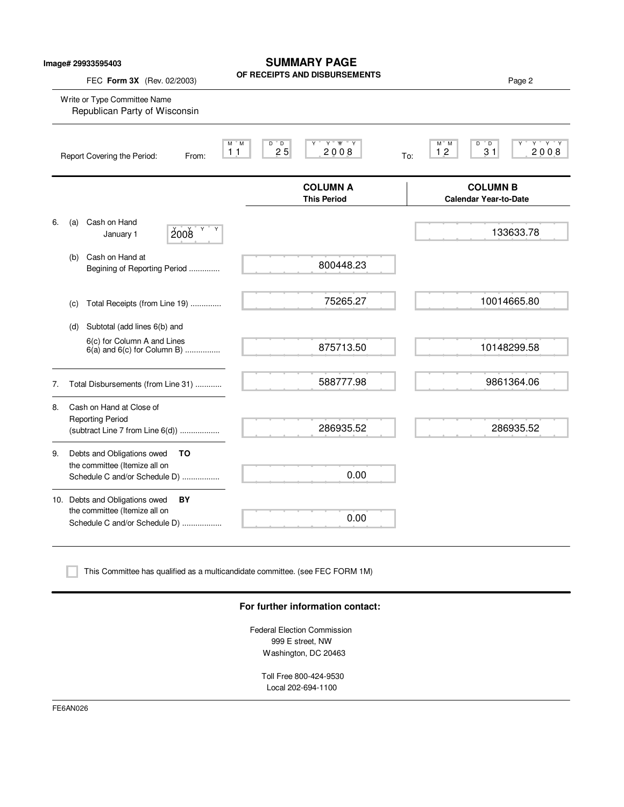| Image# 29933595403                                            | <b>SUMMARY PAGE</b><br>OF RECEIPTS AND DISBURSEMENTS                    | Page 2                                                                                                                                                                                                                                            |  |
|---------------------------------------------------------------|-------------------------------------------------------------------------|---------------------------------------------------------------------------------------------------------------------------------------------------------------------------------------------------------------------------------------------------|--|
| Write or Type Committee Name<br>Republican Party of Wisconsin |                                                                         |                                                                                                                                                                                                                                                   |  |
| Report Covering the Period:<br>From:                          | $Y$ $W$ $Y$<br>$D^{\prime\prime}$ $D$<br>M M<br>25<br>11<br>2008<br>To: | $Y$ $Y$ $Y$<br>M M<br>D<br>" D<br>31<br>2008<br>12                                                                                                                                                                                                |  |
|                                                               | <b>COLUMN A</b><br><b>This Period</b>                                   | <b>COLUMN B</b><br><b>Calendar Year-to-Date</b>                                                                                                                                                                                                   |  |
| Cash on Hand<br>(a)<br>Y<br>2008<br>January 1                 |                                                                         | 133633.78                                                                                                                                                                                                                                         |  |
| Cash on Hand at<br>(b)                                        | 800448.23                                                               |                                                                                                                                                                                                                                                   |  |
| (c)                                                           | 75265.27                                                                | 10014665.80                                                                                                                                                                                                                                       |  |
| Subtotal (add lines 6(b) and<br>(d)                           |                                                                         |                                                                                                                                                                                                                                                   |  |
| 6(c) for Column A and Lines                                   | 875713.50                                                               | 10148299.58                                                                                                                                                                                                                                       |  |
|                                                               | 588777.98                                                               | 9861364.06                                                                                                                                                                                                                                        |  |
| Cash on Hand at Close of                                      |                                                                         |                                                                                                                                                                                                                                                   |  |
| <b>Reporting Period</b>                                       | 286935.52                                                               | 286935.52                                                                                                                                                                                                                                         |  |
| Debts and Obligations owed<br>то                              |                                                                         |                                                                                                                                                                                                                                                   |  |
| the committee (Itemize all on                                 | 0.00                                                                    |                                                                                                                                                                                                                                                   |  |
| 10. Debts and Obligations owed<br>BY                          |                                                                         |                                                                                                                                                                                                                                                   |  |
| the committee (Itemize all on                                 | 0.00                                                                    |                                                                                                                                                                                                                                                   |  |
|                                                               | FEC Form 3X (Rev. 02/2003)                                              | Y<br>Begining of Reporting Period<br>Total Receipts (from Line 19)<br>$6(a)$ and $6(c)$ for Column B)<br>Total Disbursements (from Line 31)<br>(subtract Line 7 from Line 6(d))<br>Schedule C and/or Schedule D)<br>Schedule C and/or Schedule D) |  |

This Committee has qualified as a multicandidate committee. (see FEC FORM 1M)

## **For further information contact:**

Federal Election Commission 999 E street, NW Washington, DC 20463

> Toll Free 800-424-9530 Local 202-694-1100

FE6AN026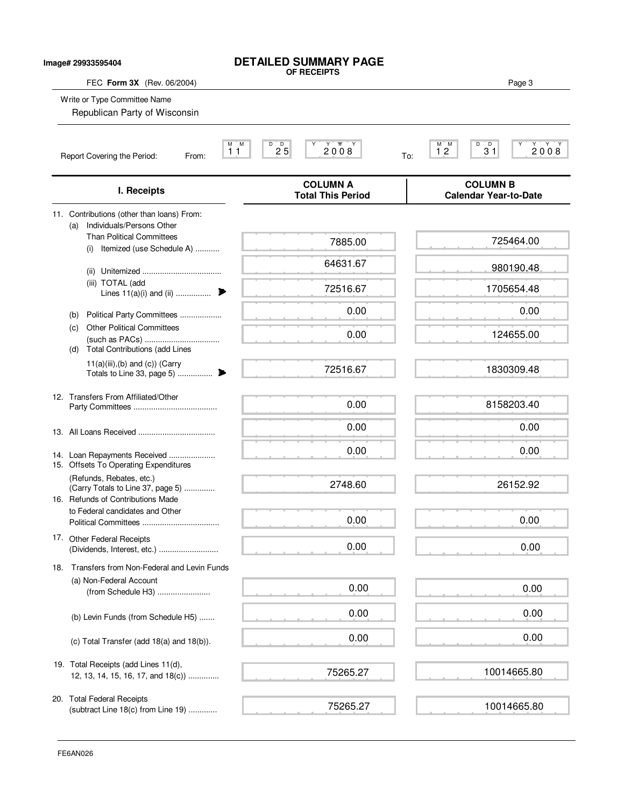| Image# 29933595404 |                                                                                             | <b>DETAILED SUMMARY PAGE</b><br>OF RECEIPTS |                                                          |
|--------------------|---------------------------------------------------------------------------------------------|---------------------------------------------|----------------------------------------------------------|
|                    | FEC Form 3X (Rev. 06/2004)<br>Write or Type Committee Name<br>Republican Party of Wisconsin |                                             | Page 3                                                   |
|                    | Report Covering the Period:<br>From:                                                        | M M<br>D<br>$2^{D}5$<br>2008<br>11<br>To:   | $\frac{M}{1}$ $\frac{M}{2}$<br>D<br>$3^{\circ}1$<br>2008 |
|                    | I. Receipts                                                                                 | <b>COLUMN A</b><br><b>Total This Period</b> | <b>COLUMN B</b><br><b>Calendar Year-to-Date</b>          |
|                    | 11. Contributions (other than loans) From:<br>Individuals/Persons Other<br>(a)              |                                             |                                                          |
|                    | <b>Than Political Committees</b><br>Itemized (use Schedule A)<br>(i)                        | 7885.00                                     | 725464.00                                                |
|                    |                                                                                             | 64631.67                                    | 980190.48                                                |
|                    | (iii) TOTAL (add<br>Lines $11(a)(i)$ and (ii)                                               | 72516.67                                    | 1705654.48                                               |
|                    | Political Party Committees<br>(b)                                                           | 0.00                                        | 0.00                                                     |
|                    | <b>Other Political Committees</b><br>(C)<br><b>Total Contributions (add Lines</b><br>(d)    | 0.00                                        | 124655.00                                                |
|                    | $11(a)(iii),(b)$ and $(c)$ ) (Carry<br>$\blacktriangleright$<br>Totals to Line 33, page 5)  | 72516.67                                    | 1830309.48                                               |
|                    | 12. Transfers From Affiliated/Other                                                         | 0.00                                        | 8158203.40                                               |
|                    |                                                                                             | 0.00                                        | 0.00                                                     |
|                    | 14. Loan Repayments Received<br>15. Offsets To Operating Expenditures                       | 0.00                                        | 0.00                                                     |
|                    | (Refunds, Rebates, etc.)<br>(Carry Totals to Line 37, page 5)                               | 2748.60                                     | 26152.92                                                 |
|                    | 16. Refunds of Contributions Made<br>to Federal candidates and Other                        | 0.00                                        | 0.00                                                     |
|                    | 17. Other Federal Receipts<br>(Dividends, Interest, etc.)                                   | 0.00                                        | 0.00                                                     |
|                    | 18. Transfers from Non-Federal and Levin Funds                                              |                                             |                                                          |
|                    | (a) Non-Federal Account<br>(from Schedule H3)                                               | 0.00                                        | 0.00                                                     |
|                    | (b) Levin Funds (from Schedule H5)                                                          | 0.00                                        | 0.00                                                     |
|                    | (c) Total Transfer (add 18(a) and 18(b)).                                                   | 0.00                                        | 0.00                                                     |
|                    | 19. Total Receipts (add Lines 11(d),<br>12, 13, 14, 15, 16, 17, and 18(c))                  | 75265.27                                    | 10014665.80                                              |
|                    | 20. Total Federal Receipts<br>(subtract Line 18(c) from Line 19)                            | 75265.27                                    | 10014665.80                                              |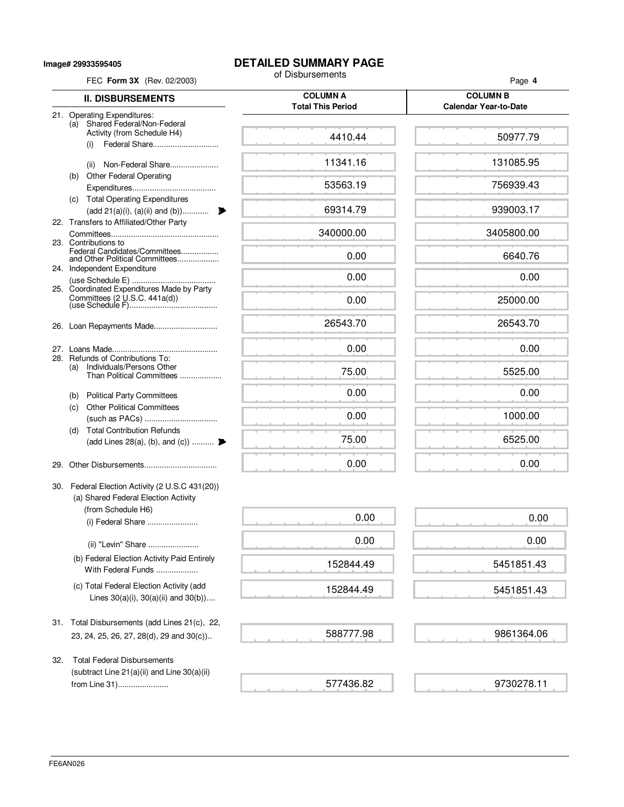**Image# 29933595405**

## **DETAILED SUMMARY PAGE**<br>of Disbursements

| FEC Form 3X (Rev. 02/2003)                                                                      | of Disbursements                            | Page 4                                          |  |
|-------------------------------------------------------------------------------------------------|---------------------------------------------|-------------------------------------------------|--|
| <b>II. DISBURSEMENTS</b>                                                                        | <b>COLUMN A</b><br><b>Total This Period</b> | <b>COLUMN B</b><br><b>Calendar Year-to-Date</b> |  |
| 21. Operating Expenditures:<br>Shared Federal/Non-Federal<br>(a)<br>Activity (from Schedule H4) | 4410.44                                     | 50977.79                                        |  |
| Federal Share<br>(i)                                                                            |                                             |                                                 |  |
| Non-Federal Share<br>(ii)                                                                       | 11341.16                                    | 131085.95                                       |  |
| <b>Other Federal Operating</b><br>(b)                                                           | 53563.19                                    | 756939.43                                       |  |
| (c) Total Operating Expenditures<br>(add 21(a)(i), (a)(ii) and (b))                             | 69314.79                                    | 939003.17                                       |  |
| 22. Transfers to Affiliated/Other Party                                                         | 340000.00                                   | 3405800.00                                      |  |
| 23. Contributions to<br>Federal Candidates/Committees                                           |                                             |                                                 |  |
| and Other Political Committees<br>24. Independent Expenditure                                   | 0.00                                        | 6640.76                                         |  |
| 25. Coordinated Expenditures Made by Party                                                      | 0.00                                        | 0.00                                            |  |
|                                                                                                 | 0.00                                        | 25000.00                                        |  |
|                                                                                                 | 26543.70                                    | 26543.70                                        |  |
|                                                                                                 | 0.00                                        | 0.00                                            |  |
| 28. Refunds of Contributions To:<br>(a) Individuals/Persons Other<br>Than Political Committees  | 75.00                                       | 5525.00                                         |  |
| (b) Political Party Committees                                                                  | 0.00                                        | 0.00                                            |  |
| <b>Other Political Committees</b><br>(c)                                                        | 0.00                                        | 1000.00                                         |  |
| <b>Total Contribution Refunds</b><br>(d)<br>(add Lines 28(a), (b), and (c))                     | 75.00                                       | 6525.00                                         |  |
|                                                                                                 | 0.00                                        | 0.00                                            |  |
| 30. Federal Election Activity (2 U.S.C 431(20))<br>(a) Shared Federal Election Activity         |                                             |                                                 |  |
| (from Schedule H6)<br>(i) Federal Share                                                         | 0.00                                        | 0.00                                            |  |
| (ii) "Levin" Share                                                                              | 0.00                                        | 0.00                                            |  |
| (b) Federal Election Activity Paid Entirely<br>With Federal Funds                               | 152844.49                                   | 5451851.43                                      |  |
| (c) Total Federal Election Activity (add<br>Lines $30(a)(i)$ , $30(a)(ii)$ and $30(b)$ )        | 152844.49                                   | 5451851.43                                      |  |
| 31. Total Disbursements (add Lines 21(c), 22,                                                   |                                             |                                                 |  |
| 23, 24, 25, 26, 27, 28(d), 29 and 30(c))                                                        | 588777.98                                   | 9861364.06                                      |  |
| <b>Total Federal Disbursements</b><br>32.<br>(subtract Line 21(a)(ii) and Line 30(a)(ii)        |                                             |                                                 |  |

577436.82

9730278.11

from Line 31).......................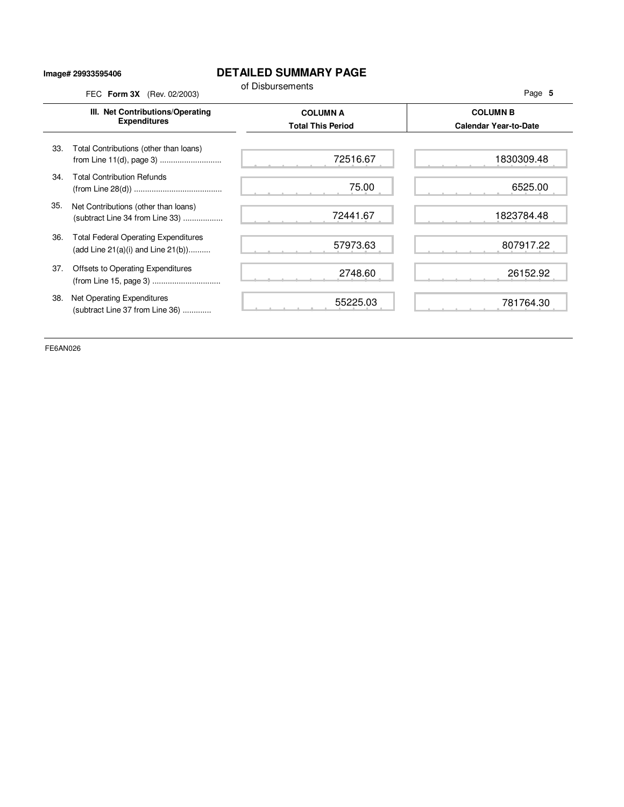## **Image# 29933595406**

## **DETAILED SUMMARY PAGE**

|     | FEC Form 3X (Rev. 02/2003)                                                             | of Disbursements                            | Page 5                                          |
|-----|----------------------------------------------------------------------------------------|---------------------------------------------|-------------------------------------------------|
|     | III. Net Contributions/Operating<br><b>Expenditures</b>                                | <b>COLUMN A</b><br><b>Total This Period</b> | <b>COLUMN B</b><br><b>Calendar Year-to-Date</b> |
| 33. | Total Contributions (other than loans)                                                 | 72516.67                                    | 1830309.48                                      |
| 34. | <b>Total Contribution Refunds</b>                                                      | 75.00                                       | 6525.00                                         |
| 35. | Net Contributions (other than loans)<br>(subtract Line 34 from Line 33)                | 72441.67                                    | 1823784.48                                      |
| 36. | <b>Total Federal Operating Expenditures</b><br>(add Line $21(a)(i)$ and Line $21(b)$ ) | 57973.63                                    | 807917.22                                       |
| 37. | Offsets to Operating Expenditures                                                      | 2748.60                                     | 26152.92                                        |
| 38. | Net Operating Expenditures<br>(subtract Line 37 from Line 36)                          | 55225.03                                    | 781764.30                                       |

FE6AN026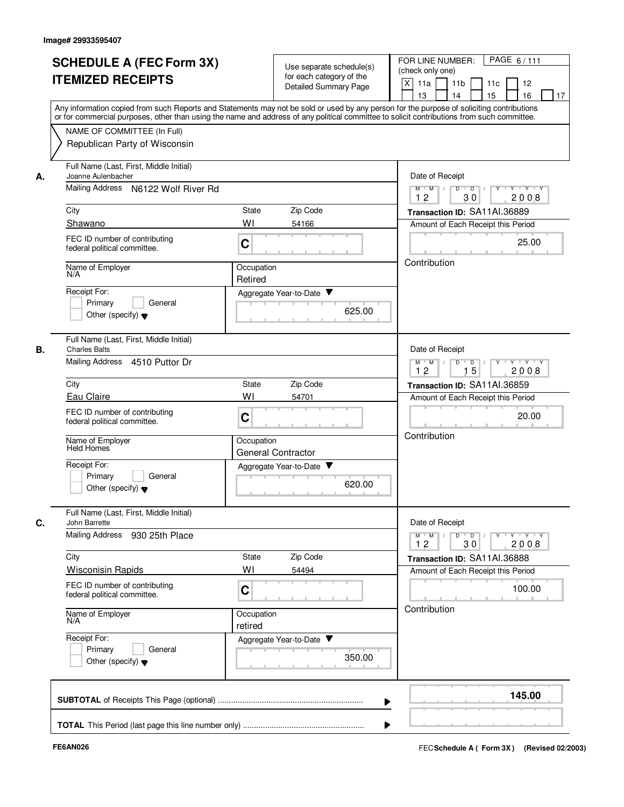|    | <b>SCHEDULE A (FEC Form 3X)</b><br><b>ITEMIZED RECEIPTS</b>                                                                                                                                                                                                                                                            | Use separate schedule(s)<br>for each category of the<br>Detailed Summary Page | PAGE 6/111<br>FOR LINE NUMBER:<br>(check only one)<br>X<br>11a<br>11 <sub>b</sub><br>12<br>11c |
|----|------------------------------------------------------------------------------------------------------------------------------------------------------------------------------------------------------------------------------------------------------------------------------------------------------------------------|-------------------------------------------------------------------------------|------------------------------------------------------------------------------------------------|
|    | Any information copied from such Reports and Statements may not be sold or used by any person for the purpose of soliciting contributions<br>or for commercial purposes, other than using the name and address of any political committee to solicit contributions from such committee.<br>NAME OF COMMITTEE (In Full) | 13<br>14<br>15<br>16<br>17                                                    |                                                                                                |
|    | Republican Party of Wisconsin                                                                                                                                                                                                                                                                                          |                                                                               |                                                                                                |
| А. | Full Name (Last, First, Middle Initial)<br>Joanne Aulenbacher                                                                                                                                                                                                                                                          |                                                                               | Date of Receipt                                                                                |
|    | Mailing Address<br>N6122 Wolf River Rd                                                                                                                                                                                                                                                                                 |                                                                               | $Y - Y - Y$<br>$M$ $M$ /<br>D<br>$\overline{D}$<br>Y<br>12<br>30<br>2008                       |
|    | City                                                                                                                                                                                                                                                                                                                   | State<br>Zip Code                                                             | Transaction ID: SA11AI.36889                                                                   |
|    | Shawano                                                                                                                                                                                                                                                                                                                | WI<br>54166                                                                   | Amount of Each Receipt this Period                                                             |
|    | FEC ID number of contributing<br>federal political committee.                                                                                                                                                                                                                                                          | C                                                                             | 25.00                                                                                          |
|    | Name of Employer<br>N/A                                                                                                                                                                                                                                                                                                | Occupation<br>Retired                                                         | Contribution                                                                                   |
|    | Receipt For:                                                                                                                                                                                                                                                                                                           | Aggregate Year-to-Date                                                        |                                                                                                |
|    | Primary<br>General<br>Other (specify) $\blacktriangledown$                                                                                                                                                                                                                                                             | 625.00                                                                        |                                                                                                |
| В. | Full Name (Last, First, Middle Initial)<br><b>Charles Balts</b>                                                                                                                                                                                                                                                        |                                                                               | Date of Receipt                                                                                |
|    | Mailing Address 4510 Puttor Dr                                                                                                                                                                                                                                                                                         |                                                                               | D<br>$Y - Y - Y$<br>$M$ $M$ /<br>$D$ /<br>15<br>2008<br>12                                     |
|    | City                                                                                                                                                                                                                                                                                                                   | Zip Code<br>State                                                             | Transaction ID: SA11AI.36859                                                                   |
|    | Eau Claire                                                                                                                                                                                                                                                                                                             | WI<br>54701                                                                   | Amount of Each Receipt this Period                                                             |
|    | FEC ID number of contributing<br>federal political committee.                                                                                                                                                                                                                                                          | C                                                                             | 20.00<br>Contribution                                                                          |
|    | Name of Employer<br>Held Homes                                                                                                                                                                                                                                                                                         | Occupation<br>General Contractor                                              |                                                                                                |
|    | Receipt For:<br>Primary                                                                                                                                                                                                                                                                                                | Aggregate Year-to-Date                                                        |                                                                                                |
|    | General<br>Other (specify) $\blacktriangledown$                                                                                                                                                                                                                                                                        | 620.00                                                                        |                                                                                                |
| C. | Full Name (Last, First, Middle Initial)<br>John Barrette                                                                                                                                                                                                                                                               |                                                                               | Date of Receipt                                                                                |
|    | Mailing Address<br>930 25th Place                                                                                                                                                                                                                                                                                      |                                                                               | $M^+$ M<br>$D$ $D$<br>γ≕ γ ⊤γ<br>30<br>2008<br>12                                              |
|    | City                                                                                                                                                                                                                                                                                                                   | Zip Code<br>State                                                             | Transaction ID: SA11AI.36888                                                                   |
|    | <b>Wisconisin Rapids</b>                                                                                                                                                                                                                                                                                               | WI<br>54494                                                                   | Amount of Each Receipt this Period                                                             |
|    | FEC ID number of contributing<br>federal political committee.                                                                                                                                                                                                                                                          | C                                                                             | 100.00                                                                                         |
|    | Name of Employer<br>N/A                                                                                                                                                                                                                                                                                                | Occupation<br>retired                                                         | Contribution                                                                                   |
|    | Receipt For:                                                                                                                                                                                                                                                                                                           | Aggregate Year-to-Date                                                        |                                                                                                |
|    | Primary<br>General<br>Other (specify) $\blacktriangledown$                                                                                                                                                                                                                                                             | 350.00                                                                        |                                                                                                |
|    |                                                                                                                                                                                                                                                                                                                        |                                                                               | 145.00                                                                                         |
|    |                                                                                                                                                                                                                                                                                                                        |                                                                               |                                                                                                |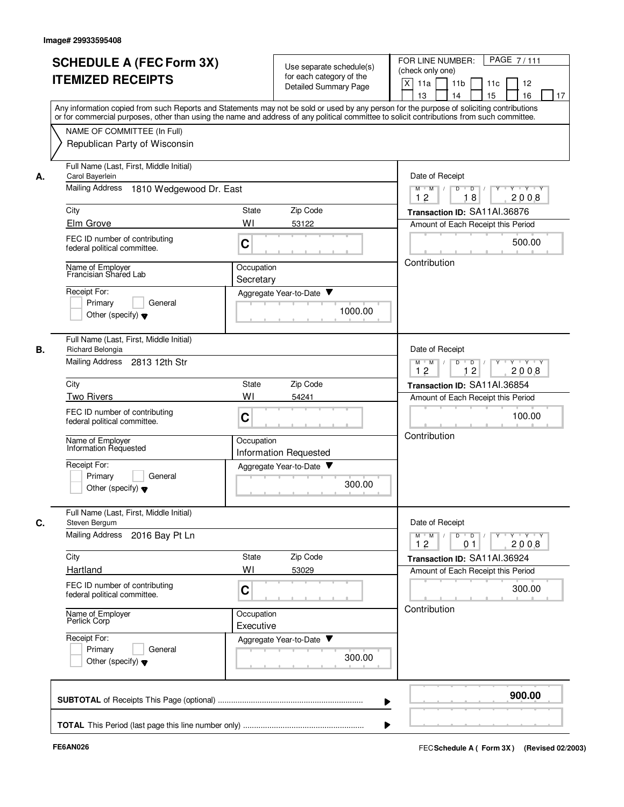|    | <b>SCHEDULE A (FEC Form 3X)</b><br><b>ITEMIZED RECEIPTS</b>                                                                                                                                                | Use separate schedule(s)<br>for each category of the<br>Detailed Summary Page<br>Any information copied from such Reports and Statements may not be sold or used by any person for the purpose of soliciting contributions | PAGE 7/111<br>FOR LINE NUMBER:<br>(check only one)<br>X<br>11a<br>11 <sub>b</sub><br>11c<br>12<br>13<br>14<br>15<br>16<br>17 |
|----|------------------------------------------------------------------------------------------------------------------------------------------------------------------------------------------------------------|----------------------------------------------------------------------------------------------------------------------------------------------------------------------------------------------------------------------------|------------------------------------------------------------------------------------------------------------------------------|
|    | or for commercial purposes, other than using the name and address of any political committee to solicit contributions from such committee.<br>NAME OF COMMITTEE (In Full)<br>Republican Party of Wisconsin |                                                                                                                                                                                                                            |                                                                                                                              |
| А. | Full Name (Last, First, Middle Initial)<br>Carol Bayerlein<br><b>Mailing Address</b><br>1810 Wedgewood Dr. East                                                                                            |                                                                                                                                                                                                                            | Date of Receipt<br>$M$ $M$ /<br>Y 'Y 'Y<br>D<br>D                                                                            |
|    |                                                                                                                                                                                                            |                                                                                                                                                                                                                            | 12<br>18<br>2008                                                                                                             |
|    | City<br>Elm Grove                                                                                                                                                                                          | Zip Code<br><b>State</b><br>WI<br>53122                                                                                                                                                                                    | Transaction ID: SA11AI.36876<br>Amount of Each Receipt this Period                                                           |
|    | FEC ID number of contributing<br>federal political committee.                                                                                                                                              | C                                                                                                                                                                                                                          | 500.00                                                                                                                       |
|    | Name of Employer<br>Francisian Shared Lab                                                                                                                                                                  | Occupation<br>Secretary                                                                                                                                                                                                    | Contribution                                                                                                                 |
|    | Receipt For:<br>Primary<br>General<br>Other (specify) $\blacktriangledown$                                                                                                                                 | Aggregate Year-to-Date ▼<br>1000.00                                                                                                                                                                                        |                                                                                                                              |
| В. | Full Name (Last, First, Middle Initial)<br>Richard Belongia<br><b>Mailing Address</b><br>2813 12th Str                                                                                                     |                                                                                                                                                                                                                            | Date of Receipt<br>D<br>$Y - Y - Y$<br>$M$ M<br>$\sqrt{ }$                                                                   |
|    |                                                                                                                                                                                                            |                                                                                                                                                                                                                            | $\blacksquare$ D $\blacksquare$ /<br>12<br>12<br>2008                                                                        |
|    | City                                                                                                                                                                                                       | Zip Code<br>State                                                                                                                                                                                                          | Transaction ID: SA11AI.36854                                                                                                 |
|    | <b>Two Rivers</b><br>FEC ID number of contributing<br>federal political committee.                                                                                                                         | WI<br>54241<br>C                                                                                                                                                                                                           | Amount of Each Receipt this Period<br>100.00                                                                                 |
|    | Name of Employer<br>Information Requested                                                                                                                                                                  | Occupation<br><b>Information Requested</b>                                                                                                                                                                                 | Contribution                                                                                                                 |
|    | Receipt For:<br>Primary<br>General<br>Other (specify) $\blacktriangledown$                                                                                                                                 | Aggregate Year-to-Date<br>300.00                                                                                                                                                                                           |                                                                                                                              |
| C. | Full Name (Last, First, Middle Initial)<br>Steven Bergum<br>Mailing Address 2016 Bay Pt Ln                                                                                                                 |                                                                                                                                                                                                                            | Date of Receipt<br>$Y - Y - Y$<br>$M$ $M$ /<br>$D$ $D$ $I$<br>$Y$ <sup>-1</sup>                                              |
|    |                                                                                                                                                                                                            |                                                                                                                                                                                                                            | 2008<br>12<br>0 <sub>1</sub>                                                                                                 |
|    | City<br>Hartland                                                                                                                                                                                           | State<br>Zip Code<br>WI<br>53029                                                                                                                                                                                           | Transaction ID: SA11AI.36924<br>Amount of Each Receipt this Period                                                           |
|    | FEC ID number of contributing<br>federal political committee.                                                                                                                                              | C                                                                                                                                                                                                                          | 300.00                                                                                                                       |
|    | Name of Employer<br>Perlick Corp                                                                                                                                                                           | Occupation<br>Executive                                                                                                                                                                                                    | Contribution                                                                                                                 |
|    | Receipt For:<br>Primary<br>General<br>Other (specify) $\blacktriangledown$                                                                                                                                 | Aggregate Year-to-Date<br>300.00                                                                                                                                                                                           |                                                                                                                              |
|    |                                                                                                                                                                                                            |                                                                                                                                                                                                                            | 900.00                                                                                                                       |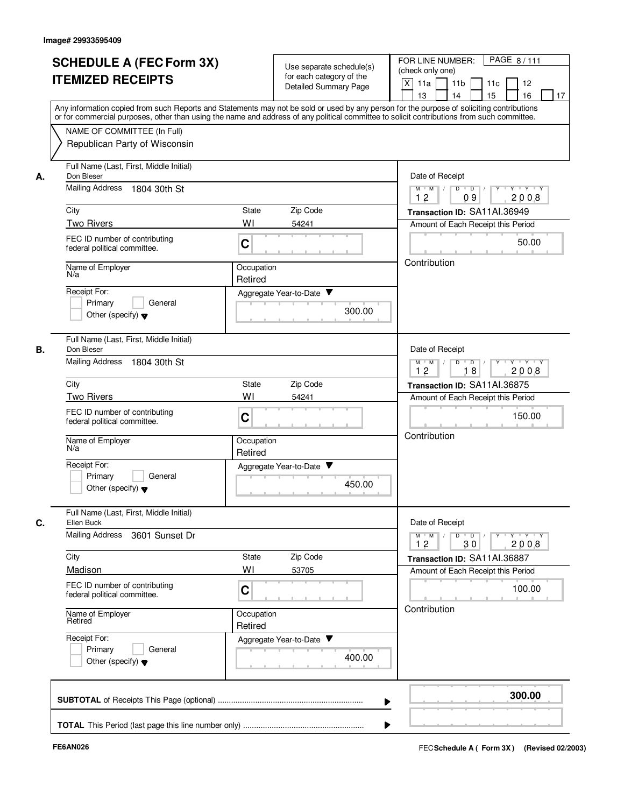|    | <b>SCHEDULE A (FEC Form 3X)</b><br><b>ITEMIZED RECEIPTS</b><br>Any information copied from such Reports and Statements may not be sold or used by any person for the purpose of soliciting contributions   |                       | Use separate schedule(s)<br>for each category of the<br>Detailed Summary Page | PAGE 8/111<br>FOR LINE NUMBER:<br>(check only one)<br>$\boldsymbol{\mathsf{X}}$<br>11a<br>11 <sub>b</sub><br>12<br>11c<br>13<br>14<br>15<br>16<br>17 |
|----|------------------------------------------------------------------------------------------------------------------------------------------------------------------------------------------------------------|-----------------------|-------------------------------------------------------------------------------|------------------------------------------------------------------------------------------------------------------------------------------------------|
|    | or for commercial purposes, other than using the name and address of any political committee to solicit contributions from such committee.<br>NAME OF COMMITTEE (In Full)<br>Republican Party of Wisconsin |                       |                                                                               |                                                                                                                                                      |
| А. | Full Name (Last, First, Middle Initial)<br>Don Bleser<br><b>Mailing Address</b><br>1804 30th St                                                                                                            |                       |                                                                               | Date of Receipt<br>$Y + Y + Y$<br>$\overline{D}$<br>$M$ $M$<br>D<br>Y<br>12<br>09<br>2008                                                            |
|    | City                                                                                                                                                                                                       | State                 | Zip Code                                                                      | Transaction ID: SA11AI.36949                                                                                                                         |
|    | <b>Two Rivers</b><br>FEC ID number of contributing<br>federal political committee.                                                                                                                         | WI<br>C               | 54241                                                                         | Amount of Each Receipt this Period<br>50.00                                                                                                          |
|    | Name of Employer<br>N/a                                                                                                                                                                                    | Occupation<br>Retired |                                                                               | Contribution                                                                                                                                         |
|    | Receipt For:<br>Primary<br>General<br>Other (specify) $\blacktriangledown$                                                                                                                                 |                       | Aggregate Year-to-Date<br>300.00                                              |                                                                                                                                                      |
| В. | Full Name (Last, First, Middle Initial)<br>Don Bleser<br><b>Mailing Address</b><br>1804 30th St                                                                                                            |                       |                                                                               | Date of Receipt<br>$D$ $D$ $/$<br>y y y y y y<br>$M$ $M$ /                                                                                           |
|    | City                                                                                                                                                                                                       | <b>State</b>          | Zip Code                                                                      | 12<br>18<br>2008<br>Transaction ID: SA11AI.36875                                                                                                     |
|    | <b>Two Rivers</b>                                                                                                                                                                                          | WI                    | 54241                                                                         | Amount of Each Receipt this Period                                                                                                                   |
|    | FEC ID number of contributing<br>federal political committee.                                                                                                                                              | C                     |                                                                               | 150.00                                                                                                                                               |
|    | Name of Employer<br>N/a                                                                                                                                                                                    | Occupation<br>Retired |                                                                               | Contribution                                                                                                                                         |
|    | Receipt For:<br>Primary<br>General<br>Other (specify) $\blacktriangledown$                                                                                                                                 |                       | Aggregate Year-to-Date<br>450.00                                              |                                                                                                                                                      |
| C. | Full Name (Last, First, Middle Initial)<br>Ellen Buck                                                                                                                                                      |                       |                                                                               | Date of Receipt                                                                                                                                      |
|    | <b>Mailing Address</b><br>3601 Sunset Dr                                                                                                                                                                   |                       |                                                                               | $M^+$ M<br>$D$ $D$ $/$<br>$Y + Y + Y$<br>$\mathbb{L}$<br>$Y$ <sup><math>\top</math></sup><br>12<br>2008<br>30                                        |
|    | City                                                                                                                                                                                                       | State                 | Zip Code                                                                      | Transaction ID: SA11AI.36887                                                                                                                         |
|    | Madison<br>FEC ID number of contributing<br>federal political committee.                                                                                                                                   | WI<br>C               | 53705                                                                         | Amount of Each Receipt this Period<br>100.00                                                                                                         |
|    | Name of Employer<br>Retired                                                                                                                                                                                | Occupation<br>Retired |                                                                               | Contribution                                                                                                                                         |
|    | Receipt For:<br>Primary<br>General<br>Other (specify) $\blacktriangledown$                                                                                                                                 |                       | Aggregate Year-to-Date<br>400.00                                              |                                                                                                                                                      |
|    |                                                                                                                                                                                                            |                       |                                                                               | 300.00                                                                                                                                               |
|    |                                                                                                                                                                                                            |                       |                                                                               |                                                                                                                                                      |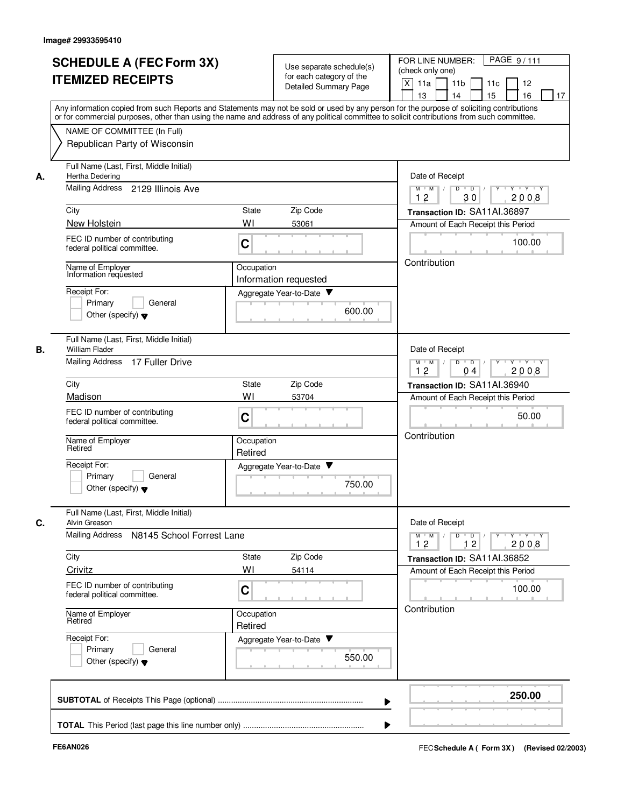|    | <b>SCHEDULE A (FEC Form 3X)</b><br><b>ITEMIZED RECEIPTS</b>                                                                                                                                                                                                                                                                                             |                                                               | Use separate schedule(s)<br>for each category of the<br>Detailed Summary Page | PAGE 9/111<br>FOR LINE NUMBER:<br>(check only one)<br>X<br>11a<br>11 <sub>b</sub><br>12<br>11c<br>16<br>13<br>14<br>15<br>17 |
|----|---------------------------------------------------------------------------------------------------------------------------------------------------------------------------------------------------------------------------------------------------------------------------------------------------------------------------------------------------------|---------------------------------------------------------------|-------------------------------------------------------------------------------|------------------------------------------------------------------------------------------------------------------------------|
|    | Any information copied from such Reports and Statements may not be sold or used by any person for the purpose of soliciting contributions<br>or for commercial purposes, other than using the name and address of any political committee to solicit contributions from such committee.<br>NAME OF COMMITTEE (In Full)<br>Republican Party of Wisconsin |                                                               |                                                                               |                                                                                                                              |
| А. | Full Name (Last, First, Middle Initial)<br>Hertha Dedering<br>Mailing Address 2129 Illinois Ave                                                                                                                                                                                                                                                         |                                                               |                                                                               | Date of Receipt<br>$Y - Y - Y$<br>$M$ $M$ /<br>D<br>$\overline{D}$<br>Y<br>30<br>2008<br>12                                  |
|    | City                                                                                                                                                                                                                                                                                                                                                    | State                                                         | Zip Code                                                                      | Transaction ID: SA11AI.36897                                                                                                 |
|    | New Holstein<br>FEC ID number of contributing<br>federal political committee.                                                                                                                                                                                                                                                                           | WI<br>C                                                       | 53061                                                                         | Amount of Each Receipt this Period<br>100.00                                                                                 |
|    | Name of Employer<br>Information requested<br>Receipt For:<br>Primary<br>General<br>Other (specify) $\blacktriangledown$                                                                                                                                                                                                                                 | Occupation<br>Information requested<br>Aggregate Year-to-Date | 600.00                                                                        | Contribution                                                                                                                 |
| В. | Full Name (Last, First, Middle Initial)<br><b>William Flader</b><br>Mailing Address 17 Fuller Drive                                                                                                                                                                                                                                                     |                                                               |                                                                               | Date of Receipt<br>Y Y Y Y<br>$M$ $M$ /<br>D<br>$\overline{\phantom{0}}$ D<br>12<br>2008<br>04                               |
|    | City                                                                                                                                                                                                                                                                                                                                                    | State                                                         | Zip Code                                                                      | Transaction ID: SA11AI.36940                                                                                                 |
|    | Madison                                                                                                                                                                                                                                                                                                                                                 | WI                                                            | 53704                                                                         | Amount of Each Receipt this Period                                                                                           |
|    | FEC ID number of contributing<br>federal political committee.                                                                                                                                                                                                                                                                                           | C                                                             |                                                                               | 50.00<br>Contribution                                                                                                        |
|    | Name of Employer<br>Retired                                                                                                                                                                                                                                                                                                                             | Occupation<br>Retired                                         |                                                                               |                                                                                                                              |
|    | Receipt For:<br>Primary<br>General<br>Other (specify) $\blacktriangledown$                                                                                                                                                                                                                                                                              | Aggregate Year-to-Date ▼                                      | 750.00                                                                        |                                                                                                                              |
| C. | Full Name (Last, First, Middle Initial)<br>Alvin Greason                                                                                                                                                                                                                                                                                                |                                                               |                                                                               | Date of Receipt                                                                                                              |
|    | <b>Mailing Address</b><br>N8145 School Forrest Lane                                                                                                                                                                                                                                                                                                     |                                                               |                                                                               | $Y - Y - Y$<br>$M$ $M$<br>$D$ $D$ $I$<br>$Y$ <sup>-1</sup><br>12<br>2008<br>12                                               |
|    | City<br>Crivitz                                                                                                                                                                                                                                                                                                                                         | State<br>WI                                                   | Zip Code<br>54114                                                             | Transaction ID: SA11AI.36852<br>Amount of Each Receipt this Period                                                           |
|    | FEC ID number of contributing<br>federal political committee.                                                                                                                                                                                                                                                                                           | C                                                             |                                                                               | 100.00                                                                                                                       |
|    | Name of Employer<br>Retired                                                                                                                                                                                                                                                                                                                             | Occupation<br>Retired                                         |                                                                               | Contribution                                                                                                                 |
|    | Receipt For:<br>Primary<br>General<br>Other (specify) $\blacktriangledown$                                                                                                                                                                                                                                                                              | Aggregate Year-to-Date                                        | 550.00                                                                        |                                                                                                                              |
|    |                                                                                                                                                                                                                                                                                                                                                         |                                                               |                                                                               | 250.00                                                                                                                       |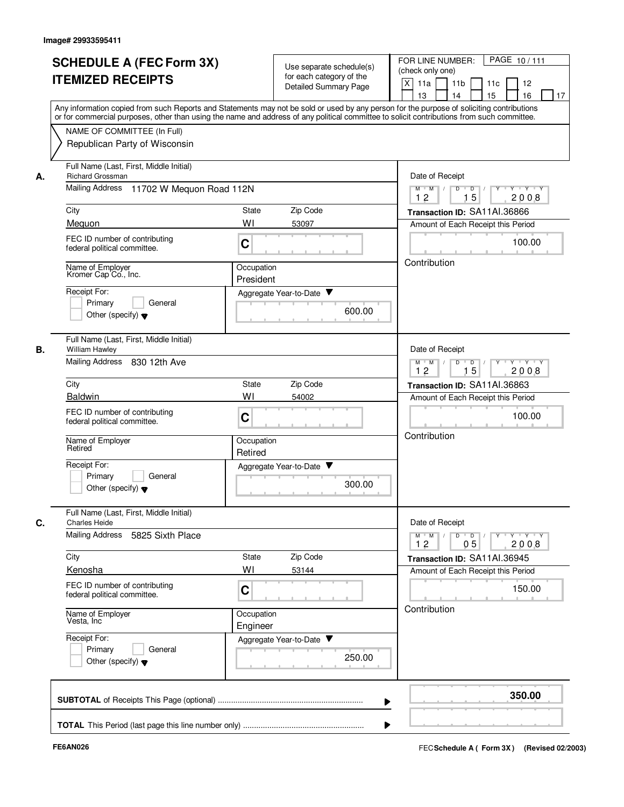|    | <b>SCHEDULE A (FEC Form 3X)</b><br><b>ITEMIZED RECEIPTS</b>                                                              | Use separate schedule(s)<br>for each category of the<br>Detailed Summary Page                                                                                                                                                                                                           | PAGE 10/111<br>FOR LINE NUMBER:<br>(check only one)<br>X<br>11a<br>11 <sub>b</sub><br>12<br>11c<br>15<br>16<br>13<br>14<br>17 |
|----|--------------------------------------------------------------------------------------------------------------------------|-----------------------------------------------------------------------------------------------------------------------------------------------------------------------------------------------------------------------------------------------------------------------------------------|-------------------------------------------------------------------------------------------------------------------------------|
|    | NAME OF COMMITTEE (In Full)<br>Republican Party of Wisconsin                                                             | Any information copied from such Reports and Statements may not be sold or used by any person for the purpose of soliciting contributions<br>or for commercial purposes, other than using the name and address of any political committee to solicit contributions from such committee. |                                                                                                                               |
| А. | Full Name (Last, First, Middle Initial)<br><b>Richard Grossman</b><br><b>Mailing Address</b><br>11702 W Mequon Road 112N |                                                                                                                                                                                                                                                                                         | Date of Receipt<br>$M$ $M$ /<br>D<br>$\overline{D}$ /<br>$Y + Y + Y$                                                          |
|    |                                                                                                                          |                                                                                                                                                                                                                                                                                         | 12<br>15<br>2008                                                                                                              |
|    | City<br>Meguon                                                                                                           | Zip Code<br>State<br>WI<br>53097                                                                                                                                                                                                                                                        | Transaction ID: SA11Al.36866<br>Amount of Each Receipt this Period                                                            |
|    | FEC ID number of contributing<br>federal political committee.                                                            | C                                                                                                                                                                                                                                                                                       | 100.00                                                                                                                        |
|    | Name of Employer<br>Kromer Cap Co., Inc.<br>Receipt For:                                                                 | Occupation<br>President<br>Aggregate Year-to-Date                                                                                                                                                                                                                                       | Contribution                                                                                                                  |
|    | Primary<br>General<br>Other (specify) $\blacktriangledown$                                                               | 600.00                                                                                                                                                                                                                                                                                  |                                                                                                                               |
| В. | Full Name (Last, First, Middle Initial)<br>William Hawley                                                                |                                                                                                                                                                                                                                                                                         | Date of Receipt                                                                                                               |
|    | Mailing Address<br>830 12th Ave                                                                                          |                                                                                                                                                                                                                                                                                         | D<br>$\overline{D}$<br>$Y - Y - Y$<br>$M$ $M$<br>12<br>15<br>2008                                                             |
|    | City                                                                                                                     | Zip Code<br>State                                                                                                                                                                                                                                                                       | Transaction ID: SA11AI.36863                                                                                                  |
|    | <b>Baldwin</b>                                                                                                           | WI<br>54002                                                                                                                                                                                                                                                                             | Amount of Each Receipt this Period                                                                                            |
|    | FEC ID number of contributing<br>federal political committee.                                                            | C                                                                                                                                                                                                                                                                                       | 100.00<br>Contribution                                                                                                        |
|    | Name of Employer<br>Retired                                                                                              | Occupation<br>Retired                                                                                                                                                                                                                                                                   |                                                                                                                               |
|    | Receipt For:<br>Primary<br>General<br>Other (specify) $\blacktriangledown$                                               | Aggregate Year-to-Date<br>300.00                                                                                                                                                                                                                                                        |                                                                                                                               |
| C. | Full Name (Last, First, Middle Initial)<br><b>Charles Heide</b><br>Mailing Address 5825 Sixth Place                      |                                                                                                                                                                                                                                                                                         | Date of Receipt<br>$Y$ $Y$ $Y$<br>$M^+M^-$<br>D<br>$\overline{D}$<br>Y                                                        |
|    |                                                                                                                          |                                                                                                                                                                                                                                                                                         | 12<br>05<br>2008                                                                                                              |
|    | City<br>Kenosha                                                                                                          | Zip Code<br>State<br>WI<br>53144                                                                                                                                                                                                                                                        | Transaction ID: SA11AI.36945<br>Amount of Each Receipt this Period                                                            |
|    | FEC ID number of contributing<br>federal political committee.                                                            | C                                                                                                                                                                                                                                                                                       | 150.00                                                                                                                        |
|    | Name of Employer<br>Vesta, Inc.                                                                                          | Occupation<br>Engineer                                                                                                                                                                                                                                                                  | Contribution                                                                                                                  |
|    | Receipt For:<br>Primary<br>General<br>Other (specify) $\blacktriangledown$                                               | Aggregate Year-to-Date<br>250.00                                                                                                                                                                                                                                                        |                                                                                                                               |
|    |                                                                                                                          |                                                                                                                                                                                                                                                                                         | 350.00                                                                                                                        |
|    |                                                                                                                          |                                                                                                                                                                                                                                                                                         |                                                                                                                               |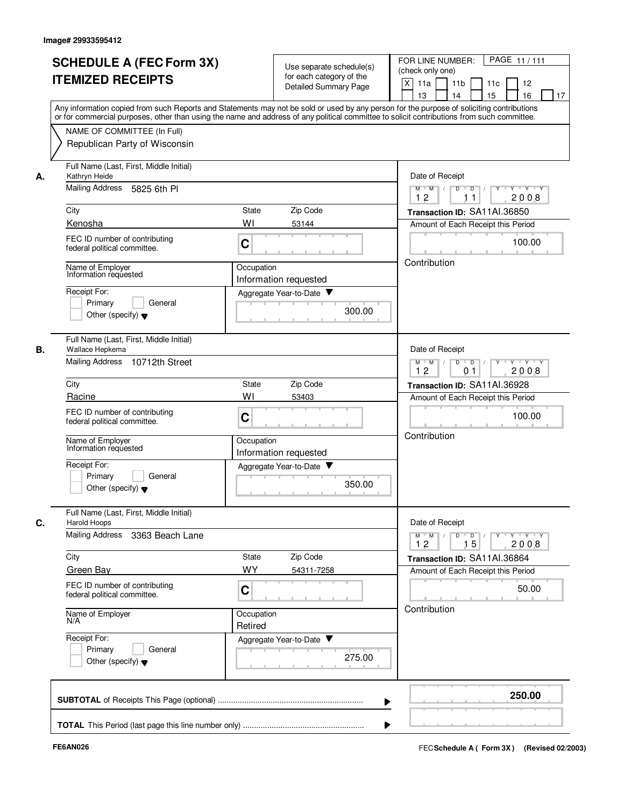|    | <b>SCHEDULE A (FEC Form 3X)</b>                                                                                                                                                                                                                                                         |                          |                                                      | PAGE 11/111<br>FOR LINE NUMBER:                                                                                |
|----|-----------------------------------------------------------------------------------------------------------------------------------------------------------------------------------------------------------------------------------------------------------------------------------------|--------------------------|------------------------------------------------------|----------------------------------------------------------------------------------------------------------------|
|    |                                                                                                                                                                                                                                                                                         |                          | Use separate schedule(s)<br>for each category of the | (check only one)                                                                                               |
|    | <b>ITEMIZED RECEIPTS</b>                                                                                                                                                                                                                                                                |                          | Detailed Summary Page                                | $\mathsf{X}$<br>11a<br>11 <sub>b</sub><br>12<br>11c                                                            |
|    |                                                                                                                                                                                                                                                                                         |                          |                                                      | 13<br>14<br>15<br>16<br>17                                                                                     |
|    | Any information copied from such Reports and Statements may not be sold or used by any person for the purpose of soliciting contributions<br>or for commercial purposes, other than using the name and address of any political committee to solicit contributions from such committee. |                          |                                                      |                                                                                                                |
|    | NAME OF COMMITTEE (In Full)                                                                                                                                                                                                                                                             |                          |                                                      |                                                                                                                |
|    | Republican Party of Wisconsin                                                                                                                                                                                                                                                           |                          |                                                      |                                                                                                                |
| А. | Full Name (Last, First, Middle Initial)<br>Kathryn Heide                                                                                                                                                                                                                                |                          |                                                      | Date of Receipt                                                                                                |
|    | Mailing Address<br>5825 6th PI                                                                                                                                                                                                                                                          |                          |                                                      | $\overline{D}$<br>$Y + Y + Y$<br>$M$ $M$ /<br>D<br>12<br>2008<br>11                                            |
|    | City                                                                                                                                                                                                                                                                                    | <b>State</b><br>Zip Code |                                                      | Transaction ID: SA11AI.36850                                                                                   |
|    | Kenosha                                                                                                                                                                                                                                                                                 | WI<br>53144              |                                                      | Amount of Each Receipt this Period                                                                             |
|    | FEC ID number of contributing                                                                                                                                                                                                                                                           | C                        |                                                      | 100.00                                                                                                         |
|    | federal political committee.                                                                                                                                                                                                                                                            |                          |                                                      |                                                                                                                |
|    | Name of Employer<br>Information requested                                                                                                                                                                                                                                               | Occupation               |                                                      | Contribution                                                                                                   |
|    |                                                                                                                                                                                                                                                                                         | Information requested    |                                                      |                                                                                                                |
|    | Receipt For:<br>Primary<br>General                                                                                                                                                                                                                                                      | Aggregate Year-to-Date   |                                                      |                                                                                                                |
|    | Other (specify) $\blacktriangledown$                                                                                                                                                                                                                                                    |                          | 300.00                                               |                                                                                                                |
|    |                                                                                                                                                                                                                                                                                         |                          |                                                      |                                                                                                                |
| В. | Full Name (Last, First, Middle Initial)<br>Wallace Hepkema                                                                                                                                                                                                                              |                          |                                                      | Date of Receipt                                                                                                |
|    | Mailing Address 10712th Street                                                                                                                                                                                                                                                          |                          |                                                      | $D$ $D$ $/$<br>Y * Y * Y * Y<br>$M$ $M$ /                                                                      |
|    |                                                                                                                                                                                                                                                                                         |                          |                                                      | 12<br>2008<br>0 <sub>1</sub>                                                                                   |
|    | City                                                                                                                                                                                                                                                                                    | Zip Code<br><b>State</b> |                                                      | Transaction ID: SA11AI.36928                                                                                   |
|    | Racine                                                                                                                                                                                                                                                                                  | WI<br>53403              |                                                      | Amount of Each Receipt this Period                                                                             |
|    | FEC ID number of contributing<br>federal political committee.                                                                                                                                                                                                                           | C                        |                                                      | 100.00                                                                                                         |
|    | Name of Employer                                                                                                                                                                                                                                                                        | Occupation               |                                                      | Contribution                                                                                                   |
|    | Information requested                                                                                                                                                                                                                                                                   | Information requested    |                                                      |                                                                                                                |
|    | Receipt For:                                                                                                                                                                                                                                                                            | Aggregate Year-to-Date   |                                                      |                                                                                                                |
|    | Primary<br>General<br>Other (specify) $\blacktriangledown$                                                                                                                                                                                                                              |                          | 350.00                                               |                                                                                                                |
|    |                                                                                                                                                                                                                                                                                         |                          |                                                      |                                                                                                                |
| C. | Full Name (Last, First, Middle Initial)<br>Harold Hoops                                                                                                                                                                                                                                 |                          |                                                      | Date of Receipt                                                                                                |
|    | <b>Mailing Address</b><br>3363 Beach Lane                                                                                                                                                                                                                                               |                          |                                                      | $D$ $D$ $/$<br>$M = M$<br>$\mathsf{Y} \dashv \mathsf{Y} \dashv \mathsf{Y}$<br>$\mathbf{Y}$<br>2008<br>12<br>15 |
|    | City                                                                                                                                                                                                                                                                                    | Zip Code<br>State        |                                                      | Transaction ID: SA11AI.36864                                                                                   |
|    | <b>Green Bay</b>                                                                                                                                                                                                                                                                        | WY                       | 54311-7258                                           | Amount of Each Receipt this Period                                                                             |
|    | FEC ID number of contributing                                                                                                                                                                                                                                                           | C                        |                                                      | 50.00                                                                                                          |
|    | federal political committee.                                                                                                                                                                                                                                                            |                          |                                                      |                                                                                                                |
|    | Name of Employer<br>N/A                                                                                                                                                                                                                                                                 | Occupation<br>Retired    |                                                      | Contribution                                                                                                   |
|    | Receipt For:                                                                                                                                                                                                                                                                            | Aggregate Year-to-Date   |                                                      |                                                                                                                |
|    | Primary<br>General                                                                                                                                                                                                                                                                      |                          |                                                      |                                                                                                                |
|    | Other (specify) $\blacktriangledown$                                                                                                                                                                                                                                                    |                          | 275.00                                               |                                                                                                                |
|    |                                                                                                                                                                                                                                                                                         |                          |                                                      |                                                                                                                |
|    |                                                                                                                                                                                                                                                                                         |                          | ▶                                                    | 250.00                                                                                                         |
|    |                                                                                                                                                                                                                                                                                         |                          |                                                      |                                                                                                                |
|    |                                                                                                                                                                                                                                                                                         |                          |                                                      |                                                                                                                |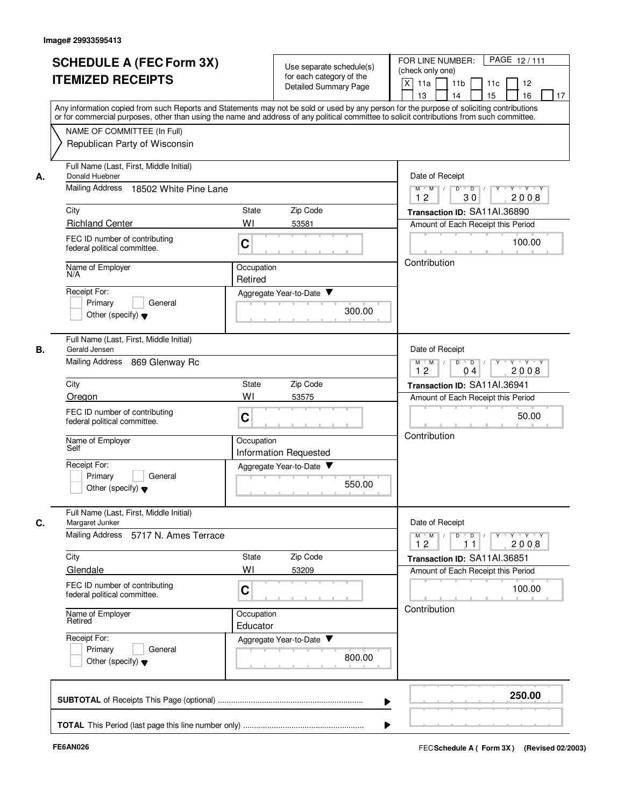| <b>SCHEDULE A (FEC Form 3X)</b><br><b>ITEMIZED RECEIPTS</b>                                                                                                                                                                                                                                                | Use separate schedule(s)<br>for each category of the<br>Detailed Summary Page                                                                                                                                                                                                           | PAGE 12/111<br>FOR LINE NUMBER:<br>(check only one)<br>X<br>11a<br>11 <sub>b</sub><br>11c<br>12<br>15<br>16<br>13<br>14<br>17                                                                                                                                                                                                                                                                                                                                                                                                                                             |  |  |
|------------------------------------------------------------------------------------------------------------------------------------------------------------------------------------------------------------------------------------------------------------------------------------------------------------|-----------------------------------------------------------------------------------------------------------------------------------------------------------------------------------------------------------------------------------------------------------------------------------------|---------------------------------------------------------------------------------------------------------------------------------------------------------------------------------------------------------------------------------------------------------------------------------------------------------------------------------------------------------------------------------------------------------------------------------------------------------------------------------------------------------------------------------------------------------------------------|--|--|
| NAME OF COMMITTEE (In Full)<br>Republican Party of Wisconsin                                                                                                                                                                                                                                               | Any information copied from such Reports and Statements may not be sold or used by any person for the purpose of soliciting contributions<br>or for commercial purposes, other than using the name and address of any political committee to solicit contributions from such committee. |                                                                                                                                                                                                                                                                                                                                                                                                                                                                                                                                                                           |  |  |
| Full Name (Last, First, Middle Initial)<br>Donald Huebner<br>А.<br>Mailing Address<br>18502 White Pine Lane<br>City<br><b>Richland Center</b><br>FEC ID number of contributing<br>federal political committee.<br>Name of Employer<br>N/A                                                                  | State<br>Zip Code<br>WI<br>53581<br>C<br>Occupation<br>Retired                                                                                                                                                                                                                          | Date of Receipt<br>$\overline{Y}$ $\overline{Y}$<br>$M$ $M$ /<br>D<br>$\overline{D}$<br>12<br>30<br>2008<br>Transaction ID: SA11AI.36890<br>Amount of Each Receipt this Period<br>100.00<br>Contribution                                                                                                                                                                                                                                                                                                                                                                  |  |  |
| Receipt For:<br>Primary<br>General<br>Other (specify) $\blacktriangledown$                                                                                                                                                                                                                                 | Aggregate Year-to-Date<br>300.00                                                                                                                                                                                                                                                        |                                                                                                                                                                                                                                                                                                                                                                                                                                                                                                                                                                           |  |  |
| Full Name (Last, First, Middle Initial)<br>В.<br>Gerald Jensen<br><b>Mailing Address</b><br>869 Glenway Rc<br>City<br>Oregon<br>FEC ID number of contributing<br>federal political committee.<br>Name of Employer<br>Self<br>Receipt For:<br>Primary<br>General<br>Other (specify) $\blacktriangledown$    | Zip Code<br>State<br>WI<br>53575<br>C<br>Occupation<br><b>Information Requested</b><br>Aggregate Year-to-Date<br>550.00                                                                                                                                                                 | Date of Receipt<br>D<br>$\overline{D}$<br>Y 'Y 'Y<br>$M$ $M$<br>12<br>2008<br>04<br>Transaction ID: SA11Al.36941<br>Amount of Each Receipt this Period<br>50.00<br>Contribution                                                                                                                                                                                                                                                                                                                                                                                           |  |  |
| Full Name (Last, First, Middle Initial)<br>C.<br>Margaret Junker<br>Mailing Address 5717 N. Ames Terrace<br>City<br>Glendale<br>FEC ID number of contributing<br>federal political committee.<br>Name of Employer<br>Retired<br>Receipt For:<br>Primary<br>General<br>Other (specify) $\blacktriangledown$ | Zip Code<br>State<br>WI<br>53209<br>С<br>Occupation<br>Educator<br>Aggregate Year-to-Date<br>800.00                                                                                                                                                                                     | Date of Receipt<br>$\begin{array}{c c c c c c c c} \hline \textbf{0} & \textbf{0} & \textbf{0} & \textbf{0} & \textbf{0} & \textbf{0} & \textbf{0} & \textbf{0} & \textbf{0} & \textbf{0} & \textbf{0} & \textbf{0} & \textbf{0} & \textbf{0} & \textbf{0} & \textbf{0} & \textbf{0} & \textbf{0} & \textbf{0} & \textbf{0} & \textbf{0} & \textbf{0} & \textbf{0} & \textbf{0} & \textbf{0} & \textbf{0} & \textbf{0} & \textbf{0} &$<br>$M$ $M$ $/$<br>12<br>2008<br>11<br>Transaction ID: SA11AI.36851<br>Amount of Each Receipt this Period<br>100.00<br>Contribution |  |  |
|                                                                                                                                                                                                                                                                                                            |                                                                                                                                                                                                                                                                                         | 250.00                                                                                                                                                                                                                                                                                                                                                                                                                                                                                                                                                                    |  |  |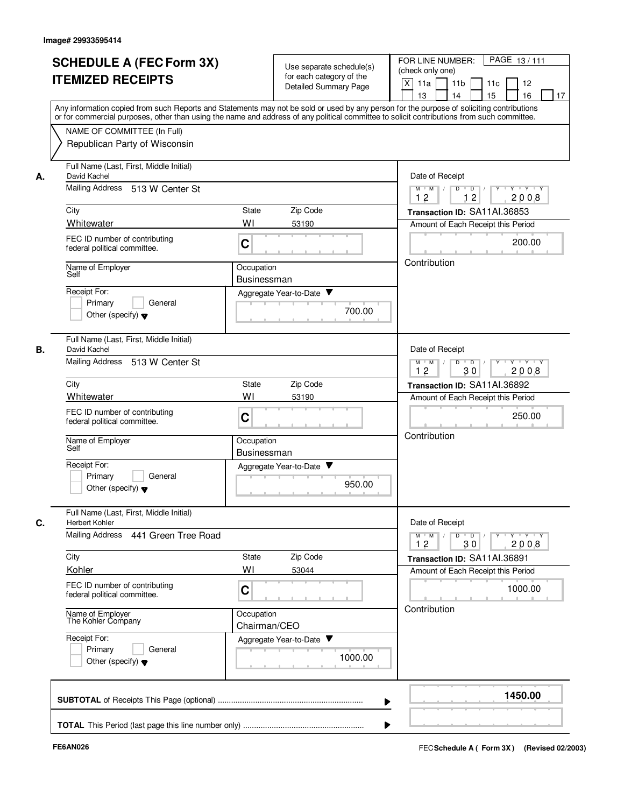|    | <b>SCHEDULE A (FEC Form 3X)</b><br><b>ITEMIZED RECEIPTS</b>                                                                                                                                                                                                                             |                                  | Use separate schedule(s)<br>for each category of the<br>Detailed Summary Page             | PAGE 13/111<br>FOR LINE NUMBER:<br>(check only one)<br>$\mathsf{X}$<br>11a<br>11 <sub>b</sub><br>12<br>11c |  |  |
|----|-----------------------------------------------------------------------------------------------------------------------------------------------------------------------------------------------------------------------------------------------------------------------------------------|----------------------------------|-------------------------------------------------------------------------------------------|------------------------------------------------------------------------------------------------------------|--|--|
|    | Any information copied from such Reports and Statements may not be sold or used by any person for the purpose of soliciting contributions<br>or for commercial purposes, other than using the name and address of any political committee to solicit contributions from such committee. |                                  |                                                                                           | 13<br>14<br>15<br>16<br>17                                                                                 |  |  |
|    | NAME OF COMMITTEE (In Full)<br>Republican Party of Wisconsin                                                                                                                                                                                                                            |                                  |                                                                                           |                                                                                                            |  |  |
| А. | Full Name (Last, First, Middle Initial)<br>David Kachel                                                                                                                                                                                                                                 |                                  |                                                                                           |                                                                                                            |  |  |
|    | Mailing Address 513 W Center St                                                                                                                                                                                                                                                         |                                  | $Y + Y + Y$<br>D<br>$\blacksquare$ D $\blacksquare$ /<br>$M$ $M$<br>Y<br>12<br>12<br>2008 |                                                                                                            |  |  |
|    | City                                                                                                                                                                                                                                                                                    | <b>State</b><br>Zip Code         |                                                                                           | Transaction ID: SA11AI.36853                                                                               |  |  |
|    | Whitewater                                                                                                                                                                                                                                                                              | WI<br>53190                      |                                                                                           | Amount of Each Receipt this Period                                                                         |  |  |
|    | FEC ID number of contributing<br>federal political committee.                                                                                                                                                                                                                           | C                                |                                                                                           | 200.00<br>Contribution                                                                                     |  |  |
|    | Name of Employer<br>Self                                                                                                                                                                                                                                                                | Occupation<br><b>Businessman</b> |                                                                                           |                                                                                                            |  |  |
|    | Receipt For:                                                                                                                                                                                                                                                                            | Aggregate Year-to-Date           |                                                                                           |                                                                                                            |  |  |
|    | Primary<br>General<br>Other (specify) $\blacktriangledown$                                                                                                                                                                                                                              |                                  | 700.00                                                                                    |                                                                                                            |  |  |
| В. | Full Name (Last, First, Middle Initial)<br>David Kachel                                                                                                                                                                                                                                 |                                  |                                                                                           | Date of Receipt                                                                                            |  |  |
|    | Mailing Address 513 W Center St                                                                                                                                                                                                                                                         |                                  |                                                                                           | D<br>$\Box$ D $\Box$ /<br>Y Y Y Y Y<br>$M$ $M$ /<br>12<br>30<br>2008                                       |  |  |
|    | City                                                                                                                                                                                                                                                                                    | Zip Code<br><b>State</b>         |                                                                                           | Transaction ID: SA11AI.36892                                                                               |  |  |
|    | Whitewater<br>FEC ID number of contributing<br>federal political committee.                                                                                                                                                                                                             | WI<br>53190<br>C                 |                                                                                           | Amount of Each Receipt this Period<br>250.00                                                               |  |  |
|    | Name of Employer<br>Self                                                                                                                                                                                                                                                                | Occupation<br>Businessman        |                                                                                           | Contribution                                                                                               |  |  |
|    | Receipt For:                                                                                                                                                                                                                                                                            | Aggregate Year-to-Date           |                                                                                           |                                                                                                            |  |  |
|    | Primary<br>General<br>Other (specify) $\blacktriangledown$                                                                                                                                                                                                                              |                                  | 950.00                                                                                    |                                                                                                            |  |  |
| C. | Full Name (Last, First, Middle Initial)<br><b>Herbert Kohler</b>                                                                                                                                                                                                                        |                                  |                                                                                           | Date of Receipt                                                                                            |  |  |
|    | Mailing Address 441 Green Tree Road                                                                                                                                                                                                                                                     |                                  |                                                                                           | $M$ $M$<br>$D$ $D$ $/$<br>$Y + Y + Y$<br>$\top$ /<br><b>Y</b><br>12<br>2008<br>30                          |  |  |
|    | City                                                                                                                                                                                                                                                                                    | Zip Code<br>State                |                                                                                           | Transaction ID: SA11AI.36891                                                                               |  |  |
|    | Kohler                                                                                                                                                                                                                                                                                  | WI<br>53044                      |                                                                                           | Amount of Each Receipt this Period                                                                         |  |  |
|    | FEC ID number of contributing<br>federal political committee.                                                                                                                                                                                                                           | C                                |                                                                                           |                                                                                                            |  |  |
|    | Name of Employer<br>The Kohler Company                                                                                                                                                                                                                                                  | Occupation<br>Chairman/CEO       |                                                                                           | Contribution                                                                                               |  |  |
|    | Receipt For:<br>Primary<br>General<br>Other (specify) $\blacktriangledown$                                                                                                                                                                                                              | Aggregate Year-to-Date           | 1000.00                                                                                   |                                                                                                            |  |  |
|    |                                                                                                                                                                                                                                                                                         |                                  | ▶                                                                                         | 1450.00                                                                                                    |  |  |
|    |                                                                                                                                                                                                                                                                                         |                                  |                                                                                           |                                                                                                            |  |  |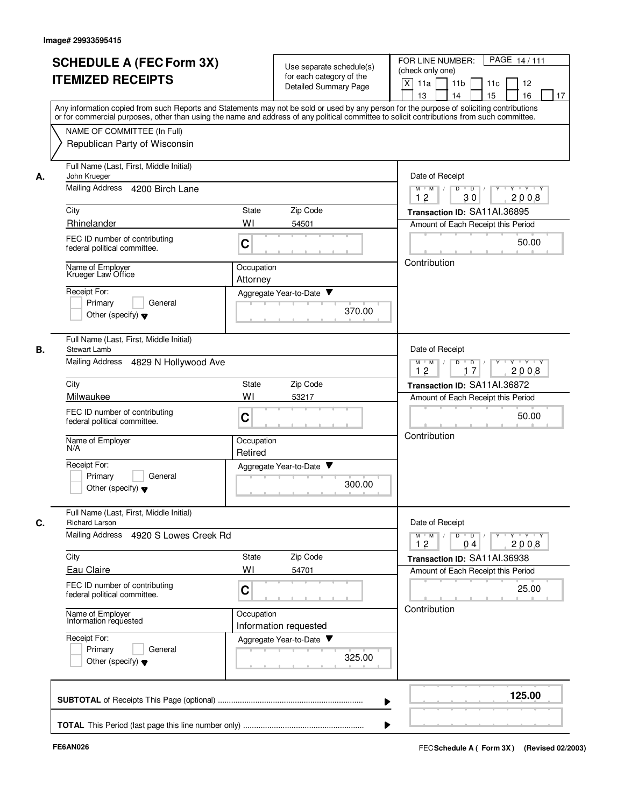|    | <b>SCHEDULE A (FEC Form 3X)</b>                                                                                                                                                                                                                                                         | Use separate schedule(s)                                                    |                                                                                     | PAGE 14/111<br>FOR LINE NUMBER: |                                                                                                          |  |
|----|-----------------------------------------------------------------------------------------------------------------------------------------------------------------------------------------------------------------------------------------------------------------------------------------|-----------------------------------------------------------------------------|-------------------------------------------------------------------------------------|---------------------------------|----------------------------------------------------------------------------------------------------------|--|
|    | <b>ITEMIZED RECEIPTS</b>                                                                                                                                                                                                                                                                |                                                                             | for each category of the                                                            |                                 | (check only one)                                                                                         |  |
|    |                                                                                                                                                                                                                                                                                         |                                                                             | Detailed Summary Page                                                               |                                 | X<br>11 <sub>b</sub><br>12<br>11a<br>11c                                                                 |  |
|    |                                                                                                                                                                                                                                                                                         | 13<br>14<br>15<br>16<br>17                                                  |                                                                                     |                                 |                                                                                                          |  |
|    | Any information copied from such Reports and Statements may not be sold or used by any person for the purpose of soliciting contributions<br>or for commercial purposes, other than using the name and address of any political committee to solicit contributions from such committee. |                                                                             |                                                                                     |                                 |                                                                                                          |  |
|    | NAME OF COMMITTEE (In Full)                                                                                                                                                                                                                                                             |                                                                             |                                                                                     |                                 |                                                                                                          |  |
|    | Republican Party of Wisconsin                                                                                                                                                                                                                                                           |                                                                             |                                                                                     |                                 |                                                                                                          |  |
|    |                                                                                                                                                                                                                                                                                         |                                                                             |                                                                                     |                                 |                                                                                                          |  |
| А. | Full Name (Last, First, Middle Initial)<br>John Krueger                                                                                                                                                                                                                                 |                                                                             |                                                                                     |                                 |                                                                                                          |  |
|    | Mailing Address<br>4200 Birch Lane                                                                                                                                                                                                                                                      | $Y + Y + Y$<br>$\overline{D}$<br>$M$ $/$<br>D<br>Y<br>M<br>12<br>30<br>2008 |                                                                                     |                                 |                                                                                                          |  |
|    | City                                                                                                                                                                                                                                                                                    | <b>State</b>                                                                | Zip Code                                                                            |                                 | Transaction ID: SA11AI.36895                                                                             |  |
|    | Rhinelander                                                                                                                                                                                                                                                                             | WI                                                                          | 54501                                                                               |                                 | Amount of Each Receipt this Period                                                                       |  |
|    | FEC ID number of contributing                                                                                                                                                                                                                                                           |                                                                             |                                                                                     |                                 |                                                                                                          |  |
|    | federal political committee.                                                                                                                                                                                                                                                            | C                                                                           |                                                                                     |                                 | 50.00                                                                                                    |  |
|    |                                                                                                                                                                                                                                                                                         |                                                                             |                                                                                     |                                 | Contribution                                                                                             |  |
|    | Name of Employer<br>Krueger Law Office                                                                                                                                                                                                                                                  | Occupation                                                                  |                                                                                     |                                 |                                                                                                          |  |
|    | Receipt For:                                                                                                                                                                                                                                                                            | Attorney                                                                    |                                                                                     |                                 |                                                                                                          |  |
|    | Primary<br>General                                                                                                                                                                                                                                                                      |                                                                             | Aggregate Year-to-Date                                                              |                                 |                                                                                                          |  |
|    | Other (specify) $\blacktriangledown$                                                                                                                                                                                                                                                    |                                                                             |                                                                                     | 370.00                          |                                                                                                          |  |
|    |                                                                                                                                                                                                                                                                                         |                                                                             |                                                                                     |                                 |                                                                                                          |  |
|    | Full Name (Last, First, Middle Initial)                                                                                                                                                                                                                                                 |                                                                             |                                                                                     |                                 |                                                                                                          |  |
| В. | <b>Stewart Lamb</b>                                                                                                                                                                                                                                                                     |                                                                             |                                                                                     |                                 | Date of Receipt                                                                                          |  |
|    | Mailing Address 4829 N Hollywood Ave                                                                                                                                                                                                                                                    |                                                                             | $D$ $D$ $I$<br>$Y - Y - Y - Y$<br>$M$ $M$ /<br>$Y$ <sup>U</sup><br>12<br>17<br>2008 |                                 |                                                                                                          |  |
|    | City                                                                                                                                                                                                                                                                                    | State                                                                       | Zip Code                                                                            |                                 | Transaction ID: SA11AI.36872                                                                             |  |
|    | Milwaukee                                                                                                                                                                                                                                                                               | WI                                                                          | 53217                                                                               |                                 | Amount of Each Receipt this Period                                                                       |  |
|    | FEC ID number of contributing                                                                                                                                                                                                                                                           |                                                                             |                                                                                     |                                 |                                                                                                          |  |
|    | federal political committee.                                                                                                                                                                                                                                                            | C                                                                           |                                                                                     |                                 | 50.00                                                                                                    |  |
|    |                                                                                                                                                                                                                                                                                         |                                                                             |                                                                                     |                                 | Contribution                                                                                             |  |
|    | Name of Employer<br>N/A                                                                                                                                                                                                                                                                 | Occupation<br>Retired                                                       |                                                                                     |                                 |                                                                                                          |  |
|    | Receipt For:                                                                                                                                                                                                                                                                            |                                                                             | Aggregate Year-to-Date                                                              |                                 |                                                                                                          |  |
|    | Primary<br>General                                                                                                                                                                                                                                                                      |                                                                             |                                                                                     |                                 |                                                                                                          |  |
|    | Other (specify) $\blacktriangledown$                                                                                                                                                                                                                                                    |                                                                             |                                                                                     | 300.00                          |                                                                                                          |  |
|    |                                                                                                                                                                                                                                                                                         |                                                                             |                                                                                     |                                 |                                                                                                          |  |
| C. | Full Name (Last, First, Middle Initial)<br><b>Richard Larson</b>                                                                                                                                                                                                                        |                                                                             |                                                                                     |                                 | Date of Receipt                                                                                          |  |
|    | Mailing Address<br>4920 S Lowes Creek Rd                                                                                                                                                                                                                                                |                                                                             |                                                                                     |                                 | $M^+$ M<br>$D$ $D$ $/$<br>$Y - Y - Y - Y$<br>$\vert$ /<br>$Y$ <sup><math>\top</math></sup><br>12<br>2008 |  |
|    | City                                                                                                                                                                                                                                                                                    | State                                                                       | Zip Code                                                                            |                                 | 04<br>Transaction ID: SA11AI.36938                                                                       |  |
|    | <b>Eau Claire</b>                                                                                                                                                                                                                                                                       | WI                                                                          | 54701                                                                               |                                 | Amount of Each Receipt this Period                                                                       |  |
|    | FEC ID number of contributing                                                                                                                                                                                                                                                           |                                                                             |                                                                                     |                                 |                                                                                                          |  |
|    | federal political committee.                                                                                                                                                                                                                                                            | C                                                                           |                                                                                     |                                 | 25.00                                                                                                    |  |
|    |                                                                                                                                                                                                                                                                                         |                                                                             |                                                                                     |                                 | Contribution                                                                                             |  |
|    | Name of Employer<br>Information requested                                                                                                                                                                                                                                               | Occupation                                                                  | Information requested                                                               |                                 |                                                                                                          |  |
|    | Receipt For:                                                                                                                                                                                                                                                                            |                                                                             | Aggregate Year-to-Date                                                              |                                 |                                                                                                          |  |
|    | Primary<br>General                                                                                                                                                                                                                                                                      |                                                                             |                                                                                     |                                 |                                                                                                          |  |
|    | Other (specify) $\blacktriangledown$                                                                                                                                                                                                                                                    |                                                                             |                                                                                     | 325.00                          |                                                                                                          |  |
|    |                                                                                                                                                                                                                                                                                         |                                                                             |                                                                                     |                                 |                                                                                                          |  |
|    |                                                                                                                                                                                                                                                                                         |                                                                             |                                                                                     |                                 | 125.00                                                                                                   |  |
|    |                                                                                                                                                                                                                                                                                         |                                                                             |                                                                                     |                                 |                                                                                                          |  |
|    |                                                                                                                                                                                                                                                                                         |                                                                             |                                                                                     |                                 |                                                                                                          |  |
|    |                                                                                                                                                                                                                                                                                         |                                                                             |                                                                                     |                                 |                                                                                                          |  |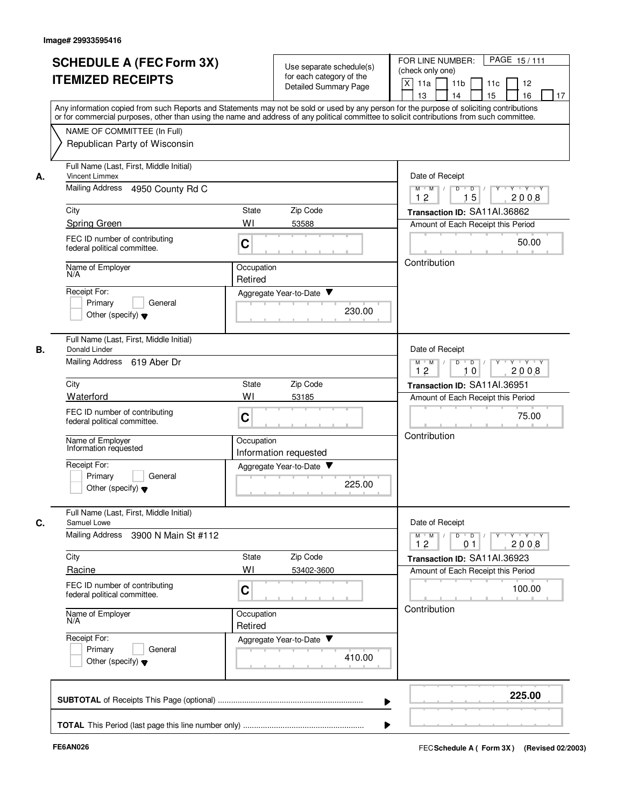| <b>SCHEDULE A (FEC Form 3X)</b><br><b>ITEMIZED RECEIPTS</b>                                                                                                                                                                                                                                                            | Use separate schedule(s)<br>for each category of the<br><b>Detailed Summary Page</b>                                                                                                                                                                                                    | PAGE 15/111<br>FOR LINE NUMBER:<br>(check only one)<br>X<br>11a<br>11 <sub>b</sub><br>11c<br>12<br>15<br>16<br>13<br>14<br>17                                                                                           |  |
|------------------------------------------------------------------------------------------------------------------------------------------------------------------------------------------------------------------------------------------------------------------------------------------------------------------------|-----------------------------------------------------------------------------------------------------------------------------------------------------------------------------------------------------------------------------------------------------------------------------------------|-------------------------------------------------------------------------------------------------------------------------------------------------------------------------------------------------------------------------|--|
| NAME OF COMMITTEE (In Full)<br>Republican Party of Wisconsin                                                                                                                                                                                                                                                           | Any information copied from such Reports and Statements may not be sold or used by any person for the purpose of soliciting contributions<br>or for commercial purposes, other than using the name and address of any political committee to solicit contributions from such committee. |                                                                                                                                                                                                                         |  |
| Full Name (Last, First, Middle Initial)<br><b>Vincent Limmex</b><br>А.<br>Mailing Address<br>4950 County Rd C<br>City<br><b>Spring Green</b><br>FEC ID number of contributing<br>federal political committee.<br>Name of Employer<br>N/A<br>Receipt For:<br>Primary<br>General<br>Other (specify) $\blacktriangledown$ | <b>State</b><br>Zip Code<br>WI<br>53588<br>C<br>Occupation<br>Retired<br>Aggregate Year-to-Date<br>230.00                                                                                                                                                                               | Date of Receipt<br>$Y + Y + Y$<br>$M$ $M$ /<br>D<br>$\overline{\phantom{a}}$<br>Y<br>15<br>2008<br>12<br>Transaction ID: SA11AI.36862<br>Amount of Each Receipt this Period<br>50.00<br>Contribution                    |  |
| Full Name (Last, First, Middle Initial)<br>В.<br>Donald Linder<br>Mailing Address 619 Aber Dr<br>City<br>Waterford<br>FEC ID number of contributing<br>federal political committee.<br>Name of Employer<br>Information requested<br>Receipt For:<br>Primary<br>General<br>Other (specify) $\blacktriangledown$         | Zip Code<br><b>State</b><br>WI<br>53185<br>C<br>Occupation<br>Information requested<br>Aggregate Year-to-Date<br>225.00                                                                                                                                                                 | Date of Receipt<br>D<br>$\blacksquare$ D $\blacksquare$ /<br>Y<br>$Y \vdash Y \vdash Y$<br>$M$ $M$ /<br>12<br>10<br>2008<br>Transaction ID: SA11AI.36951<br>Amount of Each Receipt this Period<br>75.00<br>Contribution |  |
| Full Name (Last, First, Middle Initial)<br>Samuel Lowe<br>C.<br>Mailing Address<br>3900 N Main St #112<br>City<br>Racine<br>FEC ID number of contributing<br>federal political committee.<br>Name of Employer<br>N/A<br>Receipt For:<br>Primary<br>General<br>Other (specify) $\blacktriangledown$                     | Zip Code<br>State<br>WI<br>53402-3600<br>C<br>Occupation<br>Retired<br>Aggregate Year-to-Date<br>410.00                                                                                                                                                                                 | Date of Receipt<br>$M$ $M$<br>$D$ $D$ $/$<br>$Y \rightarrow Y \rightarrow Y$<br>12<br>2008<br>01<br>Transaction ID: SA11AI.36923<br>Amount of Each Receipt this Period<br>100.00<br>Contribution                        |  |
|                                                                                                                                                                                                                                                                                                                        |                                                                                                                                                                                                                                                                                         | 225.00                                                                                                                                                                                                                  |  |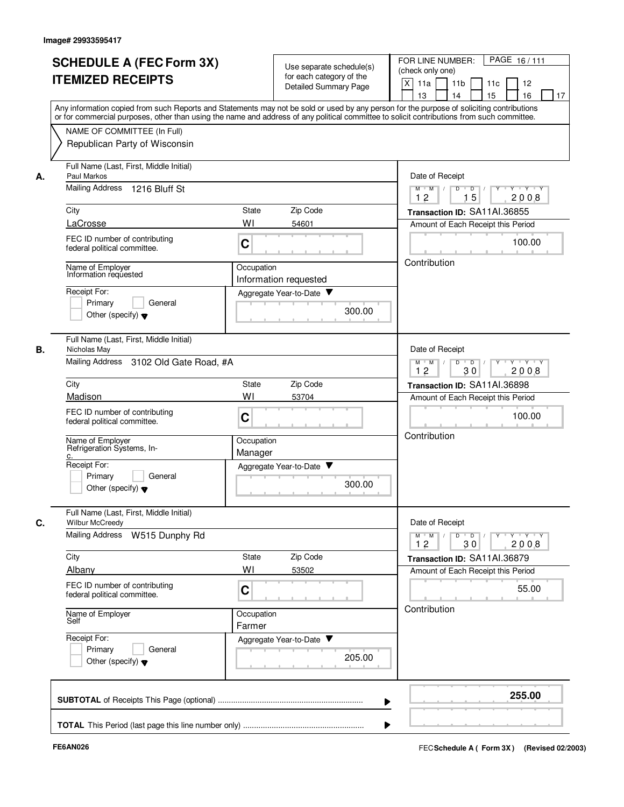| <b>SCHEDULE A (FEC Form 3X)</b><br><b>ITEMIZED RECEIPTS</b>                                                                                                                                                                                                                                                                 | Use separate schedule(s)<br>for each category of the<br>Detailed Summary Page<br>Any information copied from such Reports and Statements may not be sold or used by any person for the purpose of soliciting contributions<br>or for commercial purposes, other than using the name and address of any political committee to solicit contributions from such committee. | PAGE 16/111<br>FOR LINE NUMBER:<br>(check only one)<br>X<br>12<br>11a<br>11 <sub>b</sub><br>11c<br>13<br>14<br>15<br>16<br>17                                                                                                          |
|-----------------------------------------------------------------------------------------------------------------------------------------------------------------------------------------------------------------------------------------------------------------------------------------------------------------------------|--------------------------------------------------------------------------------------------------------------------------------------------------------------------------------------------------------------------------------------------------------------------------------------------------------------------------------------------------------------------------|----------------------------------------------------------------------------------------------------------------------------------------------------------------------------------------------------------------------------------------|
| NAME OF COMMITTEE (In Full)<br>Republican Party of Wisconsin                                                                                                                                                                                                                                                                |                                                                                                                                                                                                                                                                                                                                                                          |                                                                                                                                                                                                                                        |
| Full Name (Last, First, Middle Initial)<br>Paul Markos<br>А.<br>Mailing Address<br>1216 Bluff St<br>City<br>LaCrosse<br>FEC ID number of contributing<br>federal political committee.<br>Name of Employer<br>Information requested<br>Receipt For:<br>Primary<br>General<br>Other (specify) $\blacktriangledown$            | State<br>Zip Code<br>WI<br>54601<br>C<br>Occupation<br>Information requested<br>Aggregate Year-to-Date<br>v<br>300.00                                                                                                                                                                                                                                                    | Date of Receipt<br>$D$ $D$ $I$<br>$Y$ <sup>U</sup><br>$Y + Y + Y$<br>$M$ $M$ /<br>15<br>12<br>2008<br>Transaction ID: SA11AI.36855<br>Amount of Each Receipt this Period<br>100.00<br>Contribution                                     |
| Full Name (Last, First, Middle Initial)<br>В.<br>Nicholas May<br>Mailing Address 3102 Old Gate Road, #A<br>City<br>Madison<br>FEC ID number of contributing<br>federal political committee.<br>Name of Employer<br>Refrigeration Systems, In-<br>Receipt For:<br>Primary<br>General<br>Other (specify) $\blacktriangledown$ | Zip Code<br><b>State</b><br>WI<br>53704<br>C<br>Occupation<br>Manager<br>Aggregate Year-to-Date ▼<br>300.00                                                                                                                                                                                                                                                              | Date of Receipt<br>$M$ $M$ /<br>D<br>$\overline{D}$ /<br>$Y \vdash Y \vdash Y$<br>12<br>30<br>2008<br>Transaction ID: SA11Al.36898<br>Amount of Each Receipt this Period<br>100.00<br>Contribution                                     |
| Full Name (Last, First, Middle Initial)<br>C.<br>Wilbur McCreedy<br><b>Mailing Address</b><br>W515 Dunphy Rd<br>City<br>Albany<br>FEC ID number of contributing<br>federal political committee.<br>Name of Employer<br>Self<br>Receipt For:<br>Primary<br>General<br>Other (specify) $\blacktriangledown$                   | Zip Code<br>State<br>WI<br>53502<br>C<br>Occupation<br>Farmer<br>Aggregate Year-to-Date<br>205.00                                                                                                                                                                                                                                                                        | Date of Receipt<br>$M$ $M$ $M$<br>$D$ $D$ $I$<br>$\mathsf{Y} \dashv \mathsf{Y} \dashv \mathsf{Y} \dashv \mathsf{Y}$<br>12<br>30<br>2008<br>Transaction ID: SA11AI.36879<br>Amount of Each Receipt this Period<br>55.00<br>Contribution |
|                                                                                                                                                                                                                                                                                                                             |                                                                                                                                                                                                                                                                                                                                                                          | 255.00                                                                                                                                                                                                                                 |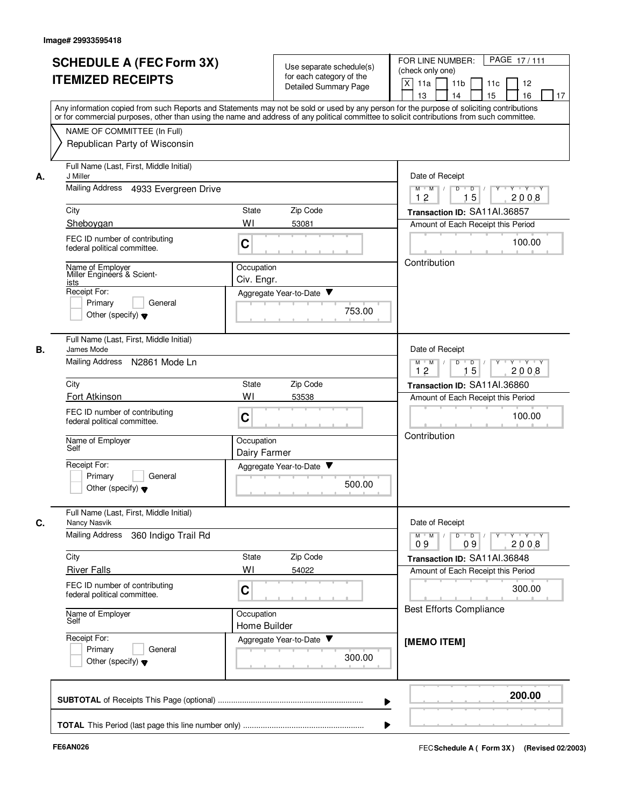|    | <b>SCHEDULE A (FEC Form 3X)</b>                                                                                                                                                                                                                                                         |                                                                            |                                                      |        | PAGE 17/111<br>FOR LINE NUMBER:                      |
|----|-----------------------------------------------------------------------------------------------------------------------------------------------------------------------------------------------------------------------------------------------------------------------------------------|----------------------------------------------------------------------------|------------------------------------------------------|--------|------------------------------------------------------|
|    |                                                                                                                                                                                                                                                                                         |                                                                            | Use separate schedule(s)<br>for each category of the |        | (check only one)                                     |
|    | <b>ITEMIZED RECEIPTS</b>                                                                                                                                                                                                                                                                |                                                                            | <b>Detailed Summary Page</b>                         |        | X<br>11a<br>11 <sub>b</sub><br>11 <sub>c</sub><br>12 |
|    |                                                                                                                                                                                                                                                                                         |                                                                            |                                                      |        | 16<br>13<br>14<br>15<br>17                           |
|    | Any information copied from such Reports and Statements may not be sold or used by any person for the purpose of soliciting contributions<br>or for commercial purposes, other than using the name and address of any political committee to solicit contributions from such committee. |                                                                            |                                                      |        |                                                      |
|    | NAME OF COMMITTEE (In Full)                                                                                                                                                                                                                                                             |                                                                            |                                                      |        |                                                      |
|    | Republican Party of Wisconsin                                                                                                                                                                                                                                                           |                                                                            |                                                      |        |                                                      |
| А. | Full Name (Last, First, Middle Initial)<br>J Miller                                                                                                                                                                                                                                     | Date of Receipt                                                            |                                                      |        |                                                      |
|    | <b>Mailing Address</b><br>4933 Evergreen Drive                                                                                                                                                                                                                                          | $M$ $M$ /<br>D<br>$\overline{D}$ /<br>Y Y Y Y<br>$Y^+$<br>12<br>15<br>2008 |                                                      |        |                                                      |
|    | City                                                                                                                                                                                                                                                                                    | State                                                                      | Zip Code                                             |        | Transaction ID: SA11AI.36857                         |
|    | Sheboygan                                                                                                                                                                                                                                                                               | WI                                                                         | 53081                                                |        | Amount of Each Receipt this Period                   |
|    | FEC ID number of contributing<br>federal political committee.                                                                                                                                                                                                                           | C                                                                          |                                                      |        | 100.00                                               |
|    | Name of Employer<br>Miller Engineers & Scient-                                                                                                                                                                                                                                          | Occupation                                                                 |                                                      |        | Contribution                                         |
|    | ists                                                                                                                                                                                                                                                                                    | Civ. Engr.                                                                 |                                                      |        |                                                      |
|    | Receipt For:<br>General<br>Primary                                                                                                                                                                                                                                                      |                                                                            | Aggregate Year-to-Date ▼                             |        |                                                      |
|    | Other (specify) $\blacktriangledown$                                                                                                                                                                                                                                                    |                                                                            |                                                      | 753.00 |                                                      |
| В. | Full Name (Last, First, Middle Initial)<br>James Mode                                                                                                                                                                                                                                   |                                                                            |                                                      |        | Date of Receipt                                      |
|    | Mailing Address<br>N2861 Mode Ln                                                                                                                                                                                                                                                        | M<br>D<br>$\mathsf D$<br>Y 'Y 'Y<br>M<br>15<br>12<br>2008                  |                                                      |        |                                                      |
|    | City                                                                                                                                                                                                                                                                                    | State                                                                      | Zip Code                                             |        | Transaction ID: SA11AI.36860                         |
|    | Fort Atkinson                                                                                                                                                                                                                                                                           | WI                                                                         | 53538                                                |        | Amount of Each Receipt this Period                   |
|    | FEC ID number of contributing<br>federal political committee.                                                                                                                                                                                                                           | C                                                                          |                                                      |        | 100.00                                               |
|    | Name of Employer<br>Self                                                                                                                                                                                                                                                                | Occupation<br>Dairy Farmer                                                 |                                                      |        | Contribution                                         |
|    | Receipt For:                                                                                                                                                                                                                                                                            |                                                                            | Aggregate Year-to-Date                               |        |                                                      |
|    | Primary<br>General<br>Other (specify) $\blacktriangledown$                                                                                                                                                                                                                              |                                                                            |                                                      | 500.00 |                                                      |
| С. | Full Name (Last, First, Middle Initial)<br>Nancy Nasvik                                                                                                                                                                                                                                 |                                                                            |                                                      |        | Date of Receipt                                      |
|    | <b>Mailing Address</b><br>360 Indigo Trail Rd                                                                                                                                                                                                                                           |                                                                            |                                                      |        | Y Y Y Y<br>$D$ $D$<br>$M$ M<br>Y<br>2008<br>09<br>09 |
|    | City                                                                                                                                                                                                                                                                                    | State                                                                      | Zip Code                                             |        | Transaction ID: SA11AI.36848                         |
|    | <b>River Falls</b>                                                                                                                                                                                                                                                                      | WI                                                                         | 54022                                                |        | Amount of Each Receipt this Period                   |
|    | FEC ID number of contributing<br>federal political committee.                                                                                                                                                                                                                           | С                                                                          |                                                      |        | 300.00                                               |
|    | Name of Employer                                                                                                                                                                                                                                                                        | Occupation                                                                 |                                                      |        | <b>Best Efforts Compliance</b>                       |
|    | Self                                                                                                                                                                                                                                                                                    | Home Builder                                                               |                                                      |        |                                                      |
|    | Receipt For:                                                                                                                                                                                                                                                                            |                                                                            | Aggregate Year-to-Date                               |        | [MEMO ITEM]                                          |
|    | Primary<br>General<br>Other (specify) $\blacktriangledown$                                                                                                                                                                                                                              |                                                                            |                                                      | 300.00 |                                                      |
|    |                                                                                                                                                                                                                                                                                         |                                                                            |                                                      |        | 200.00                                               |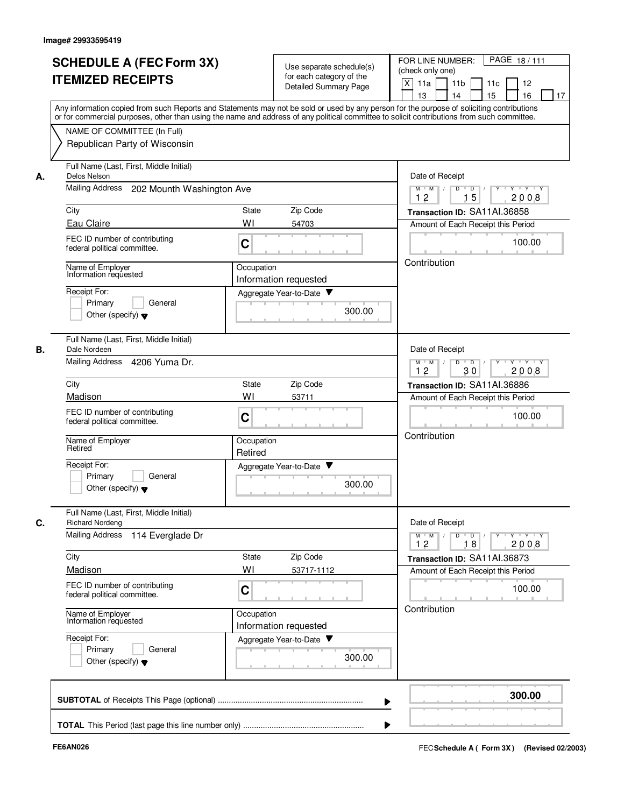|    | <b>SCHEDULE A (FEC Form 3X)</b><br><b>ITEMIZED RECEIPTS</b>                | Use separate schedule(s)<br>for each category of the<br>Detailed Summary Page                                                                                                                                                                                                           | PAGE 18/111<br>FOR LINE NUMBER:<br>(check only one)<br>X<br>11a<br>11 <sub>b</sub><br>11c<br>12<br>15<br>16<br>13<br>14<br>17                                                                                                                                                                                                                                                                                                                          |
|----|----------------------------------------------------------------------------|-----------------------------------------------------------------------------------------------------------------------------------------------------------------------------------------------------------------------------------------------------------------------------------------|--------------------------------------------------------------------------------------------------------------------------------------------------------------------------------------------------------------------------------------------------------------------------------------------------------------------------------------------------------------------------------------------------------------------------------------------------------|
|    | NAME OF COMMITTEE (In Full)<br>Republican Party of Wisconsin               | Any information copied from such Reports and Statements may not be sold or used by any person for the purpose of soliciting contributions<br>or for commercial purposes, other than using the name and address of any political committee to solicit contributions from such committee. |                                                                                                                                                                                                                                                                                                                                                                                                                                                        |
| А. | Full Name (Last, First, Middle Initial)<br>Delos Nelson                    | Date of Receipt                                                                                                                                                                                                                                                                         |                                                                                                                                                                                                                                                                                                                                                                                                                                                        |
|    | Mailing Address<br>202 Mounth Washington Ave                               |                                                                                                                                                                                                                                                                                         | Y Y Y Y<br>$M$ $M$ /<br>D<br>D<br>15<br>2008<br>12                                                                                                                                                                                                                                                                                                                                                                                                     |
|    | City                                                                       | Zip Code<br>State                                                                                                                                                                                                                                                                       | Transaction ID: SA11AI.36858                                                                                                                                                                                                                                                                                                                                                                                                                           |
|    | Eau Claire                                                                 | WI<br>54703                                                                                                                                                                                                                                                                             | Amount of Each Receipt this Period                                                                                                                                                                                                                                                                                                                                                                                                                     |
|    | FEC ID number of contributing<br>federal political committee.              | C                                                                                                                                                                                                                                                                                       | 100.00<br>Contribution                                                                                                                                                                                                                                                                                                                                                                                                                                 |
|    | Name of Employer<br>Information requested                                  |                                                                                                                                                                                                                                                                                         |                                                                                                                                                                                                                                                                                                                                                                                                                                                        |
|    | Receipt For:                                                               | Information requested<br>Aggregate Year-to-Date                                                                                                                                                                                                                                         |                                                                                                                                                                                                                                                                                                                                                                                                                                                        |
|    | General<br>Primary<br>Other (specify) $\blacktriangledown$                 | 300.00                                                                                                                                                                                                                                                                                  |                                                                                                                                                                                                                                                                                                                                                                                                                                                        |
| В. | Full Name (Last, First, Middle Initial)<br>Dale Nordeen                    |                                                                                                                                                                                                                                                                                         | Date of Receipt                                                                                                                                                                                                                                                                                                                                                                                                                                        |
|    | Mailing Address<br>4206 Yuma Dr.                                           |                                                                                                                                                                                                                                                                                         | D<br>$\overline{D}$<br>$M$ M<br>Y Y Y Y<br>12<br>2008<br>30                                                                                                                                                                                                                                                                                                                                                                                            |
|    | City                                                                       | Zip Code<br>State                                                                                                                                                                                                                                                                       | Transaction ID: SA11AI.36886                                                                                                                                                                                                                                                                                                                                                                                                                           |
|    | Madison                                                                    | WI<br>53711                                                                                                                                                                                                                                                                             | Amount of Each Receipt this Period                                                                                                                                                                                                                                                                                                                                                                                                                     |
|    | FEC ID number of contributing<br>federal political committee.              | C                                                                                                                                                                                                                                                                                       | 100.00<br>Contribution                                                                                                                                                                                                                                                                                                                                                                                                                                 |
|    | Name of Employer<br>Retired                                                | Occupation<br>Retired                                                                                                                                                                                                                                                                   |                                                                                                                                                                                                                                                                                                                                                                                                                                                        |
|    | Receipt For:<br>Primary<br>General<br>Other (specify) $\blacktriangledown$ | Aggregate Year-to-Date ▼<br>300.00                                                                                                                                                                                                                                                      |                                                                                                                                                                                                                                                                                                                                                                                                                                                        |
| C. | Full Name (Last, First, Middle Initial)<br><b>Richard Nordeng</b>          |                                                                                                                                                                                                                                                                                         | Date of Receipt                                                                                                                                                                                                                                                                                                                                                                                                                                        |
|    | <b>Mailing Address</b><br>114 Everglade Dr                                 |                                                                                                                                                                                                                                                                                         | $\begin{array}{c c c c c c c c} \hline \textbf{I} & \textbf{I} & \textbf{I} & \textbf{I} & \textbf{I} & \textbf{I} & \textbf{I} & \textbf{I} & \textbf{I} & \textbf{I} & \textbf{I} & \textbf{I} & \textbf{I} & \textbf{I} & \textbf{I} & \textbf{I} & \textbf{I} & \textbf{I} & \textbf{I} & \textbf{I} & \textbf{I} & \textbf{I} & \textbf{I} & \textbf{I} & \textbf{I} & \textbf{I} & \textbf{I} & \textbf{I} &$<br>$M$ $M$ $/$<br>18<br>2008<br>12 |
|    | City                                                                       | Zip Code<br>State                                                                                                                                                                                                                                                                       | Transaction ID: SA11AI.36873                                                                                                                                                                                                                                                                                                                                                                                                                           |
|    | Madison                                                                    | WI<br>53717-1112                                                                                                                                                                                                                                                                        | Amount of Each Receipt this Period                                                                                                                                                                                                                                                                                                                                                                                                                     |
|    | FEC ID number of contributing<br>federal political committee.              | C                                                                                                                                                                                                                                                                                       | 100.00<br>Contribution                                                                                                                                                                                                                                                                                                                                                                                                                                 |
|    | Name of Employer<br>Information requested                                  | Occupation<br>Information requested                                                                                                                                                                                                                                                     |                                                                                                                                                                                                                                                                                                                                                                                                                                                        |
|    | Receipt For:<br>Primary<br>General<br>Other (specify) $\blacktriangledown$ | Aggregate Year-to-Date<br>300.00                                                                                                                                                                                                                                                        |                                                                                                                                                                                                                                                                                                                                                                                                                                                        |
|    |                                                                            |                                                                                                                                                                                                                                                                                         | 300.00                                                                                                                                                                                                                                                                                                                                                                                                                                                 |
|    |                                                                            |                                                                                                                                                                                                                                                                                         |                                                                                                                                                                                                                                                                                                                                                                                                                                                        |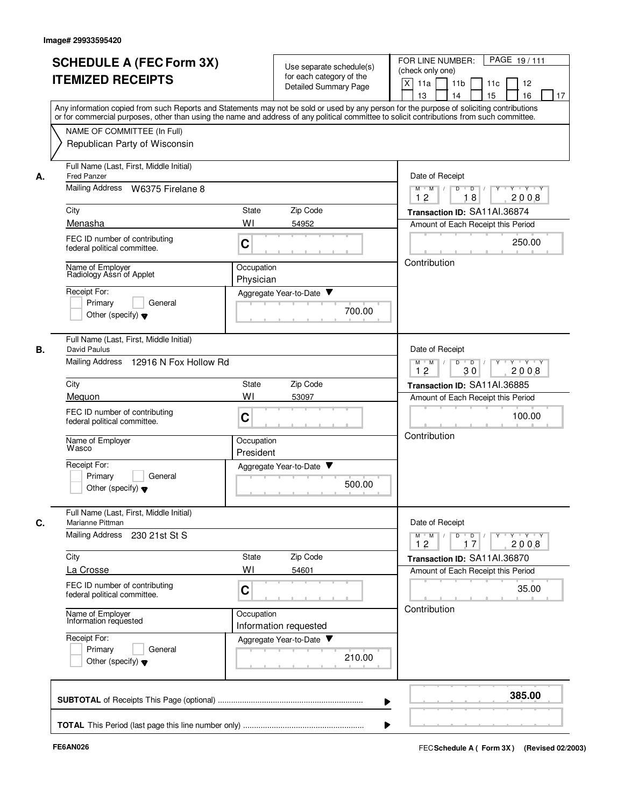|    | <b>SCHEDULE A (FEC Form 3X)</b><br><b>ITEMIZED RECEIPTS</b>                                                                                                                                                                                                                                                                                             | Use separate schedule(s)<br>for each category of the<br><b>Detailed Summary Page</b> | PAGE 19/111<br>FOR LINE NUMBER:<br>(check only one)<br>X<br>11a<br>11 <sub>b</sub><br>12<br>11c<br>15<br>16<br>13<br>14<br>17         |  |  |
|----|---------------------------------------------------------------------------------------------------------------------------------------------------------------------------------------------------------------------------------------------------------------------------------------------------------------------------------------------------------|--------------------------------------------------------------------------------------|---------------------------------------------------------------------------------------------------------------------------------------|--|--|
|    | Any information copied from such Reports and Statements may not be sold or used by any person for the purpose of soliciting contributions<br>or for commercial purposes, other than using the name and address of any political committee to solicit contributions from such committee.<br>NAME OF COMMITTEE (In Full)<br>Republican Party of Wisconsin |                                                                                      |                                                                                                                                       |  |  |
| А. | Full Name (Last, First, Middle Initial)<br><b>Fred Panzer</b><br>Mailing Address W6375 Firelane 8<br>City                                                                                                                                                                                                                                               | <b>State</b><br>Zip Code                                                             | Date of Receipt<br>$Y - Y - Y$<br>$M$ $M$ /<br>D<br>$\overline{\phantom{0}}$<br>Y<br>18<br>2008<br>12<br>Transaction ID: SA11AI.36874 |  |  |
|    | Menasha<br>FEC ID number of contributing<br>federal political committee.                                                                                                                                                                                                                                                                                | WI<br>54952<br>C                                                                     | Amount of Each Receipt this Period<br>250.00                                                                                          |  |  |
|    | Name of Employer<br>Radiology Assn of Applet<br>Receipt For:<br>Primary<br>General<br>Other (specify) $\blacktriangledown$                                                                                                                                                                                                                              | Occupation<br>Physician<br>Aggregate Year-to-Date<br>700.00                          | Contribution                                                                                                                          |  |  |
| В. | Full Name (Last, First, Middle Initial)<br>David Paulus<br>Mailing Address 12916 N Fox Hollow Rd                                                                                                                                                                                                                                                        |                                                                                      | Date of Receipt<br>D<br>$\blacksquare$ D $\blacksquare$ /<br>$Y \vdash Y \vdash Y$<br>$M$ $M$ /<br>Y<br>12<br>30<br>2008              |  |  |
|    | City                                                                                                                                                                                                                                                                                                                                                    | Zip Code<br><b>State</b>                                                             | Transaction ID: SA11AI.36885                                                                                                          |  |  |
|    | Mequon<br>FEC ID number of contributing<br>federal political committee.                                                                                                                                                                                                                                                                                 | WI<br>53097<br>C                                                                     | Amount of Each Receipt this Period<br>100.00                                                                                          |  |  |
|    | Name of Employer<br>Wasco<br>Receipt For:                                                                                                                                                                                                                                                                                                               | Occupation<br>President<br>Aggregate Year-to-Date ▼                                  | Contribution                                                                                                                          |  |  |
|    | Primary<br>General<br>Other (specify) $\blacktriangledown$                                                                                                                                                                                                                                                                                              | 500.00                                                                               |                                                                                                                                       |  |  |
| C. | Full Name (Last, First, Middle Initial)<br>Marianne Pittman<br>Mailing Address<br>230 21st St S                                                                                                                                                                                                                                                         |                                                                                      | Date of Receipt<br>$D$ $D$ $/$<br>$Y \rightarrow Y \rightarrow Y$<br>$M^+$ M<br>$\mathbb{L}$<br>2008<br>12<br>17                      |  |  |
|    | City                                                                                                                                                                                                                                                                                                                                                    | Zip Code<br>State                                                                    | Transaction ID: SA11AI.36870<br>Amount of Each Receipt this Period                                                                    |  |  |
|    | La Crosse<br>FEC ID number of contributing<br>federal political committee.                                                                                                                                                                                                                                                                              | WI<br>54601<br>C                                                                     |                                                                                                                                       |  |  |
|    | Name of Employer<br>Information requested                                                                                                                                                                                                                                                                                                               | Occupation<br>Information requested                                                  | Contribution                                                                                                                          |  |  |
|    | Receipt For:<br>Primary<br>General<br>Other (specify) $\blacktriangledown$                                                                                                                                                                                                                                                                              | Aggregate Year-to-Date<br>Y<br>210.00                                                |                                                                                                                                       |  |  |
|    |                                                                                                                                                                                                                                                                                                                                                         |                                                                                      | 385.00                                                                                                                                |  |  |
|    |                                                                                                                                                                                                                                                                                                                                                         |                                                                                      |                                                                                                                                       |  |  |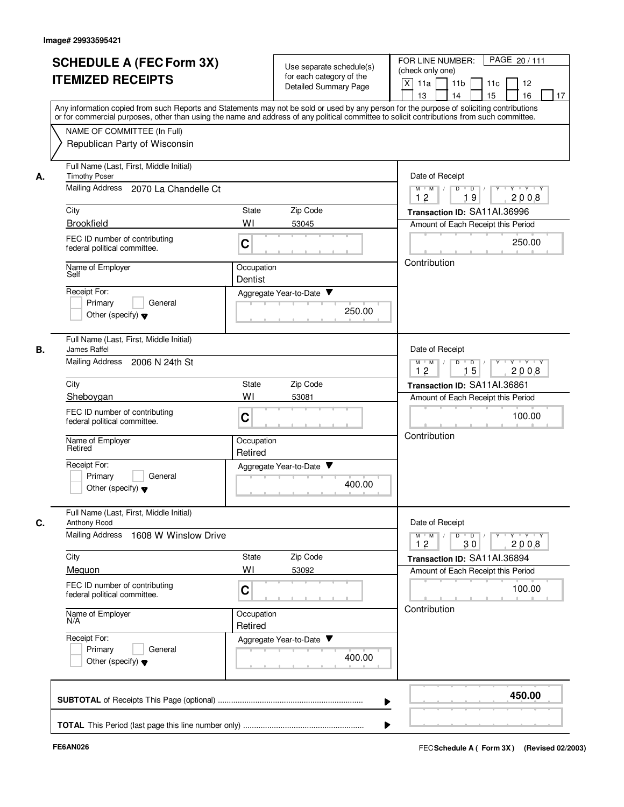|    | <b>SCHEDULE A (FEC Form 3X)</b>                                                                                                                                                                                                                                                         |                                                                          | Use separate schedule(s)                                 | PAGE 20/111<br>FOR LINE NUMBER:                              |
|----|-----------------------------------------------------------------------------------------------------------------------------------------------------------------------------------------------------------------------------------------------------------------------------------------|--------------------------------------------------------------------------|----------------------------------------------------------|--------------------------------------------------------------|
|    | <b>ITEMIZED RECEIPTS</b>                                                                                                                                                                                                                                                                |                                                                          | for each category of the<br><b>Detailed Summary Page</b> | (check only one)<br>X<br>11a<br>11 <sub>b</sub><br>12<br>11c |
|    |                                                                                                                                                                                                                                                                                         |                                                                          |                                                          | 16<br>13<br>14<br>15<br>17                                   |
|    | Any information copied from such Reports and Statements may not be sold or used by any person for the purpose of soliciting contributions<br>or for commercial purposes, other than using the name and address of any political committee to solicit contributions from such committee. |                                                                          |                                                          |                                                              |
|    | NAME OF COMMITTEE (In Full)                                                                                                                                                                                                                                                             |                                                                          |                                                          |                                                              |
|    | Republican Party of Wisconsin                                                                                                                                                                                                                                                           |                                                                          |                                                          |                                                              |
| А. | Full Name (Last, First, Middle Initial)<br><b>Timothy Poser</b>                                                                                                                                                                                                                         |                                                                          |                                                          | Date of Receipt                                              |
|    | Mailing Address<br>2070 La Chandelle Ct                                                                                                                                                                                                                                                 | $Y - Y - Y$<br>$M$ $M$ /<br>D<br>$\overline{D}$<br>Y<br>19<br>2008<br>12 |                                                          |                                                              |
|    | City                                                                                                                                                                                                                                                                                    | State                                                                    | Zip Code                                                 | Transaction ID: SA11AI.36996                                 |
|    | <b>Brookfield</b>                                                                                                                                                                                                                                                                       | 53045                                                                    | Amount of Each Receipt this Period                       |                                                              |
|    | FEC ID number of contributing<br>federal political committee.                                                                                                                                                                                                                           | C                                                                        |                                                          | 250.00                                                       |
|    | Name of Employer<br>Self                                                                                                                                                                                                                                                                | Occupation<br>Dentist                                                    |                                                          | Contribution                                                 |
|    | Receipt For:                                                                                                                                                                                                                                                                            |                                                                          | Aggregate Year-to-Date                                   |                                                              |
|    | Primary<br>General                                                                                                                                                                                                                                                                      |                                                                          | 250.00                                                   |                                                              |
|    | Other (specify) $\blacktriangledown$                                                                                                                                                                                                                                                    |                                                                          |                                                          |                                                              |
| В. | Full Name (Last, First, Middle Initial)<br>James Raffel                                                                                                                                                                                                                                 |                                                                          |                                                          | Date of Receipt                                              |
|    | Mailing Address<br>2006 N 24th St                                                                                                                                                                                                                                                       | D<br>Y Y Y Y<br>$M$ $M$ /<br>$D$ /<br>15<br>12<br>2008                   |                                                          |                                                              |
|    | City                                                                                                                                                                                                                                                                                    | State                                                                    | Zip Code                                                 | Transaction ID: SA11AI.36861                                 |
|    | Sheboygan                                                                                                                                                                                                                                                                               | WI                                                                       | 53081                                                    | Amount of Each Receipt this Period                           |
|    | FEC ID number of contributing<br>federal political committee.                                                                                                                                                                                                                           | C                                                                        |                                                          | 100.00                                                       |
|    | Name of Employer<br>Retired                                                                                                                                                                                                                                                             | Occupation<br>Retired                                                    |                                                          | Contribution                                                 |
|    | Receipt For:                                                                                                                                                                                                                                                                            |                                                                          | Aggregate Year-to-Date ▼                                 |                                                              |
|    | Primary<br>General<br>Other (specify) $\blacktriangledown$                                                                                                                                                                                                                              |                                                                          | 400.00                                                   |                                                              |
| C. | Full Name (Last, First, Middle Initial)<br>Anthony Rood                                                                                                                                                                                                                                 |                                                                          |                                                          | Date of Receipt                                              |
|    | <b>Mailing Address</b><br>1608 W Winslow Drive                                                                                                                                                                                                                                          | Y Y Y Y<br>$M^+$ M<br>$D$ $D$<br>Y<br>12<br>2008<br>30                   |                                                          |                                                              |
|    | City                                                                                                                                                                                                                                                                                    | State                                                                    | Zip Code                                                 | Transaction ID: SA11AI.36894                                 |
|    | Mequon                                                                                                                                                                                                                                                                                  | WI                                                                       | 53092                                                    | Amount of Each Receipt this Period                           |
|    | FEC ID number of contributing<br>federal political committee.                                                                                                                                                                                                                           | C                                                                        |                                                          | 100.00                                                       |
|    | Name of Employer<br>N/A                                                                                                                                                                                                                                                                 | Occupation<br>Retired                                                    |                                                          | Contribution                                                 |
|    | Receipt For:                                                                                                                                                                                                                                                                            |                                                                          | Aggregate Year-to-Date                                   |                                                              |
|    | Primary<br>General<br>Other (specify) $\blacktriangledown$                                                                                                                                                                                                                              |                                                                          | 400.00                                                   |                                                              |
|    |                                                                                                                                                                                                                                                                                         |                                                                          |                                                          | 450.00                                                       |
|    |                                                                                                                                                                                                                                                                                         |                                                                          |                                                          |                                                              |
|    |                                                                                                                                                                                                                                                                                         |                                                                          |                                                          |                                                              |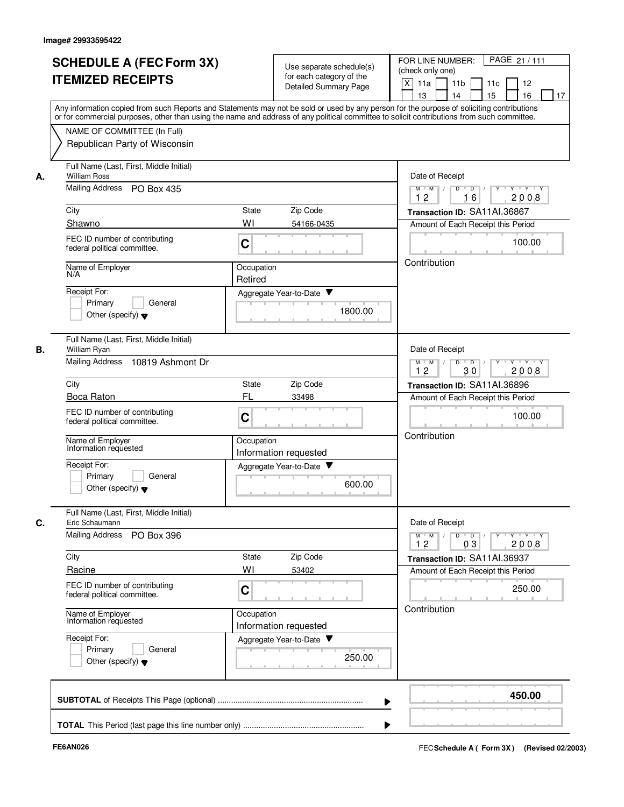| <b>SCHEDULE A (FEC Form 3X)</b><br><b>ITEMIZED RECEIPTS</b>                                                                                                                                                                                                                                                            | Use separate schedule(s)<br>for each category of the<br><b>Detailed Summary Page</b><br>Any information copied from such Reports and Statements may not be sold or used by any person for the purpose of soliciting contributions | PAGE 21 / 111<br>FOR LINE NUMBER:<br>(check only one)<br>$\mathsf{X}$<br>11 <sub>b</sub><br>12<br>11a<br>11c<br>15<br>16<br>13<br>14<br>17                                                       |
|------------------------------------------------------------------------------------------------------------------------------------------------------------------------------------------------------------------------------------------------------------------------------------------------------------------------|-----------------------------------------------------------------------------------------------------------------------------------------------------------------------------------------------------------------------------------|--------------------------------------------------------------------------------------------------------------------------------------------------------------------------------------------------|
| NAME OF COMMITTEE (In Full)<br>Republican Party of Wisconsin                                                                                                                                                                                                                                                           | or for commercial purposes, other than using the name and address of any political committee to solicit contributions from such committee.                                                                                        |                                                                                                                                                                                                  |
| Full Name (Last, First, Middle Initial)<br><b>William Ross</b><br>А.<br>Mailing Address PO Box 435<br>City<br>Shawno<br>FEC ID number of contributing<br>federal political committee.<br>Name of Employer<br>N/A<br>Receipt For:<br>Primary<br>General<br>Other (specify) $\blacktriangledown$                         | State<br>Zip Code<br>WI<br>54166-0435<br>C<br>Occupation<br>Retired<br>Aggregate Year-to-Date<br>1800.00                                                                                                                          | Date of Receipt<br>$Y$ $Y$ $Y$<br>$M$ $M$ /<br>$D$ $D$ $/$<br>$\overline{Y}$<br>12<br>16<br>2008<br>Transaction ID: SA11AI.36867<br>Amount of Each Receipt this Period<br>100.00<br>Contribution |
| Full Name (Last, First, Middle Initial)<br>В.<br>William Ryan<br>Mailing Address<br>10819 Ashmont Dr<br>City<br>Boca Raton<br>FEC ID number of contributing<br>federal political committee.<br>Name of Employer<br>Information requested<br>Receipt For:<br>Primary<br>General<br>Other (specify) $\blacktriangledown$ | Zip Code<br><b>State</b><br>FL<br>33498<br>C<br>Occupation<br>Information requested<br>Aggregate Year-to-Date<br>600.00                                                                                                           | Date of Receipt<br>$Y - Y - Y$<br>$M$ $M$ /<br>D<br>$\overline{D}$<br>Y<br>12<br>30<br>2008<br>Transaction ID: SA11AI.36896<br>Amount of Each Receipt this Period<br>100.00<br>Contribution      |
| Full Name (Last, First, Middle Initial)<br>C.<br>Eric Schaumann<br>Mailing Address<br>PO Box 396<br>City<br>Racine<br>FEC ID number of contributing<br>federal political committee.<br>Name of Employer<br>Information requested<br>Receipt For:<br>Primary<br>General<br>Other (specify) $\blacktriangledown$         | Zip Code<br>State<br>WI<br>53402<br>C<br>Occupation<br>Information requested<br>Aggregate Year-to-Date<br>250.00                                                                                                                  | Date of Receipt<br>$D$ $D$ $/$<br>$M = M$<br><b>Y Y Y Y Y</b><br>12<br>03<br>2008<br>Transaction ID: SA11AI.36937<br>Amount of Each Receipt this Period<br>250.00<br>Contribution                |
|                                                                                                                                                                                                                                                                                                                        | ▶                                                                                                                                                                                                                                 | 450.00                                                                                                                                                                                           |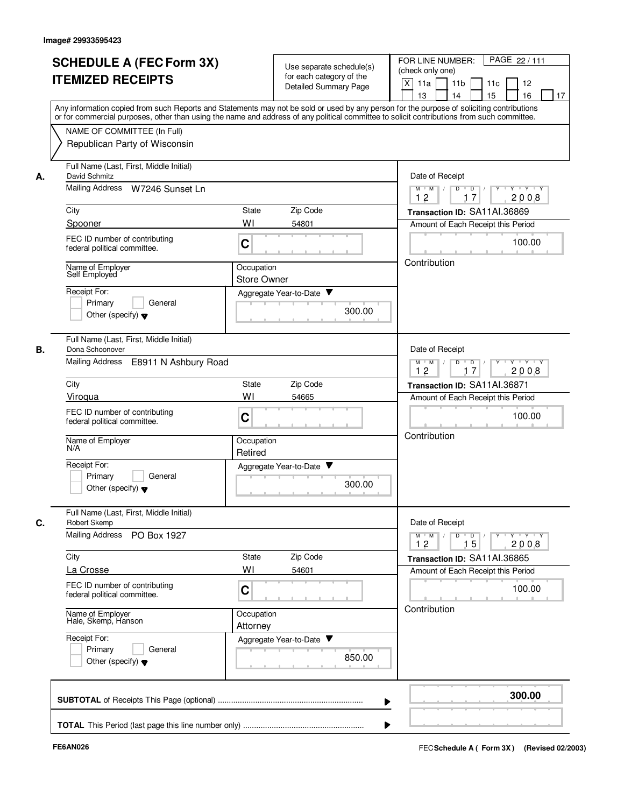|    | <b>SCHEDULE A (FEC Form 3X)</b>                                                                                                                                                                                                                                                         |                        |                                                      | PAGE 22/111<br>FOR LINE NUMBER:                                                                         |  |  |
|----|-----------------------------------------------------------------------------------------------------------------------------------------------------------------------------------------------------------------------------------------------------------------------------------------|------------------------|------------------------------------------------------|---------------------------------------------------------------------------------------------------------|--|--|
|    | <b>ITEMIZED RECEIPTS</b>                                                                                                                                                                                                                                                                |                        | Use separate schedule(s)<br>for each category of the | (check only one)                                                                                        |  |  |
|    |                                                                                                                                                                                                                                                                                         |                        | Detailed Summary Page                                | $\mathsf{X}$<br>11a<br>11 <sub>b</sub><br>12<br>11c                                                     |  |  |
|    |                                                                                                                                                                                                                                                                                         |                        |                                                      | 13<br>14<br>15<br>16<br>17                                                                              |  |  |
|    | Any information copied from such Reports and Statements may not be sold or used by any person for the purpose of soliciting contributions<br>or for commercial purposes, other than using the name and address of any political committee to solicit contributions from such committee. |                        |                                                      |                                                                                                         |  |  |
|    | NAME OF COMMITTEE (In Full)                                                                                                                                                                                                                                                             |                        |                                                      |                                                                                                         |  |  |
|    | Republican Party of Wisconsin                                                                                                                                                                                                                                                           |                        |                                                      |                                                                                                         |  |  |
| А. | Full Name (Last, First, Middle Initial)<br>David Schmitz                                                                                                                                                                                                                                |                        |                                                      |                                                                                                         |  |  |
|    | Mailing Address W7246 Sunset Ln                                                                                                                                                                                                                                                         |                        |                                                      | $\overline{D}$<br>$Y - Y - Y$<br>$M$ $M$ /<br>D<br>12<br>17<br>2008                                     |  |  |
|    | City                                                                                                                                                                                                                                                                                    | <b>State</b>           | Zip Code                                             | Transaction ID: SA11AI.36869                                                                            |  |  |
|    | Spooner                                                                                                                                                                                                                                                                                 | WI                     | 54801                                                | Amount of Each Receipt this Period                                                                      |  |  |
|    | FEC ID number of contributing<br>federal political committee.                                                                                                                                                                                                                           | C                      |                                                      | 100.00                                                                                                  |  |  |
|    |                                                                                                                                                                                                                                                                                         | Occupation             |                                                      | Contribution                                                                                            |  |  |
|    | Name of Employer<br>Self Employed                                                                                                                                                                                                                                                       |                        |                                                      |                                                                                                         |  |  |
|    | Receipt For:                                                                                                                                                                                                                                                                            |                        | Aggregate Year-to-Date                               |                                                                                                         |  |  |
|    | Primary<br>General                                                                                                                                                                                                                                                                      |                        |                                                      |                                                                                                         |  |  |
|    | Other (specify) $\blacktriangledown$                                                                                                                                                                                                                                                    |                        | 300.00                                               |                                                                                                         |  |  |
| В. | Full Name (Last, First, Middle Initial)<br>Dona Schoonover                                                                                                                                                                                                                              |                        |                                                      | Date of Receipt                                                                                         |  |  |
|    | Mailing Address<br>E8911 N Ashbury Road                                                                                                                                                                                                                                                 |                        |                                                      | D<br>$\overline{D}$ /<br>Y * Y * Y * Y<br>$M$ $M$ /<br>12<br>17<br>2008                                 |  |  |
|    | City                                                                                                                                                                                                                                                                                    | <b>State</b>           | Zip Code                                             | Transaction ID: SA11AI.36871                                                                            |  |  |
|    | Viroqua                                                                                                                                                                                                                                                                                 | WI                     | 54665                                                | Amount of Each Receipt this Period                                                                      |  |  |
|    | FEC ID number of contributing<br>federal political committee.                                                                                                                                                                                                                           | C                      |                                                      | 100.00                                                                                                  |  |  |
|    | Name of Employer<br>N/A                                                                                                                                                                                                                                                                 | Occupation<br>Retired  |                                                      | Contribution                                                                                            |  |  |
|    | Receipt For:                                                                                                                                                                                                                                                                            |                        | Aggregate Year-to-Date                               |                                                                                                         |  |  |
|    | Primary<br>General<br>Other (specify) $\blacktriangledown$                                                                                                                                                                                                                              |                        | 300.00                                               |                                                                                                         |  |  |
|    | Full Name (Last, First, Middle Initial)                                                                                                                                                                                                                                                 |                        |                                                      |                                                                                                         |  |  |
| C. | <b>Robert Skemp</b>                                                                                                                                                                                                                                                                     |                        |                                                      | Date of Receipt                                                                                         |  |  |
|    | Mailing Address<br>PO Box 1927                                                                                                                                                                                                                                                          |                        |                                                      | $D$ $D$ $/$<br>$M$ $M$<br>$\mathsf{Y} \dashv \mathsf{Y} \dashv \mathsf{Y}$<br>$Y^+$<br>2008<br>12<br>15 |  |  |
|    | City                                                                                                                                                                                                                                                                                    | State                  | Zip Code                                             | Transaction ID: SA11AI.36865                                                                            |  |  |
|    | La Crosse                                                                                                                                                                                                                                                                               | WI                     | 54601                                                | Amount of Each Receipt this Period                                                                      |  |  |
|    | FEC ID number of contributing<br>federal political committee.                                                                                                                                                                                                                           | C                      |                                                      | 100.00                                                                                                  |  |  |
|    | Name of Employer<br>Hale, Skemp, Hanson                                                                                                                                                                                                                                                 | Occupation<br>Attorney |                                                      | Contribution                                                                                            |  |  |
|    | Receipt For:                                                                                                                                                                                                                                                                            |                        | Aggregate Year-to-Date                               |                                                                                                         |  |  |
|    | Primary<br>General<br>Other (specify) $\blacktriangledown$                                                                                                                                                                                                                              |                        | 850.00                                               |                                                                                                         |  |  |
|    |                                                                                                                                                                                                                                                                                         |                        |                                                      |                                                                                                         |  |  |
|    |                                                                                                                                                                                                                                                                                         |                        | ▶                                                    | 300.00                                                                                                  |  |  |
|    |                                                                                                                                                                                                                                                                                         |                        |                                                      |                                                                                                         |  |  |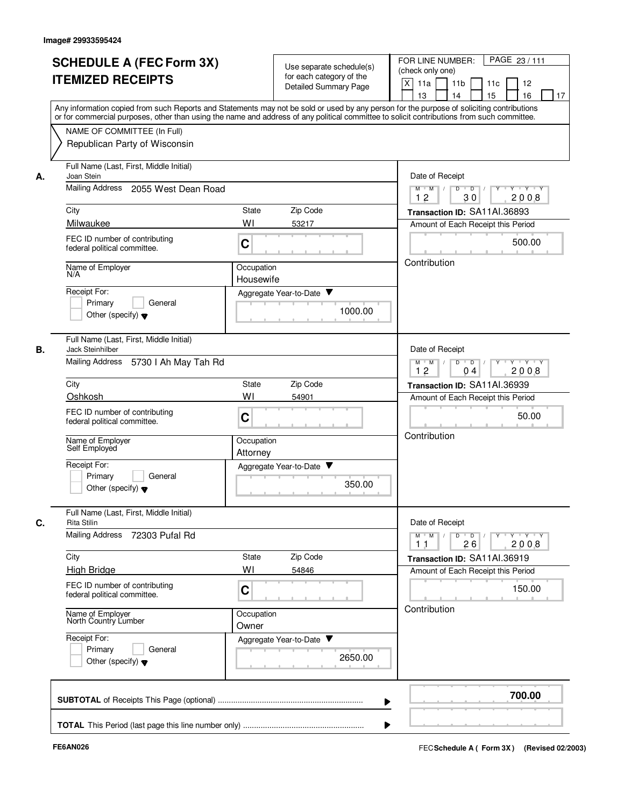|    |                                                                                                                                                                                                                                                                                         |                                                                                       |                          |                          | FOR LINE NUMBER:<br>PAGE 23 / 111                                                                                                                                                                                                                                                                                                                                                                                                                                |
|----|-----------------------------------------------------------------------------------------------------------------------------------------------------------------------------------------------------------------------------------------------------------------------------------------|---------------------------------------------------------------------------------------|--------------------------|--------------------------|------------------------------------------------------------------------------------------------------------------------------------------------------------------------------------------------------------------------------------------------------------------------------------------------------------------------------------------------------------------------------------------------------------------------------------------------------------------|
|    | <b>SCHEDULE A (FEC Form 3X)</b>                                                                                                                                                                                                                                                         |                                                                                       | for each category of the | Use separate schedule(s) | (check only one)                                                                                                                                                                                                                                                                                                                                                                                                                                                 |
|    | <b>ITEMIZED RECEIPTS</b>                                                                                                                                                                                                                                                                |                                                                                       | Detailed Summary Page    |                          | X<br>11a<br>11 <sub>b</sub><br>11c<br>12                                                                                                                                                                                                                                                                                                                                                                                                                         |
|    |                                                                                                                                                                                                                                                                                         |                                                                                       |                          |                          | 15<br>16<br>13<br>14<br>17                                                                                                                                                                                                                                                                                                                                                                                                                                       |
|    | Any information copied from such Reports and Statements may not be sold or used by any person for the purpose of soliciting contributions<br>or for commercial purposes, other than using the name and address of any political committee to solicit contributions from such committee. |                                                                                       |                          |                          |                                                                                                                                                                                                                                                                                                                                                                                                                                                                  |
|    | NAME OF COMMITTEE (In Full)                                                                                                                                                                                                                                                             |                                                                                       |                          |                          |                                                                                                                                                                                                                                                                                                                                                                                                                                                                  |
|    | Republican Party of Wisconsin                                                                                                                                                                                                                                                           |                                                                                       |                          |                          |                                                                                                                                                                                                                                                                                                                                                                                                                                                                  |
| А. | Full Name (Last, First, Middle Initial)<br>Joan Stein                                                                                                                                                                                                                                   | Date of Receipt                                                                       |                          |                          |                                                                                                                                                                                                                                                                                                                                                                                                                                                                  |
|    | Mailing Address<br>2055 West Dean Road                                                                                                                                                                                                                                                  | $\overline{Y}$ $\overline{Y}$<br>$M$ $M$ /<br>D<br>$\overline{D}$<br>12<br>30<br>2008 |                          |                          |                                                                                                                                                                                                                                                                                                                                                                                                                                                                  |
|    | City                                                                                                                                                                                                                                                                                    | State                                                                                 | Zip Code                 |                          | Transaction ID: SA11AI.36893                                                                                                                                                                                                                                                                                                                                                                                                                                     |
|    | Milwaukee                                                                                                                                                                                                                                                                               | WI                                                                                    | 53217                    |                          | Amount of Each Receipt this Period                                                                                                                                                                                                                                                                                                                                                                                                                               |
|    | FEC ID number of contributing<br>federal political committee.                                                                                                                                                                                                                           | C                                                                                     |                          |                          | 500.00                                                                                                                                                                                                                                                                                                                                                                                                                                                           |
|    | Name of Employer<br>N/A                                                                                                                                                                                                                                                                 | Occupation                                                                            |                          |                          | Contribution                                                                                                                                                                                                                                                                                                                                                                                                                                                     |
|    | Receipt For:                                                                                                                                                                                                                                                                            | Housewife                                                                             |                          |                          |                                                                                                                                                                                                                                                                                                                                                                                                                                                                  |
|    | Primary<br>General                                                                                                                                                                                                                                                                      |                                                                                       | Aggregate Year-to-Date   |                          |                                                                                                                                                                                                                                                                                                                                                                                                                                                                  |
|    | Other (specify) $\blacktriangledown$                                                                                                                                                                                                                                                    |                                                                                       |                          | 1000.00                  |                                                                                                                                                                                                                                                                                                                                                                                                                                                                  |
| В. | Full Name (Last, First, Middle Initial)<br>Jack Steinhilber                                                                                                                                                                                                                             |                                                                                       |                          |                          | Date of Receipt                                                                                                                                                                                                                                                                                                                                                                                                                                                  |
|    | Mailing Address<br>5730   Ah May Tah Rd                                                                                                                                                                                                                                                 | D<br>$\overline{D}$<br>Y 'Y 'Y<br>$M$ $M$<br>12<br>2008<br>04                         |                          |                          |                                                                                                                                                                                                                                                                                                                                                                                                                                                                  |
|    | City                                                                                                                                                                                                                                                                                    | State                                                                                 | Zip Code                 |                          | Transaction ID: SA11AI.36939                                                                                                                                                                                                                                                                                                                                                                                                                                     |
|    | Oshkosh                                                                                                                                                                                                                                                                                 | WI                                                                                    | 54901                    |                          | Amount of Each Receipt this Period                                                                                                                                                                                                                                                                                                                                                                                                                               |
|    | FEC ID number of contributing<br>federal political committee.                                                                                                                                                                                                                           | C                                                                                     |                          |                          | 50.00                                                                                                                                                                                                                                                                                                                                                                                                                                                            |
|    | Name of Employer<br>Self Employed                                                                                                                                                                                                                                                       | Occupation<br>Attorney                                                                |                          |                          | Contribution                                                                                                                                                                                                                                                                                                                                                                                                                                                     |
|    | Receipt For:                                                                                                                                                                                                                                                                            |                                                                                       | Aggregate Year-to-Date ▼ |                          |                                                                                                                                                                                                                                                                                                                                                                                                                                                                  |
|    | Primary<br>General<br>Other (specify) $\blacktriangledown$                                                                                                                                                                                                                              |                                                                                       |                          | 350.00                   |                                                                                                                                                                                                                                                                                                                                                                                                                                                                  |
| C. | Full Name (Last, First, Middle Initial)<br>Rita Stilin                                                                                                                                                                                                                                  |                                                                                       |                          |                          | Date of Receipt                                                                                                                                                                                                                                                                                                                                                                                                                                                  |
|    | <b>Mailing Address</b><br>72303 Pufal Rd                                                                                                                                                                                                                                                |                                                                                       |                          |                          | $\begin{array}{c c c c c c c c} \hline \textbf{0} & \textbf{0} & \textbf{0} & \textbf{0} & \textbf{0} & \textbf{0} & \textbf{0} & \textbf{0} & \textbf{0} & \textbf{0} & \textbf{0} & \textbf{0} & \textbf{0} & \textbf{0} & \textbf{0} & \textbf{0} & \textbf{0} & \textbf{0} & \textbf{0} & \textbf{0} & \textbf{0} & \textbf{0} & \textbf{0} & \textbf{0} & \textbf{0} & \textbf{0} & \textbf{0} & \textbf{0} &$<br>$M$ $M$ /<br>2008<br>1 <sub>1</sub><br>26 |
|    | City                                                                                                                                                                                                                                                                                    | State                                                                                 | Zip Code                 |                          | Transaction ID: SA11AI.36919                                                                                                                                                                                                                                                                                                                                                                                                                                     |
|    | <b>High Bridge</b>                                                                                                                                                                                                                                                                      | WI                                                                                    | 54846                    |                          | Amount of Each Receipt this Period                                                                                                                                                                                                                                                                                                                                                                                                                               |
|    | FEC ID number of contributing<br>federal political committee.                                                                                                                                                                                                                           | С                                                                                     |                          |                          | 150.00                                                                                                                                                                                                                                                                                                                                                                                                                                                           |
|    | Name of Employer<br>North Country Lumber                                                                                                                                                                                                                                                | Occupation<br>Owner                                                                   |                          |                          | Contribution                                                                                                                                                                                                                                                                                                                                                                                                                                                     |
|    | Receipt For:                                                                                                                                                                                                                                                                            |                                                                                       | Aggregate Year-to-Date   |                          |                                                                                                                                                                                                                                                                                                                                                                                                                                                                  |
|    | Primary<br>General<br>Other (specify) $\blacktriangledown$                                                                                                                                                                                                                              |                                                                                       |                          | 2650.00                  |                                                                                                                                                                                                                                                                                                                                                                                                                                                                  |
|    |                                                                                                                                                                                                                                                                                         |                                                                                       |                          |                          | 700.00                                                                                                                                                                                                                                                                                                                                                                                                                                                           |
|    |                                                                                                                                                                                                                                                                                         |                                                                                       |                          |                          |                                                                                                                                                                                                                                                                                                                                                                                                                                                                  |
|    |                                                                                                                                                                                                                                                                                         |                                                                                       |                          |                          |                                                                                                                                                                                                                                                                                                                                                                                                                                                                  |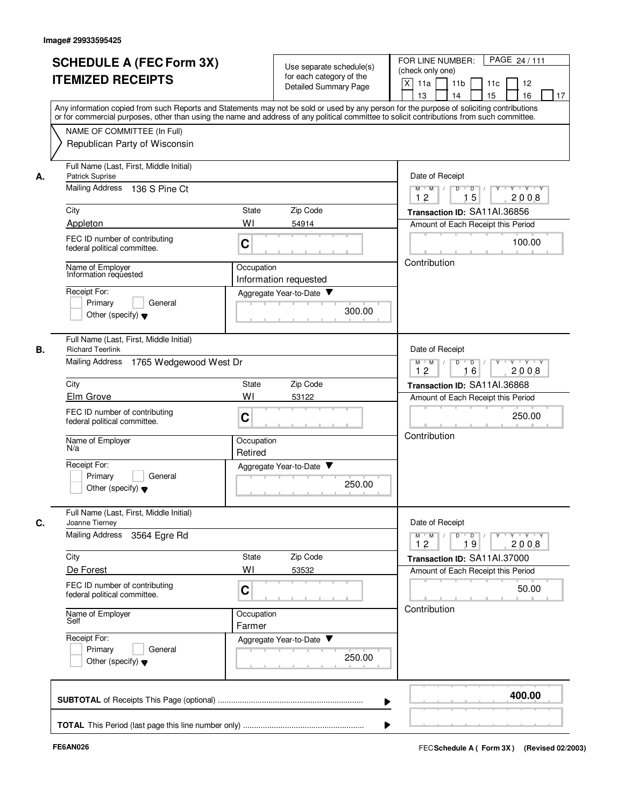|    | <b>SCHEDULE A (FEC Form 3X)</b>                                                                                                                                                                                                                                                         |                  | Use separate schedule(s)                                                 | PAGE 24 / 111<br>FOR LINE NUMBER:                                         |  |
|----|-----------------------------------------------------------------------------------------------------------------------------------------------------------------------------------------------------------------------------------------------------------------------------------------|------------------|--------------------------------------------------------------------------|---------------------------------------------------------------------------|--|
|    | <b>ITEMIZED RECEIPTS</b>                                                                                                                                                                                                                                                                |                  | for each category of the                                                 | (check only one)                                                          |  |
|    |                                                                                                                                                                                                                                                                                         |                  | Detailed Summary Page                                                    | $\mathsf{X}$<br>11a<br>11 <sub>b</sub><br>12<br>11c                       |  |
|    |                                                                                                                                                                                                                                                                                         |                  |                                                                          | 13<br>14<br>15<br>16<br>17                                                |  |
|    | Any information copied from such Reports and Statements may not be sold or used by any person for the purpose of soliciting contributions<br>or for commercial purposes, other than using the name and address of any political committee to solicit contributions from such committee. |                  |                                                                          |                                                                           |  |
|    |                                                                                                                                                                                                                                                                                         |                  |                                                                          |                                                                           |  |
|    | NAME OF COMMITTEE (In Full)                                                                                                                                                                                                                                                             |                  |                                                                          |                                                                           |  |
|    | Republican Party of Wisconsin                                                                                                                                                                                                                                                           |                  |                                                                          |                                                                           |  |
| А. | Full Name (Last, First, Middle Initial)<br>Patrick Suprise                                                                                                                                                                                                                              | Date of Receipt  |                                                                          |                                                                           |  |
|    | Mailing Address 136 S Pine Ct                                                                                                                                                                                                                                                           |                  | $Y$ $Y$ $Y$<br>$\overline{D}$<br>$M$ $M$ /<br>D<br>Y<br>15<br>12<br>2008 |                                                                           |  |
|    | City                                                                                                                                                                                                                                                                                    | <b>State</b>     | Zip Code                                                                 | Transaction ID: SA11AI.36856                                              |  |
|    | Appleton                                                                                                                                                                                                                                                                                | WI               | 54914                                                                    | Amount of Each Receipt this Period                                        |  |
|    | FEC ID number of contributing                                                                                                                                                                                                                                                           |                  |                                                                          |                                                                           |  |
|    | federal political committee.                                                                                                                                                                                                                                                            | C                |                                                                          | 100.00                                                                    |  |
|    | Name of Employer                                                                                                                                                                                                                                                                        | Occupation       |                                                                          | Contribution                                                              |  |
|    | Information requested                                                                                                                                                                                                                                                                   |                  | Information requested                                                    |                                                                           |  |
|    | Receipt For:                                                                                                                                                                                                                                                                            |                  | Aggregate Year-to-Date                                                   |                                                                           |  |
|    | Primary<br>General                                                                                                                                                                                                                                                                      |                  |                                                                          |                                                                           |  |
|    | Other (specify) $\blacktriangledown$                                                                                                                                                                                                                                                    |                  | 300.00                                                                   |                                                                           |  |
|    |                                                                                                                                                                                                                                                                                         |                  |                                                                          |                                                                           |  |
| В. | Full Name (Last, First, Middle Initial)<br><b>Richard Teerlink</b>                                                                                                                                                                                                                      |                  |                                                                          | Date of Receipt                                                           |  |
|    | Mailing Address<br>1765 Wedgewood West Dr                                                                                                                                                                                                                                               |                  |                                                                          | D<br>$\overline{D}$ /<br>Y Y Y Y Y<br>$M$ $M$ /                           |  |
|    |                                                                                                                                                                                                                                                                                         | 12<br>16<br>2008 |                                                                          |                                                                           |  |
|    | City                                                                                                                                                                                                                                                                                    | <b>State</b>     | Zip Code                                                                 | Transaction ID: SA11AI.36868                                              |  |
|    | Elm Grove                                                                                                                                                                                                                                                                               | WI               | 53122                                                                    | Amount of Each Receipt this Period                                        |  |
|    | FEC ID number of contributing                                                                                                                                                                                                                                                           |                  |                                                                          |                                                                           |  |
|    | federal political committee.                                                                                                                                                                                                                                                            | C                |                                                                          | 250.00                                                                    |  |
|    | Name of Employer                                                                                                                                                                                                                                                                        | Occupation       |                                                                          | Contribution                                                              |  |
|    | N/a                                                                                                                                                                                                                                                                                     | Retired          |                                                                          |                                                                           |  |
|    | Receipt For:                                                                                                                                                                                                                                                                            |                  | Aggregate Year-to-Date                                                   |                                                                           |  |
|    | Primary<br>General                                                                                                                                                                                                                                                                      |                  |                                                                          |                                                                           |  |
|    | Other (specify) $\blacktriangledown$                                                                                                                                                                                                                                                    |                  | 250.00                                                                   |                                                                           |  |
|    |                                                                                                                                                                                                                                                                                         |                  |                                                                          |                                                                           |  |
| C. | Full Name (Last, First, Middle Initial)<br>Joanne Tierney                                                                                                                                                                                                                               |                  |                                                                          | Date of Receipt                                                           |  |
|    | <b>Mailing Address</b><br>3564 Egre Rd                                                                                                                                                                                                                                                  |                  |                                                                          | $D$ $D$ $/$<br>$M^{\prime}$ M $\rightarrow$ /<br>$Y - Y - Y - Y$<br>$Y^+$ |  |
|    |                                                                                                                                                                                                                                                                                         |                  |                                                                          | 2008<br>12<br>19                                                          |  |
|    | City                                                                                                                                                                                                                                                                                    | State            | Zip Code                                                                 | Transaction ID: SA11AI.37000                                              |  |
|    | De Forest                                                                                                                                                                                                                                                                               | WI               | 53532                                                                    | Amount of Each Receipt this Period                                        |  |
|    | FEC ID number of contributing                                                                                                                                                                                                                                                           | C                |                                                                          | 50.00                                                                     |  |
|    | federal political committee.                                                                                                                                                                                                                                                            |                  |                                                                          |                                                                           |  |
|    | Name of Employer                                                                                                                                                                                                                                                                        | Occupation       |                                                                          | Contribution                                                              |  |
|    | Self                                                                                                                                                                                                                                                                                    | Farmer           |                                                                          |                                                                           |  |
|    | Receipt For:                                                                                                                                                                                                                                                                            |                  | Aggregate Year-to-Date                                                   |                                                                           |  |
|    | Primary<br>General                                                                                                                                                                                                                                                                      |                  | 250.00                                                                   |                                                                           |  |
|    | Other (specify) $\blacktriangledown$                                                                                                                                                                                                                                                    |                  |                                                                          |                                                                           |  |
|    |                                                                                                                                                                                                                                                                                         |                  |                                                                          |                                                                           |  |
|    |                                                                                                                                                                                                                                                                                         |                  |                                                                          | 400.00                                                                    |  |
|    |                                                                                                                                                                                                                                                                                         |                  |                                                                          | ▶                                                                         |  |
|    |                                                                                                                                                                                                                                                                                         |                  |                                                                          |                                                                           |  |
|    |                                                                                                                                                                                                                                                                                         |                  |                                                                          |                                                                           |  |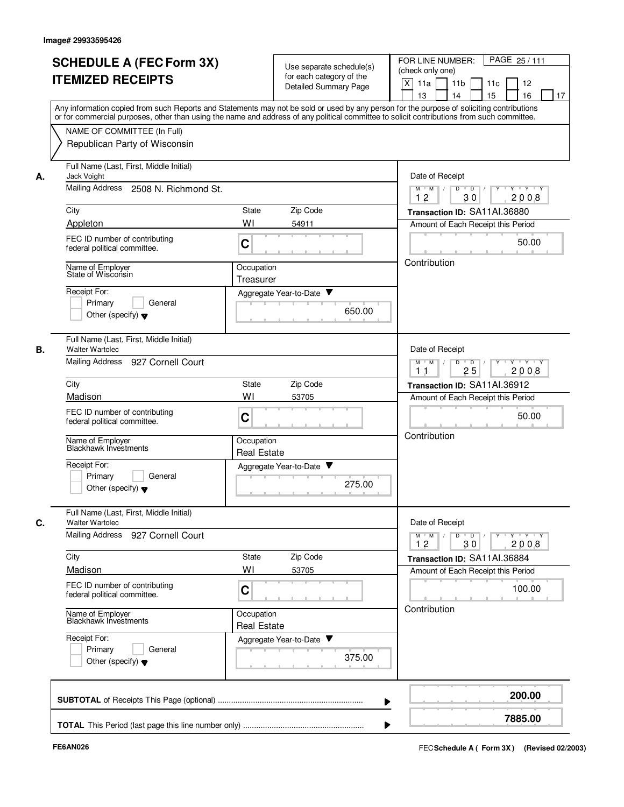|    | <b>SCHEDULE A (FEC Form 3X)</b>                                                                                                            |                                  | Use separate schedule(s)     |                  | PAGE 25/111<br>FOR LINE NUMBER:                                      |  |  |  |  |  |  |  |  |  |
|----|--------------------------------------------------------------------------------------------------------------------------------------------|----------------------------------|------------------------------|------------------|----------------------------------------------------------------------|--|--|--|--|--|--|--|--|--|
|    |                                                                                                                                            |                                  | for each category of the     | (check only one) |                                                                      |  |  |  |  |  |  |  |  |  |
|    | <b>ITEMIZED RECEIPTS</b>                                                                                                                   |                                  | <b>Detailed Summary Page</b> |                  | X<br>11a<br>11 <sub>b</sub><br>11 <sub>c</sub><br>12                 |  |  |  |  |  |  |  |  |  |
|    |                                                                                                                                            |                                  |                              |                  | 16<br>13<br>14<br>15<br>17                                           |  |  |  |  |  |  |  |  |  |
|    | Any information copied from such Reports and Statements may not be sold or used by any person for the purpose of soliciting contributions  |                                  |                              |                  |                                                                      |  |  |  |  |  |  |  |  |  |
|    | or for commercial purposes, other than using the name and address of any political committee to solicit contributions from such committee. |                                  |                              |                  |                                                                      |  |  |  |  |  |  |  |  |  |
|    | NAME OF COMMITTEE (In Full)                                                                                                                |                                  |                              |                  |                                                                      |  |  |  |  |  |  |  |  |  |
|    | Republican Party of Wisconsin                                                                                                              |                                  |                              |                  |                                                                      |  |  |  |  |  |  |  |  |  |
|    |                                                                                                                                            |                                  |                              |                  |                                                                      |  |  |  |  |  |  |  |  |  |
| А. | Full Name (Last, First, Middle Initial)<br>Jack Voight                                                                                     |                                  |                              |                  | Date of Receipt                                                      |  |  |  |  |  |  |  |  |  |
|    | <b>Mailing Address</b><br>2508 N. Richmond St.                                                                                             |                                  |                              |                  | $M$ $M$ /<br>D<br>$\overline{D}$<br>Y Y Y Y<br>Y<br>12<br>30<br>2008 |  |  |  |  |  |  |  |  |  |
|    | City                                                                                                                                       | State                            | Zip Code                     |                  | Transaction ID: SA11AI.36880                                         |  |  |  |  |  |  |  |  |  |
|    | Appleton                                                                                                                                   | WI                               | 54911                        |                  | Amount of Each Receipt this Period                                   |  |  |  |  |  |  |  |  |  |
|    |                                                                                                                                            |                                  |                              |                  |                                                                      |  |  |  |  |  |  |  |  |  |
|    | FEC ID number of contributing<br>federal political committee.                                                                              | C                                |                              |                  | 50.00                                                                |  |  |  |  |  |  |  |  |  |
|    |                                                                                                                                            |                                  |                              |                  | Contribution                                                         |  |  |  |  |  |  |  |  |  |
|    | Name of Employer<br>State of Wisconsin                                                                                                     | Occupation                       |                              |                  |                                                                      |  |  |  |  |  |  |  |  |  |
|    |                                                                                                                                            | Treasurer                        |                              |                  |                                                                      |  |  |  |  |  |  |  |  |  |
|    | Receipt For:                                                                                                                               |                                  | Aggregate Year-to-Date ▼     |                  |                                                                      |  |  |  |  |  |  |  |  |  |
|    | General<br>Primary                                                                                                                         |                                  |                              |                  |                                                                      |  |  |  |  |  |  |  |  |  |
|    | Other (specify) $\blacktriangledown$                                                                                                       |                                  |                              | 650.00           |                                                                      |  |  |  |  |  |  |  |  |  |
|    |                                                                                                                                            |                                  |                              |                  |                                                                      |  |  |  |  |  |  |  |  |  |
|    | Full Name (Last, First, Middle Initial)                                                                                                    |                                  |                              |                  |                                                                      |  |  |  |  |  |  |  |  |  |
| В. | <b>Walter Wartolec</b>                                                                                                                     |                                  |                              |                  | Date of Receipt                                                      |  |  |  |  |  |  |  |  |  |
|    | Mailing Address<br>927 Cornell Court                                                                                                       |                                  |                              |                  | $Y - Y - Y$<br>M<br>D<br>D<br>M                                      |  |  |  |  |  |  |  |  |  |
|    |                                                                                                                                            |                                  |                              |                  | 25<br>2008<br>11                                                     |  |  |  |  |  |  |  |  |  |
|    | City                                                                                                                                       | State                            | Zip Code                     |                  | Transaction ID: SA11AI.36912                                         |  |  |  |  |  |  |  |  |  |
|    | Madison                                                                                                                                    | WI                               | 53705                        |                  | Amount of Each Receipt this Period                                   |  |  |  |  |  |  |  |  |  |
|    | FEC ID number of contributing                                                                                                              |                                  |                              |                  | 50.00                                                                |  |  |  |  |  |  |  |  |  |
|    | federal political committee.                                                                                                               | C                                |                              |                  |                                                                      |  |  |  |  |  |  |  |  |  |
|    |                                                                                                                                            |                                  |                              |                  | Contribution                                                         |  |  |  |  |  |  |  |  |  |
|    | Name of Employer<br>Blackhawk Investments                                                                                                  | Occupation<br><b>Real Estate</b> |                              |                  |                                                                      |  |  |  |  |  |  |  |  |  |
|    |                                                                                                                                            |                                  |                              |                  |                                                                      |  |  |  |  |  |  |  |  |  |
|    | Receipt For:                                                                                                                               |                                  | Aggregate Year-to-Date       |                  |                                                                      |  |  |  |  |  |  |  |  |  |
|    | Primary<br>General                                                                                                                         |                                  |                              | 275.00           |                                                                      |  |  |  |  |  |  |  |  |  |
|    | Other (specify) $\blacktriangledown$                                                                                                       |                                  |                              |                  |                                                                      |  |  |  |  |  |  |  |  |  |
|    |                                                                                                                                            |                                  |                              |                  |                                                                      |  |  |  |  |  |  |  |  |  |
| С. | Full Name (Last, First, Middle Initial)<br><b>Walter Wartolec</b>                                                                          |                                  |                              |                  | Date of Receipt                                                      |  |  |  |  |  |  |  |  |  |
|    | Mailing Address 927 Cornell Court                                                                                                          |                                  |                              |                  | Y Y Y Y<br>$D$ $D$<br>$M$ M<br>Y                                     |  |  |  |  |  |  |  |  |  |
|    |                                                                                                                                            |                                  |                              |                  | 12<br>2008<br>30                                                     |  |  |  |  |  |  |  |  |  |
|    | City                                                                                                                                       | State                            | Zip Code                     |                  | Transaction ID: SA11AI.36884                                         |  |  |  |  |  |  |  |  |  |
|    | Madison                                                                                                                                    | WI                               | 53705                        |                  | Amount of Each Receipt this Period                                   |  |  |  |  |  |  |  |  |  |
|    | FEC ID number of contributing                                                                                                              |                                  |                              |                  |                                                                      |  |  |  |  |  |  |  |  |  |
|    | federal political committee.                                                                                                               | С                                |                              |                  | 100.00                                                               |  |  |  |  |  |  |  |  |  |
|    |                                                                                                                                            |                                  |                              |                  | Contribution                                                         |  |  |  |  |  |  |  |  |  |
|    | Name of Employer<br>Blackhawk Investments                                                                                                  | Occupation                       |                              |                  |                                                                      |  |  |  |  |  |  |  |  |  |
|    |                                                                                                                                            | <b>Real Estate</b>               |                              |                  |                                                                      |  |  |  |  |  |  |  |  |  |
|    | Receipt For:                                                                                                                               |                                  | Aggregate Year-to-Date       |                  |                                                                      |  |  |  |  |  |  |  |  |  |
|    | Primary<br>General                                                                                                                         |                                  |                              |                  |                                                                      |  |  |  |  |  |  |  |  |  |
|    | Other (specify) $\blacktriangledown$                                                                                                       |                                  |                              | 375.00           |                                                                      |  |  |  |  |  |  |  |  |  |
|    |                                                                                                                                            |                                  |                              |                  |                                                                      |  |  |  |  |  |  |  |  |  |
|    |                                                                                                                                            |                                  |                              |                  |                                                                      |  |  |  |  |  |  |  |  |  |
|    |                                                                                                                                            |                                  |                              |                  |                                                                      |  |  |  |  |  |  |  |  |  |
|    |                                                                                                                                            |                                  |                              |                  | 200.00                                                               |  |  |  |  |  |  |  |  |  |
|    |                                                                                                                                            |                                  |                              |                  | 7885.00                                                              |  |  |  |  |  |  |  |  |  |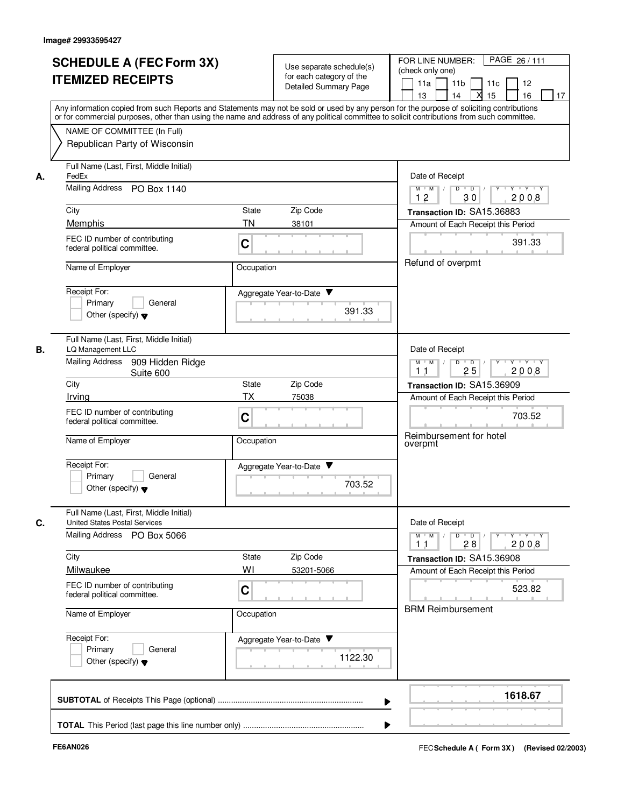|    | <b>SCHEDULE A (FEC Form 3X)</b><br><b>ITEMIZED RECEIPTS</b><br>Any information copied from such Reports and Statements may not be sold or used by any person for the purpose of soliciting contributions<br>or for commercial purposes, other than using the name and address of any political committee to solicit contributions from such committee. | Use separate schedule(s)<br>for each category of the<br>Detailed Summary Page |                           | PAGE 26/111<br>FOR LINE NUMBER:<br>(check only one)<br>11 <sub>b</sub><br>11a<br>12<br>11c<br>13<br>15<br>16<br>17<br>14 |
|----|--------------------------------------------------------------------------------------------------------------------------------------------------------------------------------------------------------------------------------------------------------------------------------------------------------------------------------------------------------|-------------------------------------------------------------------------------|---------------------------|--------------------------------------------------------------------------------------------------------------------------|
|    | NAME OF COMMITTEE (In Full)<br>Republican Party of Wisconsin                                                                                                                                                                                                                                                                                           |                                                                               |                           |                                                                                                                          |
| А. | Full Name (Last, First, Middle Initial)<br>FedEx<br>Mailing Address<br>PO Box 1140                                                                                                                                                                                                                                                                     |                                                                               |                           | Date of Receipt<br>$D$ $D$ $I$<br>$Y - Y - Y - Y$<br>$M$ $M$ /<br>Y                                                      |
|    | City                                                                                                                                                                                                                                                                                                                                                   | Zip Code<br>State                                                             |                           | 12<br>30<br>2008<br>Transaction ID: SA15.36883                                                                           |
|    | Memphis                                                                                                                                                                                                                                                                                                                                                | <b>TN</b><br>38101                                                            |                           | Amount of Each Receipt this Period                                                                                       |
|    | FEC ID number of contributing<br>federal political committee.                                                                                                                                                                                                                                                                                          | C                                                                             |                           | 391.33                                                                                                                   |
|    | Name of Employer                                                                                                                                                                                                                                                                                                                                       | Occupation                                                                    |                           | Refund of overpmt                                                                                                        |
|    | Receipt For:<br>Primary<br>General<br>Other (specify) $\blacktriangledown$                                                                                                                                                                                                                                                                             | Aggregate Year-to-Date                                                        | 391.33                    |                                                                                                                          |
| В. | Full Name (Last, First, Middle Initial)<br>LQ Management LLC                                                                                                                                                                                                                                                                                           |                                                                               |                           | Date of Receipt                                                                                                          |
|    | <b>Mailing Address</b><br>909 Hidden Ridge<br>Suite 600                                                                                                                                                                                                                                                                                                |                                                                               |                           | Y 'Y 'Y<br>$M$ $M$ /<br>D<br>$\overline{D}$<br>25<br>2008<br>11                                                          |
|    | City                                                                                                                                                                                                                                                                                                                                                   | Zip Code<br>State                                                             |                           | Transaction ID: SA15.36909                                                                                               |
|    | Irving                                                                                                                                                                                                                                                                                                                                                 | TX<br>75038                                                                   |                           | Amount of Each Receipt this Period                                                                                       |
|    | FEC ID number of contributing<br>federal political committee.                                                                                                                                                                                                                                                                                          | C                                                                             |                           | 703.52<br>Reimbursement for hotel                                                                                        |
|    | Name of Employer                                                                                                                                                                                                                                                                                                                                       | Occupation                                                                    |                           | overpmt                                                                                                                  |
|    | Receipt For:<br>Primary<br>General<br>Other (specify) $\blacktriangledown$                                                                                                                                                                                                                                                                             | Aggregate Year-to-Date                                                        | 703.52                    |                                                                                                                          |
| C. | Full Name (Last, First, Middle Initial)<br><b>United States Postal Services</b>                                                                                                                                                                                                                                                                        |                                                                               |                           | Date of Receipt                                                                                                          |
|    | <b>Mailing Address</b><br>PO Box 5066                                                                                                                                                                                                                                                                                                                  |                                                                               |                           | $M$ $M$<br>$\mathsf D$<br>$\overline{D}$ /<br>Y Y Y Y<br>2008<br>11<br>28                                                |
|    | City                                                                                                                                                                                                                                                                                                                                                   | Zip Code<br>State                                                             |                           | Transaction ID: SA15.36908                                                                                               |
|    | Milwaukee                                                                                                                                                                                                                                                                                                                                              | WI<br>53201-5066                                                              |                           | Amount of Each Receipt this Period                                                                                       |
|    | FEC ID number of contributing<br>federal political committee.                                                                                                                                                                                                                                                                                          | C                                                                             |                           | 523.82                                                                                                                   |
|    | Name of Employer                                                                                                                                                                                                                                                                                                                                       | Occupation                                                                    |                           | <b>BRM Reimbursement</b>                                                                                                 |
|    | Receipt For:<br>Primary<br>General<br>Other (specify) $\blacktriangledown$                                                                                                                                                                                                                                                                             | Aggregate Year-to-Date                                                        | 1122.30<br><b>COLLEGE</b> |                                                                                                                          |
|    |                                                                                                                                                                                                                                                                                                                                                        |                                                                               |                           | 1618.67                                                                                                                  |
|    |                                                                                                                                                                                                                                                                                                                                                        |                                                                               |                           |                                                                                                                          |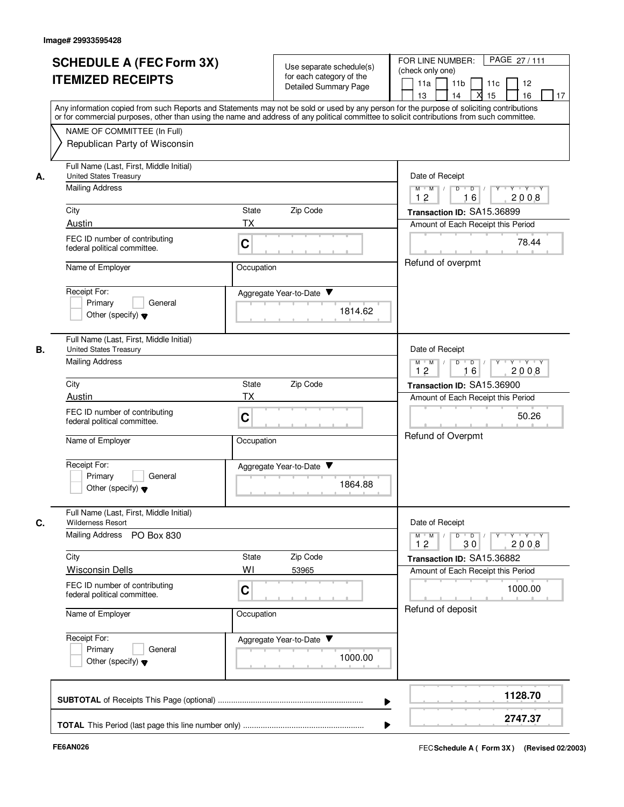| <b>SCHEDULE A (FEC Form 3X)</b><br><b>ITEMIZED RECEIPTS</b>                                              | Use separate schedule(s)<br>for each category of the<br>Detailed Summary Page                                                                                                                                                                                                           | PAGE 27/111<br>FOR LINE NUMBER:<br>(check only one)<br>11a<br>11 <sub>b</sub><br>12<br>11c<br>13<br>14<br>X<br>15<br>16<br>17 |  |  |  |  |
|----------------------------------------------------------------------------------------------------------|-----------------------------------------------------------------------------------------------------------------------------------------------------------------------------------------------------------------------------------------------------------------------------------------|-------------------------------------------------------------------------------------------------------------------------------|--|--|--|--|
| NAME OF COMMITTEE (In Full)<br>Republican Party of Wisconsin                                             | Any information copied from such Reports and Statements may not be sold or used by any person for the purpose of soliciting contributions<br>or for commercial purposes, other than using the name and address of any political committee to solicit contributions from such committee. |                                                                                                                               |  |  |  |  |
| Full Name (Last, First, Middle Initial)<br><b>United States Treasury</b><br>А.<br><b>Mailing Address</b> |                                                                                                                                                                                                                                                                                         | Date of Receipt<br>$M$ $M$ /<br>$Y - Y - Y$<br>D<br>$\overline{D}$ /<br>Y<br>12<br>2008<br>16                                 |  |  |  |  |
| City                                                                                                     | Zip Code<br>State                                                                                                                                                                                                                                                                       | Transaction ID: SA15.36899                                                                                                    |  |  |  |  |
| Austin<br>FEC ID number of contributing<br>federal political committee.                                  | TX<br>C                                                                                                                                                                                                                                                                                 | Amount of Each Receipt this Period<br>78.44                                                                                   |  |  |  |  |
| Name of Employer<br>Receipt For:<br>Primary<br>General<br>Other (specify) $\blacktriangledown$           | Occupation<br>Aggregate Year-to-Date<br>1814.62                                                                                                                                                                                                                                         | Refund of overpmt                                                                                                             |  |  |  |  |
| Full Name (Last, First, Middle Initial)<br>В.<br><b>United States Treasury</b><br><b>Mailing Address</b> |                                                                                                                                                                                                                                                                                         | Date of Receipt<br>D<br>$M$ $M$ /<br>$\Box$<br>$Y + Y + Y$<br>12<br>16<br>2008                                                |  |  |  |  |
| City                                                                                                     | State<br>Zip Code                                                                                                                                                                                                                                                                       | Transaction ID: SA15.36900                                                                                                    |  |  |  |  |
| Austin                                                                                                   | ТX                                                                                                                                                                                                                                                                                      |                                                                                                                               |  |  |  |  |
| FEC ID number of contributing<br>federal political committee.                                            | C                                                                                                                                                                                                                                                                                       | 50.26<br><b>Refund of Overpmt</b>                                                                                             |  |  |  |  |
| Name of Employer<br>Receipt For:<br>Primary<br>General<br>Other (specify) $\blacktriangledown$           | Occupation<br>Aggregate Year-to-Date<br>1864.88                                                                                                                                                                                                                                         |                                                                                                                               |  |  |  |  |
| Full Name (Last, First, Middle Initial)<br><b>Wilderness Resort</b><br>C.                                |                                                                                                                                                                                                                                                                                         | Date of Receipt                                                                                                               |  |  |  |  |
| Mailing Address<br>PO Box 830                                                                            |                                                                                                                                                                                                                                                                                         | $M^+$ M<br>$D$ $D$<br>$Y \rightarrow Y \rightarrow Y$<br>2008<br>30<br>12                                                     |  |  |  |  |
| City<br><b>Wisconsin Dells</b>                                                                           | Zip Code<br>State<br>WI                                                                                                                                                                                                                                                                 | Transaction ID: SA15.36882                                                                                                    |  |  |  |  |
| FEC ID number of contributing<br>federal political committee.                                            | 53965<br>C                                                                                                                                                                                                                                                                              | Amount of Each Receipt this Period<br>1000.00                                                                                 |  |  |  |  |
| Name of Employer                                                                                         | Occupation                                                                                                                                                                                                                                                                              | Refund of deposit                                                                                                             |  |  |  |  |
| Receipt For:<br>Primary<br>General<br>Other (specify) $\blacktriangledown$                               | Aggregate Year-to-Date<br>1000.00                                                                                                                                                                                                                                                       |                                                                                                                               |  |  |  |  |
|                                                                                                          |                                                                                                                                                                                                                                                                                         | 1128.70                                                                                                                       |  |  |  |  |
|                                                                                                          |                                                                                                                                                                                                                                                                                         | 2747.37                                                                                                                       |  |  |  |  |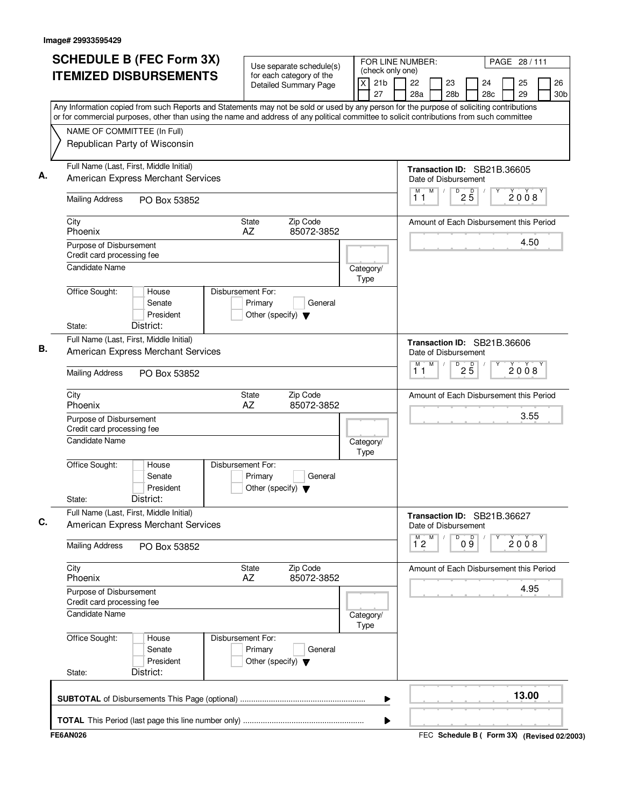| <b>SCHEDULE B (FEC Form 3X)</b><br><b>ITEMIZED DISBURSEMENTS</b>                                                                                                                                                                                                                       | Use separate schedule(s)<br>for each category of the                            | (check only one)           | FOR LINE NUMBER:                                    |                                                                                                                                                                                         | PAGE 28 / 111 |                       |  |
|----------------------------------------------------------------------------------------------------------------------------------------------------------------------------------------------------------------------------------------------------------------------------------------|---------------------------------------------------------------------------------|----------------------------|-----------------------------------------------------|-----------------------------------------------------------------------------------------------------------------------------------------------------------------------------------------|---------------|-----------------------|--|
|                                                                                                                                                                                                                                                                                        | <b>Detailed Summary Page</b>                                                    | 21 <sub>b</sub><br>X<br>27 | 22<br>23<br>28a<br>28 <sub>b</sub>                  | 24<br>28c                                                                                                                                                                               | 25<br>29      | 26<br>30 <sub>b</sub> |  |
| Any Information copied from such Reports and Statements may not be sold or used by any person for the purpose of soliciting contributions<br>or for commercial purposes, other than using the name and address of any political committee to solicit contributions from such committee |                                                                                 |                            |                                                     |                                                                                                                                                                                         |               |                       |  |
| NAME OF COMMITTEE (In Full)                                                                                                                                                                                                                                                            |                                                                                 |                            |                                                     |                                                                                                                                                                                         |               |                       |  |
| Republican Party of Wisconsin                                                                                                                                                                                                                                                          |                                                                                 |                            |                                                     |                                                                                                                                                                                         |               |                       |  |
| Full Name (Last, First, Middle Initial)<br>American Express Merchant Services                                                                                                                                                                                                          |                                                                                 |                            | Transaction ID: SB21B.36605<br>Date of Disbursement |                                                                                                                                                                                         |               |                       |  |
| <b>Mailing Address</b><br>PO Box 53852                                                                                                                                                                                                                                                 |                                                                                 |                            | M<br>М<br>$\sqrt{ }$<br>11                          | $D$ <sub>2</sub> $\overline{5}$                                                                                                                                                         | 2008          |                       |  |
| City<br>Phoenix                                                                                                                                                                                                                                                                        | Zip Code<br>State<br>85072-3852<br>AZ                                           |                            | Amount of Each Disbursement this Period             |                                                                                                                                                                                         |               |                       |  |
| Purpose of Disbursement<br>Credit card processing fee                                                                                                                                                                                                                                  |                                                                                 |                            |                                                     |                                                                                                                                                                                         |               | 4.50                  |  |
| <b>Candidate Name</b>                                                                                                                                                                                                                                                                  |                                                                                 | Category/<br>Type          |                                                     |                                                                                                                                                                                         |               |                       |  |
| Office Sought:<br>House<br>Senate<br>President                                                                                                                                                                                                                                         | Disbursement For:<br>Primary<br>General<br>Other (specify) $\blacktriangledown$ |                            |                                                     |                                                                                                                                                                                         |               |                       |  |
| District:<br>State:                                                                                                                                                                                                                                                                    |                                                                                 |                            |                                                     |                                                                                                                                                                                         |               |                       |  |
| Full Name (Last, First, Middle Initial)<br>American Express Merchant Services                                                                                                                                                                                                          |                                                                                 |                            |                                                     |                                                                                                                                                                                         |               |                       |  |
| <b>Mailing Address</b><br>PO Box 53852                                                                                                                                                                                                                                                 |                                                                                 |                            | M<br>М<br>11                                        | $2\overline{5}$                                                                                                                                                                         |               |                       |  |
| City<br>Phoenix                                                                                                                                                                                                                                                                        | <b>State</b><br>Zip Code<br>AZ<br>85072-3852                                    |                            |                                                     |                                                                                                                                                                                         |               |                       |  |
| Purpose of Disbursement<br>Credit card processing fee                                                                                                                                                                                                                                  |                                                                                 |                            |                                                     |                                                                                                                                                                                         |               |                       |  |
| <b>Candidate Name</b>                                                                                                                                                                                                                                                                  |                                                                                 | Category/<br>Type          |                                                     |                                                                                                                                                                                         |               |                       |  |
| Office Sought:<br>House<br>Senate<br>President<br>District:<br>State:                                                                                                                                                                                                                  | Disbursement For:<br>Primary<br>General<br>Other (specify) $\blacktriangledown$ |                            |                                                     |                                                                                                                                                                                         |               |                       |  |
| Full Name (Last, First, Middle Initial)<br><b>American Express Merchant Services</b>                                                                                                                                                                                                   |                                                                                 |                            |                                                     |                                                                                                                                                                                         |               |                       |  |
| <b>Mailing Address</b><br>PO Box 53852                                                                                                                                                                                                                                                 |                                                                                 |                            | M<br>М<br>12                                        | Transaction ID: SB21B.36627<br>Date of Disbursement<br>D<br>09                                                                                                                          |               |                       |  |
| City<br>Phoenix                                                                                                                                                                                                                                                                        | Zip Code<br>State<br>AZ<br>85072-3852                                           |                            |                                                     |                                                                                                                                                                                         |               |                       |  |
| Purpose of Disbursement<br>Credit card processing fee                                                                                                                                                                                                                                  |                                                                                 |                            |                                                     |                                                                                                                                                                                         |               |                       |  |
| Candidate Name                                                                                                                                                                                                                                                                         |                                                                                 | Category/<br>Type          |                                                     |                                                                                                                                                                                         |               |                       |  |
| Office Sought:<br>House<br>Senate<br>President                                                                                                                                                                                                                                         | Disbursement For:<br>Primary<br>General<br>Other (specify) $\blacktriangledown$ |                            |                                                     |                                                                                                                                                                                         |               |                       |  |
| District:<br>State:                                                                                                                                                                                                                                                                    |                                                                                 |                            |                                                     |                                                                                                                                                                                         |               |                       |  |
|                                                                                                                                                                                                                                                                                        |                                                                                 | ▶                          |                                                     |                                                                                                                                                                                         |               |                       |  |
|                                                                                                                                                                                                                                                                                        |                                                                                 |                            |                                                     | Transaction ID: SB21B.36606<br>Date of Disbursement<br>D<br>2008<br>Amount of Each Disbursement this Period<br>3.55<br>2008<br>Amount of Each Disbursement this Period<br>4.95<br>13.00 |               |                       |  |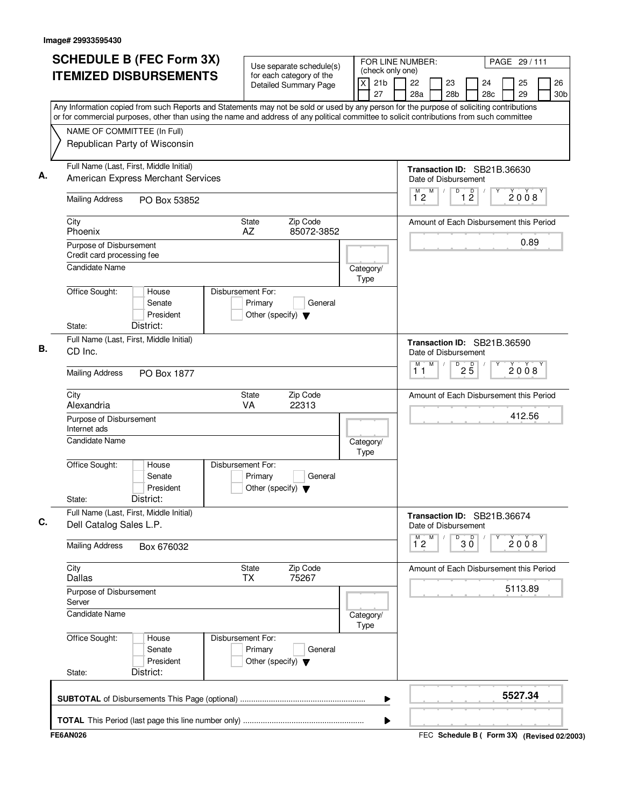| (check only one)<br><b>ITEMIZED DISBURSEMENTS</b><br>for each category of the<br>21 <sub>b</sub><br>22<br>$\times$<br>23<br><b>Detailed Summary Page</b><br>27<br>28a<br>28b<br>Any Information copied from such Reports and Statements may not be sold or used by any person for the purpose of soliciting contributions<br>or for commercial purposes, other than using the name and address of any political committee to solicit contributions from such committee<br>NAME OF COMMITTEE (In Full)<br>Republican Party of Wisconsin<br>Full Name (Last, First, Middle Initial)<br>American Express Merchant Services<br>Date of Disbursement<br>M<br>D<br>M<br>$\sqrt{2}$<br>12<br><b>Mailing Address</b><br>PO Box 53852<br>City<br>Zip Code<br>State<br>Phoenix<br>AZ<br>85072-3852<br>Purpose of Disbursement<br>Credit card processing fee<br><b>Candidate Name</b><br>Category/<br>Type<br>Office Sought:<br>Disbursement For:<br>House<br>Senate<br>Primary<br>General<br>President<br>Other (specify) $\blacktriangledown$<br>District:<br>State:<br>Full Name (Last, First, Middle Initial)<br>CD Inc.<br>Date of Disbursement<br>M<br>M<br>D<br>11<br><b>Mailing Address</b><br>PO Box 1877 | 26<br>25<br>24<br>28c<br>29<br>30b      |
|---------------------------------------------------------------------------------------------------------------------------------------------------------------------------------------------------------------------------------------------------------------------------------------------------------------------------------------------------------------------------------------------------------------------------------------------------------------------------------------------------------------------------------------------------------------------------------------------------------------------------------------------------------------------------------------------------------------------------------------------------------------------------------------------------------------------------------------------------------------------------------------------------------------------------------------------------------------------------------------------------------------------------------------------------------------------------------------------------------------------------------------------------------------------------------------------------------|-----------------------------------------|
|                                                                                                                                                                                                                                                                                                                                                                                                                                                                                                                                                                                                                                                                                                                                                                                                                                                                                                                                                                                                                                                                                                                                                                                                         |                                         |
|                                                                                                                                                                                                                                                                                                                                                                                                                                                                                                                                                                                                                                                                                                                                                                                                                                                                                                                                                                                                                                                                                                                                                                                                         |                                         |
|                                                                                                                                                                                                                                                                                                                                                                                                                                                                                                                                                                                                                                                                                                                                                                                                                                                                                                                                                                                                                                                                                                                                                                                                         |                                         |
|                                                                                                                                                                                                                                                                                                                                                                                                                                                                                                                                                                                                                                                                                                                                                                                                                                                                                                                                                                                                                                                                                                                                                                                                         |                                         |
|                                                                                                                                                                                                                                                                                                                                                                                                                                                                                                                                                                                                                                                                                                                                                                                                                                                                                                                                                                                                                                                                                                                                                                                                         | Transaction ID: SB21B.36630             |
|                                                                                                                                                                                                                                                                                                                                                                                                                                                                                                                                                                                                                                                                                                                                                                                                                                                                                                                                                                                                                                                                                                                                                                                                         | $\overline{1}$ $\overline{2}$<br>2008   |
|                                                                                                                                                                                                                                                                                                                                                                                                                                                                                                                                                                                                                                                                                                                                                                                                                                                                                                                                                                                                                                                                                                                                                                                                         | Amount of Each Disbursement this Period |
|                                                                                                                                                                                                                                                                                                                                                                                                                                                                                                                                                                                                                                                                                                                                                                                                                                                                                                                                                                                                                                                                                                                                                                                                         | 0.89                                    |
|                                                                                                                                                                                                                                                                                                                                                                                                                                                                                                                                                                                                                                                                                                                                                                                                                                                                                                                                                                                                                                                                                                                                                                                                         |                                         |
|                                                                                                                                                                                                                                                                                                                                                                                                                                                                                                                                                                                                                                                                                                                                                                                                                                                                                                                                                                                                                                                                                                                                                                                                         |                                         |
|                                                                                                                                                                                                                                                                                                                                                                                                                                                                                                                                                                                                                                                                                                                                                                                                                                                                                                                                                                                                                                                                                                                                                                                                         |                                         |
|                                                                                                                                                                                                                                                                                                                                                                                                                                                                                                                                                                                                                                                                                                                                                                                                                                                                                                                                                                                                                                                                                                                                                                                                         | Transaction ID: SB21B.36590             |
|                                                                                                                                                                                                                                                                                                                                                                                                                                                                                                                                                                                                                                                                                                                                                                                                                                                                                                                                                                                                                                                                                                                                                                                                         | $2\overline{5}$<br>2008                 |
| City<br>Zip Code<br>State<br>Alexandria<br>VA<br>22313                                                                                                                                                                                                                                                                                                                                                                                                                                                                                                                                                                                                                                                                                                                                                                                                                                                                                                                                                                                                                                                                                                                                                  | Amount of Each Disbursement this Period |
| Purpose of Disbursement<br>Internet ads                                                                                                                                                                                                                                                                                                                                                                                                                                                                                                                                                                                                                                                                                                                                                                                                                                                                                                                                                                                                                                                                                                                                                                 | 412.56                                  |
| <b>Candidate Name</b><br>Category/<br>Type                                                                                                                                                                                                                                                                                                                                                                                                                                                                                                                                                                                                                                                                                                                                                                                                                                                                                                                                                                                                                                                                                                                                                              |                                         |
| Office Sought:<br>Disbursement For:<br>House<br>Senate<br>Primary<br>General<br>President<br>Other (specify) $\blacktriangledown$                                                                                                                                                                                                                                                                                                                                                                                                                                                                                                                                                                                                                                                                                                                                                                                                                                                                                                                                                                                                                                                                       |                                         |
| District:<br>State:<br>Full Name (Last, First, Middle Initial)                                                                                                                                                                                                                                                                                                                                                                                                                                                                                                                                                                                                                                                                                                                                                                                                                                                                                                                                                                                                                                                                                                                                          |                                         |
| Dell Catalog Sales L.P.<br>Date of Disbursement<br>M<br>М<br>D                                                                                                                                                                                                                                                                                                                                                                                                                                                                                                                                                                                                                                                                                                                                                                                                                                                                                                                                                                                                                                                                                                                                          | Transaction ID: SB21B.36674             |
| $1^{\circ}2$<br><b>Mailing Address</b><br>Box 676032                                                                                                                                                                                                                                                                                                                                                                                                                                                                                                                                                                                                                                                                                                                                                                                                                                                                                                                                                                                                                                                                                                                                                    | $30^{\circ}$<br>2008                    |
| Zip Code<br>City<br>State<br><b>TX</b><br>75267<br>Dallas                                                                                                                                                                                                                                                                                                                                                                                                                                                                                                                                                                                                                                                                                                                                                                                                                                                                                                                                                                                                                                                                                                                                               | Amount of Each Disbursement this Period |
| Purpose of Disbursement<br>Server                                                                                                                                                                                                                                                                                                                                                                                                                                                                                                                                                                                                                                                                                                                                                                                                                                                                                                                                                                                                                                                                                                                                                                       | 5113.89                                 |
| <b>Candidate Name</b><br>Category/<br>Type                                                                                                                                                                                                                                                                                                                                                                                                                                                                                                                                                                                                                                                                                                                                                                                                                                                                                                                                                                                                                                                                                                                                                              |                                         |
| Office Sought:<br>Disbursement For:<br>House<br>Primary<br>Senate<br>General<br>President<br>Other (specify) $\blacktriangledown$                                                                                                                                                                                                                                                                                                                                                                                                                                                                                                                                                                                                                                                                                                                                                                                                                                                                                                                                                                                                                                                                       |                                         |
| District:<br>State:                                                                                                                                                                                                                                                                                                                                                                                                                                                                                                                                                                                                                                                                                                                                                                                                                                                                                                                                                                                                                                                                                                                                                                                     |                                         |
| ▶                                                                                                                                                                                                                                                                                                                                                                                                                                                                                                                                                                                                                                                                                                                                                                                                                                                                                                                                                                                                                                                                                                                                                                                                       |                                         |
| ▶                                                                                                                                                                                                                                                                                                                                                                                                                                                                                                                                                                                                                                                                                                                                                                                                                                                                                                                                                                                                                                                                                                                                                                                                       | 5527.34                                 |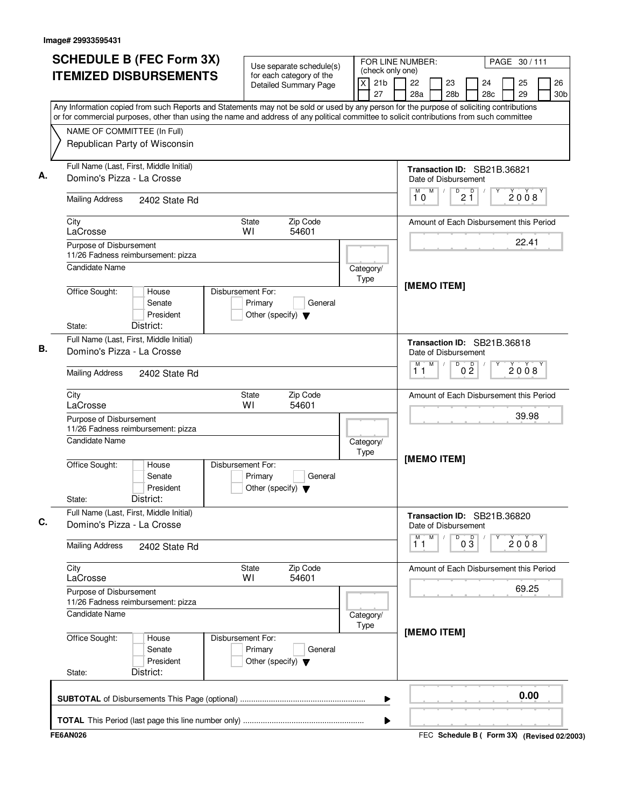| <b>SCHEDULE B (FEC Form 3X)</b>                                                                                                                                                                                                                                                        | Use separate schedule(s)                                                        |                                                           | FOR LINE NUMBER:<br>PAGE 30/111                                                                  |  |  |  |  |  |  |  |
|----------------------------------------------------------------------------------------------------------------------------------------------------------------------------------------------------------------------------------------------------------------------------------------|---------------------------------------------------------------------------------|-----------------------------------------------------------|--------------------------------------------------------------------------------------------------|--|--|--|--|--|--|--|
| <b>ITEMIZED DISBURSEMENTS</b>                                                                                                                                                                                                                                                          | for each category of the<br><b>Detailed Summary Page</b>                        | (check only one)<br>$\mathsf{x}$<br>21 <sub>b</sub><br>27 | 22<br>26<br>23<br>25<br>24<br>28 <sub>c</sub><br>29<br>28a<br>28 <sub>b</sub><br>30 <sub>b</sub> |  |  |  |  |  |  |  |
| Any Information copied from such Reports and Statements may not be sold or used by any person for the purpose of soliciting contributions<br>or for commercial purposes, other than using the name and address of any political committee to solicit contributions from such committee |                                                                                 |                                                           |                                                                                                  |  |  |  |  |  |  |  |
| NAME OF COMMITTEE (In Full)<br>Republican Party of Wisconsin                                                                                                                                                                                                                           |                                                                                 |                                                           |                                                                                                  |  |  |  |  |  |  |  |
| Full Name (Last, First, Middle Initial)<br>Domino's Pizza - La Crosse                                                                                                                                                                                                                  |                                                                                 |                                                           | Transaction ID: SB21B.36821<br>Date of Disbursement                                              |  |  |  |  |  |  |  |
| <b>Mailing Address</b><br>2402 State Rd                                                                                                                                                                                                                                                |                                                                                 |                                                           | M<br>$\sqrt{\frac{D}{2}}$<br>2008<br>10                                                          |  |  |  |  |  |  |  |
| City<br>LaCrosse                                                                                                                                                                                                                                                                       | Zip Code<br><b>State</b><br>WI<br>54601                                         |                                                           | Amount of Each Disbursement this Period                                                          |  |  |  |  |  |  |  |
| Purpose of Disbursement<br>11/26 Fadness reimbursement: pizza                                                                                                                                                                                                                          |                                                                                 |                                                           | 22.41                                                                                            |  |  |  |  |  |  |  |
| <b>Candidate Name</b><br>Office Sought:<br>House                                                                                                                                                                                                                                       | Disbursement For:                                                               | Category/<br>Type                                         | [MEMO ITEM]                                                                                      |  |  |  |  |  |  |  |
| Senate<br>President<br>District:<br>State:                                                                                                                                                                                                                                             | Primary<br>General<br>Other (specify) $\blacktriangledown$                      |                                                           |                                                                                                  |  |  |  |  |  |  |  |
| Full Name (Last, First, Middle Initial)<br>Domino's Pizza - La Crosse                                                                                                                                                                                                                  |                                                                                 |                                                           | Transaction ID: SB21B.36818<br>Date of Disbursement                                              |  |  |  |  |  |  |  |
| <b>Mailing Address</b><br>2402 State Rd                                                                                                                                                                                                                                                |                                                                                 |                                                           |                                                                                                  |  |  |  |  |  |  |  |
| City<br>LaCrosse                                                                                                                                                                                                                                                                       | Zip Code<br><b>State</b><br>WI<br>54601                                         |                                                           | Amount of Each Disbursement this Period                                                          |  |  |  |  |  |  |  |
| Purpose of Disbursement<br>11/26 Fadness reimbursement: pizza                                                                                                                                                                                                                          |                                                                                 |                                                           | 39.98                                                                                            |  |  |  |  |  |  |  |
| <b>Candidate Name</b>                                                                                                                                                                                                                                                                  |                                                                                 | Category/<br>Type                                         | [MEMO ITEM]                                                                                      |  |  |  |  |  |  |  |
| Office Sought:<br>House<br>Senate<br>President<br>District:<br>State:                                                                                                                                                                                                                  | Disbursement For:<br>Primary<br>General<br>Other (specify) $\blacktriangledown$ |                                                           |                                                                                                  |  |  |  |  |  |  |  |
| Full Name (Last, First, Middle Initial)<br>Domino's Pizza - La Crosse                                                                                                                                                                                                                  |                                                                                 |                                                           | Transaction ID: SB21B.36820<br>Date of Disbursement                                              |  |  |  |  |  |  |  |
| <b>Mailing Address</b><br>2402 State Rd                                                                                                                                                                                                                                                |                                                                                 |                                                           | M<br>M<br>D<br>$0\overline{3}$<br>2008<br>11                                                     |  |  |  |  |  |  |  |
| City<br>LaCrosse                                                                                                                                                                                                                                                                       | Zip Code<br><b>State</b><br>WI<br>54601                                         |                                                           | Amount of Each Disbursement this Period                                                          |  |  |  |  |  |  |  |
| Purpose of Disbursement<br>11/26 Fadness reimbursement: pizza                                                                                                                                                                                                                          |                                                                                 | 69.25                                                     |                                                                                                  |  |  |  |  |  |  |  |
| Candidate Name                                                                                                                                                                                                                                                                         | Category/<br>Type                                                               |                                                           |                                                                                                  |  |  |  |  |  |  |  |
| Office Sought:<br>House<br>Senate<br>President<br>District:<br>State:                                                                                                                                                                                                                  | Disbursement For:<br>Primary<br>General<br>Other (specify) $\blacktriangledown$ |                                                           | [MEMO ITEM]                                                                                      |  |  |  |  |  |  |  |
|                                                                                                                                                                                                                                                                                        |                                                                                 | ▶                                                         | 0.00                                                                                             |  |  |  |  |  |  |  |
|                                                                                                                                                                                                                                                                                        |                                                                                 |                                                           |                                                                                                  |  |  |  |  |  |  |  |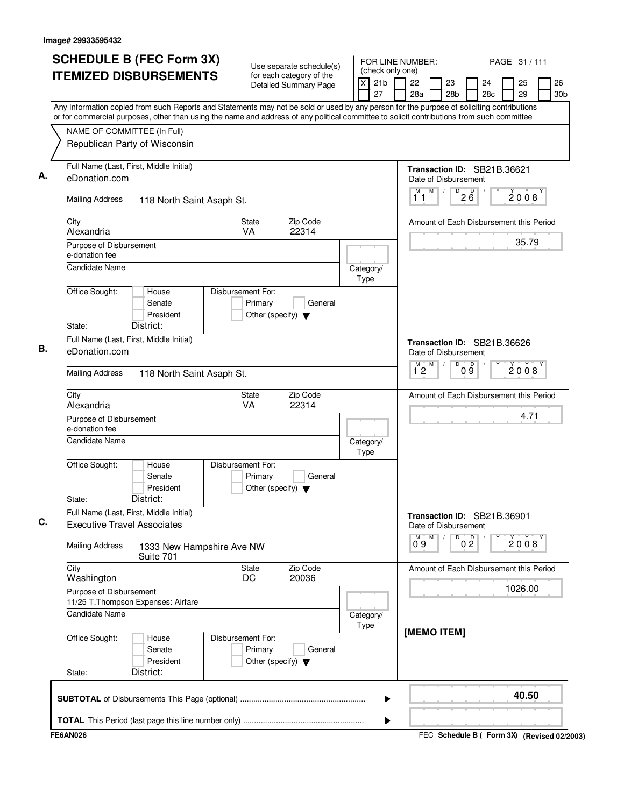| <b>SCHEDULE B (FEC Form 3X)</b>                                                                                                                                                                                                                                                        | Use separate schedule(s)                                                        | FOR LINE NUMBER:                                      |                                                     |                                             |                |           | PAGE 31 / 111 |      |                       |
|----------------------------------------------------------------------------------------------------------------------------------------------------------------------------------------------------------------------------------------------------------------------------------------|---------------------------------------------------------------------------------|-------------------------------------------------------|-----------------------------------------------------|---------------------------------------------|----------------|-----------|---------------|------|-----------------------|
| <b>ITEMIZED DISBURSEMENTS</b>                                                                                                                                                                                                                                                          | for each category of the<br>Detailed Summary Page                               | (check only one)<br>$\times$<br>21 <sub>b</sub><br>27 | 22<br>28a                                           | 23<br>28 <sub>b</sub>                       |                | 24<br>28c | 25<br>29      |      | 26<br>30 <sub>b</sub> |
| Any Information copied from such Reports and Statements may not be sold or used by any person for the purpose of soliciting contributions<br>or for commercial purposes, other than using the name and address of any political committee to solicit contributions from such committee |                                                                                 |                                                       |                                                     |                                             |                |           |               |      |                       |
| NAME OF COMMITTEE (In Full)                                                                                                                                                                                                                                                            |                                                                                 |                                                       |                                                     |                                             |                |           |               |      |                       |
| Republican Party of Wisconsin                                                                                                                                                                                                                                                          |                                                                                 |                                                       |                                                     |                                             |                |           |               |      |                       |
| Full Name (Last, First, Middle Initial)<br>eDonation.com                                                                                                                                                                                                                               |                                                                                 |                                                       | Transaction ID: SB21B.36621<br>Date of Disbursement |                                             |                |           |               |      |                       |
| <b>Mailing Address</b>                                                                                                                                                                                                                                                                 | 118 North Saint Asaph St.                                                       |                                                       |                                                     |                                             |                |           |               | 2008 |                       |
| City<br>Alexandria                                                                                                                                                                                                                                                                     | Zip Code<br><b>State</b><br>VA<br>22314                                         |                                                       | Amount of Each Disbursement this Period             |                                             |                |           |               |      |                       |
| Purpose of Disbursement<br>e-donation fee                                                                                                                                                                                                                                              |                                                                                 |                                                       |                                                     |                                             |                |           | 35.79         |      |                       |
| <b>Candidate Name</b>                                                                                                                                                                                                                                                                  |                                                                                 | Category/<br>Type                                     |                                                     |                                             |                |           |               |      |                       |
| Office Sought:<br>House<br>Senate<br>President<br>District:<br>State:                                                                                                                                                                                                                  | Disbursement For:<br>Primary<br>General<br>Other (specify) $\blacktriangledown$ |                                                       |                                                     |                                             |                |           |               |      |                       |
| Full Name (Last, First, Middle Initial)                                                                                                                                                                                                                                                |                                                                                 |                                                       | Transaction ID: SB21B.36626                         |                                             |                |           |               |      |                       |
| eDonation.com                                                                                                                                                                                                                                                                          |                                                                                 |                                                       | Date of Disbursement<br>M<br>M <sup>-1</sup>        | D                                           |                |           |               |      |                       |
| <b>Mailing Address</b><br>118 North Saint Asaph St.                                                                                                                                                                                                                                    |                                                                                 |                                                       | 12                                                  |                                             | 09             |           | 2008          |      |                       |
| City<br>Alexandria                                                                                                                                                                                                                                                                     | Zip Code<br>State<br>VA<br>22314                                                |                                                       | Amount of Each Disbursement this Period             |                                             |                |           |               |      |                       |
| Purpose of Disbursement<br>e-donation fee                                                                                                                                                                                                                                              |                                                                                 |                                                       |                                                     |                                             |                | 4.71      |               |      |                       |
| <b>Candidate Name</b>                                                                                                                                                                                                                                                                  |                                                                                 | Category/<br>Type                                     |                                                     |                                             |                |           |               |      |                       |
| Office Sought:<br>House<br>Senate<br>President<br>District:<br>State:                                                                                                                                                                                                                  | Disbursement For:<br>Primary<br>General<br>Other (specify) $\blacktriangledown$ |                                                       |                                                     |                                             |                |           |               |      |                       |
| Full Name (Last, First, Middle Initial)<br><b>Executive Travel Associates</b>                                                                                                                                                                                                          |                                                                                 |                                                       | Transaction ID: SB21B.36901<br>Date of Disbursement |                                             |                |           |               |      |                       |
| <b>Mailing Address</b><br>1333 New Hampshire Ave NW<br>Suite 701                                                                                                                                                                                                                       |                                                                                 |                                                       | $0^{\circ}9$<br>M                                   | D                                           | 0 <sup>0</sup> |           | 2008          |      |                       |
| City<br>Washington                                                                                                                                                                                                                                                                     | Zip Code<br><b>State</b><br>20036<br>DC                                         |                                                       | Amount of Each Disbursement this Period             |                                             |                |           |               |      |                       |
| Purpose of Disbursement<br>11/25 T. Thompson Expenses: Airfare                                                                                                                                                                                                                         |                                                                                 |                                                       |                                                     |                                             |                |           | 1026.00       |      |                       |
| <b>Candidate Name</b>                                                                                                                                                                                                                                                                  |                                                                                 | Category/<br>Type                                     | [MEMO ITEM]                                         |                                             |                |           |               |      |                       |
| Office Sought:<br>House<br>Senate<br>President<br>District:<br>State:                                                                                                                                                                                                                  | Disbursement For:<br>Primary<br>General<br>Other (specify) $\blacktriangledown$ |                                                       |                                                     |                                             |                |           |               |      |                       |
|                                                                                                                                                                                                                                                                                        |                                                                                 | ▶                                                     |                                                     |                                             |                |           | 40.50         |      |                       |
|                                                                                                                                                                                                                                                                                        |                                                                                 | ▶                                                     |                                                     |                                             |                |           |               |      |                       |
| <b>FE6AN026</b>                                                                                                                                                                                                                                                                        |                                                                                 |                                                       |                                                     | FEC Schedule B ( Form 3X) (Revised 02/2003) |                |           |               |      |                       |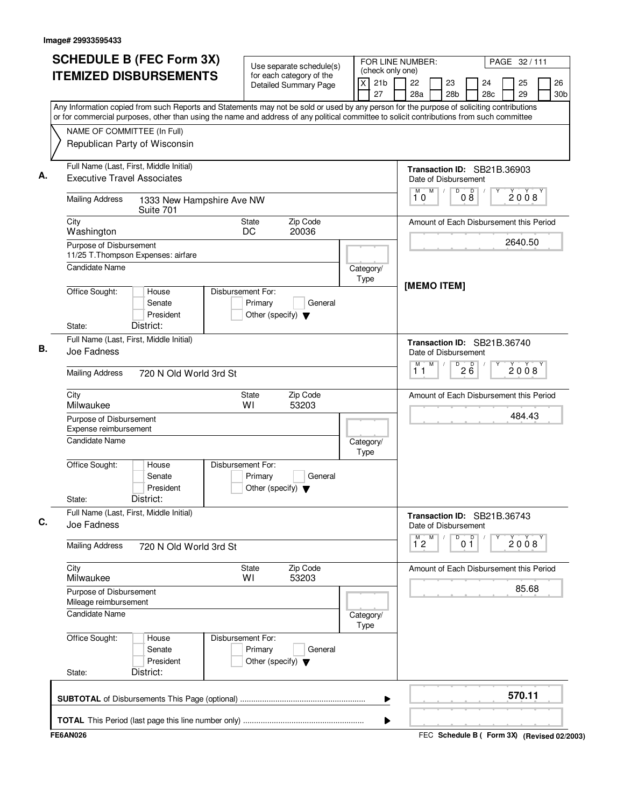| <b>SCHEDULE B (FEC Form 3X)</b>                                                                                                                                                                                                                                                        | Use separate schedule(s)                                                        |                                                             | FOR LINE NUMBER:<br>PAGE 32/111                                                                  |  |  |  |
|----------------------------------------------------------------------------------------------------------------------------------------------------------------------------------------------------------------------------------------------------------------------------------------|---------------------------------------------------------------------------------|-------------------------------------------------------------|--------------------------------------------------------------------------------------------------|--|--|--|
| <b>ITEMIZED DISBURSEMENTS</b>                                                                                                                                                                                                                                                          | for each category of the<br><b>Detailed Summary Page</b>                        | (check only one)<br>$\overline{x}$<br>21 <sub>b</sub><br>27 | 26<br>22<br>23<br>25<br>24<br>28a<br>28 <sub>b</sub><br>28 <sub>c</sub><br>29<br>30 <sub>b</sub> |  |  |  |
| Any Information copied from such Reports and Statements may not be sold or used by any person for the purpose of soliciting contributions<br>or for commercial purposes, other than using the name and address of any political committee to solicit contributions from such committee |                                                                                 |                                                             |                                                                                                  |  |  |  |
| NAME OF COMMITTEE (In Full)                                                                                                                                                                                                                                                            |                                                                                 |                                                             |                                                                                                  |  |  |  |
| Republican Party of Wisconsin                                                                                                                                                                                                                                                          |                                                                                 |                                                             |                                                                                                  |  |  |  |
| Full Name (Last, First, Middle Initial)<br><b>Executive Travel Associates</b>                                                                                                                                                                                                          |                                                                                 |                                                             | Transaction ID: SB21B.36903<br>Date of Disbursement                                              |  |  |  |
| <b>Mailing Address</b><br>1333 New Hampshire Ave NW<br>Suite 701                                                                                                                                                                                                                       |                                                                                 |                                                             | M<br>$\overline{D}$<br>M<br>D<br>2008<br>$0\bar{8}$<br>10                                        |  |  |  |
| City<br>Washington                                                                                                                                                                                                                                                                     | Zip Code<br>State<br>DC<br>20036                                                |                                                             | Amount of Each Disbursement this Period                                                          |  |  |  |
| Purpose of Disbursement<br>11/25 T. Thompson Expenses: airfare                                                                                                                                                                                                                         |                                                                                 |                                                             | 2640.50                                                                                          |  |  |  |
| Candidate Name                                                                                                                                                                                                                                                                         |                                                                                 | Category/<br>Type                                           |                                                                                                  |  |  |  |
| Office Sought:<br>House<br>Senate<br>President<br>District:<br>State:                                                                                                                                                                                                                  | Disbursement For:<br>Primary<br>General<br>Other (specify) $\blacktriangledown$ |                                                             | [MEMO ITEM]                                                                                      |  |  |  |
| Full Name (Last, First, Middle Initial)<br>Joe Fadness                                                                                                                                                                                                                                 |                                                                                 |                                                             | Transaction ID: SB21B.36740<br>Date of Disbursement                                              |  |  |  |
| <b>Mailing Address</b>                                                                                                                                                                                                                                                                 | 720 N Old World 3rd St                                                          |                                                             |                                                                                                  |  |  |  |
| City<br>Milwaukee                                                                                                                                                                                                                                                                      | Zip Code<br>State<br>WI<br>53203                                                |                                                             | Amount of Each Disbursement this Period                                                          |  |  |  |
| Purpose of Disbursement<br>Expense reimbursement                                                                                                                                                                                                                                       |                                                                                 | 484.43                                                      |                                                                                                  |  |  |  |
| <b>Candidate Name</b>                                                                                                                                                                                                                                                                  |                                                                                 | Category/<br>Type                                           |                                                                                                  |  |  |  |
| Office Sought:<br>House<br>Senate<br>President<br>District:<br>State:                                                                                                                                                                                                                  | Disbursement For:<br>Primary<br>General<br>Other (specify) $\blacktriangledown$ |                                                             |                                                                                                  |  |  |  |
| Full Name (Last, First, Middle Initial)<br>Joe Fadness                                                                                                                                                                                                                                 |                                                                                 |                                                             | Transaction ID: SB21B.36743<br>Date of Disbursement                                              |  |  |  |
| <b>Mailing Address</b><br>720 N Old World 3rd St                                                                                                                                                                                                                                       |                                                                                 |                                                             | p<br>M<br>M<br>D<br>2008<br>$1^{\degree}2$<br>01                                                 |  |  |  |
| City<br>Milwaukee                                                                                                                                                                                                                                                                      | Zip Code<br>State<br>53203<br>W١                                                |                                                             | Amount of Each Disbursement this Period                                                          |  |  |  |
| Purpose of Disbursement<br>Mileage reimbursement                                                                                                                                                                                                                                       |                                                                                 |                                                             |                                                                                                  |  |  |  |
| Candidate Name                                                                                                                                                                                                                                                                         | Category/<br>Type                                                               |                                                             |                                                                                                  |  |  |  |
| Office Sought:<br>House<br>Senate<br>President<br>District:<br>State:                                                                                                                                                                                                                  | Disbursement For:<br>Primary<br>General<br>Other (specify) $\blacktriangledown$ |                                                             |                                                                                                  |  |  |  |
|                                                                                                                                                                                                                                                                                        |                                                                                 | ▶                                                           | 570.11                                                                                           |  |  |  |
|                                                                                                                                                                                                                                                                                        |                                                                                 | ▶                                                           |                                                                                                  |  |  |  |
| <b>FE6AN026</b>                                                                                                                                                                                                                                                                        |                                                                                 |                                                             | FEC Schedule B ( Form 3X) (Revised 02/2003)                                                      |  |  |  |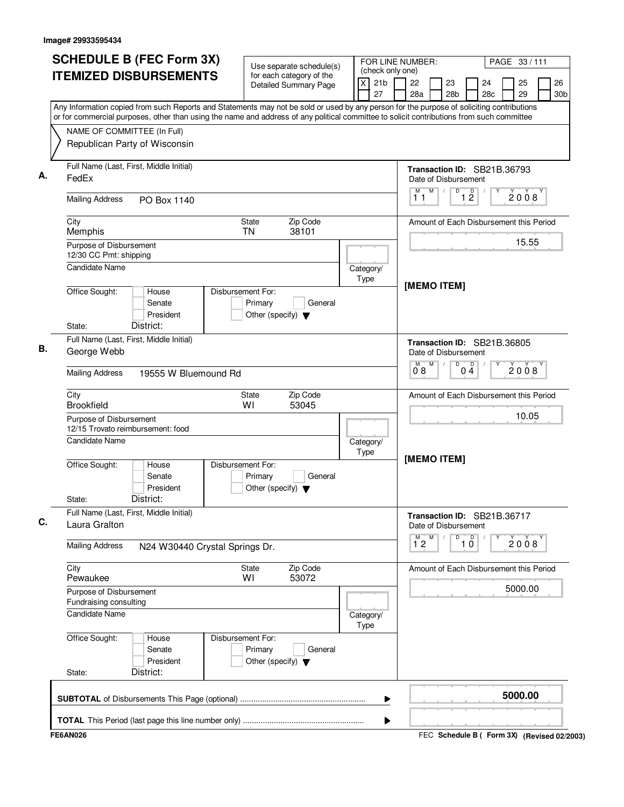| <b>SCHEDULE B (FEC Form 3X)</b><br><b>ITEMIZED DISBURSEMENTS</b>                                                                                                                                                                                                                       | Use separate schedule(s)<br>for each category of the                            | (check only one)                  | FOR LINE NUMBER:<br>PAGE 33/111                                                                  |  |  |
|----------------------------------------------------------------------------------------------------------------------------------------------------------------------------------------------------------------------------------------------------------------------------------------|---------------------------------------------------------------------------------|-----------------------------------|--------------------------------------------------------------------------------------------------|--|--|
|                                                                                                                                                                                                                                                                                        | <b>Detailed Summary Page</b>                                                    | 21 <sub>b</sub><br>$\times$<br>27 | 22<br>23<br>26<br>24<br>25<br>28a<br>28 <sub>b</sub><br>28c<br>29<br>30b                         |  |  |
| Any Information copied from such Reports and Statements may not be sold or used by any person for the purpose of soliciting contributions<br>or for commercial purposes, other than using the name and address of any political committee to solicit contributions from such committee |                                                                                 |                                   |                                                                                                  |  |  |
| NAME OF COMMITTEE (In Full)                                                                                                                                                                                                                                                            |                                                                                 |                                   |                                                                                                  |  |  |
| Republican Party of Wisconsin                                                                                                                                                                                                                                                          |                                                                                 |                                   |                                                                                                  |  |  |
| Full Name (Last, First, Middle Initial)<br>FedEx                                                                                                                                                                                                                                       |                                                                                 |                                   | Transaction ID: SB21B.36793<br>Date of Disbursement                                              |  |  |
| <b>Mailing Address</b><br>PO Box 1140                                                                                                                                                                                                                                                  |                                                                                 |                                   | M<br>$\overline{D}$<br>$\mathsf D$<br>M<br>$\sqrt{2}$<br>2008<br>$1\overline{2}$<br>11           |  |  |
| City<br>Memphis                                                                                                                                                                                                                                                                        | <b>State</b><br>Zip Code<br><b>TN</b><br>38101                                  |                                   | Amount of Each Disbursement this Period                                                          |  |  |
| Purpose of Disbursement<br>12/30 CC Pmt: shipping                                                                                                                                                                                                                                      |                                                                                 |                                   | 15.55                                                                                            |  |  |
| <b>Candidate Name</b>                                                                                                                                                                                                                                                                  |                                                                                 | Category/<br>Type                 |                                                                                                  |  |  |
| Office Sought:<br>House<br>Senate<br>President                                                                                                                                                                                                                                         | Disbursement For:<br>Primary<br>General<br>Other (specify) $\blacktriangledown$ |                                   | [MEMO ITEM]                                                                                      |  |  |
| District:<br>State:                                                                                                                                                                                                                                                                    |                                                                                 |                                   |                                                                                                  |  |  |
| Full Name (Last, First, Middle Initial)<br>George Webb                                                                                                                                                                                                                                 |                                                                                 |                                   | Transaction ID: SB21B.36805<br>Date of Disbursement<br>M<br>D<br>$0\stackrel{D}{4}$<br>M<br>2008 |  |  |
| <b>Mailing Address</b>                                                                                                                                                                                                                                                                 | 19555 W Bluemound Rd                                                            |                                   |                                                                                                  |  |  |
| City<br><b>Brookfield</b>                                                                                                                                                                                                                                                              | Zip Code<br><b>State</b><br>W١<br>53045                                         |                                   | Amount of Each Disbursement this Period                                                          |  |  |
| Purpose of Disbursement<br>12/15 Trovato reimbursement: food                                                                                                                                                                                                                           |                                                                                 |                                   | 10.05                                                                                            |  |  |
| <b>Candidate Name</b>                                                                                                                                                                                                                                                                  |                                                                                 | Category/<br>Type                 |                                                                                                  |  |  |
| Office Sought:<br>House<br>Senate<br>President<br>District:<br>State:                                                                                                                                                                                                                  | Disbursement For:<br>Primary<br>General<br>Other (specify) $\blacktriangledown$ |                                   | [MEMO ITEM]                                                                                      |  |  |
| Full Name (Last, First, Middle Initial)                                                                                                                                                                                                                                                |                                                                                 |                                   | Transaction ID: SB21B.36717                                                                      |  |  |
| Laura Gralton                                                                                                                                                                                                                                                                          |                                                                                 |                                   | Date of Disbursement                                                                             |  |  |
| <b>Mailing Address</b><br>N24 W30440 Crystal Springs Dr.                                                                                                                                                                                                                               |                                                                                 |                                   | $\overline{1}$ $\overline{0}$<br>$\overline{1}^M$ 2<br>M<br>D<br>2008                            |  |  |
| City<br>Pewaukee                                                                                                                                                                                                                                                                       | Zip Code<br><b>State</b><br>53072<br>WI                                         |                                   | Amount of Each Disbursement this Period                                                          |  |  |
| Purpose of Disbursement<br>Fundraising consulting                                                                                                                                                                                                                                      |                                                                                 |                                   | 5000.00                                                                                          |  |  |
| <b>Candidate Name</b>                                                                                                                                                                                                                                                                  | Category/<br>Type                                                               |                                   |                                                                                                  |  |  |
| Office Sought:<br>House<br>Senate<br>President                                                                                                                                                                                                                                         | Disbursement For:<br>Primary<br>General<br>Other (specify) $\blacktriangledown$ |                                   |                                                                                                  |  |  |
| District:<br>State:                                                                                                                                                                                                                                                                    |                                                                                 |                                   |                                                                                                  |  |  |
|                                                                                                                                                                                                                                                                                        |                                                                                 | ▶                                 | 5000.00                                                                                          |  |  |
|                                                                                                                                                                                                                                                                                        |                                                                                 |                                   |                                                                                                  |  |  |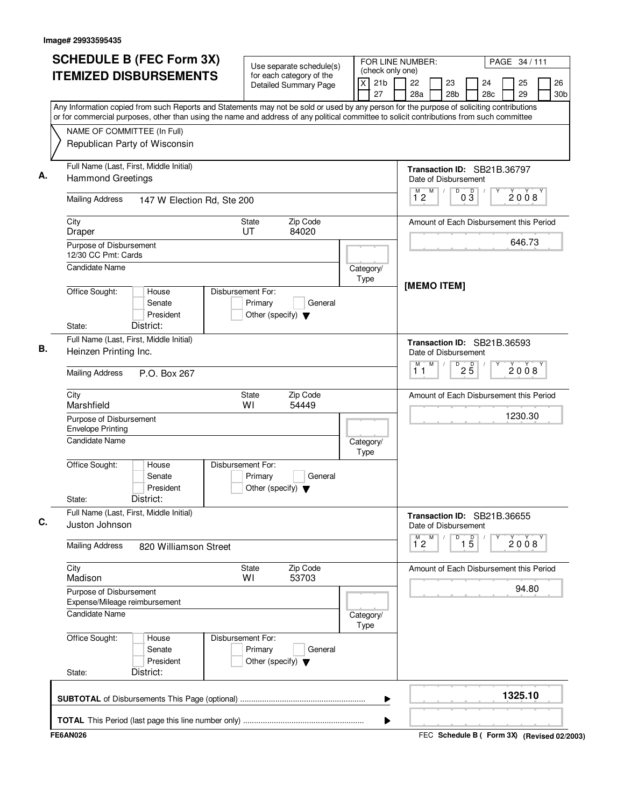| Use separate schedule(s)<br><b>ITEMIZED DISBURSEMENTS</b><br>for each category of the<br><b>Detailed Summary Page</b><br>Any Information copied from such Reports and Statements may not be sold or used by any person for the purpose of soliciting contributions<br>or for commercial purposes, other than using the name and address of any political committee to solicit contributions from such committee<br>NAME OF COMMITTEE (In Full)<br>Republican Party of Wisconsin<br>Full Name (Last, First, Middle Initial)<br>А.<br><b>Hammond Greetings</b><br><b>Mailing Address</b><br>147 W Election Rd, Ste 200<br>Zip Code<br>City<br>State<br>UT<br>84020<br>Draper<br>Purpose of Disbursement<br>12/30 CC Pmt: Cards<br>Candidate Name<br>Office Sought:<br>Disbursement For:<br>House | (check only one)<br>$\overline{\mathsf{x}}$<br>21 <sub>b</sub><br>27<br>Category/<br>Type | 26<br>22<br>23<br>25<br>24<br>28a<br>28 <sub>b</sub><br>28c<br>29<br>30 <sub>b</sub><br>Transaction ID: SB21B.36797<br>Date of Disbursement<br>M<br>$\overline{D}$<br>M<br>$0\overline{3}$<br>2008<br>12<br>Amount of Each Disbursement this Period<br>646.73<br>[MEMO ITEM]<br>Transaction ID: SB21B.36593 |
|------------------------------------------------------------------------------------------------------------------------------------------------------------------------------------------------------------------------------------------------------------------------------------------------------------------------------------------------------------------------------------------------------------------------------------------------------------------------------------------------------------------------------------------------------------------------------------------------------------------------------------------------------------------------------------------------------------------------------------------------------------------------------------------------|-------------------------------------------------------------------------------------------|-------------------------------------------------------------------------------------------------------------------------------------------------------------------------------------------------------------------------------------------------------------------------------------------------------------|
|                                                                                                                                                                                                                                                                                                                                                                                                                                                                                                                                                                                                                                                                                                                                                                                                |                                                                                           |                                                                                                                                                                                                                                                                                                             |
|                                                                                                                                                                                                                                                                                                                                                                                                                                                                                                                                                                                                                                                                                                                                                                                                |                                                                                           |                                                                                                                                                                                                                                                                                                             |
|                                                                                                                                                                                                                                                                                                                                                                                                                                                                                                                                                                                                                                                                                                                                                                                                |                                                                                           |                                                                                                                                                                                                                                                                                                             |
|                                                                                                                                                                                                                                                                                                                                                                                                                                                                                                                                                                                                                                                                                                                                                                                                |                                                                                           |                                                                                                                                                                                                                                                                                                             |
|                                                                                                                                                                                                                                                                                                                                                                                                                                                                                                                                                                                                                                                                                                                                                                                                |                                                                                           |                                                                                                                                                                                                                                                                                                             |
|                                                                                                                                                                                                                                                                                                                                                                                                                                                                                                                                                                                                                                                                                                                                                                                                |                                                                                           |                                                                                                                                                                                                                                                                                                             |
|                                                                                                                                                                                                                                                                                                                                                                                                                                                                                                                                                                                                                                                                                                                                                                                                |                                                                                           |                                                                                                                                                                                                                                                                                                             |
|                                                                                                                                                                                                                                                                                                                                                                                                                                                                                                                                                                                                                                                                                                                                                                                                |                                                                                           |                                                                                                                                                                                                                                                                                                             |
| Senate<br>Primary<br>General<br>President<br>Other (specify) $\blacktriangledown$<br>District:<br>State:                                                                                                                                                                                                                                                                                                                                                                                                                                                                                                                                                                                                                                                                                       |                                                                                           |                                                                                                                                                                                                                                                                                                             |
| Full Name (Last, First, Middle Initial)<br>Heinzen Printing Inc.                                                                                                                                                                                                                                                                                                                                                                                                                                                                                                                                                                                                                                                                                                                               |                                                                                           | Date of Disbursement                                                                                                                                                                                                                                                                                        |
| <b>Mailing Address</b><br>P.O. Box 267                                                                                                                                                                                                                                                                                                                                                                                                                                                                                                                                                                                                                                                                                                                                                         |                                                                                           | M<br>м<br>D<br>$2\overline{5}$<br>2008<br>11                                                                                                                                                                                                                                                                |
| City<br>Zip Code<br>State<br>Marshfield<br>WI<br>54449                                                                                                                                                                                                                                                                                                                                                                                                                                                                                                                                                                                                                                                                                                                                         |                                                                                           | Amount of Each Disbursement this Period                                                                                                                                                                                                                                                                     |
| Purpose of Disbursement<br><b>Envelope Printing</b>                                                                                                                                                                                                                                                                                                                                                                                                                                                                                                                                                                                                                                                                                                                                            |                                                                                           | 1230.30                                                                                                                                                                                                                                                                                                     |
| Candidate Name                                                                                                                                                                                                                                                                                                                                                                                                                                                                                                                                                                                                                                                                                                                                                                                 | Category/<br>Type                                                                         |                                                                                                                                                                                                                                                                                                             |
| Office Sought:<br>Disbursement For:<br>House<br>Senate<br>Primary<br>General<br>President<br>Other (specify) $\blacktriangledown$<br>District:<br>State:                                                                                                                                                                                                                                                                                                                                                                                                                                                                                                                                                                                                                                       |                                                                                           |                                                                                                                                                                                                                                                                                                             |
| Full Name (Last, First, Middle Initial)<br>Juston Johnson                                                                                                                                                                                                                                                                                                                                                                                                                                                                                                                                                                                                                                                                                                                                      |                                                                                           | Transaction ID: SB21B.36655<br>Date of Disbursement                                                                                                                                                                                                                                                         |
| <b>Mailing Address</b><br>820 Williamson Street                                                                                                                                                                                                                                                                                                                                                                                                                                                                                                                                                                                                                                                                                                                                                |                                                                                           | $\overline{1\,5}$<br>$\overline{1}^M$ 2<br>M<br>D<br>2008                                                                                                                                                                                                                                                   |
| City<br>Zip Code<br>State<br>Madison<br>53703<br>W١                                                                                                                                                                                                                                                                                                                                                                                                                                                                                                                                                                                                                                                                                                                                            |                                                                                           | Amount of Each Disbursement this Period                                                                                                                                                                                                                                                                     |
| Purpose of Disbursement<br>Expense/Mileage reimbursement                                                                                                                                                                                                                                                                                                                                                                                                                                                                                                                                                                                                                                                                                                                                       |                                                                                           | 94.80                                                                                                                                                                                                                                                                                                       |
| <b>Candidate Name</b>                                                                                                                                                                                                                                                                                                                                                                                                                                                                                                                                                                                                                                                                                                                                                                          | Category/<br>Type                                                                         |                                                                                                                                                                                                                                                                                                             |
| Office Sought:<br>Disbursement For:<br>House<br>Primary<br>Senate<br>General<br>President<br>Other (specify) $\blacktriangledown$<br>District:<br>State:                                                                                                                                                                                                                                                                                                                                                                                                                                                                                                                                                                                                                                       |                                                                                           |                                                                                                                                                                                                                                                                                                             |
|                                                                                                                                                                                                                                                                                                                                                                                                                                                                                                                                                                                                                                                                                                                                                                                                | ▶                                                                                         | 1325.10                                                                                                                                                                                                                                                                                                     |
|                                                                                                                                                                                                                                                                                                                                                                                                                                                                                                                                                                                                                                                                                                                                                                                                | ▶                                                                                         |                                                                                                                                                                                                                                                                                                             |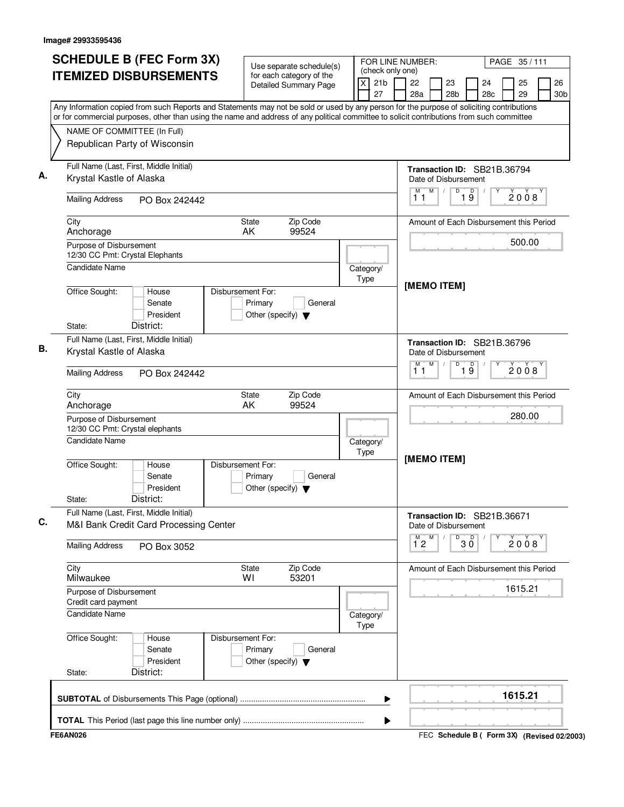| <b>ITEMIZED DISBURSEMENTS</b><br>for each category of the<br>X<br>21 <sub>b</sub><br>22<br>23<br>24<br><b>Detailed Summary Page</b><br>27<br>28a<br>28 <sub>b</sub><br>28 <sub>c</sub><br>Any Information copied from such Reports and Statements may not be sold or used by any person for the purpose of soliciting contributions<br>or for commercial purposes, other than using the name and address of any political committee to solicit contributions from such committee<br>NAME OF COMMITTEE (In Full)<br>Republican Party of Wisconsin<br>Full Name (Last, First, Middle Initial)<br>Transaction ID: SB21B.36794<br>А.<br>Krystal Kastle of Alaska<br>Date of Disbursement<br>$\overline{D}$<br>M<br>19<br>M<br>$\sqrt{2}$<br>11<br><b>Mailing Address</b><br>PO Box 242442<br>Zip Code<br>City<br>State<br>Amount of Each Disbursement this Period<br>99524<br>AK<br>Anchorage<br>Purpose of Disbursement<br>12/30 CC Pmt: Crystal Elephants<br><b>Candidate Name</b><br>Category/<br>Type<br>[MEMO ITEM]<br>Office Sought:<br>Disbursement For:<br>House<br>Primary<br>Senate<br>General<br>President<br>Other (specify) $\blacktriangledown$<br>District:<br>State:<br>Full Name (Last, First, Middle Initial)<br>Transaction ID: SB21B.36796<br>В.<br>Krystal Kastle of Alaska<br>Date of Disbursement<br>M<br>$\overline{D}$<br>$\overline{19}$<br>м<br>11<br><b>Mailing Address</b><br>PO Box 242442<br>Zip Code<br>City<br>State<br>AK<br>99524<br>Anchorage<br>Purpose of Disbursement<br>12/30 CC Pmt: Crystal elephants<br><b>Candidate Name</b><br>Category/<br>Type<br>[MEMO ITEM]<br>Office Sought:<br>Disbursement For:<br>House<br>Senate<br>Primary<br>General<br>President<br>Other (specify) $\blacktriangledown$<br>District:<br>State:<br>Full Name (Last, First, Middle Initial)<br>Transaction ID: SB21B.36671<br>С.<br>M&I Bank Credit Card Processing Center<br>Date of Disbursement<br>M<br>М<br>D<br>30<br>$1^{\circ}2$<br><b>Mailing Address</b><br>PO Box 3052<br>City<br>State<br>Zip Code<br>Amount of Each Disbursement this Period<br>Milwaukee<br>WI<br>53201<br>Purpose of Disbursement<br>Credit card payment<br><b>Candidate Name</b><br>Category/<br>Type | PAGE 35/111                             |  |  |  |  |  |
|----------------------------------------------------------------------------------------------------------------------------------------------------------------------------------------------------------------------------------------------------------------------------------------------------------------------------------------------------------------------------------------------------------------------------------------------------------------------------------------------------------------------------------------------------------------------------------------------------------------------------------------------------------------------------------------------------------------------------------------------------------------------------------------------------------------------------------------------------------------------------------------------------------------------------------------------------------------------------------------------------------------------------------------------------------------------------------------------------------------------------------------------------------------------------------------------------------------------------------------------------------------------------------------------------------------------------------------------------------------------------------------------------------------------------------------------------------------------------------------------------------------------------------------------------------------------------------------------------------------------------------------------------------------------------------------------------------------------------------------------------------------------------------------------------------------------------------------------------------------------------------------------------------------------------------------------------------------------------------------------------------------------------------------------------------------------------------------------------------------------------------------------------------------------------------------------------------|-----------------------------------------|--|--|--|--|--|
|                                                                                                                                                                                                                                                                                                                                                                                                                                                                                                                                                                                                                                                                                                                                                                                                                                                                                                                                                                                                                                                                                                                                                                                                                                                                                                                                                                                                                                                                                                                                                                                                                                                                                                                                                                                                                                                                                                                                                                                                                                                                                                                                                                                                          | 26<br>25<br>29<br>30 <sub>b</sub>       |  |  |  |  |  |
|                                                                                                                                                                                                                                                                                                                                                                                                                                                                                                                                                                                                                                                                                                                                                                                                                                                                                                                                                                                                                                                                                                                                                                                                                                                                                                                                                                                                                                                                                                                                                                                                                                                                                                                                                                                                                                                                                                                                                                                                                                                                                                                                                                                                          |                                         |  |  |  |  |  |
|                                                                                                                                                                                                                                                                                                                                                                                                                                                                                                                                                                                                                                                                                                                                                                                                                                                                                                                                                                                                                                                                                                                                                                                                                                                                                                                                                                                                                                                                                                                                                                                                                                                                                                                                                                                                                                                                                                                                                                                                                                                                                                                                                                                                          |                                         |  |  |  |  |  |
|                                                                                                                                                                                                                                                                                                                                                                                                                                                                                                                                                                                                                                                                                                                                                                                                                                                                                                                                                                                                                                                                                                                                                                                                                                                                                                                                                                                                                                                                                                                                                                                                                                                                                                                                                                                                                                                                                                                                                                                                                                                                                                                                                                                                          |                                         |  |  |  |  |  |
|                                                                                                                                                                                                                                                                                                                                                                                                                                                                                                                                                                                                                                                                                                                                                                                                                                                                                                                                                                                                                                                                                                                                                                                                                                                                                                                                                                                                                                                                                                                                                                                                                                                                                                                                                                                                                                                                                                                                                                                                                                                                                                                                                                                                          |                                         |  |  |  |  |  |
|                                                                                                                                                                                                                                                                                                                                                                                                                                                                                                                                                                                                                                                                                                                                                                                                                                                                                                                                                                                                                                                                                                                                                                                                                                                                                                                                                                                                                                                                                                                                                                                                                                                                                                                                                                                                                                                                                                                                                                                                                                                                                                                                                                                                          | 2008                                    |  |  |  |  |  |
|                                                                                                                                                                                                                                                                                                                                                                                                                                                                                                                                                                                                                                                                                                                                                                                                                                                                                                                                                                                                                                                                                                                                                                                                                                                                                                                                                                                                                                                                                                                                                                                                                                                                                                                                                                                                                                                                                                                                                                                                                                                                                                                                                                                                          |                                         |  |  |  |  |  |
|                                                                                                                                                                                                                                                                                                                                                                                                                                                                                                                                                                                                                                                                                                                                                                                                                                                                                                                                                                                                                                                                                                                                                                                                                                                                                                                                                                                                                                                                                                                                                                                                                                                                                                                                                                                                                                                                                                                                                                                                                                                                                                                                                                                                          | 500.00                                  |  |  |  |  |  |
|                                                                                                                                                                                                                                                                                                                                                                                                                                                                                                                                                                                                                                                                                                                                                                                                                                                                                                                                                                                                                                                                                                                                                                                                                                                                                                                                                                                                                                                                                                                                                                                                                                                                                                                                                                                                                                                                                                                                                                                                                                                                                                                                                                                                          |                                         |  |  |  |  |  |
|                                                                                                                                                                                                                                                                                                                                                                                                                                                                                                                                                                                                                                                                                                                                                                                                                                                                                                                                                                                                                                                                                                                                                                                                                                                                                                                                                                                                                                                                                                                                                                                                                                                                                                                                                                                                                                                                                                                                                                                                                                                                                                                                                                                                          |                                         |  |  |  |  |  |
|                                                                                                                                                                                                                                                                                                                                                                                                                                                                                                                                                                                                                                                                                                                                                                                                                                                                                                                                                                                                                                                                                                                                                                                                                                                                                                                                                                                                                                                                                                                                                                                                                                                                                                                                                                                                                                                                                                                                                                                                                                                                                                                                                                                                          |                                         |  |  |  |  |  |
|                                                                                                                                                                                                                                                                                                                                                                                                                                                                                                                                                                                                                                                                                                                                                                                                                                                                                                                                                                                                                                                                                                                                                                                                                                                                                                                                                                                                                                                                                                                                                                                                                                                                                                                                                                                                                                                                                                                                                                                                                                                                                                                                                                                                          |                                         |  |  |  |  |  |
|                                                                                                                                                                                                                                                                                                                                                                                                                                                                                                                                                                                                                                                                                                                                                                                                                                                                                                                                                                                                                                                                                                                                                                                                                                                                                                                                                                                                                                                                                                                                                                                                                                                                                                                                                                                                                                                                                                                                                                                                                                                                                                                                                                                                          | 2008                                    |  |  |  |  |  |
|                                                                                                                                                                                                                                                                                                                                                                                                                                                                                                                                                                                                                                                                                                                                                                                                                                                                                                                                                                                                                                                                                                                                                                                                                                                                                                                                                                                                                                                                                                                                                                                                                                                                                                                                                                                                                                                                                                                                                                                                                                                                                                                                                                                                          | Amount of Each Disbursement this Period |  |  |  |  |  |
|                                                                                                                                                                                                                                                                                                                                                                                                                                                                                                                                                                                                                                                                                                                                                                                                                                                                                                                                                                                                                                                                                                                                                                                                                                                                                                                                                                                                                                                                                                                                                                                                                                                                                                                                                                                                                                                                                                                                                                                                                                                                                                                                                                                                          | 280.00                                  |  |  |  |  |  |
|                                                                                                                                                                                                                                                                                                                                                                                                                                                                                                                                                                                                                                                                                                                                                                                                                                                                                                                                                                                                                                                                                                                                                                                                                                                                                                                                                                                                                                                                                                                                                                                                                                                                                                                                                                                                                                                                                                                                                                                                                                                                                                                                                                                                          |                                         |  |  |  |  |  |
|                                                                                                                                                                                                                                                                                                                                                                                                                                                                                                                                                                                                                                                                                                                                                                                                                                                                                                                                                                                                                                                                                                                                                                                                                                                                                                                                                                                                                                                                                                                                                                                                                                                                                                                                                                                                                                                                                                                                                                                                                                                                                                                                                                                                          |                                         |  |  |  |  |  |
|                                                                                                                                                                                                                                                                                                                                                                                                                                                                                                                                                                                                                                                                                                                                                                                                                                                                                                                                                                                                                                                                                                                                                                                                                                                                                                                                                                                                                                                                                                                                                                                                                                                                                                                                                                                                                                                                                                                                                                                                                                                                                                                                                                                                          |                                         |  |  |  |  |  |
|                                                                                                                                                                                                                                                                                                                                                                                                                                                                                                                                                                                                                                                                                                                                                                                                                                                                                                                                                                                                                                                                                                                                                                                                                                                                                                                                                                                                                                                                                                                                                                                                                                                                                                                                                                                                                                                                                                                                                                                                                                                                                                                                                                                                          | 2008                                    |  |  |  |  |  |
|                                                                                                                                                                                                                                                                                                                                                                                                                                                                                                                                                                                                                                                                                                                                                                                                                                                                                                                                                                                                                                                                                                                                                                                                                                                                                                                                                                                                                                                                                                                                                                                                                                                                                                                                                                                                                                                                                                                                                                                                                                                                                                                                                                                                          |                                         |  |  |  |  |  |
|                                                                                                                                                                                                                                                                                                                                                                                                                                                                                                                                                                                                                                                                                                                                                                                                                                                                                                                                                                                                                                                                                                                                                                                                                                                                                                                                                                                                                                                                                                                                                                                                                                                                                                                                                                                                                                                                                                                                                                                                                                                                                                                                                                                                          | 1615.21                                 |  |  |  |  |  |
|                                                                                                                                                                                                                                                                                                                                                                                                                                                                                                                                                                                                                                                                                                                                                                                                                                                                                                                                                                                                                                                                                                                                                                                                                                                                                                                                                                                                                                                                                                                                                                                                                                                                                                                                                                                                                                                                                                                                                                                                                                                                                                                                                                                                          |                                         |  |  |  |  |  |
| Office Sought:<br>Disbursement For:<br>House<br>Primary<br>General<br>Senate<br>President<br>Other (specify) $\blacktriangledown$                                                                                                                                                                                                                                                                                                                                                                                                                                                                                                                                                                                                                                                                                                                                                                                                                                                                                                                                                                                                                                                                                                                                                                                                                                                                                                                                                                                                                                                                                                                                                                                                                                                                                                                                                                                                                                                                                                                                                                                                                                                                        |                                         |  |  |  |  |  |
| District:<br>State:                                                                                                                                                                                                                                                                                                                                                                                                                                                                                                                                                                                                                                                                                                                                                                                                                                                                                                                                                                                                                                                                                                                                                                                                                                                                                                                                                                                                                                                                                                                                                                                                                                                                                                                                                                                                                                                                                                                                                                                                                                                                                                                                                                                      |                                         |  |  |  |  |  |
| ▶                                                                                                                                                                                                                                                                                                                                                                                                                                                                                                                                                                                                                                                                                                                                                                                                                                                                                                                                                                                                                                                                                                                                                                                                                                                                                                                                                                                                                                                                                                                                                                                                                                                                                                                                                                                                                                                                                                                                                                                                                                                                                                                                                                                                        | 1615.21                                 |  |  |  |  |  |
|                                                                                                                                                                                                                                                                                                                                                                                                                                                                                                                                                                                                                                                                                                                                                                                                                                                                                                                                                                                                                                                                                                                                                                                                                                                                                                                                                                                                                                                                                                                                                                                                                                                                                                                                                                                                                                                                                                                                                                                                                                                                                                                                                                                                          |                                         |  |  |  |  |  |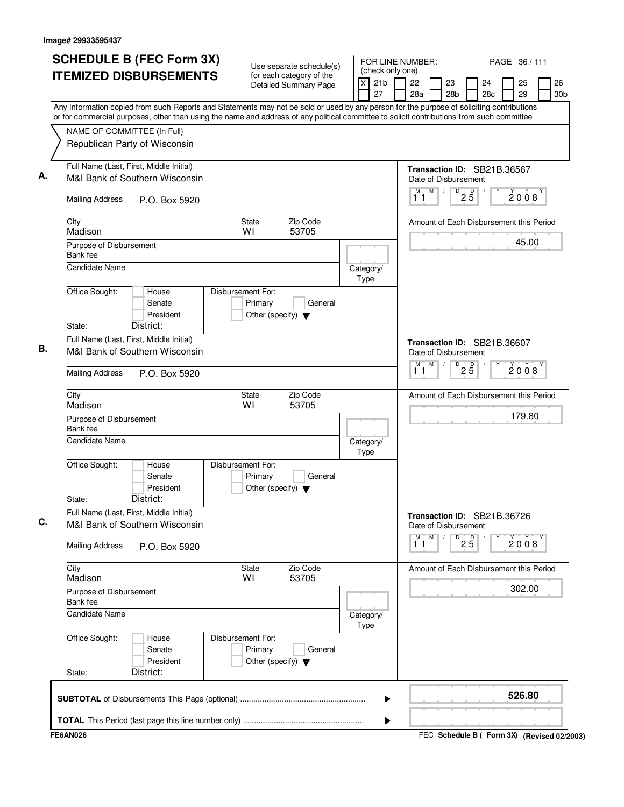| <b>SCHEDULE B (FEC Form 3X)</b>                                                                                                                                                                                                                                                        |                                                                      | Use separate schedule(s)                                 |                   | FOR LINE NUMBER:<br>(check only one) |                      |           |                      |                                 |                                         | PAGE 36/111 |                       |
|----------------------------------------------------------------------------------------------------------------------------------------------------------------------------------------------------------------------------------------------------------------------------------------|----------------------------------------------------------------------|----------------------------------------------------------|-------------------|--------------------------------------|----------------------|-----------|----------------------|---------------------------------|-----------------------------------------|-------------|-----------------------|
| <b>ITEMIZED DISBURSEMENTS</b>                                                                                                                                                                                                                                                          |                                                                      | for each category of the<br><b>Detailed Summary Page</b> | X                 | 21 <sub>b</sub><br>27                | 22<br>28a            |           | 23<br>28b            |                                 | 24<br>28c                               | 25<br>29    | 26<br>30 <sub>b</sub> |
| Any Information copied from such Reports and Statements may not be sold or used by any person for the purpose of soliciting contributions<br>or for commercial purposes, other than using the name and address of any political committee to solicit contributions from such committee |                                                                      |                                                          |                   |                                      |                      |           |                      |                                 |                                         |             |                       |
| NAME OF COMMITTEE (In Full)                                                                                                                                                                                                                                                            |                                                                      |                                                          |                   |                                      |                      |           |                      |                                 |                                         |             |                       |
| Republican Party of Wisconsin                                                                                                                                                                                                                                                          |                                                                      |                                                          |                   |                                      |                      |           |                      |                                 |                                         |             |                       |
| Full Name (Last, First, Middle Initial)<br>Α.<br>M&I Bank of Southern Wisconsin                                                                                                                                                                                                        |                                                                      |                                                          |                   |                                      | Date of Disbursement |           |                      |                                 | Transaction ID: SB21B.36567             |             |                       |
| <b>Mailing Address</b><br>P.O. Box 5920                                                                                                                                                                                                                                                |                                                                      |                                                          |                   |                                      | M<br>11              | M         |                      | $\overline{P}$ 2 5              |                                         | 2008        |                       |
| City<br>Madison                                                                                                                                                                                                                                                                        | State<br>WI                                                          | Zip Code<br>53705                                        |                   |                                      |                      |           |                      |                                 | Amount of Each Disbursement this Period |             |                       |
| Purpose of Disbursement<br>Bank fee                                                                                                                                                                                                                                                    |                                                                      |                                                          |                   |                                      |                      |           |                      |                                 |                                         | 45.00       |                       |
| <b>Candidate Name</b>                                                                                                                                                                                                                                                                  |                                                                      |                                                          | Category/<br>Type |                                      |                      |           |                      |                                 |                                         |             |                       |
| Office Sought:<br>House<br>Senate<br>President                                                                                                                                                                                                                                         | Disbursement For:<br>Primary<br>Other (specify) $\blacktriangledown$ | General                                                  |                   |                                      |                      |           |                      |                                 |                                         |             |                       |
| District:<br>State:                                                                                                                                                                                                                                                                    |                                                                      |                                                          |                   |                                      |                      |           |                      |                                 |                                         |             |                       |
| Full Name (Last, First, Middle Initial)<br>В.<br>M&I Bank of Southern Wisconsin                                                                                                                                                                                                        |                                                                      |                                                          |                   |                                      |                      |           | Date of Disbursement |                                 | Transaction ID: SB21B.36607             |             |                       |
| <b>Mailing Address</b><br>P.O. Box 5920                                                                                                                                                                                                                                                |                                                                      |                                                          |                   |                                      | M<br>1 <sub>1</sub>  | M         | D                    | $2\overline{5}$                 |                                         | 2008        |                       |
| City<br>Madison                                                                                                                                                                                                                                                                        | State<br>WI                                                          | Zip Code<br>53705                                        |                   |                                      |                      |           |                      |                                 | Amount of Each Disbursement this Period |             |                       |
| Purpose of Disbursement<br>Bank fee                                                                                                                                                                                                                                                    |                                                                      |                                                          |                   |                                      |                      |           |                      |                                 |                                         | 179.80      |                       |
| <b>Candidate Name</b>                                                                                                                                                                                                                                                                  |                                                                      |                                                          | Category/<br>Type |                                      |                      |           |                      |                                 |                                         |             |                       |
| Office Sought:<br>House<br>Senate<br>President<br>District:<br>State:                                                                                                                                                                                                                  | Disbursement For:<br>Primary<br>Other (specify) $\blacktriangledown$ | General                                                  |                   |                                      |                      |           |                      |                                 |                                         |             |                       |
| Full Name (Last, First, Middle Initial)<br>M&I Bank of Southern Wisconsin                                                                                                                                                                                                              |                                                                      |                                                          |                   |                                      |                      |           | Date of Disbursement |                                 | Transaction ID: SB21B.36726             |             |                       |
| <b>Mailing Address</b><br>P.O. Box 5920                                                                                                                                                                                                                                                |                                                                      |                                                          |                   |                                      | M<br>11              | ${\sf M}$ |                      | $D$ <sub>2</sub> $\overline{5}$ |                                         | 2008        |                       |
| City<br>Madison                                                                                                                                                                                                                                                                        | State<br>WI                                                          | Zip Code<br>53705                                        |                   |                                      |                      |           |                      |                                 | Amount of Each Disbursement this Period |             |                       |
| Purpose of Disbursement<br>Bank fee                                                                                                                                                                                                                                                    |                                                                      |                                                          |                   |                                      |                      |           |                      |                                 |                                         | 302.00      |                       |
| <b>Candidate Name</b>                                                                                                                                                                                                                                                                  |                                                                      |                                                          | Category/<br>Type |                                      |                      |           |                      |                                 |                                         |             |                       |
| Office Sought:<br>House<br>Senate<br>President                                                                                                                                                                                                                                         | Disbursement For:<br>Primary<br>Other (specify) $\blacktriangledown$ | General                                                  |                   |                                      |                      |           |                      |                                 |                                         |             |                       |
| District:<br>State:                                                                                                                                                                                                                                                                    |                                                                      |                                                          |                   |                                      |                      |           |                      |                                 |                                         |             |                       |
|                                                                                                                                                                                                                                                                                        |                                                                      |                                                          |                   | ▶                                    |                      |           |                      |                                 |                                         | 526.80      |                       |
|                                                                                                                                                                                                                                                                                        |                                                                      |                                                          |                   | ▶                                    |                      |           |                      |                                 |                                         |             |                       |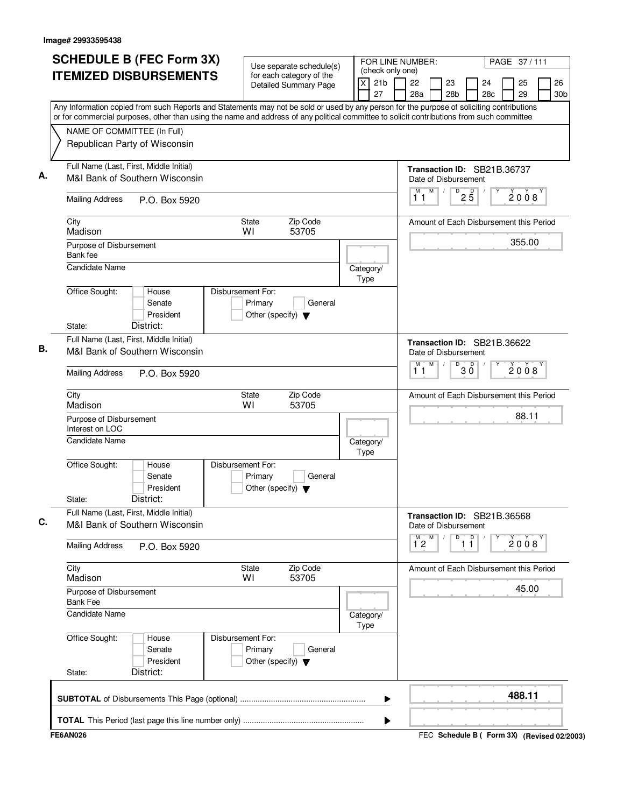| <b>ITEMIZED DISBURSEMENTS</b>                                                                                                                                                                                                                                                          | for each category of the                                             |                       |                            | FOR LINE NUMBER:<br>PAGE 37/111<br>(check only one) |                 |                                 |                                         |  |          |                       |  |
|----------------------------------------------------------------------------------------------------------------------------------------------------------------------------------------------------------------------------------------------------------------------------------------|----------------------------------------------------------------------|-----------------------|----------------------------|-----------------------------------------------------|-----------------|---------------------------------|-----------------------------------------|--|----------|-----------------------|--|
|                                                                                                                                                                                                                                                                                        |                                                                      | Detailed Summary Page | 21 <sub>b</sub><br>X<br>27 | 22<br>28a                                           |                 | 23<br>28 <sub>b</sub>           | 24<br>28 <sub>c</sub>                   |  | 25<br>29 | 26<br>30 <sub>b</sub> |  |
| Any Information copied from such Reports and Statements may not be sold or used by any person for the purpose of soliciting contributions<br>or for commercial purposes, other than using the name and address of any political committee to solicit contributions from such committee |                                                                      |                       |                            |                                                     |                 |                                 |                                         |  |          |                       |  |
| NAME OF COMMITTEE (In Full)<br>Republican Party of Wisconsin                                                                                                                                                                                                                           |                                                                      |                       |                            |                                                     |                 |                                 |                                         |  |          |                       |  |
| Full Name (Last, First, Middle Initial)<br>M&I Bank of Southern Wisconsin                                                                                                                                                                                                              |                                                                      |                       |                            | Date of Disbursement<br>M                           | $M$ /           |                                 | Transaction ID: SB21B.36737             |  |          |                       |  |
| <b>Mailing Address</b><br>P.O. Box 5920                                                                                                                                                                                                                                                |                                                                      |                       |                            | 11                                                  |                 | $D$ <sub>2</sub> $\overline{5}$ |                                         |  | 2008     |                       |  |
| City<br>Madison                                                                                                                                                                                                                                                                        | State<br>WI                                                          | Zip Code<br>53705     |                            |                                                     |                 |                                 | Amount of Each Disbursement this Period |  |          |                       |  |
| Purpose of Disbursement<br>Bank fee                                                                                                                                                                                                                                                    |                                                                      |                       |                            |                                                     |                 |                                 |                                         |  | 355.00   |                       |  |
| Candidate Name                                                                                                                                                                                                                                                                         |                                                                      |                       | Category/<br>Type          |                                                     |                 |                                 |                                         |  |          |                       |  |
| Office Sought:<br>House<br>Senate<br>President                                                                                                                                                                                                                                         | Disbursement For:<br>Primary<br>Other (specify) $\blacktriangledown$ | General               |                            |                                                     |                 |                                 |                                         |  |          |                       |  |
| District:<br>State:                                                                                                                                                                                                                                                                    |                                                                      |                       |                            |                                                     |                 |                                 |                                         |  |          |                       |  |
| Full Name (Last, First, Middle Initial)<br>M&I Bank of Southern Wisconsin                                                                                                                                                                                                              |                                                                      |                       |                            | Date of Disbursement                                |                 |                                 | Transaction ID: SB21B.36622             |  |          |                       |  |
| <b>Mailing Address</b><br>P.O. Box 5920                                                                                                                                                                                                                                                |                                                                      |                       |                            | M<br>11                                             | M<br>$\sqrt{ }$ | D<br>$30^{\circ}$               |                                         |  | 2008     |                       |  |
| City<br>Madison                                                                                                                                                                                                                                                                        | <b>State</b><br>WI                                                   | Zip Code<br>53705     |                            |                                                     |                 |                                 | Amount of Each Disbursement this Period |  |          |                       |  |
| Purpose of Disbursement<br>Interest on LOC                                                                                                                                                                                                                                             |                                                                      |                       |                            |                                                     |                 |                                 |                                         |  | 88.11    |                       |  |
| <b>Candidate Name</b>                                                                                                                                                                                                                                                                  |                                                                      |                       | Category/<br>Type          |                                                     |                 |                                 |                                         |  |          |                       |  |
| Office Sought:<br>House<br>Senate<br>President<br>District:<br>State:                                                                                                                                                                                                                  | Disbursement For:<br>Primary<br>Other (specify) $\blacktriangledown$ | General               |                            |                                                     |                 |                                 |                                         |  |          |                       |  |
| Full Name (Last, First, Middle Initial)<br>M&I Bank of Southern Wisconsin                                                                                                                                                                                                              |                                                                      |                       |                            | Date of Disbursement                                |                 |                                 | Transaction ID: SB21B.36568             |  |          |                       |  |
| <b>Mailing Address</b><br>P.O. Box 5920                                                                                                                                                                                                                                                |                                                                      |                       |                            | M<br>12                                             | M               | D                               | $\overline{1}$ $\overline{1}$           |  | 2008     |                       |  |
| City<br>Madison                                                                                                                                                                                                                                                                        | State<br>WI                                                          | Zip Code<br>53705     |                            |                                                     |                 |                                 | Amount of Each Disbursement this Period |  |          |                       |  |
| Purpose of Disbursement<br><b>Bank Fee</b>                                                                                                                                                                                                                                             |                                                                      |                       |                            |                                                     |                 |                                 |                                         |  | 45.00    |                       |  |
| Candidate Name                                                                                                                                                                                                                                                                         |                                                                      |                       | Category/<br>Type          |                                                     |                 |                                 |                                         |  |          |                       |  |
| Office Sought:<br>House<br>Senate<br>President                                                                                                                                                                                                                                         | Disbursement For:<br>Primary<br>Other (specify) $\blacktriangledown$ | General               |                            |                                                     |                 |                                 |                                         |  |          |                       |  |
| District:<br>State:                                                                                                                                                                                                                                                                    |                                                                      |                       |                            |                                                     |                 |                                 |                                         |  |          |                       |  |
|                                                                                                                                                                                                                                                                                        |                                                                      |                       | ▶                          |                                                     |                 |                                 |                                         |  | 488.11   |                       |  |
|                                                                                                                                                                                                                                                                                        |                                                                      |                       | ▶                          |                                                     |                 |                                 |                                         |  |          |                       |  |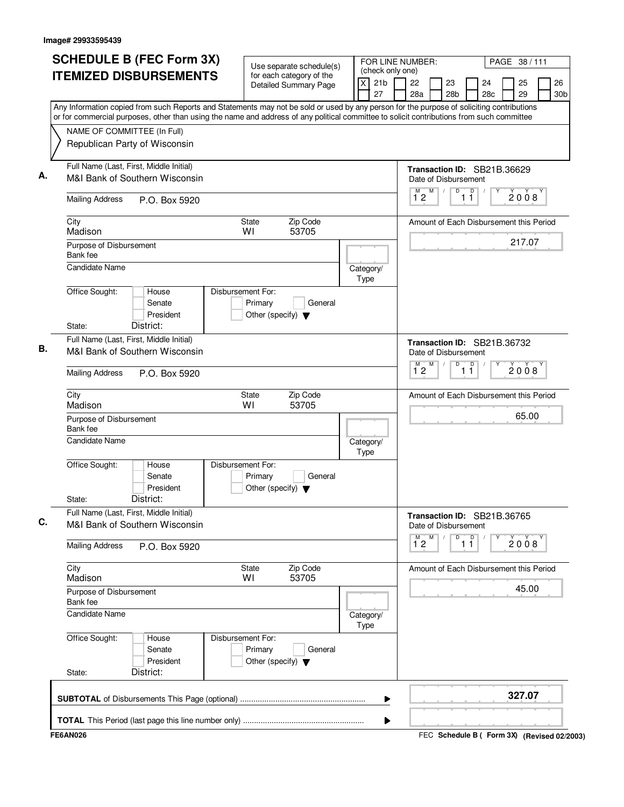| (check only one)<br><b>ITEMIZED DISBURSEMENTS</b><br>for each category of the<br>21 <sub>b</sub><br>X<br>22<br>25<br>23<br>24<br>Detailed Summary Page<br>27<br>29<br>28a<br>28 <sub>b</sub><br>28 <sub>c</sub><br>Any Information copied from such Reports and Statements may not be sold or used by any person for the purpose of soliciting contributions<br>or for commercial purposes, other than using the name and address of any political committee to solicit contributions from such committee<br>NAME OF COMMITTEE (In Full)<br>Republican Party of Wisconsin<br>Full Name (Last, First, Middle Initial)<br>Transaction ID: SB21B.36629<br>Α.<br>M&I Bank of Southern Wisconsin<br>Date of Disbursement<br>$\overline{D}$<br>M<br>$\overline{1}$ $\overline{1}$<br>2008<br>$1^{\circ}2$<br><b>Mailing Address</b><br>P.O. Box 5920<br>City<br>Zip Code<br>State<br>Amount of Each Disbursement this Period<br>Madison<br>WI<br>53705<br>217.07<br>Purpose of Disbursement<br>Bank fee<br>Candidate Name<br>Category/<br>Type<br>Office Sought:<br>Disbursement For:<br>House<br>Primary<br>General<br>Senate<br>President<br>Other (specify) $\blacktriangledown$<br>District:<br>State:<br>Full Name (Last, First, Middle Initial)<br>Transaction ID: SB21B.36732<br>В.<br>M&I Bank of Southern Wisconsin<br>Date of Disbursement<br>D<br>$\overline{D}$<br>M<br>М<br>Υ<br>2008<br>$1^{\circ}2$<br>11<br><b>Mailing Address</b><br>P.O. Box 5920<br>City<br>Zip Code<br>State<br>Amount of Each Disbursement this Period<br>Madison<br>53705<br>WI<br>65.00<br>Purpose of Disbursement<br>Bank fee<br><b>Candidate Name</b><br>Category/<br>Type<br>Office Sought:<br>Disbursement For:<br>House<br>Senate<br>Primary<br>General<br>President<br>Other (specify) $\blacktriangledown$<br>District:<br>State:<br>Full Name (Last, First, Middle Initial)<br>Transaction ID: SB21B.36765<br>C.<br>M&I Bank of Southern Wisconsin<br>Date of Disbursement<br>M<br>M<br>D<br>$\overline{1}$ $\overline{1}$<br>2008<br>12<br><b>Mailing Address</b><br>P.O. Box 5920<br>Zip Code<br>City<br>State<br>Amount of Each Disbursement this Period<br>Madison<br>WI<br>53705<br>45.00<br>Purpose of Disbursement<br>Bank fee<br>Candidate Name<br>Category/<br>Type<br>Office Sought:<br>Disbursement For:<br>House<br>Primary<br>General<br>Senate<br>President<br>Other (specify) $\blacktriangledown$<br>District:<br>State:<br>327.07<br>▶ | <b>SCHEDULE B (FEC Form 3X)</b> | Use separate schedule(s) | FOR LINE NUMBER: |  |  | PAGE 38 / 111 |                       |
|--------------------------------------------------------------------------------------------------------------------------------------------------------------------------------------------------------------------------------------------------------------------------------------------------------------------------------------------------------------------------------------------------------------------------------------------------------------------------------------------------------------------------------------------------------------------------------------------------------------------------------------------------------------------------------------------------------------------------------------------------------------------------------------------------------------------------------------------------------------------------------------------------------------------------------------------------------------------------------------------------------------------------------------------------------------------------------------------------------------------------------------------------------------------------------------------------------------------------------------------------------------------------------------------------------------------------------------------------------------------------------------------------------------------------------------------------------------------------------------------------------------------------------------------------------------------------------------------------------------------------------------------------------------------------------------------------------------------------------------------------------------------------------------------------------------------------------------------------------------------------------------------------------------------------------------------------------------------------------------------------------------------------------------------------------------------------------------------------------------------------------------------------------------------------------------------------------------------------------------------------------------------------------------------------------------------------------------------------------------------------------------------------------------------------------------------------|---------------------------------|--------------------------|------------------|--|--|---------------|-----------------------|
|                                                                                                                                                                                                                                                                                                                                                                                                                                                                                                                                                                                                                                                                                                                                                                                                                                                                                                                                                                                                                                                                                                                                                                                                                                                                                                                                                                                                                                                                                                                                                                                                                                                                                                                                                                                                                                                                                                                                                                                                                                                                                                                                                                                                                                                                                                                                                                                                                                                  |                                 |                          |                  |  |  |               | 26<br>30 <sub>b</sub> |
|                                                                                                                                                                                                                                                                                                                                                                                                                                                                                                                                                                                                                                                                                                                                                                                                                                                                                                                                                                                                                                                                                                                                                                                                                                                                                                                                                                                                                                                                                                                                                                                                                                                                                                                                                                                                                                                                                                                                                                                                                                                                                                                                                                                                                                                                                                                                                                                                                                                  |                                 |                          |                  |  |  |               |                       |
|                                                                                                                                                                                                                                                                                                                                                                                                                                                                                                                                                                                                                                                                                                                                                                                                                                                                                                                                                                                                                                                                                                                                                                                                                                                                                                                                                                                                                                                                                                                                                                                                                                                                                                                                                                                                                                                                                                                                                                                                                                                                                                                                                                                                                                                                                                                                                                                                                                                  |                                 |                          |                  |  |  |               |                       |
|                                                                                                                                                                                                                                                                                                                                                                                                                                                                                                                                                                                                                                                                                                                                                                                                                                                                                                                                                                                                                                                                                                                                                                                                                                                                                                                                                                                                                                                                                                                                                                                                                                                                                                                                                                                                                                                                                                                                                                                                                                                                                                                                                                                                                                                                                                                                                                                                                                                  |                                 |                          |                  |  |  |               |                       |
|                                                                                                                                                                                                                                                                                                                                                                                                                                                                                                                                                                                                                                                                                                                                                                                                                                                                                                                                                                                                                                                                                                                                                                                                                                                                                                                                                                                                                                                                                                                                                                                                                                                                                                                                                                                                                                                                                                                                                                                                                                                                                                                                                                                                                                                                                                                                                                                                                                                  |                                 |                          |                  |  |  |               |                       |
|                                                                                                                                                                                                                                                                                                                                                                                                                                                                                                                                                                                                                                                                                                                                                                                                                                                                                                                                                                                                                                                                                                                                                                                                                                                                                                                                                                                                                                                                                                                                                                                                                                                                                                                                                                                                                                                                                                                                                                                                                                                                                                                                                                                                                                                                                                                                                                                                                                                  |                                 |                          |                  |  |  |               |                       |
|                                                                                                                                                                                                                                                                                                                                                                                                                                                                                                                                                                                                                                                                                                                                                                                                                                                                                                                                                                                                                                                                                                                                                                                                                                                                                                                                                                                                                                                                                                                                                                                                                                                                                                                                                                                                                                                                                                                                                                                                                                                                                                                                                                                                                                                                                                                                                                                                                                                  |                                 |                          |                  |  |  |               |                       |
|                                                                                                                                                                                                                                                                                                                                                                                                                                                                                                                                                                                                                                                                                                                                                                                                                                                                                                                                                                                                                                                                                                                                                                                                                                                                                                                                                                                                                                                                                                                                                                                                                                                                                                                                                                                                                                                                                                                                                                                                                                                                                                                                                                                                                                                                                                                                                                                                                                                  |                                 |                          |                  |  |  |               |                       |
|                                                                                                                                                                                                                                                                                                                                                                                                                                                                                                                                                                                                                                                                                                                                                                                                                                                                                                                                                                                                                                                                                                                                                                                                                                                                                                                                                                                                                                                                                                                                                                                                                                                                                                                                                                                                                                                                                                                                                                                                                                                                                                                                                                                                                                                                                                                                                                                                                                                  |                                 |                          |                  |  |  |               |                       |
|                                                                                                                                                                                                                                                                                                                                                                                                                                                                                                                                                                                                                                                                                                                                                                                                                                                                                                                                                                                                                                                                                                                                                                                                                                                                                                                                                                                                                                                                                                                                                                                                                                                                                                                                                                                                                                                                                                                                                                                                                                                                                                                                                                                                                                                                                                                                                                                                                                                  |                                 |                          |                  |  |  |               |                       |
|                                                                                                                                                                                                                                                                                                                                                                                                                                                                                                                                                                                                                                                                                                                                                                                                                                                                                                                                                                                                                                                                                                                                                                                                                                                                                                                                                                                                                                                                                                                                                                                                                                                                                                                                                                                                                                                                                                                                                                                                                                                                                                                                                                                                                                                                                                                                                                                                                                                  |                                 |                          |                  |  |  |               |                       |
|                                                                                                                                                                                                                                                                                                                                                                                                                                                                                                                                                                                                                                                                                                                                                                                                                                                                                                                                                                                                                                                                                                                                                                                                                                                                                                                                                                                                                                                                                                                                                                                                                                                                                                                                                                                                                                                                                                                                                                                                                                                                                                                                                                                                                                                                                                                                                                                                                                                  |                                 |                          |                  |  |  |               |                       |
|                                                                                                                                                                                                                                                                                                                                                                                                                                                                                                                                                                                                                                                                                                                                                                                                                                                                                                                                                                                                                                                                                                                                                                                                                                                                                                                                                                                                                                                                                                                                                                                                                                                                                                                                                                                                                                                                                                                                                                                                                                                                                                                                                                                                                                                                                                                                                                                                                                                  |                                 |                          |                  |  |  |               |                       |
|                                                                                                                                                                                                                                                                                                                                                                                                                                                                                                                                                                                                                                                                                                                                                                                                                                                                                                                                                                                                                                                                                                                                                                                                                                                                                                                                                                                                                                                                                                                                                                                                                                                                                                                                                                                                                                                                                                                                                                                                                                                                                                                                                                                                                                                                                                                                                                                                                                                  |                                 |                          |                  |  |  |               |                       |
|                                                                                                                                                                                                                                                                                                                                                                                                                                                                                                                                                                                                                                                                                                                                                                                                                                                                                                                                                                                                                                                                                                                                                                                                                                                                                                                                                                                                                                                                                                                                                                                                                                                                                                                                                                                                                                                                                                                                                                                                                                                                                                                                                                                                                                                                                                                                                                                                                                                  |                                 |                          |                  |  |  |               |                       |
|                                                                                                                                                                                                                                                                                                                                                                                                                                                                                                                                                                                                                                                                                                                                                                                                                                                                                                                                                                                                                                                                                                                                                                                                                                                                                                                                                                                                                                                                                                                                                                                                                                                                                                                                                                                                                                                                                                                                                                                                                                                                                                                                                                                                                                                                                                                                                                                                                                                  |                                 |                          |                  |  |  |               |                       |
|                                                                                                                                                                                                                                                                                                                                                                                                                                                                                                                                                                                                                                                                                                                                                                                                                                                                                                                                                                                                                                                                                                                                                                                                                                                                                                                                                                                                                                                                                                                                                                                                                                                                                                                                                                                                                                                                                                                                                                                                                                                                                                                                                                                                                                                                                                                                                                                                                                                  |                                 |                          |                  |  |  |               |                       |
|                                                                                                                                                                                                                                                                                                                                                                                                                                                                                                                                                                                                                                                                                                                                                                                                                                                                                                                                                                                                                                                                                                                                                                                                                                                                                                                                                                                                                                                                                                                                                                                                                                                                                                                                                                                                                                                                                                                                                                                                                                                                                                                                                                                                                                                                                                                                                                                                                                                  |                                 |                          |                  |  |  |               |                       |
|                                                                                                                                                                                                                                                                                                                                                                                                                                                                                                                                                                                                                                                                                                                                                                                                                                                                                                                                                                                                                                                                                                                                                                                                                                                                                                                                                                                                                                                                                                                                                                                                                                                                                                                                                                                                                                                                                                                                                                                                                                                                                                                                                                                                                                                                                                                                                                                                                                                  |                                 |                          |                  |  |  |               |                       |
|                                                                                                                                                                                                                                                                                                                                                                                                                                                                                                                                                                                                                                                                                                                                                                                                                                                                                                                                                                                                                                                                                                                                                                                                                                                                                                                                                                                                                                                                                                                                                                                                                                                                                                                                                                                                                                                                                                                                                                                                                                                                                                                                                                                                                                                                                                                                                                                                                                                  |                                 |                          |                  |  |  |               |                       |
|                                                                                                                                                                                                                                                                                                                                                                                                                                                                                                                                                                                                                                                                                                                                                                                                                                                                                                                                                                                                                                                                                                                                                                                                                                                                                                                                                                                                                                                                                                                                                                                                                                                                                                                                                                                                                                                                                                                                                                                                                                                                                                                                                                                                                                                                                                                                                                                                                                                  |                                 |                          |                  |  |  |               |                       |
|                                                                                                                                                                                                                                                                                                                                                                                                                                                                                                                                                                                                                                                                                                                                                                                                                                                                                                                                                                                                                                                                                                                                                                                                                                                                                                                                                                                                                                                                                                                                                                                                                                                                                                                                                                                                                                                                                                                                                                                                                                                                                                                                                                                                                                                                                                                                                                                                                                                  |                                 |                          |                  |  |  |               |                       |
|                                                                                                                                                                                                                                                                                                                                                                                                                                                                                                                                                                                                                                                                                                                                                                                                                                                                                                                                                                                                                                                                                                                                                                                                                                                                                                                                                                                                                                                                                                                                                                                                                                                                                                                                                                                                                                                                                                                                                                                                                                                                                                                                                                                                                                                                                                                                                                                                                                                  |                                 |                          |                  |  |  |               |                       |
|                                                                                                                                                                                                                                                                                                                                                                                                                                                                                                                                                                                                                                                                                                                                                                                                                                                                                                                                                                                                                                                                                                                                                                                                                                                                                                                                                                                                                                                                                                                                                                                                                                                                                                                                                                                                                                                                                                                                                                                                                                                                                                                                                                                                                                                                                                                                                                                                                                                  |                                 |                          |                  |  |  |               |                       |
|                                                                                                                                                                                                                                                                                                                                                                                                                                                                                                                                                                                                                                                                                                                                                                                                                                                                                                                                                                                                                                                                                                                                                                                                                                                                                                                                                                                                                                                                                                                                                                                                                                                                                                                                                                                                                                                                                                                                                                                                                                                                                                                                                                                                                                                                                                                                                                                                                                                  |                                 |                          |                  |  |  |               |                       |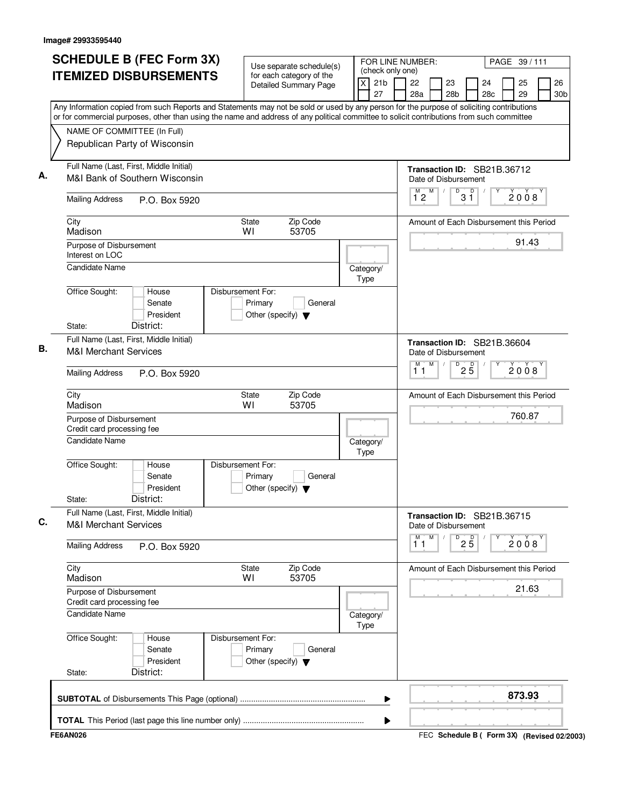| <b>SCHEDULE B (FEC Form 3X)</b><br><b>ITEMIZED DISBURSEMENTS</b>                                                                                                                                                                                                                       |                              | Use separate schedule(s)<br>for each category of the |                   |                       | FOR LINE NUMBER:<br>PAGE 39/111<br>(check only one) |   |                       |                                 |                                         |  |          |                       |
|----------------------------------------------------------------------------------------------------------------------------------------------------------------------------------------------------------------------------------------------------------------------------------------|------------------------------|------------------------------------------------------|-------------------|-----------------------|-----------------------------------------------------|---|-----------------------|---------------------------------|-----------------------------------------|--|----------|-----------------------|
|                                                                                                                                                                                                                                                                                        |                              | <b>Detailed Summary Page</b>                         | X                 | 21 <sub>b</sub><br>27 | 22<br>28a                                           |   | 23<br>28 <sub>b</sub> |                                 | 24<br>28c                               |  | 25<br>29 | 26<br>30 <sub>b</sub> |
| Any Information copied from such Reports and Statements may not be sold or used by any person for the purpose of soliciting contributions<br>or for commercial purposes, other than using the name and address of any political committee to solicit contributions from such committee |                              |                                                      |                   |                       |                                                     |   |                       |                                 |                                         |  |          |                       |
| NAME OF COMMITTEE (In Full)                                                                                                                                                                                                                                                            |                              |                                                      |                   |                       |                                                     |   |                       |                                 |                                         |  |          |                       |
| Republican Party of Wisconsin                                                                                                                                                                                                                                                          |                              |                                                      |                   |                       |                                                     |   |                       |                                 |                                         |  |          |                       |
| Full Name (Last, First, Middle Initial)<br>M&I Bank of Southern Wisconsin                                                                                                                                                                                                              |                              |                                                      |                   |                       |                                                     |   | Date of Disbursement  |                                 | Transaction ID: SB21B.36712             |  |          |                       |
| <b>Mailing Address</b><br>P.O. Box 5920                                                                                                                                                                                                                                                |                              |                                                      |                   |                       | М<br>12                                             | M | D                     | $3^{\circ}$                     |                                         |  | 2008     |                       |
| City<br>Madison                                                                                                                                                                                                                                                                        | <b>State</b><br>WI           | Zip Code<br>53705                                    |                   |                       |                                                     |   |                       |                                 | Amount of Each Disbursement this Period |  |          |                       |
| Purpose of Disbursement<br>Interest on LOC                                                                                                                                                                                                                                             |                              |                                                      |                   |                       |                                                     |   |                       |                                 |                                         |  | 91.43    |                       |
| Candidate Name                                                                                                                                                                                                                                                                         |                              |                                                      | Category/<br>Type |                       |                                                     |   |                       |                                 |                                         |  |          |                       |
| Office Sought:<br>House<br>Senate<br>President                                                                                                                                                                                                                                         | Disbursement For:<br>Primary | General<br>Other (specify) $\blacktriangledown$      |                   |                       |                                                     |   |                       |                                 |                                         |  |          |                       |
| District:<br>State:                                                                                                                                                                                                                                                                    |                              |                                                      |                   |                       |                                                     |   |                       |                                 |                                         |  |          |                       |
| Full Name (Last, First, Middle Initial)<br><b>M&amp;I Merchant Services</b>                                                                                                                                                                                                            |                              |                                                      |                   |                       |                                                     |   | Date of Disbursement  |                                 | Transaction ID: SB21B.36604             |  |          |                       |
| <b>Mailing Address</b><br>P.O. Box 5920                                                                                                                                                                                                                                                |                              |                                                      |                   |                       | M<br>11                                             | M | $\overline{D}$        | 25                              |                                         |  | 2008     |                       |
| City<br>Madison                                                                                                                                                                                                                                                                        | <b>State</b><br>WI           | Zip Code<br>53705                                    |                   |                       |                                                     |   |                       |                                 | Amount of Each Disbursement this Period |  |          |                       |
| Purpose of Disbursement<br>Credit card processing fee                                                                                                                                                                                                                                  |                              |                                                      |                   |                       |                                                     |   |                       |                                 |                                         |  | 760.87   |                       |
| <b>Candidate Name</b>                                                                                                                                                                                                                                                                  |                              |                                                      | Category/<br>Type |                       |                                                     |   |                       |                                 |                                         |  |          |                       |
| Office Sought:<br>House<br>Senate<br>President<br>District:<br>State:                                                                                                                                                                                                                  | Disbursement For:<br>Primary | General<br>Other (specify) $\blacktriangledown$      |                   |                       |                                                     |   |                       |                                 |                                         |  |          |                       |
| Full Name (Last, First, Middle Initial)<br><b>M&amp;I Merchant Services</b>                                                                                                                                                                                                            |                              |                                                      |                   |                       |                                                     |   | Date of Disbursement  |                                 | Transaction ID: SB21B.36715             |  |          |                       |
| <b>Mailing Address</b><br>P.O. Box 5920                                                                                                                                                                                                                                                |                              |                                                      |                   |                       | М<br>11                                             | M |                       | $\overline{P}$ 2 $\overline{5}$ |                                         |  | 2008     |                       |
| City<br>Madison                                                                                                                                                                                                                                                                        | <b>State</b><br>WI           | Zip Code<br>53705                                    |                   |                       |                                                     |   |                       |                                 | Amount of Each Disbursement this Period |  |          |                       |
| Purpose of Disbursement<br>Credit card processing fee                                                                                                                                                                                                                                  |                              |                                                      |                   |                       |                                                     |   |                       |                                 |                                         |  | 21.63    |                       |
| Candidate Name                                                                                                                                                                                                                                                                         |                              |                                                      | Category/<br>Type |                       |                                                     |   |                       |                                 |                                         |  |          |                       |
| Office Sought:<br>House<br>Senate<br>President                                                                                                                                                                                                                                         | Disbursement For:<br>Primary | General<br>Other (specify) $\blacktriangledown$      |                   |                       |                                                     |   |                       |                                 |                                         |  |          |                       |
| District:<br>State:                                                                                                                                                                                                                                                                    |                              |                                                      |                   |                       |                                                     |   |                       |                                 |                                         |  |          |                       |
|                                                                                                                                                                                                                                                                                        |                              |                                                      |                   | ▶                     |                                                     |   |                       |                                 |                                         |  | 873.93   |                       |
|                                                                                                                                                                                                                                                                                        |                              |                                                      |                   |                       |                                                     |   |                       |                                 |                                         |  |          |                       |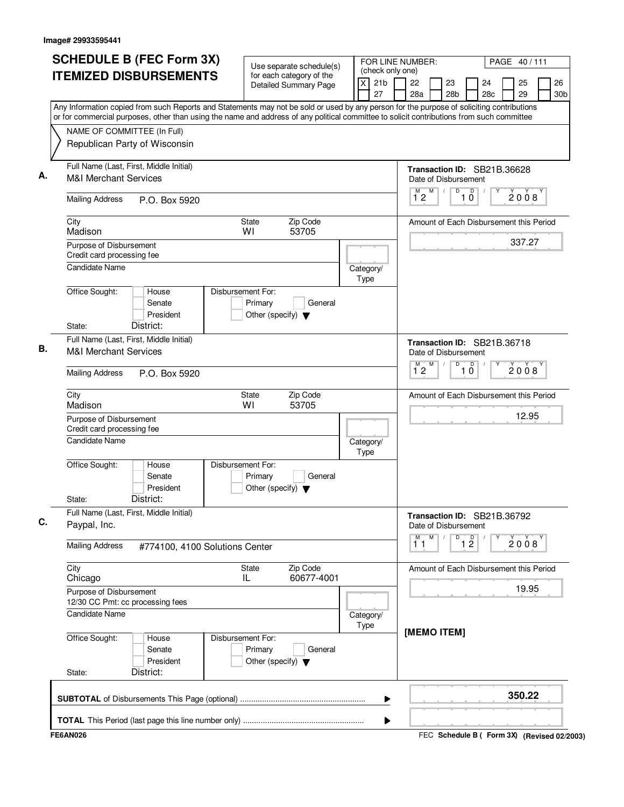| NAME OF COMMITTEE (In Full)<br>Republican Party of Wisconsin<br>Full Name (Last, First, Middle Initial)<br><b>M&amp;I Merchant Services</b> | <b>ITEMIZED DISBURSEMENTS</b><br>Any Information copied from such Reports and Statements may not be sold or used by any person for the purpose of soliciting contributions<br>or for commercial purposes, other than using the name and address of any political committee to solicit contributions from such committee | Use separate schedule(s)<br>for each category of the<br><b>Detailed Summary Page</b> | $\times$          | (check only one)<br>21 <sub>b</sub><br>27 | 22<br>28a                 |   | 23              |                               | 24                                      | 25     |                       |
|---------------------------------------------------------------------------------------------------------------------------------------------|-------------------------------------------------------------------------------------------------------------------------------------------------------------------------------------------------------------------------------------------------------------------------------------------------------------------------|--------------------------------------------------------------------------------------|-------------------|-------------------------------------------|---------------------------|---|-----------------|-------------------------------|-----------------------------------------|--------|-----------------------|
|                                                                                                                                             |                                                                                                                                                                                                                                                                                                                         |                                                                                      |                   |                                           |                           |   | 28 <sub>b</sub> |                               | 28 <sub>c</sub>                         | 29     | 26<br>30 <sub>b</sub> |
|                                                                                                                                             |                                                                                                                                                                                                                                                                                                                         |                                                                                      |                   |                                           |                           |   |                 |                               |                                         |        |                       |
|                                                                                                                                             |                                                                                                                                                                                                                                                                                                                         |                                                                                      |                   |                                           |                           |   |                 |                               |                                         |        |                       |
|                                                                                                                                             |                                                                                                                                                                                                                                                                                                                         |                                                                                      |                   |                                           | Date of Disbursement      |   |                 |                               | Transaction ID: SB21B.36628             |        |                       |
| <b>Mailing Address</b>                                                                                                                      | P.O. Box 5920                                                                                                                                                                                                                                                                                                           |                                                                                      |                   |                                           | M)<br>12                  | M | $\overline{D}$  | $\overline{D}$<br>10          |                                         | 2008   |                       |
| City<br>Madison                                                                                                                             |                                                                                                                                                                                                                                                                                                                         | Zip Code<br>State<br>WI<br>53705                                                     |                   |                                           |                           |   |                 |                               | Amount of Each Disbursement this Period |        |                       |
| Purpose of Disbursement<br>Credit card processing fee                                                                                       |                                                                                                                                                                                                                                                                                                                         |                                                                                      |                   |                                           |                           |   |                 |                               |                                         | 337.27 |                       |
| <b>Candidate Name</b><br>Office Sought:                                                                                                     | House                                                                                                                                                                                                                                                                                                                   | Disbursement For:                                                                    | Category/<br>Type |                                           |                           |   |                 |                               |                                         |        |                       |
| State:                                                                                                                                      | Senate<br>President<br>District:                                                                                                                                                                                                                                                                                        | Primary<br>General<br>Other (specify) $\blacktriangledown$                           |                   |                                           |                           |   |                 |                               |                                         |        |                       |
| Full Name (Last, First, Middle Initial)<br><b>M&amp;I Merchant Services</b>                                                                 |                                                                                                                                                                                                                                                                                                                         |                                                                                      |                   |                                           | Date of Disbursement      |   |                 |                               | Transaction ID: SB21B.36718             |        |                       |
| <b>Mailing Address</b>                                                                                                                      | P.O. Box 5920                                                                                                                                                                                                                                                                                                           |                                                                                      |                   |                                           | $\overline{1}^M$ 2        | M | D               | D<br>10                       |                                         | 2008   |                       |
| City<br>Madison                                                                                                                             |                                                                                                                                                                                                                                                                                                                         | Zip Code<br><b>State</b><br>WI<br>53705                                              |                   |                                           |                           |   |                 |                               | Amount of Each Disbursement this Period |        |                       |
| Purpose of Disbursement<br>Credit card processing fee<br><b>Candidate Name</b>                                                              |                                                                                                                                                                                                                                                                                                                         |                                                                                      |                   |                                           |                           |   |                 |                               |                                         | 12.95  |                       |
| Office Sought:                                                                                                                              | House<br>Senate<br>President                                                                                                                                                                                                                                                                                            | Disbursement For:<br>Primary<br>General<br>Other (specify) $\blacktriangledown$      | Category/<br>Type |                                           |                           |   |                 |                               |                                         |        |                       |
| State:<br>Full Name (Last, First, Middle Initial)                                                                                           | District:                                                                                                                                                                                                                                                                                                               |                                                                                      |                   |                                           |                           |   |                 |                               |                                         |        |                       |
| Paypal, Inc.                                                                                                                                |                                                                                                                                                                                                                                                                                                                         |                                                                                      |                   |                                           | Date of Disbursement<br>M | M | D               |                               | Transaction ID: SB21B.36792             |        |                       |
| <b>Mailing Address</b>                                                                                                                      | #774100, 4100 Solutions Center                                                                                                                                                                                                                                                                                          |                                                                                      |                   |                                           | 11                        |   |                 | $\overline{1}$ $\overline{2}$ |                                         | 2008   |                       |
| City<br>Chicago                                                                                                                             |                                                                                                                                                                                                                                                                                                                         | Zip Code<br><b>State</b><br>60677-4001<br>IL.                                        |                   |                                           |                           |   |                 |                               | Amount of Each Disbursement this Period | 19.95  |                       |
| Purpose of Disbursement<br>12/30 CC Pmt: cc processing fees<br>Candidate Name                                                               |                                                                                                                                                                                                                                                                                                                         |                                                                                      | Category/         |                                           |                           |   |                 |                               |                                         |        |                       |
| Office Sought:<br>State:                                                                                                                    | House<br>Senate<br>President<br>District:                                                                                                                                                                                                                                                                               | Disbursement For:<br>Primary<br>General<br>Other (specify) $\blacktriangledown$      | Type              |                                           | [MEMO ITEM]               |   |                 |                               |                                         |        |                       |
|                                                                                                                                             |                                                                                                                                                                                                                                                                                                                         |                                                                                      |                   | ▶                                         |                           |   |                 |                               |                                         | 350.22 |                       |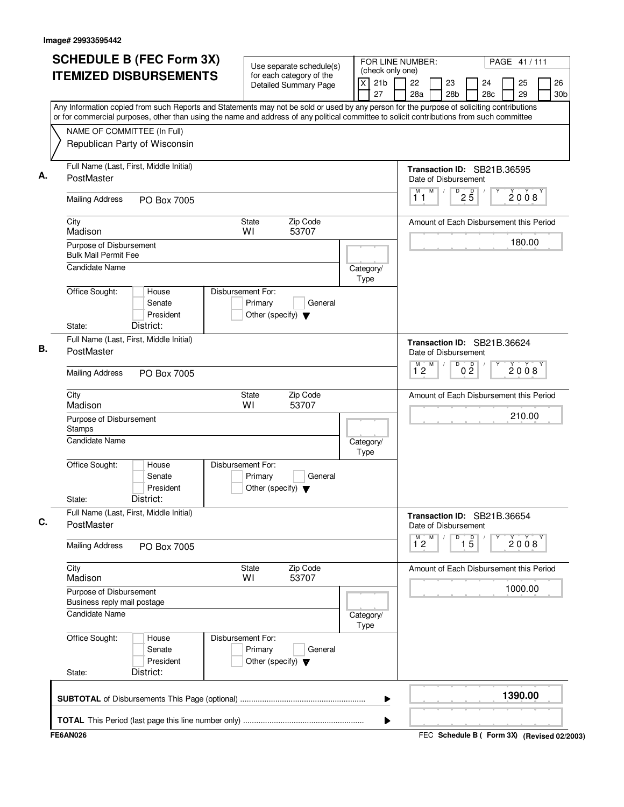| <b>ITEMIZED DISBURSEMENTS</b><br>for each category of the<br>X<br>21 <sub>b</sub><br>22<br>23<br>24<br>25<br><b>Detailed Summary Page</b><br>27<br>28a<br>28 <sub>b</sub><br>28 <sub>c</sub><br>29<br>Any Information copied from such Reports and Statements may not be sold or used by any person for the purpose of soliciting contributions<br>or for commercial purposes, other than using the name and address of any political committee to solicit contributions from such committee<br>NAME OF COMMITTEE (In Full)<br>Republican Party of Wisconsin<br>Full Name (Last, First, Middle Initial)<br>Transaction ID: SB21B.36595<br>А.<br>PostMaster<br>Date of Disbursement<br>$\overline{D}$<br>$2\overline{5}$<br>M<br>M<br>$\sqrt{2}$<br>2008<br>11<br><b>Mailing Address</b><br>PO Box 7005<br>City<br>Zip Code<br>State<br>Amount of Each Disbursement this Period<br>53707<br>WI<br>Madison<br>180.00<br>Purpose of Disbursement<br><b>Bulk Mail Permit Fee</b><br><b>Candidate Name</b><br>Category/<br>Type<br>Office Sought:<br>House<br>Disbursement For:<br>Primary<br>Senate<br>General<br>President<br>Other (specify) $\blacktriangledown$<br>District:<br>State:<br>Full Name (Last, First, Middle Initial)<br>Transaction ID: SB21B.36624<br>В.<br>PostMaster<br>Date of Disbursement<br>M<br>D<br>0 <sup>0</sup><br>$\overline{1}^M$ 2<br>2008<br><b>Mailing Address</b><br>PO Box 7005<br>Zip Code<br>City<br><b>State</b><br>Amount of Each Disbursement this Period<br>Madison<br>WI<br>53707<br>210.00<br>Purpose of Disbursement<br>Stamps<br>Candidate Name<br>Category/<br>Type<br>Office Sought:<br>Disbursement For:<br>House<br>Senate<br>Primary<br>General<br>President<br>Other (specify) $\blacktriangledown$<br>District:<br>State:<br>Full Name (Last, First, Middle Initial)<br>Transaction ID: SB21B.36654<br>C.<br>PostMaster<br>Date of Disbursement<br>$\overline{1\,5}$<br>M<br>D<br>$\overline{1}^M$ 2<br>2008<br><b>Mailing Address</b><br>PO Box 7005<br>City<br>State<br>Zip Code<br>Amount of Each Disbursement this Period<br>53707<br>Madison<br>WI<br>1000.00<br>Purpose of Disbursement<br>Business reply mail postage<br>Candidate Name<br>Category/<br>Type<br>Office Sought:<br>Disbursement For:<br>House<br>Primary<br>General<br>Senate<br>President<br>Other (specify) $\blacktriangledown$<br>District:<br>State:<br>1390.00<br>▶ | <b>SCHEDULE B (FEC Form 3X)</b> | Use separate schedule(s) |  | FOR LINE NUMBER:<br>PAGE 41/111<br>(check only one) |  |  |  |  |  |  |                       |
|--------------------------------------------------------------------------------------------------------------------------------------------------------------------------------------------------------------------------------------------------------------------------------------------------------------------------------------------------------------------------------------------------------------------------------------------------------------------------------------------------------------------------------------------------------------------------------------------------------------------------------------------------------------------------------------------------------------------------------------------------------------------------------------------------------------------------------------------------------------------------------------------------------------------------------------------------------------------------------------------------------------------------------------------------------------------------------------------------------------------------------------------------------------------------------------------------------------------------------------------------------------------------------------------------------------------------------------------------------------------------------------------------------------------------------------------------------------------------------------------------------------------------------------------------------------------------------------------------------------------------------------------------------------------------------------------------------------------------------------------------------------------------------------------------------------------------------------------------------------------------------------------------------------------------------------------------------------------------------------------------------------------------------------------------------------------------------------------------------------------------------------------------------------------------------------------------------------------------------------------------------------------------------------------------------------------------------------------------------------------------------------------------|---------------------------------|--------------------------|--|-----------------------------------------------------|--|--|--|--|--|--|-----------------------|
|                                                                                                                                                                                                                                                                                                                                                                                                                                                                                                                                                                                                                                                                                                                                                                                                                                                                                                                                                                                                                                                                                                                                                                                                                                                                                                                                                                                                                                                                                                                                                                                                                                                                                                                                                                                                                                                                                                                                                                                                                                                                                                                                                                                                                                                                                                                                                                                                  |                                 |                          |  |                                                     |  |  |  |  |  |  | 26<br>30 <sub>b</sub> |
|                                                                                                                                                                                                                                                                                                                                                                                                                                                                                                                                                                                                                                                                                                                                                                                                                                                                                                                                                                                                                                                                                                                                                                                                                                                                                                                                                                                                                                                                                                                                                                                                                                                                                                                                                                                                                                                                                                                                                                                                                                                                                                                                                                                                                                                                                                                                                                                                  |                                 |                          |  |                                                     |  |  |  |  |  |  |                       |
|                                                                                                                                                                                                                                                                                                                                                                                                                                                                                                                                                                                                                                                                                                                                                                                                                                                                                                                                                                                                                                                                                                                                                                                                                                                                                                                                                                                                                                                                                                                                                                                                                                                                                                                                                                                                                                                                                                                                                                                                                                                                                                                                                                                                                                                                                                                                                                                                  |                                 |                          |  |                                                     |  |  |  |  |  |  |                       |
|                                                                                                                                                                                                                                                                                                                                                                                                                                                                                                                                                                                                                                                                                                                                                                                                                                                                                                                                                                                                                                                                                                                                                                                                                                                                                                                                                                                                                                                                                                                                                                                                                                                                                                                                                                                                                                                                                                                                                                                                                                                                                                                                                                                                                                                                                                                                                                                                  |                                 |                          |  |                                                     |  |  |  |  |  |  |                       |
|                                                                                                                                                                                                                                                                                                                                                                                                                                                                                                                                                                                                                                                                                                                                                                                                                                                                                                                                                                                                                                                                                                                                                                                                                                                                                                                                                                                                                                                                                                                                                                                                                                                                                                                                                                                                                                                                                                                                                                                                                                                                                                                                                                                                                                                                                                                                                                                                  |                                 |                          |  |                                                     |  |  |  |  |  |  |                       |
|                                                                                                                                                                                                                                                                                                                                                                                                                                                                                                                                                                                                                                                                                                                                                                                                                                                                                                                                                                                                                                                                                                                                                                                                                                                                                                                                                                                                                                                                                                                                                                                                                                                                                                                                                                                                                                                                                                                                                                                                                                                                                                                                                                                                                                                                                                                                                                                                  |                                 |                          |  |                                                     |  |  |  |  |  |  |                       |
|                                                                                                                                                                                                                                                                                                                                                                                                                                                                                                                                                                                                                                                                                                                                                                                                                                                                                                                                                                                                                                                                                                                                                                                                                                                                                                                                                                                                                                                                                                                                                                                                                                                                                                                                                                                                                                                                                                                                                                                                                                                                                                                                                                                                                                                                                                                                                                                                  |                                 |                          |  |                                                     |  |  |  |  |  |  |                       |
|                                                                                                                                                                                                                                                                                                                                                                                                                                                                                                                                                                                                                                                                                                                                                                                                                                                                                                                                                                                                                                                                                                                                                                                                                                                                                                                                                                                                                                                                                                                                                                                                                                                                                                                                                                                                                                                                                                                                                                                                                                                                                                                                                                                                                                                                                                                                                                                                  |                                 |                          |  |                                                     |  |  |  |  |  |  |                       |
|                                                                                                                                                                                                                                                                                                                                                                                                                                                                                                                                                                                                                                                                                                                                                                                                                                                                                                                                                                                                                                                                                                                                                                                                                                                                                                                                                                                                                                                                                                                                                                                                                                                                                                                                                                                                                                                                                                                                                                                                                                                                                                                                                                                                                                                                                                                                                                                                  |                                 |                          |  |                                                     |  |  |  |  |  |  |                       |
|                                                                                                                                                                                                                                                                                                                                                                                                                                                                                                                                                                                                                                                                                                                                                                                                                                                                                                                                                                                                                                                                                                                                                                                                                                                                                                                                                                                                                                                                                                                                                                                                                                                                                                                                                                                                                                                                                                                                                                                                                                                                                                                                                                                                                                                                                                                                                                                                  |                                 |                          |  |                                                     |  |  |  |  |  |  |                       |
|                                                                                                                                                                                                                                                                                                                                                                                                                                                                                                                                                                                                                                                                                                                                                                                                                                                                                                                                                                                                                                                                                                                                                                                                                                                                                                                                                                                                                                                                                                                                                                                                                                                                                                                                                                                                                                                                                                                                                                                                                                                                                                                                                                                                                                                                                                                                                                                                  |                                 |                          |  |                                                     |  |  |  |  |  |  |                       |
|                                                                                                                                                                                                                                                                                                                                                                                                                                                                                                                                                                                                                                                                                                                                                                                                                                                                                                                                                                                                                                                                                                                                                                                                                                                                                                                                                                                                                                                                                                                                                                                                                                                                                                                                                                                                                                                                                                                                                                                                                                                                                                                                                                                                                                                                                                                                                                                                  |                                 |                          |  |                                                     |  |  |  |  |  |  |                       |
|                                                                                                                                                                                                                                                                                                                                                                                                                                                                                                                                                                                                                                                                                                                                                                                                                                                                                                                                                                                                                                                                                                                                                                                                                                                                                                                                                                                                                                                                                                                                                                                                                                                                                                                                                                                                                                                                                                                                                                                                                                                                                                                                                                                                                                                                                                                                                                                                  |                                 |                          |  |                                                     |  |  |  |  |  |  |                       |
|                                                                                                                                                                                                                                                                                                                                                                                                                                                                                                                                                                                                                                                                                                                                                                                                                                                                                                                                                                                                                                                                                                                                                                                                                                                                                                                                                                                                                                                                                                                                                                                                                                                                                                                                                                                                                                                                                                                                                                                                                                                                                                                                                                                                                                                                                                                                                                                                  |                                 |                          |  |                                                     |  |  |  |  |  |  |                       |
|                                                                                                                                                                                                                                                                                                                                                                                                                                                                                                                                                                                                                                                                                                                                                                                                                                                                                                                                                                                                                                                                                                                                                                                                                                                                                                                                                                                                                                                                                                                                                                                                                                                                                                                                                                                                                                                                                                                                                                                                                                                                                                                                                                                                                                                                                                                                                                                                  |                                 |                          |  |                                                     |  |  |  |  |  |  |                       |
|                                                                                                                                                                                                                                                                                                                                                                                                                                                                                                                                                                                                                                                                                                                                                                                                                                                                                                                                                                                                                                                                                                                                                                                                                                                                                                                                                                                                                                                                                                                                                                                                                                                                                                                                                                                                                                                                                                                                                                                                                                                                                                                                                                                                                                                                                                                                                                                                  |                                 |                          |  |                                                     |  |  |  |  |  |  |                       |
|                                                                                                                                                                                                                                                                                                                                                                                                                                                                                                                                                                                                                                                                                                                                                                                                                                                                                                                                                                                                                                                                                                                                                                                                                                                                                                                                                                                                                                                                                                                                                                                                                                                                                                                                                                                                                                                                                                                                                                                                                                                                                                                                                                                                                                                                                                                                                                                                  |                                 |                          |  |                                                     |  |  |  |  |  |  |                       |
|                                                                                                                                                                                                                                                                                                                                                                                                                                                                                                                                                                                                                                                                                                                                                                                                                                                                                                                                                                                                                                                                                                                                                                                                                                                                                                                                                                                                                                                                                                                                                                                                                                                                                                                                                                                                                                                                                                                                                                                                                                                                                                                                                                                                                                                                                                                                                                                                  |                                 |                          |  |                                                     |  |  |  |  |  |  |                       |
|                                                                                                                                                                                                                                                                                                                                                                                                                                                                                                                                                                                                                                                                                                                                                                                                                                                                                                                                                                                                                                                                                                                                                                                                                                                                                                                                                                                                                                                                                                                                                                                                                                                                                                                                                                                                                                                                                                                                                                                                                                                                                                                                                                                                                                                                                                                                                                                                  |                                 |                          |  |                                                     |  |  |  |  |  |  |                       |
|                                                                                                                                                                                                                                                                                                                                                                                                                                                                                                                                                                                                                                                                                                                                                                                                                                                                                                                                                                                                                                                                                                                                                                                                                                                                                                                                                                                                                                                                                                                                                                                                                                                                                                                                                                                                                                                                                                                                                                                                                                                                                                                                                                                                                                                                                                                                                                                                  |                                 |                          |  |                                                     |  |  |  |  |  |  |                       |
|                                                                                                                                                                                                                                                                                                                                                                                                                                                                                                                                                                                                                                                                                                                                                                                                                                                                                                                                                                                                                                                                                                                                                                                                                                                                                                                                                                                                                                                                                                                                                                                                                                                                                                                                                                                                                                                                                                                                                                                                                                                                                                                                                                                                                                                                                                                                                                                                  |                                 |                          |  |                                                     |  |  |  |  |  |  |                       |
|                                                                                                                                                                                                                                                                                                                                                                                                                                                                                                                                                                                                                                                                                                                                                                                                                                                                                                                                                                                                                                                                                                                                                                                                                                                                                                                                                                                                                                                                                                                                                                                                                                                                                                                                                                                                                                                                                                                                                                                                                                                                                                                                                                                                                                                                                                                                                                                                  |                                 |                          |  |                                                     |  |  |  |  |  |  |                       |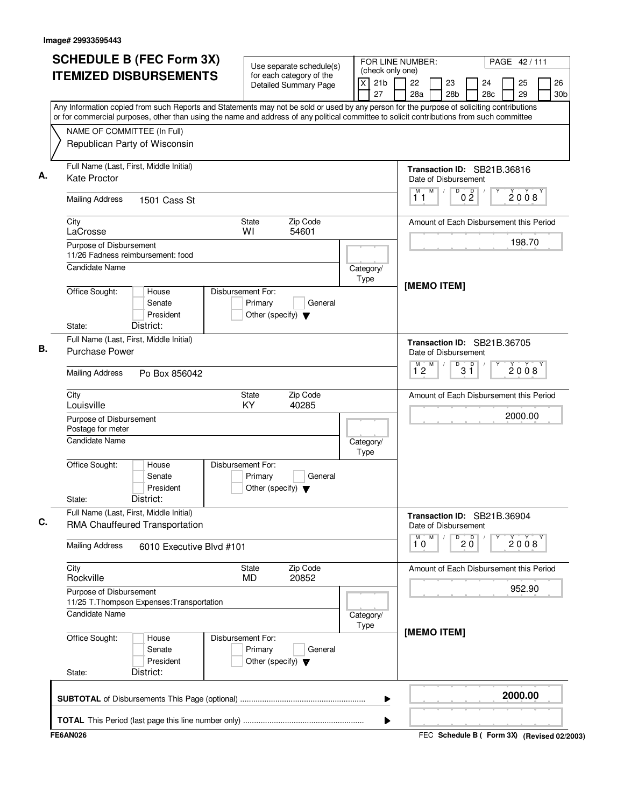| <b>SCHEDULE B (FEC Form 3X)</b>                                                                                                                                          | Use separate schedule(s)                                                        |                                                       | FOR LINE NUMBER:                                    |                      |           | PAGE 42/111                                 |                       |
|--------------------------------------------------------------------------------------------------------------------------------------------------------------------------|---------------------------------------------------------------------------------|-------------------------------------------------------|-----------------------------------------------------|----------------------|-----------|---------------------------------------------|-----------------------|
| <b>ITEMIZED DISBURSEMENTS</b>                                                                                                                                            | for each category of the<br>Detailed Summary Page                               | (check only one)<br>$\times$<br>21 <sub>b</sub><br>27 | 22<br>28a                                           | 23<br>28b            | 24<br>28c | 25<br>29                                    | 26<br>30 <sub>b</sub> |
| Any Information copied from such Reports and Statements may not be sold or used by any person for the purpose of soliciting contributions                                |                                                                                 |                                                       |                                                     |                      |           |                                             |                       |
| or for commercial purposes, other than using the name and address of any political committee to solicit contributions from such committee<br>NAME OF COMMITTEE (In Full) |                                                                                 |                                                       |                                                     |                      |           |                                             |                       |
| Republican Party of Wisconsin                                                                                                                                            |                                                                                 |                                                       |                                                     |                      |           |                                             |                       |
| Full Name (Last, First, Middle Initial)<br><b>Kate Proctor</b>                                                                                                           |                                                                                 |                                                       | Transaction ID: SB21B.36816<br>Date of Disbursement |                      |           |                                             |                       |
| <b>Mailing Address</b><br>1501 Cass St                                                                                                                                   |                                                                                 |                                                       | M<br>11                                             | D<br>D<br>$0\bar{2}$ |           | 2008                                        |                       |
| City<br>LaCrosse                                                                                                                                                         | Zip Code<br><b>State</b><br>54601<br>WI                                         |                                                       | Amount of Each Disbursement this Period             |                      |           |                                             |                       |
| Purpose of Disbursement<br>11/26 Fadness reimbursement: food                                                                                                             |                                                                                 |                                                       |                                                     |                      |           | 198.70                                      |                       |
| Candidate Name                                                                                                                                                           |                                                                                 | Category/<br>Type                                     | [MEMO ITEM]                                         |                      |           |                                             |                       |
| Office Sought:<br>House<br>Senate<br>President<br>District:<br>State:                                                                                                    | Disbursement For:<br>Primary<br>General<br>Other (specify) $\blacktriangledown$ |                                                       |                                                     |                      |           |                                             |                       |
| Full Name (Last, First, Middle Initial)                                                                                                                                  |                                                                                 |                                                       | Transaction ID: SB21B.36705                         |                      |           |                                             |                       |
| <b>Purchase Power</b>                                                                                                                                                    |                                                                                 |                                                       | Date of Disbursement                                |                      |           |                                             |                       |
| <b>Mailing Address</b><br>Po Box 856042                                                                                                                                  |                                                                                 |                                                       | M<br>M T<br>12                                      | D<br>$3^{\circ}$     |           | 2008                                        |                       |
| City<br>Louisville                                                                                                                                                       | Zip Code<br>State<br>KY<br>40285                                                |                                                       | Amount of Each Disbursement this Period             |                      |           |                                             |                       |
| Purpose of Disbursement<br>Postage for meter                                                                                                                             |                                                                                 |                                                       |                                                     |                      |           | 2000.00                                     |                       |
| <b>Candidate Name</b>                                                                                                                                                    |                                                                                 | Category/<br>Type                                     |                                                     |                      |           |                                             |                       |
| Office Sought:<br>House<br>Senate<br>President<br>District:<br>State:                                                                                                    | Disbursement For:<br>Primary<br>General<br>Other (specify) $\blacktriangledown$ |                                                       |                                                     |                      |           |                                             |                       |
| Full Name (Last, First, Middle Initial)<br>RMA Chauffeured Transportation                                                                                                |                                                                                 |                                                       | Transaction ID: SB21B.36904<br>Date of Disbursement |                      |           |                                             |                       |
| <b>Mailing Address</b><br>6010 Executive Blvd #101                                                                                                                       |                                                                                 |                                                       | M<br>M<br>10                                        | $20^{\circ}$<br>D    |           | 2008                                        |                       |
| City<br>Rockville                                                                                                                                                        | Zip Code<br>State<br>20852<br><b>MD</b>                                         |                                                       | Amount of Each Disbursement this Period             |                      |           |                                             |                       |
| Purpose of Disbursement<br>11/25 T. Thompson Expenses: Transportation                                                                                                    |                                                                                 |                                                       |                                                     |                      |           | 952.90                                      |                       |
| Candidate Name                                                                                                                                                           |                                                                                 | Category/<br>Type                                     |                                                     |                      |           |                                             |                       |
| Office Sought:<br>House<br>Senate<br>President<br>District:<br>State:                                                                                                    | Disbursement For:<br>Primary<br>General<br>Other (specify) $\blacktriangledown$ |                                                       | [MEMO ITEM]                                         |                      |           |                                             |                       |
|                                                                                                                                                                          |                                                                                 | ▶                                                     |                                                     |                      |           | 2000.00                                     |                       |
|                                                                                                                                                                          |                                                                                 | ▶                                                     |                                                     |                      |           |                                             |                       |
| <b>FE6AN026</b>                                                                                                                                                          |                                                                                 |                                                       |                                                     |                      |           | FEC Schedule B ( Form 3X) (Revised 02/2003) |                       |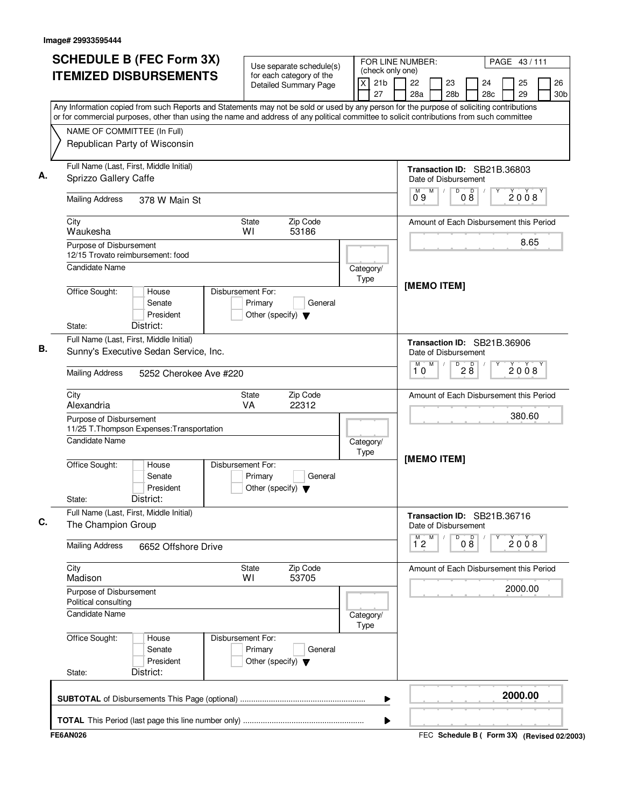| <b>SCHEDULE B (FEC Form 3X)</b><br><b>ITEMIZED DISBURSEMENTS</b>                                                                                                                                                                                                                       |                                                 | Use separate schedule(s)<br>for each category of the |      |                       | FOR LINE NUMBER:<br>PAGE 43/111<br>(check only one)<br>22<br>26<br>23<br>24 |                   |   |                      |                   |                                         |  |          |                 |
|----------------------------------------------------------------------------------------------------------------------------------------------------------------------------------------------------------------------------------------------------------------------------------------|-------------------------------------------------|------------------------------------------------------|------|-----------------------|-----------------------------------------------------------------------------|-------------------|---|----------------------|-------------------|-----------------------------------------|--|----------|-----------------|
|                                                                                                                                                                                                                                                                                        |                                                 | <b>Detailed Summary Page</b>                         | X    | 21 <sub>b</sub><br>27 |                                                                             | 28a               |   | 28 <sub>b</sub>      |                   | 28 <sub>c</sub>                         |  | 25<br>29 | 30 <sub>b</sub> |
| Any Information copied from such Reports and Statements may not be sold or used by any person for the purpose of soliciting contributions<br>or for commercial purposes, other than using the name and address of any political committee to solicit contributions from such committee |                                                 |                                                      |      |                       |                                                                             |                   |   |                      |                   |                                         |  |          |                 |
| NAME OF COMMITTEE (In Full)                                                                                                                                                                                                                                                            |                                                 |                                                      |      |                       |                                                                             |                   |   |                      |                   |                                         |  |          |                 |
| Republican Party of Wisconsin                                                                                                                                                                                                                                                          |                                                 |                                                      |      |                       |                                                                             |                   |   |                      |                   |                                         |  |          |                 |
| Full Name (Last, First, Middle Initial)<br>Sprizzo Gallery Caffe                                                                                                                                                                                                                       |                                                 |                                                      |      |                       |                                                                             |                   |   | Date of Disbursement |                   | Transaction ID: SB21B.36803             |  |          |                 |
| <b>Mailing Address</b><br>378 W Main St                                                                                                                                                                                                                                                |                                                 |                                                      |      |                       |                                                                             | 09                | M | $\overline{D}$       | $0\overset{D}{8}$ |                                         |  | 2008     |                 |
| City<br>Waukesha                                                                                                                                                                                                                                                                       | State<br>WI                                     | Zip Code<br>53186                                    |      |                       |                                                                             |                   |   |                      |                   | Amount of Each Disbursement this Period |  |          |                 |
| Purpose of Disbursement<br>12/15 Trovato reimbursement: food                                                                                                                                                                                                                           |                                                 |                                                      |      |                       |                                                                             |                   |   |                      |                   |                                         |  | 8.65     |                 |
| <b>Candidate Name</b>                                                                                                                                                                                                                                                                  |                                                 |                                                      | Type | Category/             |                                                                             | [MEMO ITEM]       |   |                      |                   |                                         |  |          |                 |
| Office Sought:<br>Disbursement For:<br>House<br>Senate<br>President<br>District:<br>State:                                                                                                                                                                                             | Primary<br>Other (specify) $\blacktriangledown$ | General                                              |      |                       |                                                                             |                   |   |                      |                   |                                         |  |          |                 |
| Full Name (Last, First, Middle Initial)                                                                                                                                                                                                                                                |                                                 |                                                      |      |                       |                                                                             |                   |   |                      |                   | Transaction ID: SB21B.36906             |  |          |                 |
| Sunny's Executive Sedan Service, Inc.                                                                                                                                                                                                                                                  |                                                 |                                                      |      |                       |                                                                             |                   |   | Date of Disbursement |                   |                                         |  |          |                 |
| <b>Mailing Address</b><br>5252 Cherokee Ave #220                                                                                                                                                                                                                                       |                                                 |                                                      |      |                       |                                                                             | м<br>10           | M | D                    | 28                |                                         |  | 2008     |                 |
| City<br>Alexandria                                                                                                                                                                                                                                                                     | <b>State</b><br><b>VA</b>                       | Zip Code<br>22312                                    |      |                       |                                                                             |                   |   |                      |                   | Amount of Each Disbursement this Period |  |          |                 |
| Purpose of Disbursement<br>11/25 T. Thompson Expenses: Transportation                                                                                                                                                                                                                  |                                                 |                                                      |      |                       |                                                                             |                   |   |                      |                   |                                         |  | 380.60   |                 |
| <b>Candidate Name</b>                                                                                                                                                                                                                                                                  |                                                 |                                                      | Type | Category/             |                                                                             | [MEMO ITEM]       |   |                      |                   |                                         |  |          |                 |
| Office Sought:<br>Disbursement For:<br>House<br>Senate<br>President<br>District:<br>State:                                                                                                                                                                                             | Primary<br>Other (specify) $\blacktriangledown$ | General                                              |      |                       |                                                                             |                   |   |                      |                   |                                         |  |          |                 |
| Full Name (Last, First, Middle Initial)<br>The Champion Group                                                                                                                                                                                                                          |                                                 |                                                      |      |                       |                                                                             |                   |   | Date of Disbursement |                   | Transaction ID: SB21B.36716             |  |          |                 |
| <b>Mailing Address</b><br>6652 Offshore Drive                                                                                                                                                                                                                                          |                                                 |                                                      |      |                       |                                                                             | М<br>$1^{\circ}2$ | M | D                    | 08                |                                         |  | 2008     |                 |
| City<br>Madison                                                                                                                                                                                                                                                                        | State<br>WI                                     | Zip Code<br>53705                                    |      |                       |                                                                             |                   |   |                      |                   | Amount of Each Disbursement this Period |  |          |                 |
| Purpose of Disbursement<br>Political consulting                                                                                                                                                                                                                                        |                                                 |                                                      |      |                       |                                                                             |                   |   |                      |                   |                                         |  | 2000.00  |                 |
| <b>Candidate Name</b>                                                                                                                                                                                                                                                                  |                                                 |                                                      | Type | Category/             |                                                                             |                   |   |                      |                   |                                         |  |          |                 |
| Office Sought:<br>Disbursement For:<br>House<br>Senate<br>President                                                                                                                                                                                                                    | Primary<br>Other (specify) $\blacktriangledown$ | General                                              |      |                       |                                                                             |                   |   |                      |                   |                                         |  |          |                 |
| District:<br>State:                                                                                                                                                                                                                                                                    |                                                 |                                                      |      |                       |                                                                             |                   |   |                      |                   |                                         |  |          |                 |
|                                                                                                                                                                                                                                                                                        |                                                 |                                                      |      |                       | ▶                                                                           |                   |   |                      |                   |                                         |  | 2000.00  |                 |
|                                                                                                                                                                                                                                                                                        |                                                 |                                                      |      |                       |                                                                             |                   |   |                      |                   |                                         |  |          |                 |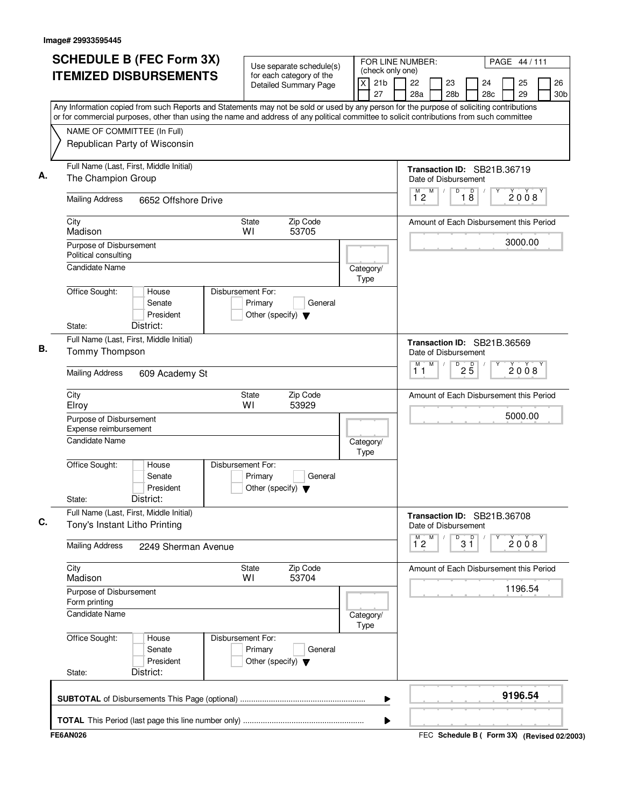| NAME OF COMMITTEE (In Full)<br>Republican Party of Wisconsin<br>Full Name (Last, First, Middle Initial)<br>The Champion Group | <b>ITEMIZED DISBURSEMENTS</b>             | Use separate schedule(s)<br>for each category of the<br><b>Detailed Summary Page</b><br>Any Information copied from such Reports and Statements may not be sold or used by any person for the purpose of soliciting contributions<br>or for commercial purposes, other than using the name and address of any political committee to solicit contributions from such committee | $\times$          | (check only one)<br>21 <sub>b</sub><br>27 | 22<br>28a          | 23                   | 28 <sub>b</sub> |                      | 24<br>28c                   | 25                                      | 26              |
|-------------------------------------------------------------------------------------------------------------------------------|-------------------------------------------|--------------------------------------------------------------------------------------------------------------------------------------------------------------------------------------------------------------------------------------------------------------------------------------------------------------------------------------------------------------------------------|-------------------|-------------------------------------------|--------------------|----------------------|-----------------|----------------------|-----------------------------|-----------------------------------------|-----------------|
|                                                                                                                               |                                           |                                                                                                                                                                                                                                                                                                                                                                                |                   |                                           |                    |                      |                 |                      |                             | 29                                      | 30 <sub>b</sub> |
|                                                                                                                               |                                           |                                                                                                                                                                                                                                                                                                                                                                                |                   |                                           |                    |                      |                 |                      |                             |                                         |                 |
|                                                                                                                               |                                           |                                                                                                                                                                                                                                                                                                                                                                                |                   |                                           |                    |                      |                 |                      |                             |                                         |                 |
|                                                                                                                               |                                           |                                                                                                                                                                                                                                                                                                                                                                                |                   |                                           |                    | Date of Disbursement |                 |                      | Transaction ID: SB21B.36719 |                                         |                 |
| <b>Mailing Address</b>                                                                                                        | 6652 Offshore Drive                       |                                                                                                                                                                                                                                                                                                                                                                                |                   |                                           | $\overline{1}^M$ 2 | M                    | $\overline{D}$  | D<br>$1\overline{8}$ |                             | 2008                                    |                 |
| City<br>Madison                                                                                                               |                                           | Zip Code<br>State<br>WI<br>53705                                                                                                                                                                                                                                                                                                                                               |                   |                                           |                    |                      |                 |                      |                             | Amount of Each Disbursement this Period |                 |
| Purpose of Disbursement<br>Political consulting                                                                               |                                           |                                                                                                                                                                                                                                                                                                                                                                                |                   |                                           |                    |                      |                 |                      |                             | 3000.00                                 |                 |
| <b>Candidate Name</b>                                                                                                         |                                           | Disbursement For:                                                                                                                                                                                                                                                                                                                                                              | Category/<br>Type |                                           |                    |                      |                 |                      |                             |                                         |                 |
| Office Sought:<br>State:                                                                                                      | House<br>Senate<br>President<br>District: | Primary<br>General<br>Other (specify) $\blacktriangledown$                                                                                                                                                                                                                                                                                                                     |                   |                                           |                    |                      |                 |                      |                             |                                         |                 |
| Full Name (Last, First, Middle Initial)<br>Tommy Thompson                                                                     |                                           |                                                                                                                                                                                                                                                                                                                                                                                |                   |                                           |                    | Date of Disbursement |                 |                      | Transaction ID: SB21B.36569 |                                         |                 |
| <b>Mailing Address</b>                                                                                                        | 609 Academy St                            |                                                                                                                                                                                                                                                                                                                                                                                |                   |                                           | М<br>11            | M                    | D               | $2\overline{5}$      |                             | 2008                                    |                 |
| City<br>Elroy                                                                                                                 |                                           | Zip Code<br>State<br>WI<br>53929                                                                                                                                                                                                                                                                                                                                               |                   |                                           |                    |                      |                 |                      |                             | Amount of Each Disbursement this Period |                 |
| Purpose of Disbursement<br>Expense reimbursement                                                                              |                                           |                                                                                                                                                                                                                                                                                                                                                                                |                   |                                           |                    |                      |                 |                      |                             | 5000.00                                 |                 |
| <b>Candidate Name</b>                                                                                                         |                                           |                                                                                                                                                                                                                                                                                                                                                                                | Category/<br>Type |                                           |                    |                      |                 |                      |                             |                                         |                 |
| Office Sought:<br>State:                                                                                                      | House<br>Senate<br>President<br>District: | Disbursement For:<br>Primary<br>General<br>Other (specify) $\blacktriangledown$                                                                                                                                                                                                                                                                                                |                   |                                           |                    |                      |                 |                      |                             |                                         |                 |
| Full Name (Last, First, Middle Initial)<br>Tony's Instant Litho Printing                                                      |                                           |                                                                                                                                                                                                                                                                                                                                                                                |                   |                                           |                    | Date of Disbursement |                 |                      | Transaction ID: SB21B.36708 |                                         |                 |
| <b>Mailing Address</b>                                                                                                        | 2249 Sherman Avenue                       |                                                                                                                                                                                                                                                                                                                                                                                |                   |                                           | $\overline{1}^M$ 2 | M                    | D               | p<br>3 ĭ             |                             | 2008                                    |                 |
| City<br>Madison                                                                                                               |                                           | State<br>Zip Code<br>53704<br>W١                                                                                                                                                                                                                                                                                                                                               |                   |                                           |                    |                      |                 |                      |                             | Amount of Each Disbursement this Period |                 |
| Purpose of Disbursement<br>Form printing                                                                                      |                                           |                                                                                                                                                                                                                                                                                                                                                                                |                   |                                           |                    |                      |                 |                      |                             | 1196.54                                 |                 |
| Candidate Name                                                                                                                |                                           |                                                                                                                                                                                                                                                                                                                                                                                | Category/<br>Type |                                           |                    |                      |                 |                      |                             |                                         |                 |
| Office Sought:<br>State:                                                                                                      | House<br>Senate<br>President<br>District: | Disbursement For:<br>Primary<br>General<br>Other (specify) $\blacktriangledown$                                                                                                                                                                                                                                                                                                |                   |                                           |                    |                      |                 |                      |                             |                                         |                 |
|                                                                                                                               |                                           |                                                                                                                                                                                                                                                                                                                                                                                |                   | ▶                                         |                    |                      |                 |                      |                             | 9196.54                                 |                 |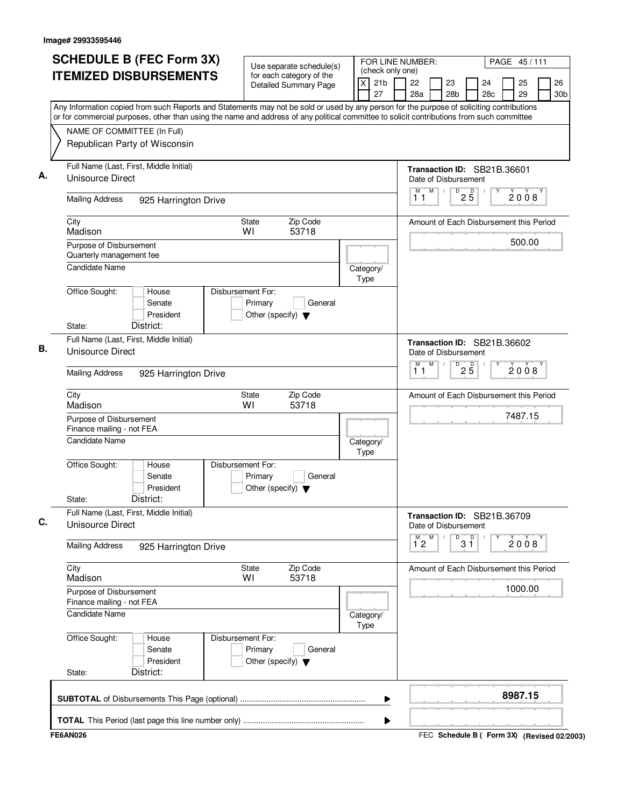| <b>SCHEDULE B (FEC Form 3X)</b>                                                                                                                                          |                                                                      | Use separate schedule(s)                                 |                         | FOR LINE NUMBER:<br>PAGE 45/111<br>(check only one) |                           |   |                       |                      |                                         |  |          |                       |
|--------------------------------------------------------------------------------------------------------------------------------------------------------------------------|----------------------------------------------------------------------|----------------------------------------------------------|-------------------------|-----------------------------------------------------|---------------------------|---|-----------------------|----------------------|-----------------------------------------|--|----------|-----------------------|
| <b>ITEMIZED DISBURSEMENTS</b>                                                                                                                                            |                                                                      | for each category of the<br><b>Detailed Summary Page</b> | $\overline{\mathsf{x}}$ | 21 <sub>b</sub><br>27                               | 22<br>28a                 |   | 23<br>28 <sub>b</sub> |                      | 24<br>28c                               |  | 25<br>29 | 26<br>30 <sub>b</sub> |
| Any Information copied from such Reports and Statements may not be sold or used by any person for the purpose of soliciting contributions                                |                                                                      |                                                          |                         |                                                     |                           |   |                       |                      |                                         |  |          |                       |
| or for commercial purposes, other than using the name and address of any political committee to solicit contributions from such committee<br>NAME OF COMMITTEE (In Full) |                                                                      |                                                          |                         |                                                     |                           |   |                       |                      |                                         |  |          |                       |
| Republican Party of Wisconsin                                                                                                                                            |                                                                      |                                                          |                         |                                                     |                           |   |                       |                      |                                         |  |          |                       |
|                                                                                                                                                                          |                                                                      |                                                          |                         |                                                     |                           |   |                       |                      |                                         |  |          |                       |
| Full Name (Last, First, Middle Initial)<br>Unisource Direct                                                                                                              |                                                                      |                                                          |                         |                                                     | Date of Disbursement      |   |                       |                      | Transaction ID: SB21B.36601             |  |          |                       |
| <b>Mailing Address</b><br>925 Harrington Drive                                                                                                                           |                                                                      |                                                          |                         |                                                     | М<br>11                   | M | $\sqrt{2}$            | $D$ <sub>2</sub> $B$ |                                         |  | 2008     |                       |
| City<br>Madison                                                                                                                                                          | <b>State</b><br>WI                                                   | Zip Code<br>53718                                        |                         |                                                     |                           |   |                       |                      | Amount of Each Disbursement this Period |  |          |                       |
| Purpose of Disbursement<br>Quarterly management fee                                                                                                                      |                                                                      |                                                          |                         |                                                     |                           |   |                       |                      |                                         |  | 500.00   |                       |
| <b>Candidate Name</b>                                                                                                                                                    |                                                                      |                                                          | Category/               |                                                     |                           |   |                       |                      |                                         |  |          |                       |
|                                                                                                                                                                          |                                                                      |                                                          | Type                    |                                                     |                           |   |                       |                      |                                         |  |          |                       |
| Office Sought:<br>House<br>Senate<br>President                                                                                                                           | Disbursement For:<br>Primary<br>Other (specify) $\blacktriangledown$ | General                                                  |                         |                                                     |                           |   |                       |                      |                                         |  |          |                       |
| District:<br>State:                                                                                                                                                      |                                                                      |                                                          |                         |                                                     |                           |   |                       |                      |                                         |  |          |                       |
| Full Name (Last, First, Middle Initial)<br><b>Unisource Direct</b>                                                                                                       |                                                                      |                                                          |                         |                                                     | Date of Disbursement      |   |                       |                      | Transaction ID: SB21B.36602             |  |          |                       |
| <b>Mailing Address</b><br>925 Harrington Drive                                                                                                                           |                                                                      |                                                          |                         |                                                     | M<br>11                   | M |                       | D<br>25              |                                         |  | 2008     |                       |
| City<br>Madison                                                                                                                                                          | <b>State</b><br>WI                                                   | Zip Code<br>53718                                        |                         |                                                     |                           |   |                       |                      | Amount of Each Disbursement this Period |  |          |                       |
| Purpose of Disbursement<br>Finance mailing - not FEA                                                                                                                     |                                                                      |                                                          |                         |                                                     |                           |   |                       |                      |                                         |  | 7487.15  |                       |
| <b>Candidate Name</b>                                                                                                                                                    |                                                                      |                                                          | Category/<br>Type       |                                                     |                           |   |                       |                      |                                         |  |          |                       |
| Office Sought:<br>House<br>Senate<br>President                                                                                                                           | Disbursement For:<br>Primary<br>Other (specify) $\blacktriangledown$ | General                                                  |                         |                                                     |                           |   |                       |                      |                                         |  |          |                       |
| District:<br>State:                                                                                                                                                      |                                                                      |                                                          |                         |                                                     |                           |   |                       |                      |                                         |  |          |                       |
| Full Name (Last, First, Middle Initial)<br>Unisource Direct                                                                                                              |                                                                      |                                                          |                         |                                                     | Date of Disbursement<br>м | M |                       | D                    | Transaction ID: SB21B.36709             |  |          |                       |
| <b>Mailing Address</b><br>925 Harrington Drive                                                                                                                           |                                                                      |                                                          |                         |                                                     | $1^{\degree}2$            |   |                       | $3^{\circ}$          |                                         |  | 2008     |                       |
| City<br>Madison                                                                                                                                                          | State<br>WI                                                          | Zip Code<br>53718                                        |                         |                                                     |                           |   |                       |                      | Amount of Each Disbursement this Period |  |          |                       |
| Purpose of Disbursement<br>Finance mailing - not FEA                                                                                                                     |                                                                      |                                                          |                         |                                                     |                           |   |                       |                      |                                         |  | 1000.00  |                       |
| <b>Candidate Name</b>                                                                                                                                                    |                                                                      |                                                          | Category/<br>Type       |                                                     |                           |   |                       |                      |                                         |  |          |                       |
| Office Sought:<br>House<br>Senate<br>President                                                                                                                           | Disbursement For:<br>Primary<br>Other (specify) $\blacktriangledown$ | General                                                  |                         |                                                     |                           |   |                       |                      |                                         |  |          |                       |
| District:<br>State:                                                                                                                                                      |                                                                      |                                                          |                         |                                                     |                           |   |                       |                      |                                         |  |          |                       |
|                                                                                                                                                                          |                                                                      |                                                          |                         | ▶                                                   |                           |   |                       |                      |                                         |  | 8987.15  |                       |
|                                                                                                                                                                          |                                                                      |                                                          |                         |                                                     |                           |   |                       |                      |                                         |  |          |                       |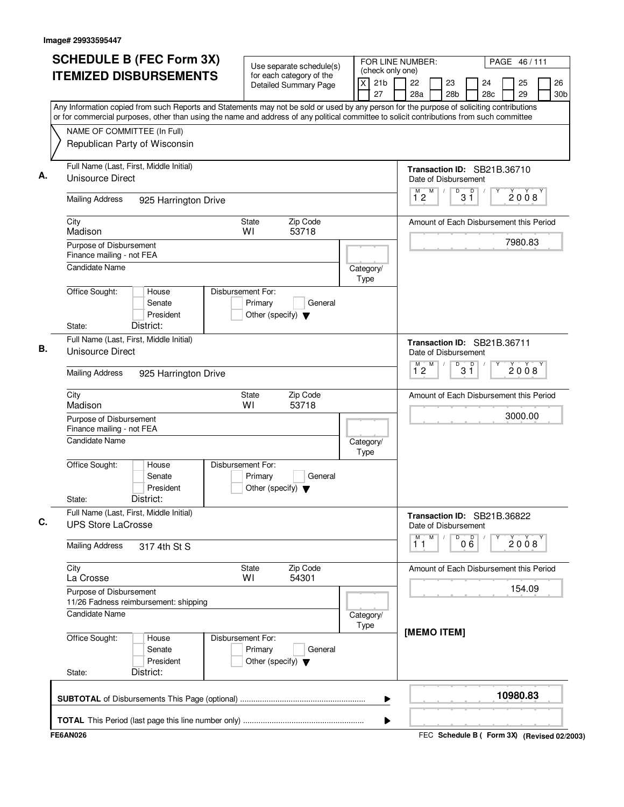| <b>SCHEDULE B (FEC Form 3X)</b>                                                                                                                                                                                                                                                        | Use separate schedule(s)                                                        | FOR LINE NUMBER:                                      |                                                                             |               |           | PAGE 46/111 |                                             |
|----------------------------------------------------------------------------------------------------------------------------------------------------------------------------------------------------------------------------------------------------------------------------------------|---------------------------------------------------------------------------------|-------------------------------------------------------|-----------------------------------------------------------------------------|---------------|-----------|-------------|---------------------------------------------|
| <b>ITEMIZED DISBURSEMENTS</b>                                                                                                                                                                                                                                                          | for each category of the<br>Detailed Summary Page                               | (check only one)<br>$\times$<br>21 <sub>b</sub><br>27 | 22<br>28a                                                                   | 23<br>28b     | 24<br>28c | 25<br>29    | 26<br>30 <sub>b</sub>                       |
| Any Information copied from such Reports and Statements may not be sold or used by any person for the purpose of soliciting contributions<br>or for commercial purposes, other than using the name and address of any political committee to solicit contributions from such committee |                                                                                 |                                                       |                                                                             |               |           |             |                                             |
| NAME OF COMMITTEE (In Full)                                                                                                                                                                                                                                                            |                                                                                 |                                                       |                                                                             |               |           |             |                                             |
| Republican Party of Wisconsin                                                                                                                                                                                                                                                          |                                                                                 |                                                       |                                                                             |               |           |             |                                             |
| Full Name (Last, First, Middle Initial)<br>Unisource Direct                                                                                                                                                                                                                            |                                                                                 |                                                       | Transaction ID: SB21B.36710<br>Date of Disbursement                         |               |           |             |                                             |
| <b>Mailing Address</b><br>925 Harrington Drive                                                                                                                                                                                                                                         |                                                                                 |                                                       | M<br>$1^{\degree}2$                                                         | D<br>D<br>3 ĭ |           | 2008        |                                             |
| City<br>Madison                                                                                                                                                                                                                                                                        | Zip Code<br><b>State</b><br>53718<br>WI                                         |                                                       | Amount of Each Disbursement this Period                                     |               |           |             |                                             |
| Purpose of Disbursement<br>Finance mailing - not FEA                                                                                                                                                                                                                                   |                                                                                 |                                                       |                                                                             |               |           | 7980.83     |                                             |
| <b>Candidate Name</b>                                                                                                                                                                                                                                                                  |                                                                                 | Category/<br>Type                                     |                                                                             |               |           |             |                                             |
| Office Sought:<br>House<br>Senate<br>President<br>District:<br>State:                                                                                                                                                                                                                  | Disbursement For:<br>Primary<br>General<br>Other (specify) $\blacktriangledown$ |                                                       |                                                                             |               |           |             |                                             |
| Full Name (Last, First, Middle Initial)                                                                                                                                                                                                                                                |                                                                                 |                                                       |                                                                             |               |           |             |                                             |
| Unisource Direct                                                                                                                                                                                                                                                                       |                                                                                 |                                                       | Transaction ID: SB21B.36711<br>Date of Disbursement<br>M<br>M <sup>-1</sup> | D             |           |             |                                             |
| <b>Mailing Address</b><br>925 Harrington Drive                                                                                                                                                                                                                                         |                                                                                 |                                                       | 12                                                                          | $3^{\circ}$   |           | 2008        |                                             |
| City<br>Madison                                                                                                                                                                                                                                                                        | Zip Code<br>State<br>WI<br>53718                                                |                                                       | Amount of Each Disbursement this Period                                     |               |           |             |                                             |
| Purpose of Disbursement<br>Finance mailing - not FEA                                                                                                                                                                                                                                   |                                                                                 |                                                       |                                                                             |               |           | 3000.00     |                                             |
| <b>Candidate Name</b>                                                                                                                                                                                                                                                                  |                                                                                 | Category/<br>Type                                     |                                                                             |               |           |             |                                             |
| Office Sought:<br>House<br>Senate<br>President<br>District:<br>State:                                                                                                                                                                                                                  | Disbursement For:<br>Primary<br>General<br>Other (specify) $\blacktriangledown$ |                                                       |                                                                             |               |           |             |                                             |
| Full Name (Last, First, Middle Initial)<br><b>UPS Store LaCrosse</b>                                                                                                                                                                                                                   |                                                                                 |                                                       | Transaction ID: SB21B.36822<br>Date of Disbursement                         |               |           |             |                                             |
| <b>Mailing Address</b><br>317 4th St S                                                                                                                                                                                                                                                 |                                                                                 |                                                       | M<br>М<br>11                                                                | D<br>000      |           | 2008        |                                             |
| City<br>La Crosse                                                                                                                                                                                                                                                                      | Zip Code<br>State<br>WI<br>54301                                                |                                                       | Amount of Each Disbursement this Period                                     |               |           |             |                                             |
| Purpose of Disbursement<br>11/26 Fadness reimbursement: shipping                                                                                                                                                                                                                       |                                                                                 |                                                       |                                                                             |               |           | 154.09      |                                             |
| <b>Candidate Name</b>                                                                                                                                                                                                                                                                  |                                                                                 | Category/<br>Type                                     |                                                                             |               |           |             |                                             |
| Office Sought:<br>House<br>Senate<br>President<br>District:<br>State:                                                                                                                                                                                                                  | Disbursement For:<br>Primary<br>General<br>Other (specify) $\blacktriangledown$ |                                                       | [MEMO ITEM]                                                                 |               |           |             |                                             |
|                                                                                                                                                                                                                                                                                        |                                                                                 | ▶                                                     |                                                                             |               |           | 10980.83    |                                             |
|                                                                                                                                                                                                                                                                                        |                                                                                 | ▶                                                     |                                                                             |               |           |             |                                             |
| <b>FE6AN026</b>                                                                                                                                                                                                                                                                        |                                                                                 |                                                       |                                                                             |               |           |             | FEC Schedule B ( Form 3X) (Revised 02/2003) |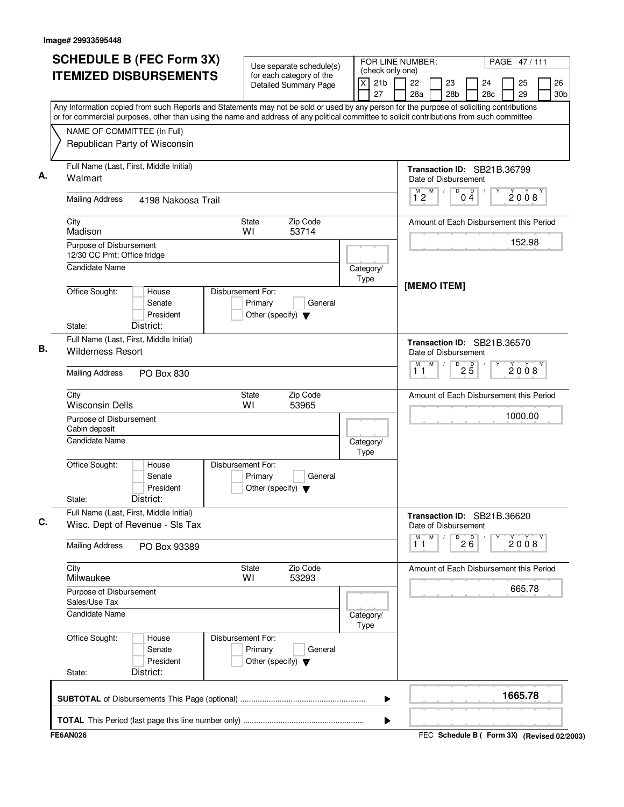| <b>SCHEDULE B (FEC Form 3X)</b>                                                                                                                                                                                                                                                        | Use separate schedule(s)                                                        | FOR LINE NUMBER:                                      |                                                     |                      |           | PAGE 47/111 |                       |
|----------------------------------------------------------------------------------------------------------------------------------------------------------------------------------------------------------------------------------------------------------------------------------------|---------------------------------------------------------------------------------|-------------------------------------------------------|-----------------------------------------------------|----------------------|-----------|-------------|-----------------------|
| <b>ITEMIZED DISBURSEMENTS</b>                                                                                                                                                                                                                                                          | for each category of the<br>Detailed Summary Page                               | (check only one)<br>$\times$<br>21 <sub>b</sub><br>27 | 22<br>23<br>28a<br>28b                              |                      | 24<br>28c | 25<br>29    | 26<br>30 <sub>b</sub> |
| Any Information copied from such Reports and Statements may not be sold or used by any person for the purpose of soliciting contributions<br>or for commercial purposes, other than using the name and address of any political committee to solicit contributions from such committee |                                                                                 |                                                       |                                                     |                      |           |             |                       |
| NAME OF COMMITTEE (In Full)                                                                                                                                                                                                                                                            |                                                                                 |                                                       |                                                     |                      |           |             |                       |
| Republican Party of Wisconsin                                                                                                                                                                                                                                                          |                                                                                 |                                                       |                                                     |                      |           |             |                       |
| Full Name (Last, First, Middle Initial)<br>Walmart                                                                                                                                                                                                                                     |                                                                                 |                                                       | Transaction ID: SB21B.36799<br>Date of Disbursement |                      |           |             |                       |
| <b>Mailing Address</b><br>4198 Nakoosa Trail                                                                                                                                                                                                                                           |                                                                                 |                                                       | M<br>$1^{\degree}2$                                 | D<br>D<br>04         |           | 2008        |                       |
| City<br>Madison                                                                                                                                                                                                                                                                        | Zip Code<br><b>State</b><br>WI<br>53714                                         |                                                       | Amount of Each Disbursement this Period             |                      |           |             |                       |
| Purpose of Disbursement<br>12/30 CC Pmt: Office fridge                                                                                                                                                                                                                                 |                                                                                 |                                                       |                                                     |                      |           | 152.98      |                       |
| <b>Candidate Name</b>                                                                                                                                                                                                                                                                  |                                                                                 | Category/<br>Type                                     | [MEMO ITEM]                                         |                      |           |             |                       |
| Office Sought:<br>House<br>Senate<br>President<br>District:<br>State:                                                                                                                                                                                                                  | Disbursement For:<br>Primary<br>General<br>Other (specify) $\blacktriangledown$ |                                                       |                                                     |                      |           |             |                       |
| Full Name (Last, First, Middle Initial)<br><b>Wilderness Resort</b>                                                                                                                                                                                                                    |                                                                                 |                                                       | Transaction ID: SB21B.36570<br>Date of Disbursement |                      |           |             |                       |
| <b>Mailing Address</b><br>PO Box 830                                                                                                                                                                                                                                                   |                                                                                 |                                                       | M<br>M<br>11                                        | D<br>$2\overline{5}$ |           | 2008        |                       |
| City<br><b>Wisconsin Dells</b>                                                                                                                                                                                                                                                         | Zip Code<br>State<br>WI<br>53965                                                |                                                       | Amount of Each Disbursement this Period             |                      |           |             |                       |
| Purpose of Disbursement<br>Cabin deposit                                                                                                                                                                                                                                               |                                                                                 |                                                       |                                                     |                      |           | 1000.00     |                       |
| <b>Candidate Name</b>                                                                                                                                                                                                                                                                  |                                                                                 | Category/<br>Type                                     |                                                     |                      |           |             |                       |
| Office Sought:<br>House<br>Senate<br>President<br>District:<br>State:                                                                                                                                                                                                                  | Disbursement For:<br>Primary<br>General<br>Other (specify) $\blacktriangledown$ |                                                       |                                                     |                      |           |             |                       |
| Full Name (Last, First, Middle Initial)<br>Wisc. Dept of Revenue - SIs Tax                                                                                                                                                                                                             |                                                                                 |                                                       | Transaction ID: SB21B.36620<br>Date of Disbursement |                      |           |             |                       |
| <b>Mailing Address</b><br>PO Box 93389                                                                                                                                                                                                                                                 |                                                                                 |                                                       | M<br>М<br>11                                        | $2\overline{6}$<br>D |           | 2008        |                       |
| City<br>Milwaukee                                                                                                                                                                                                                                                                      | Zip Code<br>State<br>53293<br>WI                                                |                                                       | Amount of Each Disbursement this Period             |                      |           |             |                       |
| Purpose of Disbursement<br>Sales/Use Tax                                                                                                                                                                                                                                               |                                                                                 |                                                       |                                                     |                      |           | 665.78      |                       |
| <b>Candidate Name</b>                                                                                                                                                                                                                                                                  |                                                                                 | Category/<br>Type                                     |                                                     |                      |           |             |                       |
| Office Sought:<br>House<br>Senate<br>President<br>District:<br>State:                                                                                                                                                                                                                  | Disbursement For:<br>Primary<br>General<br>Other (specify) $\blacktriangledown$ |                                                       |                                                     |                      |           |             |                       |
|                                                                                                                                                                                                                                                                                        |                                                                                 | ▶                                                     |                                                     |                      |           | 1665.78     |                       |
|                                                                                                                                                                                                                                                                                        |                                                                                 | ▶                                                     |                                                     |                      |           |             |                       |
| <b>FE6AN026</b>                                                                                                                                                                                                                                                                        |                                                                                 |                                                       | FEC Schedule B ( Form 3X) (Revised 02/2003)         |                      |           |             |                       |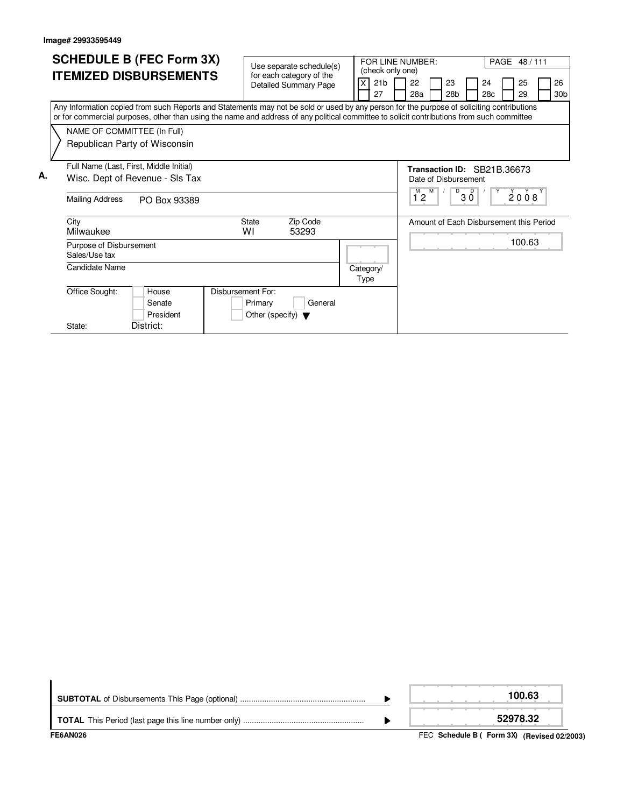|    | <b>SCHEDULE B (FEC Form 3X)</b><br><b>ITEMIZED DISBURSEMENTS</b>                                                                                                                                                                                                                                                                                       |           |                   | for each category of the             |                   | Use separate schedule(s)<br>Detailed Summary Page        | 27                | (check only one)<br>21 <sub>b</sub> | FOR LINE NUMBER:<br>22<br>28a | 23<br>28 <sub>b</sub> |  | 24<br>28c | PAGE 48/111<br>25<br>29                           | 26<br>30 <sub>b</sub> |
|----|--------------------------------------------------------------------------------------------------------------------------------------------------------------------------------------------------------------------------------------------------------------------------------------------------------------------------------------------------------|-----------|-------------------|--------------------------------------|-------------------|----------------------------------------------------------|-------------------|-------------------------------------|-------------------------------|-----------------------|--|-----------|---------------------------------------------------|-----------------------|
|    | Any Information copied from such Reports and Statements may not be sold or used by any person for the purpose of soliciting contributions<br>or for commercial purposes, other than using the name and address of any political committee to solicit contributions from such committee<br>NAME OF COMMITTEE (In Full)<br>Republican Party of Wisconsin |           |                   |                                      |                   |                                                          |                   |                                     |                               |                       |  |           |                                                   |                       |
| А. | Full Name (Last, First, Middle Initial)<br>Wisc. Dept of Revenue - SIs Tax<br><b>Mailing Address</b><br>PO Box 93389                                                                                                                                                                                                                                   |           |                   |                                      | $M$ $M$<br>12     | Transaction ID: SB21B.36673<br>Date of Disbursement<br>D | $\Box$<br>30      |                                     | $\overline{2008}$             |                       |  |           |                                                   |                       |
|    | City<br>Milwaukee<br>Purpose of Disbursement<br>Sales/Use tax                                                                                                                                                                                                                                                                                          |           |                   | <b>State</b><br>W١                   | Zip Code<br>53293 |                                                          |                   |                                     |                               |                       |  |           | Amount of Each Disbursement this Period<br>100.63 |                       |
|    | Candidate Name<br>Office Sought:<br>House<br>Senate                                                                                                                                                                                                                                                                                                    |           | Disbursement For: | Primary                              |                   | General                                                  | Category/<br>Type |                                     |                               |                       |  |           |                                                   |                       |
|    | District:<br>State:                                                                                                                                                                                                                                                                                                                                    | President |                   | Other (specify) $\blacktriangledown$ |                   |                                                          |                   |                                     |                               |                       |  |           |                                                   |                       |

| FE6AN026 | FEC Schedule B (Form 3X) (Revised 02/2003) |
|----------|--------------------------------------------|
|          | 52978.32                                   |
|          | 100.63                                     |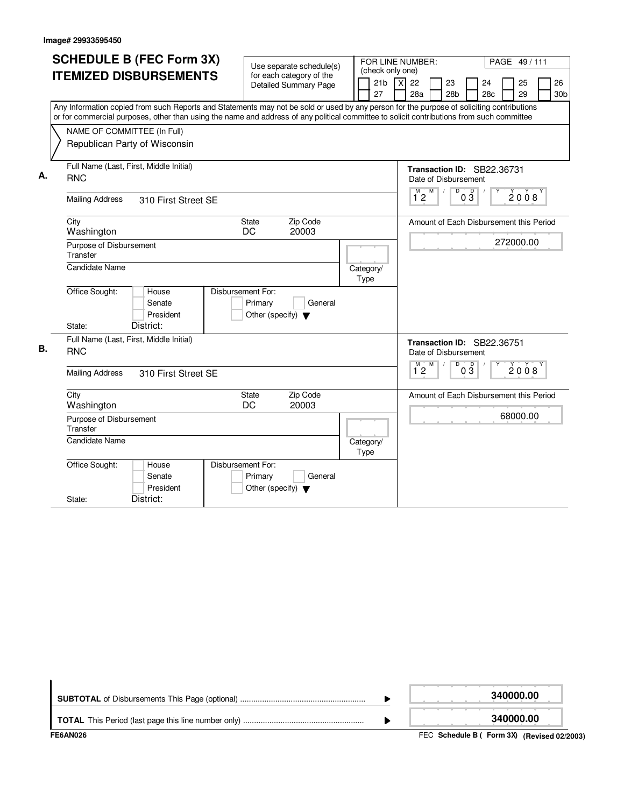|    | <b>SCHEDULE B (FEC Form 3X)</b>                                                                                                           |                                                            |                                            |                                                                        |
|----|-------------------------------------------------------------------------------------------------------------------------------------------|------------------------------------------------------------|--------------------------------------------|------------------------------------------------------------------------|
|    |                                                                                                                                           | Use separate schedule(s)                                   | FOR LINE NUMBER:<br>(check only one)       | PAGE 49/111                                                            |
|    | <b>ITEMIZED DISBURSEMENTS</b>                                                                                                             | for each category of the<br><b>Detailed Summary Page</b>   | $\overline{\mathsf{x}}$<br>21 <sub>b</sub> | 22<br>23<br>24<br>25<br>26                                             |
|    |                                                                                                                                           |                                                            | 27                                         | 28a<br>28 <sub>b</sub><br>28 <sub>c</sub><br>29<br>30 <sub>b</sub>     |
|    | Any Information copied from such Reports and Statements may not be sold or used by any person for the purpose of soliciting contributions |                                                            |                                            |                                                                        |
|    | or for commercial purposes, other than using the name and address of any political committee to solicit contributions from such committee |                                                            |                                            |                                                                        |
|    | NAME OF COMMITTEE (In Full)                                                                                                               |                                                            |                                            |                                                                        |
|    | Republican Party of Wisconsin                                                                                                             |                                                            |                                            |                                                                        |
|    |                                                                                                                                           |                                                            |                                            |                                                                        |
| А. | Full Name (Last, First, Middle Initial)                                                                                                   |                                                            |                                            | Transaction ID: SB22.36731                                             |
|    | <b>RNC</b>                                                                                                                                |                                                            |                                            | Date of Disbursement                                                   |
|    | <b>Mailing Address</b><br>310 First Street SE                                                                                             |                                                            |                                            | $M$ $M$<br>$\overline{D}$<br>$0\overline{3}$<br>2008<br>$1^{\degree}2$ |
|    | City                                                                                                                                      | Zip Code<br><b>State</b>                                   |                                            | Amount of Each Disbursement this Period                                |
|    | Washington                                                                                                                                | DC<br>20003                                                |                                            |                                                                        |
|    | Purpose of Disbursement                                                                                                                   |                                                            |                                            | 272000.00                                                              |
|    | Transfer                                                                                                                                  |                                                            |                                            |                                                                        |
|    | <b>Candidate Name</b>                                                                                                                     |                                                            | Category/                                  |                                                                        |
|    |                                                                                                                                           |                                                            | Type                                       |                                                                        |
|    | Office Sought:<br>House                                                                                                                   | Disbursement For:                                          |                                            |                                                                        |
|    | Senate<br>President                                                                                                                       | Primary<br>General<br>Other (specify) $\blacktriangledown$ |                                            |                                                                        |
|    | District:<br>State:                                                                                                                       |                                                            |                                            |                                                                        |
|    | Full Name (Last, First, Middle Initial)                                                                                                   |                                                            |                                            |                                                                        |
| В. | <b>RNC</b>                                                                                                                                |                                                            |                                            | Transaction ID: SB22.36751<br>Date of Disbursement                     |
|    |                                                                                                                                           |                                                            |                                            | D<br>м<br>M                                                            |
|    | <b>Mailing Address</b><br>310 First Street SE                                                                                             |                                                            |                                            | $0\overline{3}$<br>2008<br>12                                          |
|    | City                                                                                                                                      | Zip Code<br><b>State</b>                                   |                                            | Amount of Each Disbursement this Period                                |
|    | Washington                                                                                                                                | DC<br>20003                                                |                                            |                                                                        |
|    | Purpose of Disbursement                                                                                                                   |                                                            |                                            | 68000.00                                                               |
|    | Transfer                                                                                                                                  |                                                            |                                            |                                                                        |
|    | <b>Candidate Name</b>                                                                                                                     |                                                            | Category/<br>Type                          |                                                                        |
|    | Office Sought:<br>House                                                                                                                   | Disbursement For:                                          |                                            |                                                                        |
|    | Senate                                                                                                                                    | Primary<br>General                                         |                                            |                                                                        |
|    | President                                                                                                                                 | Other (specify) $\blacktriangledown$                       |                                            |                                                                        |
|    | District:<br>State:                                                                                                                       |                                                            |                                            |                                                                        |

|                 | 340000.00                                   |
|-----------------|---------------------------------------------|
|                 | 340000.00                                   |
| <b>FE6AN026</b> | FEC Schedule B ( Form 3X) (Revised 02/2003) |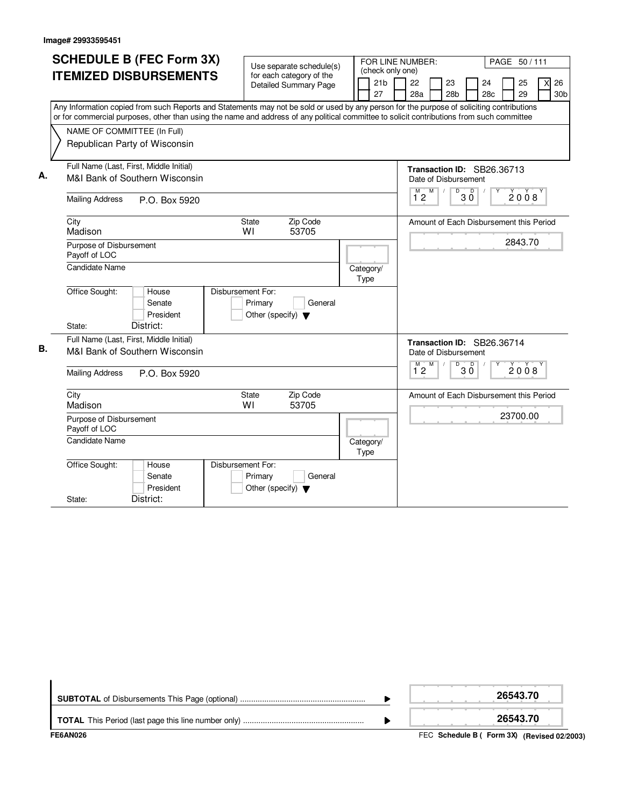|    | <b>SCHEDULE B (FEC Form 3X)</b>                                                                                                                                                                                                                                                        |               |                                                                      | Use separate schedule(s)                                 |                   | (check only one) | FOR LINE NUMBER: |                                                                           |              |           | PAGE 50/111 |          |                             |
|----|----------------------------------------------------------------------------------------------------------------------------------------------------------------------------------------------------------------------------------------------------------------------------------------|---------------|----------------------------------------------------------------------|----------------------------------------------------------|-------------------|------------------|------------------|---------------------------------------------------------------------------|--------------|-----------|-------------|----------|-----------------------------|
|    | <b>ITEMIZED DISBURSEMENTS</b>                                                                                                                                                                                                                                                          |               |                                                                      | for each category of the<br><b>Detailed Summary Page</b> | 27                | 21 <sub>b</sub>  | 22<br>28a        | 23<br>28 <sub>b</sub>                                                     |              | 24<br>28c |             | 25<br>29 | 26<br>Χl<br>30 <sub>b</sub> |
|    | Any Information copied from such Reports and Statements may not be sold or used by any person for the purpose of soliciting contributions<br>or for commercial purposes, other than using the name and address of any political committee to solicit contributions from such committee |               |                                                                      |                                                          |                   |                  |                  |                                                                           |              |           |             |          |                             |
|    | NAME OF COMMITTEE (In Full)<br>Republican Party of Wisconsin                                                                                                                                                                                                                           |               |                                                                      |                                                          |                   |                  |                  |                                                                           |              |           |             |          |                             |
|    | Full Name (Last, First, Middle Initial)                                                                                                                                                                                                                                                |               |                                                                      |                                                          |                   |                  |                  | Transaction ID: SB26.36713                                                |              |           |             |          |                             |
| А. | M&I Bank of Southern Wisconsin                                                                                                                                                                                                                                                         |               |                                                                      |                                                          |                   |                  |                  | Date of Disbursement                                                      |              |           |             |          |                             |
|    | <b>Mailing Address</b>                                                                                                                                                                                                                                                                 | P.O. Box 5920 |                                                                      |                                                          |                   |                  |                  | $\frac{M}{12}$ $\frac{M}{1}$<br>D                                         | $\Box$<br>ЗŐ |           |             | 2008     |                             |
|    | City<br>Madison                                                                                                                                                                                                                                                                        |               | State<br>WI                                                          | Zip Code<br>53705                                        |                   |                  |                  | Amount of Each Disbursement this Period                                   |              |           |             |          |                             |
|    | Purpose of Disbursement<br>Payoff of LOC                                                                                                                                                                                                                                               |               |                                                                      |                                                          |                   |                  |                  |                                                                           |              |           |             | 2843.70  |                             |
|    | Candidate Name                                                                                                                                                                                                                                                                         |               |                                                                      |                                                          | Category/<br>Type |                  |                  |                                                                           |              |           |             |          |                             |
|    | Office Sought:<br>House<br>Senate<br>President<br>District:<br>State:                                                                                                                                                                                                                  |               | Disbursement For:<br>Primary<br>Other (specify) $\blacktriangledown$ | General                                                  |                   |                  |                  |                                                                           |              |           |             |          |                             |
|    | Full Name (Last, First, Middle Initial)                                                                                                                                                                                                                                                |               |                                                                      |                                                          |                   |                  |                  |                                                                           |              |           |             |          |                             |
| В. | M&I Bank of Southern Wisconsin                                                                                                                                                                                                                                                         |               |                                                                      |                                                          |                   |                  | M                | Transaction ID: SB26.36714<br>Date of Disbursement<br>M<br>$\overline{D}$ | D            |           |             |          |                             |
|    | <b>Mailing Address</b>                                                                                                                                                                                                                                                                 | P.O. Box 5920 |                                                                      |                                                          |                   |                  | 12               |                                                                           | 3 Ō          |           |             | 2008     |                             |
|    | City<br>Madison                                                                                                                                                                                                                                                                        |               | State<br>WI                                                          | Zip Code<br>53705                                        |                   |                  |                  | Amount of Each Disbursement this Period                                   |              |           |             |          |                             |
|    | Purpose of Disbursement<br>Payoff of LOC                                                                                                                                                                                                                                               |               |                                                                      |                                                          |                   |                  |                  |                                                                           |              |           | 23700.00    |          |                             |
|    | Candidate Name                                                                                                                                                                                                                                                                         |               |                                                                      |                                                          | Category/<br>Type |                  |                  |                                                                           |              |           |             |          |                             |
|    | Office Sought:<br>House<br>Senate<br>President                                                                                                                                                                                                                                         |               | Disbursement For:<br>Primary<br>Other (specify) $\blacktriangledown$ | General                                                  |                   |                  |                  |                                                                           |              |           |             |          |                             |
|    | District:<br>State:                                                                                                                                                                                                                                                                    |               |                                                                      |                                                          |                   |                  |                  |                                                                           |              |           |             |          |                             |

| FE6AN026 | FEC Schedule B (Form 3X) (Revised 02/2003) |
|----------|--------------------------------------------|
|          | 26543.70                                   |
|          | 26543.70                                   |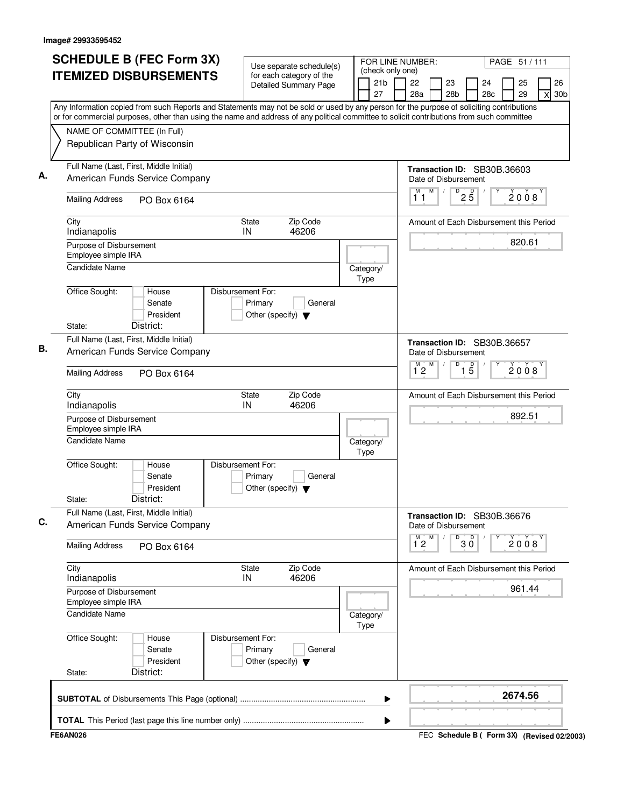|                                         | <b>SCHEDULE B (FEC Form 3X)</b> | Use separate schedule(s)                                                                                                                  |      | FOR LINE NUMBER:<br>(check only one) |                           |   |                       |                            |           | PAGE 51 / 111                               |          |   |                       |
|-----------------------------------------|---------------------------------|-------------------------------------------------------------------------------------------------------------------------------------------|------|--------------------------------------|---------------------------|---|-----------------------|----------------------------|-----------|---------------------------------------------|----------|---|-----------------------|
|                                         | <b>ITEMIZED DISBURSEMENTS</b>   | for each category of the<br><b>Detailed Summary Page</b>                                                                                  |      | 21 <sub>b</sub><br>27                | 22<br>28a                 |   | 23<br>28 <sub>b</sub> |                            | 24<br>28c |                                             | 25<br>29 | X | 26<br>30 <sub>b</sub> |
|                                         |                                 | Any Information copied from such Reports and Statements may not be sold or used by any person for the purpose of soliciting contributions |      |                                      |                           |   |                       |                            |           |                                             |          |   |                       |
|                                         |                                 | or for commercial purposes, other than using the name and address of any political committee to solicit contributions from such committee |      |                                      |                           |   |                       |                            |           |                                             |          |   |                       |
| NAME OF COMMITTEE (In Full)             |                                 |                                                                                                                                           |      |                                      |                           |   |                       |                            |           |                                             |          |   |                       |
| Republican Party of Wisconsin           |                                 |                                                                                                                                           |      |                                      |                           |   |                       |                            |           |                                             |          |   |                       |
| Full Name (Last, First, Middle Initial) |                                 |                                                                                                                                           |      |                                      |                           |   |                       |                            |           | Transaction ID: SB30B.36603                 |          |   |                       |
|                                         | American Funds Service Company  |                                                                                                                                           |      |                                      | Date of Disbursement<br>M | M | D                     |                            |           |                                             |          |   |                       |
| <b>Mailing Address</b>                  | PO Box 6164                     |                                                                                                                                           |      |                                      | 11                        |   |                       | $2\overline{5}$            |           |                                             | 2008     |   |                       |
| City<br>Indianapolis                    |                                 | Zip Code<br>State<br>IN<br>46206                                                                                                          |      |                                      |                           |   |                       |                            |           | Amount of Each Disbursement this Period     |          |   |                       |
| Purpose of Disbursement                 |                                 |                                                                                                                                           |      |                                      |                           |   |                       |                            |           |                                             | 820.61   |   |                       |
| Employee simple IRA                     |                                 |                                                                                                                                           |      |                                      |                           |   |                       |                            |           |                                             |          |   |                       |
| <b>Candidate Name</b>                   |                                 |                                                                                                                                           |      | Category/                            |                           |   |                       |                            |           |                                             |          |   |                       |
|                                         |                                 |                                                                                                                                           | Type |                                      |                           |   |                       |                            |           |                                             |          |   |                       |
| Office Sought:                          | House<br>Senate                 | Disbursement For:                                                                                                                         |      |                                      |                           |   |                       |                            |           |                                             |          |   |                       |
|                                         | President                       | Primary<br>General<br>Other (specify) $\blacktriangledown$                                                                                |      |                                      |                           |   |                       |                            |           |                                             |          |   |                       |
| State:                                  | District:                       |                                                                                                                                           |      |                                      |                           |   |                       |                            |           |                                             |          |   |                       |
| Full Name (Last, First, Middle Initial) |                                 |                                                                                                                                           |      |                                      |                           |   |                       |                            |           | Transaction ID: SB30B.36657                 |          |   |                       |
|                                         | American Funds Service Company  |                                                                                                                                           |      |                                      | Date of Disbursement      |   |                       |                            |           |                                             |          |   |                       |
| <b>Mailing Address</b>                  | PO Box 6164                     |                                                                                                                                           |      |                                      | M<br>12                   | M | D                     | $\overline{1\phantom{1}5}$ |           |                                             | 2008     |   |                       |
| City<br>Indianapolis                    |                                 | Zip Code<br><b>State</b><br>IN<br>46206                                                                                                   |      |                                      |                           |   |                       |                            |           | Amount of Each Disbursement this Period     |          |   |                       |
| Purpose of Disbursement                 |                                 |                                                                                                                                           |      |                                      |                           |   |                       |                            |           |                                             | 892.51   |   |                       |
| Employee simple IRA                     |                                 |                                                                                                                                           |      |                                      |                           |   |                       |                            |           |                                             |          |   |                       |
| Candidate Name                          |                                 |                                                                                                                                           | Type | Category/                            |                           |   |                       |                            |           |                                             |          |   |                       |
| Office Sought:                          | House<br>Senate<br>President    | Disbursement For:<br>Primary<br>General<br>Other (specify) $\blacktriangledown$                                                           |      |                                      |                           |   |                       |                            |           |                                             |          |   |                       |
| State:                                  | District:                       |                                                                                                                                           |      |                                      |                           |   |                       |                            |           |                                             |          |   |                       |
| Full Name (Last, First, Middle Initial) | American Funds Service Company  |                                                                                                                                           |      |                                      | Date of Disbursement      |   |                       |                            |           | Transaction ID: SB30B.36676                 |          |   |                       |
| <b>Mailing Address</b>                  | PO Box 6164                     |                                                                                                                                           |      |                                      | M<br>$1^{\circ}2$         | M |                       | $\overline{30}$            |           |                                             | 2008     |   |                       |
| City                                    |                                 | Zip Code<br>State<br>46206<br>IN                                                                                                          |      |                                      |                           |   |                       |                            |           | Amount of Each Disbursement this Period     |          |   |                       |
| Indianapolis<br>Purpose of Disbursement |                                 |                                                                                                                                           |      |                                      |                           |   |                       |                            |           |                                             | 961.44   |   |                       |
| Employee simple IRA                     |                                 |                                                                                                                                           |      |                                      |                           |   |                       |                            |           |                                             |          |   |                       |
| Candidate Name                          |                                 |                                                                                                                                           | Type | Category/                            |                           |   |                       |                            |           |                                             |          |   |                       |
| Office Sought:                          | House<br>Senate<br>President    | Disbursement For:<br>Primary<br>General<br>Other (specify) $\blacktriangledown$                                                           |      |                                      |                           |   |                       |                            |           |                                             |          |   |                       |
| State:                                  | District:                       |                                                                                                                                           |      |                                      |                           |   |                       |                            |           |                                             |          |   |                       |
|                                         |                                 |                                                                                                                                           |      | ▶                                    |                           |   |                       |                            |           | 2674.56                                     |          |   |                       |
|                                         |                                 |                                                                                                                                           |      | ▶                                    |                           |   |                       |                            |           |                                             |          |   |                       |
|                                         |                                 |                                                                                                                                           |      |                                      |                           |   |                       |                            |           |                                             |          |   |                       |
| FE6AN026                                |                                 |                                                                                                                                           |      |                                      |                           |   |                       |                            |           | FEC Schedule B ( Form 3X) (Revised 02/2003) |          |   |                       |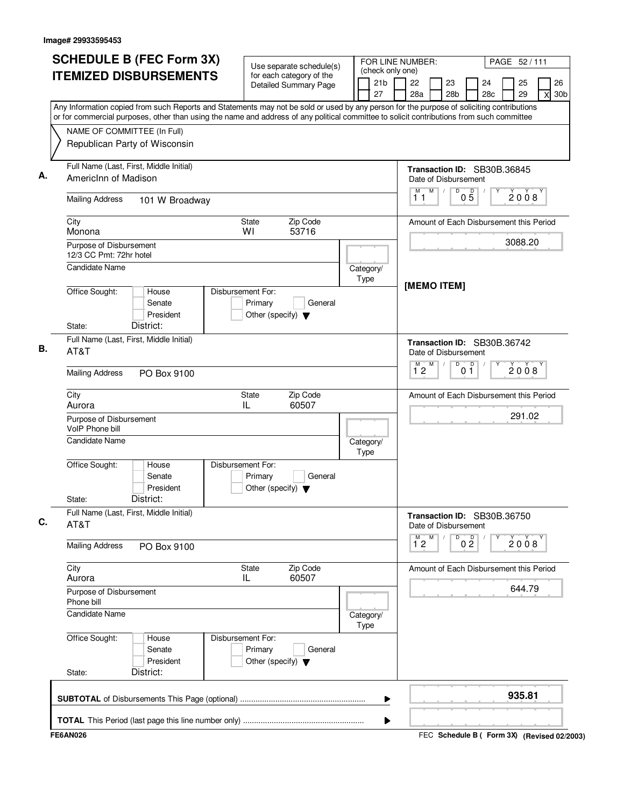| <b>SCHEDULE B (FEC Form 3X)</b>                                                                                                           | Use separate schedule(s)                                                        | FOR LINE NUMBER:                          | PAGE 52/111                                                                               |
|-------------------------------------------------------------------------------------------------------------------------------------------|---------------------------------------------------------------------------------|-------------------------------------------|-------------------------------------------------------------------------------------------|
| <b>ITEMIZED DISBURSEMENTS</b>                                                                                                             | for each category of the<br><b>Detailed Summary Page</b>                        | (check only one)<br>21 <sub>b</sub><br>27 | 26<br>22<br>23<br>25<br>24<br>28c<br>29<br>28a<br>28 <sub>b</sub><br>30 <sub>b</sub><br>X |
| Any Information copied from such Reports and Statements may not be sold or used by any person for the purpose of soliciting contributions |                                                                                 |                                           |                                                                                           |
| or for commercial purposes, other than using the name and address of any political committee to solicit contributions from such committee |                                                                                 |                                           |                                                                                           |
| NAME OF COMMITTEE (In Full)<br>Republican Party of Wisconsin                                                                              |                                                                                 |                                           |                                                                                           |
| Full Name (Last, First, Middle Initial)<br>AmericInn of Madison                                                                           |                                                                                 |                                           | Transaction ID: SB30B.36845<br>Date of Disbursement                                       |
| <b>Mailing Address</b><br>101 W Broadway                                                                                                  |                                                                                 |                                           | M<br>D<br>M<br>$0\overline{5}$<br>2008<br>11                                              |
| City<br>Monona                                                                                                                            | State<br>Zip Code<br>WI<br>53716                                                |                                           | Amount of Each Disbursement this Period                                                   |
| Purpose of Disbursement<br>12/3 CC Pmt: 72hr hotel                                                                                        |                                                                                 |                                           | 3088.20                                                                                   |
| <b>Candidate Name</b>                                                                                                                     |                                                                                 | Category/<br>Type                         | [MEMO ITEM]                                                                               |
| Office Sought:<br>House<br>Senate<br>President<br>District:<br>State:                                                                     | Disbursement For:<br>Primary<br>General<br>Other (specify) $\blacktriangledown$ |                                           |                                                                                           |
| Full Name (Last, First, Middle Initial)<br>AT&T                                                                                           |                                                                                 |                                           | Transaction ID: SB30B.36742<br>Date of Disbursement                                       |
| <b>Mailing Address</b><br>PO Box 9100                                                                                                     |                                                                                 |                                           | M<br>D<br>$0^{\circ}$<br>$\overline{1}^M$ 2<br>2008                                       |
| City<br>Aurora                                                                                                                            | Zip Code<br>State<br>IL<br>60507                                                |                                           | Amount of Each Disbursement this Period                                                   |
| Purpose of Disbursement<br>VoIP Phone bill                                                                                                |                                                                                 |                                           | 291.02                                                                                    |
| Candidate Name                                                                                                                            |                                                                                 | Category/<br>Type                         |                                                                                           |
| Office Sought:<br>House<br>Senate<br>President<br>District:<br>State:                                                                     | Disbursement For:<br>Primary<br>General<br>Other (specify) $\blacktriangledown$ |                                           |                                                                                           |
| Full Name (Last, First, Middle Initial)<br>AT&T                                                                                           |                                                                                 |                                           | Transaction ID: SB30B.36750<br>Date of Disbursement                                       |
| <b>Mailing Address</b><br>PO Box 9100                                                                                                     |                                                                                 |                                           | M<br>M<br>0 <sup>0</sup><br>D<br>2008<br>$1^{\degree}2$                                   |
| City<br>Aurora                                                                                                                            | Zip Code<br>State<br>60507<br>IL                                                |                                           | Amount of Each Disbursement this Period                                                   |
| Purpose of Disbursement<br>Phone bill                                                                                                     |                                                                                 |                                           | 644.79                                                                                    |
| <b>Candidate Name</b>                                                                                                                     |                                                                                 | Category/<br>Type                         |                                                                                           |
| Office Sought:<br>House<br>Senate<br>President<br>District:<br>State:                                                                     | Disbursement For:<br>Primary<br>General<br>Other (specify) $\blacktriangledown$ |                                           |                                                                                           |
|                                                                                                                                           |                                                                                 | ▶                                         | 935.81                                                                                    |
|                                                                                                                                           |                                                                                 | ▶                                         |                                                                                           |
| <b>FE6AN026</b>                                                                                                                           |                                                                                 |                                           | FEC Schedule B ( Form 3X) (Revised 02/2003)                                               |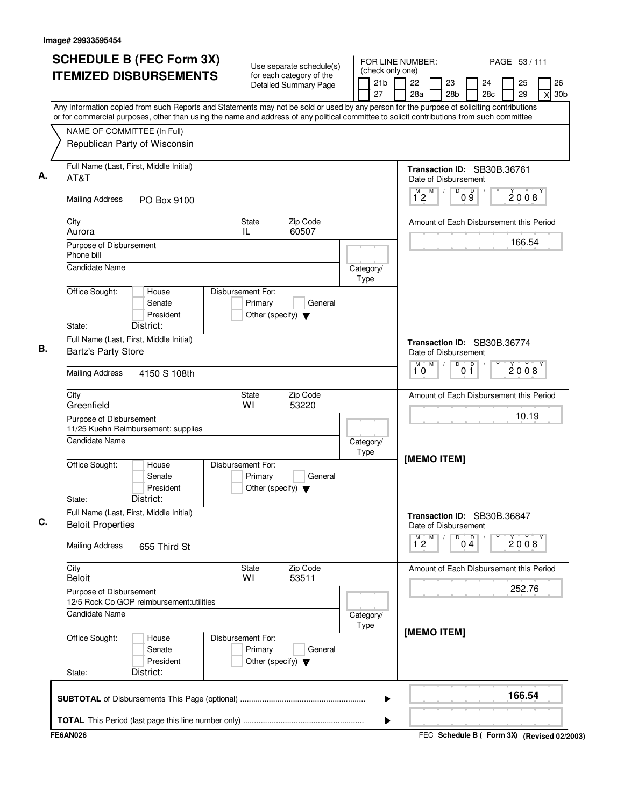| <b>SCHEDULE B (FEC Form 3X)</b>                                                                                                                                          | Use separate schedule(s)                                                        |                                           | FOR LINE NUMBER:                                              |                                             |                       | PAGE 53/111 |                                   |
|--------------------------------------------------------------------------------------------------------------------------------------------------------------------------|---------------------------------------------------------------------------------|-------------------------------------------|---------------------------------------------------------------|---------------------------------------------|-----------------------|-------------|-----------------------------------|
| <b>ITEMIZED DISBURSEMENTS</b>                                                                                                                                            | for each category of the<br><b>Detailed Summary Page</b>                        | (check only one)<br>21 <sub>b</sub><br>27 | 22<br>28a                                                     | 23<br>28 <sub>b</sub>                       | 24<br>28 <sub>c</sub> | 25<br>29    | 26<br>30 <sub>b</sub><br>$\times$ |
| Any Information copied from such Reports and Statements may not be sold or used by any person for the purpose of soliciting contributions                                |                                                                                 |                                           |                                                               |                                             |                       |             |                                   |
| or for commercial purposes, other than using the name and address of any political committee to solicit contributions from such committee<br>NAME OF COMMITTEE (In Full) |                                                                                 |                                           |                                                               |                                             |                       |             |                                   |
| Republican Party of Wisconsin                                                                                                                                            |                                                                                 |                                           |                                                               |                                             |                       |             |                                   |
| Full Name (Last, First, Middle Initial)<br>AT&T                                                                                                                          |                                                                                 |                                           | Transaction ID: SB30B.36761<br>Date of Disbursement           |                                             |                       |             |                                   |
| <b>Mailing Address</b><br>PO Box 9100                                                                                                                                    |                                                                                 |                                           | M<br>М<br>12                                                  | D<br>D<br>09                                |                       | 2008        |                                   |
| City<br>Aurora                                                                                                                                                           | Zip Code<br>State<br>60507<br>IL                                                |                                           | Amount of Each Disbursement this Period                       |                                             |                       |             |                                   |
| Purpose of Disbursement<br>Phone bill                                                                                                                                    |                                                                                 |                                           |                                                               |                                             |                       | 166.54      |                                   |
| Candidate Name                                                                                                                                                           |                                                                                 | Category/<br>Type                         |                                                               |                                             |                       |             |                                   |
| Office Sought:<br>House<br>Senate<br>President<br>District:                                                                                                              | Disbursement For:<br>Primary<br>General<br>Other (specify) $\blacktriangledown$ |                                           |                                                               |                                             |                       |             |                                   |
| State:<br>Full Name (Last, First, Middle Initial)                                                                                                                        |                                                                                 |                                           |                                                               |                                             |                       |             |                                   |
| <b>Bartz's Party Store</b>                                                                                                                                               |                                                                                 |                                           | Transaction ID: SB30B.36774<br>Date of Disbursement<br>M<br>M | D                                           |                       |             |                                   |
| <b>Mailing Address</b><br>4150 S 108th                                                                                                                                   |                                                                                 |                                           | 10                                                            | 0 <sup>0</sup>                              |                       | 2008        |                                   |
| City<br>Greenfield                                                                                                                                                       | Zip Code<br>State<br>W١<br>53220                                                |                                           | Amount of Each Disbursement this Period                       |                                             |                       |             |                                   |
| Purpose of Disbursement<br>11/25 Kuehn Reimbursement: supplies                                                                                                           |                                                                                 |                                           |                                                               |                                             |                       | 10.19       |                                   |
| <b>Candidate Name</b>                                                                                                                                                    |                                                                                 | Category/<br>Type                         |                                                               |                                             |                       |             |                                   |
| Office Sought:<br>House<br>Senate<br>President<br>District:<br>State:                                                                                                    | Disbursement For:<br>Primary<br>General<br>Other (specify) $\blacktriangledown$ |                                           | [MEMO ITEM]                                                   |                                             |                       |             |                                   |
| Full Name (Last, First, Middle Initial)<br><b>Beloit Properties</b>                                                                                                      |                                                                                 |                                           | Transaction ID: SB30B.36847<br>Date of Disbursement           |                                             |                       |             |                                   |
| <b>Mailing Address</b><br>655 Third St                                                                                                                                   |                                                                                 |                                           | $\overline{1}^M$ 2<br>M                                       | $0\stackrel{D}{4}$<br>D                     |                       | 2008        |                                   |
| City<br><b>Beloit</b>                                                                                                                                                    | Zip Code<br>State<br>53511<br>WI                                                |                                           | Amount of Each Disbursement this Period                       |                                             |                       |             |                                   |
| Purpose of Disbursement<br>12/5 Rock Co GOP reimbursement: utilities                                                                                                     |                                                                                 |                                           |                                                               |                                             |                       | 252.76      |                                   |
| Candidate Name                                                                                                                                                           |                                                                                 | Category/<br>Type                         | [MEMO ITEM]                                                   |                                             |                       |             |                                   |
| Office Sought:<br>House<br>Senate<br>President<br>District:<br>State:                                                                                                    | Disbursement For:<br>Primary<br>General<br>Other (specify) $\blacktriangledown$ |                                           |                                                               |                                             |                       |             |                                   |
|                                                                                                                                                                          |                                                                                 |                                           |                                                               |                                             |                       | 166.54      |                                   |
|                                                                                                                                                                          |                                                                                 | ▶                                         |                                                               |                                             |                       |             |                                   |
| <b>FE6AN026</b>                                                                                                                                                          |                                                                                 |                                           |                                                               | FEC Schedule B ( Form 3X) (Revised 02/2003) |                       |             |                                   |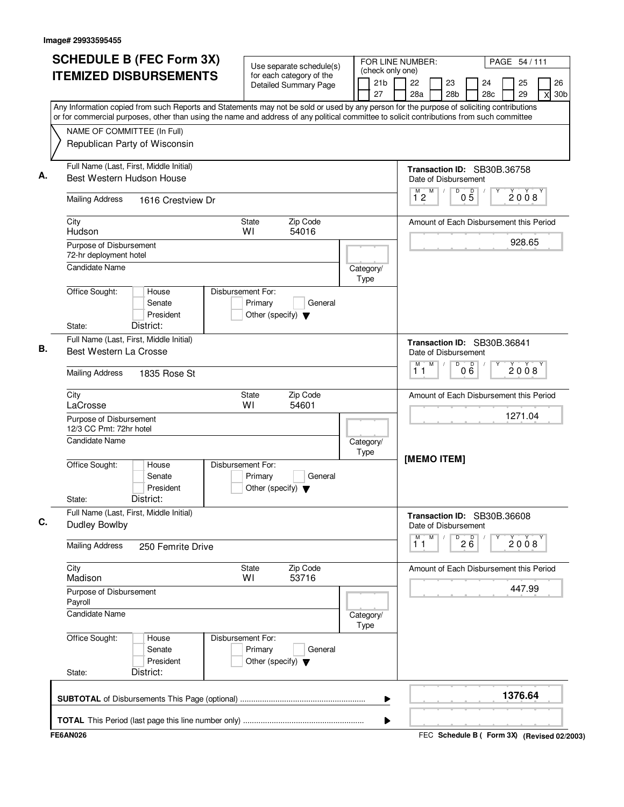| <b>SCHEDULE B (FEC Form 3X)</b>                                                                                                           | Use separate schedule(s)                                                        | FOR LINE NUMBER:<br>(check only one) |              |   |                                                     |                 |                       | PAGE 54 / 111 |                            |
|-------------------------------------------------------------------------------------------------------------------------------------------|---------------------------------------------------------------------------------|--------------------------------------|--------------|---|-----------------------------------------------------|-----------------|-----------------------|---------------|----------------------------|
| <b>ITEMIZED DISBURSEMENTS</b>                                                                                                             | for each category of the<br><b>Detailed Summary Page</b>                        | 21 <sub>b</sub><br>27                | 22<br>28a    |   | 23<br>28 <sub>b</sub>                               |                 | 24<br>28 <sub>c</sub> | 25<br>29      | 26<br>30 <sub>b</sub><br>X |
| Any Information copied from such Reports and Statements may not be sold or used by any person for the purpose of soliciting contributions |                                                                                 |                                      |              |   |                                                     |                 |                       |               |                            |
| or for commercial purposes, other than using the name and address of any political committee to solicit contributions from such committee |                                                                                 |                                      |              |   |                                                     |                 |                       |               |                            |
| NAME OF COMMITTEE (In Full)                                                                                                               |                                                                                 |                                      |              |   |                                                     |                 |                       |               |                            |
| Republican Party of Wisconsin                                                                                                             |                                                                                 |                                      |              |   |                                                     |                 |                       |               |                            |
| Full Name (Last, First, Middle Initial)<br>Best Western Hudson House                                                                      |                                                                                 |                                      |              |   | Transaction ID: SB30B.36758<br>Date of Disbursement |                 |                       |               |                            |
| <b>Mailing Address</b><br>1616 Crestview Dr                                                                                               |                                                                                 |                                      | $1^{\circ}2$ | M | D                                                   | $0\overline{5}$ |                       | 2008          |                            |
| City<br>Hudson                                                                                                                            | Zip Code<br><b>State</b><br>WI<br>54016                                         |                                      |              |   | Amount of Each Disbursement this Period             |                 |                       |               |                            |
| Purpose of Disbursement                                                                                                                   |                                                                                 |                                      |              |   |                                                     |                 |                       | 928.65        |                            |
| 72-hr deployment hotel                                                                                                                    |                                                                                 |                                      |              |   |                                                     |                 |                       |               |                            |
| <b>Candidate Name</b>                                                                                                                     |                                                                                 | Category/<br>Type                    |              |   |                                                     |                 |                       |               |                            |
| Office Sought:<br>House<br>Senate<br>President                                                                                            | Disbursement For:<br>Primary<br>General<br>Other (specify) $\blacktriangledown$ |                                      |              |   |                                                     |                 |                       |               |                            |
| District:<br>State:                                                                                                                       |                                                                                 |                                      |              |   |                                                     |                 |                       |               |                            |
| Full Name (Last, First, Middle Initial)                                                                                                   |                                                                                 |                                      |              |   | Transaction ID: SB30B.36841                         |                 |                       |               |                            |
| Best Western La Crosse                                                                                                                    |                                                                                 |                                      | м            | M | Date of Disbursement<br>D                           |                 |                       |               |                            |
| <b>Mailing Address</b><br>1835 Rose St                                                                                                    |                                                                                 |                                      | 11           |   |                                                     | 000             |                       | 2008          |                            |
| City<br>LaCrosse                                                                                                                          | Zip Code<br><b>State</b><br>WI<br>54601                                         |                                      |              |   | Amount of Each Disbursement this Period             |                 |                       |               |                            |
| Purpose of Disbursement<br>12/3 CC Pmt: 72hr hotel                                                                                        |                                                                                 |                                      |              |   |                                                     |                 |                       | 1271.04       |                            |
| Candidate Name                                                                                                                            |                                                                                 | Category/<br>Type                    |              |   |                                                     |                 |                       |               |                            |
| Office Sought:<br>House<br>Senate<br>President<br>District:<br>State:                                                                     | Disbursement For:<br>Primary<br>General<br>Other (specify) $\blacktriangledown$ |                                      |              |   | [MEMO ITEM]                                         |                 |                       |               |                            |
| Full Name (Last, First, Middle Initial)                                                                                                   |                                                                                 |                                      |              |   | Transaction ID: SB30B.36608                         |                 |                       |               |                            |
| <b>Dudley Bowlby</b>                                                                                                                      |                                                                                 |                                      |              |   | Date of Disbursement                                |                 |                       |               |                            |
| <b>Mailing Address</b><br>250 Femrite Drive                                                                                               |                                                                                 |                                      | M<br>11      | M |                                                     | $\overline{26}$ |                       | 2008          |                            |
| City<br>Madison                                                                                                                           | Zip Code<br><b>State</b><br>WI<br>53716                                         |                                      |              |   | Amount of Each Disbursement this Period             |                 |                       |               |                            |
| Purpose of Disbursement<br>Payroll                                                                                                        |                                                                                 |                                      |              |   |                                                     |                 |                       | 447.99        |                            |
| <b>Candidate Name</b>                                                                                                                     |                                                                                 | Category/<br>Type                    |              |   |                                                     |                 |                       |               |                            |
| Office Sought:<br>House<br>Senate<br>President<br>District:<br>State:                                                                     | Disbursement For:<br>Primary<br>General<br>Other (specify) $\blacktriangledown$ |                                      |              |   |                                                     |                 |                       |               |                            |
|                                                                                                                                           |                                                                                 | ▶                                    |              |   |                                                     |                 |                       | 1376.64       |                            |
|                                                                                                                                           |                                                                                 |                                      |              |   |                                                     |                 |                       |               |                            |
|                                                                                                                                           |                                                                                 | ▶                                    |              |   |                                                     |                 |                       |               |                            |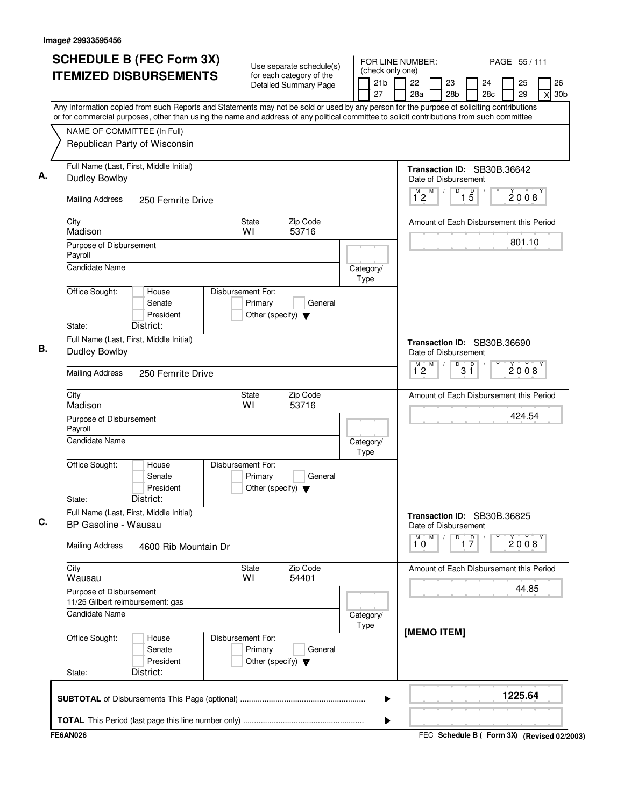| <b>SCHEDULE B (FEC Form 3X)</b>                                                                                                                                          | Use separate schedule(s)                                                        | FOR LINE NUMBER:                                    |                                                                |                                             |           | PAGE 55/111 |                            |  |  |  |  |  |
|--------------------------------------------------------------------------------------------------------------------------------------------------------------------------|---------------------------------------------------------------------------------|-----------------------------------------------------|----------------------------------------------------------------|---------------------------------------------|-----------|-------------|----------------------------|--|--|--|--|--|
| <b>ITEMIZED DISBURSEMENTS</b>                                                                                                                                            | for each category of the<br>Detailed Summary Page                               | (check only one)<br>21 <sub>b</sub><br>27           | 22<br>28a                                                      | 23<br>28 <sub>b</sub>                       | 24<br>28c | 25<br>29    | 26<br>30 <sub>b</sub><br>X |  |  |  |  |  |
| Any Information copied from such Reports and Statements may not be sold or used by any person for the purpose of soliciting contributions                                |                                                                                 |                                                     |                                                                |                                             |           |             |                            |  |  |  |  |  |
| or for commercial purposes, other than using the name and address of any political committee to solicit contributions from such committee<br>NAME OF COMMITTEE (In Full) |                                                                                 |                                                     |                                                                |                                             |           |             |                            |  |  |  |  |  |
| Republican Party of Wisconsin                                                                                                                                            |                                                                                 |                                                     |                                                                |                                             |           |             |                            |  |  |  |  |  |
| Full Name (Last, First, Middle Initial)<br><b>Dudley Bowlby</b>                                                                                                          |                                                                                 | Transaction ID: SB30B.36642<br>Date of Disbursement |                                                                |                                             |           |             |                            |  |  |  |  |  |
| <b>Mailing Address</b><br>250 Femrite Drive                                                                                                                              |                                                                                 |                                                     | M<br>$1^{\degree}2$                                            | D<br>$\overline{15}$                        |           | 2008        |                            |  |  |  |  |  |
| City<br>Madison                                                                                                                                                          | Zip Code<br><b>State</b><br>53716<br>WI                                         |                                                     | Amount of Each Disbursement this Period                        |                                             |           |             |                            |  |  |  |  |  |
| Purpose of Disbursement<br>Payroll                                                                                                                                       |                                                                                 |                                                     |                                                                |                                             |           | 801.10      |                            |  |  |  |  |  |
| <b>Candidate Name</b>                                                                                                                                                    |                                                                                 | Category/<br>Type                                   |                                                                |                                             |           |             |                            |  |  |  |  |  |
| Office Sought:<br>House<br>Senate<br>President<br>District:<br>State:                                                                                                    | Disbursement For:<br>Primary<br>General<br>Other (specify) $\blacktriangledown$ |                                                     |                                                                |                                             |           |             |                            |  |  |  |  |  |
| Full Name (Last, First, Middle Initial)                                                                                                                                  |                                                                                 |                                                     |                                                                |                                             |           |             |                            |  |  |  |  |  |
| Dudley Bowlby                                                                                                                                                            |                                                                                 |                                                     | Transaction ID: SB30B.36690<br>Date of Disbursement<br>M<br>M. | D                                           |           |             |                            |  |  |  |  |  |
| <b>Mailing Address</b><br>250 Femrite Drive                                                                                                                              |                                                                                 |                                                     | 12                                                             | $3^{\circ}$                                 |           | 2008        |                            |  |  |  |  |  |
| City<br>Madison                                                                                                                                                          | Zip Code<br>State<br>WI<br>53716                                                |                                                     | Amount of Each Disbursement this Period                        |                                             |           |             |                            |  |  |  |  |  |
| Purpose of Disbursement<br>Payroll                                                                                                                                       |                                                                                 |                                                     |                                                                |                                             |           | 424.54      |                            |  |  |  |  |  |
| <b>Candidate Name</b>                                                                                                                                                    |                                                                                 | Category/<br>Type                                   |                                                                |                                             |           |             |                            |  |  |  |  |  |
| Office Sought:<br>House<br>Senate<br>President<br>District:<br>State:                                                                                                    | Disbursement For:<br>Primary<br>General<br>Other (specify) $\blacktriangledown$ |                                                     |                                                                |                                             |           |             |                            |  |  |  |  |  |
| Full Name (Last, First, Middle Initial)<br>BP Gasoline - Wausau                                                                                                          |                                                                                 |                                                     | Transaction ID: SB30B.36825<br>Date of Disbursement            |                                             |           |             |                            |  |  |  |  |  |
| <b>Mailing Address</b><br>4600 Rib Mountain Dr                                                                                                                           |                                                                                 |                                                     | М<br>M<br>10                                                   | $\overline{1}$ $\overline{7}$<br>D          |           | 2008        |                            |  |  |  |  |  |
| City<br>Wausau                                                                                                                                                           | Zip Code<br>State<br>WI<br>54401                                                |                                                     | Amount of Each Disbursement this Period                        |                                             |           |             |                            |  |  |  |  |  |
| Purpose of Disbursement<br>11/25 Gilbert reimbursement: gas                                                                                                              |                                                                                 |                                                     |                                                                |                                             |           | 44.85       |                            |  |  |  |  |  |
| <b>Candidate Name</b>                                                                                                                                                    |                                                                                 | Category/<br>Type                                   |                                                                |                                             |           |             |                            |  |  |  |  |  |
| Office Sought:<br>House<br>Senate<br>President<br>District:<br>State:                                                                                                    | Disbursement For:<br>Primary<br>General<br>Other (specify) $\blacktriangledown$ |                                                     | [MEMO ITEM]                                                    |                                             |           |             |                            |  |  |  |  |  |
|                                                                                                                                                                          |                                                                                 | ▶                                                   |                                                                |                                             |           | 1225.64     |                            |  |  |  |  |  |
|                                                                                                                                                                          |                                                                                 | ▶                                                   |                                                                |                                             |           |             |                            |  |  |  |  |  |
| <b>FE6AN026</b>                                                                                                                                                          |                                                                                 |                                                     |                                                                | FEC Schedule B ( Form 3X) (Revised 02/2003) |           |             |                            |  |  |  |  |  |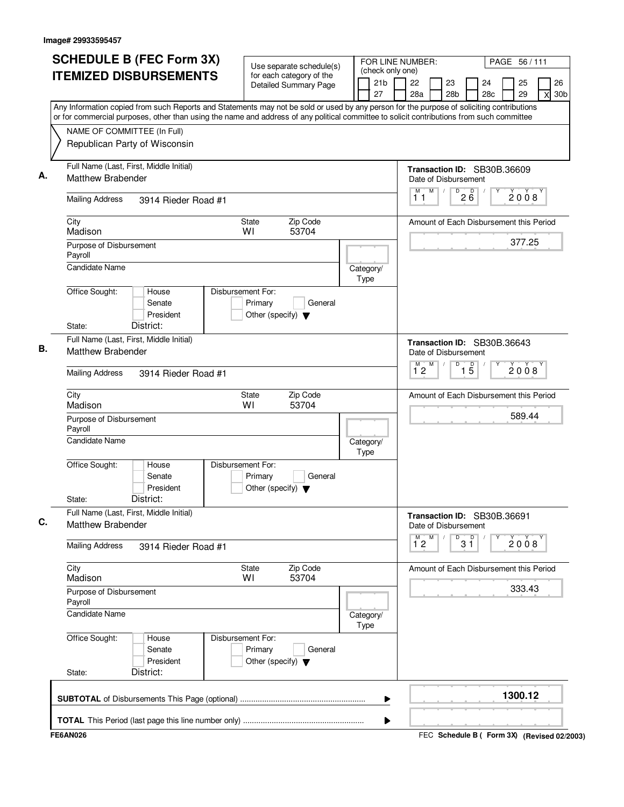| <b>SCHEDULE B (FEC Form 3X)</b>                                                                                                                                          | Use separate schedule(s)                                                        | FOR LINE NUMBER:                          |                                                     |                            |           | PAGE 56/111 |                            |
|--------------------------------------------------------------------------------------------------------------------------------------------------------------------------|---------------------------------------------------------------------------------|-------------------------------------------|-----------------------------------------------------|----------------------------|-----------|-------------|----------------------------|
| <b>ITEMIZED DISBURSEMENTS</b>                                                                                                                                            | for each category of the<br><b>Detailed Summary Page</b>                        | (check only one)<br>21 <sub>b</sub><br>27 | 22<br>23<br>28a<br>28 <sub>b</sub>                  |                            | 24<br>28c | 25<br>29    | 26<br>30 <sub>b</sub><br>X |
| Any Information copied from such Reports and Statements may not be sold or used by any person for the purpose of soliciting contributions                                |                                                                                 |                                           |                                                     |                            |           |             |                            |
| or for commercial purposes, other than using the name and address of any political committee to solicit contributions from such committee<br>NAME OF COMMITTEE (In Full) |                                                                                 |                                           |                                                     |                            |           |             |                            |
| Republican Party of Wisconsin                                                                                                                                            |                                                                                 |                                           |                                                     |                            |           |             |                            |
| Full Name (Last, First, Middle Initial)<br><b>Matthew Brabender</b>                                                                                                      |                                                                                 |                                           | Transaction ID: SB30B.36609<br>Date of Disbursement |                            |           |             |                            |
| <b>Mailing Address</b><br>3914 Rieder Road #1                                                                                                                            |                                                                                 |                                           | M<br>M<br>$\sqrt{2}$<br>11                          | $\sqrt{D^2}$ $\frac{6}{6}$ |           | 2008        |                            |
| City<br>Madison                                                                                                                                                          | Zip Code<br>State<br>53704<br>WI                                                |                                           | Amount of Each Disbursement this Period             |                            |           |             |                            |
| Purpose of Disbursement<br>Payroll                                                                                                                                       |                                                                                 |                                           |                                                     |                            |           |             |                            |
| <b>Candidate Name</b>                                                                                                                                                    |                                                                                 | Category/<br>Type                         |                                                     |                            |           |             |                            |
| Office Sought:<br>House<br>Senate<br>President<br>District:<br>State:                                                                                                    | Disbursement For:<br>Primary<br>General<br>Other (specify) $\blacktriangledown$ |                                           |                                                     |                            |           |             |                            |
| Full Name (Last, First, Middle Initial)<br><b>Matthew Brabender</b>                                                                                                      |                                                                                 |                                           | Transaction ID: SB30B.36643<br>Date of Disbursement |                            |           |             |                            |
| <b>Mailing Address</b><br>3914 Rieder Road #1                                                                                                                            |                                                                                 |                                           | M<br>$\overline{1}^M$ 2                             | D<br>$\overline{1\,5}$     |           | 2008        |                            |
| City<br>Madison                                                                                                                                                          | Zip Code<br>State<br>WI<br>53704                                                |                                           | Amount of Each Disbursement this Period             |                            |           |             |                            |
| Purpose of Disbursement<br>Payroll                                                                                                                                       |                                                                                 |                                           |                                                     |                            |           | 589.44      |                            |
| <b>Candidate Name</b>                                                                                                                                                    |                                                                                 | Category/<br>Type                         |                                                     |                            |           |             |                            |
| Office Sought:<br>House<br>Senate<br>President<br>District:<br>State:                                                                                                    | Disbursement For:<br>Primary<br>General<br>Other (specify) $\blacktriangledown$ |                                           |                                                     |                            |           |             |                            |
| Full Name (Last, First, Middle Initial)<br><b>Matthew Brabender</b>                                                                                                      |                                                                                 |                                           | Transaction ID: SB30B.36691<br>Date of Disbursement |                            |           |             |                            |
| <b>Mailing Address</b><br>3914 Rieder Road #1                                                                                                                            |                                                                                 |                                           | M<br>м<br>$1^{\degree}2$                            | 3 <sup>0</sup><br>D        |           | 2008        |                            |
| City<br>Madison                                                                                                                                                          | Zip Code<br>State<br>53704<br>WI                                                |                                           | Amount of Each Disbursement this Period             |                            |           |             |                            |
| Purpose of Disbursement<br>Payroll                                                                                                                                       |                                                                                 |                                           |                                                     |                            |           | 333.43      |                            |
| <b>Candidate Name</b>                                                                                                                                                    |                                                                                 | Category/<br>Type                         |                                                     |                            |           |             |                            |
| Office Sought:<br>House<br>Senate<br>President<br>District:<br>State:                                                                                                    | Disbursement For:<br>Primary<br>General<br>Other (specify) $\blacktriangledown$ |                                           |                                                     |                            |           |             |                            |
|                                                                                                                                                                          |                                                                                 | ▶                                         |                                                     |                            |           | 1300.12     |                            |
|                                                                                                                                                                          |                                                                                 | ▶                                         |                                                     |                            |           |             |                            |
| <b>FE6AN026</b>                                                                                                                                                          |                                                                                 |                                           | FEC Schedule B ( Form 3X) (Revised 02/2003)         |                            |           |             |                            |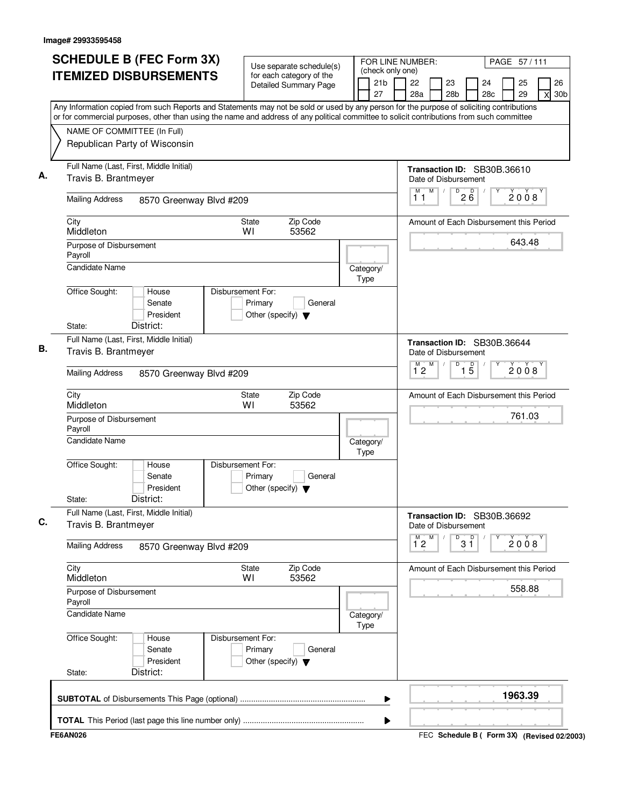| <b>SCHEDULE B (FEC Form 3X)</b>                                                                                                                                                                                                                                                        | Use separate schedule(s)                                                        | FOR LINE NUMBER:              |                     |   |                                                     |                   |           | PAGE 57/111 |                            |
|----------------------------------------------------------------------------------------------------------------------------------------------------------------------------------------------------------------------------------------------------------------------------------------|---------------------------------------------------------------------------------|-------------------------------|---------------------|---|-----------------------------------------------------|-------------------|-----------|-------------|----------------------------|
| <b>ITEMIZED DISBURSEMENTS</b>                                                                                                                                                                                                                                                          | for each category of the<br><b>Detailed Summary Page</b>                        | (check only one)<br>21b<br>27 | 22<br>28a           |   | 23<br>28 <sub>b</sub>                               |                   | 24<br>28c | 25<br>29    | 26<br>30 <sub>b</sub><br>X |
| Any Information copied from such Reports and Statements may not be sold or used by any person for the purpose of soliciting contributions<br>or for commercial purposes, other than using the name and address of any political committee to solicit contributions from such committee |                                                                                 |                               |                     |   |                                                     |                   |           |             |                            |
| NAME OF COMMITTEE (In Full)<br>Republican Party of Wisconsin                                                                                                                                                                                                                           |                                                                                 |                               |                     |   |                                                     |                   |           |             |                            |
| Full Name (Last, First, Middle Initial)<br>Travis B. Brantmeyer                                                                                                                                                                                                                        |                                                                                 |                               |                     |   | Transaction ID: SB30B.36610<br>Date of Disbursement |                   |           |             |                            |
| <b>Mailing Address</b><br>8570 Greenway Blvd #209                                                                                                                                                                                                                                      |                                                                                 |                               | M<br>11             | M | $\overline{D}$<br>$\prime$                          | $2\overline{6}$   |           | 2008        |                            |
| City<br>Middleton                                                                                                                                                                                                                                                                      | Zip Code<br>State<br>53562<br>WI                                                |                               |                     |   | Amount of Each Disbursement this Period             |                   |           |             |                            |
| Purpose of Disbursement<br>Payroll                                                                                                                                                                                                                                                     |                                                                                 |                               |                     |   |                                                     |                   |           | 643.48      |                            |
| Candidate Name                                                                                                                                                                                                                                                                         |                                                                                 | Category/<br>Type             |                     |   |                                                     |                   |           |             |                            |
| Office Sought:<br>House<br>Senate<br>President<br>District:<br>State:                                                                                                                                                                                                                  | Disbursement For:<br>Primary<br>General<br>Other (specify) $\blacktriangledown$ |                               |                     |   |                                                     |                   |           |             |                            |
| Full Name (Last, First, Middle Initial)                                                                                                                                                                                                                                                |                                                                                 |                               |                     |   | Transaction ID: SB30B.36644                         |                   |           |             |                            |
| Travis B. Brantmeyer                                                                                                                                                                                                                                                                   |                                                                                 |                               |                     | M | Date of Disbursement<br>D                           |                   |           |             |                            |
| <b>Mailing Address</b><br>8570 Greenway Blvd #209                                                                                                                                                                                                                                      |                                                                                 |                               | $\overline{1}^M$ 2  |   |                                                     | $\overline{1\,5}$ |           | 2008        |                            |
| City<br>Middleton                                                                                                                                                                                                                                                                      | Zip Code<br>State<br>WI<br>53562                                                |                               |                     |   | Amount of Each Disbursement this Period             |                   |           |             |                            |
| Purpose of Disbursement<br>Payroll                                                                                                                                                                                                                                                     |                                                                                 |                               |                     |   |                                                     |                   |           | 761.03      |                            |
| <b>Candidate Name</b>                                                                                                                                                                                                                                                                  |                                                                                 | Category/<br>Type             |                     |   |                                                     |                   |           |             |                            |
| Office Sought:<br>House<br>Senate<br>President<br>District:<br>State:                                                                                                                                                                                                                  | Disbursement For:<br>Primary<br>General<br>Other (specify) $\blacktriangledown$ |                               |                     |   |                                                     |                   |           |             |                            |
| Full Name (Last, First, Middle Initial)<br>Travis B. Brantmeyer                                                                                                                                                                                                                        |                                                                                 |                               |                     |   | Transaction ID: SB30B.36692<br>Date of Disbursement |                   |           |             |                            |
| <b>Mailing Address</b><br>8570 Greenway Blvd #209                                                                                                                                                                                                                                      |                                                                                 |                               | M<br>$1^{\degree}2$ | M | D                                                   | p<br>3 ĭ          |           | 2008        |                            |
| City<br>Middleton                                                                                                                                                                                                                                                                      | Zip Code<br>State<br>W١<br>53562                                                |                               |                     |   | Amount of Each Disbursement this Period             |                   |           |             |                            |
| Purpose of Disbursement<br>Payroll                                                                                                                                                                                                                                                     |                                                                                 |                               |                     |   |                                                     |                   |           | 558.88      |                            |
| Candidate Name                                                                                                                                                                                                                                                                         |                                                                                 | Category/<br>Type             |                     |   |                                                     |                   |           |             |                            |
| Office Sought:<br>House<br>Senate<br>President<br>District:<br>State:                                                                                                                                                                                                                  | Disbursement For:<br>Primary<br>General<br>Other (specify) $\blacktriangledown$ |                               |                     |   |                                                     |                   |           |             |                            |
|                                                                                                                                                                                                                                                                                        |                                                                                 | ▶                             |                     |   |                                                     |                   |           | 1963.39     |                            |
|                                                                                                                                                                                                                                                                                        |                                                                                 | ▶                             |                     |   |                                                     |                   |           |             |                            |
| <b>FE6AN026</b>                                                                                                                                                                                                                                                                        |                                                                                 |                               |                     |   | FEC Schedule B ( Form 3X) (Revised 02/2003)         |                   |           |             |                            |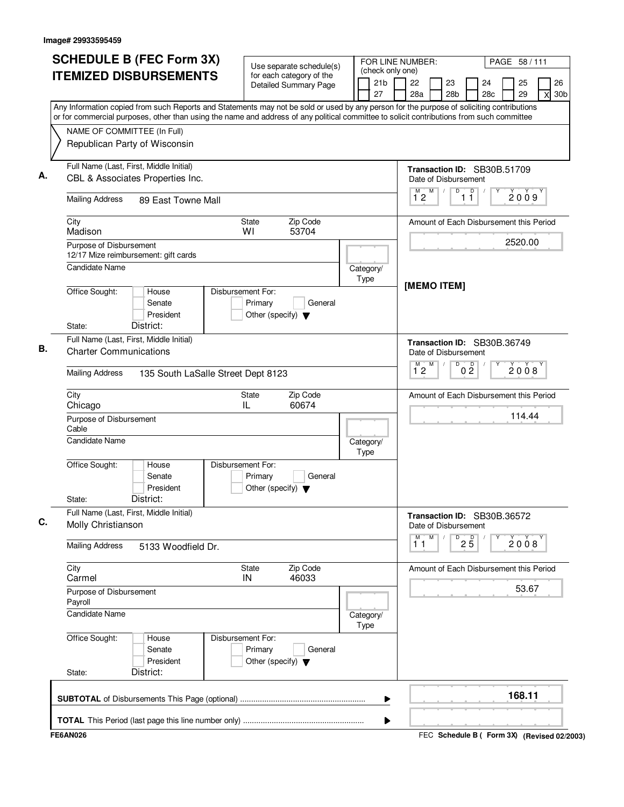| <b>SCHEDULE B (FEC Form 3X)</b><br><b>ITEMIZED DISBURSEMENTS</b>                                                                                                                                                                                                                       | Use separate schedule(s)<br>for each category of the                            | FOR LINE NUMBER:<br>(check only one)<br>21 <sub>b</sub> | PAGE 58 / 111<br>22<br>26<br>23<br>24<br>25                             |
|----------------------------------------------------------------------------------------------------------------------------------------------------------------------------------------------------------------------------------------------------------------------------------------|---------------------------------------------------------------------------------|---------------------------------------------------------|-------------------------------------------------------------------------|
|                                                                                                                                                                                                                                                                                        | Detailed Summary Page                                                           | 27                                                      | 28a<br>28 <sub>b</sub><br>28 <sub>c</sub><br>29<br>30 <sub>b</sub><br>X |
| Any Information copied from such Reports and Statements may not be sold or used by any person for the purpose of soliciting contributions<br>or for commercial purposes, other than using the name and address of any political committee to solicit contributions from such committee |                                                                                 |                                                         |                                                                         |
| NAME OF COMMITTEE (In Full)                                                                                                                                                                                                                                                            |                                                                                 |                                                         |                                                                         |
| Republican Party of Wisconsin                                                                                                                                                                                                                                                          |                                                                                 |                                                         |                                                                         |
| Full Name (Last, First, Middle Initial)<br>CBL & Associates Properties Inc.                                                                                                                                                                                                            |                                                                                 |                                                         | Transaction ID: SB30B.51709<br>Date of Disbursement                     |
|                                                                                                                                                                                                                                                                                        |                                                                                 |                                                         | D<br>M                                                                  |
| <b>Mailing Address</b><br>89 East Towne Mall                                                                                                                                                                                                                                           |                                                                                 |                                                         | $\overline{1}$ $\overline{1}$<br>2009<br>12                             |
| City<br>Madison                                                                                                                                                                                                                                                                        | Zip Code<br>State<br>WI<br>53704                                                |                                                         | Amount of Each Disbursement this Period                                 |
| Purpose of Disbursement<br>12/17 Mize reimbursement: gift cards                                                                                                                                                                                                                        |                                                                                 |                                                         | 2520.00                                                                 |
| Candidate Name                                                                                                                                                                                                                                                                         |                                                                                 | Category/<br>Type                                       |                                                                         |
| Office Sought:<br>House<br>Senate<br>President                                                                                                                                                                                                                                         | Disbursement For:<br>Primary<br>General<br>Other (specify) $\blacktriangledown$ |                                                         | [MEMO ITEM]                                                             |
| District:<br>State:<br>Full Name (Last, First, Middle Initial)                                                                                                                                                                                                                         |                                                                                 |                                                         |                                                                         |
| <b>Charter Communications</b>                                                                                                                                                                                                                                                          |                                                                                 |                                                         | Transaction ID: SB30B.36749<br>Date of Disbursement                     |
| <b>Mailing Address</b><br>135 South LaSalle Street Dept 8123                                                                                                                                                                                                                           |                                                                                 |                                                         | M<br>0 <sup>0</sup><br>$\overline{1}^M$ 2<br>D<br>2008                  |
| City<br>Chicago                                                                                                                                                                                                                                                                        | Zip Code<br>State<br>IL<br>60674                                                |                                                         | Amount of Each Disbursement this Period                                 |
| Purpose of Disbursement<br>Cable                                                                                                                                                                                                                                                       |                                                                                 |                                                         | 114.44                                                                  |
| <b>Candidate Name</b>                                                                                                                                                                                                                                                                  |                                                                                 | Category/<br>Type                                       |                                                                         |
| Office Sought:<br>House<br>Senate<br>President<br>District:<br>State:                                                                                                                                                                                                                  | Disbursement For:<br>Primary<br>General<br>Other (specify) $\blacktriangledown$ |                                                         |                                                                         |
| Full Name (Last, First, Middle Initial)<br>Molly Christianson                                                                                                                                                                                                                          |                                                                                 |                                                         | Transaction ID: SB30B.36572<br>Date of Disbursement                     |
| <b>Mailing Address</b><br>5133 Woodfield Dr.                                                                                                                                                                                                                                           |                                                                                 |                                                         | M<br>М<br>D<br>$2\overline{5}$<br>2008<br>11                            |
| City<br>Carmel                                                                                                                                                                                                                                                                         | Zip Code<br>State<br>46033<br>IN                                                |                                                         | Amount of Each Disbursement this Period                                 |
| Purpose of Disbursement<br>Payroll                                                                                                                                                                                                                                                     |                                                                                 |                                                         | 53.67                                                                   |
| <b>Candidate Name</b>                                                                                                                                                                                                                                                                  |                                                                                 | Category/<br>Type                                       |                                                                         |
| Office Sought:<br>House<br>Senate<br>President<br>District:<br>State:                                                                                                                                                                                                                  | Disbursement For:<br>Primary<br>General<br>Other (specify) $\blacktriangledown$ |                                                         |                                                                         |
|                                                                                                                                                                                                                                                                                        |                                                                                 | ▶                                                       | 168.11                                                                  |
|                                                                                                                                                                                                                                                                                        |                                                                                 | Þ                                                       |                                                                         |
| <b>FE6AN026</b>                                                                                                                                                                                                                                                                        |                                                                                 |                                                         | FEC Schedule B ( Form 3X) (Revised 02/2003)                             |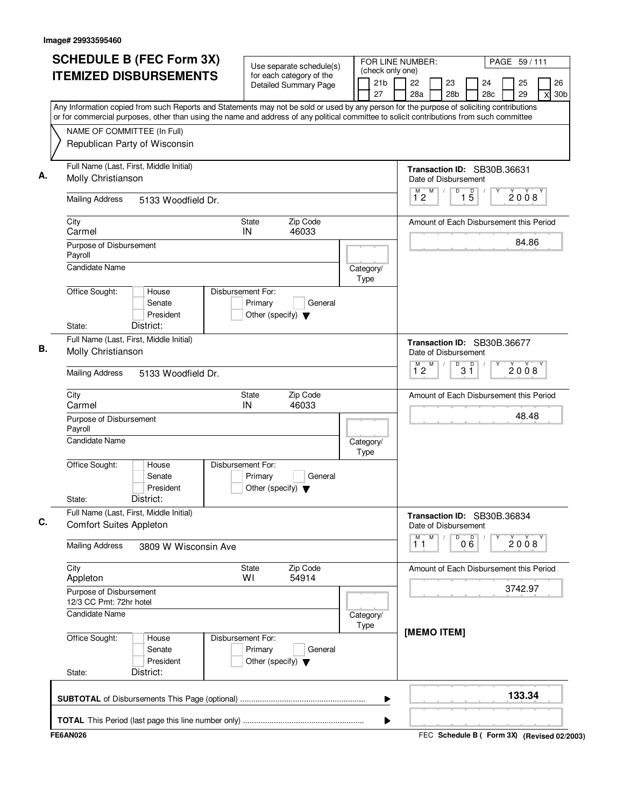| <b>ITEMIZED DISBURSEMENTS</b><br>Any Information copied from such Reports and Statements may not be sold or used by any person for the purpose of soliciting contributions<br>or for commercial purposes, other than using the name and address of any political committee to solicit contributions from such committee<br>NAME OF COMMITTEE (In Full)<br>Republican Party of Wisconsin<br>Full Name (Last, First, Middle Initial)<br>Molly Christianson<br><b>Mailing Address</b><br>5133 Woodfield Dr.<br>City<br>Carmel<br>Purpose of Disbursement<br>Payroll<br><b>Candidate Name</b><br>Office Sought:<br>House<br>Senate<br>President<br>District:<br>State:<br>Full Name (Last, First, Middle Initial)<br>Molly Christianson<br><b>Mailing Address</b><br>5133 Woodfield Dr.<br>City<br>Carmel | Use separate schedule(s)<br>for each category of the<br><b>Detailed Summary Page</b><br>Zip Code<br>State<br>46033<br>IN<br>Disbursement For:<br>Primary<br>General<br>Other (specify) $\blacktriangledown$ | (check only one)<br>21b<br>27<br>Category/<br>Type | 26<br>22<br>23<br>24<br>25<br>28a<br>28 <sub>b</sub><br>28c<br>29<br>30 <sub>b</sub><br>X<br>Transaction ID: SB30B.36631<br>Date of Disbursement<br>M<br>$\overline{D}$<br>$\overline{1}^M$ 2<br>$\overline{15}$<br>2008<br>Amount of Each Disbursement this Period<br>84.86<br>Transaction ID: SB30B.36677 |
|-------------------------------------------------------------------------------------------------------------------------------------------------------------------------------------------------------------------------------------------------------------------------------------------------------------------------------------------------------------------------------------------------------------------------------------------------------------------------------------------------------------------------------------------------------------------------------------------------------------------------------------------------------------------------------------------------------------------------------------------------------------------------------------------------------|-------------------------------------------------------------------------------------------------------------------------------------------------------------------------------------------------------------|----------------------------------------------------|-------------------------------------------------------------------------------------------------------------------------------------------------------------------------------------------------------------------------------------------------------------------------------------------------------------|
|                                                                                                                                                                                                                                                                                                                                                                                                                                                                                                                                                                                                                                                                                                                                                                                                       |                                                                                                                                                                                                             |                                                    |                                                                                                                                                                                                                                                                                                             |
|                                                                                                                                                                                                                                                                                                                                                                                                                                                                                                                                                                                                                                                                                                                                                                                                       |                                                                                                                                                                                                             |                                                    |                                                                                                                                                                                                                                                                                                             |
|                                                                                                                                                                                                                                                                                                                                                                                                                                                                                                                                                                                                                                                                                                                                                                                                       |                                                                                                                                                                                                             |                                                    |                                                                                                                                                                                                                                                                                                             |
|                                                                                                                                                                                                                                                                                                                                                                                                                                                                                                                                                                                                                                                                                                                                                                                                       |                                                                                                                                                                                                             |                                                    |                                                                                                                                                                                                                                                                                                             |
|                                                                                                                                                                                                                                                                                                                                                                                                                                                                                                                                                                                                                                                                                                                                                                                                       |                                                                                                                                                                                                             |                                                    |                                                                                                                                                                                                                                                                                                             |
|                                                                                                                                                                                                                                                                                                                                                                                                                                                                                                                                                                                                                                                                                                                                                                                                       |                                                                                                                                                                                                             |                                                    |                                                                                                                                                                                                                                                                                                             |
|                                                                                                                                                                                                                                                                                                                                                                                                                                                                                                                                                                                                                                                                                                                                                                                                       |                                                                                                                                                                                                             |                                                    |                                                                                                                                                                                                                                                                                                             |
|                                                                                                                                                                                                                                                                                                                                                                                                                                                                                                                                                                                                                                                                                                                                                                                                       |                                                                                                                                                                                                             |                                                    |                                                                                                                                                                                                                                                                                                             |
|                                                                                                                                                                                                                                                                                                                                                                                                                                                                                                                                                                                                                                                                                                                                                                                                       |                                                                                                                                                                                                             |                                                    |                                                                                                                                                                                                                                                                                                             |
|                                                                                                                                                                                                                                                                                                                                                                                                                                                                                                                                                                                                                                                                                                                                                                                                       |                                                                                                                                                                                                             |                                                    | Date of Disbursement                                                                                                                                                                                                                                                                                        |
|                                                                                                                                                                                                                                                                                                                                                                                                                                                                                                                                                                                                                                                                                                                                                                                                       |                                                                                                                                                                                                             |                                                    | M<br>D<br>D<br>$\overline{1}^M$ 2<br>2008<br>3 ĭ                                                                                                                                                                                                                                                            |
|                                                                                                                                                                                                                                                                                                                                                                                                                                                                                                                                                                                                                                                                                                                                                                                                       | Zip Code<br>State<br>IN<br>46033                                                                                                                                                                            |                                                    | Amount of Each Disbursement this Period                                                                                                                                                                                                                                                                     |
| Purpose of Disbursement<br>Payroll                                                                                                                                                                                                                                                                                                                                                                                                                                                                                                                                                                                                                                                                                                                                                                    |                                                                                                                                                                                                             |                                                    | 48.48                                                                                                                                                                                                                                                                                                       |
| <b>Candidate Name</b>                                                                                                                                                                                                                                                                                                                                                                                                                                                                                                                                                                                                                                                                                                                                                                                 |                                                                                                                                                                                                             | Category/<br>Type                                  |                                                                                                                                                                                                                                                                                                             |
| Office Sought:<br>House<br>Senate<br>President<br>District:<br>State:                                                                                                                                                                                                                                                                                                                                                                                                                                                                                                                                                                                                                                                                                                                                 | Disbursement For:<br>Primary<br>General<br>Other (specify) $\blacktriangledown$                                                                                                                             |                                                    |                                                                                                                                                                                                                                                                                                             |
| Full Name (Last, First, Middle Initial)<br><b>Comfort Suites Appleton</b>                                                                                                                                                                                                                                                                                                                                                                                                                                                                                                                                                                                                                                                                                                                             |                                                                                                                                                                                                             |                                                    | Transaction ID: SB30B.36834<br>Date of Disbursement                                                                                                                                                                                                                                                         |
| <b>Mailing Address</b><br>3809 W Wisconsin Ave                                                                                                                                                                                                                                                                                                                                                                                                                                                                                                                                                                                                                                                                                                                                                        |                                                                                                                                                                                                             |                                                    | M<br>M<br>D<br>000<br>2008<br>11                                                                                                                                                                                                                                                                            |
| City<br>Appleton                                                                                                                                                                                                                                                                                                                                                                                                                                                                                                                                                                                                                                                                                                                                                                                      | State<br>Zip Code<br>54914<br>W١                                                                                                                                                                            |                                                    | Amount of Each Disbursement this Period                                                                                                                                                                                                                                                                     |
| Purpose of Disbursement<br>12/3 CC Pmt: 72hr hotel                                                                                                                                                                                                                                                                                                                                                                                                                                                                                                                                                                                                                                                                                                                                                    |                                                                                                                                                                                                             |                                                    | 3742.97                                                                                                                                                                                                                                                                                                     |
| <b>Candidate Name</b>                                                                                                                                                                                                                                                                                                                                                                                                                                                                                                                                                                                                                                                                                                                                                                                 |                                                                                                                                                                                                             | Category/<br>Type                                  | [MEMO ITEM]                                                                                                                                                                                                                                                                                                 |
| Office Sought:<br>House<br>Senate<br>President<br>District:<br>State:                                                                                                                                                                                                                                                                                                                                                                                                                                                                                                                                                                                                                                                                                                                                 | Disbursement For:<br>Primary<br>General<br>Other (specify) $\blacktriangledown$                                                                                                                             |                                                    |                                                                                                                                                                                                                                                                                                             |
|                                                                                                                                                                                                                                                                                                                                                                                                                                                                                                                                                                                                                                                                                                                                                                                                       |                                                                                                                                                                                                             | ▶                                                  | 133.34                                                                                                                                                                                                                                                                                                      |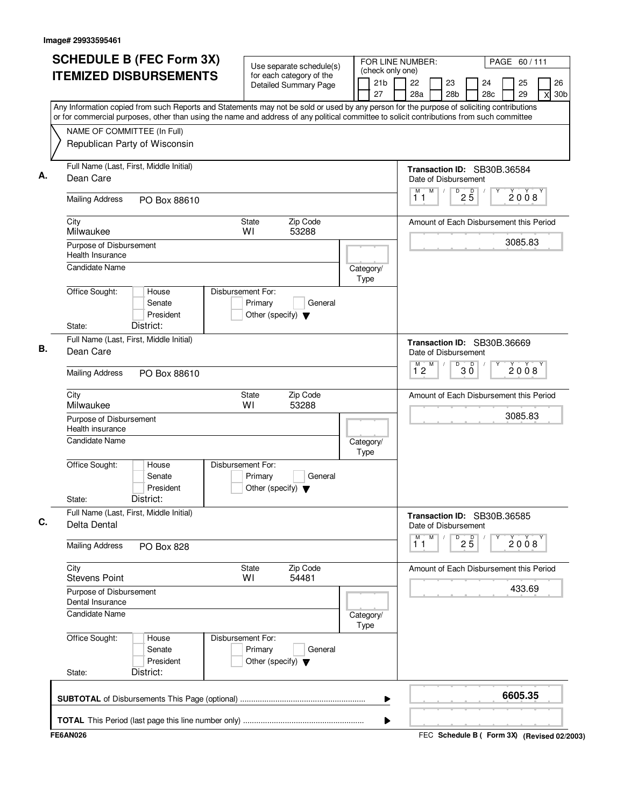| <b>ITEMIZED DISBURSEMENTS</b><br>Any Information copied from such Reports and Statements may not be sold or used by any person for the purpose of soliciting contributions<br>or for commercial purposes, other than using the name and address of any political committee to solicit contributions from such committee<br>NAME OF COMMITTEE (In Full)<br>Republican Party of Wisconsin<br>Full Name (Last, First, Middle Initial)<br>Dean Care<br><b>Mailing Address</b><br>PO Box 88610<br>City<br><b>State</b><br>Milwaukee<br>WI<br>Purpose of Disbursement<br>Health Insurance<br><b>Candidate Name</b><br>Office Sought:<br>Disbursement For:<br>House<br>Primary<br>Senate<br>President<br>District:<br>State:<br>Full Name (Last, First, Middle Initial)<br>Dean Care<br><b>Mailing Address</b><br>PO Box 88610<br>City<br><b>State</b><br>Milwaukee<br>WI<br>Purpose of Disbursement<br>Health insurance<br>Candidate Name | for each category of the<br><b>Detailed Summary Page</b><br>Zip Code<br>53288<br>General<br>Other (specify) $\blacktriangledown$ | (check only one)<br>21 <sub>b</sub><br>27<br>Category/<br>Type | 22<br>24<br>26<br>23<br>25<br>29<br>28a<br>28 <sub>b</sub><br>28c<br>30 <sub>b</sub><br>X<br>Transaction ID: SB30B.36584<br>Date of Disbursement<br>$D$ <sub>2</sub> $\overline{5}$<br>M<br>М<br>2008<br>11<br>Amount of Each Disbursement this Period<br>3085.83 |
|-------------------------------------------------------------------------------------------------------------------------------------------------------------------------------------------------------------------------------------------------------------------------------------------------------------------------------------------------------------------------------------------------------------------------------------------------------------------------------------------------------------------------------------------------------------------------------------------------------------------------------------------------------------------------------------------------------------------------------------------------------------------------------------------------------------------------------------------------------------------------------------------------------------------------------------|----------------------------------------------------------------------------------------------------------------------------------|----------------------------------------------------------------|-------------------------------------------------------------------------------------------------------------------------------------------------------------------------------------------------------------------------------------------------------------------|
|                                                                                                                                                                                                                                                                                                                                                                                                                                                                                                                                                                                                                                                                                                                                                                                                                                                                                                                                     |                                                                                                                                  |                                                                |                                                                                                                                                                                                                                                                   |
|                                                                                                                                                                                                                                                                                                                                                                                                                                                                                                                                                                                                                                                                                                                                                                                                                                                                                                                                     |                                                                                                                                  |                                                                |                                                                                                                                                                                                                                                                   |
|                                                                                                                                                                                                                                                                                                                                                                                                                                                                                                                                                                                                                                                                                                                                                                                                                                                                                                                                     |                                                                                                                                  |                                                                |                                                                                                                                                                                                                                                                   |
|                                                                                                                                                                                                                                                                                                                                                                                                                                                                                                                                                                                                                                                                                                                                                                                                                                                                                                                                     |                                                                                                                                  |                                                                |                                                                                                                                                                                                                                                                   |
|                                                                                                                                                                                                                                                                                                                                                                                                                                                                                                                                                                                                                                                                                                                                                                                                                                                                                                                                     |                                                                                                                                  |                                                                |                                                                                                                                                                                                                                                                   |
|                                                                                                                                                                                                                                                                                                                                                                                                                                                                                                                                                                                                                                                                                                                                                                                                                                                                                                                                     |                                                                                                                                  |                                                                |                                                                                                                                                                                                                                                                   |
|                                                                                                                                                                                                                                                                                                                                                                                                                                                                                                                                                                                                                                                                                                                                                                                                                                                                                                                                     |                                                                                                                                  |                                                                |                                                                                                                                                                                                                                                                   |
|                                                                                                                                                                                                                                                                                                                                                                                                                                                                                                                                                                                                                                                                                                                                                                                                                                                                                                                                     |                                                                                                                                  |                                                                |                                                                                                                                                                                                                                                                   |
|                                                                                                                                                                                                                                                                                                                                                                                                                                                                                                                                                                                                                                                                                                                                                                                                                                                                                                                                     |                                                                                                                                  |                                                                |                                                                                                                                                                                                                                                                   |
|                                                                                                                                                                                                                                                                                                                                                                                                                                                                                                                                                                                                                                                                                                                                                                                                                                                                                                                                     |                                                                                                                                  |                                                                |                                                                                                                                                                                                                                                                   |
|                                                                                                                                                                                                                                                                                                                                                                                                                                                                                                                                                                                                                                                                                                                                                                                                                                                                                                                                     |                                                                                                                                  |                                                                |                                                                                                                                                                                                                                                                   |
|                                                                                                                                                                                                                                                                                                                                                                                                                                                                                                                                                                                                                                                                                                                                                                                                                                                                                                                                     |                                                                                                                                  |                                                                | Transaction ID: SB30B.36669<br>Date of Disbursement                                                                                                                                                                                                               |
|                                                                                                                                                                                                                                                                                                                                                                                                                                                                                                                                                                                                                                                                                                                                                                                                                                                                                                                                     |                                                                                                                                  |                                                                | $\overline{1}^M$ $\overline{2}^M$<br>D<br>$30^{\circ}$<br>2008                                                                                                                                                                                                    |
|                                                                                                                                                                                                                                                                                                                                                                                                                                                                                                                                                                                                                                                                                                                                                                                                                                                                                                                                     | Zip Code<br>53288                                                                                                                |                                                                | Amount of Each Disbursement this Period                                                                                                                                                                                                                           |
|                                                                                                                                                                                                                                                                                                                                                                                                                                                                                                                                                                                                                                                                                                                                                                                                                                                                                                                                     |                                                                                                                                  |                                                                | 3085.83                                                                                                                                                                                                                                                           |
|                                                                                                                                                                                                                                                                                                                                                                                                                                                                                                                                                                                                                                                                                                                                                                                                                                                                                                                                     |                                                                                                                                  | Category/<br>Type                                              |                                                                                                                                                                                                                                                                   |
| Office Sought:<br>Disbursement For:<br>House<br>Senate<br>Primary<br>President<br>District:<br>State:                                                                                                                                                                                                                                                                                                                                                                                                                                                                                                                                                                                                                                                                                                                                                                                                                               | General<br>Other (specify) $\blacktriangledown$                                                                                  |                                                                |                                                                                                                                                                                                                                                                   |
| Full Name (Last, First, Middle Initial)                                                                                                                                                                                                                                                                                                                                                                                                                                                                                                                                                                                                                                                                                                                                                                                                                                                                                             |                                                                                                                                  |                                                                | Transaction ID: SB30B.36585                                                                                                                                                                                                                                       |
| Delta Dental                                                                                                                                                                                                                                                                                                                                                                                                                                                                                                                                                                                                                                                                                                                                                                                                                                                                                                                        |                                                                                                                                  |                                                                | Date of Disbursement<br>M<br>М<br>D                                                                                                                                                                                                                               |
| <b>Mailing Address</b><br><b>PO Box 828</b>                                                                                                                                                                                                                                                                                                                                                                                                                                                                                                                                                                                                                                                                                                                                                                                                                                                                                         |                                                                                                                                  |                                                                | $2\overline{5}$<br>2008<br>11                                                                                                                                                                                                                                     |
| City<br><b>State</b><br><b>Stevens Point</b><br>WI                                                                                                                                                                                                                                                                                                                                                                                                                                                                                                                                                                                                                                                                                                                                                                                                                                                                                  | Zip Code<br>54481                                                                                                                |                                                                | Amount of Each Disbursement this Period                                                                                                                                                                                                                           |
| Purpose of Disbursement<br>Dental Insurance                                                                                                                                                                                                                                                                                                                                                                                                                                                                                                                                                                                                                                                                                                                                                                                                                                                                                         |                                                                                                                                  |                                                                | 433.69                                                                                                                                                                                                                                                            |
| <b>Candidate Name</b>                                                                                                                                                                                                                                                                                                                                                                                                                                                                                                                                                                                                                                                                                                                                                                                                                                                                                                               |                                                                                                                                  | Category/<br>Type                                              |                                                                                                                                                                                                                                                                   |
| Office Sought:<br>Disbursement For:<br>House<br>Senate<br>Primary<br>President                                                                                                                                                                                                                                                                                                                                                                                                                                                                                                                                                                                                                                                                                                                                                                                                                                                      | General<br>Other (specify) $\blacktriangledown$                                                                                  |                                                                |                                                                                                                                                                                                                                                                   |
| District:<br>State:                                                                                                                                                                                                                                                                                                                                                                                                                                                                                                                                                                                                                                                                                                                                                                                                                                                                                                                 |                                                                                                                                  |                                                                |                                                                                                                                                                                                                                                                   |
|                                                                                                                                                                                                                                                                                                                                                                                                                                                                                                                                                                                                                                                                                                                                                                                                                                                                                                                                     |                                                                                                                                  | ▶                                                              | 6605.35                                                                                                                                                                                                                                                           |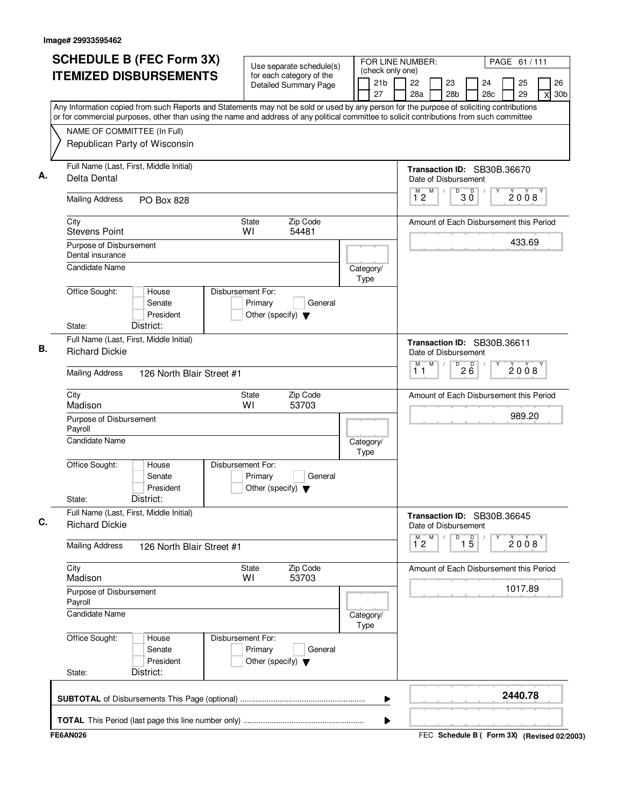| <b>SCHEDULE B (FEC Form 3X)</b>                                                                                                                                                                                                                                                        | Use separate schedule(s)                                   |                   | FOR LINE NUMBER:<br>(check only one) |                      |   |                       |                   |                                         | PAGE 61/111 |                            |
|----------------------------------------------------------------------------------------------------------------------------------------------------------------------------------------------------------------------------------------------------------------------------------------|------------------------------------------------------------|-------------------|--------------------------------------|----------------------|---|-----------------------|-------------------|-----------------------------------------|-------------|----------------------------|
| <b>ITEMIZED DISBURSEMENTS</b>                                                                                                                                                                                                                                                          | for each category of the<br>Detailed Summary Page          |                   | 21 <sub>b</sub><br>27                | 22<br>28a            |   | 23<br>28 <sub>b</sub> |                   | 24<br>28 <sub>c</sub>                   | 25<br>29    | 26<br>30 <sub>b</sub><br>X |
| Any Information copied from such Reports and Statements may not be sold or used by any person for the purpose of soliciting contributions<br>or for commercial purposes, other than using the name and address of any political committee to solicit contributions from such committee |                                                            |                   |                                      |                      |   |                       |                   |                                         |             |                            |
| NAME OF COMMITTEE (In Full)                                                                                                                                                                                                                                                            |                                                            |                   |                                      |                      |   |                       |                   |                                         |             |                            |
| Republican Party of Wisconsin                                                                                                                                                                                                                                                          |                                                            |                   |                                      |                      |   |                       |                   |                                         |             |                            |
| Full Name (Last, First, Middle Initial)<br>Delta Dental                                                                                                                                                                                                                                |                                                            |                   |                                      | Date of Disbursement |   |                       |                   | Transaction ID: SB30B.36670             |             |                            |
| <b>Mailing Address</b><br><b>PO Box 828</b>                                                                                                                                                                                                                                            |                                                            |                   |                                      | M<br>12              | M |                       | $\overline{30}$   |                                         | 2008        |                            |
| City<br><b>Stevens Point</b>                                                                                                                                                                                                                                                           | Zip Code<br><b>State</b><br>WI<br>54481                    |                   |                                      |                      |   |                       |                   | Amount of Each Disbursement this Period |             |                            |
| Purpose of Disbursement<br>Dental insurance                                                                                                                                                                                                                                            |                                                            |                   |                                      |                      |   |                       |                   |                                         | 433.69      |                            |
| <b>Candidate Name</b>                                                                                                                                                                                                                                                                  |                                                            | Category/<br>Type |                                      |                      |   |                       |                   |                                         |             |                            |
| Office Sought:<br>House<br>Disbursement For:<br>Senate<br>President<br>District:<br>State:                                                                                                                                                                                             | Primary<br>General<br>Other (specify) $\blacktriangledown$ |                   |                                      |                      |   |                       |                   |                                         |             |                            |
| Full Name (Last, First, Middle Initial)<br><b>Richard Dickie</b>                                                                                                                                                                                                                       |                                                            |                   |                                      | Date of Disbursement |   |                       |                   | Transaction ID: SB30B.36611             |             |                            |
|                                                                                                                                                                                                                                                                                        |                                                            |                   |                                      | м<br>11              | M | D                     | 26                |                                         | 2008        |                            |
| <b>Mailing Address</b><br>126 North Blair Street #1                                                                                                                                                                                                                                    |                                                            |                   |                                      |                      |   |                       |                   |                                         |             |                            |
| City<br>Madison                                                                                                                                                                                                                                                                        | Zip Code<br><b>State</b><br>WI<br>53703                    |                   |                                      |                      |   |                       |                   | Amount of Each Disbursement this Period |             |                            |
| Purpose of Disbursement<br>Payroll                                                                                                                                                                                                                                                     |                                                            |                   |                                      |                      |   |                       |                   |                                         | 989.20      |                            |
| <b>Candidate Name</b>                                                                                                                                                                                                                                                                  |                                                            | Category/<br>Type |                                      |                      |   |                       |                   |                                         |             |                            |
| Office Sought:<br>Disbursement For:<br>House<br>Senate<br>President<br>District:<br>State:                                                                                                                                                                                             | Primary<br>General<br>Other (specify) $\blacktriangledown$ |                   |                                      |                      |   |                       |                   |                                         |             |                            |
| Full Name (Last, First, Middle Initial)<br><b>Richard Dickie</b>                                                                                                                                                                                                                       |                                                            |                   |                                      | Date of Disbursement |   |                       |                   | Transaction ID: SB30B.36645             |             |                            |
| <b>Mailing Address</b><br>126 North Blair Street #1                                                                                                                                                                                                                                    |                                                            |                   |                                      | M<br>$1^{\degree}2$  | M | D                     | $\overline{1\,5}$ |                                         | 2008        |                            |
| City<br>Madison                                                                                                                                                                                                                                                                        | State<br>Zip Code<br>53703<br>WI                           |                   |                                      |                      |   |                       |                   | Amount of Each Disbursement this Period |             |                            |
| Purpose of Disbursement<br>Payroll                                                                                                                                                                                                                                                     |                                                            |                   |                                      |                      |   |                       |                   |                                         | 1017.89     |                            |
| Candidate Name                                                                                                                                                                                                                                                                         |                                                            | Category/<br>Type |                                      |                      |   |                       |                   |                                         |             |                            |
| Office Sought:<br>Disbursement For:<br>House<br>Senate<br>President                                                                                                                                                                                                                    | Primary<br>General<br>Other (specify) $\blacktriangledown$ |                   |                                      |                      |   |                       |                   |                                         |             |                            |
| District:<br>State:                                                                                                                                                                                                                                                                    |                                                            |                   |                                      |                      |   |                       |                   |                                         |             |                            |
|                                                                                                                                                                                                                                                                                        |                                                            |                   | ▶                                    |                      |   |                       |                   |                                         | 2440.78     |                            |
|                                                                                                                                                                                                                                                                                        |                                                            |                   |                                      |                      |   |                       |                   |                                         |             |                            |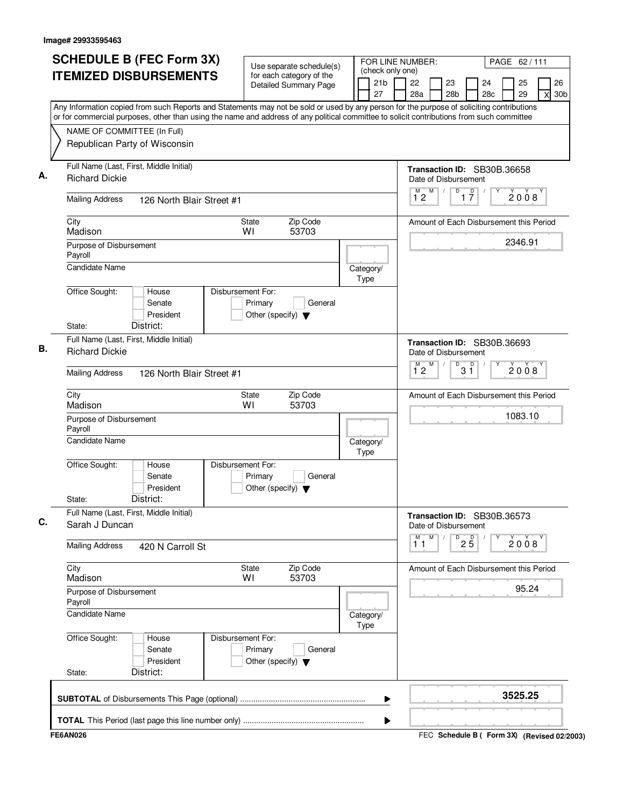| <b>ITEMIZED DISBURSEMENTS</b><br>NAME OF COMMITTEE (In Full)<br>Republican Party of Wisconsin<br>Full Name (Last, First, Middle Initial)<br><b>Richard Dickie</b><br><b>Mailing Address</b><br>City | 126 North Blair Street #1                 | Use separate schedule(s)<br>for each category of the<br><b>Detailed Summary Page</b> | (check only one)<br>21b<br>27 | 26<br>22<br>23<br>24<br>25<br>28a<br>28 <sub>b</sub><br>28c<br>29<br>30 <sub>b</sub><br>X<br>Any Information copied from such Reports and Statements may not be sold or used by any person for the purpose of soliciting contributions<br>or for commercial purposes, other than using the name and address of any political committee to solicit contributions from such committee<br>Transaction ID: SB30B.36658 |
|-----------------------------------------------------------------------------------------------------------------------------------------------------------------------------------------------------|-------------------------------------------|--------------------------------------------------------------------------------------|-------------------------------|--------------------------------------------------------------------------------------------------------------------------------------------------------------------------------------------------------------------------------------------------------------------------------------------------------------------------------------------------------------------------------------------------------------------|
|                                                                                                                                                                                                     |                                           |                                                                                      |                               |                                                                                                                                                                                                                                                                                                                                                                                                                    |
|                                                                                                                                                                                                     |                                           |                                                                                      |                               |                                                                                                                                                                                                                                                                                                                                                                                                                    |
|                                                                                                                                                                                                     |                                           |                                                                                      |                               |                                                                                                                                                                                                                                                                                                                                                                                                                    |
|                                                                                                                                                                                                     |                                           |                                                                                      |                               | Date of Disbursement                                                                                                                                                                                                                                                                                                                                                                                               |
|                                                                                                                                                                                                     |                                           |                                                                                      |                               | M<br>$\overline{D}$<br>$\overline{1}$ $\overline{7}$<br>$\overline{1}^M$ 2<br>2008                                                                                                                                                                                                                                                                                                                                 |
| Madison                                                                                                                                                                                             |                                           | Zip Code<br>State<br>WI<br>53703                                                     |                               | Amount of Each Disbursement this Period                                                                                                                                                                                                                                                                                                                                                                            |
| Purpose of Disbursement<br>Payroll<br><b>Candidate Name</b>                                                                                                                                         |                                           |                                                                                      |                               | 2346.91                                                                                                                                                                                                                                                                                                                                                                                                            |
| Office Sought:                                                                                                                                                                                      | House                                     | Disbursement For:                                                                    | Category/<br>Type             |                                                                                                                                                                                                                                                                                                                                                                                                                    |
| State:                                                                                                                                                                                              | Senate<br>President<br>District:          | Primary<br>General<br>Other (specify) $\blacktriangledown$                           |                               |                                                                                                                                                                                                                                                                                                                                                                                                                    |
| Full Name (Last, First, Middle Initial)<br><b>Richard Dickie</b>                                                                                                                                    |                                           |                                                                                      |                               | Transaction ID: SB30B.36693<br>Date of Disbursement                                                                                                                                                                                                                                                                                                                                                                |
| <b>Mailing Address</b>                                                                                                                                                                              | 126 North Blair Street #1                 |                                                                                      |                               | M<br>D<br>D<br>$\overline{1}^M$ 2<br>2008<br>3 ĭ                                                                                                                                                                                                                                                                                                                                                                   |
| City<br>Madison                                                                                                                                                                                     |                                           | Zip Code<br>State<br>WI<br>53703                                                     |                               | Amount of Each Disbursement this Period                                                                                                                                                                                                                                                                                                                                                                            |
| Purpose of Disbursement<br>Payroll                                                                                                                                                                  |                                           |                                                                                      |                               | 1083.10                                                                                                                                                                                                                                                                                                                                                                                                            |
| <b>Candidate Name</b>                                                                                                                                                                               |                                           |                                                                                      | Category/<br>Type             |                                                                                                                                                                                                                                                                                                                                                                                                                    |
| Office Sought:<br>State:                                                                                                                                                                            | House<br>Senate<br>President<br>District: | Disbursement For:<br>Primary<br>General<br>Other (specify) $\blacktriangledown$      |                               |                                                                                                                                                                                                                                                                                                                                                                                                                    |
| Full Name (Last, First, Middle Initial)<br>Sarah J Duncan                                                                                                                                           |                                           |                                                                                      |                               | Transaction ID: SB30B.36573<br>Date of Disbursement                                                                                                                                                                                                                                                                                                                                                                |
| <b>Mailing Address</b>                                                                                                                                                                              | 420 N Carroll St                          |                                                                                      |                               | M<br>М<br>$2\overline{5}$<br>D<br>2008<br>11                                                                                                                                                                                                                                                                                                                                                                       |
| City<br>Madison                                                                                                                                                                                     |                                           | Zip Code<br>State<br>53703<br>W١                                                     |                               | Amount of Each Disbursement this Period                                                                                                                                                                                                                                                                                                                                                                            |
| Purpose of Disbursement<br>Payroll                                                                                                                                                                  |                                           |                                                                                      |                               | 95.24                                                                                                                                                                                                                                                                                                                                                                                                              |
| Candidate Name                                                                                                                                                                                      |                                           |                                                                                      | Category/<br>Type             |                                                                                                                                                                                                                                                                                                                                                                                                                    |
| Office Sought:<br>State:                                                                                                                                                                            | House<br>Senate<br>President<br>District: | Disbursement For:<br>Primary<br>General<br>Other (specify) $\blacktriangledown$      |                               |                                                                                                                                                                                                                                                                                                                                                                                                                    |
|                                                                                                                                                                                                     |                                           |                                                                                      | ▶                             | 3525.25                                                                                                                                                                                                                                                                                                                                                                                                            |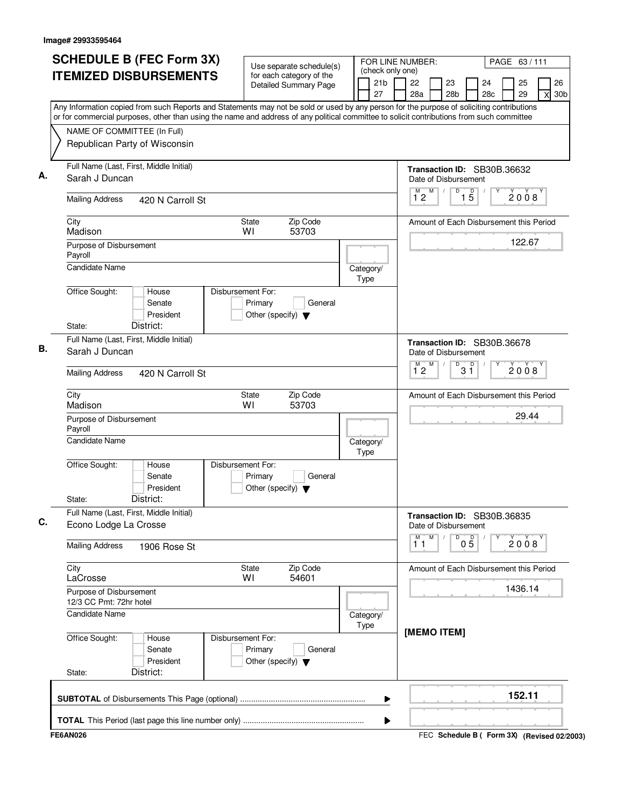|                                                                             | <b>SCHEDULE B (FEC Form 3X)</b>           | Use separate schedule(s)                                                        |                               | FOR LINE NUMBER:<br>PAGE 63/111                                                                                                                                                                                                                                                        |
|-----------------------------------------------------------------------------|-------------------------------------------|---------------------------------------------------------------------------------|-------------------------------|----------------------------------------------------------------------------------------------------------------------------------------------------------------------------------------------------------------------------------------------------------------------------------------|
|                                                                             | <b>ITEMIZED DISBURSEMENTS</b>             | for each category of the<br><b>Detailed Summary Page</b>                        | (check only one)<br>21b<br>27 | 26<br>22<br>23<br>24<br>25<br>28a<br>28 <sub>b</sub><br>28c<br>29<br>30 <sub>b</sub><br>X                                                                                                                                                                                              |
|                                                                             |                                           |                                                                                 |                               | Any Information copied from such Reports and Statements may not be sold or used by any person for the purpose of soliciting contributions<br>or for commercial purposes, other than using the name and address of any political committee to solicit contributions from such committee |
| NAME OF COMMITTEE (In Full)                                                 | Republican Party of Wisconsin             |                                                                                 |                               |                                                                                                                                                                                                                                                                                        |
| Sarah J Duncan                                                              | Full Name (Last, First, Middle Initial)   |                                                                                 |                               | Transaction ID: SB30B.36632<br>Date of Disbursement                                                                                                                                                                                                                                    |
| <b>Mailing Address</b>                                                      | 420 N Carroll St                          |                                                                                 |                               | M<br>$\overline{D}$<br>$\overline{1}^M$ 2<br>$\overline{15}$<br>2008                                                                                                                                                                                                                   |
| City<br>Madison                                                             |                                           | Zip Code<br>State<br>WI<br>53703                                                |                               | Amount of Each Disbursement this Period                                                                                                                                                                                                                                                |
| Purpose of Disbursement<br>Payroll<br><b>Candidate Name</b>                 |                                           |                                                                                 | Category/                     | 122.67                                                                                                                                                                                                                                                                                 |
| Office Sought:<br>State:                                                    | House<br>Senate<br>President<br>District: | Disbursement For:<br>Primary<br>General<br>Other (specify) $\blacktriangledown$ | Type                          |                                                                                                                                                                                                                                                                                        |
| Sarah J Duncan                                                              | Full Name (Last, First, Middle Initial)   |                                                                                 |                               | Transaction ID: SB30B.36678<br>Date of Disbursement                                                                                                                                                                                                                                    |
| <b>Mailing Address</b>                                                      | 420 N Carroll St                          |                                                                                 |                               | M<br>D<br>D<br>$\overline{1}^M$ 2<br>2008<br>3 ĭ                                                                                                                                                                                                                                       |
| City<br>Madison                                                             |                                           | Zip Code<br>State<br>WI<br>53703                                                |                               | Amount of Each Disbursement this Period                                                                                                                                                                                                                                                |
| Purpose of Disbursement<br>Payroll                                          |                                           |                                                                                 |                               | 29.44                                                                                                                                                                                                                                                                                  |
| <b>Candidate Name</b><br>Office Sought:                                     | House                                     | Disbursement For:                                                               | Category/<br>Type             |                                                                                                                                                                                                                                                                                        |
| State:                                                                      | Senate<br>President<br>District:          | Primary<br>General<br>Other (specify) $\blacktriangledown$                      |                               |                                                                                                                                                                                                                                                                                        |
| Econo Lodge La Crosse                                                       | Full Name (Last, First, Middle Initial)   |                                                                                 |                               | Transaction ID: SB30B.36835<br>Date of Disbursement                                                                                                                                                                                                                                    |
| <b>Mailing Address</b>                                                      | 1906 Rose St                              |                                                                                 |                               | M<br>M<br>D<br>$0\overline{5}$<br>2008<br>11                                                                                                                                                                                                                                           |
| City<br>LaCrosse                                                            |                                           | Zip Code<br>State<br>54601<br>W١                                                |                               | Amount of Each Disbursement this Period                                                                                                                                                                                                                                                |
| Purpose of Disbursement<br>12/3 CC Pmt: 72hr hotel<br><b>Candidate Name</b> |                                           |                                                                                 |                               | 1436.14                                                                                                                                                                                                                                                                                |
| Office Sought:<br>State:                                                    | House<br>Senate<br>President<br>District: | Disbursement For:<br>Primary<br>General<br>Other (specify) $\blacktriangledown$ | Category/<br>Type             | [MEMO ITEM]                                                                                                                                                                                                                                                                            |
|                                                                             |                                           |                                                                                 | ▶                             | 152.11                                                                                                                                                                                                                                                                                 |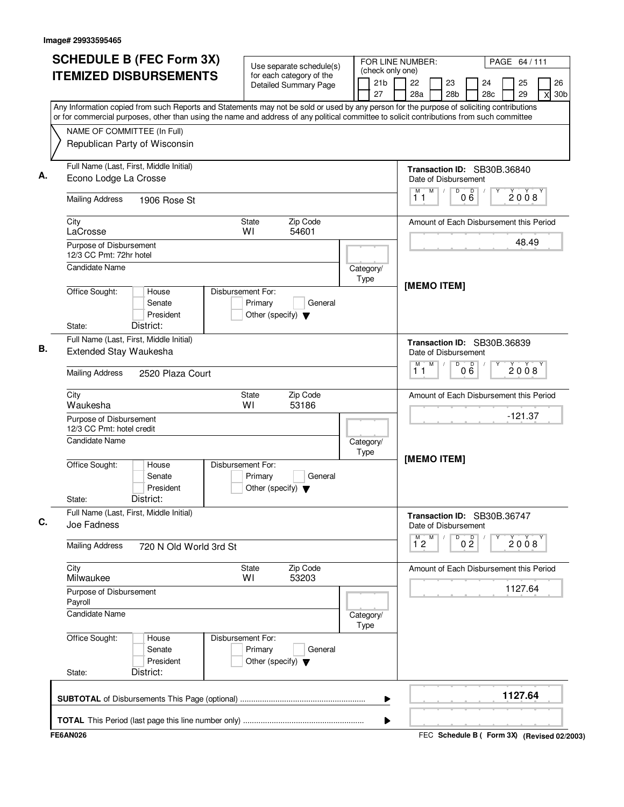| <b>SCHEDULE B (FEC Form 3X)</b>                                                                                                                                                                                                                                                        | Use separate schedule(s)                                                        |                               | FOR LINE NUMBER:<br>PAGE 64 / 111                                                                     |
|----------------------------------------------------------------------------------------------------------------------------------------------------------------------------------------------------------------------------------------------------------------------------------------|---------------------------------------------------------------------------------|-------------------------------|-------------------------------------------------------------------------------------------------------|
| <b>ITEMIZED DISBURSEMENTS</b>                                                                                                                                                                                                                                                          | for each category of the<br><b>Detailed Summary Page</b>                        | (check only one)<br>21b<br>27 | 26<br>22<br>23<br>24<br>25<br>28a<br>28 <sub>b</sub><br>28 <sub>c</sub><br>29<br>30 <sub>b</sub><br>X |
| Any Information copied from such Reports and Statements may not be sold or used by any person for the purpose of soliciting contributions<br>or for commercial purposes, other than using the name and address of any political committee to solicit contributions from such committee |                                                                                 |                               |                                                                                                       |
| NAME OF COMMITTEE (In Full)                                                                                                                                                                                                                                                            |                                                                                 |                               |                                                                                                       |
| Republican Party of Wisconsin                                                                                                                                                                                                                                                          |                                                                                 |                               |                                                                                                       |
| Full Name (Last, First, Middle Initial)<br>Econo Lodge La Crosse                                                                                                                                                                                                                       |                                                                                 |                               | Transaction ID: SB30B.36840<br>Date of Disbursement                                                   |
| <b>Mailing Address</b><br>1906 Rose St                                                                                                                                                                                                                                                 |                                                                                 |                               | M<br>$\overline{D}$<br>M<br>D<br>$\prime$<br>2008<br>$0\ddot{\sigma}$<br>11                           |
| City<br>LaCrosse                                                                                                                                                                                                                                                                       | Zip Code<br>State<br>WI<br>54601                                                |                               | Amount of Each Disbursement this Period                                                               |
| Purpose of Disbursement<br>12/3 CC Pmt: 72hr hotel                                                                                                                                                                                                                                     |                                                                                 |                               | 48.49                                                                                                 |
| <b>Candidate Name</b>                                                                                                                                                                                                                                                                  |                                                                                 | Category/<br>Type             | [MEMO ITEM]                                                                                           |
| Office Sought:<br>House<br>Senate<br>President<br>District:<br>State:                                                                                                                                                                                                                  | Disbursement For:<br>Primary<br>General<br>Other (specify) $\blacktriangledown$ |                               |                                                                                                       |
| Full Name (Last, First, Middle Initial)<br><b>Extended Stay Waukesha</b>                                                                                                                                                                                                               |                                                                                 |                               | Transaction ID: SB30B.36839<br>Date of Disbursement                                                   |
| <b>Mailing Address</b><br>2520 Plaza Court                                                                                                                                                                                                                                             |                                                                                 |                               | M<br>M<br>D<br>$0\overset{D}{6}$<br>2008<br>11                                                        |
| City<br>Waukesha                                                                                                                                                                                                                                                                       | Zip Code<br>State<br>WI<br>53186                                                |                               | Amount of Each Disbursement this Period                                                               |
| Purpose of Disbursement<br>12/3 CC Pmt: hotel credit                                                                                                                                                                                                                                   |                                                                                 |                               | $-121.37$                                                                                             |
| Candidate Name                                                                                                                                                                                                                                                                         |                                                                                 | Category/<br>Type             |                                                                                                       |
| Office Sought:<br>House<br>Senate<br>President<br>District:<br>State:                                                                                                                                                                                                                  | Disbursement For:<br>Primary<br>General<br>Other (specify) $\blacktriangledown$ |                               | [MEMO ITEM]                                                                                           |
| Full Name (Last, First, Middle Initial)<br>Joe Fadness                                                                                                                                                                                                                                 |                                                                                 |                               | Transaction ID: SB30B.36747<br>Date of Disbursement                                                   |
| <b>Mailing Address</b><br>720 N Old World 3rd St                                                                                                                                                                                                                                       |                                                                                 |                               | M<br>M<br>D<br>0 <sup>0</sup><br>2008<br>$1^{\degree}2$                                               |
| City<br>Milwaukee                                                                                                                                                                                                                                                                      | Zip Code<br>State<br>53203<br>W١                                                |                               | Amount of Each Disbursement this Period                                                               |
| Purpose of Disbursement<br>Payroll                                                                                                                                                                                                                                                     |                                                                                 |                               | 1127.64                                                                                               |
| Candidate Name                                                                                                                                                                                                                                                                         |                                                                                 | Category/<br>Type             |                                                                                                       |
| Office Sought:<br>House<br>Senate<br>President<br>District:<br>State:                                                                                                                                                                                                                  | Disbursement For:<br>Primary<br>General<br>Other (specify) $\blacktriangledown$ |                               |                                                                                                       |
|                                                                                                                                                                                                                                                                                        |                                                                                 | ▶                             | 1127.64                                                                                               |
|                                                                                                                                                                                                                                                                                        |                                                                                 | ▶                             |                                                                                                       |
| <b>FE6AN026</b>                                                                                                                                                                                                                                                                        |                                                                                 |                               | FEC Schedule B ( Form 3X) (Revised 02/2003)                                                           |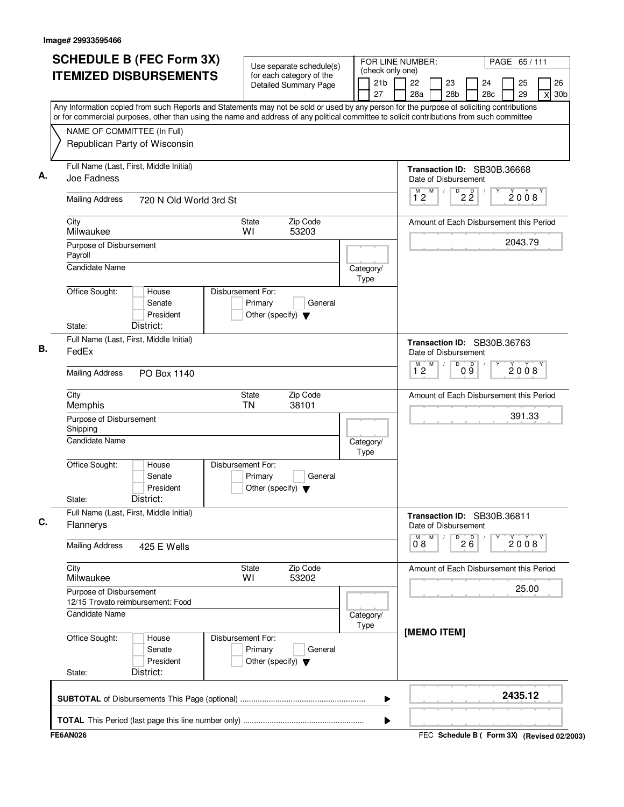| <b>SCHEDULE B (FEC Form 3X)</b>                                                                                                           | Use separate schedule(s)                                 | FOR LINE NUMBER:                          | PAGE 65/111                                                                               |
|-------------------------------------------------------------------------------------------------------------------------------------------|----------------------------------------------------------|-------------------------------------------|-------------------------------------------------------------------------------------------|
| <b>ITEMIZED DISBURSEMENTS</b>                                                                                                             | for each category of the<br><b>Detailed Summary Page</b> | (check only one)<br>21 <sub>b</sub><br>27 | 26<br>22<br>23<br>25<br>24<br>28c<br>29<br>28a<br>28 <sub>b</sub><br>30 <sub>b</sub><br>X |
| Any Information copied from such Reports and Statements may not be sold or used by any person for the purpose of soliciting contributions |                                                          |                                           |                                                                                           |
| or for commercial purposes, other than using the name and address of any political committee to solicit contributions from such committee |                                                          |                                           |                                                                                           |
| NAME OF COMMITTEE (In Full)                                                                                                               |                                                          |                                           |                                                                                           |
| Republican Party of Wisconsin                                                                                                             |                                                          |                                           |                                                                                           |
| Full Name (Last, First, Middle Initial)                                                                                                   |                                                          |                                           | Transaction ID: SB30B.36668                                                               |
| Joe Fadness                                                                                                                               |                                                          |                                           | Date of Disbursement                                                                      |
| <b>Mailing Address</b><br>720 N Old World 3rd St                                                                                          |                                                          |                                           | M<br>$\overline{1}^M$ 2<br>$D$ <sub>2</sub> $\overline{2}$<br>2008                        |
| City                                                                                                                                      | Zip Code<br>State                                        |                                           | Amount of Each Disbursement this Period                                                   |
| Milwaukee                                                                                                                                 | WI<br>53203                                              |                                           | 2043.79                                                                                   |
| Purpose of Disbursement<br>Payroll                                                                                                        |                                                          |                                           |                                                                                           |
| <b>Candidate Name</b>                                                                                                                     |                                                          | Category/                                 |                                                                                           |
|                                                                                                                                           |                                                          | Type                                      |                                                                                           |
| Office Sought:<br>House<br>Senate                                                                                                         | Disbursement For:<br>Primary                             |                                           |                                                                                           |
| President                                                                                                                                 | General<br>Other (specify) $\blacktriangledown$          |                                           |                                                                                           |
| District:<br>State:                                                                                                                       |                                                          |                                           |                                                                                           |
| Full Name (Last, First, Middle Initial)                                                                                                   |                                                          |                                           | Transaction ID: SB30B.36763                                                               |
| FedEx                                                                                                                                     |                                                          |                                           | Date of Disbursement                                                                      |
| <b>Mailing Address</b><br>PO Box 1140                                                                                                     |                                                          |                                           | M<br>D<br>$\overline{1}^M$ 2<br>09<br>2008                                                |
| City                                                                                                                                      | Zip Code<br>State                                        |                                           | Amount of Each Disbursement this Period                                                   |
| Memphis                                                                                                                                   | TN<br>38101                                              |                                           | 391.33                                                                                    |
| Purpose of Disbursement<br>Shipping                                                                                                       |                                                          |                                           |                                                                                           |
| <b>Candidate Name</b>                                                                                                                     |                                                          | Category/                                 |                                                                                           |
| Office Sought:<br>House                                                                                                                   | Disbursement For:                                        | Type                                      |                                                                                           |
| Senate                                                                                                                                    | Primary<br>General                                       |                                           |                                                                                           |
| President                                                                                                                                 | Other (specify) $\blacktriangledown$                     |                                           |                                                                                           |
| District:<br>State:                                                                                                                       |                                                          |                                           |                                                                                           |
| Full Name (Last, First, Middle Initial)<br>Flannerys                                                                                      |                                                          |                                           | Transaction ID: SB30B.36811<br>Date of Disbursement                                       |
| <b>Mailing Address</b><br>425 E Wells                                                                                                     |                                                          |                                           | M<br>D<br>26<br>2008<br>$0^{\degree}8$                                                    |
|                                                                                                                                           |                                                          |                                           |                                                                                           |
| City<br>Milwaukee                                                                                                                         | Zip Code<br>State<br>53202<br>W١                         |                                           | Amount of Each Disbursement this Period                                                   |
| Purpose of Disbursement                                                                                                                   |                                                          |                                           | 25.00                                                                                     |
| 12/15 Trovato reimbursement: Food                                                                                                         |                                                          |                                           |                                                                                           |
| <b>Candidate Name</b>                                                                                                                     |                                                          | Category/                                 |                                                                                           |
| Office Sought:<br>House                                                                                                                   | Disbursement For:                                        | Type                                      | [MEMO ITEM]                                                                               |
| Senate                                                                                                                                    | Primary<br>General                                       |                                           |                                                                                           |
| President                                                                                                                                 | Other (specify) $\blacktriangledown$                     |                                           |                                                                                           |
| District:<br>State:                                                                                                                       |                                                          |                                           |                                                                                           |
|                                                                                                                                           |                                                          | ▶                                         | 2435.12                                                                                   |
|                                                                                                                                           |                                                          |                                           |                                                                                           |
| <b>FE6AN026</b>                                                                                                                           |                                                          | ▶                                         | FEC Schedule B ( Form 3X) (Revised 02/2003)                                               |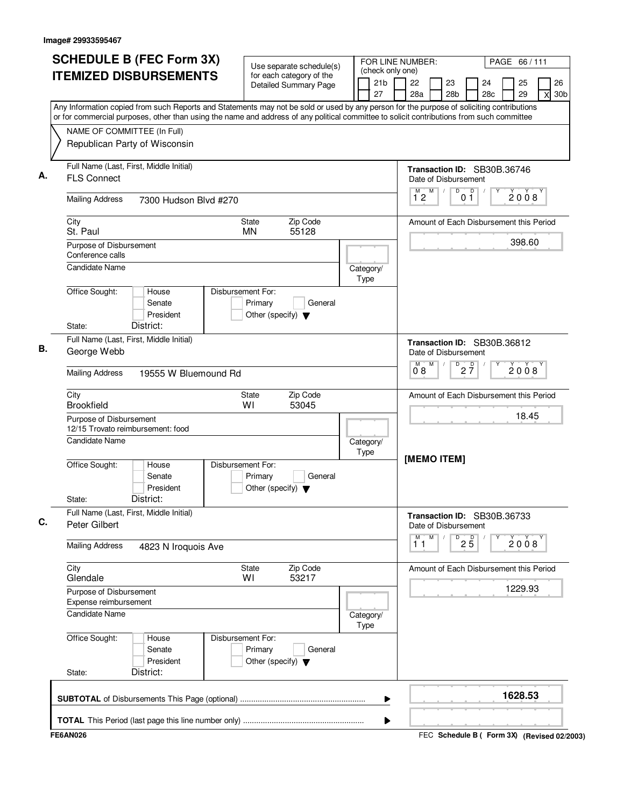| <b>SCHEDULE B (FEC Form 3X)</b>                                                                                                                                          | Use separate schedule(s)                                                        |                                           | FOR LINE NUMBER:                                              |                                  |           | PAGE 66/111 |                                             |
|--------------------------------------------------------------------------------------------------------------------------------------------------------------------------|---------------------------------------------------------------------------------|-------------------------------------------|---------------------------------------------------------------|----------------------------------|-----------|-------------|---------------------------------------------|
| <b>ITEMIZED DISBURSEMENTS</b>                                                                                                                                            | for each category of the<br>Detailed Summary Page                               | (check only one)<br>21 <sub>b</sub><br>27 | 22<br>28a                                                     | 23<br>28b                        | 24<br>28c | 25<br>29    | 26<br>30 <sub>b</sub><br>X                  |
| Any Information copied from such Reports and Statements may not be sold or used by any person for the purpose of soliciting contributions                                |                                                                                 |                                           |                                                               |                                  |           |             |                                             |
| or for commercial purposes, other than using the name and address of any political committee to solicit contributions from such committee<br>NAME OF COMMITTEE (In Full) |                                                                                 |                                           |                                                               |                                  |           |             |                                             |
| Republican Party of Wisconsin                                                                                                                                            |                                                                                 |                                           |                                                               |                                  |           |             |                                             |
| Full Name (Last, First, Middle Initial)<br><b>FLS Connect</b>                                                                                                            |                                                                                 |                                           | Transaction ID: SB30B.36746<br>Date of Disbursement           |                                  |           |             |                                             |
| <b>Mailing Address</b><br>7300 Hudson Blvd #270                                                                                                                          |                                                                                 |                                           | M<br>$1^{\degree}2$                                           | D<br>D<br>0 <sub>1</sub>         |           | 2008        |                                             |
| City<br>St. Paul                                                                                                                                                         | Zip Code<br><b>State</b><br><b>MN</b><br>55128                                  |                                           | Amount of Each Disbursement this Period                       |                                  |           |             |                                             |
| Purpose of Disbursement<br>Conference calls                                                                                                                              |                                                                                 |                                           |                                                               |                                  |           | 398.60      |                                             |
| <b>Candidate Name</b>                                                                                                                                                    |                                                                                 | Category/<br>Type                         |                                                               |                                  |           |             |                                             |
| Office Sought:<br>House<br>Senate<br>President<br>District:<br>State:                                                                                                    | Disbursement For:<br>Primary<br>General<br>Other (specify) $\blacktriangledown$ |                                           |                                                               |                                  |           |             |                                             |
| Full Name (Last, First, Middle Initial)                                                                                                                                  |                                                                                 |                                           |                                                               |                                  |           |             |                                             |
| George Webb                                                                                                                                                              |                                                                                 |                                           | Transaction ID: SB30B.36812<br>Date of Disbursement<br>M<br>M |                                  |           |             |                                             |
| <b>Mailing Address</b><br>19555 W Bluemound Rd                                                                                                                           |                                                                                 |                                           | 08                                                            | $D^D$ <sub>2</sub> $\frac{D}{7}$ |           | 2008        |                                             |
| City<br><b>Brookfield</b>                                                                                                                                                | Zip Code<br>State<br>WI<br>53045                                                |                                           | Amount of Each Disbursement this Period                       |                                  |           |             |                                             |
| Purpose of Disbursement<br>12/15 Trovato reimbursement: food                                                                                                             |                                                                                 |                                           |                                                               |                                  |           | 18.45       |                                             |
| <b>Candidate Name</b>                                                                                                                                                    |                                                                                 | Category/<br>Type                         |                                                               |                                  |           |             |                                             |
| Office Sought:<br>House<br>Senate<br>President<br>District:<br>State:                                                                                                    | Disbursement For:<br>Primary<br>General<br>Other (specify) $\blacktriangledown$ |                                           | [MEMO ITEM]                                                   |                                  |           |             |                                             |
| Full Name (Last, First, Middle Initial)<br>Peter Gilbert                                                                                                                 |                                                                                 |                                           | Transaction ID: SB30B.36733<br>Date of Disbursement           |                                  |           |             |                                             |
| <b>Mailing Address</b><br>4823 N Iroquois Ave                                                                                                                            |                                                                                 |                                           | M<br>М<br>11                                                  | D<br>$2\overline{5}$             |           | 2008        |                                             |
| City<br>Glendale                                                                                                                                                         | Zip Code<br>State<br>53217<br>WI                                                |                                           | Amount of Each Disbursement this Period                       |                                  |           |             |                                             |
| Purpose of Disbursement<br>Expense reimbursement                                                                                                                         |                                                                                 |                                           |                                                               |                                  |           | 1229.93     |                                             |
| <b>Candidate Name</b>                                                                                                                                                    |                                                                                 | Category/<br>Type                         |                                                               |                                  |           |             |                                             |
| Office Sought:<br>House<br>Senate<br>President<br>District:<br>State:                                                                                                    | Disbursement For:<br>Primary<br>General<br>Other (specify) $\blacktriangledown$ |                                           |                                                               |                                  |           |             |                                             |
|                                                                                                                                                                          |                                                                                 | ▶                                         |                                                               |                                  |           | 1628.53     |                                             |
|                                                                                                                                                                          |                                                                                 | ▶                                         |                                                               |                                  |           |             |                                             |
| <b>FE6AN026</b>                                                                                                                                                          |                                                                                 |                                           |                                                               |                                  |           |             | FEC Schedule B ( Form 3X) (Revised 02/2003) |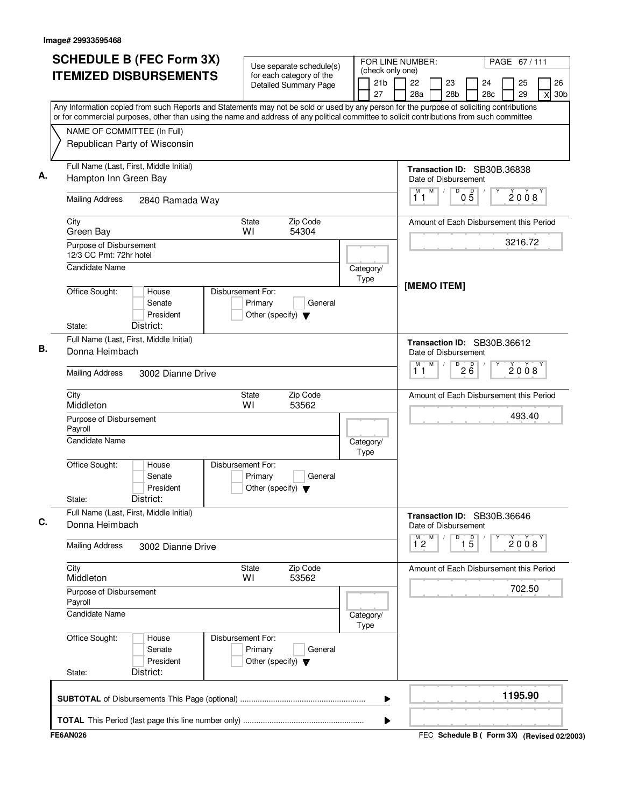| <b>SCHEDULE B (FEC Form 3X)</b>                                                                                                                                                                                                                                                        | Use separate schedule(s)                                                        |                                           | FOR LINE NUMBER:<br>PAGE 67/111                                                           |
|----------------------------------------------------------------------------------------------------------------------------------------------------------------------------------------------------------------------------------------------------------------------------------------|---------------------------------------------------------------------------------|-------------------------------------------|-------------------------------------------------------------------------------------------|
| <b>ITEMIZED DISBURSEMENTS</b>                                                                                                                                                                                                                                                          | for each category of the<br><b>Detailed Summary Page</b>                        | (check only one)<br>21 <sub>b</sub><br>27 | 26<br>22<br>23<br>25<br>24<br>28a<br>28 <sub>b</sub><br>28c<br>29<br>30 <sub>b</sub><br>X |
| Any Information copied from such Reports and Statements may not be sold or used by any person for the purpose of soliciting contributions<br>or for commercial purposes, other than using the name and address of any political committee to solicit contributions from such committee |                                                                                 |                                           |                                                                                           |
| NAME OF COMMITTEE (In Full)<br>Republican Party of Wisconsin                                                                                                                                                                                                                           |                                                                                 |                                           |                                                                                           |
| Full Name (Last, First, Middle Initial)<br>Hampton Inn Green Bay                                                                                                                                                                                                                       |                                                                                 |                                           | Transaction ID: SB30B.36838<br>Date of Disbursement                                       |
| <b>Mailing Address</b><br>2840 Ramada Way                                                                                                                                                                                                                                              |                                                                                 |                                           | M<br>M<br>D<br>$0\overline{5}$<br>2008<br>11                                              |
| City<br>Green Bay                                                                                                                                                                                                                                                                      | Zip Code<br>State<br>WI<br>54304                                                |                                           | Amount of Each Disbursement this Period                                                   |
| Purpose of Disbursement<br>12/3 CC Pmt: 72hr hotel                                                                                                                                                                                                                                     |                                                                                 |                                           | 3216.72                                                                                   |
| Candidate Name                                                                                                                                                                                                                                                                         |                                                                                 | Category/<br>Type                         | [MEMO ITEM]                                                                               |
| Office Sought:<br>House<br>Senate<br>President<br>District:<br>State:                                                                                                                                                                                                                  | Disbursement For:<br>Primary<br>General<br>Other (specify) $\blacktriangledown$ |                                           |                                                                                           |
| Full Name (Last, First, Middle Initial)<br>Donna Heimbach                                                                                                                                                                                                                              |                                                                                 |                                           | Transaction ID: SB30B.36612<br>Date of Disbursement                                       |
| <b>Mailing Address</b><br>3002 Dianne Drive                                                                                                                                                                                                                                            |                                                                                 |                                           | M<br>м<br>D<br>26<br>2008<br>11                                                           |
| City<br>Middleton                                                                                                                                                                                                                                                                      | Zip Code<br>State<br>WI<br>53562                                                |                                           | Amount of Each Disbursement this Period                                                   |
| Purpose of Disbursement<br>Payroll                                                                                                                                                                                                                                                     |                                                                                 |                                           | 493.40                                                                                    |
| Candidate Name                                                                                                                                                                                                                                                                         |                                                                                 | Category/<br>Type                         |                                                                                           |
| Office Sought:<br>House<br>Senate<br>President<br>District:<br>State:                                                                                                                                                                                                                  | Disbursement For:<br>Primary<br>General<br>Other (specify) $\blacktriangledown$ |                                           |                                                                                           |
| Full Name (Last, First, Middle Initial)<br>Donna Heimbach                                                                                                                                                                                                                              |                                                                                 |                                           | Transaction ID: SB30B.36646<br>Date of Disbursement                                       |
| <b>Mailing Address</b><br>3002 Dianne Drive                                                                                                                                                                                                                                            |                                                                                 |                                           | $\overline{1\,5}$<br>$\overline{1}^M$ 2<br>M<br>D<br>2008                                 |
| City<br>Middleton                                                                                                                                                                                                                                                                      | Zip Code<br>State<br>53562<br>W١                                                |                                           | Amount of Each Disbursement this Period                                                   |
| Purpose of Disbursement<br>Payroll                                                                                                                                                                                                                                                     |                                                                                 |                                           | 702.50                                                                                    |
| <b>Candidate Name</b>                                                                                                                                                                                                                                                                  |                                                                                 | Category/<br>Type                         |                                                                                           |
| Office Sought:<br>House<br>Senate<br>President<br>District:<br>State:                                                                                                                                                                                                                  | Disbursement For:<br>Primary<br>General<br>Other (specify) $\blacktriangledown$ |                                           |                                                                                           |
|                                                                                                                                                                                                                                                                                        |                                                                                 | ▶                                         | 1195.90                                                                                   |
| <b>FE6AN026</b>                                                                                                                                                                                                                                                                        |                                                                                 | ▶                                         | FEC Schedule B ( Form 3X) (Revised 02/2003)                                               |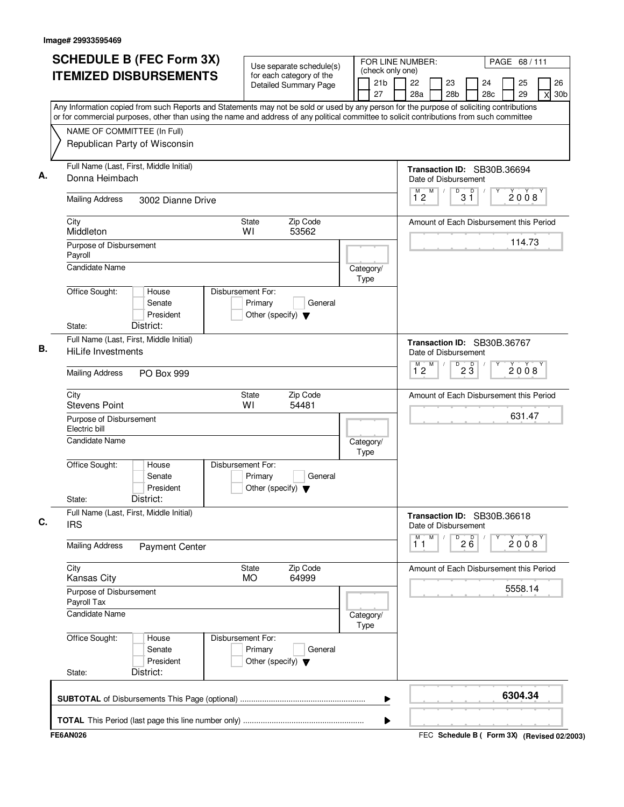| <b>ITEMIZED DISBURSEMENTS</b><br>NAME OF COMMITTEE (In Full)<br>Republican Party of Wisconsin<br>Full Name (Last, First, Middle Initial)<br>Donna Heimbach<br><b>Mailing Address</b><br>City<br>Middleton<br>Purpose of Disbursement<br>Payroll<br><b>Candidate Name</b><br>Office Sought: | 3002 Dianne Drive<br>House<br>Senate<br>President<br>District: | Use separate schedule(s)<br>for each category of the<br><b>Detailed Summary Page</b><br>Zip Code<br>State<br>WI<br>53562<br>Disbursement For:<br>Primary<br>General | (check only one)<br>21b<br>27<br>Category/<br>Type | 26<br>22<br>23<br>24<br>25<br>28a<br>28 <sub>b</sub><br>28c<br>29<br>30 <sub>b</sub><br>X<br>Any Information copied from such Reports and Statements may not be sold or used by any person for the purpose of soliciting contributions<br>or for commercial purposes, other than using the name and address of any political committee to solicit contributions from such committee<br>Transaction ID: SB30B.36694<br>Date of Disbursement<br>M<br>$\sqrt[3]{3}$<br>$\overline{1}^M$ 2<br>2008<br>Amount of Each Disbursement this Period<br>114.73 |
|--------------------------------------------------------------------------------------------------------------------------------------------------------------------------------------------------------------------------------------------------------------------------------------------|----------------------------------------------------------------|---------------------------------------------------------------------------------------------------------------------------------------------------------------------|----------------------------------------------------|-----------------------------------------------------------------------------------------------------------------------------------------------------------------------------------------------------------------------------------------------------------------------------------------------------------------------------------------------------------------------------------------------------------------------------------------------------------------------------------------------------------------------------------------------------|
|                                                                                                                                                                                                                                                                                            |                                                                |                                                                                                                                                                     |                                                    |                                                                                                                                                                                                                                                                                                                                                                                                                                                                                                                                                     |
|                                                                                                                                                                                                                                                                                            |                                                                |                                                                                                                                                                     |                                                    |                                                                                                                                                                                                                                                                                                                                                                                                                                                                                                                                                     |
|                                                                                                                                                                                                                                                                                            |                                                                |                                                                                                                                                                     |                                                    |                                                                                                                                                                                                                                                                                                                                                                                                                                                                                                                                                     |
|                                                                                                                                                                                                                                                                                            |                                                                |                                                                                                                                                                     |                                                    |                                                                                                                                                                                                                                                                                                                                                                                                                                                                                                                                                     |
|                                                                                                                                                                                                                                                                                            |                                                                |                                                                                                                                                                     |                                                    |                                                                                                                                                                                                                                                                                                                                                                                                                                                                                                                                                     |
|                                                                                                                                                                                                                                                                                            |                                                                |                                                                                                                                                                     |                                                    |                                                                                                                                                                                                                                                                                                                                                                                                                                                                                                                                                     |
|                                                                                                                                                                                                                                                                                            |                                                                |                                                                                                                                                                     |                                                    |                                                                                                                                                                                                                                                                                                                                                                                                                                                                                                                                                     |
|                                                                                                                                                                                                                                                                                            |                                                                |                                                                                                                                                                     |                                                    |                                                                                                                                                                                                                                                                                                                                                                                                                                                                                                                                                     |
| State:                                                                                                                                                                                                                                                                                     |                                                                | Other (specify) $\blacktriangledown$                                                                                                                                |                                                    |                                                                                                                                                                                                                                                                                                                                                                                                                                                                                                                                                     |
| Full Name (Last, First, Middle Initial)<br><b>HiLife Investments</b>                                                                                                                                                                                                                       |                                                                |                                                                                                                                                                     |                                                    | Transaction ID: SB30B.36767<br>Date of Disbursement                                                                                                                                                                                                                                                                                                                                                                                                                                                                                                 |
| <b>Mailing Address</b>                                                                                                                                                                                                                                                                     | PO Box 999                                                     |                                                                                                                                                                     |                                                    | M<br>D<br>$\overline{1}^M$ 2<br>$2\overline{3}$<br>2008                                                                                                                                                                                                                                                                                                                                                                                                                                                                                             |
| City<br><b>Stevens Point</b>                                                                                                                                                                                                                                                               |                                                                | Zip Code<br>State<br>WI<br>54481                                                                                                                                    |                                                    | Amount of Each Disbursement this Period                                                                                                                                                                                                                                                                                                                                                                                                                                                                                                             |
| Purpose of Disbursement<br>Electric bill                                                                                                                                                                                                                                                   |                                                                |                                                                                                                                                                     |                                                    | 631.47                                                                                                                                                                                                                                                                                                                                                                                                                                                                                                                                              |
| Candidate Name                                                                                                                                                                                                                                                                             |                                                                |                                                                                                                                                                     | Category/<br>Type                                  |                                                                                                                                                                                                                                                                                                                                                                                                                                                                                                                                                     |
| Office Sought:<br>State:                                                                                                                                                                                                                                                                   | House<br>Senate<br>President<br>District:                      | Disbursement For:<br>Primary<br>General<br>Other (specify) $\blacktriangledown$                                                                                     |                                                    |                                                                                                                                                                                                                                                                                                                                                                                                                                                                                                                                                     |
| Full Name (Last, First, Middle Initial)<br><b>IRS</b>                                                                                                                                                                                                                                      |                                                                |                                                                                                                                                                     |                                                    | Transaction ID: SB30B.36618<br>Date of Disbursement                                                                                                                                                                                                                                                                                                                                                                                                                                                                                                 |
| <b>Mailing Address</b>                                                                                                                                                                                                                                                                     | <b>Payment Center</b>                                          |                                                                                                                                                                     |                                                    | M<br>M<br>D<br>$2\overline{6}$<br>2008<br>11                                                                                                                                                                                                                                                                                                                                                                                                                                                                                                        |
| City<br><b>Kansas City</b>                                                                                                                                                                                                                                                                 |                                                                | Zip Code<br>State<br>64999<br><b>MO</b>                                                                                                                             |                                                    | Amount of Each Disbursement this Period                                                                                                                                                                                                                                                                                                                                                                                                                                                                                                             |
| Purpose of Disbursement<br>Payroll Tax                                                                                                                                                                                                                                                     |                                                                |                                                                                                                                                                     |                                                    | 5558.14                                                                                                                                                                                                                                                                                                                                                                                                                                                                                                                                             |
| Candidate Name                                                                                                                                                                                                                                                                             |                                                                |                                                                                                                                                                     | Category/<br>Type                                  |                                                                                                                                                                                                                                                                                                                                                                                                                                                                                                                                                     |
| Office Sought:<br>State:                                                                                                                                                                                                                                                                   | House<br>Senate<br>President<br>District:                      | Disbursement For:<br>Primary<br>General<br>Other (specify) $\blacktriangledown$                                                                                     |                                                    |                                                                                                                                                                                                                                                                                                                                                                                                                                                                                                                                                     |
|                                                                                                                                                                                                                                                                                            |                                                                |                                                                                                                                                                     | ▶                                                  | 6304.34                                                                                                                                                                                                                                                                                                                                                                                                                                                                                                                                             |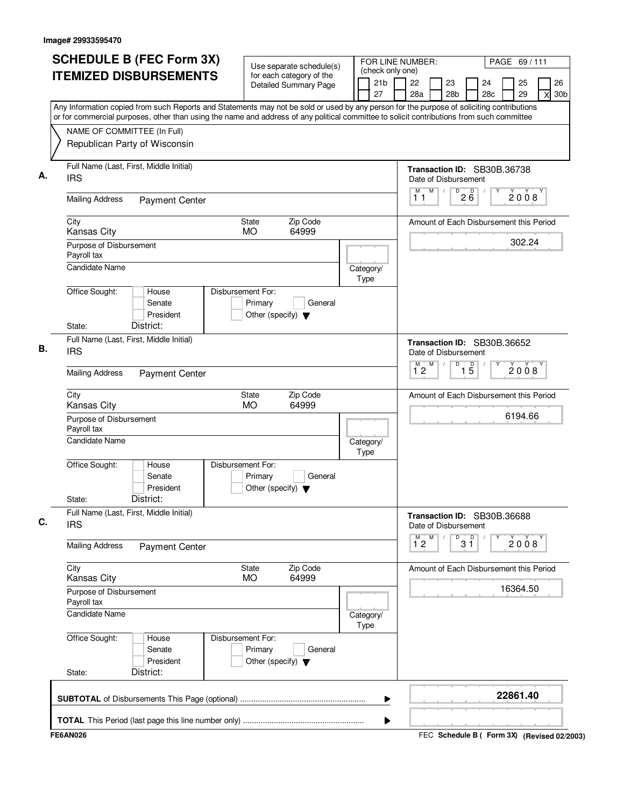| <b>SCHEDULE B (FEC Form 3X)</b>                                                                                                                                                                                                                                                        | Use separate schedule(s)                                                        | FOR LINE NUMBER:                          |                                                     |                                    |           | PAGE 69/111 |                                             |
|----------------------------------------------------------------------------------------------------------------------------------------------------------------------------------------------------------------------------------------------------------------------------------------|---------------------------------------------------------------------------------|-------------------------------------------|-----------------------------------------------------|------------------------------------|-----------|-------------|---------------------------------------------|
| <b>ITEMIZED DISBURSEMENTS</b>                                                                                                                                                                                                                                                          | for each category of the<br><b>Detailed Summary Page</b>                        | (check only one)<br>21 <sub>b</sub><br>27 | 22<br>28a                                           | 23<br>28 <sub>b</sub>              | 24<br>28c | 25<br>29    | 26<br>30 <sub>b</sub><br>X                  |
| Any Information copied from such Reports and Statements may not be sold or used by any person for the purpose of soliciting contributions<br>or for commercial purposes, other than using the name and address of any political committee to solicit contributions from such committee |                                                                                 |                                           |                                                     |                                    |           |             |                                             |
| NAME OF COMMITTEE (In Full)<br>Republican Party of Wisconsin                                                                                                                                                                                                                           |                                                                                 |                                           |                                                     |                                    |           |             |                                             |
| Full Name (Last, First, Middle Initial)<br><b>IRS</b>                                                                                                                                                                                                                                  |                                                                                 |                                           | Transaction ID: SB30B.36738<br>Date of Disbursement |                                    |           |             |                                             |
| <b>Mailing Address</b><br><b>Payment Center</b>                                                                                                                                                                                                                                        |                                                                                 |                                           | M<br>М<br>11                                        | $\overline{D}$<br>D<br>$2\ddot{6}$ |           | 2008        |                                             |
| City<br>Kansas City                                                                                                                                                                                                                                                                    | Zip Code<br><b>State</b><br><b>MO</b><br>64999                                  |                                           | Amount of Each Disbursement this Period             |                                    |           |             |                                             |
| Purpose of Disbursement<br>Payroll tax                                                                                                                                                                                                                                                 |                                                                                 |                                           |                                                     |                                    |           | 302.24      |                                             |
| <b>Candidate Name</b>                                                                                                                                                                                                                                                                  |                                                                                 | Category/<br>Type                         |                                                     |                                    |           |             |                                             |
| Office Sought:<br>House<br>Senate<br>President<br>District:<br>State:                                                                                                                                                                                                                  | Disbursement For:<br>Primary<br>General<br>Other (specify) $\blacktriangledown$ |                                           |                                                     |                                    |           |             |                                             |
| Full Name (Last, First, Middle Initial)<br><b>IRS</b>                                                                                                                                                                                                                                  |                                                                                 |                                           | Transaction ID: SB30B.36652<br>Date of Disbursement |                                    |           |             |                                             |
| <b>Mailing Address</b><br><b>Payment Center</b>                                                                                                                                                                                                                                        |                                                                                 |                                           | M<br>$\overline{1}^M$ 2                             | D<br>$\overline{1\,5}$             |           | 2008        |                                             |
| City<br><b>Kansas City</b>                                                                                                                                                                                                                                                             | Zip Code<br>State<br><b>MO</b><br>64999                                         |                                           | Amount of Each Disbursement this Period             |                                    |           |             |                                             |
| Purpose of Disbursement<br>Payroll tax                                                                                                                                                                                                                                                 |                                                                                 |                                           |                                                     |                                    |           | 6194.66     |                                             |
| Candidate Name                                                                                                                                                                                                                                                                         |                                                                                 | Category/<br>Type                         |                                                     |                                    |           |             |                                             |
| Office Sought:<br>House<br>Senate<br>President<br>District:<br>State:                                                                                                                                                                                                                  | Disbursement For:<br>Primary<br>General<br>Other (specify) $\blacktriangledown$ |                                           |                                                     |                                    |           |             |                                             |
| Full Name (Last, First, Middle Initial)<br><b>IRS</b>                                                                                                                                                                                                                                  |                                                                                 |                                           | Transaction ID: SB30B.36688<br>Date of Disbursement |                                    |           |             |                                             |
| <b>Mailing Address</b><br><b>Payment Center</b>                                                                                                                                                                                                                                        |                                                                                 |                                           | м<br>M<br>$1^{\circ}2$                              | $3^{\circ}$                        |           | 2008        |                                             |
| City<br>Kansas City                                                                                                                                                                                                                                                                    | Zip Code<br>State<br><b>MO</b><br>64999                                         |                                           | Amount of Each Disbursement this Period             |                                    |           |             |                                             |
| Purpose of Disbursement<br>Payroll tax                                                                                                                                                                                                                                                 |                                                                                 |                                           |                                                     |                                    |           | 16364.50    |                                             |
| Candidate Name                                                                                                                                                                                                                                                                         |                                                                                 | Category/<br>Type                         |                                                     |                                    |           |             |                                             |
| Office Sought:<br>House<br>Senate<br>President<br>District:<br>State:                                                                                                                                                                                                                  | Disbursement For:<br>Primary<br>General<br>Other (specify) $\blacktriangledown$ |                                           |                                                     |                                    |           |             |                                             |
|                                                                                                                                                                                                                                                                                        |                                                                                 | ▶                                         |                                                     |                                    |           | 22861.40    |                                             |
|                                                                                                                                                                                                                                                                                        |                                                                                 | ▶                                         |                                                     |                                    |           |             |                                             |
| <b>FE6AN026</b>                                                                                                                                                                                                                                                                        |                                                                                 |                                           |                                                     |                                    |           |             | FEC Schedule B ( Form 3X) (Revised 02/2003) |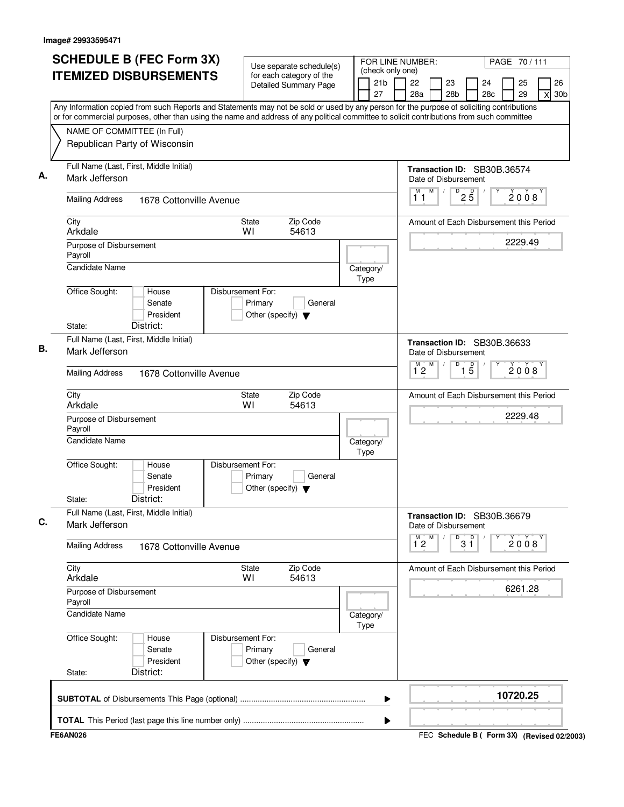| <b>SCHEDULE B (FEC Form 3X)</b>                                                                                                                                                                                                                                                        | Use separate schedule(s)                                                        |                                           | PAGE 70/111<br>FOR LINE NUMBER:                                |           |                   |           |          |                                             |  |
|----------------------------------------------------------------------------------------------------------------------------------------------------------------------------------------------------------------------------------------------------------------------------------------|---------------------------------------------------------------------------------|-------------------------------------------|----------------------------------------------------------------|-----------|-------------------|-----------|----------|---------------------------------------------|--|
| <b>ITEMIZED DISBURSEMENTS</b>                                                                                                                                                                                                                                                          | for each category of the<br>Detailed Summary Page                               | (check only one)<br>21 <sub>b</sub><br>27 | 22<br>28a                                                      | 23<br>28b |                   | 24<br>28c | 25<br>29 | 26<br>30 <sub>b</sub><br>X                  |  |
| Any Information copied from such Reports and Statements may not be sold or used by any person for the purpose of soliciting contributions<br>or for commercial purposes, other than using the name and address of any political committee to solicit contributions from such committee |                                                                                 |                                           |                                                                |           |                   |           |          |                                             |  |
| NAME OF COMMITTEE (In Full)                                                                                                                                                                                                                                                            |                                                                                 |                                           |                                                                |           |                   |           |          |                                             |  |
| Republican Party of Wisconsin                                                                                                                                                                                                                                                          |                                                                                 |                                           |                                                                |           |                   |           |          |                                             |  |
| Full Name (Last, First, Middle Initial)<br>Mark Jefferson                                                                                                                                                                                                                              |                                                                                 |                                           | Transaction ID: SB30B.36574<br>Date of Disbursement            |           |                   |           |          |                                             |  |
| <b>Mailing Address</b><br>1678 Cottonville Avenue                                                                                                                                                                                                                                      |                                                                                 |                                           | M<br>М<br>11                                                   | D         | $2\overline{5}$   |           | 2008     |                                             |  |
| City<br>Arkdale                                                                                                                                                                                                                                                                        | Zip Code<br><b>State</b><br>54613<br>WI                                         |                                           | Amount of Each Disbursement this Period                        |           |                   |           |          |                                             |  |
| Purpose of Disbursement<br>Payroll                                                                                                                                                                                                                                                     |                                                                                 |                                           |                                                                |           |                   |           | 2229.49  |                                             |  |
| <b>Candidate Name</b>                                                                                                                                                                                                                                                                  |                                                                                 | Category/<br>Type                         |                                                                |           |                   |           |          |                                             |  |
| Office Sought:<br>House<br>Senate<br>President<br>District:<br>State:                                                                                                                                                                                                                  | Disbursement For:<br>Primary<br>General<br>Other (specify) $\blacktriangledown$ |                                           |                                                                |           |                   |           |          |                                             |  |
| Full Name (Last, First, Middle Initial)                                                                                                                                                                                                                                                |                                                                                 |                                           |                                                                |           |                   |           |          |                                             |  |
| Mark Jefferson                                                                                                                                                                                                                                                                         |                                                                                 |                                           | Transaction ID: SB30B.36633<br>Date of Disbursement<br>M<br>M. | D         |                   |           |          |                                             |  |
| <b>Mailing Address</b><br>1678 Cottonville Avenue                                                                                                                                                                                                                                      |                                                                                 |                                           | 12                                                             |           | $\overline{1\,5}$ |           | 2008     |                                             |  |
| City<br>Arkdale                                                                                                                                                                                                                                                                        | Zip Code<br>State<br>WI<br>54613                                                |                                           | Amount of Each Disbursement this Period                        |           |                   |           |          |                                             |  |
| Purpose of Disbursement<br>Payroll                                                                                                                                                                                                                                                     |                                                                                 |                                           |                                                                |           |                   |           | 2229.48  |                                             |  |
| <b>Candidate Name</b>                                                                                                                                                                                                                                                                  |                                                                                 | Category/<br>Type                         |                                                                |           |                   |           |          |                                             |  |
| Office Sought:<br>House<br>Senate<br>President<br>District:<br>State:                                                                                                                                                                                                                  | Disbursement For:<br>Primary<br>General<br>Other (specify) $\blacktriangledown$ |                                           |                                                                |           |                   |           |          |                                             |  |
| Full Name (Last, First, Middle Initial)<br>Mark Jefferson                                                                                                                                                                                                                              |                                                                                 |                                           | Transaction ID: SB30B.36679<br>Date of Disbursement            |           |                   |           |          |                                             |  |
| <b>Mailing Address</b><br>1678 Cottonville Avenue                                                                                                                                                                                                                                      |                                                                                 |                                           | $\overline{1}^M$ 2<br>M                                        | D         | $3^{\circ}$       |           | 2008     |                                             |  |
| City<br>Arkdale                                                                                                                                                                                                                                                                        | Zip Code<br>State<br>54613<br>WI                                                |                                           | Amount of Each Disbursement this Period                        |           |                   |           |          |                                             |  |
| Purpose of Disbursement<br>Payroll                                                                                                                                                                                                                                                     |                                                                                 |                                           |                                                                |           |                   |           | 6261.28  |                                             |  |
| <b>Candidate Name</b>                                                                                                                                                                                                                                                                  |                                                                                 | Category/<br>Type                         |                                                                |           |                   |           |          |                                             |  |
| Office Sought:<br>House<br>Senate<br>President<br>District:<br>State:                                                                                                                                                                                                                  | Disbursement For:<br>Primary<br>General<br>Other (specify) $\blacktriangledown$ |                                           |                                                                |           |                   |           |          |                                             |  |
|                                                                                                                                                                                                                                                                                        |                                                                                 | ▶                                         |                                                                |           |                   |           | 10720.25 |                                             |  |
|                                                                                                                                                                                                                                                                                        |                                                                                 | ▶                                         |                                                                |           |                   |           |          |                                             |  |
| <b>FE6AN026</b>                                                                                                                                                                                                                                                                        |                                                                                 |                                           |                                                                |           |                   |           |          | FEC Schedule B ( Form 3X) (Revised 02/2003) |  |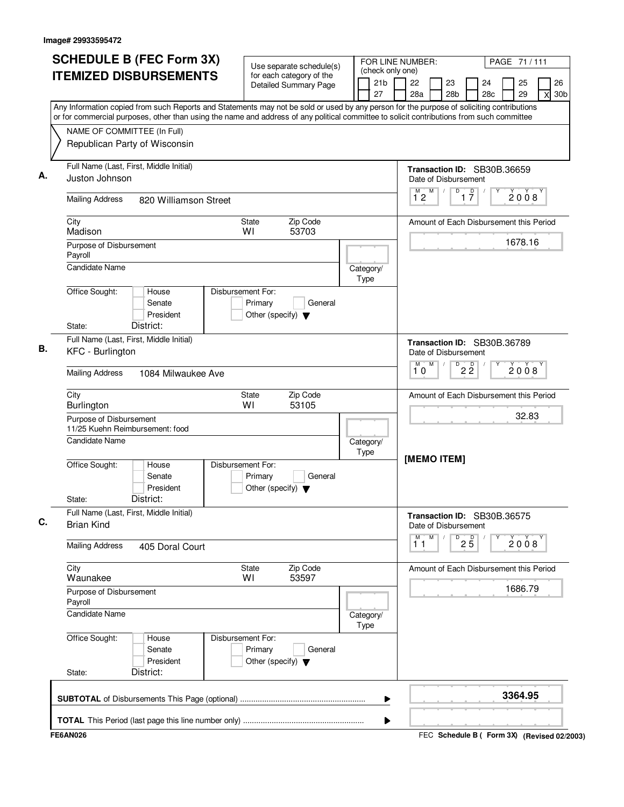| Use separate schedule(s)<br>(check only one)<br><b>ITEMIZED DISBURSEMENTS</b><br>for each category of the<br>21 <sub>b</sub><br>22<br>23<br>24<br>25<br><b>Detailed Summary Page</b><br>27<br>28a<br>28 <sub>b</sub><br>28c<br>29<br>Any Information copied from such Reports and Statements may not be sold or used by any person for the purpose of soliciting contributions<br>or for commercial purposes, other than using the name and address of any political committee to solicit contributions from such committee<br>NAME OF COMMITTEE (In Full)<br>Republican Party of Wisconsin<br>Full Name (Last, First, Middle Initial)<br>Transaction ID: SB30B.36659<br>Juston Johnson<br>Date of Disbursement<br>M<br>$\overline{D}$<br>$\overline{1}$ $\overline{7}$<br>M)<br>2008<br>12<br><b>Mailing Address</b><br>820 Williamson Street<br>Zip Code<br>City<br><b>State</b><br>Amount of Each Disbursement this Period<br>WI<br>53703<br>Madison<br>1678.16<br>Purpose of Disbursement<br>Payroll<br><b>Candidate Name</b><br>Category/<br>Type<br>Office Sought:<br>Disbursement For:<br>House<br>Senate<br>Primary<br>General<br>President<br>Other (specify) $\blacktriangledown$<br>District:<br>State:<br>Full Name (Last, First, Middle Initial)<br>Transaction ID: SB30B.36789<br>KFC - Burlington<br>Date of Disbursement<br>M<br>D<br>$2\overline{2}$<br>2008<br>10<br><b>Mailing Address</b><br>1084 Milwaukee Ave<br>Zip Code<br>City<br>State<br>Amount of Each Disbursement this Period<br>WI<br>53105<br>Burlington<br>32.83<br>Purpose of Disbursement<br>11/25 Kuehn Reimbursement: food<br><b>Candidate Name</b><br>Category/<br>Type<br>[MEMO ITEM]<br>Office Sought:<br>Disbursement For:<br>House<br>Senate<br>Primary<br>General<br>President<br>Other (specify) $\blacktriangledown$<br>District:<br>State:<br>Full Name (Last, First, Middle Initial)<br>Transaction ID: SB30B.36575<br><b>Brian Kind</b><br>Date of Disbursement<br>M<br>M<br>D<br>$2\overline{5}$<br>2008<br>11<br><b>Mailing Address</b><br>405 Doral Court<br>City<br>Zip Code<br>State<br>Amount of Each Disbursement this Period<br>53597<br>Waunakee<br>WI<br>1686.79<br>Purpose of Disbursement<br>Payroll<br>Candidate Name<br>Category/<br>Type<br>Office Sought:<br>Disbursement For:<br>House | PAGE 71 / 111              |
|---------------------------------------------------------------------------------------------------------------------------------------------------------------------------------------------------------------------------------------------------------------------------------------------------------------------------------------------------------------------------------------------------------------------------------------------------------------------------------------------------------------------------------------------------------------------------------------------------------------------------------------------------------------------------------------------------------------------------------------------------------------------------------------------------------------------------------------------------------------------------------------------------------------------------------------------------------------------------------------------------------------------------------------------------------------------------------------------------------------------------------------------------------------------------------------------------------------------------------------------------------------------------------------------------------------------------------------------------------------------------------------------------------------------------------------------------------------------------------------------------------------------------------------------------------------------------------------------------------------------------------------------------------------------------------------------------------------------------------------------------------------------------------------------------------------------------------------------------------------------------------------------------------------------------------------------------------------------------------------------------------------------------------------------------------------------------------------------------------------------------------------------------------------------------------------------------------------------------------------------------------------------------------------------------------|----------------------------|
|                                                                                                                                                                                                                                                                                                                                                                                                                                                                                                                                                                                                                                                                                                                                                                                                                                                                                                                                                                                                                                                                                                                                                                                                                                                                                                                                                                                                                                                                                                                                                                                                                                                                                                                                                                                                                                                                                                                                                                                                                                                                                                                                                                                                                                                                                                         | 26<br>30 <sub>b</sub><br>X |
|                                                                                                                                                                                                                                                                                                                                                                                                                                                                                                                                                                                                                                                                                                                                                                                                                                                                                                                                                                                                                                                                                                                                                                                                                                                                                                                                                                                                                                                                                                                                                                                                                                                                                                                                                                                                                                                                                                                                                                                                                                                                                                                                                                                                                                                                                                         |                            |
|                                                                                                                                                                                                                                                                                                                                                                                                                                                                                                                                                                                                                                                                                                                                                                                                                                                                                                                                                                                                                                                                                                                                                                                                                                                                                                                                                                                                                                                                                                                                                                                                                                                                                                                                                                                                                                                                                                                                                                                                                                                                                                                                                                                                                                                                                                         |                            |
|                                                                                                                                                                                                                                                                                                                                                                                                                                                                                                                                                                                                                                                                                                                                                                                                                                                                                                                                                                                                                                                                                                                                                                                                                                                                                                                                                                                                                                                                                                                                                                                                                                                                                                                                                                                                                                                                                                                                                                                                                                                                                                                                                                                                                                                                                                         |                            |
|                                                                                                                                                                                                                                                                                                                                                                                                                                                                                                                                                                                                                                                                                                                                                                                                                                                                                                                                                                                                                                                                                                                                                                                                                                                                                                                                                                                                                                                                                                                                                                                                                                                                                                                                                                                                                                                                                                                                                                                                                                                                                                                                                                                                                                                                                                         |                            |
|                                                                                                                                                                                                                                                                                                                                                                                                                                                                                                                                                                                                                                                                                                                                                                                                                                                                                                                                                                                                                                                                                                                                                                                                                                                                                                                                                                                                                                                                                                                                                                                                                                                                                                                                                                                                                                                                                                                                                                                                                                                                                                                                                                                                                                                                                                         |                            |
|                                                                                                                                                                                                                                                                                                                                                                                                                                                                                                                                                                                                                                                                                                                                                                                                                                                                                                                                                                                                                                                                                                                                                                                                                                                                                                                                                                                                                                                                                                                                                                                                                                                                                                                                                                                                                                                                                                                                                                                                                                                                                                                                                                                                                                                                                                         |                            |
|                                                                                                                                                                                                                                                                                                                                                                                                                                                                                                                                                                                                                                                                                                                                                                                                                                                                                                                                                                                                                                                                                                                                                                                                                                                                                                                                                                                                                                                                                                                                                                                                                                                                                                                                                                                                                                                                                                                                                                                                                                                                                                                                                                                                                                                                                                         |                            |
|                                                                                                                                                                                                                                                                                                                                                                                                                                                                                                                                                                                                                                                                                                                                                                                                                                                                                                                                                                                                                                                                                                                                                                                                                                                                                                                                                                                                                                                                                                                                                                                                                                                                                                                                                                                                                                                                                                                                                                                                                                                                                                                                                                                                                                                                                                         |                            |
|                                                                                                                                                                                                                                                                                                                                                                                                                                                                                                                                                                                                                                                                                                                                                                                                                                                                                                                                                                                                                                                                                                                                                                                                                                                                                                                                                                                                                                                                                                                                                                                                                                                                                                                                                                                                                                                                                                                                                                                                                                                                                                                                                                                                                                                                                                         |                            |
|                                                                                                                                                                                                                                                                                                                                                                                                                                                                                                                                                                                                                                                                                                                                                                                                                                                                                                                                                                                                                                                                                                                                                                                                                                                                                                                                                                                                                                                                                                                                                                                                                                                                                                                                                                                                                                                                                                                                                                                                                                                                                                                                                                                                                                                                                                         |                            |
|                                                                                                                                                                                                                                                                                                                                                                                                                                                                                                                                                                                                                                                                                                                                                                                                                                                                                                                                                                                                                                                                                                                                                                                                                                                                                                                                                                                                                                                                                                                                                                                                                                                                                                                                                                                                                                                                                                                                                                                                                                                                                                                                                                                                                                                                                                         |                            |
|                                                                                                                                                                                                                                                                                                                                                                                                                                                                                                                                                                                                                                                                                                                                                                                                                                                                                                                                                                                                                                                                                                                                                                                                                                                                                                                                                                                                                                                                                                                                                                                                                                                                                                                                                                                                                                                                                                                                                                                                                                                                                                                                                                                                                                                                                                         |                            |
|                                                                                                                                                                                                                                                                                                                                                                                                                                                                                                                                                                                                                                                                                                                                                                                                                                                                                                                                                                                                                                                                                                                                                                                                                                                                                                                                                                                                                                                                                                                                                                                                                                                                                                                                                                                                                                                                                                                                                                                                                                                                                                                                                                                                                                                                                                         |                            |
|                                                                                                                                                                                                                                                                                                                                                                                                                                                                                                                                                                                                                                                                                                                                                                                                                                                                                                                                                                                                                                                                                                                                                                                                                                                                                                                                                                                                                                                                                                                                                                                                                                                                                                                                                                                                                                                                                                                                                                                                                                                                                                                                                                                                                                                                                                         |                            |
|                                                                                                                                                                                                                                                                                                                                                                                                                                                                                                                                                                                                                                                                                                                                                                                                                                                                                                                                                                                                                                                                                                                                                                                                                                                                                                                                                                                                                                                                                                                                                                                                                                                                                                                                                                                                                                                                                                                                                                                                                                                                                                                                                                                                                                                                                                         |                            |
|                                                                                                                                                                                                                                                                                                                                                                                                                                                                                                                                                                                                                                                                                                                                                                                                                                                                                                                                                                                                                                                                                                                                                                                                                                                                                                                                                                                                                                                                                                                                                                                                                                                                                                                                                                                                                                                                                                                                                                                                                                                                                                                                                                                                                                                                                                         |                            |
|                                                                                                                                                                                                                                                                                                                                                                                                                                                                                                                                                                                                                                                                                                                                                                                                                                                                                                                                                                                                                                                                                                                                                                                                                                                                                                                                                                                                                                                                                                                                                                                                                                                                                                                                                                                                                                                                                                                                                                                                                                                                                                                                                                                                                                                                                                         |                            |
|                                                                                                                                                                                                                                                                                                                                                                                                                                                                                                                                                                                                                                                                                                                                                                                                                                                                                                                                                                                                                                                                                                                                                                                                                                                                                                                                                                                                                                                                                                                                                                                                                                                                                                                                                                                                                                                                                                                                                                                                                                                                                                                                                                                                                                                                                                         |                            |
|                                                                                                                                                                                                                                                                                                                                                                                                                                                                                                                                                                                                                                                                                                                                                                                                                                                                                                                                                                                                                                                                                                                                                                                                                                                                                                                                                                                                                                                                                                                                                                                                                                                                                                                                                                                                                                                                                                                                                                                                                                                                                                                                                                                                                                                                                                         |                            |
|                                                                                                                                                                                                                                                                                                                                                                                                                                                                                                                                                                                                                                                                                                                                                                                                                                                                                                                                                                                                                                                                                                                                                                                                                                                                                                                                                                                                                                                                                                                                                                                                                                                                                                                                                                                                                                                                                                                                                                                                                                                                                                                                                                                                                                                                                                         |                            |
| Senate<br>Primary<br>General<br>President<br>Other (specify) $\blacktriangledown$<br>District:<br>State:                                                                                                                                                                                                                                                                                                                                                                                                                                                                                                                                                                                                                                                                                                                                                                                                                                                                                                                                                                                                                                                                                                                                                                                                                                                                                                                                                                                                                                                                                                                                                                                                                                                                                                                                                                                                                                                                                                                                                                                                                                                                                                                                                                                                |                            |
| 3364.95<br>▶                                                                                                                                                                                                                                                                                                                                                                                                                                                                                                                                                                                                                                                                                                                                                                                                                                                                                                                                                                                                                                                                                                                                                                                                                                                                                                                                                                                                                                                                                                                                                                                                                                                                                                                                                                                                                                                                                                                                                                                                                                                                                                                                                                                                                                                                                            |                            |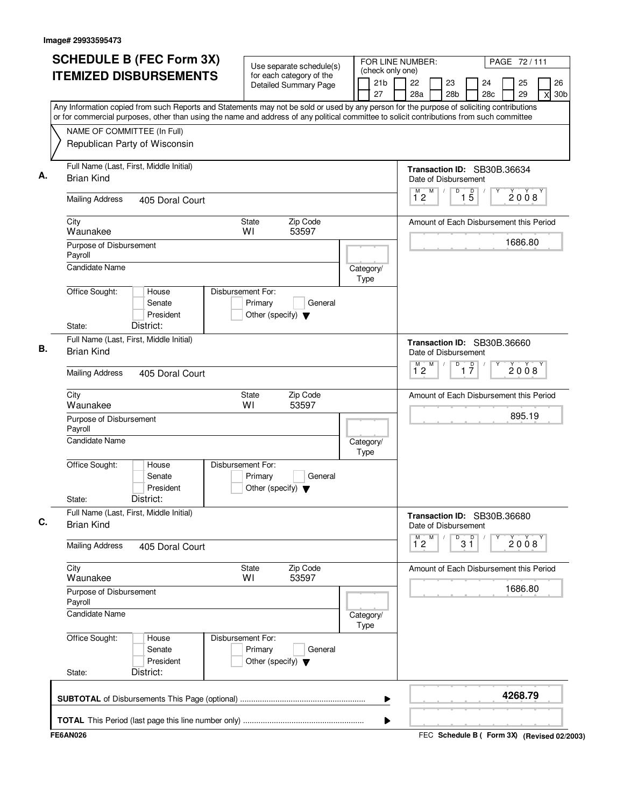| <b>SCHEDULE B (FEC Form 3X)</b>                                                                                                           | Use separate schedule(s)                                                        |                                           | FOR LINE NUMBER:<br>PAGE 72/111                          |                                    |    |     |          |                                             |  |  |
|-------------------------------------------------------------------------------------------------------------------------------------------|---------------------------------------------------------------------------------|-------------------------------------------|----------------------------------------------------------|------------------------------------|----|-----|----------|---------------------------------------------|--|--|
| <b>ITEMIZED DISBURSEMENTS</b>                                                                                                             | for each category of the<br><b>Detailed Summary Page</b>                        | (check only one)<br>21 <sub>b</sub><br>27 | 22<br>28a                                                | 23<br>28 <sub>b</sub>              | 24 | 28c | 25<br>29 | 26<br>30 <sub>b</sub><br>X                  |  |  |
| Any Information copied from such Reports and Statements may not be sold or used by any person for the purpose of soliciting contributions |                                                                                 |                                           |                                                          |                                    |    |     |          |                                             |  |  |
| or for commercial purposes, other than using the name and address of any political committee to solicit contributions from such committee |                                                                                 |                                           |                                                          |                                    |    |     |          |                                             |  |  |
| NAME OF COMMITTEE (In Full)<br>Republican Party of Wisconsin                                                                              |                                                                                 |                                           |                                                          |                                    |    |     |          |                                             |  |  |
| Full Name (Last, First, Middle Initial)<br><b>Brian Kind</b>                                                                              |                                                                                 |                                           | Transaction ID: SB30B.36634<br>Date of Disbursement<br>M |                                    |    |     |          |                                             |  |  |
| <b>Mailing Address</b><br>405 Doral Court                                                                                                 |                                                                                 |                                           | $\overline{1}^M$ 2                                       | $1\overline{5}$<br>D               |    |     | 2008     |                                             |  |  |
| City<br>Waunakee                                                                                                                          | Zip Code<br><b>State</b><br>WI<br>53597                                         |                                           | Amount of Each Disbursement this Period                  |                                    |    |     |          |                                             |  |  |
| Purpose of Disbursement<br>Payroll                                                                                                        |                                                                                 |                                           |                                                          |                                    |    |     | 1686.80  |                                             |  |  |
| Candidate Name                                                                                                                            |                                                                                 | Category/<br>Type                         |                                                          |                                    |    |     |          |                                             |  |  |
| Office Sought:<br>House<br>Senate<br>President<br>District:<br>State:                                                                     | Disbursement For:<br>Primary<br>General<br>Other (specify) $\blacktriangledown$ |                                           |                                                          |                                    |    |     |          |                                             |  |  |
| Full Name (Last, First, Middle Initial)<br><b>Brian Kind</b>                                                                              |                                                                                 |                                           | Transaction ID: SB30B.36660<br>Date of Disbursement      |                                    |    |     |          |                                             |  |  |
| <b>Mailing Address</b><br>405 Doral Court                                                                                                 |                                                                                 |                                           | M<br>$\overline{1}^M$ 2                                  | D<br>$\overline{1}$ $\overline{7}$ |    |     | 2008     |                                             |  |  |
| City<br>Waunakee                                                                                                                          | Zip Code<br>State<br>WI<br>53597                                                |                                           | Amount of Each Disbursement this Period                  |                                    |    |     |          |                                             |  |  |
| Purpose of Disbursement<br>Payroll                                                                                                        |                                                                                 |                                           |                                                          |                                    |    |     | 895.19   |                                             |  |  |
| Candidate Name                                                                                                                            |                                                                                 | Category/<br>Type                         |                                                          |                                    |    |     |          |                                             |  |  |
| Office Sought:<br>House<br>Senate<br>President<br>District:<br>State:                                                                     | Disbursement For:<br>Primary<br>General<br>Other (specify) $\blacktriangledown$ |                                           |                                                          |                                    |    |     |          |                                             |  |  |
| Full Name (Last, First, Middle Initial)<br><b>Brian Kind</b>                                                                              |                                                                                 |                                           | Transaction ID: SB30B.36680<br>Date of Disbursement      |                                    |    |     |          |                                             |  |  |
| <b>Mailing Address</b><br>405 Doral Court                                                                                                 |                                                                                 |                                           | м<br>M<br>$1^{\circ}2$                                   | $3^{\circ}$<br>D                   |    |     | 2008     |                                             |  |  |
| City<br>Waunakee                                                                                                                          | Zip Code<br>State<br>53597<br>WI                                                |                                           | Amount of Each Disbursement this Period                  |                                    |    |     |          |                                             |  |  |
| Purpose of Disbursement<br>Payroll                                                                                                        |                                                                                 |                                           |                                                          |                                    |    |     | 1686.80  |                                             |  |  |
| Candidate Name                                                                                                                            |                                                                                 | Category/<br>Type                         |                                                          |                                    |    |     |          |                                             |  |  |
| Office Sought:<br>House<br>Senate<br>President<br>District:<br>State:                                                                     | Disbursement For:<br>Primary<br>General<br>Other (specify) $\blacktriangledown$ |                                           |                                                          |                                    |    |     |          |                                             |  |  |
|                                                                                                                                           |                                                                                 | ▶                                         |                                                          |                                    |    |     | 4268.79  |                                             |  |  |
|                                                                                                                                           |                                                                                 | ▶                                         |                                                          |                                    |    |     |          |                                             |  |  |
| <b>FE6AN026</b>                                                                                                                           |                                                                                 |                                           |                                                          |                                    |    |     |          | FEC Schedule B ( Form 3X) (Revised 02/2003) |  |  |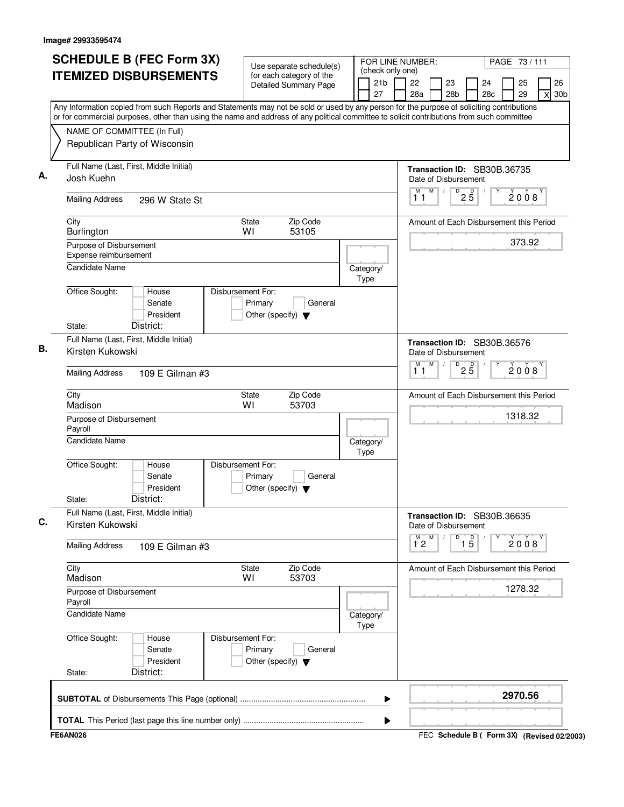| <b>ITEMIZED DISBURSEMENTS</b><br>for each category of the<br>21 <sub>b</sub><br>22<br>23<br>24<br>25<br><b>Detailed Summary Page</b><br>27<br>28a<br>28 <sub>b</sub><br>28 <sub>c</sub><br>29<br>X<br>Any Information copied from such Reports and Statements may not be sold or used by any person for the purpose of soliciting contributions<br>or for commercial purposes, other than using the name and address of any political committee to solicit contributions from such committee<br>NAME OF COMMITTEE (In Full)<br>Republican Party of Wisconsin<br>Full Name (Last, First, Middle Initial)<br>Transaction ID: SB30B.36735<br>А.<br>Josh Kuehn<br>Date of Disbursement<br>$\overline{P}$ 2 $\overline{5}$<br>M<br>M<br>$\sqrt{ }$<br>2008<br>11<br><b>Mailing Address</b><br>296 W State St<br>Zip Code<br>City<br><b>State</b><br>Amount of Each Disbursement this Period<br>WI<br>53105<br>Burlington<br>373.92<br>Purpose of Disbursement<br>Expense reimbursement<br><b>Candidate Name</b><br>Category/<br>Type<br>Office Sought:<br>House<br>Disbursement For:<br>Primary<br>Senate<br>General<br>President<br>Other (specify) $\blacktriangledown$<br>District:<br>State:<br>Full Name (Last, First, Middle Initial)<br>Transaction ID: SB30B.36576<br>В.<br>Kirsten Kukowski<br>Date of Disbursement<br>M<br>$\overline{P}$ 2 $\overline{5}$<br>м<br>2008<br>11<br><b>Mailing Address</b><br>109 E Gilman #3<br>Zip Code<br>City<br>State<br>Amount of Each Disbursement this Period<br>Madison<br>WI<br>53703<br>1318.32<br>Purpose of Disbursement<br>Payroll<br><b>Candidate Name</b><br>Category/<br>Type<br>Office Sought:<br>Disbursement For:<br>House<br>Senate<br>Primary<br>General<br>President<br>Other (specify) $\blacktriangledown$<br>District:<br>State:<br>Full Name (Last, First, Middle Initial)<br>Transaction ID: SB30B.36635<br>C.<br>Kirsten Kukowski<br>Date of Disbursement<br>D<br>$\overline{1\,5}$<br>M<br>M<br>2008<br>$1^{\degree}2$<br><b>Mailing Address</b><br>109 E Gilman #3<br>City<br>State<br>Zip Code<br>Amount of Each Disbursement this Period<br>53703<br>Madison<br>WI<br>1278.32<br>Purpose of Disbursement<br>Payroll<br><b>Candidate Name</b><br>Category/<br>Type<br>Office Sought:<br>Disbursement For:<br>House<br>Primary<br>Senate<br>General<br>President<br>Other (specify) $\blacktriangledown$<br>District:<br>State:<br>2970.56<br>▶ | <b>SCHEDULE B (FEC Form 3X)</b> | Use separate schedule(s) |  | (check only one) |  | FOR LINE NUMBER: |  |  | PAGE 73/111 |  |                       |  |
|------------------------------------------------------------------------------------------------------------------------------------------------------------------------------------------------------------------------------------------------------------------------------------------------------------------------------------------------------------------------------------------------------------------------------------------------------------------------------------------------------------------------------------------------------------------------------------------------------------------------------------------------------------------------------------------------------------------------------------------------------------------------------------------------------------------------------------------------------------------------------------------------------------------------------------------------------------------------------------------------------------------------------------------------------------------------------------------------------------------------------------------------------------------------------------------------------------------------------------------------------------------------------------------------------------------------------------------------------------------------------------------------------------------------------------------------------------------------------------------------------------------------------------------------------------------------------------------------------------------------------------------------------------------------------------------------------------------------------------------------------------------------------------------------------------------------------------------------------------------------------------------------------------------------------------------------------------------------------------------------------------------------------------------------------------------------------------------------------------------------------------------------------------------------------------------------------------------------------------------------------------------------------------------------------------------------------------------------------------------------------------------------------------------|---------------------------------|--------------------------|--|------------------|--|------------------|--|--|-------------|--|-----------------------|--|
|                                                                                                                                                                                                                                                                                                                                                                                                                                                                                                                                                                                                                                                                                                                                                                                                                                                                                                                                                                                                                                                                                                                                                                                                                                                                                                                                                                                                                                                                                                                                                                                                                                                                                                                                                                                                                                                                                                                                                                                                                                                                                                                                                                                                                                                                                                                                                                                                                  |                                 |                          |  |                  |  |                  |  |  |             |  | 26<br>30 <sub>b</sub> |  |
|                                                                                                                                                                                                                                                                                                                                                                                                                                                                                                                                                                                                                                                                                                                                                                                                                                                                                                                                                                                                                                                                                                                                                                                                                                                                                                                                                                                                                                                                                                                                                                                                                                                                                                                                                                                                                                                                                                                                                                                                                                                                                                                                                                                                                                                                                                                                                                                                                  |                                 |                          |  |                  |  |                  |  |  |             |  |                       |  |
|                                                                                                                                                                                                                                                                                                                                                                                                                                                                                                                                                                                                                                                                                                                                                                                                                                                                                                                                                                                                                                                                                                                                                                                                                                                                                                                                                                                                                                                                                                                                                                                                                                                                                                                                                                                                                                                                                                                                                                                                                                                                                                                                                                                                                                                                                                                                                                                                                  |                                 |                          |  |                  |  |                  |  |  |             |  |                       |  |
|                                                                                                                                                                                                                                                                                                                                                                                                                                                                                                                                                                                                                                                                                                                                                                                                                                                                                                                                                                                                                                                                                                                                                                                                                                                                                                                                                                                                                                                                                                                                                                                                                                                                                                                                                                                                                                                                                                                                                                                                                                                                                                                                                                                                                                                                                                                                                                                                                  |                                 |                          |  |                  |  |                  |  |  |             |  |                       |  |
|                                                                                                                                                                                                                                                                                                                                                                                                                                                                                                                                                                                                                                                                                                                                                                                                                                                                                                                                                                                                                                                                                                                                                                                                                                                                                                                                                                                                                                                                                                                                                                                                                                                                                                                                                                                                                                                                                                                                                                                                                                                                                                                                                                                                                                                                                                                                                                                                                  |                                 |                          |  |                  |  |                  |  |  |             |  |                       |  |
|                                                                                                                                                                                                                                                                                                                                                                                                                                                                                                                                                                                                                                                                                                                                                                                                                                                                                                                                                                                                                                                                                                                                                                                                                                                                                                                                                                                                                                                                                                                                                                                                                                                                                                                                                                                                                                                                                                                                                                                                                                                                                                                                                                                                                                                                                                                                                                                                                  |                                 |                          |  |                  |  |                  |  |  |             |  |                       |  |
|                                                                                                                                                                                                                                                                                                                                                                                                                                                                                                                                                                                                                                                                                                                                                                                                                                                                                                                                                                                                                                                                                                                                                                                                                                                                                                                                                                                                                                                                                                                                                                                                                                                                                                                                                                                                                                                                                                                                                                                                                                                                                                                                                                                                                                                                                                                                                                                                                  |                                 |                          |  |                  |  |                  |  |  |             |  |                       |  |
|                                                                                                                                                                                                                                                                                                                                                                                                                                                                                                                                                                                                                                                                                                                                                                                                                                                                                                                                                                                                                                                                                                                                                                                                                                                                                                                                                                                                                                                                                                                                                                                                                                                                                                                                                                                                                                                                                                                                                                                                                                                                                                                                                                                                                                                                                                                                                                                                                  |                                 |                          |  |                  |  |                  |  |  |             |  |                       |  |
|                                                                                                                                                                                                                                                                                                                                                                                                                                                                                                                                                                                                                                                                                                                                                                                                                                                                                                                                                                                                                                                                                                                                                                                                                                                                                                                                                                                                                                                                                                                                                                                                                                                                                                                                                                                                                                                                                                                                                                                                                                                                                                                                                                                                                                                                                                                                                                                                                  |                                 |                          |  |                  |  |                  |  |  |             |  |                       |  |
|                                                                                                                                                                                                                                                                                                                                                                                                                                                                                                                                                                                                                                                                                                                                                                                                                                                                                                                                                                                                                                                                                                                                                                                                                                                                                                                                                                                                                                                                                                                                                                                                                                                                                                                                                                                                                                                                                                                                                                                                                                                                                                                                                                                                                                                                                                                                                                                                                  |                                 |                          |  |                  |  |                  |  |  |             |  |                       |  |
|                                                                                                                                                                                                                                                                                                                                                                                                                                                                                                                                                                                                                                                                                                                                                                                                                                                                                                                                                                                                                                                                                                                                                                                                                                                                                                                                                                                                                                                                                                                                                                                                                                                                                                                                                                                                                                                                                                                                                                                                                                                                                                                                                                                                                                                                                                                                                                                                                  |                                 |                          |  |                  |  |                  |  |  |             |  |                       |  |
|                                                                                                                                                                                                                                                                                                                                                                                                                                                                                                                                                                                                                                                                                                                                                                                                                                                                                                                                                                                                                                                                                                                                                                                                                                                                                                                                                                                                                                                                                                                                                                                                                                                                                                                                                                                                                                                                                                                                                                                                                                                                                                                                                                                                                                                                                                                                                                                                                  |                                 |                          |  |                  |  |                  |  |  |             |  |                       |  |
|                                                                                                                                                                                                                                                                                                                                                                                                                                                                                                                                                                                                                                                                                                                                                                                                                                                                                                                                                                                                                                                                                                                                                                                                                                                                                                                                                                                                                                                                                                                                                                                                                                                                                                                                                                                                                                                                                                                                                                                                                                                                                                                                                                                                                                                                                                                                                                                                                  |                                 |                          |  |                  |  |                  |  |  |             |  |                       |  |
|                                                                                                                                                                                                                                                                                                                                                                                                                                                                                                                                                                                                                                                                                                                                                                                                                                                                                                                                                                                                                                                                                                                                                                                                                                                                                                                                                                                                                                                                                                                                                                                                                                                                                                                                                                                                                                                                                                                                                                                                                                                                                                                                                                                                                                                                                                                                                                                                                  |                                 |                          |  |                  |  |                  |  |  |             |  |                       |  |
|                                                                                                                                                                                                                                                                                                                                                                                                                                                                                                                                                                                                                                                                                                                                                                                                                                                                                                                                                                                                                                                                                                                                                                                                                                                                                                                                                                                                                                                                                                                                                                                                                                                                                                                                                                                                                                                                                                                                                                                                                                                                                                                                                                                                                                                                                                                                                                                                                  |                                 |                          |  |                  |  |                  |  |  |             |  |                       |  |
|                                                                                                                                                                                                                                                                                                                                                                                                                                                                                                                                                                                                                                                                                                                                                                                                                                                                                                                                                                                                                                                                                                                                                                                                                                                                                                                                                                                                                                                                                                                                                                                                                                                                                                                                                                                                                                                                                                                                                                                                                                                                                                                                                                                                                                                                                                                                                                                                                  |                                 |                          |  |                  |  |                  |  |  |             |  |                       |  |
|                                                                                                                                                                                                                                                                                                                                                                                                                                                                                                                                                                                                                                                                                                                                                                                                                                                                                                                                                                                                                                                                                                                                                                                                                                                                                                                                                                                                                                                                                                                                                                                                                                                                                                                                                                                                                                                                                                                                                                                                                                                                                                                                                                                                                                                                                                                                                                                                                  |                                 |                          |  |                  |  |                  |  |  |             |  |                       |  |
|                                                                                                                                                                                                                                                                                                                                                                                                                                                                                                                                                                                                                                                                                                                                                                                                                                                                                                                                                                                                                                                                                                                                                                                                                                                                                                                                                                                                                                                                                                                                                                                                                                                                                                                                                                                                                                                                                                                                                                                                                                                                                                                                                                                                                                                                                                                                                                                                                  |                                 |                          |  |                  |  |                  |  |  |             |  |                       |  |
|                                                                                                                                                                                                                                                                                                                                                                                                                                                                                                                                                                                                                                                                                                                                                                                                                                                                                                                                                                                                                                                                                                                                                                                                                                                                                                                                                                                                                                                                                                                                                                                                                                                                                                                                                                                                                                                                                                                                                                                                                                                                                                                                                                                                                                                                                                                                                                                                                  |                                 |                          |  |                  |  |                  |  |  |             |  |                       |  |
|                                                                                                                                                                                                                                                                                                                                                                                                                                                                                                                                                                                                                                                                                                                                                                                                                                                                                                                                                                                                                                                                                                                                                                                                                                                                                                                                                                                                                                                                                                                                                                                                                                                                                                                                                                                                                                                                                                                                                                                                                                                                                                                                                                                                                                                                                                                                                                                                                  |                                 |                          |  |                  |  |                  |  |  |             |  |                       |  |
|                                                                                                                                                                                                                                                                                                                                                                                                                                                                                                                                                                                                                                                                                                                                                                                                                                                                                                                                                                                                                                                                                                                                                                                                                                                                                                                                                                                                                                                                                                                                                                                                                                                                                                                                                                                                                                                                                                                                                                                                                                                                                                                                                                                                                                                                                                                                                                                                                  |                                 |                          |  |                  |  |                  |  |  |             |  |                       |  |
|                                                                                                                                                                                                                                                                                                                                                                                                                                                                                                                                                                                                                                                                                                                                                                                                                                                                                                                                                                                                                                                                                                                                                                                                                                                                                                                                                                                                                                                                                                                                                                                                                                                                                                                                                                                                                                                                                                                                                                                                                                                                                                                                                                                                                                                                                                                                                                                                                  |                                 |                          |  |                  |  |                  |  |  |             |  |                       |  |
|                                                                                                                                                                                                                                                                                                                                                                                                                                                                                                                                                                                                                                                                                                                                                                                                                                                                                                                                                                                                                                                                                                                                                                                                                                                                                                                                                                                                                                                                                                                                                                                                                                                                                                                                                                                                                                                                                                                                                                                                                                                                                                                                                                                                                                                                                                                                                                                                                  |                                 |                          |  |                  |  |                  |  |  |             |  |                       |  |
|                                                                                                                                                                                                                                                                                                                                                                                                                                                                                                                                                                                                                                                                                                                                                                                                                                                                                                                                                                                                                                                                                                                                                                                                                                                                                                                                                                                                                                                                                                                                                                                                                                                                                                                                                                                                                                                                                                                                                                                                                                                                                                                                                                                                                                                                                                                                                                                                                  |                                 |                          |  |                  |  |                  |  |  |             |  |                       |  |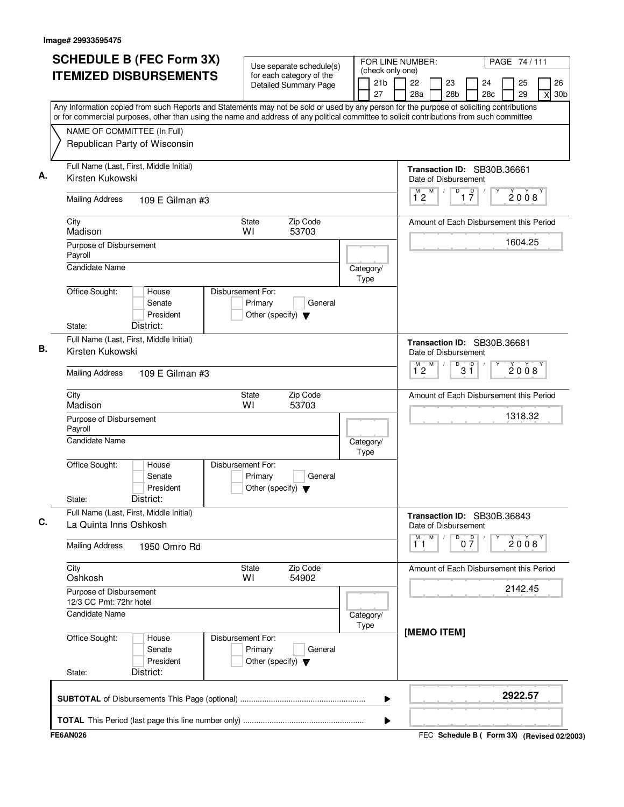| Use separate schedule(s)<br>(check only one)<br><b>ITEMIZED DISBURSEMENTS</b><br>for each category of the<br>21b<br>22<br>23<br>24<br>25<br><b>Detailed Summary Page</b><br>27<br>28a<br>28 <sub>b</sub><br>28c<br>29<br>Any Information copied from such Reports and Statements may not be sold or used by any person for the purpose of soliciting contributions<br>or for commercial purposes, other than using the name and address of any political committee to solicit contributions from such committee<br>NAME OF COMMITTEE (In Full)<br>Republican Party of Wisconsin<br>Full Name (Last, First, Middle Initial)<br>Transaction ID: SB30B.36661<br>Kirsten Kukowski<br>Date of Disbursement<br>M<br>$\overline{D}$<br>$\overline{1}^M$ 2<br>$\overline{1}$ $\overline{7}$<br>2008<br><b>Mailing Address</b><br>109 E Gilman #3<br>City<br>Zip Code<br>State<br>Amount of Each Disbursement this Period<br>Madison<br>WI<br>53703<br>1604.25<br>Purpose of Disbursement<br>Payroll<br><b>Candidate Name</b><br>Category/<br>Type<br>Office Sought:<br>House<br>Disbursement For:<br>Senate<br>Primary<br>General<br>President<br>Other (specify) $\blacktriangledown$<br>District:<br>State:<br>Full Name (Last, First, Middle Initial)<br>Transaction ID: SB30B.36681<br>Kirsten Kukowski<br>Date of Disbursement<br>M<br>D<br>D<br>$\overline{1}^M$ 2<br>2008<br>3 ĭ<br><b>Mailing Address</b><br>109 E Gilman #3<br>Zip Code<br>City<br>State<br>Amount of Each Disbursement this Period<br>Madison<br>WI<br>53703<br>1318.32<br>Purpose of Disbursement<br>Payroll<br><b>Candidate Name</b><br>Category/<br>Type<br>Office Sought:<br>Disbursement For:<br>House<br>Senate<br>Primary<br>General<br>President<br>Other (specify) $\blacktriangledown$<br>District:<br>State:<br>Full Name (Last, First, Middle Initial)<br>Transaction ID: SB30B.36843<br>La Quinta Inns Oshkosh<br>Date of Disbursement<br>M<br>M<br>$0\frac{D}{7}$<br>D<br>2008<br>11<br><b>Mailing Address</b><br>1950 Omro Rd<br>City<br>Zip Code<br>State<br>Amount of Each Disbursement this Period<br>Oshkosh<br>54902<br>W١<br>2142.45<br>Purpose of Disbursement<br>12/3 CC Pmt: 72hr hotel<br><b>Candidate Name</b><br>Category/<br>Type<br>[MEMO ITEM]<br>Office Sought:<br>Disbursement For:<br>House<br>Senate<br>Primary<br>General<br>President<br>Other (specify) $\blacktriangledown$ | PAGE 74 / 111              |
|-------------------------------------------------------------------------------------------------------------------------------------------------------------------------------------------------------------------------------------------------------------------------------------------------------------------------------------------------------------------------------------------------------------------------------------------------------------------------------------------------------------------------------------------------------------------------------------------------------------------------------------------------------------------------------------------------------------------------------------------------------------------------------------------------------------------------------------------------------------------------------------------------------------------------------------------------------------------------------------------------------------------------------------------------------------------------------------------------------------------------------------------------------------------------------------------------------------------------------------------------------------------------------------------------------------------------------------------------------------------------------------------------------------------------------------------------------------------------------------------------------------------------------------------------------------------------------------------------------------------------------------------------------------------------------------------------------------------------------------------------------------------------------------------------------------------------------------------------------------------------------------------------------------------------------------------------------------------------------------------------------------------------------------------------------------------------------------------------------------------------------------------------------------------------------------------------------------------------------------------------------------------------------------------------------------------------------------------------------------------------------------|----------------------------|
|                                                                                                                                                                                                                                                                                                                                                                                                                                                                                                                                                                                                                                                                                                                                                                                                                                                                                                                                                                                                                                                                                                                                                                                                                                                                                                                                                                                                                                                                                                                                                                                                                                                                                                                                                                                                                                                                                                                                                                                                                                                                                                                                                                                                                                                                                                                                                                                     | 26<br>30 <sub>b</sub><br>X |
|                                                                                                                                                                                                                                                                                                                                                                                                                                                                                                                                                                                                                                                                                                                                                                                                                                                                                                                                                                                                                                                                                                                                                                                                                                                                                                                                                                                                                                                                                                                                                                                                                                                                                                                                                                                                                                                                                                                                                                                                                                                                                                                                                                                                                                                                                                                                                                                     |                            |
|                                                                                                                                                                                                                                                                                                                                                                                                                                                                                                                                                                                                                                                                                                                                                                                                                                                                                                                                                                                                                                                                                                                                                                                                                                                                                                                                                                                                                                                                                                                                                                                                                                                                                                                                                                                                                                                                                                                                                                                                                                                                                                                                                                                                                                                                                                                                                                                     |                            |
|                                                                                                                                                                                                                                                                                                                                                                                                                                                                                                                                                                                                                                                                                                                                                                                                                                                                                                                                                                                                                                                                                                                                                                                                                                                                                                                                                                                                                                                                                                                                                                                                                                                                                                                                                                                                                                                                                                                                                                                                                                                                                                                                                                                                                                                                                                                                                                                     |                            |
|                                                                                                                                                                                                                                                                                                                                                                                                                                                                                                                                                                                                                                                                                                                                                                                                                                                                                                                                                                                                                                                                                                                                                                                                                                                                                                                                                                                                                                                                                                                                                                                                                                                                                                                                                                                                                                                                                                                                                                                                                                                                                                                                                                                                                                                                                                                                                                                     |                            |
|                                                                                                                                                                                                                                                                                                                                                                                                                                                                                                                                                                                                                                                                                                                                                                                                                                                                                                                                                                                                                                                                                                                                                                                                                                                                                                                                                                                                                                                                                                                                                                                                                                                                                                                                                                                                                                                                                                                                                                                                                                                                                                                                                                                                                                                                                                                                                                                     |                            |
|                                                                                                                                                                                                                                                                                                                                                                                                                                                                                                                                                                                                                                                                                                                                                                                                                                                                                                                                                                                                                                                                                                                                                                                                                                                                                                                                                                                                                                                                                                                                                                                                                                                                                                                                                                                                                                                                                                                                                                                                                                                                                                                                                                                                                                                                                                                                                                                     |                            |
|                                                                                                                                                                                                                                                                                                                                                                                                                                                                                                                                                                                                                                                                                                                                                                                                                                                                                                                                                                                                                                                                                                                                                                                                                                                                                                                                                                                                                                                                                                                                                                                                                                                                                                                                                                                                                                                                                                                                                                                                                                                                                                                                                                                                                                                                                                                                                                                     |                            |
|                                                                                                                                                                                                                                                                                                                                                                                                                                                                                                                                                                                                                                                                                                                                                                                                                                                                                                                                                                                                                                                                                                                                                                                                                                                                                                                                                                                                                                                                                                                                                                                                                                                                                                                                                                                                                                                                                                                                                                                                                                                                                                                                                                                                                                                                                                                                                                                     |                            |
|                                                                                                                                                                                                                                                                                                                                                                                                                                                                                                                                                                                                                                                                                                                                                                                                                                                                                                                                                                                                                                                                                                                                                                                                                                                                                                                                                                                                                                                                                                                                                                                                                                                                                                                                                                                                                                                                                                                                                                                                                                                                                                                                                                                                                                                                                                                                                                                     |                            |
|                                                                                                                                                                                                                                                                                                                                                                                                                                                                                                                                                                                                                                                                                                                                                                                                                                                                                                                                                                                                                                                                                                                                                                                                                                                                                                                                                                                                                                                                                                                                                                                                                                                                                                                                                                                                                                                                                                                                                                                                                                                                                                                                                                                                                                                                                                                                                                                     |                            |
|                                                                                                                                                                                                                                                                                                                                                                                                                                                                                                                                                                                                                                                                                                                                                                                                                                                                                                                                                                                                                                                                                                                                                                                                                                                                                                                                                                                                                                                                                                                                                                                                                                                                                                                                                                                                                                                                                                                                                                                                                                                                                                                                                                                                                                                                                                                                                                                     |                            |
|                                                                                                                                                                                                                                                                                                                                                                                                                                                                                                                                                                                                                                                                                                                                                                                                                                                                                                                                                                                                                                                                                                                                                                                                                                                                                                                                                                                                                                                                                                                                                                                                                                                                                                                                                                                                                                                                                                                                                                                                                                                                                                                                                                                                                                                                                                                                                                                     |                            |
|                                                                                                                                                                                                                                                                                                                                                                                                                                                                                                                                                                                                                                                                                                                                                                                                                                                                                                                                                                                                                                                                                                                                                                                                                                                                                                                                                                                                                                                                                                                                                                                                                                                                                                                                                                                                                                                                                                                                                                                                                                                                                                                                                                                                                                                                                                                                                                                     |                            |
|                                                                                                                                                                                                                                                                                                                                                                                                                                                                                                                                                                                                                                                                                                                                                                                                                                                                                                                                                                                                                                                                                                                                                                                                                                                                                                                                                                                                                                                                                                                                                                                                                                                                                                                                                                                                                                                                                                                                                                                                                                                                                                                                                                                                                                                                                                                                                                                     |                            |
|                                                                                                                                                                                                                                                                                                                                                                                                                                                                                                                                                                                                                                                                                                                                                                                                                                                                                                                                                                                                                                                                                                                                                                                                                                                                                                                                                                                                                                                                                                                                                                                                                                                                                                                                                                                                                                                                                                                                                                                                                                                                                                                                                                                                                                                                                                                                                                                     |                            |
|                                                                                                                                                                                                                                                                                                                                                                                                                                                                                                                                                                                                                                                                                                                                                                                                                                                                                                                                                                                                                                                                                                                                                                                                                                                                                                                                                                                                                                                                                                                                                                                                                                                                                                                                                                                                                                                                                                                                                                                                                                                                                                                                                                                                                                                                                                                                                                                     |                            |
|                                                                                                                                                                                                                                                                                                                                                                                                                                                                                                                                                                                                                                                                                                                                                                                                                                                                                                                                                                                                                                                                                                                                                                                                                                                                                                                                                                                                                                                                                                                                                                                                                                                                                                                                                                                                                                                                                                                                                                                                                                                                                                                                                                                                                                                                                                                                                                                     |                            |
|                                                                                                                                                                                                                                                                                                                                                                                                                                                                                                                                                                                                                                                                                                                                                                                                                                                                                                                                                                                                                                                                                                                                                                                                                                                                                                                                                                                                                                                                                                                                                                                                                                                                                                                                                                                                                                                                                                                                                                                                                                                                                                                                                                                                                                                                                                                                                                                     |                            |
|                                                                                                                                                                                                                                                                                                                                                                                                                                                                                                                                                                                                                                                                                                                                                                                                                                                                                                                                                                                                                                                                                                                                                                                                                                                                                                                                                                                                                                                                                                                                                                                                                                                                                                                                                                                                                                                                                                                                                                                                                                                                                                                                                                                                                                                                                                                                                                                     |                            |
| District:<br>State:                                                                                                                                                                                                                                                                                                                                                                                                                                                                                                                                                                                                                                                                                                                                                                                                                                                                                                                                                                                                                                                                                                                                                                                                                                                                                                                                                                                                                                                                                                                                                                                                                                                                                                                                                                                                                                                                                                                                                                                                                                                                                                                                                                                                                                                                                                                                                                 |                            |
| 2922.57<br>▶                                                                                                                                                                                                                                                                                                                                                                                                                                                                                                                                                                                                                                                                                                                                                                                                                                                                                                                                                                                                                                                                                                                                                                                                                                                                                                                                                                                                                                                                                                                                                                                                                                                                                                                                                                                                                                                                                                                                                                                                                                                                                                                                                                                                                                                                                                                                                                        |                            |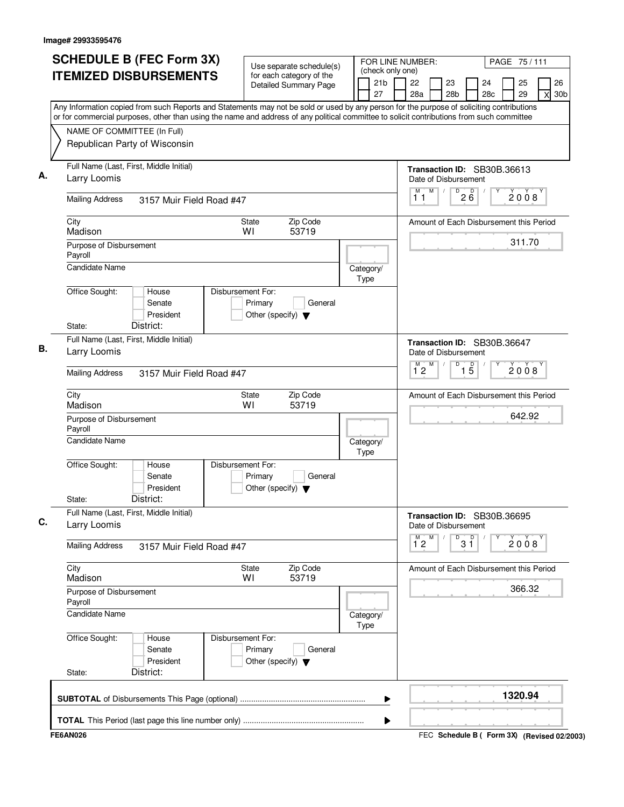| <b>SCHEDULE B (FEC Form 3X)</b>                                                                                                           | Use separate schedule(s)                                                        | FOR LINE NUMBER:                          |                                                     |                                          |           | PAGE 75/111 |                                             |
|-------------------------------------------------------------------------------------------------------------------------------------------|---------------------------------------------------------------------------------|-------------------------------------------|-----------------------------------------------------|------------------------------------------|-----------|-------------|---------------------------------------------|
| <b>ITEMIZED DISBURSEMENTS</b>                                                                                                             | for each category of the<br><b>Detailed Summary Page</b>                        | (check only one)<br>21 <sub>b</sub><br>27 | 22<br>28a                                           | 23<br>28 <sub>b</sub>                    | 24<br>28c | 25<br>29    | 26<br>30 <sub>b</sub><br>X                  |
| Any Information copied from such Reports and Statements may not be sold or used by any person for the purpose of soliciting contributions |                                                                                 |                                           |                                                     |                                          |           |             |                                             |
| or for commercial purposes, other than using the name and address of any political committee to solicit contributions from such committee |                                                                                 |                                           |                                                     |                                          |           |             |                                             |
| NAME OF COMMITTEE (In Full)<br>Republican Party of Wisconsin                                                                              |                                                                                 |                                           |                                                     |                                          |           |             |                                             |
| Full Name (Last, First, Middle Initial)<br>Larry Loomis                                                                                   |                                                                                 |                                           | Transaction ID: SB30B.36613<br>Date of Disbursement |                                          |           |             |                                             |
| <b>Mailing Address</b><br>3157 Muir Field Road #47                                                                                        |                                                                                 |                                           | M<br>M<br>11                                        | $\sqrt{D^2}$ $\frac{6}{6}$<br>$\sqrt{2}$ |           | 2008        |                                             |
| City<br>Madison                                                                                                                           | Zip Code<br>State<br>WI<br>53719                                                |                                           | Amount of Each Disbursement this Period             |                                          |           |             |                                             |
| Purpose of Disbursement<br>Payroll                                                                                                        |                                                                                 |                                           |                                                     |                                          |           | 311.70      |                                             |
| <b>Candidate Name</b>                                                                                                                     |                                                                                 | Category/<br>Type                         |                                                     |                                          |           |             |                                             |
| Office Sought:<br>House<br>Senate<br>President<br>District:<br>State:                                                                     | Disbursement For:<br>Primary<br>General<br>Other (specify) $\blacktriangledown$ |                                           |                                                     |                                          |           |             |                                             |
| Full Name (Last, First, Middle Initial)<br>Larry Loomis                                                                                   |                                                                                 |                                           | Transaction ID: SB30B.36647<br>Date of Disbursement |                                          |           |             |                                             |
| <b>Mailing Address</b><br>3157 Muir Field Road #47                                                                                        |                                                                                 |                                           | M<br>$\overline{1}^M$ 2                             | D<br>$\overline{1\,5}$                   |           | 2008        |                                             |
| City<br>Madison                                                                                                                           | Zip Code<br>State<br>WI<br>53719                                                |                                           | Amount of Each Disbursement this Period             |                                          |           |             |                                             |
| Purpose of Disbursement<br>Payroll                                                                                                        |                                                                                 |                                           |                                                     |                                          |           | 642.92      |                                             |
| <b>Candidate Name</b>                                                                                                                     |                                                                                 | Category/<br>Type                         |                                                     |                                          |           |             |                                             |
| Office Sought:<br>House<br>Senate<br>President<br>District:<br>State:                                                                     | Disbursement For:<br>Primary<br>General<br>Other (specify) $\blacktriangledown$ |                                           |                                                     |                                          |           |             |                                             |
| Full Name (Last, First, Middle Initial)<br>Larry Loomis                                                                                   |                                                                                 |                                           | Transaction ID: SB30B.36695<br>Date of Disbursement |                                          |           |             |                                             |
| <b>Mailing Address</b><br>3157 Muir Field Road #47                                                                                        |                                                                                 |                                           | M<br>м<br>$1^{\degree}2$                            | 3 <sup>0</sup><br>D                      |           | 2008        |                                             |
| City<br>Madison                                                                                                                           | Zip Code<br>State<br>53719<br>WI                                                |                                           | Amount of Each Disbursement this Period             |                                          |           |             |                                             |
| Purpose of Disbursement<br>Payroll                                                                                                        |                                                                                 |                                           |                                                     |                                          |           | 366.32      |                                             |
| Candidate Name                                                                                                                            |                                                                                 | Category/<br>Type                         |                                                     |                                          |           |             |                                             |
| Office Sought:<br>House<br>Senate<br>President<br>District:<br>State:                                                                     | Disbursement For:<br>Primary<br>General<br>Other (specify) $\blacktriangledown$ |                                           |                                                     |                                          |           |             |                                             |
|                                                                                                                                           |                                                                                 | ▶                                         |                                                     |                                          |           | 1320.94     |                                             |
|                                                                                                                                           |                                                                                 | ▶                                         |                                                     |                                          |           |             |                                             |
| <b>FE6AN026</b>                                                                                                                           |                                                                                 |                                           |                                                     |                                          |           |             | FEC Schedule B ( Form 3X) (Revised 02/2003) |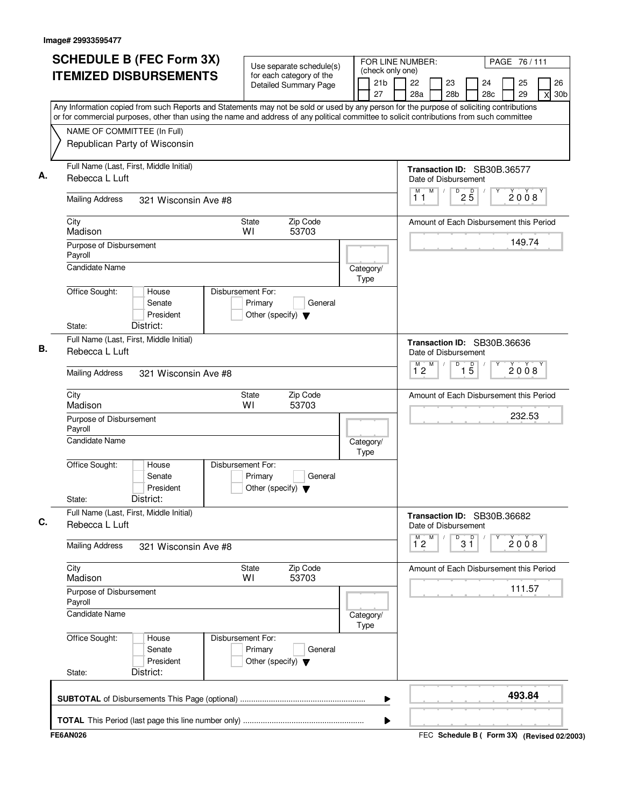| <b>SCHEDULE B (FEC Form 3X)</b>                                                                                                                                                                                                                                                        | Use separate schedule(s)                                                        | FOR LINE NUMBER:                          |                     |   |                                                     |                 |           | PAGE 76/111 |   |                       |
|----------------------------------------------------------------------------------------------------------------------------------------------------------------------------------------------------------------------------------------------------------------------------------------|---------------------------------------------------------------------------------|-------------------------------------------|---------------------|---|-----------------------------------------------------|-----------------|-----------|-------------|---|-----------------------|
| <b>ITEMIZED DISBURSEMENTS</b>                                                                                                                                                                                                                                                          | for each category of the<br><b>Detailed Summary Page</b>                        | (check only one)<br>21 <sub>b</sub><br>27 | 22<br>28a           |   | 23<br>28 <sub>b</sub>                               |                 | 24<br>28c | 25<br>29    | X | 26<br>30 <sub>b</sub> |
| Any Information copied from such Reports and Statements may not be sold or used by any person for the purpose of soliciting contributions<br>or for commercial purposes, other than using the name and address of any political committee to solicit contributions from such committee |                                                                                 |                                           |                     |   |                                                     |                 |           |             |   |                       |
| NAME OF COMMITTEE (In Full)<br>Republican Party of Wisconsin                                                                                                                                                                                                                           |                                                                                 |                                           |                     |   |                                                     |                 |           |             |   |                       |
| Full Name (Last, First, Middle Initial)<br>Rebecca L Luft                                                                                                                                                                                                                              |                                                                                 |                                           |                     |   | Transaction ID: SB30B.36577<br>Date of Disbursement |                 |           |             |   |                       |
| <b>Mailing Address</b><br>321 Wisconsin Ave #8                                                                                                                                                                                                                                         |                                                                                 |                                           | M<br>11             | M | D<br>$\sqrt{2}$                                     | $2\overline{5}$ |           | 2008        |   |                       |
| City<br>Madison                                                                                                                                                                                                                                                                        | Zip Code<br>State<br>53703<br>WI                                                |                                           |                     |   | Amount of Each Disbursement this Period             |                 |           |             |   |                       |
| Purpose of Disbursement<br>Payroll                                                                                                                                                                                                                                                     |                                                                                 |                                           |                     |   |                                                     |                 |           | 149.74      |   |                       |
| Candidate Name                                                                                                                                                                                                                                                                         |                                                                                 | Category/<br>Type                         |                     |   |                                                     |                 |           |             |   |                       |
| Office Sought:<br>House<br>Senate<br>President<br>District:<br>State:                                                                                                                                                                                                                  | Disbursement For:<br>Primary<br>General<br>Other (specify) $\blacktriangledown$ |                                           |                     |   |                                                     |                 |           |             |   |                       |
| Full Name (Last, First, Middle Initial)                                                                                                                                                                                                                                                |                                                                                 |                                           |                     |   | Transaction ID: SB30B.36636                         |                 |           |             |   |                       |
| Rebecca L Luft                                                                                                                                                                                                                                                                         |                                                                                 |                                           |                     | M | Date of Disbursement<br>D                           |                 |           |             |   |                       |
| <b>Mailing Address</b><br>321 Wisconsin Ave #8                                                                                                                                                                                                                                         |                                                                                 |                                           | $\overline{1}^M$ 2  |   |                                                     | $\overline{15}$ |           | 2008        |   |                       |
| City<br>Madison                                                                                                                                                                                                                                                                        | Zip Code<br>State<br>WI<br>53703                                                |                                           |                     |   | Amount of Each Disbursement this Period             |                 |           |             |   |                       |
| Purpose of Disbursement<br>Payroll                                                                                                                                                                                                                                                     |                                                                                 |                                           |                     |   |                                                     |                 |           | 232.53      |   |                       |
| <b>Candidate Name</b>                                                                                                                                                                                                                                                                  |                                                                                 | Category/<br>Type                         |                     |   |                                                     |                 |           |             |   |                       |
| Office Sought:<br>House<br>Senate<br>President<br>District:<br>State:                                                                                                                                                                                                                  | Disbursement For:<br>Primary<br>General<br>Other (specify) $\blacktriangledown$ |                                           |                     |   |                                                     |                 |           |             |   |                       |
| Full Name (Last, First, Middle Initial)<br>Rebecca L Luft                                                                                                                                                                                                                              |                                                                                 |                                           |                     |   | Transaction ID: SB30B.36682<br>Date of Disbursement |                 |           |             |   |                       |
| <b>Mailing Address</b><br>321 Wisconsin Ave #8                                                                                                                                                                                                                                         |                                                                                 |                                           | М<br>$1^{\degree}2$ | M | D                                                   | p<br>3 Ĭ        |           | 2008        |   |                       |
| City<br>Madison                                                                                                                                                                                                                                                                        | Zip Code<br>State<br>53703<br>WI                                                |                                           |                     |   | Amount of Each Disbursement this Period             |                 |           |             |   |                       |
| Purpose of Disbursement<br>Payroll                                                                                                                                                                                                                                                     |                                                                                 |                                           |                     |   |                                                     |                 |           | 111.57      |   |                       |
| <b>Candidate Name</b>                                                                                                                                                                                                                                                                  |                                                                                 | Category/<br><b>Type</b>                  |                     |   |                                                     |                 |           |             |   |                       |
| Office Sought:<br>House<br>Senate<br>President<br>District:<br>State:                                                                                                                                                                                                                  | Disbursement For:<br>Primary<br>General<br>Other (specify) $\blacktriangledown$ |                                           |                     |   |                                                     |                 |           |             |   |                       |
|                                                                                                                                                                                                                                                                                        |                                                                                 | ▶                                         |                     |   |                                                     |                 |           | 493.84      |   |                       |
|                                                                                                                                                                                                                                                                                        |                                                                                 | Þ                                         |                     |   |                                                     |                 |           |             |   |                       |
| <b>FE6AN026</b>                                                                                                                                                                                                                                                                        |                                                                                 |                                           |                     |   | FEC Schedule B ( Form 3X) (Revised 02/2003)         |                 |           |             |   |                       |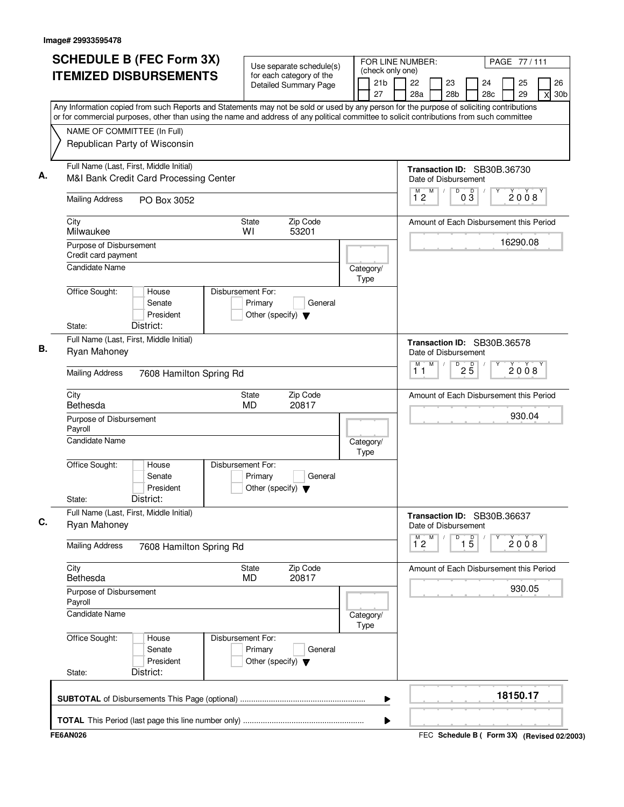| <b>ITEMIZED DISBURSEMENTS</b>                                                                                                                                                                                                                                                          | for each category of the<br><b>Detailed Summary Page</b>                        |  | (check only one)         |  |                      |   |                       |                 |           |                                         |          |                                             |  |
|----------------------------------------------------------------------------------------------------------------------------------------------------------------------------------------------------------------------------------------------------------------------------------------|---------------------------------------------------------------------------------|--|--------------------------|--|----------------------|---|-----------------------|-----------------|-----------|-----------------------------------------|----------|---------------------------------------------|--|
|                                                                                                                                                                                                                                                                                        |                                                                                 |  | 21 <sub>b</sub><br>27    |  | 22<br>28a            |   | 23<br>28 <sub>b</sub> |                 | 24<br>28c |                                         | 25<br>29 | 26<br>30 <sub>b</sub><br>X                  |  |
| Any Information copied from such Reports and Statements may not be sold or used by any person for the purpose of soliciting contributions<br>or for commercial purposes, other than using the name and address of any political committee to solicit contributions from such committee |                                                                                 |  |                          |  |                      |   |                       |                 |           |                                         |          |                                             |  |
| NAME OF COMMITTEE (In Full)                                                                                                                                                                                                                                                            |                                                                                 |  |                          |  |                      |   |                       |                 |           |                                         |          |                                             |  |
| Republican Party of Wisconsin                                                                                                                                                                                                                                                          |                                                                                 |  |                          |  |                      |   |                       |                 |           |                                         |          |                                             |  |
| Full Name (Last, First, Middle Initial)<br>M&I Bank Credit Card Processing Center                                                                                                                                                                                                      |                                                                                 |  |                          |  | Date of Disbursement |   |                       |                 |           | Transaction ID: SB30B.36730             |          |                                             |  |
| <b>Mailing Address</b><br>PO Box 3052                                                                                                                                                                                                                                                  |                                                                                 |  |                          |  | M<br>12              | M | D                     | $0\overline{3}$ |           |                                         | 2008     |                                             |  |
| City<br>Milwaukee                                                                                                                                                                                                                                                                      | Zip Code<br><b>State</b><br>53201<br>WI                                         |  |                          |  |                      |   |                       |                 |           | Amount of Each Disbursement this Period |          |                                             |  |
| Purpose of Disbursement<br>Credit card payment                                                                                                                                                                                                                                         |                                                                                 |  |                          |  |                      |   |                       |                 |           | 16290.08                                |          |                                             |  |
| Candidate Name                                                                                                                                                                                                                                                                         |                                                                                 |  | Category/<br><b>Type</b> |  |                      |   |                       |                 |           |                                         |          |                                             |  |
| Office Sought:<br>House<br>Senate<br>President<br>District:<br>State:                                                                                                                                                                                                                  | Disbursement For:<br>Primary<br>General<br>Other (specify) $\blacktriangledown$ |  |                          |  |                      |   |                       |                 |           |                                         |          |                                             |  |
| Full Name (Last, First, Middle Initial)                                                                                                                                                                                                                                                |                                                                                 |  |                          |  |                      |   |                       |                 |           |                                         |          |                                             |  |
| Ryan Mahoney                                                                                                                                                                                                                                                                           |                                                                                 |  |                          |  | Date of Disbursement |   |                       |                 |           | Transaction ID: SB30B.36578             |          |                                             |  |
| <b>Mailing Address</b><br>7608 Hamilton Spring Rd                                                                                                                                                                                                                                      |                                                                                 |  |                          |  | М<br>11              | M | D                     | $2\overline{5}$ |           |                                         | 2008     |                                             |  |
| City<br>Bethesda                                                                                                                                                                                                                                                                       | Zip Code<br><b>State</b><br>20817<br><b>MD</b>                                  |  |                          |  |                      |   |                       |                 |           | Amount of Each Disbursement this Period |          |                                             |  |
| Purpose of Disbursement<br>Payroll                                                                                                                                                                                                                                                     |                                                                                 |  |                          |  |                      |   |                       |                 |           |                                         | 930.04   |                                             |  |
| <b>Candidate Name</b>                                                                                                                                                                                                                                                                  |                                                                                 |  | Category/<br>Type        |  |                      |   |                       |                 |           |                                         |          |                                             |  |
| Office Sought:<br>House<br>Senate<br>President<br>District:                                                                                                                                                                                                                            | Disbursement For:<br>Primary<br>General<br>Other (specify) $\blacktriangledown$ |  |                          |  |                      |   |                       |                 |           |                                         |          |                                             |  |
| State:<br>Full Name (Last, First, Middle Initial)                                                                                                                                                                                                                                      |                                                                                 |  |                          |  |                      |   |                       |                 |           |                                         |          |                                             |  |
| Ryan Mahoney                                                                                                                                                                                                                                                                           |                                                                                 |  |                          |  | Date of Disbursement |   |                       |                 |           | Transaction ID: SB30B.36637             |          |                                             |  |
| <b>Mailing Address</b><br>7608 Hamilton Spring Rd                                                                                                                                                                                                                                      |                                                                                 |  |                          |  | М<br>$1^{\degree}$   | M | D                     | $\overline{15}$ |           |                                         | 2008     |                                             |  |
| City<br>Bethesda                                                                                                                                                                                                                                                                       | Zip Code<br><b>State</b><br>20817<br><b>MD</b>                                  |  |                          |  |                      |   |                       |                 |           | Amount of Each Disbursement this Period |          |                                             |  |
| Purpose of Disbursement<br>Payroll                                                                                                                                                                                                                                                     |                                                                                 |  |                          |  |                      |   |                       |                 |           |                                         | 930.05   |                                             |  |
| <b>Candidate Name</b>                                                                                                                                                                                                                                                                  |                                                                                 |  | Category/<br><b>Type</b> |  |                      |   |                       |                 |           |                                         |          |                                             |  |
| Office Sought:<br>House<br>Senate<br>President<br>District:                                                                                                                                                                                                                            | Disbursement For:<br>Primary<br>General<br>Other (specify) $\blacktriangledown$ |  |                          |  |                      |   |                       |                 |           |                                         |          |                                             |  |
| State:                                                                                                                                                                                                                                                                                 |                                                                                 |  |                          |  |                      |   |                       |                 |           | 18150.17                                |          |                                             |  |
|                                                                                                                                                                                                                                                                                        |                                                                                 |  | ▶                        |  |                      |   |                       |                 |           |                                         |          |                                             |  |
| <b>FE6AN026</b>                                                                                                                                                                                                                                                                        |                                                                                 |  | ▶                        |  |                      |   |                       |                 |           |                                         |          | FEC Schedule B ( Form 3X) (Revised 02/2003) |  |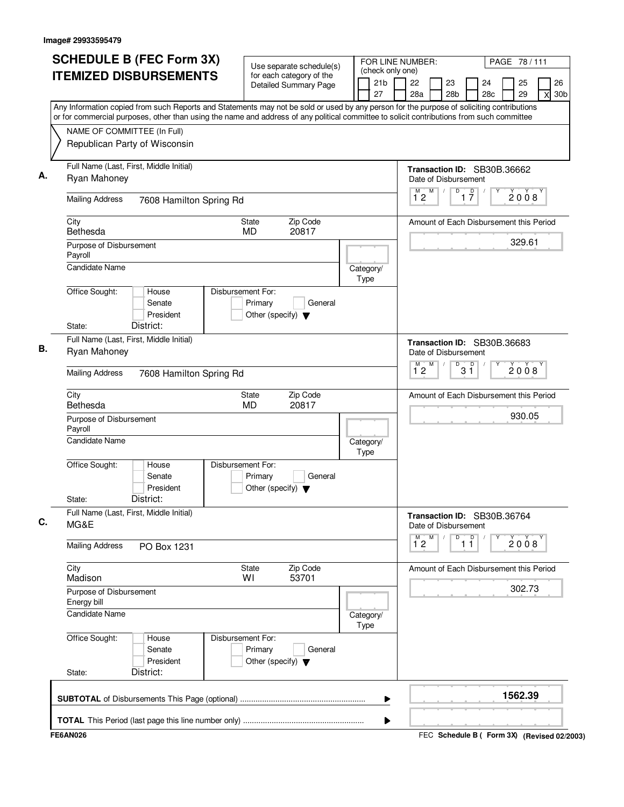| <b>SCHEDULE B (FEC Form 3X)</b>                                                                                                           | Use separate schedule(s)                                                        | FOR LINE NUMBER:                          |                                    | PAGE 78 / 111                                       |
|-------------------------------------------------------------------------------------------------------------------------------------------|---------------------------------------------------------------------------------|-------------------------------------------|------------------------------------|-----------------------------------------------------|
| <b>ITEMIZED DISBURSEMENTS</b>                                                                                                             | for each category of the<br><b>Detailed Summary Page</b>                        | (check only one)<br>21 <sub>b</sub><br>27 | 22<br>23<br>28a<br>28 <sub>b</sub> | 26<br>25<br>24<br>28c<br>29<br>30 <sub>b</sub><br>X |
| Any Information copied from such Reports and Statements may not be sold or used by any person for the purpose of soliciting contributions |                                                                                 |                                           |                                    |                                                     |
| or for commercial purposes, other than using the name and address of any political committee to solicit contributions from such committee |                                                                                 |                                           |                                    |                                                     |
| NAME OF COMMITTEE (In Full)<br>Republican Party of Wisconsin                                                                              |                                                                                 |                                           |                                    |                                                     |
| Full Name (Last, First, Middle Initial)                                                                                                   |                                                                                 |                                           |                                    |                                                     |
| Ryan Mahoney                                                                                                                              |                                                                                 |                                           | Date of Disbursement<br>M<br>D     | Transaction ID: SB30B.36662                         |
| <b>Mailing Address</b><br>7608 Hamilton Spring Rd                                                                                         |                                                                                 |                                           | $\overline{1}^M$ 2                 | $\overline{1}$ $\overline{7}$<br>2008               |
| City<br>Bethesda                                                                                                                          | Zip Code<br>State<br>20817<br><b>MD</b>                                         |                                           |                                    | Amount of Each Disbursement this Period             |
| Purpose of Disbursement<br>Payroll                                                                                                        |                                                                                 |                                           |                                    | 329.61                                              |
| <b>Candidate Name</b>                                                                                                                     |                                                                                 | Category/<br>Type                         |                                    |                                                     |
| Office Sought:<br>House<br>Senate<br>President<br>District:<br>State:                                                                     | Disbursement For:<br>Primary<br>General<br>Other (specify) $\blacktriangledown$ |                                           |                                    |                                                     |
| Full Name (Last, First, Middle Initial)                                                                                                   |                                                                                 |                                           |                                    | Transaction ID: SB30B.36683                         |
| Ryan Mahoney                                                                                                                              |                                                                                 |                                           | Date of Disbursement<br>M<br>D     |                                                     |
| <b>Mailing Address</b><br>7608 Hamilton Spring Rd                                                                                         |                                                                                 |                                           | $\overline{1}^M$ 2                 | $3^{\circ}$<br>2008                                 |
| City<br>Bethesda                                                                                                                          | Zip Code<br>State<br>MD<br>20817                                                |                                           |                                    | Amount of Each Disbursement this Period             |
| Purpose of Disbursement<br>Payroll                                                                                                        |                                                                                 |                                           |                                    | 930.05                                              |
| <b>Candidate Name</b>                                                                                                                     |                                                                                 | Category/<br>Type                         |                                    |                                                     |
| Office Sought:<br>House<br>Senate<br>President<br>District:<br>State:                                                                     | Disbursement For:<br>Primary<br>General<br>Other (specify) $\blacktriangledown$ |                                           |                                    |                                                     |
| Full Name (Last, First, Middle Initial)<br>MG&E                                                                                           |                                                                                 |                                           | Date of Disbursement               | Transaction ID: SB30B.36764                         |
| <b>Mailing Address</b><br>PO Box 1231                                                                                                     |                                                                                 |                                           | M<br>M<br>D<br>$1^{\degree}2$      | $\mathsf{D}$<br>2008<br>11                          |
| City<br>Madison                                                                                                                           | Zip Code<br>State<br>53701<br>WI                                                |                                           |                                    | Amount of Each Disbursement this Period             |
| Purpose of Disbursement<br>Energy bill                                                                                                    |                                                                                 |                                           |                                    | 302.73                                              |
| Candidate Name                                                                                                                            |                                                                                 | Category/<br>Type                         |                                    |                                                     |
| Office Sought:<br>House<br>Senate<br>President<br>District:<br>State:                                                                     | Disbursement For:<br>Primary<br>General<br>Other (specify) $\blacktriangledown$ |                                           |                                    |                                                     |
|                                                                                                                                           |                                                                                 | ▶                                         |                                    | 1562.39                                             |
|                                                                                                                                           |                                                                                 | ▶                                         |                                    |                                                     |
| <b>FE6AN026</b>                                                                                                                           |                                                                                 |                                           |                                    | FEC Schedule B ( Form 3X) (Revised 02/2003)         |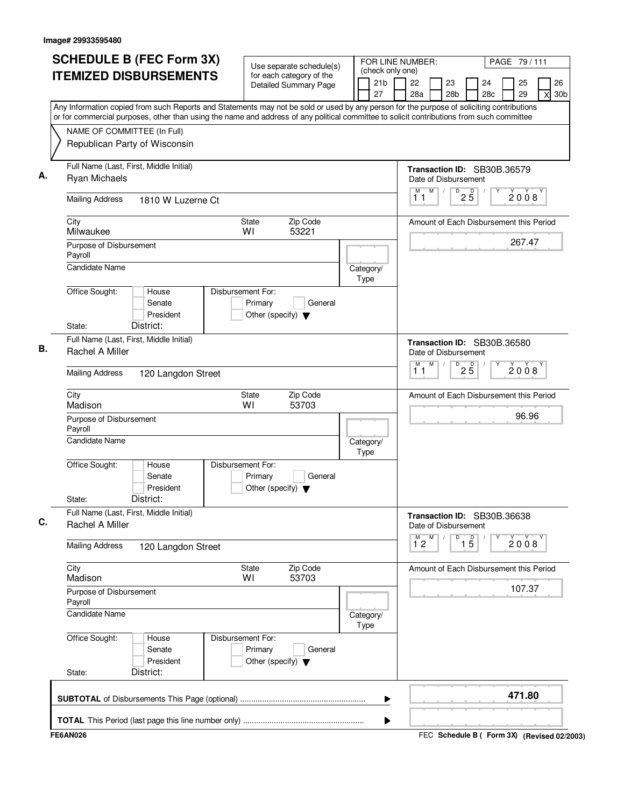| <b>SCHEDULE B (FEC Form 3X)</b>                                                                                                                                                                                                                                                        | Use separate schedule(s)                                                        | FOR LINE NUMBER:                          |                                                     |                                   |           | PAGE 79 / 111 |                                             |
|----------------------------------------------------------------------------------------------------------------------------------------------------------------------------------------------------------------------------------------------------------------------------------------|---------------------------------------------------------------------------------|-------------------------------------------|-----------------------------------------------------|-----------------------------------|-----------|---------------|---------------------------------------------|
| <b>ITEMIZED DISBURSEMENTS</b>                                                                                                                                                                                                                                                          | for each category of the<br><b>Detailed Summary Page</b>                        | (check only one)<br>21 <sub>b</sub><br>27 | 22<br>23<br>28a                                     | 28 <sub>b</sub>                   | 24<br>28c | 25<br>29      | 26<br>30 <sub>b</sub><br>X                  |
| Any Information copied from such Reports and Statements may not be sold or used by any person for the purpose of soliciting contributions<br>or for commercial purposes, other than using the name and address of any political committee to solicit contributions from such committee |                                                                                 |                                           |                                                     |                                   |           |               |                                             |
| NAME OF COMMITTEE (In Full)<br>Republican Party of Wisconsin                                                                                                                                                                                                                           |                                                                                 |                                           |                                                     |                                   |           |               |                                             |
| Full Name (Last, First, Middle Initial)<br><b>Ryan Michaels</b>                                                                                                                                                                                                                        |                                                                                 |                                           | Transaction ID: SB30B.36579<br>Date of Disbursement |                                   |           |               |                                             |
| <b>Mailing Address</b><br>1810 W Luzerne Ct                                                                                                                                                                                                                                            |                                                                                 |                                           | M<br>M<br>$\prime$<br>11                            | $\overline{D}$<br>$2\overline{5}$ |           | 2008          |                                             |
| City<br>Milwaukee                                                                                                                                                                                                                                                                      | Zip Code<br>State<br>WI<br>53221                                                |                                           | Amount of Each Disbursement this Period             |                                   |           |               |                                             |
| Purpose of Disbursement<br>Payroll<br>Candidate Name                                                                                                                                                                                                                                   |                                                                                 |                                           |                                                     |                                   |           | 267.47        |                                             |
| Office Sought:<br>House                                                                                                                                                                                                                                                                | Disbursement For:                                                               | Category/<br>Type                         |                                                     |                                   |           |               |                                             |
| Senate<br>President<br>District:<br>State:                                                                                                                                                                                                                                             | Primary<br>General<br>Other (specify) $\blacktriangledown$                      |                                           |                                                     |                                   |           |               |                                             |
| Full Name (Last, First, Middle Initial)<br>Rachel A Miller                                                                                                                                                                                                                             |                                                                                 |                                           | Transaction ID: SB30B.36580<br>Date of Disbursement |                                   |           |               |                                             |
| <b>Mailing Address</b><br>120 Langdon Street                                                                                                                                                                                                                                           |                                                                                 |                                           | M<br>М<br>11                                        | D<br>$2\overline{5}$              |           | 2008          |                                             |
| City<br>Madison                                                                                                                                                                                                                                                                        | Zip Code<br>State<br>WI<br>53703                                                |                                           | Amount of Each Disbursement this Period             |                                   |           |               |                                             |
| Purpose of Disbursement<br>Payroll                                                                                                                                                                                                                                                     |                                                                                 |                                           |                                                     |                                   |           | 96.96         |                                             |
| Candidate Name                                                                                                                                                                                                                                                                         |                                                                                 | Category/<br>Type                         |                                                     |                                   |           |               |                                             |
| Office Sought:<br>House<br>Senate<br>President<br>District:<br>State:                                                                                                                                                                                                                  | Disbursement For:<br>Primary<br>General<br>Other (specify) $\blacktriangledown$ |                                           |                                                     |                                   |           |               |                                             |
| Full Name (Last, First, Middle Initial)<br>Rachel A Miller                                                                                                                                                                                                                             |                                                                                 |                                           | Transaction ID: SB30B.36638<br>Date of Disbursement |                                   |           |               |                                             |
| <b>Mailing Address</b><br>120 Langdon Street                                                                                                                                                                                                                                           |                                                                                 |                                           | $\overline{1}^M$ 2<br>M                             | $\overline{1\,5}$<br>D            |           | 2008          |                                             |
| City<br>Madison                                                                                                                                                                                                                                                                        | Zip Code<br>State<br>WI<br>53703                                                |                                           | Amount of Each Disbursement this Period             |                                   |           |               |                                             |
| Purpose of Disbursement<br>Payroll                                                                                                                                                                                                                                                     |                                                                                 |                                           |                                                     |                                   |           | 107.37        |                                             |
| Candidate Name                                                                                                                                                                                                                                                                         |                                                                                 | Category/<br><b>Type</b>                  |                                                     |                                   |           |               |                                             |
| Office Sought:<br>House<br>Senate<br>President<br>District:<br>State:                                                                                                                                                                                                                  | Disbursement For:<br>Primary<br>General<br>Other (specify) $\blacktriangledown$ |                                           |                                                     |                                   |           |               |                                             |
|                                                                                                                                                                                                                                                                                        |                                                                                 | ▶                                         |                                                     |                                   |           | 471.80        |                                             |
|                                                                                                                                                                                                                                                                                        |                                                                                 | ▶                                         |                                                     |                                   |           |               |                                             |
| <b>FE6AN026</b>                                                                                                                                                                                                                                                                        |                                                                                 |                                           |                                                     |                                   |           |               | FEC Schedule B ( Form 3X) (Revised 02/2003) |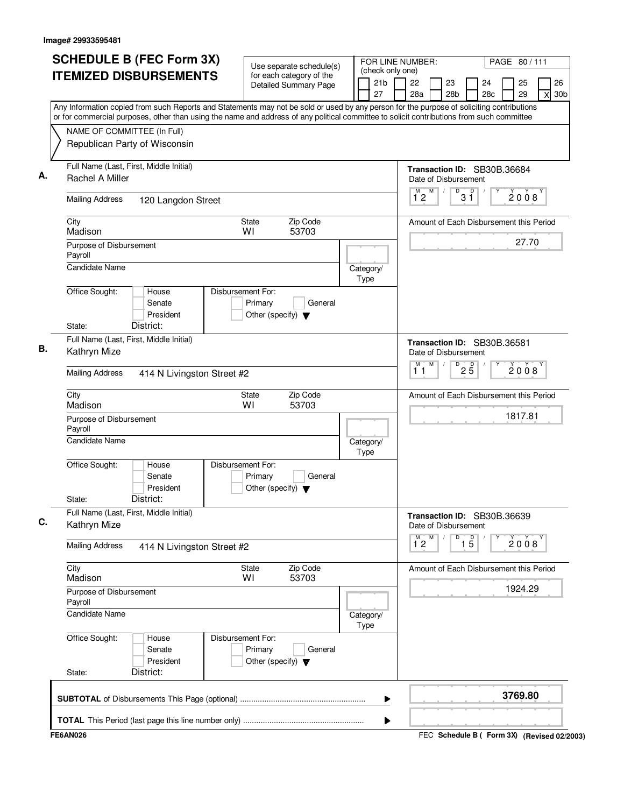| (check only one)<br><b>ITEMIZED DISBURSEMENTS</b><br>for each category of the<br>21b<br>22<br>23<br>24<br><b>Detailed Summary Page</b><br>27<br>28a<br>28 <sub>b</sub><br>28c<br>Any Information copied from such Reports and Statements may not be sold or used by any person for the purpose of soliciting contributions<br>or for commercial purposes, other than using the name and address of any political committee to solicit contributions from such committee<br>NAME OF COMMITTEE (In Full)<br>Republican Party of Wisconsin<br>Full Name (Last, First, Middle Initial)<br>Transaction ID: SB30B.36684<br>Rachel A Miller<br>Date of Disbursement<br>M<br>$\sqrt{\frac{D}{3}}$<br>$\overline{1}^M$ 2<br><b>Mailing Address</b><br>120 Langdon Street<br>City<br>Zip Code<br>State<br>Amount of Each Disbursement this Period<br>Madison<br>WI<br>53703<br>Purpose of Disbursement<br>Payroll<br><b>Candidate Name</b><br>Category/<br>Type<br>Office Sought:<br>House<br>Disbursement For:<br>Senate<br>Primary<br>General<br>President<br>Other (specify) $\blacktriangledown$<br>District:<br>State:<br>Full Name (Last, First, Middle Initial)<br>Transaction ID: SB30B.36581<br>Kathryn Mize<br>Date of Disbursement<br>M<br>M<br>D<br>$2\overline{5}$<br>11<br><b>Mailing Address</b><br>414 N Livingston Street #2<br>City<br>Zip Code<br>State<br>Amount of Each Disbursement this Period<br>Madison<br>WI<br>53703<br>Purpose of Disbursement<br>Payroll<br><b>Candidate Name</b><br>Category/<br>Type<br>Office Sought:<br>Disbursement For:<br>House<br>Senate<br>Primary<br>General<br>President<br>Other (specify) $\blacktriangledown$<br>District:<br>State:<br>Full Name (Last, First, Middle Initial)<br>Transaction ID: SB30B.36639<br>Kathryn Mize<br>Date of Disbursement<br>$\overline{1}^M$ 2<br>M<br>D<br>$\overline{1}$ $\overline{5}$<br><b>Mailing Address</b><br>414 N Livingston Street #2<br>City<br>Zip Code<br>State<br>Amount of Each Disbursement this Period<br>Madison<br>53703<br>W١<br>Purpose of Disbursement<br>Payroll<br>Candidate Name<br>Category/<br>Type<br>Office Sought:<br>Disbursement For:<br>House<br>Senate<br>Primary<br>General | PAGE 80/111                            | FOR LINE NUMBER: |  | Use separate schedule(s) | <b>SCHEDULE B (FEC Form 3X)</b> |  |
|-------------------------------------------------------------------------------------------------------------------------------------------------------------------------------------------------------------------------------------------------------------------------------------------------------------------------------------------------------------------------------------------------------------------------------------------------------------------------------------------------------------------------------------------------------------------------------------------------------------------------------------------------------------------------------------------------------------------------------------------------------------------------------------------------------------------------------------------------------------------------------------------------------------------------------------------------------------------------------------------------------------------------------------------------------------------------------------------------------------------------------------------------------------------------------------------------------------------------------------------------------------------------------------------------------------------------------------------------------------------------------------------------------------------------------------------------------------------------------------------------------------------------------------------------------------------------------------------------------------------------------------------------------------------------------------------------------------------------------------------------------------------------------------------------------------------------------------------------------------------------------------------------------------------------------------------------------------------------------------------------------------------------------------------------------------------------------------------------------------------------------------------------------------------------------------------------|----------------------------------------|------------------|--|--------------------------|---------------------------------|--|
|                                                                                                                                                                                                                                                                                                                                                                                                                                                                                                                                                                                                                                                                                                                                                                                                                                                                                                                                                                                                                                                                                                                                                                                                                                                                                                                                                                                                                                                                                                                                                                                                                                                                                                                                                                                                                                                                                                                                                                                                                                                                                                                                                                                                 | 26<br>25<br>29<br>30 <sub>b</sub><br>X |                  |  |                          |                                 |  |
|                                                                                                                                                                                                                                                                                                                                                                                                                                                                                                                                                                                                                                                                                                                                                                                                                                                                                                                                                                                                                                                                                                                                                                                                                                                                                                                                                                                                                                                                                                                                                                                                                                                                                                                                                                                                                                                                                                                                                                                                                                                                                                                                                                                                 |                                        |                  |  |                          |                                 |  |
|                                                                                                                                                                                                                                                                                                                                                                                                                                                                                                                                                                                                                                                                                                                                                                                                                                                                                                                                                                                                                                                                                                                                                                                                                                                                                                                                                                                                                                                                                                                                                                                                                                                                                                                                                                                                                                                                                                                                                                                                                                                                                                                                                                                                 |                                        |                  |  |                          |                                 |  |
|                                                                                                                                                                                                                                                                                                                                                                                                                                                                                                                                                                                                                                                                                                                                                                                                                                                                                                                                                                                                                                                                                                                                                                                                                                                                                                                                                                                                                                                                                                                                                                                                                                                                                                                                                                                                                                                                                                                                                                                                                                                                                                                                                                                                 |                                        |                  |  |                          |                                 |  |
|                                                                                                                                                                                                                                                                                                                                                                                                                                                                                                                                                                                                                                                                                                                                                                                                                                                                                                                                                                                                                                                                                                                                                                                                                                                                                                                                                                                                                                                                                                                                                                                                                                                                                                                                                                                                                                                                                                                                                                                                                                                                                                                                                                                                 | 2008                                   |                  |  |                          |                                 |  |
|                                                                                                                                                                                                                                                                                                                                                                                                                                                                                                                                                                                                                                                                                                                                                                                                                                                                                                                                                                                                                                                                                                                                                                                                                                                                                                                                                                                                                                                                                                                                                                                                                                                                                                                                                                                                                                                                                                                                                                                                                                                                                                                                                                                                 |                                        |                  |  |                          |                                 |  |
|                                                                                                                                                                                                                                                                                                                                                                                                                                                                                                                                                                                                                                                                                                                                                                                                                                                                                                                                                                                                                                                                                                                                                                                                                                                                                                                                                                                                                                                                                                                                                                                                                                                                                                                                                                                                                                                                                                                                                                                                                                                                                                                                                                                                 | 27.70                                  |                  |  |                          |                                 |  |
|                                                                                                                                                                                                                                                                                                                                                                                                                                                                                                                                                                                                                                                                                                                                                                                                                                                                                                                                                                                                                                                                                                                                                                                                                                                                                                                                                                                                                                                                                                                                                                                                                                                                                                                                                                                                                                                                                                                                                                                                                                                                                                                                                                                                 |                                        |                  |  |                          |                                 |  |
|                                                                                                                                                                                                                                                                                                                                                                                                                                                                                                                                                                                                                                                                                                                                                                                                                                                                                                                                                                                                                                                                                                                                                                                                                                                                                                                                                                                                                                                                                                                                                                                                                                                                                                                                                                                                                                                                                                                                                                                                                                                                                                                                                                                                 |                                        |                  |  |                          |                                 |  |
|                                                                                                                                                                                                                                                                                                                                                                                                                                                                                                                                                                                                                                                                                                                                                                                                                                                                                                                                                                                                                                                                                                                                                                                                                                                                                                                                                                                                                                                                                                                                                                                                                                                                                                                                                                                                                                                                                                                                                                                                                                                                                                                                                                                                 |                                        |                  |  |                          |                                 |  |
|                                                                                                                                                                                                                                                                                                                                                                                                                                                                                                                                                                                                                                                                                                                                                                                                                                                                                                                                                                                                                                                                                                                                                                                                                                                                                                                                                                                                                                                                                                                                                                                                                                                                                                                                                                                                                                                                                                                                                                                                                                                                                                                                                                                                 | 2008                                   |                  |  |                          |                                 |  |
|                                                                                                                                                                                                                                                                                                                                                                                                                                                                                                                                                                                                                                                                                                                                                                                                                                                                                                                                                                                                                                                                                                                                                                                                                                                                                                                                                                                                                                                                                                                                                                                                                                                                                                                                                                                                                                                                                                                                                                                                                                                                                                                                                                                                 |                                        |                  |  |                          |                                 |  |
|                                                                                                                                                                                                                                                                                                                                                                                                                                                                                                                                                                                                                                                                                                                                                                                                                                                                                                                                                                                                                                                                                                                                                                                                                                                                                                                                                                                                                                                                                                                                                                                                                                                                                                                                                                                                                                                                                                                                                                                                                                                                                                                                                                                                 | 1817.81                                |                  |  |                          |                                 |  |
|                                                                                                                                                                                                                                                                                                                                                                                                                                                                                                                                                                                                                                                                                                                                                                                                                                                                                                                                                                                                                                                                                                                                                                                                                                                                                                                                                                                                                                                                                                                                                                                                                                                                                                                                                                                                                                                                                                                                                                                                                                                                                                                                                                                                 |                                        |                  |  |                          |                                 |  |
|                                                                                                                                                                                                                                                                                                                                                                                                                                                                                                                                                                                                                                                                                                                                                                                                                                                                                                                                                                                                                                                                                                                                                                                                                                                                                                                                                                                                                                                                                                                                                                                                                                                                                                                                                                                                                                                                                                                                                                                                                                                                                                                                                                                                 |                                        |                  |  |                          |                                 |  |
|                                                                                                                                                                                                                                                                                                                                                                                                                                                                                                                                                                                                                                                                                                                                                                                                                                                                                                                                                                                                                                                                                                                                                                                                                                                                                                                                                                                                                                                                                                                                                                                                                                                                                                                                                                                                                                                                                                                                                                                                                                                                                                                                                                                                 |                                        |                  |  |                          |                                 |  |
|                                                                                                                                                                                                                                                                                                                                                                                                                                                                                                                                                                                                                                                                                                                                                                                                                                                                                                                                                                                                                                                                                                                                                                                                                                                                                                                                                                                                                                                                                                                                                                                                                                                                                                                                                                                                                                                                                                                                                                                                                                                                                                                                                                                                 | 2008                                   |                  |  |                          |                                 |  |
|                                                                                                                                                                                                                                                                                                                                                                                                                                                                                                                                                                                                                                                                                                                                                                                                                                                                                                                                                                                                                                                                                                                                                                                                                                                                                                                                                                                                                                                                                                                                                                                                                                                                                                                                                                                                                                                                                                                                                                                                                                                                                                                                                                                                 |                                        |                  |  |                          |                                 |  |
|                                                                                                                                                                                                                                                                                                                                                                                                                                                                                                                                                                                                                                                                                                                                                                                                                                                                                                                                                                                                                                                                                                                                                                                                                                                                                                                                                                                                                                                                                                                                                                                                                                                                                                                                                                                                                                                                                                                                                                                                                                                                                                                                                                                                 | 1924.29                                |                  |  |                          |                                 |  |
|                                                                                                                                                                                                                                                                                                                                                                                                                                                                                                                                                                                                                                                                                                                                                                                                                                                                                                                                                                                                                                                                                                                                                                                                                                                                                                                                                                                                                                                                                                                                                                                                                                                                                                                                                                                                                                                                                                                                                                                                                                                                                                                                                                                                 |                                        |                  |  |                          |                                 |  |
| President<br>Other (specify) $\blacktriangledown$<br>District:<br>State:                                                                                                                                                                                                                                                                                                                                                                                                                                                                                                                                                                                                                                                                                                                                                                                                                                                                                                                                                                                                                                                                                                                                                                                                                                                                                                                                                                                                                                                                                                                                                                                                                                                                                                                                                                                                                                                                                                                                                                                                                                                                                                                        |                                        |                  |  |                          |                                 |  |
| ▶                                                                                                                                                                                                                                                                                                                                                                                                                                                                                                                                                                                                                                                                                                                                                                                                                                                                                                                                                                                                                                                                                                                                                                                                                                                                                                                                                                                                                                                                                                                                                                                                                                                                                                                                                                                                                                                                                                                                                                                                                                                                                                                                                                                               | 3769.80                                |                  |  |                          |                                 |  |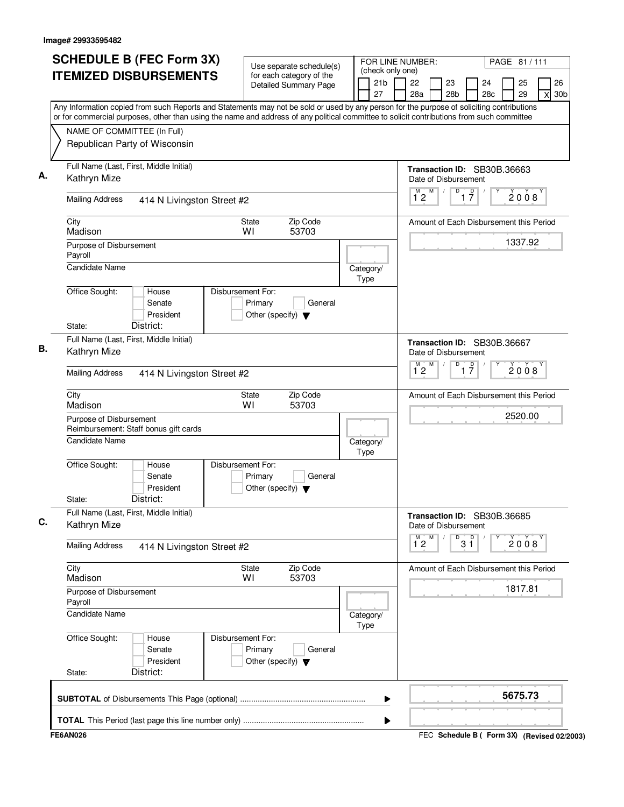| <b>SCHEDULE B (FEC Form 3X)</b>                                                                                                           | Use separate schedule(s)                                                        | FOR LINE NUMBER:                          |                                    | PAGE 81 / 111                                       |
|-------------------------------------------------------------------------------------------------------------------------------------------|---------------------------------------------------------------------------------|-------------------------------------------|------------------------------------|-----------------------------------------------------|
| <b>ITEMIZED DISBURSEMENTS</b>                                                                                                             | for each category of the<br><b>Detailed Summary Page</b>                        | (check only one)<br>21 <sub>b</sub><br>27 | 22<br>23<br>28a<br>28 <sub>b</sub> | 26<br>25<br>24<br>28c<br>29<br>30 <sub>b</sub><br>X |
| Any Information copied from such Reports and Statements may not be sold or used by any person for the purpose of soliciting contributions |                                                                                 |                                           |                                    |                                                     |
| or for commercial purposes, other than using the name and address of any political committee to solicit contributions from such committee |                                                                                 |                                           |                                    |                                                     |
| NAME OF COMMITTEE (In Full)                                                                                                               |                                                                                 |                                           |                                    |                                                     |
| Republican Party of Wisconsin                                                                                                             |                                                                                 |                                           |                                    |                                                     |
| Full Name (Last, First, Middle Initial)                                                                                                   |                                                                                 |                                           |                                    | Transaction ID: SB30B.36663                         |
| Kathryn Mize                                                                                                                              |                                                                                 |                                           | Date of Disbursement               |                                                     |
| <b>Mailing Address</b><br>414 N Livingston Street #2                                                                                      |                                                                                 |                                           | M<br>$\overline{1}^M$ 2            | $\overline{1}$ $\overline{7}$<br>D<br>2008          |
| City<br>Madison                                                                                                                           | Zip Code<br>State<br>WI<br>53703                                                |                                           |                                    | Amount of Each Disbursement this Period             |
| Purpose of Disbursement<br>Payroll                                                                                                        |                                                                                 |                                           |                                    | 1337.92                                             |
| <b>Candidate Name</b>                                                                                                                     |                                                                                 | Category/<br>Type                         |                                    |                                                     |
| Office Sought:<br>House                                                                                                                   | Disbursement For:                                                               |                                           |                                    |                                                     |
| Senate<br>President                                                                                                                       | Primary<br>General<br>Other (specify) $\blacktriangledown$                      |                                           |                                    |                                                     |
| District:<br>State:                                                                                                                       |                                                                                 |                                           |                                    |                                                     |
| Full Name (Last, First, Middle Initial)                                                                                                   |                                                                                 |                                           |                                    | Transaction ID: SB30B.36667                         |
| Kathryn Mize                                                                                                                              |                                                                                 |                                           | Date of Disbursement               |                                                     |
| <b>Mailing Address</b><br>414 N Livingston Street #2                                                                                      |                                                                                 |                                           | M<br>$\overline{1}^M$ 2            | D<br>$\overline{1}$ $\overline{7}$<br>2008          |
| City<br>Madison                                                                                                                           | Zip Code<br>State<br>WI<br>53703                                                |                                           |                                    | Amount of Each Disbursement this Period             |
| Purpose of Disbursement<br>Reimbursement: Staff bonus gift cards                                                                          |                                                                                 |                                           |                                    | 2520.00                                             |
| Candidate Name                                                                                                                            |                                                                                 | Category/<br>Type                         |                                    |                                                     |
| Office Sought:<br>House<br>Senate<br>President<br>District:<br>State:                                                                     | Disbursement For:<br>Primary<br>General<br>Other (specify) $\blacktriangledown$ |                                           |                                    |                                                     |
| Full Name (Last, First, Middle Initial)<br>Kathryn Mize                                                                                   |                                                                                 |                                           | Date of Disbursement               | Transaction ID: SB30B.36685                         |
| <b>Mailing Address</b><br>414 N Livingston Street #2                                                                                      |                                                                                 |                                           | M<br>м<br>$1^{\circ}2$             | 3 <sup>0</sup><br>D<br>2008                         |
| City<br>Madison                                                                                                                           | Zip Code<br>State<br>53703<br>W١                                                |                                           |                                    | Amount of Each Disbursement this Period             |
| Purpose of Disbursement<br>Payroll                                                                                                        |                                                                                 |                                           |                                    | 1817.81                                             |
| <b>Candidate Name</b>                                                                                                                     |                                                                                 | Category/<br>Type                         |                                    |                                                     |
| Office Sought:<br>House<br>Senate<br>President<br>District:<br>State:                                                                     | Disbursement For:<br>Primary<br>General<br>Other (specify) $\blacktriangledown$ |                                           |                                    |                                                     |
|                                                                                                                                           |                                                                                 | ▶                                         |                                    | 5675.73                                             |
|                                                                                                                                           |                                                                                 | ▶                                         |                                    |                                                     |
| <b>FE6AN026</b>                                                                                                                           |                                                                                 |                                           |                                    | FEC Schedule B ( Form 3X) (Revised 02/2003)         |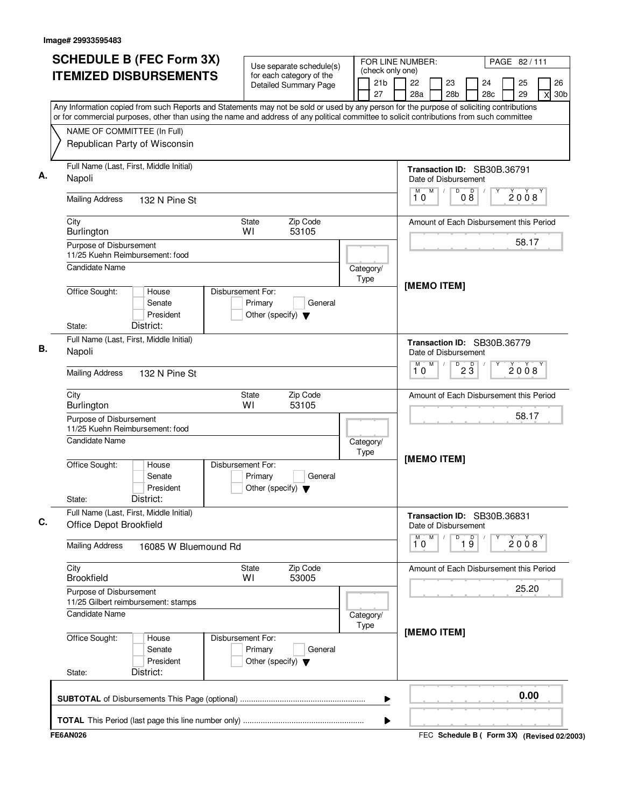| <b>SCHEDULE B (FEC Form 3X)</b>                                                                                                                                                                                                                                                        | Use separate schedule(s)                                                        | FOR LINE NUMBER:                          |                                                     | PAGE 82/111                                         |
|----------------------------------------------------------------------------------------------------------------------------------------------------------------------------------------------------------------------------------------------------------------------------------------|---------------------------------------------------------------------------------|-------------------------------------------|-----------------------------------------------------|-----------------------------------------------------|
| <b>ITEMIZED DISBURSEMENTS</b>                                                                                                                                                                                                                                                          | for each category of the<br><b>Detailed Summary Page</b>                        | (check only one)<br>21 <sub>b</sub><br>27 | 22<br>23<br>28a<br>28b                              | 25<br>26<br>24<br>28c<br>29<br>30 <sub>b</sub><br>X |
| Any Information copied from such Reports and Statements may not be sold or used by any person for the purpose of soliciting contributions<br>or for commercial purposes, other than using the name and address of any political committee to solicit contributions from such committee |                                                                                 |                                           |                                                     |                                                     |
| NAME OF COMMITTEE (In Full)                                                                                                                                                                                                                                                            |                                                                                 |                                           |                                                     |                                                     |
| Republican Party of Wisconsin                                                                                                                                                                                                                                                          |                                                                                 |                                           |                                                     |                                                     |
| Full Name (Last, First, Middle Initial)<br>Napoli                                                                                                                                                                                                                                      |                                                                                 |                                           | Transaction ID: SB30B.36791<br>Date of Disbursement |                                                     |
| <b>Mailing Address</b><br>132 N Pine St                                                                                                                                                                                                                                                |                                                                                 |                                           | M<br>D<br>D<br>08<br>10                             | 2008                                                |
| City<br>Burlington                                                                                                                                                                                                                                                                     | Zip Code<br><b>State</b><br>WI<br>53105                                         |                                           |                                                     | Amount of Each Disbursement this Period             |
| Purpose of Disbursement<br>11/25 Kuehn Reimbursement: food                                                                                                                                                                                                                             |                                                                                 |                                           |                                                     | 58.17                                               |
| Candidate Name                                                                                                                                                                                                                                                                         |                                                                                 | Category/<br>Type                         | [MEMO ITEM]                                         |                                                     |
| Office Sought:<br>House<br>Senate<br>President<br>District:<br>State:                                                                                                                                                                                                                  | Disbursement For:<br>Primary<br>General<br>Other (specify) $\blacktriangledown$ |                                           |                                                     |                                                     |
| Full Name (Last, First, Middle Initial)<br>Napoli                                                                                                                                                                                                                                      |                                                                                 |                                           | Transaction ID: SB30B.36779<br>Date of Disbursement |                                                     |
| <b>Mailing Address</b><br>132 N Pine St                                                                                                                                                                                                                                                |                                                                                 |                                           | M<br>M<br>D<br>$2\overline{3}$<br>10                | 2008                                                |
| City<br>Burlington                                                                                                                                                                                                                                                                     | Zip Code<br>State<br>WI<br>53105                                                |                                           |                                                     | Amount of Each Disbursement this Period             |
| Purpose of Disbursement<br>11/25 Kuehn Reimbursement: food                                                                                                                                                                                                                             |                                                                                 |                                           |                                                     | 58.17                                               |
| <b>Candidate Name</b>                                                                                                                                                                                                                                                                  |                                                                                 | Category/<br>Type                         |                                                     |                                                     |
| Office Sought:<br>House<br>Senate<br>President<br>District:<br>State:                                                                                                                                                                                                                  | Disbursement For:<br>Primary<br>General<br>Other (specify) $\blacktriangledown$ |                                           | [MEMO ITEM]                                         |                                                     |
| Full Name (Last, First, Middle Initial)<br>Office Depot Brookfield                                                                                                                                                                                                                     |                                                                                 |                                           | Transaction ID: SB30B.36831<br>Date of Disbursement |                                                     |
| <b>Mailing Address</b><br>16085 W Bluemound Rd                                                                                                                                                                                                                                         |                                                                                 |                                           | M<br>M<br>$\overline{19}$<br>D<br>10                | 2008                                                |
| City<br><b>Brookfield</b>                                                                                                                                                                                                                                                              | Zip Code<br>State<br>53005<br>WI                                                |                                           |                                                     | Amount of Each Disbursement this Period             |
| Purpose of Disbursement<br>11/25 Gilbert reimbursement: stamps                                                                                                                                                                                                                         |                                                                                 |                                           |                                                     | 25.20                                               |
| Candidate Name                                                                                                                                                                                                                                                                         |                                                                                 | Category/<br>Type                         | [MEMO ITEM]                                         |                                                     |
| Office Sought:<br>House<br>Senate<br>President<br>District:<br>State:                                                                                                                                                                                                                  | Disbursement For:<br>Primary<br>General<br>Other (specify) $\blacktriangledown$ |                                           |                                                     |                                                     |
|                                                                                                                                                                                                                                                                                        |                                                                                 | ▶                                         |                                                     | 0.00                                                |
|                                                                                                                                                                                                                                                                                        |                                                                                 | ▶                                         |                                                     |                                                     |
| <b>FE6AN026</b>                                                                                                                                                                                                                                                                        |                                                                                 |                                           |                                                     | FEC Schedule B ( Form 3X) (Revised 02/2003)         |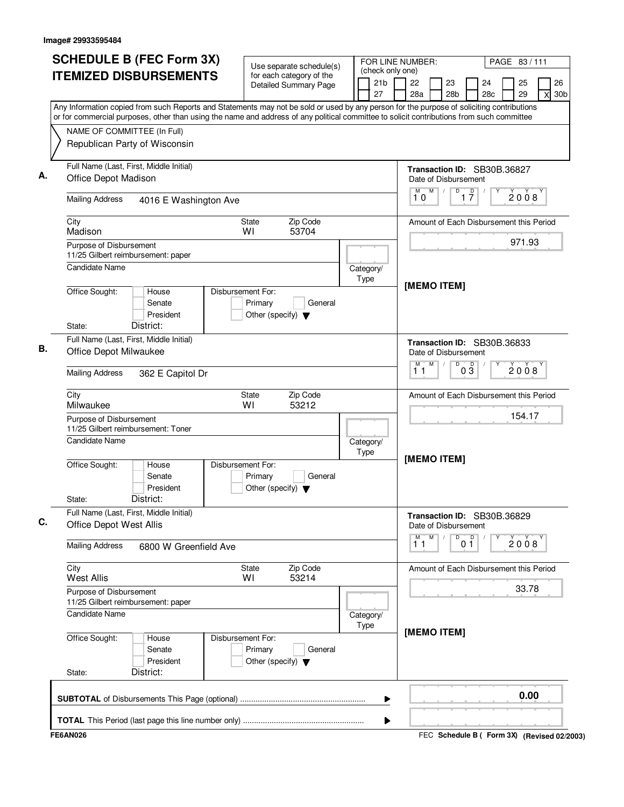| <b>SCHEDULE B (FEC Form 3X)</b><br><b>ITEMIZED DISBURSEMENTS</b>                                                                          | Use separate schedule(s)<br>for each category of the                            | (check only one)      | FOR LINE NUMBER:<br>PAGE 83/111                                                           |
|-------------------------------------------------------------------------------------------------------------------------------------------|---------------------------------------------------------------------------------|-----------------------|-------------------------------------------------------------------------------------------|
| Any Information copied from such Reports and Statements may not be sold or used by any person for the purpose of soliciting contributions | <b>Detailed Summary Page</b>                                                    | 21 <sub>b</sub><br>27 | 22<br>23<br>24<br>25<br>26<br>28 <sub>b</sub><br>28c<br>29<br>28a<br>30 <sub>b</sub><br>X |
| or for commercial purposes, other than using the name and address of any political committee to solicit contributions from such committee |                                                                                 |                       |                                                                                           |
| NAME OF COMMITTEE (In Full)<br>Republican Party of Wisconsin                                                                              |                                                                                 |                       |                                                                                           |
| Full Name (Last, First, Middle Initial)<br>Office Depot Madison                                                                           |                                                                                 |                       | Transaction ID: SB30B.36827<br>Date of Disbursement                                       |
| <b>Mailing Address</b><br>4016 E Washington Ave                                                                                           |                                                                                 |                       | M<br>$\overline{D}$<br>$1\overline{7}$<br>M<br>$\sqrt{2}$<br>2008<br>10                   |
| City<br>Madison                                                                                                                           | Zip Code<br>State<br>WI<br>53704                                                |                       | Amount of Each Disbursement this Period                                                   |
| Purpose of Disbursement<br>11/25 Gilbert reimbursement: paper                                                                             |                                                                                 |                       | 971.93                                                                                    |
| Candidate Name                                                                                                                            |                                                                                 | Category/<br>Type     | [MEMO ITEM]                                                                               |
| Office Sought:<br>House<br>Senate<br>President<br>District:<br>State:                                                                     | Disbursement For:<br>Primary<br>General<br>Other (specify) $\blacktriangledown$ |                       |                                                                                           |
| Full Name (Last, First, Middle Initial)<br>Office Depot Milwaukee                                                                         |                                                                                 |                       | Transaction ID: SB30B.36833<br>Date of Disbursement                                       |
| <b>Mailing Address</b><br>362 E Capitol Dr                                                                                                |                                                                                 |                       | M<br>D<br>$0\overline{3}$<br>м<br>2008<br>11                                              |
| City<br>Milwaukee                                                                                                                         | Zip Code<br>State<br>WI<br>53212                                                |                       | Amount of Each Disbursement this Period                                                   |
| Purpose of Disbursement<br>11/25 Gilbert reimbursement: Toner                                                                             |                                                                                 |                       | 154.17                                                                                    |
| <b>Candidate Name</b>                                                                                                                     |                                                                                 | Category/<br>Type     | [MEMO ITEM]                                                                               |
| Office Sought:<br>House<br>Senate<br>President<br>District:<br>State:                                                                     | Disbursement For:<br>Primary<br>General<br>Other (specify) $\blacktriangledown$ |                       |                                                                                           |
| Full Name (Last, First, Middle Initial)<br><b>Office Depot West Allis</b>                                                                 |                                                                                 |                       | Transaction ID: SB30B.36829<br>Date of Disbursement                                       |
| <b>Mailing Address</b><br>6800 W Greenfield Ave                                                                                           |                                                                                 |                       | 0 <sup>0</sup><br>M<br>M<br>D<br>2008<br>11                                               |
| City<br><b>West Allis</b>                                                                                                                 | State<br>Zip Code<br>WI<br>53214                                                |                       | Amount of Each Disbursement this Period                                                   |
| Purpose of Disbursement<br>11/25 Gilbert reimbursement: paper                                                                             |                                                                                 |                       | 33.78                                                                                     |
| <b>Candidate Name</b>                                                                                                                     |                                                                                 | Category/<br>Type     | [MEMO ITEM]                                                                               |
| Office Sought:<br>House<br>Senate<br>President<br>District:<br>State:                                                                     | Disbursement For:<br>Primary<br>General<br>Other (specify) $\blacktriangledown$ |                       |                                                                                           |
|                                                                                                                                           |                                                                                 | ▶                     | 0.00                                                                                      |
|                                                                                                                                           |                                                                                 | ▶                     |                                                                                           |
| <b>FE6AN026</b>                                                                                                                           |                                                                                 |                       | FEC Schedule B ( Form 3X) (Revised 02/2003)                                               |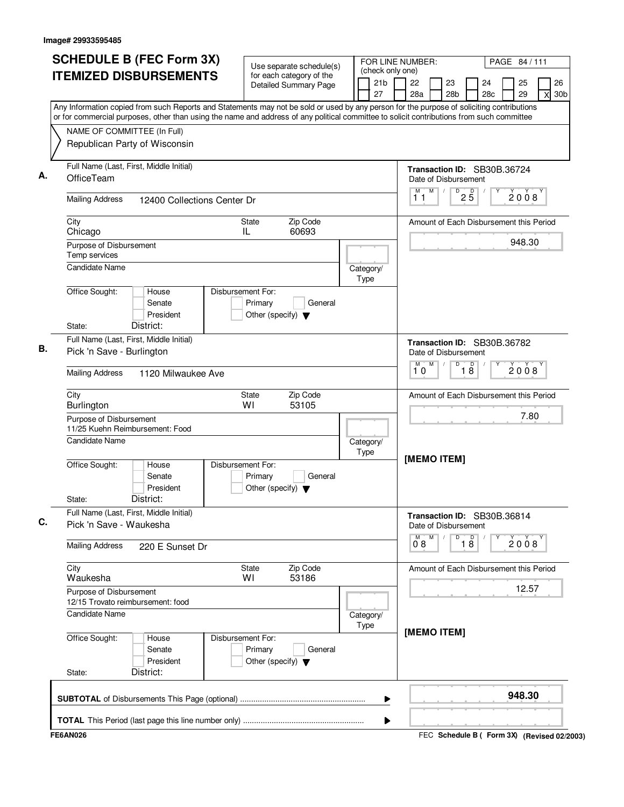| <b>SCHEDULE B (FEC Form 3X)</b>                                                                                                                                                                                                                                                        | Use separate schedule(s)                                                        | FOR LINE NUMBER:                          |                                | PAGE 84 / 111                                       |
|----------------------------------------------------------------------------------------------------------------------------------------------------------------------------------------------------------------------------------------------------------------------------------------|---------------------------------------------------------------------------------|-------------------------------------------|--------------------------------|-----------------------------------------------------|
| <b>ITEMIZED DISBURSEMENTS</b>                                                                                                                                                                                                                                                          | for each category of the<br>Detailed Summary Page                               | (check only one)<br>21 <sub>b</sub><br>27 | 22<br>23<br>28a<br>28b         | 25<br>26<br>24<br>28c<br>29<br>30 <sub>b</sub><br>X |
| Any Information copied from such Reports and Statements may not be sold or used by any person for the purpose of soliciting contributions<br>or for commercial purposes, other than using the name and address of any political committee to solicit contributions from such committee |                                                                                 |                                           |                                |                                                     |
| NAME OF COMMITTEE (In Full)                                                                                                                                                                                                                                                            |                                                                                 |                                           |                                |                                                     |
| Republican Party of Wisconsin                                                                                                                                                                                                                                                          |                                                                                 |                                           |                                |                                                     |
| Full Name (Last, First, Middle Initial)<br>OfficeTeam                                                                                                                                                                                                                                  |                                                                                 |                                           | Date of Disbursement           | Transaction ID: SB30B.36724                         |
| <b>Mailing Address</b><br>12400 Collections Center Dr                                                                                                                                                                                                                                  |                                                                                 |                                           | M<br>М<br>11                   | D<br>$2\overline{5}$<br>2008                        |
| City<br>Chicago                                                                                                                                                                                                                                                                        | Zip Code<br><b>State</b><br>60693<br>IL                                         |                                           |                                | Amount of Each Disbursement this Period             |
| Purpose of Disbursement<br>Temp services                                                                                                                                                                                                                                               |                                                                                 |                                           |                                | 948.30                                              |
| <b>Candidate Name</b>                                                                                                                                                                                                                                                                  |                                                                                 | Category/<br>Type                         |                                |                                                     |
| Office Sought:<br>House<br>Senate<br>President<br>District:<br>State:                                                                                                                                                                                                                  | Disbursement For:<br>Primary<br>General<br>Other (specify) $\blacktriangledown$ |                                           |                                |                                                     |
| Full Name (Last, First, Middle Initial)                                                                                                                                                                                                                                                |                                                                                 |                                           |                                |                                                     |
| Pick 'n Save - Burlington                                                                                                                                                                                                                                                              |                                                                                 |                                           | Date of Disbursement<br>M<br>M | Transaction ID: SB30B.36782<br>D                    |
| <b>Mailing Address</b><br>1120 Milwaukee Ave                                                                                                                                                                                                                                           |                                                                                 |                                           | 10                             | $\overline{18}$<br>2008                             |
| City<br>Burlington                                                                                                                                                                                                                                                                     | Zip Code<br>State<br>WI<br>53105                                                |                                           |                                | Amount of Each Disbursement this Period             |
| Purpose of Disbursement<br>11/25 Kuehn Reimbursement: Food                                                                                                                                                                                                                             |                                                                                 |                                           |                                | 7.80                                                |
| <b>Candidate Name</b>                                                                                                                                                                                                                                                                  |                                                                                 | Category/<br>Type                         |                                |                                                     |
| Office Sought:<br>House<br>Senate<br>President<br>District:<br>State:                                                                                                                                                                                                                  | Disbursement For:<br>Primary<br>General<br>Other (specify) $\blacktriangledown$ |                                           | [MEMO ITEM]                    |                                                     |
| Full Name (Last, First, Middle Initial)<br>Pick 'n Save - Waukesha                                                                                                                                                                                                                     |                                                                                 |                                           | Date of Disbursement           | Transaction ID: SB30B.36814                         |
| <b>Mailing Address</b><br>220 E Sunset Dr                                                                                                                                                                                                                                              |                                                                                 |                                           | M<br>$0^{\circ}$ 8             | D<br>$\overline{18}$<br>2008                        |
| City<br>Waukesha                                                                                                                                                                                                                                                                       | Zip Code<br>State<br>53186<br>WI                                                |                                           |                                | Amount of Each Disbursement this Period             |
| Purpose of Disbursement<br>12/15 Trovato reimbursement: food                                                                                                                                                                                                                           |                                                                                 |                                           |                                | 12.57                                               |
| <b>Candidate Name</b>                                                                                                                                                                                                                                                                  |                                                                                 | Category/<br>Type                         | [MEMO ITEM]                    |                                                     |
| Office Sought:<br>House<br>Senate<br>President<br>District:<br>State:                                                                                                                                                                                                                  | Disbursement For:<br>Primary<br>General<br>Other (specify) $\blacktriangledown$ |                                           |                                |                                                     |
|                                                                                                                                                                                                                                                                                        |                                                                                 | ▶                                         |                                | 948.30                                              |
|                                                                                                                                                                                                                                                                                        |                                                                                 | ▶                                         |                                |                                                     |
| <b>FE6AN026</b>                                                                                                                                                                                                                                                                        |                                                                                 |                                           |                                | FEC Schedule B ( Form 3X) (Revised 02/2003)         |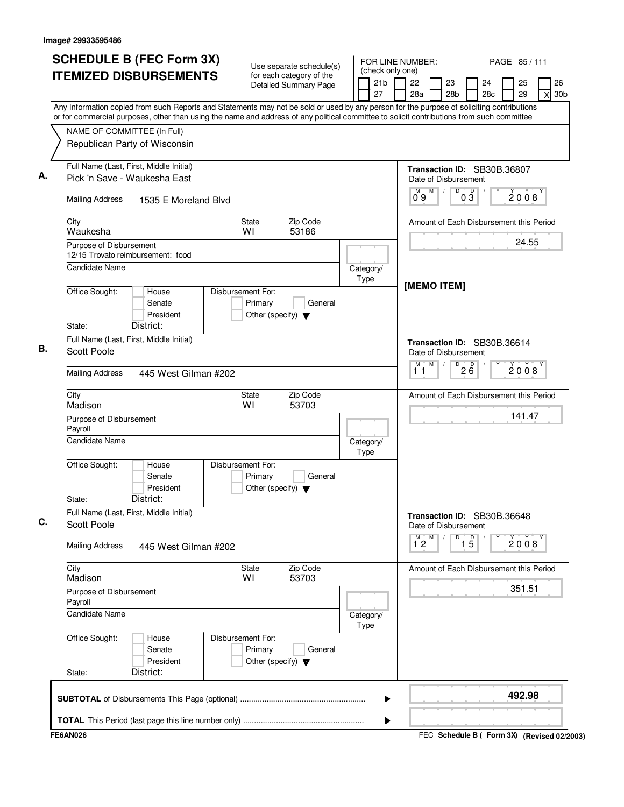| <b>SCHEDULE B (FEC Form 3X)</b>                                                                                                                                                                                                                                                        | Use separate schedule(s)                                                        | FOR LINE NUMBER:                          |                     |   |                                                     |                                 |           | PAGE 85/111 |          |   |                       |
|----------------------------------------------------------------------------------------------------------------------------------------------------------------------------------------------------------------------------------------------------------------------------------------|---------------------------------------------------------------------------------|-------------------------------------------|---------------------|---|-----------------------------------------------------|---------------------------------|-----------|-------------|----------|---|-----------------------|
| <b>ITEMIZED DISBURSEMENTS</b>                                                                                                                                                                                                                                                          | for each category of the<br><b>Detailed Summary Page</b>                        | (check only one)<br>21 <sub>b</sub><br>27 | 22<br>28a           |   | 23<br>28 <sub>b</sub>                               |                                 | 24<br>28c |             | 25<br>29 | X | 26<br>30 <sub>b</sub> |
| Any Information copied from such Reports and Statements may not be sold or used by any person for the purpose of soliciting contributions<br>or for commercial purposes, other than using the name and address of any political committee to solicit contributions from such committee |                                                                                 |                                           |                     |   |                                                     |                                 |           |             |          |   |                       |
| NAME OF COMMITTEE (In Full)<br>Republican Party of Wisconsin                                                                                                                                                                                                                           |                                                                                 |                                           |                     |   |                                                     |                                 |           |             |          |   |                       |
| Full Name (Last, First, Middle Initial)<br>Pick 'n Save - Waukesha East                                                                                                                                                                                                                |                                                                                 |                                           |                     |   | Transaction ID: SB30B.36807<br>Date of Disbursement |                                 |           |             |          |   |                       |
| <b>Mailing Address</b><br>1535 E Moreland Blvd                                                                                                                                                                                                                                         |                                                                                 |                                           | 09                  | M | D                                                   | $0\overline{3}$                 |           |             | 2008     |   |                       |
| City<br>Waukesha                                                                                                                                                                                                                                                                       | Zip Code<br><b>State</b><br>WI<br>53186                                         |                                           |                     |   | Amount of Each Disbursement this Period             |                                 |           |             |          |   |                       |
| Purpose of Disbursement<br>12/15 Trovato reimbursement: food                                                                                                                                                                                                                           |                                                                                 |                                           |                     |   |                                                     |                                 |           |             | 24.55    |   |                       |
| Candidate Name                                                                                                                                                                                                                                                                         |                                                                                 | Category/<br>Type                         |                     |   | [MEMO ITEM]                                         |                                 |           |             |          |   |                       |
| Office Sought:<br>House<br>Senate<br>President<br>District:<br>State:                                                                                                                                                                                                                  | Disbursement For:<br>Primary<br>General<br>Other (specify) $\blacktriangledown$ |                                           |                     |   |                                                     |                                 |           |             |          |   |                       |
| Full Name (Last, First, Middle Initial)<br>Scott Poole                                                                                                                                                                                                                                 |                                                                                 |                                           |                     |   | Transaction ID: SB30B.36614<br>Date of Disbursement |                                 |           |             |          |   |                       |
| <b>Mailing Address</b><br>445 West Gilman #202                                                                                                                                                                                                                                         |                                                                                 |                                           | M<br>11             | M |                                                     | $\overline{P}$ 2 $\overline{6}$ |           |             | 2008     |   |                       |
| City<br>Madison                                                                                                                                                                                                                                                                        | Zip Code<br>State<br>WI<br>53703                                                |                                           |                     |   | Amount of Each Disbursement this Period             |                                 |           |             |          |   |                       |
| Purpose of Disbursement<br>Payroll                                                                                                                                                                                                                                                     |                                                                                 |                                           |                     |   |                                                     |                                 |           |             | 141.47   |   |                       |
| <b>Candidate Name</b>                                                                                                                                                                                                                                                                  |                                                                                 | Category/<br>Type                         |                     |   |                                                     |                                 |           |             |          |   |                       |
| Office Sought:<br>House<br>Senate<br>President<br>District:<br>State:                                                                                                                                                                                                                  | Disbursement For:<br>Primary<br>General<br>Other (specify) $\blacktriangledown$ |                                           |                     |   |                                                     |                                 |           |             |          |   |                       |
| Full Name (Last, First, Middle Initial)<br><b>Scott Poole</b>                                                                                                                                                                                                                          |                                                                                 |                                           |                     |   | Transaction ID: SB30B.36648<br>Date of Disbursement |                                 |           |             |          |   |                       |
| <b>Mailing Address</b><br>445 West Gilman #202                                                                                                                                                                                                                                         |                                                                                 |                                           | м<br>$1^{\degree}2$ | Μ | D                                                   | $\overline{15}$                 |           |             | 2008     |   |                       |
| City<br>Madison                                                                                                                                                                                                                                                                        | Zip Code<br><b>State</b><br>WI<br>53703                                         |                                           |                     |   | Amount of Each Disbursement this Period             |                                 |           |             |          |   |                       |
| Purpose of Disbursement<br>Payroll                                                                                                                                                                                                                                                     |                                                                                 |                                           |                     |   |                                                     |                                 |           |             | 351.51   |   |                       |
| Candidate Name                                                                                                                                                                                                                                                                         |                                                                                 | Category/<br>Type                         |                     |   |                                                     |                                 |           |             |          |   |                       |
| Office Sought:<br>House<br>Senate<br>President<br>District:<br>State:                                                                                                                                                                                                                  | Disbursement For:<br>Primary<br>General<br>Other (specify) $\blacktriangledown$ |                                           |                     |   |                                                     |                                 |           |             |          |   |                       |
|                                                                                                                                                                                                                                                                                        |                                                                                 | ▶                                         |                     |   |                                                     |                                 |           |             | 492.98   |   |                       |
|                                                                                                                                                                                                                                                                                        |                                                                                 | ▶                                         |                     |   |                                                     |                                 |           |             |          |   |                       |
| <b>FE6AN026</b>                                                                                                                                                                                                                                                                        |                                                                                 |                                           |                     |   | FEC Schedule B ( Form 3X) (Revised 02/2003)         |                                 |           |             |          |   |                       |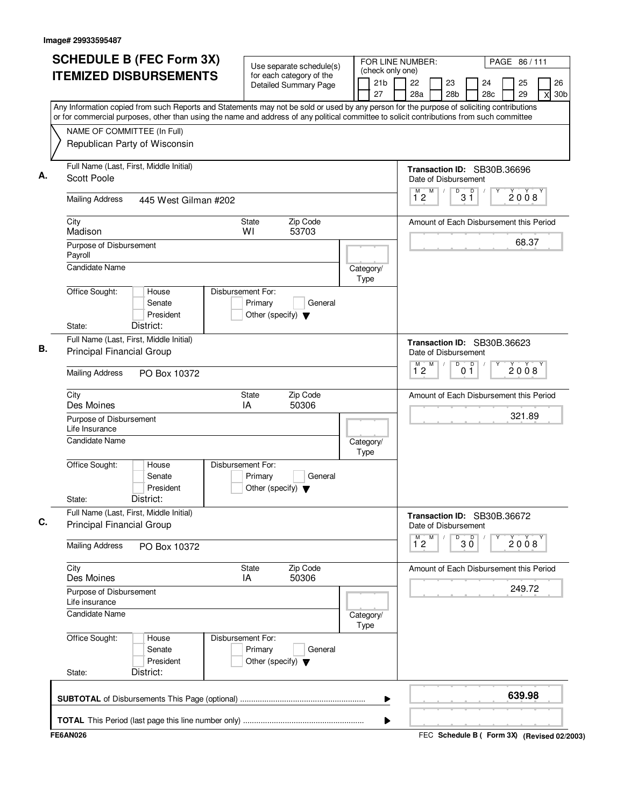| <b>SCHEDULE B (FEC Form 3X)</b>                                                                                                           | Use separate schedule(s)                                                        |                   | (check only one)      | FOR LINE NUMBER:     |   |                       |                     |                                         | PAGE 86/111 |   |
|-------------------------------------------------------------------------------------------------------------------------------------------|---------------------------------------------------------------------------------|-------------------|-----------------------|----------------------|---|-----------------------|---------------------|-----------------------------------------|-------------|---|
| <b>ITEMIZED DISBURSEMENTS</b>                                                                                                             | for each category of the<br><b>Detailed Summary Page</b>                        |                   | 21 <sub>b</sub><br>27 | 22<br>28a            |   | 23<br>28 <sub>b</sub> |                     | 24<br>28c                               | 25<br>29    | X |
| Any Information copied from such Reports and Statements may not be sold or used by any person for the purpose of soliciting contributions |                                                                                 |                   |                       |                      |   |                       |                     |                                         |             |   |
| or for commercial purposes, other than using the name and address of any political committee to solicit contributions from such committee |                                                                                 |                   |                       |                      |   |                       |                     |                                         |             |   |
| NAME OF COMMITTEE (In Full)                                                                                                               |                                                                                 |                   |                       |                      |   |                       |                     |                                         |             |   |
| Republican Party of Wisconsin                                                                                                             |                                                                                 |                   |                       |                      |   |                       |                     |                                         |             |   |
| Full Name (Last, First, Middle Initial)<br><b>Scott Poole</b>                                                                             |                                                                                 |                   |                       | Date of Disbursement |   |                       |                     | Transaction ID: SB30B.36696             |             |   |
| <b>Mailing Address</b><br>445 West Gilman #202                                                                                            |                                                                                 |                   |                       | $1^{\degree}2$       | M |                       | D<br>$3^{\circ}$    |                                         | 2008        |   |
| City<br>Madison                                                                                                                           | Zip Code<br><b>State</b><br>WI<br>53703                                         |                   |                       |                      |   |                       |                     | Amount of Each Disbursement this Period |             |   |
| Purpose of Disbursement<br>Payroll                                                                                                        |                                                                                 |                   |                       |                      |   |                       |                     |                                         | 68.37       |   |
| <b>Candidate Name</b>                                                                                                                     |                                                                                 | Category/<br>Type |                       |                      |   |                       |                     |                                         |             |   |
| Office Sought:<br>House<br>Senate<br>President                                                                                            | Disbursement For:<br>Primary<br>General<br>Other (specify) $\blacktriangledown$ |                   |                       |                      |   |                       |                     |                                         |             |   |
| District:<br>State:                                                                                                                       |                                                                                 |                   |                       |                      |   |                       |                     |                                         |             |   |
| Full Name (Last, First, Middle Initial)<br><b>Principal Financial Group</b>                                                               |                                                                                 |                   |                       | Date of Disbursement |   |                       |                     | Transaction ID: SB30B.36623             |             |   |
| <b>Mailing Address</b><br>PO Box 10372                                                                                                    |                                                                                 |                   |                       | M<br>$1^{\degree}2$  | M |                       | D<br>0 <sub>1</sub> | D                                       | 2008        |   |
| City<br>Des Moines                                                                                                                        | Zip Code<br><b>State</b><br>IA<br>50306                                         |                   |                       |                      |   |                       |                     | Amount of Each Disbursement this Period |             |   |
| Purpose of Disbursement<br>Life Insurance                                                                                                 |                                                                                 |                   |                       |                      |   |                       |                     |                                         | 321.89      |   |
| <b>Candidate Name</b>                                                                                                                     |                                                                                 | Category/<br>Type |                       |                      |   |                       |                     |                                         |             |   |
| Office Sought:<br>House<br>Senate<br>President<br>District:<br>State:                                                                     | Disbursement For:<br>Primary<br>General<br>Other (specify) $\blacktriangledown$ |                   |                       |                      |   |                       |                     |                                         |             |   |
| Full Name (Last, First, Middle Initial)                                                                                                   |                                                                                 |                   |                       |                      |   |                       |                     |                                         |             |   |
| <b>Principal Financial Group</b>                                                                                                          |                                                                                 |                   |                       | Date of Disbursement |   |                       |                     | Transaction ID: SB30B.36672             |             |   |
| <b>Mailing Address</b><br>PO Box 10372                                                                                                    |                                                                                 |                   |                       | M<br>$1^{\circ}2$    | M |                       | D<br>$30^{\circ}$   |                                         | 2008        |   |
| City<br>Des Moines                                                                                                                        | Zip Code<br>State<br>50306<br>IA                                                |                   |                       |                      |   |                       |                     | Amount of Each Disbursement this Period |             |   |
| Purpose of Disbursement<br>Life insurance                                                                                                 |                                                                                 |                   |                       |                      |   |                       |                     |                                         | 249.72      |   |
| <b>Candidate Name</b>                                                                                                                     |                                                                                 | Category/<br>Type |                       |                      |   |                       |                     |                                         |             |   |
| Office Sought:<br>House<br>Senate<br>President                                                                                            | Disbursement For:<br>Primary<br>General<br>Other (specify) $\blacktriangledown$ |                   |                       |                      |   |                       |                     |                                         |             |   |
| District:<br>State:                                                                                                                       |                                                                                 |                   |                       |                      |   |                       |                     |                                         |             |   |
|                                                                                                                                           |                                                                                 |                   | ▶                     |                      |   |                       |                     |                                         | 639.98      |   |
|                                                                                                                                           |                                                                                 |                   |                       |                      |   |                       |                     |                                         |             |   |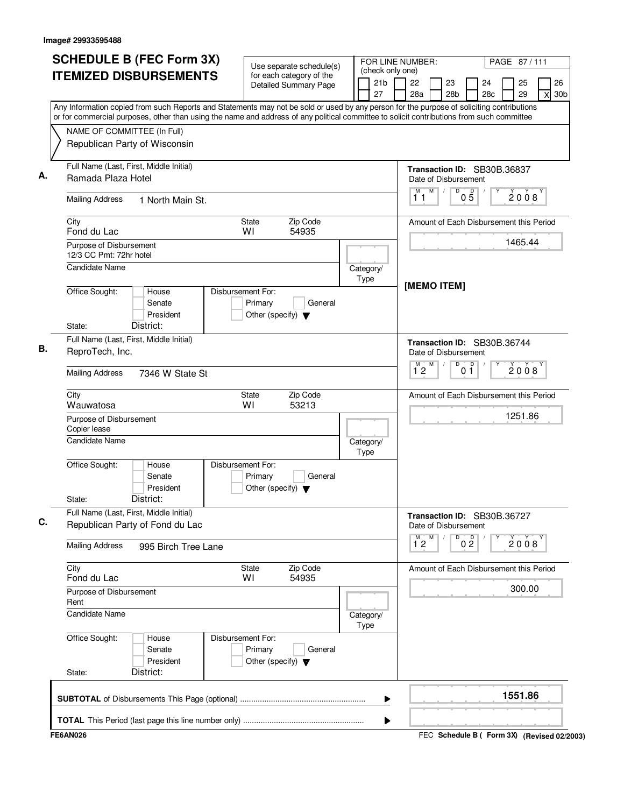| <b>SCHEDULE B (FEC Form 3X)</b>                                                                                                                                          | Use separate schedule(s)                                                        | FOR LINE NUMBER:                          |                                 | PAGE 87/111                                         |
|--------------------------------------------------------------------------------------------------------------------------------------------------------------------------|---------------------------------------------------------------------------------|-------------------------------------------|---------------------------------|-----------------------------------------------------|
| <b>ITEMIZED DISBURSEMENTS</b>                                                                                                                                            | for each category of the<br>Detailed Summary Page                               | (check only one)<br>21 <sub>b</sub><br>27 | 22<br>23<br>28a<br>28b          | 25<br>26<br>24<br>28c<br>29<br>30 <sub>b</sub><br>X |
| Any Information copied from such Reports and Statements may not be sold or used by any person for the purpose of soliciting contributions                                |                                                                                 |                                           |                                 |                                                     |
| or for commercial purposes, other than using the name and address of any political committee to solicit contributions from such committee<br>NAME OF COMMITTEE (In Full) |                                                                                 |                                           |                                 |                                                     |
| Republican Party of Wisconsin                                                                                                                                            |                                                                                 |                                           |                                 |                                                     |
| Full Name (Last, First, Middle Initial)<br>Ramada Plaza Hotel                                                                                                            |                                                                                 |                                           | Date of Disbursement            | Transaction ID: SB30B.36837                         |
| <b>Mailing Address</b><br>1 North Main St.                                                                                                                               |                                                                                 |                                           | M<br>М<br>D<br>11               | $0\overline{5}$<br>2008                             |
| City<br>Fond du Lac                                                                                                                                                      | Zip Code<br><b>State</b><br>54935<br>WI                                         |                                           |                                 | Amount of Each Disbursement this Period             |
| Purpose of Disbursement<br>12/3 CC Pmt: 72hr hotel                                                                                                                       |                                                                                 |                                           |                                 | 1465.44                                             |
| <b>Candidate Name</b>                                                                                                                                                    |                                                                                 | Category/<br>Type                         | [MEMO ITEM]                     |                                                     |
| Office Sought:<br>House<br>Senate<br>President<br>District:<br>State:                                                                                                    | Disbursement For:<br>Primary<br>General<br>Other (specify) $\blacktriangledown$ |                                           |                                 |                                                     |
| Full Name (Last, First, Middle Initial)                                                                                                                                  |                                                                                 |                                           |                                 | Transaction ID: SB30B.36744                         |
| ReproTech, Inc.                                                                                                                                                          |                                                                                 |                                           | Date of Disbursement            |                                                     |
| <b>Mailing Address</b><br>7346 W State St                                                                                                                                |                                                                                 |                                           | M<br>D<br>M <sup>-1</sup><br>12 | 0 <sup>0</sup><br>2008                              |
| City<br>Wauwatosa                                                                                                                                                        | Zip Code<br>State<br>WI<br>53213                                                |                                           |                                 | Amount of Each Disbursement this Period             |
| Purpose of Disbursement<br>Copier lease                                                                                                                                  |                                                                                 |                                           |                                 | 1251.86                                             |
| <b>Candidate Name</b>                                                                                                                                                    |                                                                                 | Category/<br>Type                         |                                 |                                                     |
| Office Sought:<br>House<br>Senate<br>President<br>District:<br>State:                                                                                                    | Disbursement For:<br>Primary<br>General<br>Other (specify) $\blacktriangledown$ |                                           |                                 |                                                     |
| Full Name (Last, First, Middle Initial)<br>Republican Party of Fond du Lac                                                                                               |                                                                                 |                                           | Date of Disbursement            | Transaction ID: SB30B.36727                         |
| <b>Mailing Address</b><br>995 Birch Tree Lane                                                                                                                            |                                                                                 |                                           | $\overline{1}^M$ 2<br>M<br>D    | 0 <sup>0</sup><br>2008                              |
| City<br>Fond du Lac                                                                                                                                                      | Zip Code<br><b>State</b><br>54935<br>WI                                         |                                           |                                 | Amount of Each Disbursement this Period             |
| Purpose of Disbursement<br>Rent                                                                                                                                          |                                                                                 |                                           |                                 | 300.00                                              |
| <b>Candidate Name</b>                                                                                                                                                    |                                                                                 | Category/<br>Type                         |                                 |                                                     |
| Office Sought:<br>House<br>Senate<br>President<br>District:<br>State:                                                                                                    | Disbursement For:<br>Primary<br>General<br>Other (specify) $\blacktriangledown$ |                                           |                                 |                                                     |
|                                                                                                                                                                          |                                                                                 | ▶                                         |                                 | 1551.86                                             |
|                                                                                                                                                                          |                                                                                 | ▶                                         |                                 |                                                     |
| <b>FE6AN026</b>                                                                                                                                                          |                                                                                 |                                           |                                 | FEC Schedule B ( Form 3X) (Revised 02/2003)         |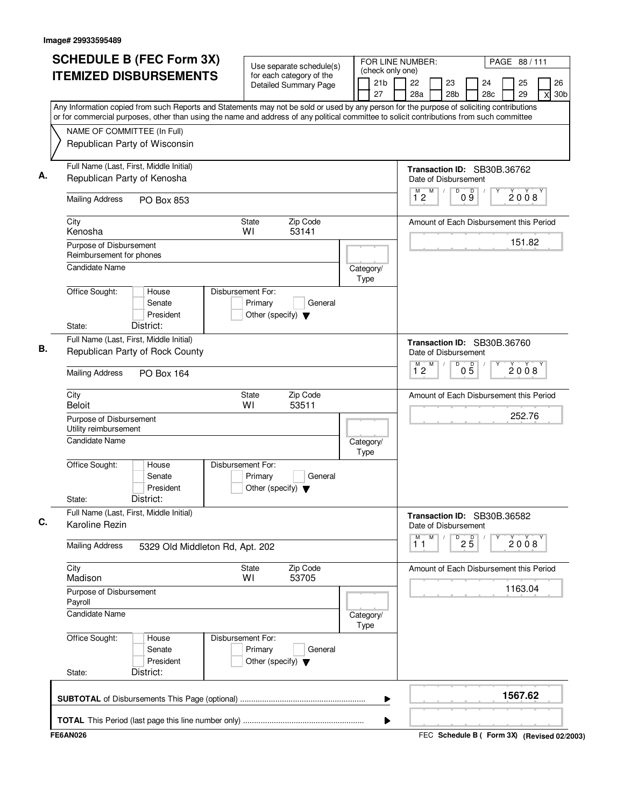| <b>SCHEDULE B (FEC Form 3X)</b>                                                                                                                                                                                                                                                        | Use separate schedule(s)                                                        | FOR LINE NUMBER:                          | PAGE 88/111                                                                               |
|----------------------------------------------------------------------------------------------------------------------------------------------------------------------------------------------------------------------------------------------------------------------------------------|---------------------------------------------------------------------------------|-------------------------------------------|-------------------------------------------------------------------------------------------|
| <b>ITEMIZED DISBURSEMENTS</b>                                                                                                                                                                                                                                                          | for each category of the<br><b>Detailed Summary Page</b>                        | (check only one)<br>21 <sub>b</sub><br>27 | 22<br>26<br>23<br>24<br>25<br>28a<br>28 <sub>b</sub><br>28c<br>29<br>30 <sub>b</sub><br>X |
| Any Information copied from such Reports and Statements may not be sold or used by any person for the purpose of soliciting contributions<br>or for commercial purposes, other than using the name and address of any political committee to solicit contributions from such committee |                                                                                 |                                           |                                                                                           |
| NAME OF COMMITTEE (In Full)                                                                                                                                                                                                                                                            |                                                                                 |                                           |                                                                                           |
| Republican Party of Wisconsin                                                                                                                                                                                                                                                          |                                                                                 |                                           |                                                                                           |
| Full Name (Last, First, Middle Initial)<br>Republican Party of Kenosha                                                                                                                                                                                                                 |                                                                                 |                                           | Transaction ID: SB30B.36762<br>Date of Disbursement                                       |
| <b>Mailing Address</b><br>PO Box 853                                                                                                                                                                                                                                                   |                                                                                 |                                           | M<br>M<br>D<br>09<br>2008<br>12                                                           |
| City<br>Kenosha                                                                                                                                                                                                                                                                        | Zip Code<br><b>State</b><br>WI<br>53141                                         |                                           | Amount of Each Disbursement this Period                                                   |
| Purpose of Disbursement<br>Reimbursement for phones                                                                                                                                                                                                                                    |                                                                                 |                                           | 151.82                                                                                    |
| <b>Candidate Name</b>                                                                                                                                                                                                                                                                  |                                                                                 | Category/<br>Type                         |                                                                                           |
| Office Sought:<br>House<br>Senate<br>President<br>District:<br>State:                                                                                                                                                                                                                  | Disbursement For:<br>Primary<br>General<br>Other (specify) $\blacktriangledown$ |                                           |                                                                                           |
| Full Name (Last, First, Middle Initial)                                                                                                                                                                                                                                                |                                                                                 |                                           |                                                                                           |
| Republican Party of Rock County                                                                                                                                                                                                                                                        |                                                                                 |                                           | Transaction ID: SB30B.36760<br>Date of Disbursement<br>M                                  |
| <b>Mailing Address</b><br><b>PO Box 164</b>                                                                                                                                                                                                                                            |                                                                                 |                                           | $\overline{1}^M$ 2<br>D<br>05<br>2008                                                     |
| City<br><b>Beloit</b>                                                                                                                                                                                                                                                                  | State<br>Zip Code<br>53511<br>WI                                                |                                           | Amount of Each Disbursement this Period                                                   |
| Purpose of Disbursement<br>Utility reimbursement                                                                                                                                                                                                                                       |                                                                                 |                                           | 252.76                                                                                    |
| <b>Candidate Name</b>                                                                                                                                                                                                                                                                  |                                                                                 | Category/<br>Type                         |                                                                                           |
| Office Sought:<br>House<br>Senate<br>President<br>District:<br>State:                                                                                                                                                                                                                  | Disbursement For:<br>Primary<br>General<br>Other (specify) $\blacktriangledown$ |                                           |                                                                                           |
| Full Name (Last, First, Middle Initial)<br>Karoline Rezin                                                                                                                                                                                                                              |                                                                                 |                                           | Transaction ID: SB30B.36582<br>Date of Disbursement                                       |
| <b>Mailing Address</b><br>5329 Old Middleton Rd, Apt. 202                                                                                                                                                                                                                              |                                                                                 |                                           | M<br>М<br>D<br>$2\overline{5}$<br>2008<br>11                                              |
| City<br>Madison                                                                                                                                                                                                                                                                        | Zip Code<br><b>State</b><br>53705<br>WI                                         |                                           | Amount of Each Disbursement this Period                                                   |
| Purpose of Disbursement<br>Payroll                                                                                                                                                                                                                                                     |                                                                                 |                                           | 1163.04                                                                                   |
| Candidate Name                                                                                                                                                                                                                                                                         |                                                                                 | Category/<br>Type                         |                                                                                           |
| Office Sought:<br>House<br>Senate<br>President<br>District:<br>State:                                                                                                                                                                                                                  | Disbursement For:<br>Primary<br>General<br>Other (specify) $\blacktriangledown$ |                                           |                                                                                           |
|                                                                                                                                                                                                                                                                                        |                                                                                 | ▶                                         | 1567.62                                                                                   |
|                                                                                                                                                                                                                                                                                        |                                                                                 | ▶                                         |                                                                                           |
| <b>FE6AN026</b>                                                                                                                                                                                                                                                                        |                                                                                 |                                           | FEC Schedule B ( Form 3X) (Revised 02/2003)                                               |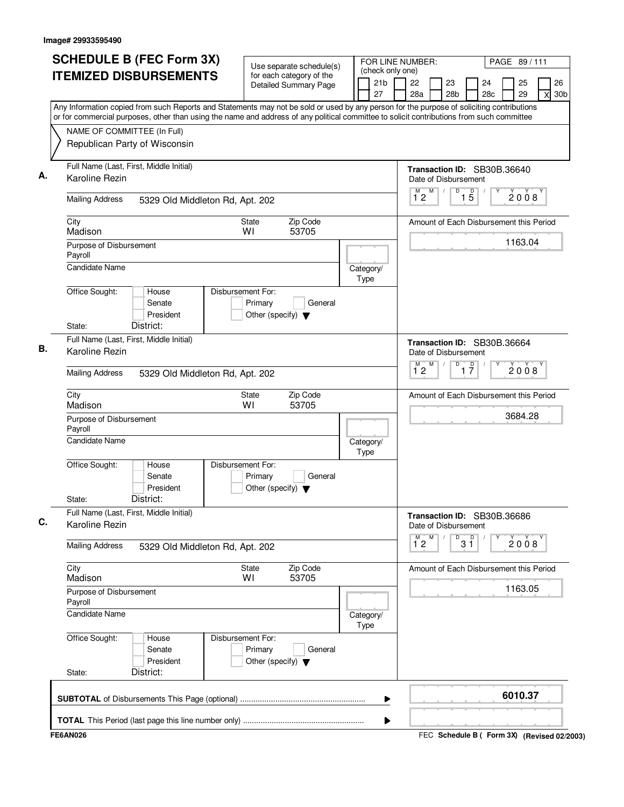| <b>SCHEDULE B (FEC Form 3X)</b>                                                                                                           | Use separate schedule(s)                                                        | FOR LINE NUMBER:                          |                                    |                                         | PAGE 89/111                                 |
|-------------------------------------------------------------------------------------------------------------------------------------------|---------------------------------------------------------------------------------|-------------------------------------------|------------------------------------|-----------------------------------------|---------------------------------------------|
| <b>ITEMIZED DISBURSEMENTS</b>                                                                                                             | for each category of the<br><b>Detailed Summary Page</b>                        | (check only one)<br>21 <sub>b</sub><br>27 | 22<br>23<br>28a<br>28 <sub>b</sub> | 24<br>28c                               | 26<br>25<br>29<br>30 <sub>b</sub><br>X      |
| Any Information copied from such Reports and Statements may not be sold or used by any person for the purpose of soliciting contributions |                                                                                 |                                           |                                    |                                         |                                             |
| or for commercial purposes, other than using the name and address of any political committee to solicit contributions from such committee |                                                                                 |                                           |                                    |                                         |                                             |
| NAME OF COMMITTEE (In Full)<br>Republican Party of Wisconsin                                                                              |                                                                                 |                                           |                                    |                                         |                                             |
| Full Name (Last, First, Middle Initial)                                                                                                   |                                                                                 |                                           |                                    | Transaction ID: SB30B.36640             |                                             |
| Karoline Rezin                                                                                                                            |                                                                                 |                                           | Date of Disbursement<br>M          | D                                       |                                             |
| <b>Mailing Address</b><br>5329 Old Middleton Rd, Apt. 202                                                                                 |                                                                                 |                                           | $\overline{1}^M$ 2                 | $1\overline{5}$                         | 2008                                        |
| City<br>Madison                                                                                                                           | Zip Code<br><b>State</b><br>53705<br>WI                                         |                                           |                                    | Amount of Each Disbursement this Period |                                             |
| Purpose of Disbursement<br>Payroll                                                                                                        |                                                                                 |                                           |                                    |                                         | 1163.04                                     |
| <b>Candidate Name</b>                                                                                                                     |                                                                                 | Category/<br>Type                         |                                    |                                         |                                             |
| Office Sought:<br>House<br>Senate<br>President<br>District:<br>State:                                                                     | Disbursement For:<br>Primary<br>General<br>Other (specify) $\blacktriangledown$ |                                           |                                    |                                         |                                             |
| Full Name (Last, First, Middle Initial)<br>Karoline Rezin                                                                                 |                                                                                 |                                           | Date of Disbursement               | Transaction ID: SB30B.36664             |                                             |
| <b>Mailing Address</b><br>5329 Old Middleton Rd, Apt. 202                                                                                 |                                                                                 |                                           | M<br>$\overline{1}^M$ 2            | D<br>$\overline{1}$ $\overline{7}$      | 2008                                        |
| City                                                                                                                                      | Zip Code<br><b>State</b>                                                        |                                           |                                    | Amount of Each Disbursement this Period |                                             |
| Madison<br>Purpose of Disbursement                                                                                                        | WI<br>53705                                                                     |                                           |                                    |                                         | 3684.28                                     |
| Payroll<br><b>Candidate Name</b>                                                                                                          |                                                                                 | Category/                                 |                                    |                                         |                                             |
| Office Sought:<br>House<br>Senate<br>President<br>District:<br>State:                                                                     | Disbursement For:<br>Primary<br>General<br>Other (specify) $\blacktriangledown$ | Type                                      |                                    |                                         |                                             |
| Full Name (Last, First, Middle Initial)<br>Karoline Rezin                                                                                 |                                                                                 |                                           | Date of Disbursement               | Transaction ID: SB30B.36686             |                                             |
| <b>Mailing Address</b><br>5329 Old Middleton Rd, Apt. 202                                                                                 |                                                                                 |                                           | M<br>м<br>$1^{\degree}2$           | 3 <sup>0</sup><br>D                     | 2008                                        |
| City<br>Madison                                                                                                                           | Zip Code<br><b>State</b><br>53705<br>W١                                         |                                           |                                    | Amount of Each Disbursement this Period |                                             |
| Purpose of Disbursement<br>Payroll                                                                                                        |                                                                                 |                                           |                                    |                                         | 1163.05                                     |
| Candidate Name                                                                                                                            |                                                                                 | Category/<br>Type                         |                                    |                                         |                                             |
| Office Sought:<br>House<br>Senate<br>President<br>District:<br>State:                                                                     | Disbursement For:<br>Primary<br>General<br>Other (specify) $\blacktriangledown$ |                                           |                                    |                                         |                                             |
|                                                                                                                                           |                                                                                 | ▶                                         |                                    |                                         | 6010.37                                     |
|                                                                                                                                           |                                                                                 | ▶                                         |                                    |                                         |                                             |
| <b>FE6AN026</b>                                                                                                                           |                                                                                 |                                           |                                    |                                         | FEC Schedule B ( Form 3X) (Revised 02/2003) |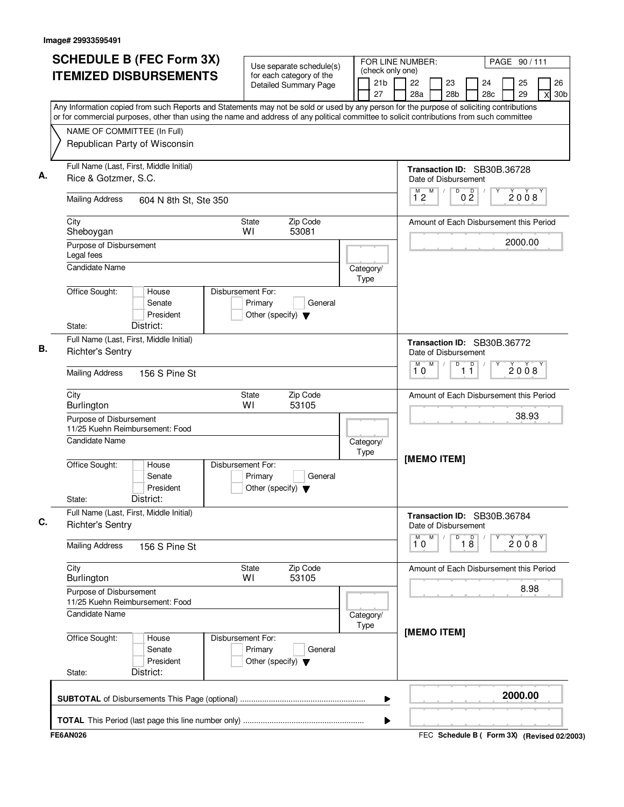| Use separate schedule(s)<br>(check only one)<br><b>ITEMIZED DISBURSEMENTS</b><br>for each category of the<br>21b<br>22<br>23<br><b>Detailed Summary Page</b><br>27<br>28a<br>28 <sub>b</sub><br>Any Information copied from such Reports and Statements may not be sold or used by any person for the purpose of soliciting contributions<br>or for commercial purposes, other than using the name and address of any political committee to solicit contributions from such committee<br>NAME OF COMMITTEE (In Full)<br>Republican Party of Wisconsin<br>Full Name (Last, First, Middle Initial)<br>Rice & Gotzmer, S.C.<br>Date of Disbursement<br>M<br>$\overline{D}$<br>$\overline{1}^M$ 2<br><b>Mailing Address</b><br>604 N 8th St, Ste 350<br>Zip Code<br>City<br>State<br>WI<br>53081<br>Sheboygan<br>Purpose of Disbursement<br>Legal fees<br><b>Candidate Name</b><br>Category/<br>Type<br>Office Sought:<br>Disbursement For:<br>House<br>Senate<br>Primary<br>General<br>President<br>Other (specify) $\blacktriangledown$<br>District:<br>State:<br>Full Name (Last, First, Middle Initial)<br><b>Richter's Sentry</b><br>Date of Disbursement<br>M<br>D<br>М<br>10<br><b>Mailing Address</b><br>156 S Pine St<br>Zip Code<br>City<br>State<br>WI<br>53105<br><b>Burlington</b><br>Purpose of Disbursement<br>11/25 Kuehn Reimbursement: Food<br>Candidate Name<br>Category/<br>Type<br>[MEMO ITEM]<br>Office Sought:<br>House<br>Disbursement For:<br>Senate<br>Primary<br>General<br>President<br>Other (specify) $\blacktriangledown$<br>District:<br>State:<br>Full Name (Last, First, Middle Initial)<br><b>Richter's Sentry</b><br>Date of Disbursement<br>М<br>M<br>D<br>10<br><b>Mailing Address</b><br>156 S Pine St<br>City<br>Zip Code<br>State<br>53105<br><b>Burlington</b><br>W١<br>Purpose of Disbursement<br>11/25 Kuehn Reimbursement: Food | PAGE 90/111                                         |
|---------------------------------------------------------------------------------------------------------------------------------------------------------------------------------------------------------------------------------------------------------------------------------------------------------------------------------------------------------------------------------------------------------------------------------------------------------------------------------------------------------------------------------------------------------------------------------------------------------------------------------------------------------------------------------------------------------------------------------------------------------------------------------------------------------------------------------------------------------------------------------------------------------------------------------------------------------------------------------------------------------------------------------------------------------------------------------------------------------------------------------------------------------------------------------------------------------------------------------------------------------------------------------------------------------------------------------------------------------------------------------------------------------------------------------------------------------------------------------------------------------------------------------------------------------------------------------------------------------------------------------------------------------------------------------------------------------------------------------------------------------------------------------------------------------------------------------------------------------------------------|-----------------------------------------------------|
|                                                                                                                                                                                                                                                                                                                                                                                                                                                                                                                                                                                                                                                                                                                                                                                                                                                                                                                                                                                                                                                                                                                                                                                                                                                                                                                                                                                                                                                                                                                                                                                                                                                                                                                                                                                                                                                                           | 26<br>24<br>25<br>28c<br>29<br>30 <sub>b</sub><br>X |
|                                                                                                                                                                                                                                                                                                                                                                                                                                                                                                                                                                                                                                                                                                                                                                                                                                                                                                                                                                                                                                                                                                                                                                                                                                                                                                                                                                                                                                                                                                                                                                                                                                                                                                                                                                                                                                                                           |                                                     |
|                                                                                                                                                                                                                                                                                                                                                                                                                                                                                                                                                                                                                                                                                                                                                                                                                                                                                                                                                                                                                                                                                                                                                                                                                                                                                                                                                                                                                                                                                                                                                                                                                                                                                                                                                                                                                                                                           |                                                     |
|                                                                                                                                                                                                                                                                                                                                                                                                                                                                                                                                                                                                                                                                                                                                                                                                                                                                                                                                                                                                                                                                                                                                                                                                                                                                                                                                                                                                                                                                                                                                                                                                                                                                                                                                                                                                                                                                           | Transaction ID: SB30B.36728                         |
|                                                                                                                                                                                                                                                                                                                                                                                                                                                                                                                                                                                                                                                                                                                                                                                                                                                                                                                                                                                                                                                                                                                                                                                                                                                                                                                                                                                                                                                                                                                                                                                                                                                                                                                                                                                                                                                                           | 0 <sup>0</sup><br>2008                              |
|                                                                                                                                                                                                                                                                                                                                                                                                                                                                                                                                                                                                                                                                                                                                                                                                                                                                                                                                                                                                                                                                                                                                                                                                                                                                                                                                                                                                                                                                                                                                                                                                                                                                                                                                                                                                                                                                           | Amount of Each Disbursement this Period             |
|                                                                                                                                                                                                                                                                                                                                                                                                                                                                                                                                                                                                                                                                                                                                                                                                                                                                                                                                                                                                                                                                                                                                                                                                                                                                                                                                                                                                                                                                                                                                                                                                                                                                                                                                                                                                                                                                           | 2000.00                                             |
|                                                                                                                                                                                                                                                                                                                                                                                                                                                                                                                                                                                                                                                                                                                                                                                                                                                                                                                                                                                                                                                                                                                                                                                                                                                                                                                                                                                                                                                                                                                                                                                                                                                                                                                                                                                                                                                                           |                                                     |
|                                                                                                                                                                                                                                                                                                                                                                                                                                                                                                                                                                                                                                                                                                                                                                                                                                                                                                                                                                                                                                                                                                                                                                                                                                                                                                                                                                                                                                                                                                                                                                                                                                                                                                                                                                                                                                                                           |                                                     |
|                                                                                                                                                                                                                                                                                                                                                                                                                                                                                                                                                                                                                                                                                                                                                                                                                                                                                                                                                                                                                                                                                                                                                                                                                                                                                                                                                                                                                                                                                                                                                                                                                                                                                                                                                                                                                                                                           | Transaction ID: SB30B.36772                         |
|                                                                                                                                                                                                                                                                                                                                                                                                                                                                                                                                                                                                                                                                                                                                                                                                                                                                                                                                                                                                                                                                                                                                                                                                                                                                                                                                                                                                                                                                                                                                                                                                                                                                                                                                                                                                                                                                           | $\Box$<br>2008<br>11                                |
|                                                                                                                                                                                                                                                                                                                                                                                                                                                                                                                                                                                                                                                                                                                                                                                                                                                                                                                                                                                                                                                                                                                                                                                                                                                                                                                                                                                                                                                                                                                                                                                                                                                                                                                                                                                                                                                                           | Amount of Each Disbursement this Period             |
|                                                                                                                                                                                                                                                                                                                                                                                                                                                                                                                                                                                                                                                                                                                                                                                                                                                                                                                                                                                                                                                                                                                                                                                                                                                                                                                                                                                                                                                                                                                                                                                                                                                                                                                                                                                                                                                                           | 38.93                                               |
|                                                                                                                                                                                                                                                                                                                                                                                                                                                                                                                                                                                                                                                                                                                                                                                                                                                                                                                                                                                                                                                                                                                                                                                                                                                                                                                                                                                                                                                                                                                                                                                                                                                                                                                                                                                                                                                                           |                                                     |
|                                                                                                                                                                                                                                                                                                                                                                                                                                                                                                                                                                                                                                                                                                                                                                                                                                                                                                                                                                                                                                                                                                                                                                                                                                                                                                                                                                                                                                                                                                                                                                                                                                                                                                                                                                                                                                                                           |                                                     |
|                                                                                                                                                                                                                                                                                                                                                                                                                                                                                                                                                                                                                                                                                                                                                                                                                                                                                                                                                                                                                                                                                                                                                                                                                                                                                                                                                                                                                                                                                                                                                                                                                                                                                                                                                                                                                                                                           | Transaction ID: SB30B.36784                         |
|                                                                                                                                                                                                                                                                                                                                                                                                                                                                                                                                                                                                                                                                                                                                                                                                                                                                                                                                                                                                                                                                                                                                                                                                                                                                                                                                                                                                                                                                                                                                                                                                                                                                                                                                                                                                                                                                           | $\overline{18}$<br>2008                             |
|                                                                                                                                                                                                                                                                                                                                                                                                                                                                                                                                                                                                                                                                                                                                                                                                                                                                                                                                                                                                                                                                                                                                                                                                                                                                                                                                                                                                                                                                                                                                                                                                                                                                                                                                                                                                                                                                           | Amount of Each Disbursement this Period             |
|                                                                                                                                                                                                                                                                                                                                                                                                                                                                                                                                                                                                                                                                                                                                                                                                                                                                                                                                                                                                                                                                                                                                                                                                                                                                                                                                                                                                                                                                                                                                                                                                                                                                                                                                                                                                                                                                           | 8.98                                                |
| <b>Candidate Name</b><br>Category/<br>Type<br>[MEMO ITEM]                                                                                                                                                                                                                                                                                                                                                                                                                                                                                                                                                                                                                                                                                                                                                                                                                                                                                                                                                                                                                                                                                                                                                                                                                                                                                                                                                                                                                                                                                                                                                                                                                                                                                                                                                                                                                 |                                                     |
| Office Sought:<br>Disbursement For:<br>House<br>Primary<br>Senate<br>General<br>President<br>Other (specify) $\blacktriangledown$<br>District:<br>State:                                                                                                                                                                                                                                                                                                                                                                                                                                                                                                                                                                                                                                                                                                                                                                                                                                                                                                                                                                                                                                                                                                                                                                                                                                                                                                                                                                                                                                                                                                                                                                                                                                                                                                                  |                                                     |
| ▶                                                                                                                                                                                                                                                                                                                                                                                                                                                                                                                                                                                                                                                                                                                                                                                                                                                                                                                                                                                                                                                                                                                                                                                                                                                                                                                                                                                                                                                                                                                                                                                                                                                                                                                                                                                                                                                                         | 2000.00                                             |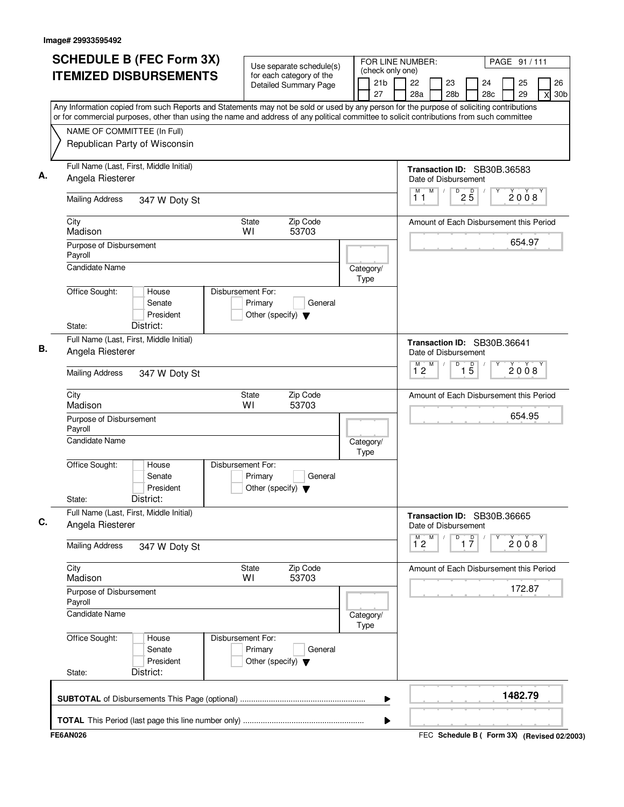| <b>SCHEDULE B (FEC Form 3X)</b>                                                                                                           | Use separate schedule(s)                                                        |                          | (check only one)      | FOR LINE NUMBER:     |   |                       |                                    |                                                     |     | PAGE 91 / 111 |   |
|-------------------------------------------------------------------------------------------------------------------------------------------|---------------------------------------------------------------------------------|--------------------------|-----------------------|----------------------|---|-----------------------|------------------------------------|-----------------------------------------------------|-----|---------------|---|
| <b>ITEMIZED DISBURSEMENTS</b>                                                                                                             | for each category of the<br><b>Detailed Summary Page</b>                        |                          | 21 <sub>b</sub><br>27 | 22<br>28a            |   | 23<br>28 <sub>b</sub> |                                    | 24                                                  | 28c | 25<br>29      | X |
| Any Information copied from such Reports and Statements may not be sold or used by any person for the purpose of soliciting contributions |                                                                                 |                          |                       |                      |   |                       |                                    |                                                     |     |               |   |
| or for commercial purposes, other than using the name and address of any political committee to solicit contributions from such committee |                                                                                 |                          |                       |                      |   |                       |                                    |                                                     |     |               |   |
| NAME OF COMMITTEE (In Full)<br>Republican Party of Wisconsin                                                                              |                                                                                 |                          |                       |                      |   |                       |                                    |                                                     |     |               |   |
|                                                                                                                                           |                                                                                 |                          |                       |                      |   |                       |                                    |                                                     |     |               |   |
| Full Name (Last, First, Middle Initial)<br>Angela Riesterer                                                                               |                                                                                 |                          |                       | Date of Disbursement |   |                       |                                    | Transaction ID: SB30B.36583                         |     |               |   |
| <b>Mailing Address</b><br>347 W Doty St                                                                                                   |                                                                                 |                          |                       | М<br>11              | M |                       | $D$ <sub>2</sub> $B$               |                                                     |     | 2008          |   |
| City<br>Madison                                                                                                                           | <b>State</b><br>Zip Code<br>WI<br>53703                                         |                          |                       |                      |   |                       |                                    | Amount of Each Disbursement this Period             |     |               |   |
| Purpose of Disbursement<br>Payroll                                                                                                        |                                                                                 |                          |                       |                      |   |                       |                                    |                                                     |     | 654.97        |   |
| <b>Candidate Name</b>                                                                                                                     |                                                                                 | Category/<br>Type        |                       |                      |   |                       |                                    |                                                     |     |               |   |
| Office Sought:<br>House<br>Senate<br>President                                                                                            | Disbursement For:<br>Primary<br>General<br>Other (specify) $\blacktriangledown$ |                          |                       |                      |   |                       |                                    |                                                     |     |               |   |
| District:<br>State:                                                                                                                       |                                                                                 |                          |                       |                      |   |                       |                                    |                                                     |     |               |   |
| Full Name (Last, First, Middle Initial)<br>Angela Riesterer                                                                               |                                                                                 |                          |                       |                      |   |                       |                                    | Transaction ID: SB30B.36641<br>Date of Disbursement |     |               |   |
| <b>Mailing Address</b><br>347 W Doty St                                                                                                   |                                                                                 |                          |                       | M<br>$1^{\degree}2$  | M |                       | D<br>$\overline{15}$               |                                                     |     | 2008          |   |
| City<br>Madison                                                                                                                           | Zip Code<br><b>State</b><br>WI<br>53703                                         |                          |                       |                      |   |                       |                                    | Amount of Each Disbursement this Period             |     |               |   |
| Purpose of Disbursement<br>Payroll                                                                                                        |                                                                                 |                          |                       |                      |   |                       |                                    |                                                     |     | 654.95        |   |
| Candidate Name                                                                                                                            |                                                                                 | Category/<br><b>Type</b> |                       |                      |   |                       |                                    |                                                     |     |               |   |
| Office Sought:<br>House<br>Senate<br>President<br>District:<br>State:                                                                     | Disbursement For:<br>Primary<br>General<br>Other (specify) $\blacktriangledown$ |                          |                       |                      |   |                       |                                    |                                                     |     |               |   |
| Full Name (Last, First, Middle Initial)<br>Angela Riesterer                                                                               |                                                                                 |                          |                       | Date of Disbursement |   |                       |                                    | Transaction ID: SB30B.36665                         |     |               |   |
| <b>Mailing Address</b><br>347 W Doty St                                                                                                   |                                                                                 |                          |                       | $1^{\circ}2$         | M |                       | D<br>$\overline{1}$ $\overline{7}$ |                                                     |     | 2008          |   |
| City<br>Madison                                                                                                                           | Zip Code<br>State<br>53703<br>WI                                                |                          |                       |                      |   |                       |                                    | Amount of Each Disbursement this Period             |     |               |   |
| Purpose of Disbursement<br>Payroll                                                                                                        |                                                                                 |                          |                       |                      |   |                       |                                    |                                                     |     | 172.87        |   |
| <b>Candidate Name</b>                                                                                                                     |                                                                                 | Category/<br>Type        |                       |                      |   |                       |                                    |                                                     |     |               |   |
| Office Sought:<br>House<br>Senate<br>President<br>District:                                                                               | Disbursement For:<br>Primary<br>General<br>Other (specify) $\blacktriangledown$ |                          |                       |                      |   |                       |                                    |                                                     |     |               |   |
| State:                                                                                                                                    |                                                                                 |                          |                       |                      |   |                       |                                    |                                                     |     |               |   |
|                                                                                                                                           |                                                                                 |                          |                       |                      |   |                       |                                    |                                                     |     | 1482.79       |   |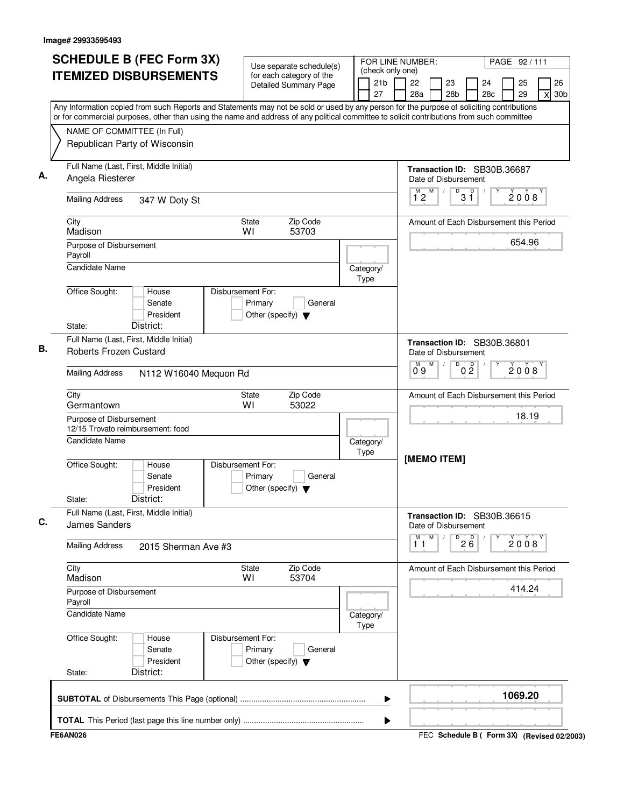| Use separate schedule(s)<br>(check only one)<br><b>ITEMIZED DISBURSEMENTS</b><br>for each category of the<br>21 <sub>b</sub><br>22<br>23<br>24<br><b>Detailed Summary Page</b><br>27<br>28a<br>28 <sub>b</sub><br>28c<br>Any Information copied from such Reports and Statements may not be sold or used by any person for the purpose of soliciting contributions<br>or for commercial purposes, other than using the name and address of any political committee to solicit contributions from such committee<br>NAME OF COMMITTEE (In Full)<br>Republican Party of Wisconsin<br>Full Name (Last, First, Middle Initial)<br>Transaction ID: SB30B.36687<br>Angela Riesterer<br>Date of Disbursement<br>M<br>$\overline{D}$<br>$\overline{D}$<br>M)<br>3 ĭ<br>12<br><b>Mailing Address</b><br>347 W Doty St<br>City<br>Zip Code<br><b>State</b><br>Amount of Each Disbursement this Period<br>WI<br>53703<br>Madison<br>Purpose of Disbursement<br>Payroll<br><b>Candidate Name</b><br>Category/<br>Type<br>Office Sought:<br>Disbursement For:<br>House<br>Primary<br>Senate<br>General<br>President<br>Other (specify) $\blacktriangledown$<br>District:<br>State:<br>Full Name (Last, First, Middle Initial)<br>Transaction ID: SB30B.36801<br>Roberts Frozen Custard<br>Date of Disbursement<br>M<br>D<br>0 <sup>0</sup><br>09<br><b>Mailing Address</b><br>N112 W16040 Mequon Rd<br>City<br>Zip Code<br><b>State</b><br>Amount of Each Disbursement this Period<br>WI<br>53022<br>Germantown<br>Purpose of Disbursement<br>12/15 Trovato reimbursement: food<br><b>Candidate Name</b><br>Category/<br>Type<br>[MEMO ITEM]<br>Office Sought:<br>Disbursement For:<br>House<br>Senate<br>Primary<br>General<br>President<br>Other (specify) $\blacktriangledown$<br>District:<br>State:<br>Full Name (Last, First, Middle Initial)<br>Transaction ID: SB30B.36615<br><b>James Sanders</b><br>Date of Disbursement<br>M<br>M<br>$2\overline{6}$<br>D<br>11<br><b>Mailing Address</b><br>2015 Sherman Ave #3 | 26<br>25<br>29<br>30 <sub>b</sub><br>X<br>2008<br>654.96 |
|----------------------------------------------------------------------------------------------------------------------------------------------------------------------------------------------------------------------------------------------------------------------------------------------------------------------------------------------------------------------------------------------------------------------------------------------------------------------------------------------------------------------------------------------------------------------------------------------------------------------------------------------------------------------------------------------------------------------------------------------------------------------------------------------------------------------------------------------------------------------------------------------------------------------------------------------------------------------------------------------------------------------------------------------------------------------------------------------------------------------------------------------------------------------------------------------------------------------------------------------------------------------------------------------------------------------------------------------------------------------------------------------------------------------------------------------------------------------------------------------------------------------------------------------------------------------------------------------------------------------------------------------------------------------------------------------------------------------------------------------------------------------------------------------------------------------------------------------------------------------------------------------------------------------------------------------------------------------------------------------------------------|----------------------------------------------------------|
|                                                                                                                                                                                                                                                                                                                                                                                                                                                                                                                                                                                                                                                                                                                                                                                                                                                                                                                                                                                                                                                                                                                                                                                                                                                                                                                                                                                                                                                                                                                                                                                                                                                                                                                                                                                                                                                                                                                                                                                                                |                                                          |
|                                                                                                                                                                                                                                                                                                                                                                                                                                                                                                                                                                                                                                                                                                                                                                                                                                                                                                                                                                                                                                                                                                                                                                                                                                                                                                                                                                                                                                                                                                                                                                                                                                                                                                                                                                                                                                                                                                                                                                                                                |                                                          |
|                                                                                                                                                                                                                                                                                                                                                                                                                                                                                                                                                                                                                                                                                                                                                                                                                                                                                                                                                                                                                                                                                                                                                                                                                                                                                                                                                                                                                                                                                                                                                                                                                                                                                                                                                                                                                                                                                                                                                                                                                |                                                          |
|                                                                                                                                                                                                                                                                                                                                                                                                                                                                                                                                                                                                                                                                                                                                                                                                                                                                                                                                                                                                                                                                                                                                                                                                                                                                                                                                                                                                                                                                                                                                                                                                                                                                                                                                                                                                                                                                                                                                                                                                                |                                                          |
|                                                                                                                                                                                                                                                                                                                                                                                                                                                                                                                                                                                                                                                                                                                                                                                                                                                                                                                                                                                                                                                                                                                                                                                                                                                                                                                                                                                                                                                                                                                                                                                                                                                                                                                                                                                                                                                                                                                                                                                                                |                                                          |
|                                                                                                                                                                                                                                                                                                                                                                                                                                                                                                                                                                                                                                                                                                                                                                                                                                                                                                                                                                                                                                                                                                                                                                                                                                                                                                                                                                                                                                                                                                                                                                                                                                                                                                                                                                                                                                                                                                                                                                                                                |                                                          |
|                                                                                                                                                                                                                                                                                                                                                                                                                                                                                                                                                                                                                                                                                                                                                                                                                                                                                                                                                                                                                                                                                                                                                                                                                                                                                                                                                                                                                                                                                                                                                                                                                                                                                                                                                                                                                                                                                                                                                                                                                |                                                          |
|                                                                                                                                                                                                                                                                                                                                                                                                                                                                                                                                                                                                                                                                                                                                                                                                                                                                                                                                                                                                                                                                                                                                                                                                                                                                                                                                                                                                                                                                                                                                                                                                                                                                                                                                                                                                                                                                                                                                                                                                                |                                                          |
|                                                                                                                                                                                                                                                                                                                                                                                                                                                                                                                                                                                                                                                                                                                                                                                                                                                                                                                                                                                                                                                                                                                                                                                                                                                                                                                                                                                                                                                                                                                                                                                                                                                                                                                                                                                                                                                                                                                                                                                                                |                                                          |
|                                                                                                                                                                                                                                                                                                                                                                                                                                                                                                                                                                                                                                                                                                                                                                                                                                                                                                                                                                                                                                                                                                                                                                                                                                                                                                                                                                                                                                                                                                                                                                                                                                                                                                                                                                                                                                                                                                                                                                                                                |                                                          |
|                                                                                                                                                                                                                                                                                                                                                                                                                                                                                                                                                                                                                                                                                                                                                                                                                                                                                                                                                                                                                                                                                                                                                                                                                                                                                                                                                                                                                                                                                                                                                                                                                                                                                                                                                                                                                                                                                                                                                                                                                | 2008                                                     |
|                                                                                                                                                                                                                                                                                                                                                                                                                                                                                                                                                                                                                                                                                                                                                                                                                                                                                                                                                                                                                                                                                                                                                                                                                                                                                                                                                                                                                                                                                                                                                                                                                                                                                                                                                                                                                                                                                                                                                                                                                |                                                          |
|                                                                                                                                                                                                                                                                                                                                                                                                                                                                                                                                                                                                                                                                                                                                                                                                                                                                                                                                                                                                                                                                                                                                                                                                                                                                                                                                                                                                                                                                                                                                                                                                                                                                                                                                                                                                                                                                                                                                                                                                                | 18.19                                                    |
|                                                                                                                                                                                                                                                                                                                                                                                                                                                                                                                                                                                                                                                                                                                                                                                                                                                                                                                                                                                                                                                                                                                                                                                                                                                                                                                                                                                                                                                                                                                                                                                                                                                                                                                                                                                                                                                                                                                                                                                                                |                                                          |
|                                                                                                                                                                                                                                                                                                                                                                                                                                                                                                                                                                                                                                                                                                                                                                                                                                                                                                                                                                                                                                                                                                                                                                                                                                                                                                                                                                                                                                                                                                                                                                                                                                                                                                                                                                                                                                                                                                                                                                                                                |                                                          |
|                                                                                                                                                                                                                                                                                                                                                                                                                                                                                                                                                                                                                                                                                                                                                                                                                                                                                                                                                                                                                                                                                                                                                                                                                                                                                                                                                                                                                                                                                                                                                                                                                                                                                                                                                                                                                                                                                                                                                                                                                |                                                          |
|                                                                                                                                                                                                                                                                                                                                                                                                                                                                                                                                                                                                                                                                                                                                                                                                                                                                                                                                                                                                                                                                                                                                                                                                                                                                                                                                                                                                                                                                                                                                                                                                                                                                                                                                                                                                                                                                                                                                                                                                                | 2008                                                     |
| City<br>Zip Code<br>Amount of Each Disbursement this Period<br>State<br>Madison<br>WI<br>53704                                                                                                                                                                                                                                                                                                                                                                                                                                                                                                                                                                                                                                                                                                                                                                                                                                                                                                                                                                                                                                                                                                                                                                                                                                                                                                                                                                                                                                                                                                                                                                                                                                                                                                                                                                                                                                                                                                                 |                                                          |
| Purpose of Disbursement<br>Payroll                                                                                                                                                                                                                                                                                                                                                                                                                                                                                                                                                                                                                                                                                                                                                                                                                                                                                                                                                                                                                                                                                                                                                                                                                                                                                                                                                                                                                                                                                                                                                                                                                                                                                                                                                                                                                                                                                                                                                                             | 414.24                                                   |
| Candidate Name<br>Category/<br>Type                                                                                                                                                                                                                                                                                                                                                                                                                                                                                                                                                                                                                                                                                                                                                                                                                                                                                                                                                                                                                                                                                                                                                                                                                                                                                                                                                                                                                                                                                                                                                                                                                                                                                                                                                                                                                                                                                                                                                                            |                                                          |
| Office Sought:<br>Disbursement For:<br>House<br>Primary<br>Senate<br>General<br>President<br>Other (specify) $\blacktriangledown$<br>District:<br>State:                                                                                                                                                                                                                                                                                                                                                                                                                                                                                                                                                                                                                                                                                                                                                                                                                                                                                                                                                                                                                                                                                                                                                                                                                                                                                                                                                                                                                                                                                                                                                                                                                                                                                                                                                                                                                                                       |                                                          |
| ▶                                                                                                                                                                                                                                                                                                                                                                                                                                                                                                                                                                                                                                                                                                                                                                                                                                                                                                                                                                                                                                                                                                                                                                                                                                                                                                                                                                                                                                                                                                                                                                                                                                                                                                                                                                                                                                                                                                                                                                                                              |                                                          |
| ▶                                                                                                                                                                                                                                                                                                                                                                                                                                                                                                                                                                                                                                                                                                                                                                                                                                                                                                                                                                                                                                                                                                                                                                                                                                                                                                                                                                                                                                                                                                                                                                                                                                                                                                                                                                                                                                                                                                                                                                                                              | 1069.20                                                  |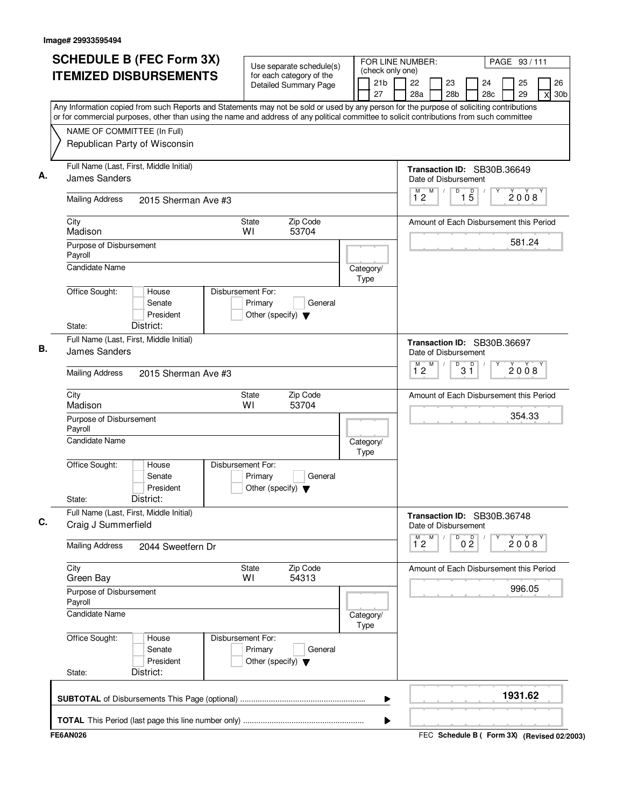| <b>SCHEDULE B (FEC Form 3X)</b>                                                                                                                                                                                                                                                        | Use separate schedule(s)                                                        |                                           | FOR LINE NUMBER:                                    |                      |           | PAGE 93/111 |                            |
|----------------------------------------------------------------------------------------------------------------------------------------------------------------------------------------------------------------------------------------------------------------------------------------|---------------------------------------------------------------------------------|-------------------------------------------|-----------------------------------------------------|----------------------|-----------|-------------|----------------------------|
| <b>ITEMIZED DISBURSEMENTS</b>                                                                                                                                                                                                                                                          | for each category of the<br><b>Detailed Summary Page</b>                        | (check only one)<br>21 <sub>b</sub><br>27 | 22<br>23<br>28a                                     | 28 <sub>b</sub>      | 24<br>28c | 25<br>29    | 26<br>30 <sub>b</sub><br>X |
| Any Information copied from such Reports and Statements may not be sold or used by any person for the purpose of soliciting contributions<br>or for commercial purposes, other than using the name and address of any political committee to solicit contributions from such committee |                                                                                 |                                           |                                                     |                      |           |             |                            |
| NAME OF COMMITTEE (In Full)<br>Republican Party of Wisconsin                                                                                                                                                                                                                           |                                                                                 |                                           |                                                     |                      |           |             |                            |
| Full Name (Last, First, Middle Initial)<br>James Sanders                                                                                                                                                                                                                               |                                                                                 |                                           | Transaction ID: SB30B.36649<br>Date of Disbursement |                      |           |             |                            |
| <b>Mailing Address</b><br>2015 Sherman Ave #3                                                                                                                                                                                                                                          |                                                                                 |                                           | M<br>$\overline{1}^M$ 2                             | $1\overline{5}$<br>D |           | 2008        |                            |
| City<br>Madison                                                                                                                                                                                                                                                                        | Zip Code<br><b>State</b><br>WI<br>53704                                         |                                           | Amount of Each Disbursement this Period             |                      |           |             |                            |
| Purpose of Disbursement<br>Payroll<br><b>Candidate Name</b>                                                                                                                                                                                                                            |                                                                                 | Category/                                 |                                                     |                      |           | 581.24      |                            |
| Office Sought:<br>House<br>Senate<br>President<br>District:<br>State:                                                                                                                                                                                                                  | Disbursement For:<br>Primary<br>General<br>Other (specify) $\blacktriangledown$ | Type                                      |                                                     |                      |           |             |                            |
| Full Name (Last, First, Middle Initial)<br>James Sanders                                                                                                                                                                                                                               |                                                                                 |                                           | Transaction ID: SB30B.36697<br>Date of Disbursement |                      |           |             |                            |
| <b>Mailing Address</b><br>2015 Sherman Ave #3                                                                                                                                                                                                                                          |                                                                                 |                                           | M<br>$\overline{1}^M$ 2                             | D<br>$3^{\circ}$     |           | 2008        |                            |
| City<br>Madison                                                                                                                                                                                                                                                                        | Zip Code<br><b>State</b><br>WI<br>53704                                         |                                           | Amount of Each Disbursement this Period             |                      |           |             |                            |
| Purpose of Disbursement<br>Payroll                                                                                                                                                                                                                                                     |                                                                                 |                                           |                                                     |                      |           | 354.33      |                            |
| <b>Candidate Name</b>                                                                                                                                                                                                                                                                  |                                                                                 | Category/<br>Type                         |                                                     |                      |           |             |                            |
| Office Sought:<br>House<br>Senate<br>President<br>District:<br>State:                                                                                                                                                                                                                  | Disbursement For:<br>Primary<br>General<br>Other (specify) $\blacktriangledown$ |                                           |                                                     |                      |           |             |                            |
| Full Name (Last, First, Middle Initial)<br>Craig J Summerfield                                                                                                                                                                                                                         |                                                                                 |                                           | Transaction ID: SB30B.36748<br>Date of Disbursement |                      |           |             |                            |
| <b>Mailing Address</b><br>2044 Sweetfern Dr                                                                                                                                                                                                                                            |                                                                                 |                                           | M<br>M<br>$1^{\degree}2$                            | 0 <sup>0</sup><br>D  |           | 2008        |                            |
| City<br>Green Bay                                                                                                                                                                                                                                                                      | Zip Code<br>State<br>54313<br>WI                                                |                                           | Amount of Each Disbursement this Period             |                      |           |             |                            |
| Purpose of Disbursement<br>Payroll                                                                                                                                                                                                                                                     |                                                                                 |                                           |                                                     |                      |           | 996.05      |                            |
| <b>Candidate Name</b>                                                                                                                                                                                                                                                                  |                                                                                 | Category/<br>Type                         |                                                     |                      |           |             |                            |
| Office Sought:<br>House<br>Senate<br>President<br>District:<br>State:                                                                                                                                                                                                                  | Disbursement For:<br>Primary<br>General<br>Other (specify) $\blacktriangledown$ |                                           |                                                     |                      |           |             |                            |
|                                                                                                                                                                                                                                                                                        |                                                                                 | ▶                                         |                                                     |                      |           | 1931.62     |                            |
|                                                                                                                                                                                                                                                                                        |                                                                                 | ▶                                         |                                                     |                      |           |             |                            |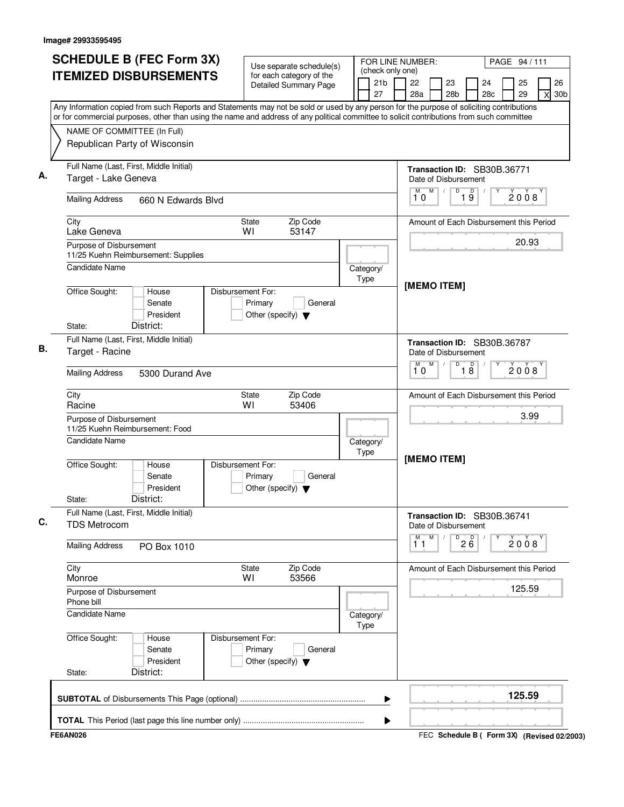| <b>SCHEDULE B (FEC Form 3X)</b>                                                                                                                                          | Use separate schedule(s)                                                        |                                           | FOR LINE NUMBER:<br>PAGE 94/111                                                           |
|--------------------------------------------------------------------------------------------------------------------------------------------------------------------------|---------------------------------------------------------------------------------|-------------------------------------------|-------------------------------------------------------------------------------------------|
| <b>ITEMIZED DISBURSEMENTS</b>                                                                                                                                            | for each category of the<br><b>Detailed Summary Page</b>                        | (check only one)<br>21 <sub>b</sub><br>27 | 26<br>22<br>23<br>25<br>24<br>28c<br>29<br>30 <sub>b</sub><br>28a<br>28 <sub>b</sub><br>X |
| Any Information copied from such Reports and Statements may not be sold or used by any person for the purpose of soliciting contributions                                |                                                                                 |                                           |                                                                                           |
| or for commercial purposes, other than using the name and address of any political committee to solicit contributions from such committee<br>NAME OF COMMITTEE (In Full) |                                                                                 |                                           |                                                                                           |
| Republican Party of Wisconsin                                                                                                                                            |                                                                                 |                                           |                                                                                           |
| Full Name (Last, First, Middle Initial)<br>Target - Lake Geneva                                                                                                          |                                                                                 |                                           | Transaction ID: SB30B.36771<br>Date of Disbursement                                       |
| <b>Mailing Address</b><br>660 N Edwards Blvd                                                                                                                             |                                                                                 |                                           | M<br>$\overline{D}$<br>D<br>2008<br>$1\overline{9}$<br>10                                 |
| City<br>Lake Geneva                                                                                                                                                      | Zip Code<br><b>State</b><br>53147<br>WI                                         |                                           | Amount of Each Disbursement this Period                                                   |
| Purpose of Disbursement<br>11/25 Kuehn Reimbursement: Supplies                                                                                                           |                                                                                 |                                           | 20.93                                                                                     |
| <b>Candidate Name</b>                                                                                                                                                    |                                                                                 | Category/<br>Type                         | [MEMO ITEM]                                                                               |
| Office Sought:<br>House<br>Senate<br>President<br>District:<br>State:                                                                                                    | Disbursement For:<br>Primary<br>General<br>Other (specify) $\blacktriangledown$ |                                           |                                                                                           |
| Full Name (Last, First, Middle Initial)<br>Target - Racine                                                                                                               |                                                                                 |                                           | Transaction ID: SB30B.36787<br>Date of Disbursement                                       |
| <b>Mailing Address</b><br>5300 Durand Ave                                                                                                                                |                                                                                 |                                           | M<br>D<br>$\overline{18}$<br>М<br>2008<br>10                                              |
| City<br>Racine                                                                                                                                                           | Zip Code<br><b>State</b><br>WI<br>53406                                         |                                           | Amount of Each Disbursement this Period                                                   |
| Purpose of Disbursement<br>11/25 Kuehn Reimbursement: Food                                                                                                               |                                                                                 |                                           | 3.99                                                                                      |
| Candidate Name                                                                                                                                                           |                                                                                 | Category/<br>Type                         | [MEMO ITEM]                                                                               |
| Office Sought:<br>House<br>Senate<br>President<br>District:<br>State:                                                                                                    | Disbursement For:<br>Primary<br>General<br>Other (specify) $\blacktriangledown$ |                                           |                                                                                           |
| Full Name (Last, First, Middle Initial)<br><b>TDS Metrocom</b>                                                                                                           |                                                                                 |                                           | Transaction ID: SB30B.36741<br>Date of Disbursement                                       |
| <b>Mailing Address</b><br>PO Box 1010                                                                                                                                    |                                                                                 |                                           | M<br>M<br>D<br>26<br>2008<br>11                                                           |
| City<br>Monroe                                                                                                                                                           | Zip Code<br><b>State</b><br>53566<br>WI                                         |                                           | Amount of Each Disbursement this Period                                                   |
| Purpose of Disbursement<br>Phone bill                                                                                                                                    |                                                                                 |                                           | 125.59                                                                                    |
| <b>Candidate Name</b>                                                                                                                                                    |                                                                                 | Category/<br>Type                         |                                                                                           |
| Office Sought:<br>House<br>Senate<br>President<br>District:<br>State:                                                                                                    | Disbursement For:<br>Primary<br>General<br>Other (specify) $\blacktriangledown$ |                                           |                                                                                           |
|                                                                                                                                                                          |                                                                                 | ▶                                         | 125.59                                                                                    |
|                                                                                                                                                                          |                                                                                 | ▶                                         |                                                                                           |
| <b>FE6AN026</b>                                                                                                                                                          |                                                                                 |                                           | FEC Schedule B ( Form 3X) (Revised 02/2003)                                               |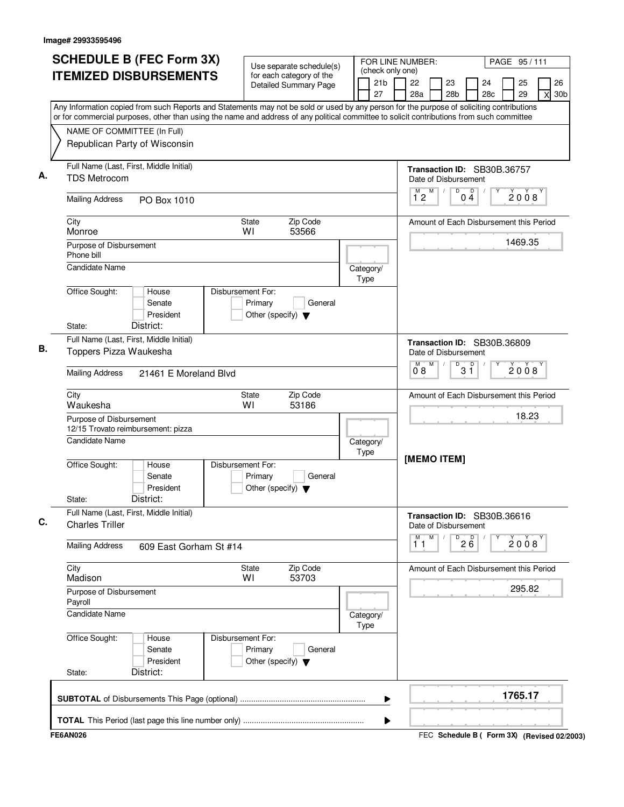| Use separate schedule(s)<br>(check only one)<br><b>ITEMIZED DISBURSEMENTS</b><br>for each category of the<br>21 <sub>b</sub><br>22<br>23<br><b>Detailed Summary Page</b><br>27<br>28a<br>28 <sub>b</sub><br>Any Information copied from such Reports and Statements may not be sold or used by any person for the purpose of soliciting contributions<br>or for commercial purposes, other than using the name and address of any political committee to solicit contributions from such committee<br>NAME OF COMMITTEE (In Full)<br>Republican Party of Wisconsin<br>Full Name (Last, First, Middle Initial)<br>Transaction ID: SB30B.36757<br><b>TDS Metrocom</b><br>Date of Disbursement<br>M<br>$\overline{D}$<br>$\overline{D}$<br>M)<br>12<br>04<br><b>Mailing Address</b><br>PO Box 1010<br>Zip Code<br>City<br><b>State</b><br>Amount of Each Disbursement this Period<br>WI<br>53566<br>Monroe<br>Purpose of Disbursement<br>Phone bill<br><b>Candidate Name</b><br>Category/<br>Type<br>Office Sought:<br>Disbursement For:<br>House<br>Senate<br>Primary<br>General<br>President<br>Other (specify) $\blacktriangledown$<br>District:<br>State:<br>Full Name (Last, First, Middle Initial)<br>Transaction ID: SB30B.36809<br>Toppers Pizza Waukesha<br>Date of Disbursement<br>M<br>$3^{\circ}$<br>D<br>0.8<br><b>Mailing Address</b><br>21461 E Moreland Blvd<br>Zip Code<br>City<br><b>State</b><br>Amount of Each Disbursement this Period<br>WI<br>53186<br>Waukesha | PAGE 95/111                                         |
|-------------------------------------------------------------------------------------------------------------------------------------------------------------------------------------------------------------------------------------------------------------------------------------------------------------------------------------------------------------------------------------------------------------------------------------------------------------------------------------------------------------------------------------------------------------------------------------------------------------------------------------------------------------------------------------------------------------------------------------------------------------------------------------------------------------------------------------------------------------------------------------------------------------------------------------------------------------------------------------------------------------------------------------------------------------------------------------------------------------------------------------------------------------------------------------------------------------------------------------------------------------------------------------------------------------------------------------------------------------------------------------------------------------------------------------------------------------------------------------|-----------------------------------------------------|
|                                                                                                                                                                                                                                                                                                                                                                                                                                                                                                                                                                                                                                                                                                                                                                                                                                                                                                                                                                                                                                                                                                                                                                                                                                                                                                                                                                                                                                                                                     | 26<br>24<br>25<br>28c<br>29<br>30 <sub>b</sub><br>X |
|                                                                                                                                                                                                                                                                                                                                                                                                                                                                                                                                                                                                                                                                                                                                                                                                                                                                                                                                                                                                                                                                                                                                                                                                                                                                                                                                                                                                                                                                                     |                                                     |
|                                                                                                                                                                                                                                                                                                                                                                                                                                                                                                                                                                                                                                                                                                                                                                                                                                                                                                                                                                                                                                                                                                                                                                                                                                                                                                                                                                                                                                                                                     |                                                     |
|                                                                                                                                                                                                                                                                                                                                                                                                                                                                                                                                                                                                                                                                                                                                                                                                                                                                                                                                                                                                                                                                                                                                                                                                                                                                                                                                                                                                                                                                                     |                                                     |
|                                                                                                                                                                                                                                                                                                                                                                                                                                                                                                                                                                                                                                                                                                                                                                                                                                                                                                                                                                                                                                                                                                                                                                                                                                                                                                                                                                                                                                                                                     | 2008                                                |
|                                                                                                                                                                                                                                                                                                                                                                                                                                                                                                                                                                                                                                                                                                                                                                                                                                                                                                                                                                                                                                                                                                                                                                                                                                                                                                                                                                                                                                                                                     |                                                     |
|                                                                                                                                                                                                                                                                                                                                                                                                                                                                                                                                                                                                                                                                                                                                                                                                                                                                                                                                                                                                                                                                                                                                                                                                                                                                                                                                                                                                                                                                                     | 1469.35                                             |
|                                                                                                                                                                                                                                                                                                                                                                                                                                                                                                                                                                                                                                                                                                                                                                                                                                                                                                                                                                                                                                                                                                                                                                                                                                                                                                                                                                                                                                                                                     |                                                     |
|                                                                                                                                                                                                                                                                                                                                                                                                                                                                                                                                                                                                                                                                                                                                                                                                                                                                                                                                                                                                                                                                                                                                                                                                                                                                                                                                                                                                                                                                                     |                                                     |
|                                                                                                                                                                                                                                                                                                                                                                                                                                                                                                                                                                                                                                                                                                                                                                                                                                                                                                                                                                                                                                                                                                                                                                                                                                                                                                                                                                                                                                                                                     |                                                     |
|                                                                                                                                                                                                                                                                                                                                                                                                                                                                                                                                                                                                                                                                                                                                                                                                                                                                                                                                                                                                                                                                                                                                                                                                                                                                                                                                                                                                                                                                                     | 2008                                                |
|                                                                                                                                                                                                                                                                                                                                                                                                                                                                                                                                                                                                                                                                                                                                                                                                                                                                                                                                                                                                                                                                                                                                                                                                                                                                                                                                                                                                                                                                                     |                                                     |
| Purpose of Disbursement<br>12/15 Trovato reimbursement: pizza                                                                                                                                                                                                                                                                                                                                                                                                                                                                                                                                                                                                                                                                                                                                                                                                                                                                                                                                                                                                                                                                                                                                                                                                                                                                                                                                                                                                                       | 18.23                                               |
| <b>Candidate Name</b><br>Category/<br>Type<br>[MEMO ITEM]                                                                                                                                                                                                                                                                                                                                                                                                                                                                                                                                                                                                                                                                                                                                                                                                                                                                                                                                                                                                                                                                                                                                                                                                                                                                                                                                                                                                                           |                                                     |
| Office Sought:<br>Disbursement For:<br>House<br>Senate<br>Primary<br>General<br>President<br>Other (specify) $\blacktriangledown$<br>District:<br>State:                                                                                                                                                                                                                                                                                                                                                                                                                                                                                                                                                                                                                                                                                                                                                                                                                                                                                                                                                                                                                                                                                                                                                                                                                                                                                                                            |                                                     |
| Full Name (Last, First, Middle Initial)<br>Transaction ID: SB30B.36616<br><b>Charles Triller</b><br>Date of Disbursement                                                                                                                                                                                                                                                                                                                                                                                                                                                                                                                                                                                                                                                                                                                                                                                                                                                                                                                                                                                                                                                                                                                                                                                                                                                                                                                                                            |                                                     |
| M<br>M<br>$2\overline{6}$<br>D<br>11<br><b>Mailing Address</b><br>609 East Gorham St #14                                                                                                                                                                                                                                                                                                                                                                                                                                                                                                                                                                                                                                                                                                                                                                                                                                                                                                                                                                                                                                                                                                                                                                                                                                                                                                                                                                                            | 2008                                                |
| City<br>Zip Code<br><b>State</b><br>Amount of Each Disbursement this Period<br>Madison<br>WI<br>53703                                                                                                                                                                                                                                                                                                                                                                                                                                                                                                                                                                                                                                                                                                                                                                                                                                                                                                                                                                                                                                                                                                                                                                                                                                                                                                                                                                               |                                                     |
| Purpose of Disbursement<br>Payroll                                                                                                                                                                                                                                                                                                                                                                                                                                                                                                                                                                                                                                                                                                                                                                                                                                                                                                                                                                                                                                                                                                                                                                                                                                                                                                                                                                                                                                                  | 295.82                                              |
| Candidate Name<br>Category/<br>Type                                                                                                                                                                                                                                                                                                                                                                                                                                                                                                                                                                                                                                                                                                                                                                                                                                                                                                                                                                                                                                                                                                                                                                                                                                                                                                                                                                                                                                                 |                                                     |
| Office Sought:<br>Disbursement For:<br>House<br>Primary<br>Senate<br>General<br>President<br>Other (specify) $\blacktriangledown$<br>District:<br>State:                                                                                                                                                                                                                                                                                                                                                                                                                                                                                                                                                                                                                                                                                                                                                                                                                                                                                                                                                                                                                                                                                                                                                                                                                                                                                                                            |                                                     |
| ▶                                                                                                                                                                                                                                                                                                                                                                                                                                                                                                                                                                                                                                                                                                                                                                                                                                                                                                                                                                                                                                                                                                                                                                                                                                                                                                                                                                                                                                                                                   | 1765.17                                             |
| ▶                                                                                                                                                                                                                                                                                                                                                                                                                                                                                                                                                                                                                                                                                                                                                                                                                                                                                                                                                                                                                                                                                                                                                                                                                                                                                                                                                                                                                                                                                   |                                                     |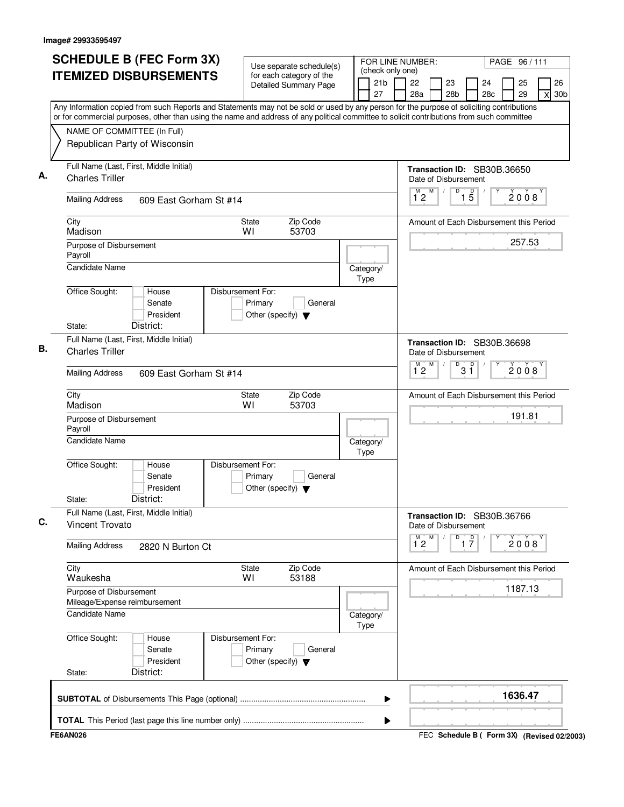| <b>SCHEDULE B (FEC Form 3X)</b>                                                                                                           | Use separate schedule(s)                                                        | FOR LINE NUMBER:                          |                                                                |                                    |           | PAGE 96/111 |                            |
|-------------------------------------------------------------------------------------------------------------------------------------------|---------------------------------------------------------------------------------|-------------------------------------------|----------------------------------------------------------------|------------------------------------|-----------|-------------|----------------------------|
| <b>ITEMIZED DISBURSEMENTS</b>                                                                                                             | for each category of the<br>Detailed Summary Page                               | (check only one)<br>21 <sub>b</sub><br>27 | 22<br>28a                                                      | 23<br>28b                          | 24<br>28c | 25<br>29    | 26<br>30 <sub>b</sub><br>X |
| Any Information copied from such Reports and Statements may not be sold or used by any person for the purpose of soliciting contributions |                                                                                 |                                           |                                                                |                                    |           |             |                            |
| or for commercial purposes, other than using the name and address of any political committee to solicit contributions from such committee |                                                                                 |                                           |                                                                |                                    |           |             |                            |
| NAME OF COMMITTEE (In Full)<br>Republican Party of Wisconsin                                                                              |                                                                                 |                                           |                                                                |                                    |           |             |                            |
| Full Name (Last, First, Middle Initial)<br><b>Charles Triller</b>                                                                         |                                                                                 |                                           | Transaction ID: SB30B.36650<br>Date of Disbursement            |                                    |           |             |                            |
| <b>Mailing Address</b><br>609 East Gorham St #14                                                                                          |                                                                                 |                                           | M<br>$1^{\degree}2$                                            | D<br>$\overline{15}$               |           | 2008        |                            |
| City<br>Madison                                                                                                                           | Zip Code<br><b>State</b><br>53703<br>WI                                         |                                           | Amount of Each Disbursement this Period                        |                                    |           |             |                            |
| Purpose of Disbursement<br>Payroll                                                                                                        |                                                                                 |                                           |                                                                |                                    |           | 257.53      |                            |
| <b>Candidate Name</b>                                                                                                                     |                                                                                 | Category/<br>Type                         |                                                                |                                    |           |             |                            |
| Office Sought:<br>House<br>Senate<br>President<br>District:<br>State:                                                                     | Disbursement For:<br>Primary<br>General<br>Other (specify) $\blacktriangledown$ |                                           |                                                                |                                    |           |             |                            |
| Full Name (Last, First, Middle Initial)                                                                                                   |                                                                                 |                                           |                                                                |                                    |           |             |                            |
| <b>Charles Triller</b>                                                                                                                    |                                                                                 |                                           | Transaction ID: SB30B.36698<br>Date of Disbursement<br>M<br>M. | D                                  |           |             |                            |
| <b>Mailing Address</b><br>609 East Gorham St #14                                                                                          |                                                                                 |                                           | 12                                                             | $3^{\circ}$                        |           | 2008        |                            |
| City<br>Madison                                                                                                                           | Zip Code<br>State<br>WI<br>53703                                                |                                           | Amount of Each Disbursement this Period                        |                                    |           |             |                            |
| Purpose of Disbursement<br>Payroll                                                                                                        |                                                                                 |                                           |                                                                |                                    |           | 191.81      |                            |
| <b>Candidate Name</b>                                                                                                                     |                                                                                 | Category/<br>Type                         |                                                                |                                    |           |             |                            |
| Office Sought:<br>House<br>Senate<br>President<br>District:<br>State:                                                                     | Disbursement For:<br>Primary<br>General<br>Other (specify) $\blacktriangledown$ |                                           |                                                                |                                    |           |             |                            |
| Full Name (Last, First, Middle Initial)<br>Vincent Trovato                                                                                |                                                                                 |                                           | Transaction ID: SB30B.36766<br>Date of Disbursement            |                                    |           |             |                            |
| <b>Mailing Address</b><br>2820 N Burton Ct                                                                                                |                                                                                 |                                           | $\overline{1}^M$ 2<br>M                                        | $\overline{1}$ $\overline{7}$<br>D |           | 2008        |                            |
| City<br>Waukesha                                                                                                                          | Zip Code<br>State<br>53188<br>WI                                                |                                           | Amount of Each Disbursement this Period                        |                                    |           |             |                            |
| Purpose of Disbursement<br>Mileage/Expense reimbursement                                                                                  |                                                                                 |                                           |                                                                |                                    |           | 1187.13     |                            |
| Candidate Name                                                                                                                            |                                                                                 | Category/<br>Type                         |                                                                |                                    |           |             |                            |
| Office Sought:<br>House<br>Senate<br>President<br>District:<br>State:                                                                     | Disbursement For:<br>Primary<br>General<br>Other (specify) $\blacktriangledown$ |                                           |                                                                |                                    |           |             |                            |
|                                                                                                                                           |                                                                                 | ▶                                         |                                                                |                                    |           | 1636.47     |                            |
|                                                                                                                                           |                                                                                 | ▶                                         |                                                                |                                    |           |             |                            |
| <b>FE6AN026</b>                                                                                                                           |                                                                                 |                                           | FEC Schedule B ( Form 3X) (Revised 02/2003)                    |                                    |           |             |                            |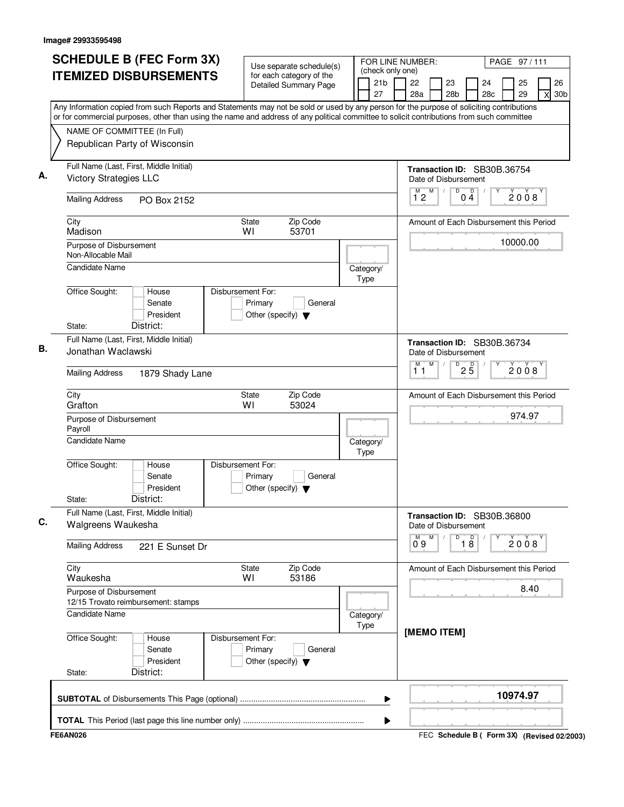| <b>ITEMIZED DISBURSEMENTS</b><br>NAME OF COMMITTEE (In Full)<br>Republican Party of Wisconsin<br>Full Name (Last, First, Middle Initial)<br><b>Victory Strategies LLC</b><br><b>Mailing Address</b><br>City<br>Madison<br>Purpose of Disbursement<br>Non-Allocable Mail<br><b>Candidate Name</b><br>Office Sought: | PO Box 2152<br>House<br>Senate<br>President<br>District: | Use separate schedule(s)<br>for each category of the<br><b>Detailed Summary Page</b><br>Zip Code<br><b>State</b><br>WI<br>53701<br>Disbursement For:<br>Primary<br>General | (check only one)<br>21b<br>27<br>Category/<br>Type | 26<br>22<br>23<br>24<br>25<br>28a<br>28 <sub>b</sub><br>28c<br>29<br>30 <sub>b</sub><br>X<br>Any Information copied from such Reports and Statements may not be sold or used by any person for the purpose of soliciting contributions<br>or for commercial purposes, other than using the name and address of any political committee to solicit contributions from such committee<br>Transaction ID: SB30B.36754<br>Date of Disbursement<br>M<br>$\overline{D}$<br>$\overline{1}^M$ 2<br>Ď<br>2008<br>04<br>Amount of Each Disbursement this Period<br>10000.00 |
|--------------------------------------------------------------------------------------------------------------------------------------------------------------------------------------------------------------------------------------------------------------------------------------------------------------------|----------------------------------------------------------|----------------------------------------------------------------------------------------------------------------------------------------------------------------------------|----------------------------------------------------|-------------------------------------------------------------------------------------------------------------------------------------------------------------------------------------------------------------------------------------------------------------------------------------------------------------------------------------------------------------------------------------------------------------------------------------------------------------------------------------------------------------------------------------------------------------------|
|                                                                                                                                                                                                                                                                                                                    |                                                          |                                                                                                                                                                            |                                                    |                                                                                                                                                                                                                                                                                                                                                                                                                                                                                                                                                                   |
|                                                                                                                                                                                                                                                                                                                    |                                                          |                                                                                                                                                                            |                                                    |                                                                                                                                                                                                                                                                                                                                                                                                                                                                                                                                                                   |
|                                                                                                                                                                                                                                                                                                                    |                                                          |                                                                                                                                                                            |                                                    |                                                                                                                                                                                                                                                                                                                                                                                                                                                                                                                                                                   |
|                                                                                                                                                                                                                                                                                                                    |                                                          |                                                                                                                                                                            |                                                    |                                                                                                                                                                                                                                                                                                                                                                                                                                                                                                                                                                   |
|                                                                                                                                                                                                                                                                                                                    |                                                          |                                                                                                                                                                            |                                                    |                                                                                                                                                                                                                                                                                                                                                                                                                                                                                                                                                                   |
|                                                                                                                                                                                                                                                                                                                    |                                                          |                                                                                                                                                                            |                                                    |                                                                                                                                                                                                                                                                                                                                                                                                                                                                                                                                                                   |
|                                                                                                                                                                                                                                                                                                                    |                                                          |                                                                                                                                                                            |                                                    |                                                                                                                                                                                                                                                                                                                                                                                                                                                                                                                                                                   |
|                                                                                                                                                                                                                                                                                                                    |                                                          | Other (specify) $\blacktriangledown$                                                                                                                                       |                                                    |                                                                                                                                                                                                                                                                                                                                                                                                                                                                                                                                                                   |
| State:<br>Full Name (Last, First, Middle Initial)<br>Jonathan Waclawski                                                                                                                                                                                                                                            |                                                          |                                                                                                                                                                            |                                                    | Transaction ID: SB30B.36734<br>Date of Disbursement                                                                                                                                                                                                                                                                                                                                                                                                                                                                                                               |
| <b>Mailing Address</b>                                                                                                                                                                                                                                                                                             | 1879 Shady Lane                                          |                                                                                                                                                                            |                                                    | M<br>M<br>D<br>$2\overline{5}$<br>2008<br>11                                                                                                                                                                                                                                                                                                                                                                                                                                                                                                                      |
| City<br>Grafton                                                                                                                                                                                                                                                                                                    |                                                          | Zip Code<br><b>State</b><br>WI<br>53024                                                                                                                                    |                                                    | Amount of Each Disbursement this Period                                                                                                                                                                                                                                                                                                                                                                                                                                                                                                                           |
| Purpose of Disbursement<br>Payroll                                                                                                                                                                                                                                                                                 |                                                          |                                                                                                                                                                            |                                                    | 974.97                                                                                                                                                                                                                                                                                                                                                                                                                                                                                                                                                            |
| <b>Candidate Name</b>                                                                                                                                                                                                                                                                                              |                                                          |                                                                                                                                                                            | Category/<br>Type                                  |                                                                                                                                                                                                                                                                                                                                                                                                                                                                                                                                                                   |
| Office Sought:<br>State:                                                                                                                                                                                                                                                                                           | House<br>Senate<br>President<br>District:                | Disbursement For:<br>Primary<br>General<br>Other (specify) $\blacktriangledown$                                                                                            |                                                    |                                                                                                                                                                                                                                                                                                                                                                                                                                                                                                                                                                   |
| Full Name (Last, First, Middle Initial)<br>Walgreens Waukesha                                                                                                                                                                                                                                                      |                                                          |                                                                                                                                                                            |                                                    | Transaction ID: SB30B.36800<br>Date of Disbursement                                                                                                                                                                                                                                                                                                                                                                                                                                                                                                               |
| <b>Mailing Address</b>                                                                                                                                                                                                                                                                                             | 221 E Sunset Dr                                          |                                                                                                                                                                            |                                                    | M<br>M<br>D<br>$\overline{18}$<br>2008<br>09                                                                                                                                                                                                                                                                                                                                                                                                                                                                                                                      |
| City<br>Waukesha                                                                                                                                                                                                                                                                                                   |                                                          | Zip Code<br>State<br>53186<br>W١                                                                                                                                           |                                                    | Amount of Each Disbursement this Period                                                                                                                                                                                                                                                                                                                                                                                                                                                                                                                           |
| Purpose of Disbursement<br>12/15 Trovato reimbursement: stamps                                                                                                                                                                                                                                                     |                                                          |                                                                                                                                                                            |                                                    | 8.40                                                                                                                                                                                                                                                                                                                                                                                                                                                                                                                                                              |
| <b>Candidate Name</b>                                                                                                                                                                                                                                                                                              |                                                          |                                                                                                                                                                            | Category/<br>Type                                  | [MEMO ITEM]                                                                                                                                                                                                                                                                                                                                                                                                                                                                                                                                                       |
| Office Sought:<br>District:<br>State:                                                                                                                                                                                                                                                                              | House<br>Senate<br>President                             | Disbursement For:<br>Primary<br>General<br>Other (specify) $\blacktriangledown$                                                                                            |                                                    |                                                                                                                                                                                                                                                                                                                                                                                                                                                                                                                                                                   |
|                                                                                                                                                                                                                                                                                                                    |                                                          |                                                                                                                                                                            | ▶                                                  | 10974.97                                                                                                                                                                                                                                                                                                                                                                                                                                                                                                                                                          |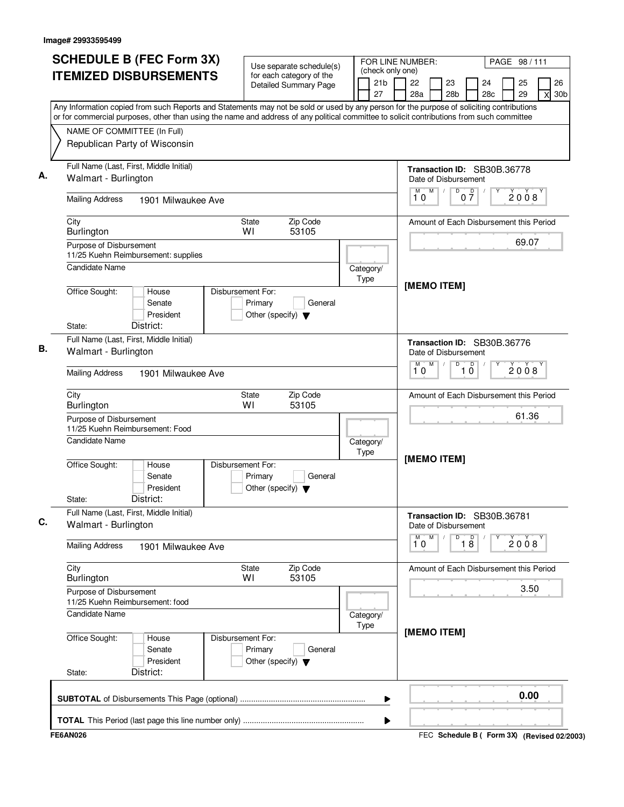| (check only one)<br><b>ITEMIZED DISBURSEMENTS</b><br>for each category of the<br>21b<br>22<br>23<br>24<br>25<br><b>Detailed Summary Page</b><br>27<br>28a<br>28 <sub>b</sub><br>28 <sub>c</sub><br>29<br>X<br>Any Information copied from such Reports and Statements may not be sold or used by any person for the purpose of soliciting contributions<br>or for commercial purposes, other than using the name and address of any political committee to solicit contributions from such committee<br>NAME OF COMMITTEE (In Full)<br>Republican Party of Wisconsin<br>Full Name (Last, First, Middle Initial)<br>Transaction ID: SB30B.36778<br>Walmart - Burlington<br>Date of Disbursement<br>M<br>$\overline{D}$<br>M<br>$0\frac{D}{7}$<br>2008<br>10<br><b>Mailing Address</b><br>1901 Milwaukee Ave<br>Zip Code<br>City<br><b>State</b><br>Amount of Each Disbursement this Period<br>WI<br>53105<br>Burlington<br>69.07<br>Purpose of Disbursement<br>11/25 Kuehn Reimbursement: supplies<br><b>Candidate Name</b><br>Category/<br>Type<br>[MEMO ITEM]<br>Office Sought:<br>House<br>Disbursement For:<br>Senate<br>Primary<br>General<br>President<br>Other (specify) $\blacktriangledown$<br>District:<br>State:<br>Full Name (Last, First, Middle Initial)<br>Transaction ID: SB30B.36776<br>Walmart - Burlington<br>Date of Disbursement<br>M<br>D<br>$\Box$<br>2008<br>10<br>10<br><b>Mailing Address</b><br>1901 Milwaukee Ave<br>Zip Code<br>City<br>State<br>Amount of Each Disbursement this Period<br>WI<br>53105<br>Burlington<br>61.36<br>Purpose of Disbursement<br>11/25 Kuehn Reimbursement: Food<br>Candidate Name<br>Category/<br>Type<br>[MEMO ITEM]<br>Office Sought:<br>House<br>Disbursement For:<br>Senate<br>Primary<br>General<br>President<br>Other (specify) $\blacktriangledown$<br>District:<br>State:<br>Full Name (Last, First, Middle Initial)<br>Transaction ID: SB30B.36781<br>Walmart - Burlington<br>Date of Disbursement<br>М<br>M<br>D<br>$\overline{18}$<br>2008<br>10<br><b>Mailing Address</b><br>1901 Milwaukee Ave<br>City<br>Zip Code<br>State<br>Amount of Each Disbursement this Period<br>53105<br><b>Burlington</b><br>W١<br>3.50<br>Purpose of Disbursement<br>11/25 Kuehn Reimbursement: food<br><b>Candidate Name</b><br>Category/<br>Type<br>[MEMO ITEM]<br>Office Sought:<br>Disbursement For:<br>House<br>Primary<br>Senate<br>General<br>President<br>Other (specify) $\blacktriangledown$<br>District:<br>State: | <b>SCHEDULE B (FEC Form 3X)</b> | Use separate schedule(s) | FOR LINE NUMBER: | PAGE 98 / 111         |
|---------------------------------------------------------------------------------------------------------------------------------------------------------------------------------------------------------------------------------------------------------------------------------------------------------------------------------------------------------------------------------------------------------------------------------------------------------------------------------------------------------------------------------------------------------------------------------------------------------------------------------------------------------------------------------------------------------------------------------------------------------------------------------------------------------------------------------------------------------------------------------------------------------------------------------------------------------------------------------------------------------------------------------------------------------------------------------------------------------------------------------------------------------------------------------------------------------------------------------------------------------------------------------------------------------------------------------------------------------------------------------------------------------------------------------------------------------------------------------------------------------------------------------------------------------------------------------------------------------------------------------------------------------------------------------------------------------------------------------------------------------------------------------------------------------------------------------------------------------------------------------------------------------------------------------------------------------------------------------------------------------------------------------------------------------------------------------------------------------------------------------------------------------------------------------------------------------------------------------------------------------------------------------------------------------------------------------------------------------------------------------------------------------------------------------------------------------------------------------|---------------------------------|--------------------------|------------------|-----------------------|
|                                                                                                                                                                                                                                                                                                                                                                                                                                                                                                                                                                                                                                                                                                                                                                                                                                                                                                                                                                                                                                                                                                                                                                                                                                                                                                                                                                                                                                                                                                                                                                                                                                                                                                                                                                                                                                                                                                                                                                                                                                                                                                                                                                                                                                                                                                                                                                                                                                                                                 |                                 |                          |                  | 26<br>30 <sub>b</sub> |
|                                                                                                                                                                                                                                                                                                                                                                                                                                                                                                                                                                                                                                                                                                                                                                                                                                                                                                                                                                                                                                                                                                                                                                                                                                                                                                                                                                                                                                                                                                                                                                                                                                                                                                                                                                                                                                                                                                                                                                                                                                                                                                                                                                                                                                                                                                                                                                                                                                                                                 |                                 |                          |                  |                       |
|                                                                                                                                                                                                                                                                                                                                                                                                                                                                                                                                                                                                                                                                                                                                                                                                                                                                                                                                                                                                                                                                                                                                                                                                                                                                                                                                                                                                                                                                                                                                                                                                                                                                                                                                                                                                                                                                                                                                                                                                                                                                                                                                                                                                                                                                                                                                                                                                                                                                                 |                                 |                          |                  |                       |
|                                                                                                                                                                                                                                                                                                                                                                                                                                                                                                                                                                                                                                                                                                                                                                                                                                                                                                                                                                                                                                                                                                                                                                                                                                                                                                                                                                                                                                                                                                                                                                                                                                                                                                                                                                                                                                                                                                                                                                                                                                                                                                                                                                                                                                                                                                                                                                                                                                                                                 |                                 |                          |                  |                       |
|                                                                                                                                                                                                                                                                                                                                                                                                                                                                                                                                                                                                                                                                                                                                                                                                                                                                                                                                                                                                                                                                                                                                                                                                                                                                                                                                                                                                                                                                                                                                                                                                                                                                                                                                                                                                                                                                                                                                                                                                                                                                                                                                                                                                                                                                                                                                                                                                                                                                                 |                                 |                          |                  |                       |
|                                                                                                                                                                                                                                                                                                                                                                                                                                                                                                                                                                                                                                                                                                                                                                                                                                                                                                                                                                                                                                                                                                                                                                                                                                                                                                                                                                                                                                                                                                                                                                                                                                                                                                                                                                                                                                                                                                                                                                                                                                                                                                                                                                                                                                                                                                                                                                                                                                                                                 |                                 |                          |                  |                       |
|                                                                                                                                                                                                                                                                                                                                                                                                                                                                                                                                                                                                                                                                                                                                                                                                                                                                                                                                                                                                                                                                                                                                                                                                                                                                                                                                                                                                                                                                                                                                                                                                                                                                                                                                                                                                                                                                                                                                                                                                                                                                                                                                                                                                                                                                                                                                                                                                                                                                                 |                                 |                          |                  |                       |
|                                                                                                                                                                                                                                                                                                                                                                                                                                                                                                                                                                                                                                                                                                                                                                                                                                                                                                                                                                                                                                                                                                                                                                                                                                                                                                                                                                                                                                                                                                                                                                                                                                                                                                                                                                                                                                                                                                                                                                                                                                                                                                                                                                                                                                                                                                                                                                                                                                                                                 |                                 |                          |                  |                       |
|                                                                                                                                                                                                                                                                                                                                                                                                                                                                                                                                                                                                                                                                                                                                                                                                                                                                                                                                                                                                                                                                                                                                                                                                                                                                                                                                                                                                                                                                                                                                                                                                                                                                                                                                                                                                                                                                                                                                                                                                                                                                                                                                                                                                                                                                                                                                                                                                                                                                                 |                                 |                          |                  |                       |
|                                                                                                                                                                                                                                                                                                                                                                                                                                                                                                                                                                                                                                                                                                                                                                                                                                                                                                                                                                                                                                                                                                                                                                                                                                                                                                                                                                                                                                                                                                                                                                                                                                                                                                                                                                                                                                                                                                                                                                                                                                                                                                                                                                                                                                                                                                                                                                                                                                                                                 |                                 |                          |                  |                       |
|                                                                                                                                                                                                                                                                                                                                                                                                                                                                                                                                                                                                                                                                                                                                                                                                                                                                                                                                                                                                                                                                                                                                                                                                                                                                                                                                                                                                                                                                                                                                                                                                                                                                                                                                                                                                                                                                                                                                                                                                                                                                                                                                                                                                                                                                                                                                                                                                                                                                                 |                                 |                          |                  |                       |
|                                                                                                                                                                                                                                                                                                                                                                                                                                                                                                                                                                                                                                                                                                                                                                                                                                                                                                                                                                                                                                                                                                                                                                                                                                                                                                                                                                                                                                                                                                                                                                                                                                                                                                                                                                                                                                                                                                                                                                                                                                                                                                                                                                                                                                                                                                                                                                                                                                                                                 |                                 |                          |                  |                       |
|                                                                                                                                                                                                                                                                                                                                                                                                                                                                                                                                                                                                                                                                                                                                                                                                                                                                                                                                                                                                                                                                                                                                                                                                                                                                                                                                                                                                                                                                                                                                                                                                                                                                                                                                                                                                                                                                                                                                                                                                                                                                                                                                                                                                                                                                                                                                                                                                                                                                                 |                                 |                          |                  |                       |
|                                                                                                                                                                                                                                                                                                                                                                                                                                                                                                                                                                                                                                                                                                                                                                                                                                                                                                                                                                                                                                                                                                                                                                                                                                                                                                                                                                                                                                                                                                                                                                                                                                                                                                                                                                                                                                                                                                                                                                                                                                                                                                                                                                                                                                                                                                                                                                                                                                                                                 |                                 |                          |                  |                       |
|                                                                                                                                                                                                                                                                                                                                                                                                                                                                                                                                                                                                                                                                                                                                                                                                                                                                                                                                                                                                                                                                                                                                                                                                                                                                                                                                                                                                                                                                                                                                                                                                                                                                                                                                                                                                                                                                                                                                                                                                                                                                                                                                                                                                                                                                                                                                                                                                                                                                                 |                                 |                          |                  |                       |
|                                                                                                                                                                                                                                                                                                                                                                                                                                                                                                                                                                                                                                                                                                                                                                                                                                                                                                                                                                                                                                                                                                                                                                                                                                                                                                                                                                                                                                                                                                                                                                                                                                                                                                                                                                                                                                                                                                                                                                                                                                                                                                                                                                                                                                                                                                                                                                                                                                                                                 |                                 |                          |                  |                       |
|                                                                                                                                                                                                                                                                                                                                                                                                                                                                                                                                                                                                                                                                                                                                                                                                                                                                                                                                                                                                                                                                                                                                                                                                                                                                                                                                                                                                                                                                                                                                                                                                                                                                                                                                                                                                                                                                                                                                                                                                                                                                                                                                                                                                                                                                                                                                                                                                                                                                                 |                                 |                          |                  |                       |
|                                                                                                                                                                                                                                                                                                                                                                                                                                                                                                                                                                                                                                                                                                                                                                                                                                                                                                                                                                                                                                                                                                                                                                                                                                                                                                                                                                                                                                                                                                                                                                                                                                                                                                                                                                                                                                                                                                                                                                                                                                                                                                                                                                                                                                                                                                                                                                                                                                                                                 |                                 |                          |                  |                       |
|                                                                                                                                                                                                                                                                                                                                                                                                                                                                                                                                                                                                                                                                                                                                                                                                                                                                                                                                                                                                                                                                                                                                                                                                                                                                                                                                                                                                                                                                                                                                                                                                                                                                                                                                                                                                                                                                                                                                                                                                                                                                                                                                                                                                                                                                                                                                                                                                                                                                                 |                                 |                          |                  |                       |
|                                                                                                                                                                                                                                                                                                                                                                                                                                                                                                                                                                                                                                                                                                                                                                                                                                                                                                                                                                                                                                                                                                                                                                                                                                                                                                                                                                                                                                                                                                                                                                                                                                                                                                                                                                                                                                                                                                                                                                                                                                                                                                                                                                                                                                                                                                                                                                                                                                                                                 |                                 |                          |                  |                       |
|                                                                                                                                                                                                                                                                                                                                                                                                                                                                                                                                                                                                                                                                                                                                                                                                                                                                                                                                                                                                                                                                                                                                                                                                                                                                                                                                                                                                                                                                                                                                                                                                                                                                                                                                                                                                                                                                                                                                                                                                                                                                                                                                                                                                                                                                                                                                                                                                                                                                                 |                                 |                          |                  |                       |
|                                                                                                                                                                                                                                                                                                                                                                                                                                                                                                                                                                                                                                                                                                                                                                                                                                                                                                                                                                                                                                                                                                                                                                                                                                                                                                                                                                                                                                                                                                                                                                                                                                                                                                                                                                                                                                                                                                                                                                                                                                                                                                                                                                                                                                                                                                                                                                                                                                                                                 |                                 |                          | ▶                | 0.00                  |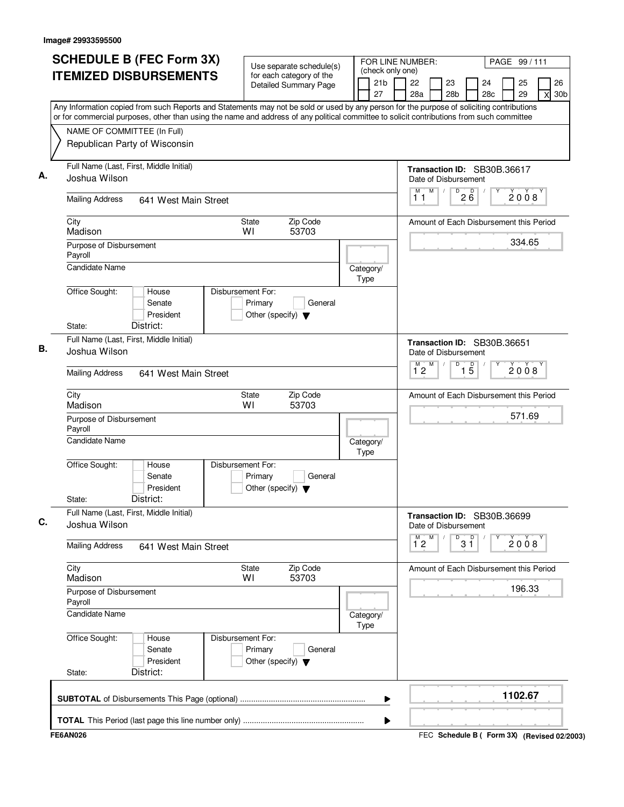| <b>ITEMIZED DISBURSEMENTS</b><br>Any Information copied from such Reports and Statements may not be sold or used by any person for the purpose of soliciting contributions<br>or for commercial purposes, other than using the name and address of any political committee to solicit contributions from such committee<br>NAME OF COMMITTEE (In Full)<br>Republican Party of Wisconsin<br>Full Name (Last, First, Middle Initial) | Use separate schedule(s)<br>for each category of the<br><b>Detailed Summary Page</b> | (check only one)<br>21b<br>27 | 26<br>22<br>23<br>24<br>25<br>28a<br>28 <sub>b</sub><br>28c<br>29<br>30 <sub>b</sub><br>X |
|------------------------------------------------------------------------------------------------------------------------------------------------------------------------------------------------------------------------------------------------------------------------------------------------------------------------------------------------------------------------------------------------------------------------------------|--------------------------------------------------------------------------------------|-------------------------------|-------------------------------------------------------------------------------------------|
|                                                                                                                                                                                                                                                                                                                                                                                                                                    |                                                                                      |                               |                                                                                           |
|                                                                                                                                                                                                                                                                                                                                                                                                                                    |                                                                                      |                               |                                                                                           |
|                                                                                                                                                                                                                                                                                                                                                                                                                                    |                                                                                      |                               |                                                                                           |
| Joshua Wilson                                                                                                                                                                                                                                                                                                                                                                                                                      |                                                                                      |                               | Transaction ID: SB30B.36617<br>Date of Disbursement                                       |
| <b>Mailing Address</b><br>641 West Main Street                                                                                                                                                                                                                                                                                                                                                                                     |                                                                                      |                               | M<br>$D^D$ <sub>2</sub> $B^D$<br>M<br>$\prime$<br>2008<br>11                              |
| City<br>Madison                                                                                                                                                                                                                                                                                                                                                                                                                    | Zip Code<br><b>State</b><br>WI<br>53703                                              |                               | Amount of Each Disbursement this Period                                                   |
| Purpose of Disbursement<br>Payroll                                                                                                                                                                                                                                                                                                                                                                                                 |                                                                                      |                               | 334.65                                                                                    |
| <b>Candidate Name</b><br>Office Sought:<br>House                                                                                                                                                                                                                                                                                                                                                                                   | Disbursement For:                                                                    | Category/<br>Type             |                                                                                           |
| Senate<br>President<br>District:<br>State:                                                                                                                                                                                                                                                                                                                                                                                         | Primary<br>General<br>Other (specify) $\blacktriangledown$                           |                               |                                                                                           |
| Full Name (Last, First, Middle Initial)<br>Joshua Wilson                                                                                                                                                                                                                                                                                                                                                                           |                                                                                      |                               | Transaction ID: SB30B.36651<br>Date of Disbursement                                       |
| <b>Mailing Address</b><br>641 West Main Street                                                                                                                                                                                                                                                                                                                                                                                     |                                                                                      |                               | M<br>D<br>$\overline{1\,5}$<br>$\overline{1}^M$ 2<br>2008                                 |
| City<br>Madison                                                                                                                                                                                                                                                                                                                                                                                                                    | Zip Code<br>State<br>WI<br>53703                                                     |                               | Amount of Each Disbursement this Period                                                   |
| Purpose of Disbursement<br>Payroll                                                                                                                                                                                                                                                                                                                                                                                                 |                                                                                      |                               | 571.69                                                                                    |
| <b>Candidate Name</b>                                                                                                                                                                                                                                                                                                                                                                                                              |                                                                                      | Category/<br>Type             |                                                                                           |
| Office Sought:<br>House<br>Senate<br>President<br>District:<br>State:                                                                                                                                                                                                                                                                                                                                                              | Disbursement For:<br>Primary<br>General<br>Other (specify) $\blacktriangledown$      |                               |                                                                                           |
| Full Name (Last, First, Middle Initial)<br>Joshua Wilson                                                                                                                                                                                                                                                                                                                                                                           |                                                                                      |                               | Transaction ID: SB30B.36699<br>Date of Disbursement                                       |
| <b>Mailing Address</b><br>641 West Main Street                                                                                                                                                                                                                                                                                                                                                                                     |                                                                                      |                               | $\overline{1}^M$ 2<br>M<br>p<br>D<br>$\check{2}$ 0 $\check{0}$ 8<br>3 ĭ                   |
| City<br>Madison                                                                                                                                                                                                                                                                                                                                                                                                                    | Zip Code<br>State<br>53703<br>W١                                                     |                               | Amount of Each Disbursement this Period                                                   |
| Purpose of Disbursement<br>Payroll                                                                                                                                                                                                                                                                                                                                                                                                 |                                                                                      |                               | 196.33                                                                                    |
| Candidate Name                                                                                                                                                                                                                                                                                                                                                                                                                     |                                                                                      | Category/<br>Type             |                                                                                           |
| Office Sought:<br>House<br>Senate<br>President<br>District:<br>State:                                                                                                                                                                                                                                                                                                                                                              | Disbursement For:<br>Primary<br>General<br>Other (specify) $\blacktriangledown$      |                               |                                                                                           |
|                                                                                                                                                                                                                                                                                                                                                                                                                                    |                                                                                      | ▶                             | 1102.67                                                                                   |
| <b>FE6AN026</b>                                                                                                                                                                                                                                                                                                                                                                                                                    |                                                                                      | ▶                             | FEC Schedule B ( Form 3X) (Revised 02/2003)                                               |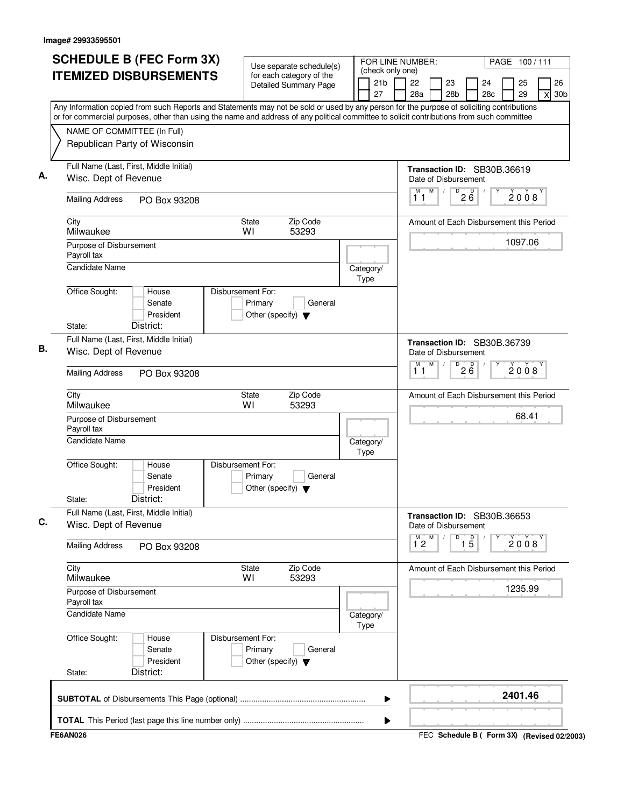|                                        | <b>SCHEDULE B (FEC Form 3X)</b><br><b>ITEMIZED DISBURSEMENTS</b>                                                                                                                                                                                                                       |                                                                      | Use separate schedule(s)<br>for each category of the<br><b>Detailed Summary Page</b> | (check only one)<br>21 <sub>b</sub><br>27 | FOR LINE NUMBER:<br>22<br>23<br>28 <sub>b</sub><br>28a | PAGE 100/111<br>26<br>24<br>25<br>28c<br>29<br>30 <sub>b</sub><br>X |
|----------------------------------------|----------------------------------------------------------------------------------------------------------------------------------------------------------------------------------------------------------------------------------------------------------------------------------------|----------------------------------------------------------------------|--------------------------------------------------------------------------------------|-------------------------------------------|--------------------------------------------------------|---------------------------------------------------------------------|
|                                        | Any Information copied from such Reports and Statements may not be sold or used by any person for the purpose of soliciting contributions<br>or for commercial purposes, other than using the name and address of any political committee to solicit contributions from such committee |                                                                      |                                                                                      |                                           |                                                        |                                                                     |
|                                        | NAME OF COMMITTEE (In Full)<br>Republican Party of Wisconsin                                                                                                                                                                                                                           |                                                                      |                                                                                      |                                           |                                                        |                                                                     |
|                                        | Full Name (Last, First, Middle Initial)<br>Wisc. Dept of Revenue                                                                                                                                                                                                                       |                                                                      |                                                                                      |                                           | Transaction ID: SB30B.36619<br>Date of Disbursement    |                                                                     |
| <b>Mailing Address</b>                 | PO Box 93208                                                                                                                                                                                                                                                                           |                                                                      |                                                                                      |                                           | D<br>M<br>$2\overline{6}$<br>$\sqrt{ }$<br>М<br>11     | 2008                                                                |
| City<br>Milwaukee                      |                                                                                                                                                                                                                                                                                        | State<br>WI                                                          | Zip Code<br>53293                                                                    |                                           |                                                        | Amount of Each Disbursement this Period                             |
| Purpose of Disbursement<br>Payroll tax |                                                                                                                                                                                                                                                                                        |                                                                      |                                                                                      |                                           |                                                        | 1097.06                                                             |
| <b>Candidate Name</b>                  |                                                                                                                                                                                                                                                                                        |                                                                      |                                                                                      | Category/<br>Type                         |                                                        |                                                                     |
| Office Sought:<br>State:               | House<br>Senate<br>President<br>District:                                                                                                                                                                                                                                              | Disbursement For:<br>Primary<br>Other (specify) $\blacktriangledown$ | General                                                                              |                                           |                                                        |                                                                     |
|                                        | Full Name (Last, First, Middle Initial)<br>Wisc. Dept of Revenue                                                                                                                                                                                                                       |                                                                      |                                                                                      |                                           | Transaction ID: SB30B.36739<br>Date of Disbursement    |                                                                     |
| <b>Mailing Address</b>                 | PO Box 93208                                                                                                                                                                                                                                                                           |                                                                      |                                                                                      |                                           | $D^D$ <sub>2</sub> $B^D$<br>M<br>м<br>11               | 2008                                                                |
| City<br>Milwaukee                      |                                                                                                                                                                                                                                                                                        | <b>State</b><br>WI                                                   | Zip Code<br>53293                                                                    |                                           |                                                        | Amount of Each Disbursement this Period                             |
| Purpose of Disbursement<br>Payroll tax |                                                                                                                                                                                                                                                                                        |                                                                      |                                                                                      |                                           |                                                        | 68.41                                                               |
| <b>Candidate Name</b>                  |                                                                                                                                                                                                                                                                                        |                                                                      |                                                                                      | Category/<br>Type                         |                                                        |                                                                     |
| Office Sought:<br>State:               | House<br>Senate<br>President<br>District:                                                                                                                                                                                                                                              | Disbursement For:<br>Primary<br>Other (specify) $\blacktriangledown$ | General                                                                              |                                           |                                                        |                                                                     |
|                                        | Full Name (Last, First, Middle Initial)<br>Wisc. Dept of Revenue                                                                                                                                                                                                                       |                                                                      |                                                                                      |                                           | Transaction ID: SB30B.36653<br>Date of Disbursement    |                                                                     |
| <b>Mailing Address</b>                 | PO Box 93208                                                                                                                                                                                                                                                                           |                                                                      |                                                                                      |                                           | M<br>D<br>$\overline{1\,5}$<br>M<br>12                 | 2008                                                                |
| City<br>Milwaukee                      |                                                                                                                                                                                                                                                                                        | <b>State</b><br>WI                                                   | Zip Code<br>53293                                                                    |                                           |                                                        | Amount of Each Disbursement this Period                             |
| Purpose of Disbursement<br>Payroll tax |                                                                                                                                                                                                                                                                                        |                                                                      |                                                                                      |                                           |                                                        | 1235.99                                                             |
| <b>Candidate Name</b>                  |                                                                                                                                                                                                                                                                                        |                                                                      |                                                                                      | Category/<br>Type                         |                                                        |                                                                     |
| Office Sought:                         | House<br>Senate<br>President                                                                                                                                                                                                                                                           | Disbursement For:<br>Primary<br>Other (specify) $\blacktriangledown$ | General                                                                              |                                           |                                                        |                                                                     |
| State:                                 | District:                                                                                                                                                                                                                                                                              |                                                                      |                                                                                      |                                           |                                                        |                                                                     |
|                                        |                                                                                                                                                                                                                                                                                        |                                                                      |                                                                                      |                                           |                                                        | 2401.46                                                             |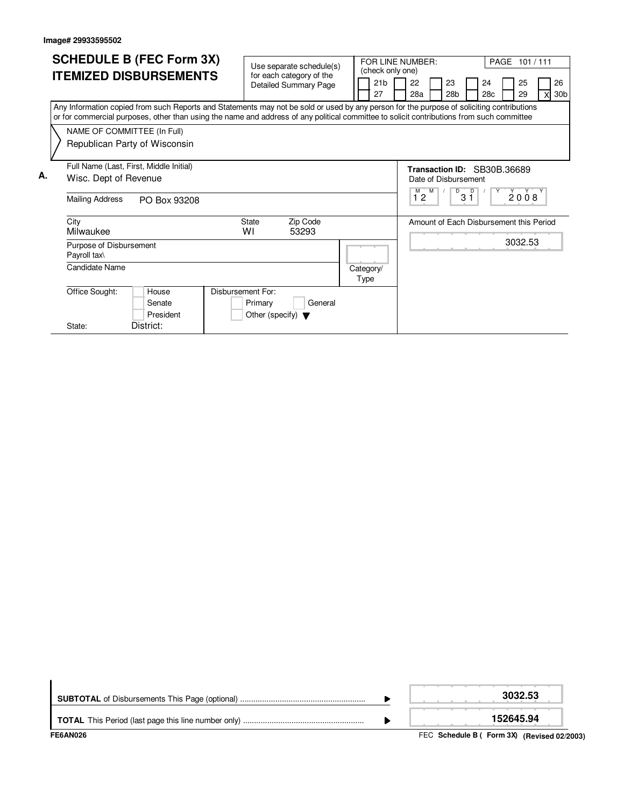|    |                                         | <b>SCHEDULE B (FEC Form 3X)</b>                                                                                                                                                                                                                                                        |                                      |                   |                          |           |      | FOR LINE NUMBER:      |                  |                                         |  |                       |         |           |  | PAGE 101/111 |                             |
|----|-----------------------------------------|----------------------------------------------------------------------------------------------------------------------------------------------------------------------------------------------------------------------------------------------------------------------------------------|--------------------------------------|-------------------|--------------------------|-----------|------|-----------------------|------------------|-----------------------------------------|--|-----------------------|---------|-----------|--|--------------|-----------------------------|
|    |                                         | <b>ITEMIZED DISBURSEMENTS</b>                                                                                                                                                                                                                                                          | for each category of the             |                   | Use separate schedule(s) |           |      |                       | (check only one) |                                         |  |                       |         |           |  |              |                             |
|    |                                         |                                                                                                                                                                                                                                                                                        | <b>Detailed Summary Page</b>         |                   |                          |           |      | 21 <sub>b</sub><br>27 |                  | 22<br>28a                               |  | 23<br>28 <sub>b</sub> |         | 24<br>28c |  | 25<br>29     | 26<br>30 <sub>b</sub><br>xl |
|    |                                         | Any Information copied from such Reports and Statements may not be sold or used by any person for the purpose of soliciting contributions<br>or for commercial purposes, other than using the name and address of any political committee to solicit contributions from such committee |                                      |                   |                          |           |      |                       |                  |                                         |  |                       |         |           |  |              |                             |
|    | NAME OF COMMITTEE (In Full)             |                                                                                                                                                                                                                                                                                        |                                      |                   |                          |           |      |                       |                  |                                         |  |                       |         |           |  |              |                             |
|    |                                         | Republican Party of Wisconsin                                                                                                                                                                                                                                                          |                                      |                   |                          |           |      |                       |                  |                                         |  |                       |         |           |  |              |                             |
|    |                                         | Full Name (Last, First, Middle Initial)                                                                                                                                                                                                                                                |                                      |                   |                          |           |      |                       |                  | Transaction ID: SB30B.36689             |  |                       |         |           |  |              |                             |
| А. | Wisc. Dept of Revenue                   |                                                                                                                                                                                                                                                                                        |                                      |                   |                          |           |      |                       |                  | Date of Disbursement                    |  |                       |         |           |  |              |                             |
|    | <b>Mailing Address</b>                  | PO Box 93208                                                                                                                                                                                                                                                                           |                                      |                   |                          |           |      |                       |                  | M<br>M<br>12                            |  | D                     | D<br>31 |           |  | 2008         |                             |
|    | City<br>Milwaukee                       |                                                                                                                                                                                                                                                                                        | <b>State</b><br>W١                   | Zip Code<br>53293 |                          |           |      |                       |                  | Amount of Each Disbursement this Period |  |                       |         |           |  |              |                             |
|    | Purpose of Disbursement<br>Payroll tax\ |                                                                                                                                                                                                                                                                                        |                                      |                   |                          |           |      |                       |                  |                                         |  |                       |         |           |  | 3032.53      |                             |
|    | Candidate Name                          |                                                                                                                                                                                                                                                                                        |                                      |                   |                          | Category/ | Type |                       |                  |                                         |  |                       |         |           |  |              |                             |
|    | Office Sought:                          | House                                                                                                                                                                                                                                                                                  | Disbursement For:                    |                   |                          |           |      |                       |                  |                                         |  |                       |         |           |  |              |                             |
|    |                                         | Senate                                                                                                                                                                                                                                                                                 | Primary                              |                   | General                  |           |      |                       |                  |                                         |  |                       |         |           |  |              |                             |
|    |                                         | President                                                                                                                                                                                                                                                                              | Other (specify) $\blacktriangledown$ |                   |                          |           |      |                       |                  |                                         |  |                       |         |           |  |              |                             |
|    | State:                                  | District:                                                                                                                                                                                                                                                                              |                                      |                   |                          |           |      |                       |                  |                                         |  |                       |         |           |  |              |                             |

| FE6AN026 | FEC Schedule B ( Form 3X) (Revised 02/2003) |
|----------|---------------------------------------------|
|          | 152645.94                                   |
|          | 3032.53                                     |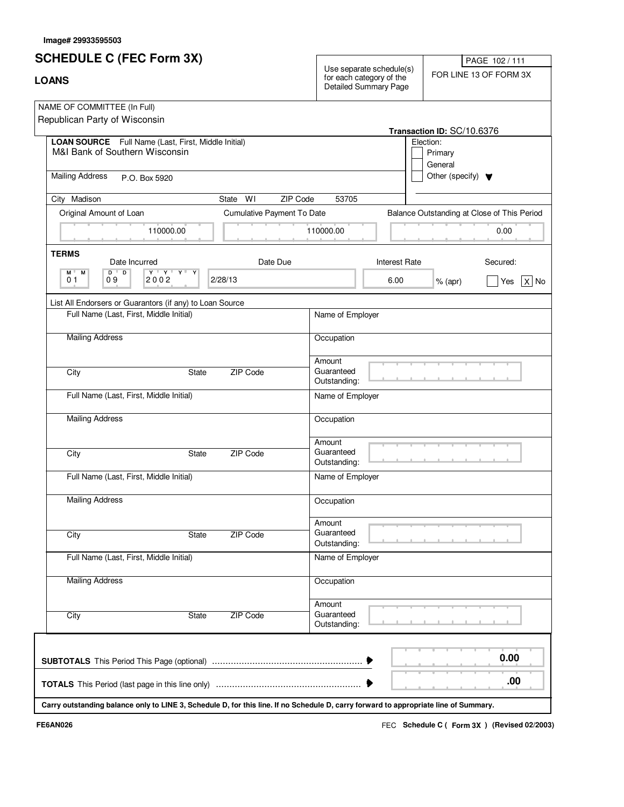# **SCHEDULE C (FEC Form 3X)**

| <b>SUNEDULE U (FEU FOIIII 3A)</b><br><b>LOANS</b>                                                                                   |                            | PAGE 102/111<br>Use separate schedule(s)<br>FOR LINE 13 OF FORM 3X<br>for each category of the<br><b>Detailed Summary Page</b> |                      |                                                               |                                             |  |
|-------------------------------------------------------------------------------------------------------------------------------------|----------------------------|--------------------------------------------------------------------------------------------------------------------------------|----------------------|---------------------------------------------------------------|---------------------------------------------|--|
| NAME OF COMMITTEE (In Full)<br>Republican Party of Wisconsin                                                                        |                            |                                                                                                                                |                      |                                                               |                                             |  |
| LOAN SOURCE Full Name (Last, First, Middle Initial)<br>M&I Bank of Southern Wisconsin                                               |                            |                                                                                                                                |                      | Transaction ID: SC/10.6376<br>Election:<br>Primary<br>General |                                             |  |
| <b>Mailing Address</b><br>P.O. Box 5920                                                                                             |                            |                                                                                                                                |                      | Other (specify) $\blacktriangledown$                          |                                             |  |
| City Madison                                                                                                                        | WI<br>ZIP Code<br>State    | 53705                                                                                                                          |                      |                                                               |                                             |  |
| Original Amount of Loan                                                                                                             | Cumulative Payment To Date |                                                                                                                                |                      |                                                               | Balance Outstanding at Close of This Period |  |
| 110000.00                                                                                                                           |                            | 110000.00                                                                                                                      |                      |                                                               | 0.00                                        |  |
| <b>TERMS</b><br>Date Incurred                                                                                                       | Date Due                   |                                                                                                                                | <b>Interest Rate</b> |                                                               | Secured:                                    |  |
| $D$ <sup><math>\Box</math></sup><br>$\mathbf{Y} + \mathbf{Y} + \mathbf{Y} + \mathbf{X}$<br>M L<br>М<br>0 <sub>1</sub><br>09<br>2002 | 2/28/13                    |                                                                                                                                | 6.00                 | $%$ (apr)                                                     | $X $ No<br>Yes                              |  |
| List All Endorsers or Guarantors (if any) to Loan Source                                                                            |                            |                                                                                                                                |                      |                                                               |                                             |  |
| Full Name (Last, First, Middle Initial)                                                                                             |                            | Name of Employer                                                                                                               |                      |                                                               |                                             |  |
| <b>Mailing Address</b>                                                                                                              |                            | Occupation                                                                                                                     |                      |                                                               |                                             |  |
|                                                                                                                                     |                            | Amount                                                                                                                         |                      |                                                               |                                             |  |
| City<br>State                                                                                                                       | ZIP Code                   | Guaranteed<br>Outstanding:                                                                                                     |                      |                                                               |                                             |  |
| Full Name (Last, First, Middle Initial)                                                                                             |                            | Name of Employer                                                                                                               |                      |                                                               |                                             |  |
| <b>Mailing Address</b>                                                                                                              |                            | Occupation                                                                                                                     |                      |                                                               |                                             |  |
|                                                                                                                                     |                            | Amount                                                                                                                         |                      |                                                               |                                             |  |
| City<br>State                                                                                                                       | ZIP Code                   | Guaranteed<br>Outstanding:                                                                                                     |                      |                                                               |                                             |  |
| Full Name (Last, First, Middle Initial)                                                                                             |                            | Name of Employer                                                                                                               |                      |                                                               |                                             |  |
| <b>Mailing Address</b>                                                                                                              |                            | Occupation                                                                                                                     |                      |                                                               |                                             |  |
|                                                                                                                                     |                            | Amount                                                                                                                         |                      |                                                               |                                             |  |
| City<br>State                                                                                                                       | ZIP Code                   | Guaranteed<br>Outstanding:                                                                                                     |                      |                                                               |                                             |  |
| Full Name (Last, First, Middle Initial)                                                                                             |                            | Name of Employer                                                                                                               |                      |                                                               |                                             |  |
| <b>Mailing Address</b>                                                                                                              |                            | Occupation                                                                                                                     |                      |                                                               |                                             |  |
|                                                                                                                                     |                            |                                                                                                                                |                      |                                                               |                                             |  |
| City<br>State                                                                                                                       | <b>ZIP Code</b>            | Amount<br>Guaranteed<br>Outstanding:                                                                                           |                      |                                                               |                                             |  |
|                                                                                                                                     |                            |                                                                                                                                |                      |                                                               |                                             |  |
|                                                                                                                                     |                            |                                                                                                                                |                      |                                                               | 0.00                                        |  |
|                                                                                                                                     |                            |                                                                                                                                |                      |                                                               | .00                                         |  |

 $\sqrt{ }$ 

 $\overline{\phantom{a}}$ 

**Carry outstanding balance only to LINE 3, Schedule D, for this line. If no Schedule D, carry forward to appropriate line of Summary.**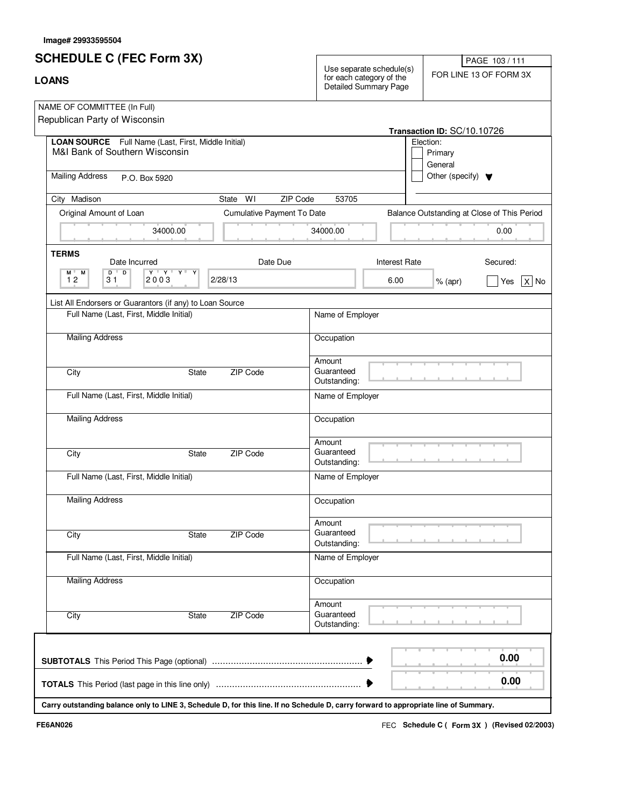# **SCHEDULE C (FEC Form 3X)**

|  | ۰. |  |
|--|----|--|

Use separate schedule(s)<br>
FOR LINE 13 OF FORM 3X<br>
Detailed Summary Page

PAGE 103 / 111

| NAME OF COMMITTEE (In Full)                                                                                                                                  |                            |                                      |                              |                                      |                                             |  |
|--------------------------------------------------------------------------------------------------------------------------------------------------------------|----------------------------|--------------------------------------|------------------------------|--------------------------------------|---------------------------------------------|--|
| Republican Party of Wisconsin                                                                                                                                |                            |                                      |                              | Transaction ID: SC/10.10726          |                                             |  |
| LOAN SOURCE Full Name (Last, First, Middle Initial)<br>M&I Bank of Southern Wisconsin                                                                        |                            |                                      | Election:                    | Primary<br>General                   |                                             |  |
| <b>Mailing Address</b><br>P.O. Box 5920                                                                                                                      |                            |                                      |                              | Other (specify) $\blacktriangledown$ |                                             |  |
| City Madison<br>State WI                                                                                                                                     | ZIP Code                   | 53705                                |                              |                                      |                                             |  |
| Original Amount of Loan                                                                                                                                      | Cumulative Payment To Date |                                      |                              |                                      | Balance Outstanding at Close of This Period |  |
| 34000.00                                                                                                                                                     |                            | 34000.00                             |                              |                                      | 0.00                                        |  |
| <b>TERMS</b>                                                                                                                                                 |                            |                                      |                              |                                      |                                             |  |
| Date Incurred<br>$\overline{D}$<br>$D$ <sup><math>+</math></sup><br>$\mathbf{A} + \mathbf{A} + \mathbf{A} +$<br>M L<br>Y<br>M<br>12<br>2003<br>2/28/13<br>31 | Date Due                   |                                      | <b>Interest Rate</b><br>6.00 | $%$ (apr)                            | Secured:<br>$ X $ No<br>Yes                 |  |
| List All Endorsers or Guarantors (if any) to Loan Source                                                                                                     |                            |                                      |                              |                                      |                                             |  |
| Full Name (Last, First, Middle Initial)                                                                                                                      |                            | Name of Employer                     |                              |                                      |                                             |  |
| <b>Mailing Address</b>                                                                                                                                       |                            | Occupation                           |                              |                                      |                                             |  |
| City<br>State                                                                                                                                                | ZIP Code                   | Amount<br>Guaranteed<br>Outstanding: |                              |                                      |                                             |  |
| Full Name (Last, First, Middle Initial)                                                                                                                      |                            | Name of Employer                     |                              |                                      |                                             |  |
| <b>Mailing Address</b>                                                                                                                                       |                            | Occupation                           |                              |                                      |                                             |  |
| City<br>State                                                                                                                                                | ZIP Code                   | Amount<br>Guaranteed<br>Outstanding: |                              |                                      |                                             |  |
| Full Name (Last, First, Middle Initial)                                                                                                                      |                            | Name of Employer                     |                              |                                      |                                             |  |
| <b>Mailing Address</b>                                                                                                                                       |                            | Occupation                           |                              |                                      |                                             |  |
| City<br><b>State</b>                                                                                                                                         | ZIP Code                   | Amount<br>Guaranteed<br>Outstanding: |                              |                                      |                                             |  |
| Full Name (Last, First, Middle Initial)                                                                                                                      |                            | Name of Employer                     |                              |                                      |                                             |  |
| <b>Mailing Address</b>                                                                                                                                       |                            | Occupation                           |                              |                                      |                                             |  |
| City<br>State                                                                                                                                                | <b>ZIP Code</b>            | Amount<br>Guaranteed<br>Outstanding: |                              |                                      |                                             |  |
|                                                                                                                                                              |                            |                                      |                              |                                      | 0.00                                        |  |
|                                                                                                                                                              |                            |                                      |                              |                                      | 0.00                                        |  |
| Carry outstanding balance only to LINE 3, Schedule D, for this line. If no Schedule D, carry forward to appropriate line of Summary.                         |                            |                                      |                              |                                      |                                             |  |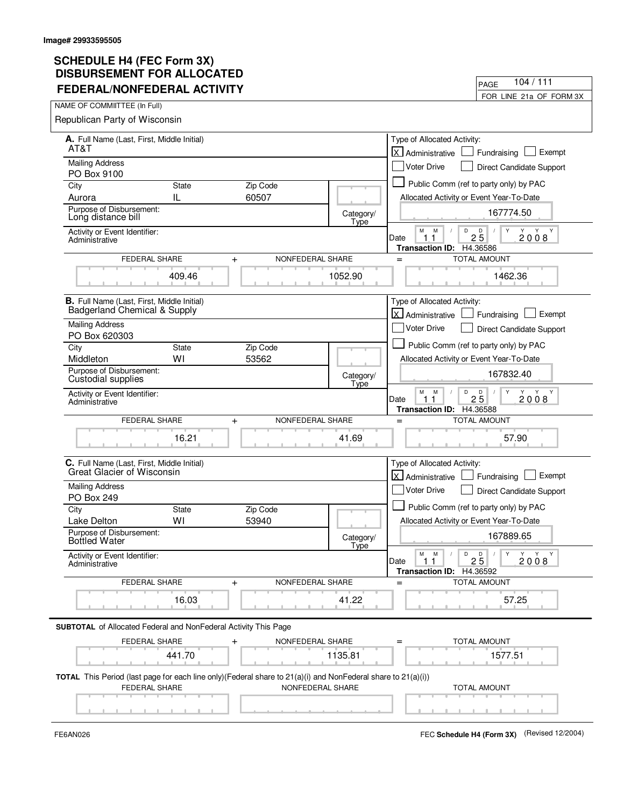| FEDERAL/NONFEDERAL ACTIVITY                                                                                                   |                   | 104 / 111<br>PAGE                                                                                           |
|-------------------------------------------------------------------------------------------------------------------------------|-------------------|-------------------------------------------------------------------------------------------------------------|
|                                                                                                                               |                   | FOR LINE 21a OF FORM 3X                                                                                     |
| NAME OF COMMIITTEE (In Full)                                                                                                  |                   |                                                                                                             |
| Republican Party of Wisconsin                                                                                                 |                   |                                                                                                             |
| A. Full Name (Last, First, Middle Initial)<br>AT&T                                                                            |                   | Type of Allocated Activity:<br>lx.<br>Exempt<br>Fundraising<br>Administrative                               |
| <b>Mailing Address</b>                                                                                                        |                   | Voter Drive<br><b>Direct Candidate Support</b>                                                              |
| PO Box 9100                                                                                                                   |                   |                                                                                                             |
| Zip Code<br>City<br><b>State</b>                                                                                              |                   | Public Comm (ref to party only) by PAC                                                                      |
| IL<br>60507<br>Aurora                                                                                                         |                   | Allocated Activity or Event Year-To-Date                                                                    |
| Purpose of Disbursement:<br>Long distance bill                                                                                | Category/<br>Type | 167774.50                                                                                                   |
| Activity or Event Identifier:<br>Administrative                                                                               |                   | D<br>$2\overline{5}$<br>Y<br>м<br>M<br>Y Y<br>2008<br>Date<br>11<br><b>Transaction ID:</b><br>H4.36586      |
| FEDERAL SHARE<br>$\ddot{}$                                                                                                    | NONFEDERAL SHARE  | <b>TOTAL AMOUNT</b><br>$=$                                                                                  |
| 409.46                                                                                                                        | 1052.90           | 1462.36                                                                                                     |
| B. Full Name (Last, First, Middle Initial)<br>Badgerland Chemical & Supply                                                    |                   | Type of Allocated Activity:<br>Exempt                                                                       |
| <b>Mailing Address</b>                                                                                                        |                   | X Administrative<br>Fundraising                                                                             |
| PO Box 620303                                                                                                                 |                   | <b>Voter Drive</b><br><b>Direct Candidate Support</b>                                                       |
| State<br>Zip Code<br>City                                                                                                     |                   | Public Comm (ref to party only) by PAC                                                                      |
| WI<br>Middleton<br>53562                                                                                                      |                   | Allocated Activity or Event Year-To-Date                                                                    |
| Purpose of Disbursement:<br>Custodial supplies                                                                                | Category/<br>Type | 167832.40                                                                                                   |
| Activity or Event Identifier:<br>Administrative                                                                               |                   | D<br>$\mathsf D$<br>Y<br>Y Y<br>М<br>M<br>Y<br>$2\bar{5}$<br>2008<br>Date<br>1.<br>Transaction ID: H4.36588 |
| FEDERAL SHARE<br>$+$                                                                                                          | NONFEDERAL SHARE  | <b>TOTAL AMOUNT</b><br>$=$                                                                                  |
| 16.21                                                                                                                         | 41.69             | 57.90                                                                                                       |
| C. Full Name (Last, First, Middle Initial)<br>Great Glacier of Wisconsin                                                      |                   | Type of Allocated Activity:<br>lx l<br>Exempt<br>Administrative<br>Fundraising                              |
| <b>Mailing Address</b><br>PO Box 249                                                                                          |                   | Voter Drive<br>Direct Candidate Support                                                                     |
| City<br><b>State</b><br>Zip Code                                                                                              |                   | Public Comm (ref to party only) by PAC                                                                      |
| WI<br>53940<br>Lake Delton                                                                                                    |                   | Allocated Activity or Event Year-To-Date                                                                    |
| Purpose of Disbursement:<br><b>Bottled Water</b>                                                                              | Category/         | 167889.65                                                                                                   |
| Activity or Event Identifier:<br>Administrative                                                                               | Type              | D<br>Y<br>М<br>M<br>D<br>Y<br>Y<br>Y<br>25<br>2008<br>Date<br>1.1<br><b>Transaction ID:</b><br>H4.36592     |
| FEDERAL SHARE<br>$+$                                                                                                          | NONFEDERAL SHARE  | <b>TOTAL AMOUNT</b><br>$=$                                                                                  |
| 16.03                                                                                                                         | 41.22             | 57.25                                                                                                       |
| <b>SUBTOTAL</b> of Allocated Federal and NonFederal Activity This Page                                                        |                   |                                                                                                             |
| FEDERAL SHARE                                                                                                                 | NONFEDERAL SHARE  | TOTAL AMOUNT                                                                                                |
| 441.70                                                                                                                        | 1135.81           | 1577.51                                                                                                     |
| TOTAL This Period (last page for each line only)(Federal share to 21(a)(i) and NonFederal share to 21(a)(i))<br>FEDERAL SHARE | NONFEDERAL SHARE  | <b>TOTAL AMOUNT</b>                                                                                         |
|                                                                                                                               |                   |                                                                                                             |

 $\blacksquare$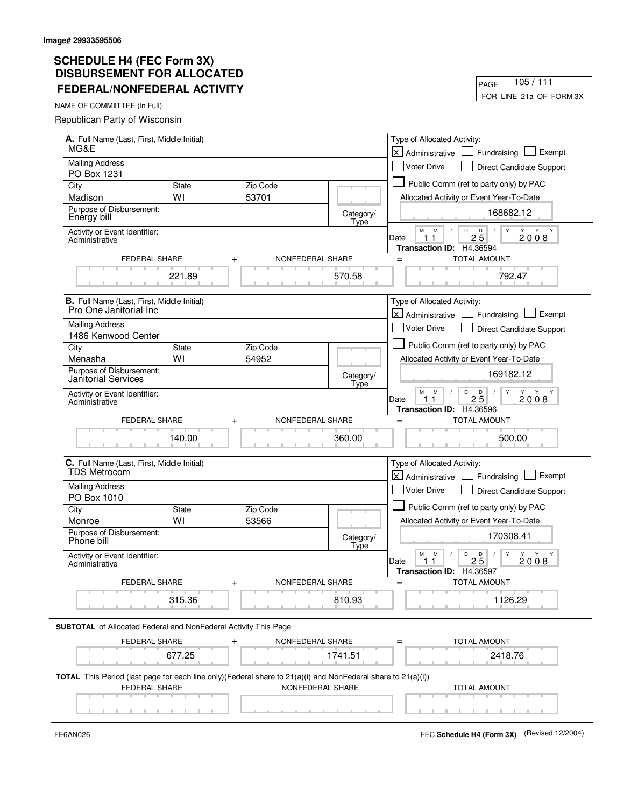| FEDERAL/NONFEDERAL ACTIVITY                                            |              |                                                                                                                                  |                   | FOR LINE 21a OF FORM 3X                                                                              |
|------------------------------------------------------------------------|--------------|----------------------------------------------------------------------------------------------------------------------------------|-------------------|------------------------------------------------------------------------------------------------------|
| NAME OF COMMIITTEE (In Full)                                           |              |                                                                                                                                  |                   |                                                                                                      |
| Republican Party of Wisconsin                                          |              |                                                                                                                                  |                   |                                                                                                      |
| A. Full Name (Last, First, Middle Initial)                             |              |                                                                                                                                  |                   | Type of Allocated Activity:                                                                          |
| MG&E                                                                   |              |                                                                                                                                  |                   | <b>x</b><br>Exempt<br>Administrative<br>Fundraising                                                  |
| <b>Mailing Address</b>                                                 |              |                                                                                                                                  |                   | <b>Voter Drive</b><br>Direct Candidate Support                                                       |
| PO Box 1231<br>City                                                    | <b>State</b> | Zip Code                                                                                                                         |                   | Public Comm (ref to party only) by PAC                                                               |
| Madison                                                                | WI           | 53701                                                                                                                            |                   | Allocated Activity or Event Year-To-Date                                                             |
| Purpose of Disbursement:<br>Energy bill                                |              |                                                                                                                                  | Category/<br>Type | 168682.12                                                                                            |
| Activity or Event Identifier:<br>Administrative                        |              |                                                                                                                                  |                   | М<br>M<br>D<br>$2\overline{5}$<br>Y<br>Y<br>Y Y<br>2008<br>Date<br>1                                 |
| FEDERAL SHARE                                                          |              | NONFEDERAL SHARE<br>$\ddot{}$                                                                                                    |                   | H4.36594<br><b>Transaction ID:</b><br><b>TOTAL AMOUNT</b><br>$=$                                     |
|                                                                        | 221.89       |                                                                                                                                  | 570.58            | 792.47                                                                                               |
| <b>B.</b> Full Name (Last, First, Middle Initial)                      |              |                                                                                                                                  |                   | Type of Allocated Activity:                                                                          |
| Pro One Janitorial Inc                                                 |              |                                                                                                                                  |                   | X Administrative<br>Exempt<br>Fundraising                                                            |
| <b>Mailing Address</b><br>1486 Kenwood Center                          |              |                                                                                                                                  |                   | <b>Voter Drive</b><br><b>Direct Candidate Support</b>                                                |
| City                                                                   | State        | Zip Code                                                                                                                         |                   | Public Comm (ref to party only) by PAC                                                               |
| Menasha                                                                | W١           | 54952                                                                                                                            |                   | Allocated Activity or Event Year-To-Date                                                             |
| Purpose of Disbursement:<br><b>Janitorial Services</b>                 |              |                                                                                                                                  | Category/<br>Type | 169182.12                                                                                            |
| Activity or Event Identifier:<br>Administrative                        |              |                                                                                                                                  |                   | М<br>M<br>D<br>$2\overline{5}$<br>Y<br>Y<br>2008<br>Date<br>1.<br>H4.36596<br><b>Transaction ID:</b> |
| FEDERAL SHARE                                                          |              | NONFEDERAL SHARE<br>$\ddag$                                                                                                      |                   | <b>TOTAL AMOUNT</b><br>$=$                                                                           |
|                                                                        | 140.00       |                                                                                                                                  | 360.00            | 500.00                                                                                               |
| C. Full Name (Last, First, Middle Initial)<br><b>TDS Metrocom</b>      |              |                                                                                                                                  |                   | Type of Allocated Activity:<br>lx.<br>Exempt<br>Administrative<br>Fundraising                        |
| <b>Mailing Address</b>                                                 |              |                                                                                                                                  |                   | Voter Drive                                                                                          |
| PO Box 1010                                                            |              |                                                                                                                                  |                   | Direct Candidate Support                                                                             |
| City                                                                   | <b>State</b> | Zip Code                                                                                                                         |                   | Public Comm (ref to party only) by PAC                                                               |
| Monroe<br>Purpose of Disbursement:                                     | WI           | 53566                                                                                                                            | Category/         | Allocated Activity or Event Year-To-Date<br>170308.41                                                |
| Phone bill<br>Activity or Event Identifier:                            |              |                                                                                                                                  | <u>Type</u>       | D<br>Y<br>М<br>M<br>D<br>Y Y Y<br>$\sqrt{2}$                                                         |
| Administrative                                                         |              |                                                                                                                                  |                   | 25<br>2008<br>Date<br>11<br>Transaction ID: H4.36597                                                 |
| FEDERAL SHARE                                                          |              | NONFEDERAL SHARE<br>$\ddot{}$                                                                                                    |                   | <b>TOTAL AMOUNT</b><br>$=$                                                                           |
|                                                                        | 315.36       |                                                                                                                                  | 810.93            | 1126.29                                                                                              |
| <b>SUBTOTAL</b> of Allocated Federal and NonFederal Activity This Page |              |                                                                                                                                  |                   |                                                                                                      |
| FEDERAL SHARE                                                          |              | NONFEDERAL SHARE                                                                                                                 |                   | TOTAL AMOUNT                                                                                         |
|                                                                        | 677.25       |                                                                                                                                  | 1741.51           | 2418.76                                                                                              |
| FEDERAL SHARE                                                          |              | TOTAL This Period (last page for each line only)(Federal share to 21(a)(i) and NonFederal share to 21(a)(i))<br>NONFEDERAL SHARE |                   | <b>TOTAL AMOUNT</b>                                                                                  |
|                                                                        |              |                                                                                                                                  |                   |                                                                                                      |
|                                                                        |              |                                                                                                                                  |                   |                                                                                                      |

 $\blacksquare$ 

FE6AN026 FEC **Schedule H4 (Form 3X)** (Revised 12/2004)

PAGE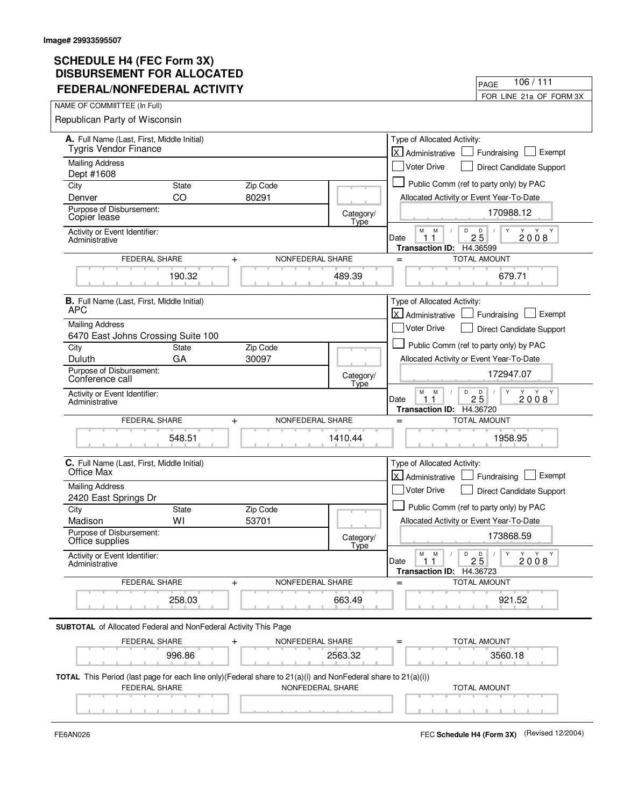| <u>FEVERAL/NUNFEVERAL AUTIVII 1</u>                                                                                           |              |                  |                   | FOR LINE 21a OF FORM 3X                                                                      |
|-------------------------------------------------------------------------------------------------------------------------------|--------------|------------------|-------------------|----------------------------------------------------------------------------------------------|
| NAME OF COMMIITTEE (In Full)                                                                                                  |              |                  |                   |                                                                                              |
| Republican Party of Wisconsin                                                                                                 |              |                  |                   |                                                                                              |
| A. Full Name (Last, First, Middle Initial)<br><b>Tygris Vendor Finance</b>                                                    |              |                  |                   | Type of Allocated Activity:<br>lx l<br>Exempt<br>Administrative<br>Fundraising               |
| <b>Mailing Address</b>                                                                                                        |              |                  |                   | <b>Voter Drive</b><br>Direct Candidate Support                                               |
| Dept #1608<br>City                                                                                                            | <b>State</b> | Zip Code         |                   | Public Comm (ref to party only) by PAC                                                       |
| Denver                                                                                                                        | CO           | 80291            |                   | Allocated Activity or Event Year-To-Date                                                     |
| Purpose of Disbursement:<br>Copier lease                                                                                      |              |                  | Category/         | 170988.12                                                                                    |
| Activity or Event Identifier:<br>Administrative                                                                               |              |                  | Type              | М<br>M<br>D<br>$2\overline{5}$<br>Y Y<br>2008<br>Date<br>$\mathbf{1}$<br>$\mathbf{1}$        |
|                                                                                                                               |              |                  |                   | H4.36599<br><b>Transaction ID:</b>                                                           |
| FEDERAL SHARE                                                                                                                 | $\ddot{}$    | NONFEDERAL SHARE |                   | <b>TOTAL AMOUNT</b><br>$=$                                                                   |
|                                                                                                                               | 190.32       |                  | 489.39            | 679.71                                                                                       |
| <b>B.</b> Full Name (Last, First, Middle Initial)<br><b>APC</b>                                                               |              |                  |                   | Type of Allocated Activity:<br>X Administrative<br>Exempt<br>Fundraising                     |
| <b>Mailing Address</b>                                                                                                        |              |                  |                   | <b>Voter Drive</b>                                                                           |
| 6470 East Johns Crossing Suite 100                                                                                            |              |                  |                   | Direct Candidate Support                                                                     |
| City                                                                                                                          | State        | Zip Code         |                   | Public Comm (ref to party only) by PAC                                                       |
| Duluth                                                                                                                        | GA           | 30097            |                   | Allocated Activity or Event Year-To-Date                                                     |
| Purpose of Disbursement:<br>Conference call                                                                                   |              |                  | Category/<br>Type | 172947.07                                                                                    |
| Activity or Event Identifier:<br>Administrative                                                                               |              |                  |                   | M<br>M<br>D<br>$2\overline{5}$<br>Y<br>Y Y<br>2008<br>Date<br>11<br>Transaction ID: H4.36720 |
| FEDERAL SHARE                                                                                                                 | $+$          | NONFEDERAL SHARE |                   | <b>TOTAL AMOUNT</b><br>$=$                                                                   |
|                                                                                                                               | 548.51       |                  | 1410.44           | 1958.95                                                                                      |
| C. Full Name (Last, First, Middle Initial)<br>Office Max                                                                      |              |                  |                   | Type of Allocated Activity:                                                                  |
|                                                                                                                               |              |                  |                   | lx l<br>Exempt<br>Administrative<br>Fundraising                                              |
| <b>Mailing Address</b><br>2420 East Springs Dr                                                                                |              |                  |                   | Voter Drive<br>Direct Candidate Support                                                      |
| City                                                                                                                          | <b>State</b> | Zip Code         |                   | Public Comm (ref to party only) by PAC                                                       |
| Madison                                                                                                                       | WI           | 53701            |                   | Allocated Activity or Event Year-To-Date                                                     |
| Purpose of Disbursement:<br>Office supplies                                                                                   |              |                  | Category/<br>Type | 173868.59                                                                                    |
| Activity or Event Identifier:<br>Administrative                                                                               |              |                  |                   | Y<br>Y<br>M<br>M<br>D<br>D<br>Y Y<br>$\prime$<br>25<br>Date<br>11<br>2008                    |
|                                                                                                                               |              |                  |                   |                                                                                              |
|                                                                                                                               |              |                  |                   | H4.36723<br><b>Transaction ID:</b>                                                           |
| FEDERAL SHARE                                                                                                                 | $\ddot{}$    | NONFEDERAL SHARE |                   | TOTAL AMOUNT<br>$=$                                                                          |
|                                                                                                                               | 258.03       |                  | 663.49            | 921.52                                                                                       |
| <b>SUBTOTAL</b> of Allocated Federal and NonFederal Activity This Page                                                        |              |                  |                   |                                                                                              |
| FEDERAL SHARE                                                                                                                 | +            | NONFEDERAL SHARE |                   | TOTAL AMOUNT                                                                                 |
|                                                                                                                               | 996.86       |                  | 2563.32           | 3560.18                                                                                      |
| TOTAL This Period (last page for each line only)(Federal share to 21(a)(i) and NonFederal share to 21(a)(i))<br>FEDERAL SHARE |              | NONFEDERAL SHARE |                   | <b>TOTAL AMOUNT</b>                                                                          |

FE6AN026 FEC **Schedule H4 (Form 3X)** (Revised 12/2004)

PAGE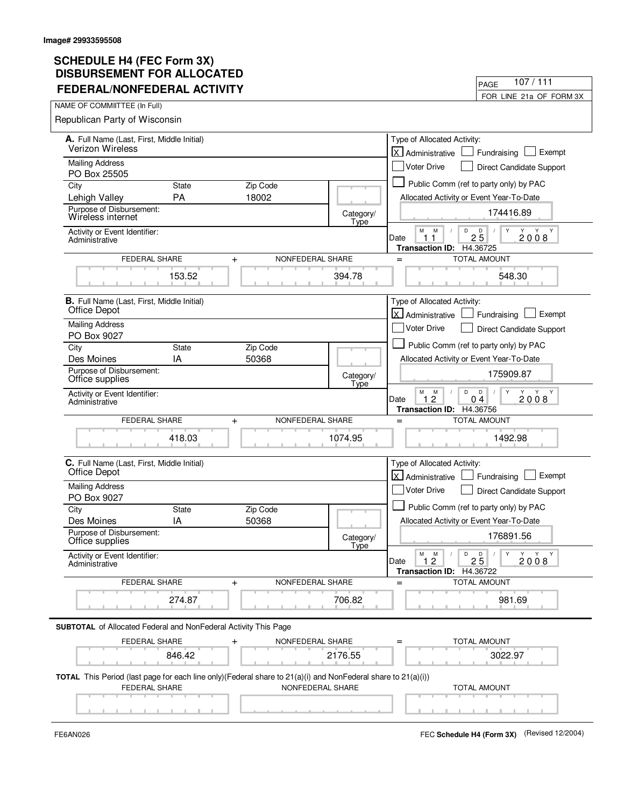| FEDERAL/NONFEDERAL ACTIVITY                                            |                                                                                                                                  |                                                                                                                         | FOR LINE 21a OF FORM 3X                                                                                |  |
|------------------------------------------------------------------------|----------------------------------------------------------------------------------------------------------------------------------|-------------------------------------------------------------------------------------------------------------------------|--------------------------------------------------------------------------------------------------------|--|
| NAME OF COMMIITTEE (In Full)                                           |                                                                                                                                  |                                                                                                                         |                                                                                                        |  |
| Republican Party of Wisconsin                                          |                                                                                                                                  |                                                                                                                         |                                                                                                        |  |
| A. Full Name (Last, First, Middle Initial)                             | Type of Allocated Activity:                                                                                                      |                                                                                                                         |                                                                                                        |  |
| <b>Verizon Wireless</b>                                                | lx l<br>Exempt<br>Fundraising<br>Administrative                                                                                  |                                                                                                                         |                                                                                                        |  |
| <b>Mailing Address</b>                                                 | <b>Voter Drive</b><br><b>Direct Candidate Support</b>                                                                            |                                                                                                                         |                                                                                                        |  |
| PO Box 25505<br><b>State</b><br>City                                   | Zip Code                                                                                                                         |                                                                                                                         | Public Comm (ref to party only) by PAC                                                                 |  |
| PA<br>Lehigh Valley                                                    | 18002                                                                                                                            |                                                                                                                         | Allocated Activity or Event Year-To-Date                                                               |  |
| Purpose of Disbursement:                                               |                                                                                                                                  |                                                                                                                         | 174416.89                                                                                              |  |
| Wireless internet                                                      |                                                                                                                                  | Category/<br>Type                                                                                                       |                                                                                                        |  |
| Activity or Event Identifier:<br>Administrative                        |                                                                                                                                  |                                                                                                                         | D<br>$2\overline{5}$<br>М<br>M<br>Y<br>Y Y<br>2008<br>Date<br>11<br><b>Transaction ID:</b><br>H4.36725 |  |
| FEDERAL SHARE<br>NONFEDERAL SHARE<br>$\ddot{}$                         |                                                                                                                                  |                                                                                                                         | <b>TOTAL AMOUNT</b><br>$=$                                                                             |  |
| 153.52                                                                 |                                                                                                                                  | 394.78                                                                                                                  | 548.30                                                                                                 |  |
| <b>B.</b> Full Name (Last, First, Middle Initial)                      | Type of Allocated Activity:<br>X Administrative                                                                                  |                                                                                                                         |                                                                                                        |  |
|                                                                        | Office Depot                                                                                                                     |                                                                                                                         |                                                                                                        |  |
| <b>Mailing Address</b><br>PO Box 9027                                  |                                                                                                                                  |                                                                                                                         | Voter Drive<br><b>Direct Candidate Support</b>                                                         |  |
| City<br><b>State</b>                                                   | Zip Code                                                                                                                         |                                                                                                                         | Public Comm (ref to party only) by PAC                                                                 |  |
| IA<br>Des Moines                                                       | 50368                                                                                                                            |                                                                                                                         | Allocated Activity or Event Year-To-Date                                                               |  |
| Purpose of Disbursement:<br>Office supplies                            |                                                                                                                                  | Category/<br>Type                                                                                                       | 175909.87                                                                                              |  |
| Activity or Event Identifier:<br>Administrative                        |                                                                                                                                  | М<br>D<br>$\mathsf D$<br>Y<br>M<br>Y<br>Y Y<br>0 <sub>4</sub><br>2008<br>Date<br>2<br>1<br>Transaction ID: H4.36756     |                                                                                                        |  |
| FEDERAL SHARE                                                          | <b>TOTAL AMOUNT</b><br>$=$                                                                                                       |                                                                                                                         |                                                                                                        |  |
| 418.03                                                                 |                                                                                                                                  | 1074.95                                                                                                                 | 1492.98                                                                                                |  |
| C. Full Name (Last, First, Middle Initial)<br>Office Depot             | Type of Allocated Activity:<br>اxا<br>Exempt<br>Administrative<br>Fundraising                                                    |                                                                                                                         |                                                                                                        |  |
| <b>Mailing Address</b>                                                 |                                                                                                                                  | Voter Drive                                                                                                             |                                                                                                        |  |
| PO Box 9027                                                            |                                                                                                                                  | Direct Candidate Support                                                                                                |                                                                                                        |  |
| City<br><b>State</b>                                                   | Zip Code                                                                                                                         |                                                                                                                         | Public Comm (ref to party only) by PAC                                                                 |  |
| IA<br>Des Moines                                                       | 50368                                                                                                                            |                                                                                                                         | Allocated Activity or Event Year-To-Date                                                               |  |
| Purpose of Disbursement:<br>Office supplies                            |                                                                                                                                  | Category/<br>Tyne                                                                                                       | 176891.56                                                                                              |  |
| Activity or Event Identifier:<br>Administrative                        |                                                                                                                                  | Y<br>Y<br>М<br>M<br>D<br>D<br>Y<br>Y<br>$\sqrt{2}$<br>$\prime$<br>25<br>Date<br>1.2<br>2008<br>Transaction ID: H4.36722 |                                                                                                        |  |
| FEDERAL SHARE<br>NONFEDERAL SHARE<br>$\ddot{}$                         |                                                                                                                                  |                                                                                                                         | <b>TOTAL AMOUNT</b><br>$=$                                                                             |  |
|                                                                        |                                                                                                                                  |                                                                                                                         |                                                                                                        |  |
| 274.87                                                                 |                                                                                                                                  | 706.82                                                                                                                  | 981.69                                                                                                 |  |
| <b>SUBTOTAL</b> of Allocated Federal and NonFederal Activity This Page |                                                                                                                                  |                                                                                                                         |                                                                                                        |  |
| FEDERAL SHARE<br>NONFEDERAL SHARE                                      |                                                                                                                                  |                                                                                                                         | TOTAL AMOUNT                                                                                           |  |
| 846.42<br>2176.55                                                      |                                                                                                                                  | 3022.97                                                                                                                 |                                                                                                        |  |
|                                                                        |                                                                                                                                  |                                                                                                                         |                                                                                                        |  |
| FEDERAL SHARE                                                          | TOTAL This Period (last page for each line only)(Federal share to 21(a)(i) and NonFederal share to 21(a)(i))<br>NONFEDERAL SHARE |                                                                                                                         |                                                                                                        |  |
|                                                                        |                                                                                                                                  |                                                                                                                         | <b>TOTAL AMOUNT</b>                                                                                    |  |
|                                                                        |                                                                                                                                  |                                                                                                                         |                                                                                                        |  |

 $\blacksquare$ 

FE6AN026 FEC **Schedule H4 (Form 3X)** (Revised 12/2004)

PAGE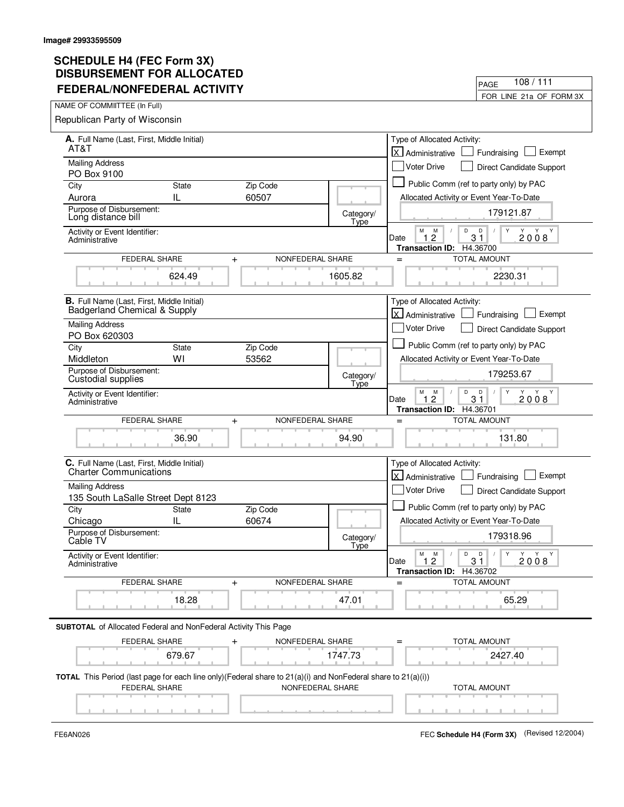| FEDERAL/NONFEDERAL ACTIVITY                                                                                                                       |                    |                                                |                                                      | FOR LINE 21a OF FORM 3X                                                                            |
|---------------------------------------------------------------------------------------------------------------------------------------------------|--------------------|------------------------------------------------|------------------------------------------------------|----------------------------------------------------------------------------------------------------|
| NAME OF COMMIITTEE (In Full)                                                                                                                      |                    |                                                |                                                      |                                                                                                    |
| Republican Party of Wisconsin                                                                                                                     |                    |                                                |                                                      |                                                                                                    |
| A. Full Name (Last, First, Middle Initial)                                                                                                        |                    | Type of Allocated Activity:                    |                                                      |                                                                                                    |
| AT&T                                                                                                                                              |                    |                                                |                                                      | <b>x</b><br>Exempt<br>Administrative<br>Fundraising                                                |
| <b>Mailing Address</b>                                                                                                                            |                    | <b>Voter Drive</b><br>Direct Candidate Support |                                                      |                                                                                                    |
| PO Box 9100<br>City                                                                                                                               | <b>State</b>       | Zip Code                                       |                                                      | Public Comm (ref to party only) by PAC                                                             |
| Aurora                                                                                                                                            | IL                 | 60507                                          |                                                      | Allocated Activity or Event Year-To-Date                                                           |
| Purpose of Disbursement:<br>Long distance bill                                                                                                    |                    |                                                | Category/<br>Type                                    | 179121.87                                                                                          |
| Activity or Event Identifier:<br>Administrative                                                                                                   |                    |                                                |                                                      | D<br>D<br>м<br>M<br>Y<br>Y<br>Y Y<br>$3\bar{1}$<br>$\overline{c}$<br>2008<br>1<br>Date<br>H4.36700 |
| FEDERAL SHARE                                                                                                                                     |                    | NONFEDERAL SHARE<br>$\ddot{}$                  |                                                      | <b>Transaction ID:</b><br><b>TOTAL AMOUNT</b><br>$=$                                               |
|                                                                                                                                                   | 624.49             |                                                | 1605.82                                              | 2230.31                                                                                            |
| <b>B.</b> Full Name (Last, First, Middle Initial)<br>Badgerland Chemical & Supply                                                                 |                    |                                                |                                                      | Type of Allocated Activity:                                                                        |
| <b>Mailing Address</b><br>PO Box 620303                                                                                                           |                    |                                                |                                                      | X Administrative<br>Exempt<br>Fundraising<br>Voter Drive<br>Direct Candidate Support               |
| City                                                                                                                                              | <b>State</b>       | Zip Code                                       |                                                      | Public Comm (ref to party only) by PAC                                                             |
| Middleton                                                                                                                                         | W١                 | 53562                                          |                                                      | Allocated Activity or Event Year-To-Date                                                           |
| Purpose of Disbursement:<br>Custodial supplies                                                                                                    |                    |                                                | Category/<br>Type                                    | 179253.67                                                                                          |
| Activity or Event Identifier:<br>Administrative                                                                                                   |                    |                                                |                                                      | М<br>M<br>D<br>D<br>Y<br>Y<br>2<br>31<br>2008<br>Date<br>1.<br>Transaction ID: H4.36701            |
| FEDERAL SHARE<br>NONFEDERAL SHARE<br>$\ddot{}$                                                                                                    |                    |                                                |                                                      | <b>TOTAL AMOUNT</b><br>$=$                                                                         |
|                                                                                                                                                   | 36.90              |                                                | 94.90                                                | 131.80                                                                                             |
| C. Full Name (Last, First, Middle Initial)<br><b>Charter Communications</b>                                                                       |                    |                                                |                                                      | Type of Allocated Activity:<br>lx l<br>Exempt<br>Administrative<br>Fundraising                     |
| <b>Mailing Address</b>                                                                                                                            |                    |                                                |                                                      | Voter Drive<br>Direct Candidate Support                                                            |
| 135 South LaSalle Street Dept 8123                                                                                                                |                    |                                                |                                                      |                                                                                                    |
| City                                                                                                                                              | <b>State</b><br>IL | Zip Code<br>60674                              |                                                      | Public Comm (ref to party only) by PAC                                                             |
| Chicago<br>Purpose of Disbursement:<br>Cable TV                                                                                                   |                    |                                                | Category/                                            | Allocated Activity or Event Year-To-Date<br>179318.96                                              |
| Activity or Event Identifier:<br>Administrative                                                                                                   |                    |                                                | <u>Type</u>                                          | D<br>Y<br>М<br>M<br>D<br>Y Y Y<br>$\sqrt{2}$<br>1.2<br>31<br>2008<br>Date                          |
| FEDERAL SHARE<br>NONFEDERAL SHARE<br>$\ddot{}$                                                                                                    |                    |                                                | Transaction ID: H4.36702<br><b>TOTAL AMOUNT</b><br>= |                                                                                                    |
| 18.28<br>47.01                                                                                                                                    |                    |                                                | 65.29                                                |                                                                                                    |
|                                                                                                                                                   |                    |                                                |                                                      |                                                                                                    |
| <b>SUBTOTAL</b> of Allocated Federal and NonFederal Activity This Page                                                                            |                    |                                                |                                                      |                                                                                                    |
| FEDERAL SHARE<br>NONFEDERAL SHARE                                                                                                                 |                    |                                                | TOTAL AMOUNT                                         |                                                                                                    |
| 679.67<br>1747.73                                                                                                                                 |                    |                                                |                                                      | 2427.40                                                                                            |
| TOTAL This Period (last page for each line only)(Federal share to 21(a)(i) and NonFederal share to 21(a)(i))<br>NONFEDERAL SHARE<br>FEDERAL SHARE |                    |                                                |                                                      |                                                                                                    |
|                                                                                                                                                   |                    |                                                |                                                      | <b>TOTAL AMOUNT</b>                                                                                |

 $\blacksquare$ 

FE6AN026 FEC **Schedule H4 (Form 3X)** (Revised 12/2004)

PAGE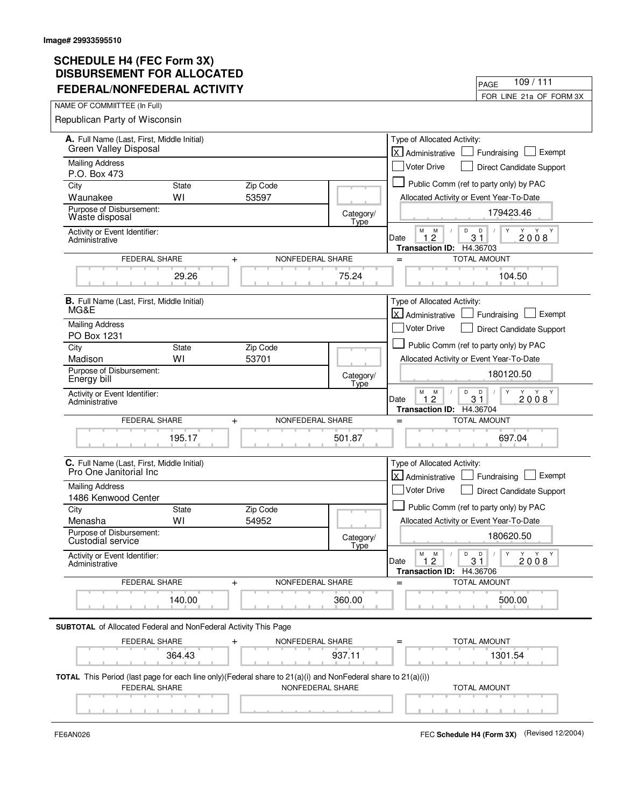## **SCHEDULE H4 (FEC Form 3X) DISBURSEMENT FOR ALLOCATED FEDERAL/NONFEDERAL ACTIVITY**

| FEDERAL/NONFEDERAL ACTIVITY                                                                                  |              |                               |                   | FOR LINE 21a OF FORM 3X                                                                               |
|--------------------------------------------------------------------------------------------------------------|--------------|-------------------------------|-------------------|-------------------------------------------------------------------------------------------------------|
| NAME OF COMMIITTEE (In Full)                                                                                 |              |                               |                   |                                                                                                       |
| Republican Party of Wisconsin                                                                                |              |                               |                   |                                                                                                       |
| A. Full Name (Last, First, Middle Initial)                                                                   |              |                               |                   | Type of Allocated Activity:                                                                           |
| <b>Green Valley Disposal</b>                                                                                 |              |                               |                   | $\times$<br>Exempt<br>Administrative<br>Fundraising                                                   |
| <b>Mailing Address</b>                                                                                       |              |                               |                   | <b>Voter Drive</b><br>Direct Candidate Support                                                        |
| P.O. Box 473                                                                                                 |              |                               |                   |                                                                                                       |
| City                                                                                                         | <b>State</b> | Zip Code                      |                   | Public Comm (ref to party only) by PAC                                                                |
| Waunakee                                                                                                     | WI           | 53597                         |                   | Allocated Activity or Event Year-To-Date                                                              |
| Purpose of Disbursement:<br>Waste disposal                                                                   |              |                               | Category/<br>Type | 179423.46                                                                                             |
| Activity or Event Identifier:<br>Administrative                                                              |              |                               |                   | M<br>D<br>M<br>D<br>Y<br>Y<br>Y Y<br>$3\bar{1}$<br>$\overline{c}$<br>2008<br>$\mathbf{1}$<br>Date     |
| FEDERAL SHARE                                                                                                |              | NONFEDERAL SHARE<br>$\ddot{}$ |                   | Transaction ID: H4.36703<br><b>TOTAL AMOUNT</b><br>$=$                                                |
|                                                                                                              | 29.26        |                               | 75.24             | 104.50                                                                                                |
| <b>B.</b> Full Name (Last. First. Middle Initial)<br>MG&E                                                    |              |                               |                   | Type of Allocated Activity:                                                                           |
|                                                                                                              |              |                               |                   | X Administrative<br>Exempt<br>Fundraising                                                             |
| <b>Mailing Address</b><br>PO Box 1231                                                                        |              |                               |                   | <b>Voter Drive</b><br>Direct Candidate Support                                                        |
| City                                                                                                         | <b>State</b> | Zip Code                      |                   | Public Comm (ref to party only) by PAC                                                                |
| Madison                                                                                                      | WI           | 53701                         |                   | Allocated Activity or Event Year-To-Date                                                              |
| Purpose of Disbursement:<br>Energy bill                                                                      |              |                               | Category/<br>Type | 180120.50                                                                                             |
| Activity or Event Identifier:<br>Administrative                                                              |              |                               |                   | M<br>M<br>D<br>D<br>Y<br>Y Y<br>$\overline{2}$<br>31<br>2008<br>Date<br>1<br>Transaction ID: H4.36704 |
| FEDERAL SHARE                                                                                                |              | NONFEDERAL SHARE<br>$\ddot{}$ |                   | <b>TOTAL AMOUNT</b><br>$=$                                                                            |
|                                                                                                              | 195.17       |                               | 501.87            | 697.04                                                                                                |
| C. Full Name (Last, First, Middle Initial)                                                                   |              |                               |                   | Type of Allocated Activity:                                                                           |
| Pro One Janitorial Inc                                                                                       |              |                               |                   | lx l<br>Exempt<br>Administrative<br>Fundraising                                                       |
| <b>Mailing Address</b>                                                                                       |              |                               |                   | Voter Drive<br>Direct Candidate Support                                                               |
| 1486 Kenwood Center                                                                                          |              |                               |                   |                                                                                                       |
| City                                                                                                         | <b>State</b> | Zip Code                      |                   | Public Comm (ref to party only) by PAC                                                                |
| Menasha                                                                                                      | WI           | 54952                         |                   | Allocated Activity or Event Year-To-Date                                                              |
| Purpose of Disbursement:<br>Custodial service                                                                |              |                               | Category/         | 180620.50                                                                                             |
| Activity or Event Identifier:<br>Administrative                                                              |              |                               | <b>Type</b>       | Y<br>M<br>M<br>D<br>D<br>Y Y Y<br>31<br>1.2<br>2008<br>Date                                           |
|                                                                                                              |              |                               |                   | Transaction ID: H4.36706                                                                              |
| FEDERAL SHARE                                                                                                |              | NONFEDERAL SHARE<br>$\ddot{}$ |                   | <b>TOTAL AMOUNT</b><br>$=$                                                                            |
|                                                                                                              | 140.00       |                               | 360.00            | 500.00                                                                                                |
| <b>SUBTOTAL</b> of Allocated Federal and NonFederal Activity This Page                                       |              |                               |                   |                                                                                                       |
| FEDERAL SHARE                                                                                                |              | NONFEDERAL SHARE<br>+         |                   | <b>TOTAL AMOUNT</b>                                                                                   |
|                                                                                                              | 364.43       |                               | 937.11            | 1301.54                                                                                               |
| TOTAL This Period (last page for each line only)(Federal share to 21(a)(i) and NonFederal share to 21(a)(i)) |              |                               |                   |                                                                                                       |
| FEDERAL SHARE                                                                                                |              | NONFEDERAL SHARE              |                   | <b>TOTAL AMOUNT</b>                                                                                   |
|                                                                                                              |              |                               |                   |                                                                                                       |
|                                                                                                              |              |                               |                   |                                                                                                       |

FE6AN026 FEC **Schedule H4 (Form 3X)** (Revised 12/2004)

PAGE

109 / 111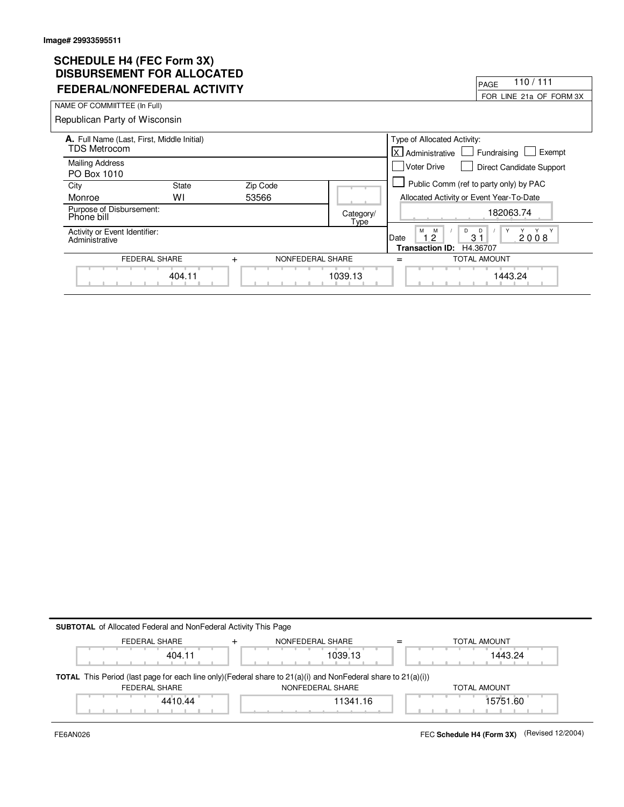## **SCHEDULE H4 (FEC Form 3X) DISBURSEMENT FOR ALLOCATED**

| DISBURSEMENT FUR ALLUCATED                                 |                   |                   |                                                                   |
|------------------------------------------------------------|-------------------|-------------------|-------------------------------------------------------------------|
| <b>FEDERAL/NONFEDERAL ACTIVITY</b>                         |                   |                   | 110 / 111<br>PAGE                                                 |
|                                                            |                   |                   | FOR LINE 21a OF FORM 3X                                           |
| NAME OF COMMIITTEE (In Full)                               |                   |                   |                                                                   |
| Republican Party of Wisconsin                              |                   |                   |                                                                   |
| A. Full Name (Last, First, Middle Initial)<br>TDS Metrocom |                   |                   | Type of Allocated Activity:                                       |
|                                                            |                   |                   | <b>X</b> Administrative<br>Fundraising<br>Exempt                  |
| <b>Mailing Address</b>                                     |                   |                   | <b>Voter Drive</b><br><b>Direct Candidate Support</b>             |
| PO Box 1010                                                |                   |                   |                                                                   |
| City                                                       | Zip Code<br>State |                   | Public Comm (ref to party only) by PAC                            |
| Monroe                                                     | W١<br>53566       |                   | Allocated Activity or Event Year-To-Date                          |
| Purpose of Disbursement:<br>Phone bill                     |                   | Category/<br>Type | 182063.74                                                         |
| Activity or Event Identifier:<br>Administrative            |                   |                   | M<br>Y<br>M<br>D<br>Y<br>D<br>2008<br>3 <sub>1</sub><br>Date<br>2 |
|                                                            |                   |                   | <b>Transaction ID:</b><br>H4.36707                                |
| FEDERAL SHARE                                              | $+$               | NONFEDERAL SHARE  | <b>TOTAL AMOUNT</b>                                               |
|                                                            | 404.11            | 1039.13           | 1443.24                                                           |

| FEDERAL SHARE | NONFEDERAL SHARE                                                                                                          | TOTAL AMOUNT |
|---------------|---------------------------------------------------------------------------------------------------------------------------|--------------|
| 404.11        | 1039.13                                                                                                                   | 1443.24      |
|               |                                                                                                                           |              |
|               |                                                                                                                           |              |
|               | <b>TOTAL</b> This Period (last page for each line only) (Federal share to $21(a)(i)$ and NonFederal share to $21(a)(i)$ ) |              |
| FEDERAL SHARE | NONFEDERAL SHARE                                                                                                          | TOTAL AMOUNT |
| 4410.44       | 11341.16                                                                                                                  | 15751.60     |

FE6AN026 FEC **Schedule H4 (Form 3X)** (Revised 12/2004)